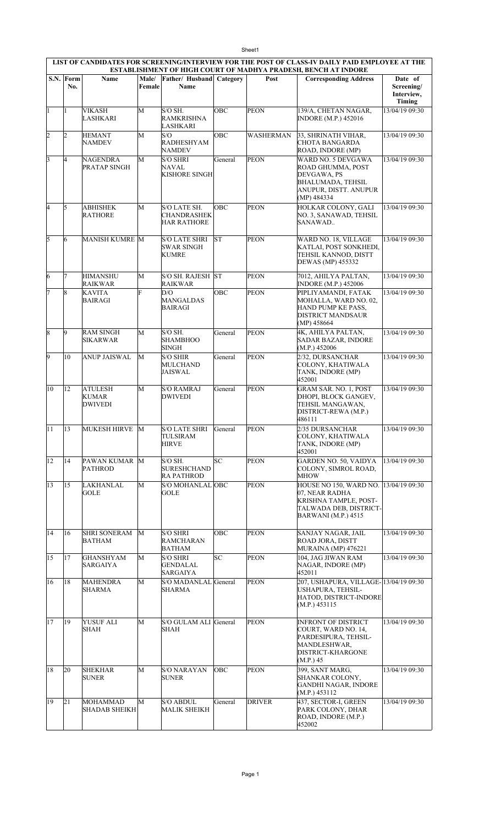|                | Sheet1<br>LIST OF CANDIDATES FOR SCREENING/INTERVIEW FOR THE POST OF CLASS-IV DAILY PAID EMPLOYEE AT THE |                                         |                 |                                                           |         |                  |                                                                                                                             |                                               |  |  |  |  |
|----------------|----------------------------------------------------------------------------------------------------------|-----------------------------------------|-----------------|-----------------------------------------------------------|---------|------------------|-----------------------------------------------------------------------------------------------------------------------------|-----------------------------------------------|--|--|--|--|
|                |                                                                                                          |                                         |                 |                                                           |         |                  | <b>ESTABLISHMENT OF HIGH COURT OF MADHYA PRADESH, BENCH AT INDORE</b>                                                       |                                               |  |  |  |  |
|                | S.N. Form<br>No.                                                                                         | Name                                    | Male/<br>Female | Father/ Husband Category<br><b>Name</b>                   |         | Post             | <b>Corresponding Address</b>                                                                                                | Date of<br>Screening/<br>Interview,<br>Timing |  |  |  |  |
| 1              | $\mathbf{1}$                                                                                             | <b>VIKASH</b><br><b>LASHKARI</b>        | M               | S/O SH.<br><b>RAMKRISHNA</b><br><b>LASHKARI</b>           | OBC     | <b>PEON</b>      | 139/A, CHETAN NAGAR,<br><b>INDORE</b> (M.P.) 452016                                                                         | 13/04/19 09:30                                |  |  |  |  |
| $\overline{2}$ | 2                                                                                                        | <b>HEMANT</b><br>NAMDEV                 | M               | S/O<br>RADHESHYAM<br><b>NAMDEV</b>                        | OBC     | <b>WASHERMAN</b> | 33, SHRINATH VIHAR,<br><b>CHOTA BANGARDA</b><br>ROAD, INDORE (MP)                                                           | 13/04/19 09:30                                |  |  |  |  |
| 3              | 4                                                                                                        | NAGENDRA<br>PRATAP SINGH                | М               | <b>S/O SHRI</b><br><b>NAVAL</b><br><b>KISHORE SINGH</b>   | General | <b>PEON</b>      | WARD NO. 5 DEVGAWA<br>ROAD GHUMMA, POST<br>DEVGAWA, PS<br>BHALUMADA, TEHSIL<br>ANUPUR, DISTT. ANUPUR<br>(MP) 484334         | 13/04/19 09:30                                |  |  |  |  |
| l4             | 5                                                                                                        | <b>ABHISHEK</b><br><b>RATHORE</b>       | M               | S/O LATE SH.<br><b>CHANDRASHEK</b><br><b>HAR RATHORE</b>  | OBC     | <b>PEON</b>      | HOLKAR COLONY, GALI<br>NO. 3, SANAWAD, TEHSIL<br>SANAWAD                                                                    | 13/04/19 09:30                                |  |  |  |  |
| 5              | 6                                                                                                        | <b>MANISH KUMRE M</b>                   |                 | <b>S/O LATE SHRI</b><br><b>SWAR SINGH</b><br><b>KUMRE</b> | lsт     | <b>PEON</b>      | WARD NO. 18, VILLAGE<br>KATLAI, POST SONKHEDI,<br>TEHSIL KANNOD, DISTT<br>DEWAS (MP) 455332                                 | 13/04/19 09:30                                |  |  |  |  |
| 6              | 7                                                                                                        | HIMANSHU<br>RAIKWAR                     | M               | S/O SH. RAJESH ST<br><b>RAIKWAR</b>                       |         | <b>PEON</b>      | 7012, AHILYA PALTAN,<br><b>INDORE (M.P.) 452006</b>                                                                         | 13/04/19 09:30                                |  |  |  |  |
| 7              | 8                                                                                                        | <b>KAVITA</b><br>BAIRAGI                | F               | D/O<br><b>MANGALDAS</b><br><b>BAIRAGI</b>                 | OBC     | <b>PEON</b>      | PIPLIYAMANDI, FATAK<br>MOHALLA, WARD NO. 02,<br>HAND PUMP KE PASS.<br>DISTRICT MANDSAUR<br>(MP) 458664                      | 13/04/19 09:30                                |  |  |  |  |
| 8              | 9                                                                                                        | <b>RAM SINGH</b><br>SIKARWAR            | M               | $S/O$ SH.<br><b>SHAMBHOO</b><br><b>SINGH</b>              | General | <b>PEON</b>      | 4K, AHILYA PALTAN,<br>SADAR BAZAR, INDORE<br>(M.P.) 452006                                                                  | 13/04/19 09:30                                |  |  |  |  |
| l9             | 10                                                                                                       | <b>ANUP JAISWAL</b>                     | M               | <b>S/O SHIR</b><br><b>MULCHAND</b><br>JAISWAL             | General | <b>PEON</b>      | 2/32, DURSANCHAR<br>COLONY, KHATIWALA<br>TANK, INDORE (MP)<br>452001                                                        | 13/04/19 09:30                                |  |  |  |  |
| 10             | 12                                                                                                       | <b>ATULESH</b><br>KUMAR<br>DWIVEDI      | М               | <b>S/O RAMRAJ</b><br><b>DWIVEDI</b>                       | General | <b>PEON</b>      | GRAM SAR. NO. 1, POST<br>DHOPI, BLOCK GANGEV,<br>TEHSIL MANGAWAN,<br>DISTRICT-REWA (M.P.)<br>486111                         | 13/04/19 09:30                                |  |  |  |  |
| 11             | 13                                                                                                       | MUKESH HIRVE M                          |                 | S/O LATE SHRI<br>TULSIRAM<br><b>HIRVE</b>                 | General | <b>PEON</b>      | 2/35 DURSANCHAR<br>COLONY, KHATIWALA<br>TANK, INDORE (MP)<br>452001                                                         | 13/04/19 09:30                                |  |  |  |  |
| 12             | 14                                                                                                       | PAWAN KUMAR M<br><b>PATHROD</b>         |                 | $S/O$ SH.<br><b>SURESHCHAND</b><br><b>RA PATHROD</b>      | lsc     | <b>PEON</b>      | GARDEN NO. 50, VAIDYA<br>COLONY, SIMROL ROAD,<br><b>MHOW</b>                                                                | 13/04/19 09:30                                |  |  |  |  |
| 13             | 15                                                                                                       | LAKHANLAL<br>GOLE                       | M               | S/O MOHANLAL OBC<br>GOLE                                  |         | <b>PEON</b>      | HOUSE NO 150, WARD NO.<br>07. NEAR RADHA<br>KRISHNA TAMPLE, POST-<br>TALWADA DEB, DISTRICT-<br><b>BARWANI</b> (M.P.) 4515   | 13/04/19 09:30                                |  |  |  |  |
| 14             | 16                                                                                                       | SHRI SONERAM<br>BATHAM                  | M               | <b>S/O SHRI</b><br><b>RAMCHARAN</b><br><b>BATHAM</b>      | OBC     | <b>PEON</b>      | SANJAY NAGAR, JAIL<br>ROAD JORA, DISTT<br>MURAINA (MP) 476221                                                               | 13/04/19 09:30                                |  |  |  |  |
| 15             | 17                                                                                                       | GHANSHYAM<br>SARGAIYA                   | M               | <b>S/O SHRI</b><br><b>GENDALAL</b><br><b>SARGAIYA</b>     | SC      | <b>PEON</b>      | 104, JAG JIWAN RAM<br>NAGAR, INDORE (MP)<br>452011                                                                          | 13/04/19 09:30                                |  |  |  |  |
| 16             | 18                                                                                                       | <b>MAHENDRA</b><br>SHARMA               | M               | <b>S/O MADANLAL</b><br>SHARMA                             | General | <b>PEON</b>      | 207, USHAPURA, VILLAGE-13/04/19 09:30<br>USHAPURA, TEHSIL-<br>HATOD, DISTRICT-INDORE<br>(M.P.) 453115                       |                                               |  |  |  |  |
| 17             | 19                                                                                                       | YUSUF ALI<br>SHAH                       | M               | S/O GULAM ALI General<br>SHAH                             |         | <b>PEON</b>      | <b>INFRONT OF DISTRICT</b><br>COURT, WARD NO. 14,<br>PARDESIPURA, TEHSIL-<br>MANDLESHWAR,<br>DISTRICT-KHARGONE<br>(M.P.) 45 | 13/04/19 09:30                                |  |  |  |  |
| 18             | 20                                                                                                       | <b>SHEKHAR</b><br><b>SUNER</b>          | М               | S/O NARAYAN<br><b>SUNER</b>                               | OBC     | <b>PEON</b>      | 399, SANT MARG,<br>SHANKAR COLONY,<br><b>GANDHI NAGAR, INDORE</b><br>(M.P.) 453112                                          | 13/04/19 09:30                                |  |  |  |  |
| 19             | 21                                                                                                       | <b>MOHAMMAD</b><br><b>SHADAB SHEIKH</b> | M               | <b>S/O ABDUL</b><br><b>MALIK SHEIKH</b>                   | General | <b>DRIVER</b>    | 437, SECTOR-I, GREEN<br>PARK COLONY, DHAR<br>ROAD, INDORE (M.P.)<br>452002                                                  | 13/04/19 09:30                                |  |  |  |  |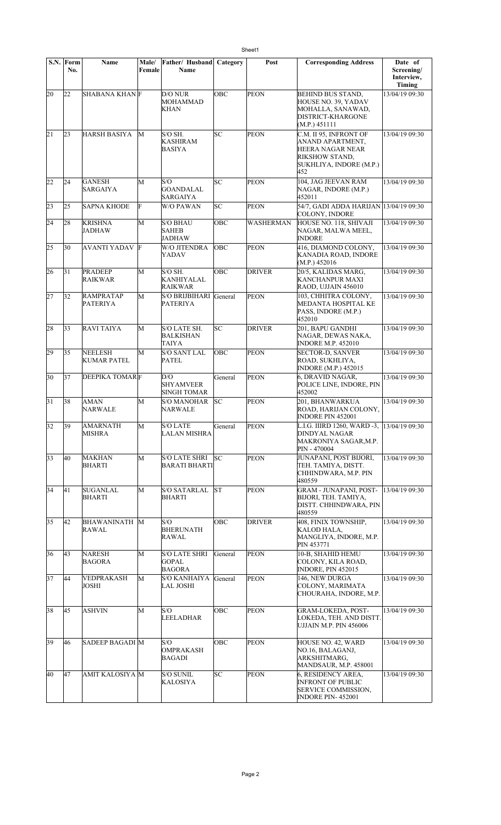|    | S.N. Form<br>No. | <b>Name</b>                          | Male/<br>Female | Father/ Husband<br>Name                               | Category | Post          | <b>Corresponding Address</b>                                                                                              | Date of<br>Screening/<br>Interview,<br>Timing |
|----|------------------|--------------------------------------|-----------------|-------------------------------------------------------|----------|---------------|---------------------------------------------------------------------------------------------------------------------------|-----------------------------------------------|
| 20 | 22               | SHABANA KHAN F                       |                 | D/O NUR<br><b>MOHAMMAD</b><br><b>KHAN</b>             | OBC      | <b>PEON</b>   | <b>BEHIND BUS STAND,</b><br>HOUSE NO. 39, YADAV<br>MOHALLA, SANAWAD,<br>DISTRICT-KHARGONE<br>(M.P.) 451111                | 13/04/19 09:30                                |
| 21 | 23               | <b>HARSH BASIYA</b>                  | М               | $S/O$ SH.<br><b>KASHIRAM</b><br><b>BASIYA</b>         | SC       | <b>PEON</b>   | C.M. II 95, INFRONT OF<br>ANAND APARTMENT,<br><b>HEERA NAGAR NEAR</b><br>RIKSHOW STAND,<br>SUKHLIYA, INDORE (M.P.)<br>452 | 13/04/19 09:30                                |
| 22 | 24               | <b>GANESH</b><br>SARGAIYA            | M               | S/O<br><b>GOANDALAL</b><br><b>SARGAIYA</b>            | SC       | <b>PEON</b>   | 104, JAG JEEVAN RAM<br>NAGAR, INDORE (M.P.)<br>452011                                                                     | 13/04/19 09:30                                |
| 23 | 25               | <b>SAPNA KHODE</b>                   | F               | <b>W/O PAWAN</b>                                      | SC       | PEON          | 54/7, GADI ADDA HARIJAN 13/04/19 09:30<br>COLONY, INDORE                                                                  |                                               |
| 24 | 28               | <b>KRISHNA</b><br>JADHAW             | M               | <b>S/O BHAU</b><br><b>SAHEB</b><br><b>JADHAW</b>      | ОВС      | WASHERMAN     | HOUSE NO. 118, SHIVAJI<br>NAGAR, MALWA MEEL,<br><b>INDORE</b>                                                             | 13/04/19 09:30                                |
| 25 | 30               | AVANTI YADAV F                       |                 | <b>W/O JITENDRA</b><br>YADAV                          | OBC      | <b>PEON</b>   | 416, DIAMOND COLONY,<br>KANADIA ROAD, INDORE<br>(M.P.) 452016                                                             | 13/04/19 09:30                                |
| 26 | 31               | <b>PRADEEP</b><br><b>RAIKWAR</b>     | M               | $S/O$ SH.<br>KANHIYALAL<br><b>RAIKWAR</b>             | OBC      | <b>DRIVER</b> | 20/5, KALIDAS MARG,<br>KANCHANPUR MAXI<br>RAOD, UJJAIN 456010                                                             | 13/04/19 09:30                                |
| 27 | 32               | <b>RAMPRATAP</b><br>PATERIYA         | М               | <b>S/O BRIJBIHARI</b><br><b>PATERIYA</b>              | General  | <b>PEON</b>   | 103, CHHITRA COLONY,<br>MEDANTA HOSPITAL KE<br>PASS, INDORE (M.P.)<br>452010                                              | 13/04/19 09:30                                |
| 28 | 33               | RAVI TAIYA                           | M               | S/O LATE SH.<br><b>BALKISHAN</b><br><b>TAIYA</b>      | SC       | <b>DRIVER</b> | 201, BAPU GANDHI<br>NAGAR, DEWAS NAKA,<br><b>INDORE M.P. 452010</b>                                                       | 13/04/19 09:30                                |
| 29 | 35               | <b>NEELESH</b><br><b>KUMAR PATEL</b> | M               | <b>S/O SANT LAL</b><br><b>PATEL</b>                   | OBC      | <b>PEON</b>   | <b>SECTOR-D, SANVER</b><br>ROAD, SUKHLIYA,<br><b>INDORE (M.P.) 452015</b>                                                 | 13/04/19 09:30                                |
| 30 | 37               | <b>DEEPIKA TOMARF</b>                |                 | D/O<br><b>SHYAMVEER</b><br><b>SINGH TOMAR</b>         | General  | <b>PEON</b>   | 6, DRAVID NAGAR,<br>POLICE LINE, INDORE, PIN<br>452002                                                                    | 13/04/19 09:30                                |
| 31 | 38               | AMAN<br>NARWALE                      | M               | S/O MANOHAR<br><b>NARWALE</b>                         | lsc      | <b>PEON</b>   | 201, BHANWARKUA<br>ROAD, HARIJAN COLONY,<br><b>INDORE PIN 452001</b>                                                      | 13/04/19 09:30                                |
| 32 | 39               | <b>AMARNATH</b><br>MISHRA            | M               | <b>S/O LATE</b><br><b>LALAN MISHRA</b>                | General  | <b>PEON</b>   | L.I.G. IIIRD 1260, WARD -3, 13/04/19 09:30<br><b>DINDYAL NAGAR</b><br>MAKRONIYA SAGAR, M.P.<br>PIN - 470004               |                                               |
| 33 | 40               | <b>MAKHAN</b><br><b>BHARTI</b>       | М               | <b>S/O LATE SHRI</b><br><b>BARATI BHARTI</b>          | SC       | <b>PEON</b>   | JUNAPANI, POST BIJORI,<br>TEH. TAMIYA, DISTT.<br>CHHINDWARA, M.P. PIN<br>480559                                           | 13/04/19 09:30                                |
| 34 | 41               | <b>SUGANLAL</b><br><b>BHARTI</b>     | M               | <b>S/O SATARLAL</b><br><b>BHARTI</b>                  | İST      | <b>PEON</b>   | <b>GRAM - JUNAPANI, POST-</b><br>BIJORI, TEH. TAMIYA,<br>DISTT. CHHINDWARA, PIN<br>480559                                 | 13/04/19 09:30                                |
| 35 | 42               | <b>BHAWANINATH M</b><br>RAWAL        |                 | S/O<br><b>BHERUNATH</b><br><b>RAWAL</b>               | OBC      | <b>DRIVER</b> | 408, FINIX TOWNSHIP,<br>KALOD HALA,<br>MANGLIYA, INDORE, M.P.<br>PIN 453771                                               | 13/04/19 09:30                                |
| 36 | 43               | <b>NARESH</b><br><b>BAGORA</b>       | M               | <b>S/O LATE SHRI</b><br><b>GOPAL</b><br><b>BAGORA</b> | General  | <b>PEON</b>   | 10-B, SHAHID HEMU<br>COLONY, KILA ROAD,<br><b>INDORE, PIN 452015</b>                                                      | 13/04/19 09:30                                |
| 37 | 44               | VEDPRAKASH<br><b>JOSHI</b>           | M               | <b>S/O KANHAIYA</b><br><b>LAL JOSHI</b>               | General  | <b>PEON</b>   | 146, NEW DURGA<br>COLONY, MARIMATA<br>CHOURAHA, INDORE, M.P.                                                              | 13/04/19 09:30                                |
| 38 | 45               | <b>ASHVIN</b>                        | M               | S/O<br><b>LEELADHAR</b>                               | ОВС      | <b>PEON</b>   | GRAM-LOKEDA, POST-<br>LOKEDA, TEH. AND DISTT.<br>UJJAIN M.P. PIN 456006                                                   | 13/04/19 09:30                                |
| 39 | 46               | SADEEP BAGADI M                      |                 | S/O<br><b>OMPRAKASH</b><br>BAGADI                     | OBC      | <b>PEON</b>   | HOUSE NO. 42, WARD<br>NO.16, BALAGANJ,<br>ARKSHITMARG,<br>MANDSAUR, M.P. 458001                                           | 13/04/19 09:30                                |
| 40 | 47               | AMIT KALOSIYA M                      |                 | <b>S/O SUNIL</b><br><b>KALOSIYA</b>                   | SC       | <b>PEON</b>   | 6, RESIDENCY AREA.<br><b>INFRONT OF PUBLIC</b><br><b>SERVICE COMMISSION,</b><br>INDORE PIN-452001                         | 13/04/19 09:30                                |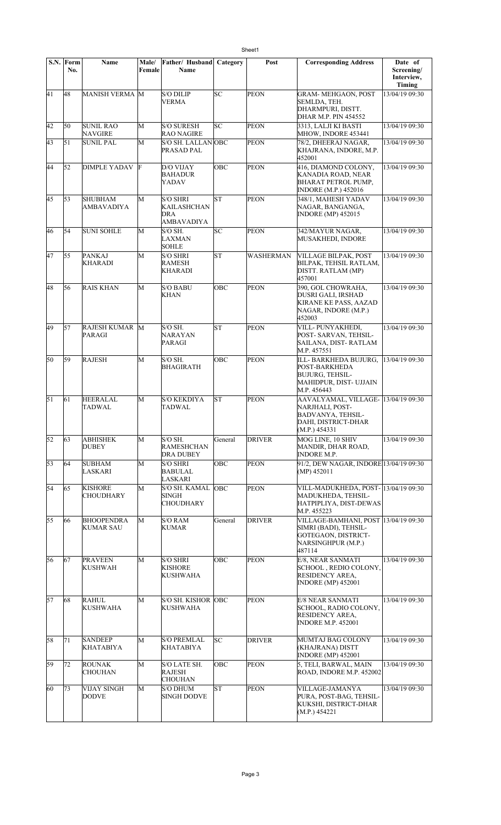|    | S.N. Form<br>No. | <b>Name</b>                           | Male/<br>Female | Father/ Husband<br>Name                                    | Category   | Post             | <b>Corresponding Address</b>                                                                                               | Date of<br>Screening/<br>Interview,<br>Timing |
|----|------------------|---------------------------------------|-----------------|------------------------------------------------------------|------------|------------------|----------------------------------------------------------------------------------------------------------------------------|-----------------------------------------------|
| 41 | 48               | MANISH VERMA M                        |                 | <b>S/O DILIP</b><br><b>VERMA</b>                           | SC         | <b>PEON</b>      | <b>GRAM- MEHGAON, POST</b><br>SEMLDA, TEH.<br>DHARMPURI, DISTT.<br>DHAR M.P. PIN 454552                                    | 13/04/19 09:30                                |
| 42 | 50               | <b>SUNIL RAO</b><br><b>NAVGIRE</b>    | M               | <b>S/O SURESH</b><br><b>RAO NAGIRE</b>                     | SC         | <b>PEON</b>      | 3313, LALJI KI BASTI<br>MHOW, INDORE 453441                                                                                | 13/04/19 09:30                                |
| 43 | 51               | <b>SUNIL PAL</b>                      | M               | S/O SH. LALLANOBC<br>PRASAD PAL                            |            | <b>PEON</b>      | 78/2, DHEERAJ NAGAR,<br>KHAJRANA, INDORE, M.P.<br>452001                                                                   | 13/04/19 09:30                                |
| 44 | 52               | DIMPLE YADAV F                        |                 | D/O VIJAY<br><b>BAHADUR</b><br>YADAV                       | OBC        | PEON             | 416, DIAMOND COLONY,<br>KANADIA ROAD, NEAR<br><b>BHARAT PETROL PUMP,</b><br><b>INDORE</b> (M.P.) 452016                    | 13/04/19 09:30                                |
| 45 | 53               | <b>SHUBHAM</b><br>AMBAVADIYA          | M               | <b>S/O SHRI</b><br>KAILASHCHAN<br>DRA<br><b>AMBAVADIYA</b> | <b>ST</b>  | <b>PEON</b>      | 348/1, MAHESH YADAV<br>NAGAR, BANGANGA,<br><b>INDORE</b> (MP) 452015                                                       | 13/04/19 09:30                                |
| 46 | 54               | <b>SUNI SOHLE</b>                     | M               | S/O SH.<br><b>LAXMAN</b><br><b>SOHLE</b>                   | SC         | <b>PEON</b>      | 342/MAYUR NAGAR,<br>MUSAKHEDI, INDORE                                                                                      | 13/04/19 09:30                                |
| 47 | 55               | <b>PANKAJ</b><br><b>KHARADI</b>       | M               | <b>S/O SHRI</b><br><b>RAMESH</b><br><b>KHARADI</b>         | lsт        | <b>WASHERMAN</b> | VILLAGE BILPAK, POST<br>BILPAK, TEHSIL RATLAM,<br>DISTT. RATLAM (MP)<br>457001                                             | 13/04/19 09:30                                |
| 48 | 56               | <b>RAIS KHAN</b>                      | M               | <b>S/O BABU</b><br><b>KHAN</b>                             | ОВС        | <b>PEON</b>      | 390, GOL CHOWRAHA,<br>DUSRI GALI, IRSHAD<br>KIRANE KE PASS, AAZAD<br>NAGAR, INDORE (M.P.)<br>452003                        | 13/04/19 09:30                                |
| 49 | 57               | <b>RAJESH KUMAR M</b><br>PARAGI       |                 | $S/O$ SH.<br>NARAYAN<br>PARAGI                             | lsт        | <b>PEON</b>      | VILL-PUNYAKHEDI,<br>POST-SARVAN, TEHSIL-<br>SAILANA, DIST-RATLAM<br>M.P. 457551                                            | 13/04/19 09:30                                |
| 50 | 59               | <b>RAJESH</b>                         | M               | S/O SH.<br><b>BHAGIRATH</b>                                | OBC        | <b>PEON</b>      | ILL- BARKHEDA BUJURG,<br>POST-BARKHEDA<br><b>BUJURG, TEHSIL-</b><br>MAHIDPUR, DIST- UJJAIN<br>M.P. 456443                  | 13/04/19 09:30                                |
| 51 | 61               | <b>HEERALAL</b><br>TADWAL             | M               | <b>S/O KEKDIYA</b><br>TADWAL                               | <b>ST</b>  | <b>PEON</b>      | AAVALYAMAL, VILLAGE- 13/04/19 09:30<br>NARJHALI, POST-<br><b>BADVANYA, TEHSIL-</b><br>DAHI, DISTRICT-DHAR<br>(M.P.) 454331 |                                               |
| 52 | 63               | ABHISHEK<br><b>DUBEY</b>              | М               | $S/O$ SH.<br><b>RAMESHCHAN</b><br><b>DRA DUBEY</b>         | General    | <b>DRIVER</b>    | MOG LINE, 10 SHIV<br>MANDIR, DHAR ROAD,<br><b>INDORE M.P.</b>                                                              | 13/04/19 09:30                                |
| 53 | 64               | <b>SUBHAM</b><br>LASKARI              | M               | <b>S/O SHRI</b><br><b>BABULAL</b><br><b>LASKARI</b>        | OBC        | <b>PEON</b>      | 91/2, DEW NAGAR, INDORE 13/04/19 09:30<br>$(MP)$ 452011                                                                    |                                               |
| 54 | 65               | <b>KISHORE</b><br>CHOUDHARY           | M               | S/O SH. KAMAL<br>SINGH<br><b>CHOUDHARY</b>                 | <b>OBC</b> | <b>PEON</b>      | VILL-MADUKHEDA, POST-13/04/19 09:30<br>MADUKHEDA, TEHSIL-<br>HATPIPLIYA, DIST-DEWAS<br>M.P. 455223                         |                                               |
| 55 | 66               | <b>BHOOPENDRA</b><br><b>KUMAR SAU</b> | М               | S/O RAM<br><b>KUMAR</b>                                    | General    | <b>DRIVER</b>    | VILLAGE-BAMHANI, POST 13/04/19 09:30<br>SIMRI (BADI), TEHSIL-<br>GOTEGAON, DISTRICT-<br>NARSINGHPUR (M.P.)<br>487114       |                                               |
| 56 | 67               | <b>PRAVEEN</b><br><b>KUSHWAH</b>      | M               | <b>S/O SHRI</b><br><b>KISHORE</b><br><b>KUSHWAHA</b>       | OBC        | <b>PEON</b>      | E/8, NEAR SANMATI<br>SCHOOL, REDIO COLONY,<br><b>RESIDENCY AREA,</b><br><b>INDORE</b> (MP) 452001                          | 13/04/19 09:30                                |
| 57 | 68               | RAHUL<br>KUSHWAHA                     | M               | S/O SH. KISHOR OBC<br>KUSHWAHA                             |            | <b>PEON</b>      | E/8 NEAR SANMATI<br>SCHOOL, RADIO COLONY,<br>RESIDENCY AREA,<br><b>INDORE M.P. 452001</b>                                  | 13/04/19 09:30                                |
| 58 | 71               | <b>SANDEEP</b><br>KHATABIYA           | M               | <b>S/O PREMLAL</b><br>KHATABIYA                            | SC         | <b>DRIVER</b>    | MUMTAJ BAG COLONY<br>(KHAJRANA) DISTT<br><b>INDORE</b> (MP) 452001                                                         | 13/04/19 09:30                                |
| 59 | 72               | <b>ROUNAK</b><br><b>CHOUHAN</b>       | M               | S/O LATE SH.<br><b>RAJESH</b><br><b>CHOUHAN</b>            | OBC        | <b>PEON</b>      | 5, TELI, BARWAL, MAIN<br>ROAD, INDORE M.P. 452002                                                                          | 13/04/19 09:30                                |
| 60 | 73               | <b>VIJAY SINGH</b><br><b>DODVE</b>    | M               | <b>S/O DHUM</b><br><b>SINGH DODVE</b>                      | lsΤ        | PEON             | VILLAGE-JAMANYA<br>PURA, POST-BAG, TEHSIL-<br>KUKSHI, DISTRICT-DHAR<br>(M.P.) 454221                                       | 13/04/19 09:30                                |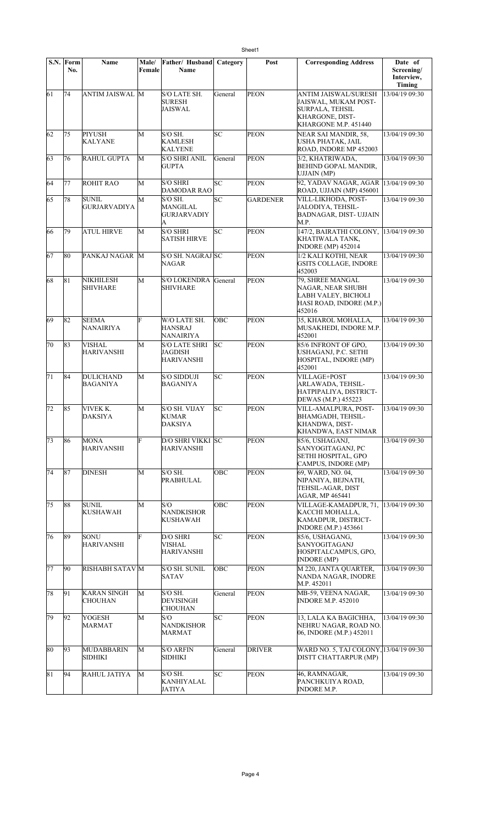|                 | $S.N.$ Form<br>No. | <b>Name</b>                         | Male/<br>Female | Father/ Husband<br>Name                              | Category | Post            | <b>Corresponding Address</b>                                                                                      | Date of<br>Screening/<br>Interview, |
|-----------------|--------------------|-------------------------------------|-----------------|------------------------------------------------------|----------|-----------------|-------------------------------------------------------------------------------------------------------------------|-------------------------------------|
| 61              | 74                 | ANTIM JAISWAL M                     |                 | S/O LATE SH.<br><b>SURESH</b><br><b>JAISWAL</b>      | General  | <b>PEON</b>     | ANTIM JAISWAL/SURESH<br>JAISWAL, MUKAM POST-<br><b>SURPALA, TEHSIL</b><br>KHARGONE, DIST-<br>KHARGONE M.P. 451440 | Timing<br>13/04/19 09:30            |
| 62              | 75                 | PIYUSH<br>KALYANE                   | M               | S/O SH.<br><b>KAMLESH</b><br><b>KALYENE</b>          | SC       | <b>PEON</b>     | NEAR SAI MANDIR, 58,<br>USHA PHATAK, JAIL<br>ROAD, INDORE MP 452003                                               | 13/04/19 09:30                      |
| 63              | 76                 | <b>RAHUL GUPTA</b>                  | M               | <b>S/O SHRI ANIL</b><br><b>GUPTA</b>                 | General  | <b>PEON</b>     | 3/2, KHATRIWADA,<br><b>BEHIND GOPAL MANDIR,</b><br><b>UJJAIN (MP)</b>                                             | 13/04/19 09:30                      |
| 64              | 77                 | <b>ROHIT RAO</b>                    | M               | <b>S/O SHRI</b><br>DAMODAR RAO                       | SC       | <b>PEON</b>     | 92, YADAV NAGAR, AGAR<br>ROAD, UJJAIN (MP) 456001                                                                 | 13/04/19 09:30                      |
| 65              | 78                 | <b>SUNIL</b><br><b>GURJARVADIYA</b> | M               | $S/O$ SH.<br>MANGILAL<br><b>GURJARVADIY</b><br>A     | lsc      | <b>GARDENER</b> | VILL-LIKHODA, POST-<br>JALODIYA, TEHSIL-<br>BADNAGAR, DIST-UJJAIN<br>M.P.                                         | 13/04/19 09:30                      |
| 66              | 79                 | ATUL HIRVE                          | M               | <b>S/O SHRI</b><br><b>SATISH HIRVE</b>               | SC       | <b>PEON</b>     | 147/2, BAIRATHI COLONY,<br>KHATIWALA TANK,<br><b>INDORE</b> (MP) 452014                                           | 13/04/19 09:30                      |
| 67              | 80                 | PANKAJ NAGAR M                      |                 | S/O SH. NAGRAJ SC<br>NAGAR                           |          | <b>PEON</b>     | 1/2 KALI KOTHI, NEAR<br>GSITS COLLAGE, INDORE<br>452003                                                           | 13/04/19 09:30                      |
| 68              | 81                 | <b>NIKHILESH</b><br><b>SHIVHARE</b> | M               | <b>S/O LOKENDRA</b><br><b>SHIVHARE</b>               | General  | PEON            | 79, SHREE MANGAL<br>NAGAR. NEAR SHUBH<br>LABH VALEY, BICHOLI<br>HASI ROAD, INDORE (M.P.)<br>452016                | 13/04/19 09:30                      |
| 69              | 82                 | <b>SEEMA</b><br><b>NANAIRIYA</b>    | Ė               | W/O LATE SH.<br><b>HANSRAJ</b><br>NANAIRIYA          | OBC      | <b>PEON</b>     | 35, KHAROL MOHALLA,<br>MUSAKHEDI, INDORE M.P.<br>452001                                                           | 13/04/19 09:30                      |
| 70              | 83                 | <b>VISHAL</b><br><b>HARIVANSHI</b>  | M               | <b>S/O LATE SHRI</b><br><b>JAGDISH</b><br>HARIVANSHI | lsc      | <b>PEON</b>     | 85/6 INFRONT OF GPO,<br>USHAGANJ, P.C. SETHI<br>HOSPITAL, INDORE (MP)<br>452001                                   | 13/04/19 09:30                      |
| $\overline{71}$ | 84                 | DULICHAND<br><b>BAGANIYA</b>        | M               | <b>S/O SIDDUJI</b><br>BAGANIYA                       | SC       | <b>PEON</b>     | VILLAGE+POST<br>ARLAWADA, TEHSIL-<br>HATPIPALIYA, DISTRICT-<br>DEWAS (M.P.) 455223                                | 13/04/19 09:30                      |
| 72              | 85                 | VIVEK K.<br><b>DAKSIYA</b>          | M               | S/O SH. VIJAY<br>KUMAR<br><b>DAKSIYA</b>             | SC       | <b>PEON</b>     | VILL-AMALPURA, POST-<br>BHAMGADH, TEHSIL-<br>KHANDWA, DIST-<br>KHANDWA, EAST NIMAR                                | 13/04/19 09:30                      |
| 73              | 86                 | MONA<br><b>HARIVANSHI</b>           | F               | D/O SHRI VIKKI SC<br>HARIVANSHI                      |          | <b>PEON</b>     | 85/6, USHAGANJ,<br>SANYOGITAGANJ, PC<br>SETHI HOSPITAL, GPO<br>CAMPUS, INDORE (MP)                                | 13/04/19 09:30                      |
| 74              | 87                 | <b>DINESH</b>                       | М               | $S/O$ SH.<br>PRABHULAL                               | OBC      | <b>PEON</b>     | 69, WARD, NO. 04,<br>NIPANIYA, BEJNATH,<br>TEHSIL-AGAR, DIST<br>AGAR, MP 465441                                   | 13/04/19 09:30                      |
| 75              | 88                 | <b>SUNIL</b><br>KUSHAWAH            | M               | S/O<br><b>NANDKISHOR</b><br><b>KUSHAWAH</b>          | OBC      | <b>PEON</b>     | VILLAGE-KAMADPUR, 71,<br>KACCHI MOHALLA,<br>KAMADPUR, DISTRICT-<br><b>INDORE</b> (M.P.) 453661                    | 13/04/19 09:30                      |
| 76              | 89                 | SONU<br><b>HARIVANSHI</b>           | F               | D/O SHRI<br>VISHAL<br>HARIVANSHI                     | SC.      | <b>PEON</b>     | 85/6, USHAGANG,<br>SANYOGITAGANJ<br>HOSPITALCAMPUS, GPO,<br><b>INDORE</b> (MP)                                    | 13/04/19 09:30                      |
| 77              | 90                 | RISHABH SATAV M                     |                 | <b>S/O SH. SUNIL</b><br><b>SATAV</b>                 | ОВС      | <b>PEON</b>     | M 220, JANTA OUARTER,<br>NANDA NAGAR, INODRE<br>M.P. 452011                                                       | 13/04/19 09:30                      |
| 78              | 91                 | <b>KARAN SINGH</b><br>CHOUHAN       | М               | $S/O$ SH.<br>DEVISINGH<br><b>CHOUHAN</b>             | General  | <b>PEON</b>     | MB-59, VEENA NAGAR,<br><b>INDORE M.P. 452010</b>                                                                  | 13/04/19 09:30                      |
| 79              | 92                 | YOGESH<br>MARMAT                    | М               | S/O<br>NANDKISHOR<br><b>MARMAT</b>                   | SC       | <b>PEON</b>     | 13, LALA KA BAGICHHA,<br>NEHRU NAGAR, ROAD NO.<br>06, INDORE (M.P.) 452011                                        | 13/04/19 09:30                      |
| 80              | 93                 | MUDABBARIN<br>SIDHIKI               | M               | <b>S/O ARFIN</b><br><b>SIDHIKI</b>                   | General  | <b>DRIVER</b>   | WARD NO. 5, TAJ COLONY, 13/04/19 09:30<br>DISTT CHATTARPUR (MP)                                                   |                                     |
| 81              | 94                 | RAHUL JATIYA                        | М               | $S/O$ SH.<br>KANHIYALAL<br>JATIYA                    | SC       | <b>PEON</b>     | 46, RAMNAGAR,<br>PANCHKUIYA ROAD,<br><b>INDORE M.P.</b>                                                           | 13/04/19 09:30                      |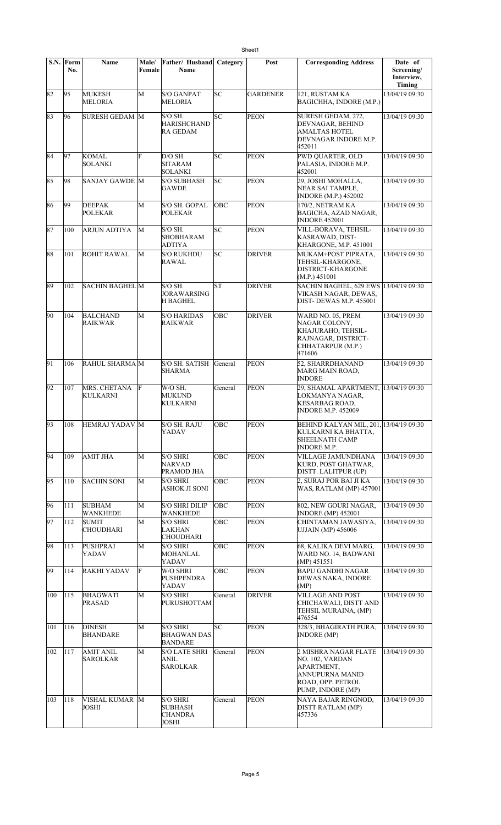| S.N. | Form<br>No. | Name                             | Male/<br>Female | Father/ Husband<br>Name                                      | Category   | Post            | <b>Corresponding Address</b>                                                                                       | Date of<br>Screening/<br>Interview,<br>Timing |
|------|-------------|----------------------------------|-----------------|--------------------------------------------------------------|------------|-----------------|--------------------------------------------------------------------------------------------------------------------|-----------------------------------------------|
| 82   | 95          | MUKESH<br><b>MELORIA</b>         | M               | <b>S/O GANPAT</b><br><b>MELORIA</b>                          | SC         | <b>GARDENER</b> | 121, RUSTAM KA<br>BAGICHHA, INDORE (M.P.)                                                                          | 13/04/19 09:30                                |
| 83   | 96          | SURESH GEDAM M                   |                 | S/O SH.<br><b>HARISHCHAND</b><br>RA GEDAM                    | SC         | <b>PEON</b>     | SURESH GEDAM, 272,<br>DEVNAGAR, BEHIND<br>AMALTAS HOTEL<br>DEVNAGAR INDORE M.P.<br>452011                          | 13/04/19 09:30                                |
| 84   | 97          | KOMAL<br><b>SOLANKI</b>          | F               | $D/O$ SH.<br><b>SITARAM</b><br><b>SOLANKI</b>                | lsc        | <b>PEON</b>     | PWD QUARTER, OLD<br>PALASIA, INDORE M.P.<br>452001                                                                 | 13/04/19 09:30                                |
| 85   | 98          | SANJAY GAWDE M                   |                 | <b>S/O SUBHASH</b><br><b>GAWDE</b>                           | lsc        | <b>PEON</b>     | 29, JOSHI MOHALLA,<br>NEAR SAI TAMPLE,<br><b>INDORE (M.P.) 452002</b>                                              | 13/04/19 09:30                                |
| 86   | 99          | <b>DEEPAK</b><br><b>POLEKAR</b>  | M               | S/O SH. GOPAL<br><b>POLEKAR</b>                              | OBC        | <b>PEON</b>     | 170/2, NETRAM KA<br>BAGICHA, AZAD NAGAR,<br><b>INDORE 452001</b>                                                   | 13/04/19 09:30                                |
| 87   | 100         | <b>ARJUN ADTIYA</b>              | М               | S/O SH.<br><b>SHOBHARAM</b><br><b>ADTIYA</b>                 | SC         | <b>PEON</b>     | VILL-BORAVA, TEHSIL-<br>KASRAWAD, DIST-<br>KHARGONE, M.P. 451001                                                   | 13/04/19 09:30                                |
| 88   | 101         | <b>ROHIT RAWAL</b>               | М               | <b>S/O RUKHDU</b><br>RAWAL                                   | SC         | <b>DRIVER</b>   | MUKAM+POST PIPRATA,<br>TEHSIL-KHARGONE,<br>DISTRICT-KHARGONE<br>(M.P.) 451001                                      | 13/04/19 09:30                                |
| 89   | 102         | <b>SACHIN BAGHEL M</b>           |                 | $S/O$ SH.<br><b>JORAWARSING</b><br><b>H BAGHEL</b>           | <b>ST</b>  | <b>DRIVER</b>   | SACHIN BAGHEL, 629 EWS 13/04/19 09:30<br>VIKASH NAGAR, DEWAS,<br><b>DIST-DEWAS M.P. 455001</b>                     |                                               |
| 90   | 104         | <b>BALCHAND</b><br>RAIKWAR       | М               | <b>S/O HARIDAS</b><br><b>RAIKWAR</b>                         | ОВС        | <b>DRIVER</b>   | WARD NO. 05, PREM<br>NAGAR COLONY,<br>KHAJURAHO, TEHSIL-<br>RAJNAGAR, DISTRICT-<br>CHHATARPUR (M.P.)<br>471606     | 13/04/19 09:30                                |
| 91   | 106         | RAHUL SHARMA M                   |                 | <b>S/O SH. SATISH</b><br><b>SHARMA</b>                       | General    | <b>PEON</b>     | 52, SHARRDHANAND<br>MARG MAIN ROAD,<br><b>INDORE</b>                                                               | 13/04/19 09:30                                |
| 92   | 107         | MRS. CHETANA<br><b>KULKARNI</b>  | F               | W/O SH.<br><b>MUKUND</b><br>KULKARNI                         | General    | <b>PEON</b>     | 29, SHAMAL APARTMENT,<br>LOKMANYA NAGAR,<br><b>KESARBAG ROAD,</b><br><b>INDORE M.P. 452009</b>                     | 13/04/19 09:30                                |
| 93   | 108         | HEMRAJ YADAV M                   |                 | S/O SH. RAJU<br>YADAV                                        | OBC        | <b>PEON</b>     | BEHIND KALYAN MIL, 201, 13/04/19 09:30<br>KULKARNI KA BHATTA,<br><b>SHEELNATH CAMP</b><br><b>INDORE M.P.</b>       |                                               |
| 94   | 109         | AMIT JHA                         | M               | <b>S/O SHRI</b><br><b>NARVAD</b><br>PRAMOD JHA               | OBC        | <b>PEON</b>     | <b>VILLAGE JAMUNDHANA</b><br>KURD, POST GHATWAR,<br>DISTT. LALITPUR (UP)                                           | 13/04/19 09:30                                |
| 95   | 110         | <b>SACHIN SONI</b>               | M               | <b>S/O SHRI</b><br><b>ASHOK JI SONI</b>                      | <b>OBC</b> | <b>PEON</b>     | 2, SURAJ POR BAI JI KA<br>WAS, RATLAM (MP) 457001                                                                  | 13/04/19 09:30                                |
| 96   | 111         | SUBHAM<br>WANKHEDE               | M               | <b>S/O SHRI DILIP</b><br><b>WANKHEDE</b>                     | OBC        | <b>PEON</b>     | 802, NEW GOURI NAGAR,<br><b>INDORE</b> (MP) 452001                                                                 | 13/04/19 09:30                                |
| 97   | 112         | <b>SUMIT</b><br><b>CHOUDHARI</b> | М               | <b>S/O SHRI</b><br>LAKHAN<br><b>CHOUDHARI</b>                | ОВС        | <b>PEON</b>     | CHINTAMAN JAWASIYA.<br><b>UJJAIN (MP) 456006</b>                                                                   | 13/04/19 09:30                                |
| 98   | 113         | PUSHPRAJ<br>YADAV                | М               | <b>S/O SHRI</b><br>MOHANLAL<br>YADAV                         | OBC        | <b>PEON</b>     | 68, KALIKA DEVI MARG,<br>WARD NO. 14, BADWANI<br>$(MP)$ 451551                                                     | 13/04/19 09:30                                |
| 99   | 114         | RAKHI YADAV                      | F               | W/O SHRI<br>PUSHPENDRA<br>YADAV                              | OBC        | <b>PEON</b>     | <b>BAPU GANDHI NAGAR</b><br>DEWAS NAKA, INDORE<br>(MP)                                                             | 13/04/19 09:30                                |
| 100  | 115         | <b>BHAGWATI</b><br>PRASAD        | М               | <b>S/O SHRI</b><br>PURUSHOTTAM                               | General    | <b>DRIVER</b>   | <b>VILLAGE AND POST</b><br>CHICHAWALI, DISTT AND<br>TEHSIL MURAINA, (MP)<br>476554                                 | 13/04/19 09:30                                |
| 101  | 116         | <b>DINESH</b><br>BHANDARE        | M               | <b>S/O SHRI</b><br><b>BHAGWAN DAS</b><br><b>BANDARE</b>      | SC         | <b>PEON</b>     | 328/3, BHAGIRATH PURA,<br><b>INDORE</b> (MP)                                                                       | 13/04/19 09:30                                |
| 102  | 117         | <b>AMIT ANIL</b><br>SAROLKAR     | M               | <b>S/O LATE SHRI</b><br>ANIL<br>SAROLKAR                     | General    | <b>PEON</b>     | 2 MISHRA NAGAR FLATE<br>NO. 102, VARDAN<br>APARTMENT,<br>ANNUPURNA MANID<br>ROAD, OPP. PETROL<br>PUMP, INDORE (MP) | 13/04/19 09:30                                |
| 103  | 118         | VISHAL KUMAR M<br><b>JOSHI</b>   |                 | <b>S/O SHRI</b><br>SUBHASH<br><b>CHANDRA</b><br><b>JOSHI</b> | General    | <b>PEON</b>     | NAYA BAJAR RINGNOD,<br>DISTT RATLAM (MP)<br>457336                                                                 | 13/04/19 09:30                                |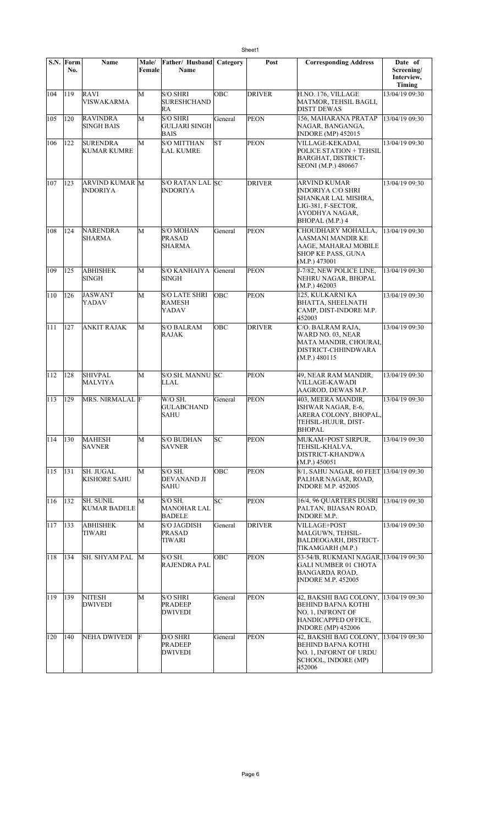|     | S.N. Form<br>No. | Name                                     | Male/<br>Female | Father/ Husband<br>Name                                | Category   | Post          | <b>Corresponding Address</b>                                                                                                                | Date of<br>Screening/<br>Interview,<br>Timing |
|-----|------------------|------------------------------------------|-----------------|--------------------------------------------------------|------------|---------------|---------------------------------------------------------------------------------------------------------------------------------------------|-----------------------------------------------|
| 104 | 119              | RAVI<br><b>VISWAKARMA</b>                | M               | <b>S/O SHRI</b><br><b>SURESHCHAND</b><br>RA            | <b>OBC</b> | <b>DRIVER</b> | H.NO. 176, VILLAGE<br>MATMOR, TEHSIL BAGLI,<br><b>DISTT DEWAS</b>                                                                           | 13/04/19 09:30                                |
| 105 | 120              | <b>RAVINDRA</b><br><b>SINGH BAIS</b>     | M               | <b>S/O SHRI</b><br><b>GULJARI SINGH</b><br><b>BAIS</b> | General    | PEON          | 156, MAHARANA PRATAP<br>NAGAR, BANGANGA,<br><b>INDORE</b> (MP) 452015                                                                       | 13/04/19 09:30                                |
| 106 | 122              | <b>SURENDRA</b><br><b>KUMAR KUMRE</b>    | M               | <b>S/O MITTHAN</b><br><b>LAL KUMRE</b>                 | <b>ST</b>  | <b>PEON</b>   | VILLAGE-KEKADAI,<br>POLICE STATION + TEHSIL<br><b>BARGHAT, DISTRICT-</b><br>SEONI (M.P.) 480667                                             | 13/04/19 09:30                                |
| 107 | 123              | <b>ARVIND KUMAR M</b><br><b>INDORIYA</b> |                 | <b>S/O RATAN LAL SC</b><br><b>INDORIYA</b>             |            | <b>DRIVER</b> | ARVIND KUMAR<br>INDORIYA C/O SHRI<br>SHANKAR LAL MISHRA,<br>LIG-381, F-SECTOR,<br>AYODHYA NAGAR,<br>BHOPAL (M.P.) 4                         | 13/04/19 09:30                                |
| 108 | 124              | <b>NARENDRA</b><br>SHARMA                | M               | <b>S/O MOHAN</b><br><b>PRASAD</b><br><b>SHARMA</b>     | General    | <b>PEON</b>   | CHOUDHARY MOHALLA,<br>AASMANI MANDIR KE<br>AAGE, MAHARAJ MOBILE<br><b>SHOP KE PASS, GUNA</b><br>(M.P.) 473001                               | 13/04/19 09:30                                |
| 109 | 125              | <b>ABHISHEK</b><br>SINGH                 | M               | S/O KANHAIYA General<br><b>SINGH</b>                   |            | <b>PEON</b>   | J-7/82, NEW POLICE LINE,<br>NEHRU NAGAR, BHOPAL<br>(M.P.) 462003                                                                            | 13/04/19 09:30                                |
| 110 | 126              | JASWANT<br>YADAV                         | M               | <b>S/O LATE SHRI</b><br><b>RAMESH</b><br>YADAV         | <b>OBC</b> | <b>PEON</b>   | 125, KULKARNI KA<br><b>BHATTA, SHEELNATH</b><br>CAMP, DIST-INDORE M.P.<br>452003                                                            | 13/04/19 09:30                                |
| 111 | 127              | <b>ANKIT RAJAK</b>                       | М               | <b>S/O BALRAM</b><br><b>RAJAK</b>                      | OBC        | <b>DRIVER</b> | C/O. BALRAM RAJA.<br>WARD NO. 03, NEAR<br>MATA MANDIR, CHOURAI,<br>DISTRICT-CHHINDWARA<br>(M.P.) 480115                                     | 13/04/19 09:30                                |
| 112 | 128              | <b>SHIVPAL</b><br><b>MALVIYA</b>         | M               | S/O SH. MANNU SC<br>LLAL                               |            | <b>PEON</b>   | 49, NEAR RAM MANDIR,<br>VILLAGE-KAWADI<br>AAGROD, DEWAS M.P.                                                                                | $\frac{13}{04/19}$ 09:30                      |
| 113 | 129              | <b>MRS. NIRMALAL F</b>                   |                 | W/O SH.<br><b>GULABCHAND</b><br><b>SAHU</b>            | General    | <b>PEON</b>   | 403, MEERA MANDIR,<br>ISHWAR NAGAR, E-6,<br>ARERA COLONY, BHOPAL,<br>TEHSIL-HUJUR, DIST-<br><b>BHOPAL</b>                                   | 13/04/19 09:30                                |
| 114 | 130              | MAHESH<br><b>SAVNER</b>                  | М               | <b>S/O BUDHAN</b><br><b>SAVNER</b>                     | SC         | <b>PEON</b>   | MUKAM+POST SIRPUR.<br>TEHSIL-KHALVA,<br>DISTRICT-KHANDWA<br>(M.P.) 450051                                                                   | 13/04/19 09:30                                |
| 115 | 131              | <b>SH. JUGAL</b><br><b>KISHORE SAHU</b>  | M               | S/O SH.<br>DEVANAND JI<br>SAHU                         | OBC        | <b>PEON</b>   | 8/1, SAHU NAGAR, 60 FEET 13/04/19 09:30<br>PALHAR NAGAR, ROAD,<br><b>INDORE M.P. 452005</b>                                                 |                                               |
| 116 | 132              | <b>SH. SUNIL</b><br><b>KUMAR BADELE</b>  | M               | $S/O$ SH.<br><b>MANOHAR LAL</b><br><b>BADELE</b>       | SC         | <b>PEON</b>   | 16/4, 96 QUARTERS DUSRI<br>PALTAN, BIJASAN ROAD,<br><b>INDORE M.P.</b>                                                                      | 13/04/19 09:30                                |
| 117 | 133              | <b>ABHISHEK</b><br>TIWARI                | M               | <b>S/O JAGDISH</b><br><b>PRASAD</b><br>TIWARI          | General    | <b>DRIVER</b> | <b>VILLAGE+POST</b><br>MALGUWN, TEHSIL-<br>BALDEOGARH, DISTRICT-<br>TIKAMGARH (M.P.)                                                        | 13/04/19 09:30                                |
| 118 | 134              | SH. SHYAM PAL                            | M               | S/O SH.<br><b>RAJENDRA PAL</b>                         | OBC        | <b>PEON</b>   | 53-54/B, RUKMANI NAGAR, 13/04/19 09:30<br><b>GALI NUMBER 01 CHOTA</b><br><b>BANGARDA ROAD,</b><br><b>INDORE M.P. 452005</b>                 |                                               |
| 119 | 139              | <b>NITESH</b><br><b>DWIVEDI</b>          | М               | <b>S/O SHRI</b><br><b>PRADEEP</b><br><b>DWIVEDI</b>    | General    | <b>PEON</b>   | 42, BAKSHI BAG COLONY, 13/04/19 09:30<br><b>BEHIND BAFNA KOTHI</b><br>NO. 1, INFRONT OF<br>HANDICAPPED OFFICE,<br><b>INDORE (MP) 452006</b> |                                               |
| 120 | 140              | NEHA DWIVEDI                             | F               | D/O SHRI<br><b>PRADEEP</b><br><b>DWIVEDI</b>           | General    | <b>PEON</b>   | 42, BAKSHI BAG COLONY,<br><b>BEHIND BAFNA KOTHI</b><br>NO. 1, INFORNT OF URDU<br>SCHOOL, INDORE (MP)<br>452006                              | 13/04/19 09:30                                |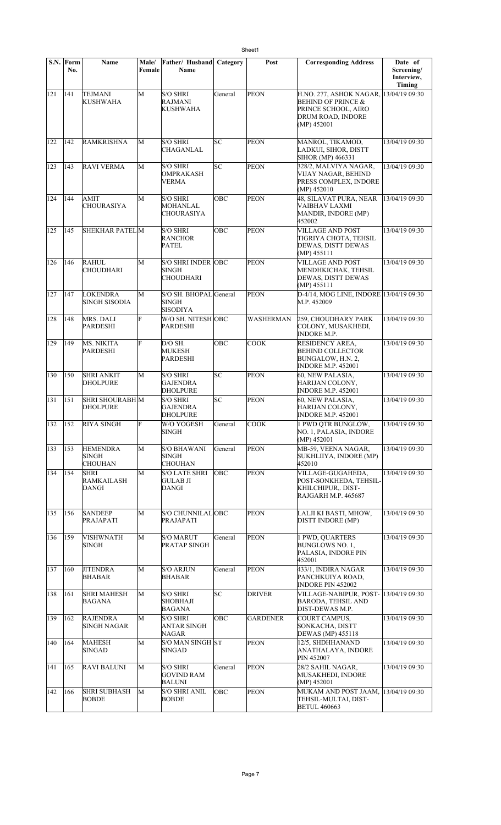|                  | S.N. Form<br>No. | <b>Name</b>                                | <b>Male/</b><br>Female | Father/Husband<br>Name                                        | Category | Post             | <b>Corresponding Address</b>                                                                                                       | Date of<br>Screening/<br>Interview,<br>Timing |
|------------------|------------------|--------------------------------------------|------------------------|---------------------------------------------------------------|----------|------------------|------------------------------------------------------------------------------------------------------------------------------------|-----------------------------------------------|
| 121              | 141              | <b>TEJMANI</b><br>KUSHWAHA                 | M                      | S/O SHRI<br><b>RAJMANI</b><br>KUSHWAHA                        | General  | <b>PEON</b>      | H.NO. 277, ASHOK NAGAR, 13/04/19 09:30<br><b>BEHIND OF PRINCE &amp;</b><br>PRINCE SCHOOL, AIRO<br>DRUM ROAD, INDORE<br>(MP) 452001 |                                               |
| 122              | 142              | <b>RAMKRISHNA</b>                          | M                      | <b>S/O SHRI</b><br>CHAGANLAL                                  | SC       | <b>PEON</b>      | MANROL, TIKAMOD,<br>LADKUI, SIHOR, DISTT<br>SIHOR (MP) 466331                                                                      | 13/04/19 09:30                                |
| $\overline{1}23$ | 143              | <b>RAVI VERMA</b>                          | M                      | <b>S/O SHRI</b><br><b>OMPRAKASH</b><br><b>VERMA</b>           | SC       | <b>PEON</b>      | 328/2, MALVIYA NAGAR,<br>VIJAY NAGAR, BEHIND<br>PRESS COMPLEX, INDORE<br>(MP) 452010                                               | 13/04/19 09:30                                |
| 124              | 144              | AMIT<br><b>CHOURASIYA</b>                  | M                      | <b>S/O SHRI</b><br>MOHANLAL<br><b>CHOURASIYA</b>              | OBC      | PEON             | 48, SILAVAT PURA, NEAR<br><b>VAIBHAV LAXMI</b><br>MANDIR, INDORE (MP)<br>452002                                                    | 13/04/19 09:30                                |
| 125              | 145              | <b>SHEKHAR PATEL M</b>                     |                        | <b>S/O SHRI</b><br><b>RANCHOR</b><br><b>PATEL</b>             | OBC      | <b>PEON</b>      | <b>VILLAGE AND POST</b><br>TIGRIYA CHOTA, TEHSIL<br><b>DEWAS, DISTT DEWAS</b><br>$(MP)$ 455111                                     | 13/04/19 09:30                                |
| 126              | 146              | <b>RAHUL</b><br><b>CHOUDHARI</b>           | M                      | <b>S/O SHRI INDER OBC</b><br><b>SINGH</b><br><b>CHOUDHARI</b> |          | <b>PEON</b>      | <b>VILLAGE AND POST</b><br>MENDHKICHAK, TEHSIL<br><b>DEWAS, DISTT DEWAS</b><br>(MP) 455111                                         | 13/04/19 09:30                                |
| 127              | 147              | <b>LOKENDRA</b><br><b>SINGH SISODIA</b>    | M                      | S/O SH. BHOPAL General<br><b>SINGH</b><br><b>SISODIYA</b>     |          | <b>PEON</b>      | D-4/14, MOG LINE, INDORE 13/04/19 09:30<br>M.P. 452009                                                                             |                                               |
| 128              | 148              | MRS. DALI<br><b>PARDESHI</b>               | F                      | W/O SH. NITESH OBC<br>PARDESHI                                |          | <b>WASHERMAN</b> | 259, CHOUDHARY PARK<br>COLONY, MUSAKHEDI,<br><b>INDORE M.P.</b>                                                                    | 13/04/19 09:30                                |
| 129              | 149              | <b>MS. NIKITA</b><br><b>PARDESHI</b>       | F                      | D/O SH.<br><b>MUKESH</b><br>PARDESHI                          | OBC      | <b>COOK</b>      | RESIDENCY AREA,<br><b>BEHIND COLLECTOR</b><br>BUNGALOW, H.N. 2,<br><b>INDORE M.P. 452001</b>                                       | 13/04/19 09:30                                |
| 130              | 150              | <b>SHRI ANKIT</b><br><b>DHOLPURE</b>       | M                      | <b>S/O SHRI</b><br><b>GAJENDRA</b><br><b>DHOLPURE</b>         | SC       | <b>PEON</b>      | 60, NEW PALASIA,<br>HARIJAN COLONY,<br><b>INDORE M.P. 452001</b>                                                                   | 13/04/19 09:30                                |
| 131              | 151              | <b>SHRI SHOURABH M</b><br><b>DHOLPURE</b>  |                        | <b>S/O SHRI</b><br><b>GAJENDRA</b><br><b>DHOLPURE</b>         | SC       | <b>PEON</b>      | 60, NEW PALASIA,<br>HARIJAN COLONY,<br><b>INDORE M.P. 452001</b>                                                                   | 13/04/19 09:30                                |
| 132              | $ 152\rangle$    | <b>RIYA SINGH</b>                          | F                      | W/O YOGESH<br>SINGH                                           | General  | <b>COOK</b>      | 1 PWD QTR BUNGLOW,<br>NO. 1, PALASIA, INDORE<br>(MP) 452001                                                                        | 13/04/19 09:30                                |
| 133              | 153              | <b>HEMENDRA</b><br>SINGH<br><b>CHOUHAN</b> | М                      | <b>S/O BHAWANI</b><br><b>SINGH</b><br><b>CHOUHAN</b>          | General  | <b>PEON</b>      | MB-59, VEENA NAGAR,<br>SUKHLIIYA, INDORE (MP)<br>452010                                                                            | 13/04/19 09:30                                |
| 134              | 154              | SHRI<br>RAMKAILASH<br><b>DANGI</b>         | M                      | <b>S/O LATE SHRI</b><br><b>GULAB JI</b><br>DANGI              | OBC      | <b>PEON</b>      | VILLAGE-GUGAHEDA,<br>POST-SONKHEDA, TEHSIL-<br>KHILCHIPUR, DIST-<br>RAJGARH M.P. 465687                                            | 13/04/19 09:30                                |
| 135              | 156              | <b>SANDEEP</b><br>PRAJAPATI                | М                      | S/O CHUNNILALOBC<br>PRAJAPATI                                 |          | <b>PEON</b>      | LALJI KI BASTI, MHOW,<br>DISTT INDORE (MP)                                                                                         | 13/04/19 09:30                                |
| 136              | 159              | <b>VISHWNATH</b><br><b>SINGH</b>           | М                      | <b>S/O MARUT</b><br>PRATAP SINGH                              | General  | <b>PEON</b>      | 1 PWD, QUARTERS<br>BUNGLOWS NO. 1,<br>PALASIA, INDORE PIN<br>452001                                                                | 13/04/19 09:30                                |
| 137              | 160              | <b>JITENDRA</b><br><b>BHABAR</b>           | M                      | <b>S/O ARJUN</b><br>BHABAR                                    | General  | <b>PEON</b>      | 433/1, INDIRA NAGAR<br>PANCHKUIYA ROAD,<br><b>INDORE PIN 452002</b>                                                                | 13/04/19 09:30                                |
| 138              | 161              | <b>SHRI MAHESH</b><br><b>BAGANA</b>        | M                      | S/O SHRI<br>SHOBHAJI<br>BAGANA                                | SC       | <b>DRIVER</b>    | VILLAGE-NABIPUR, POST-  13/04/19 09:30<br><b>BARODA, TEHSIL AND</b><br>DIST-DEWAS M.P.                                             |                                               |
| 139              | 162              | <b>RAJENDRA</b><br><b>SINGH NAGAR</b>      | M                      | <b>S/O SHRI</b><br><b>ANTAR SINGH</b><br><b>NAGAR</b>         | OBC      | <b>GARDENER</b>  | COURT CAMPUS,<br>SONKACHA, DISTT<br>DEWAS (MP) 455118                                                                              | 13/04/19 09:30                                |
| 140              | 164              | <b>MAHESH</b><br><b>SINGAD</b>             | M                      | S/O MAN SINGH ST<br><b>SINGAD</b>                             |          | <b>PEON</b>      | 12/5, SHDHHANAND<br>ANATHALAYA, INDORE<br>PIN 452007                                                                               | 13/04/19 09:30                                |
| 141              | 165              | <b>RAVI BALUNI</b>                         | M                      | S/O SHRI<br><b>GOVIND RAM</b><br><b>BALUNI</b>                | General  | PEON             | 28/2 SAHIL NAGAR,<br>MUSAKHEDI, INDORE<br>(MP) 452001                                                                              | 13/04/19 09:30                                |
| 142              | 166              | <b>SHRI SUBHASH</b><br><b>BOBDE</b>        | M                      | <b>S/O SHRI ANIL</b><br><b>BOBDE</b>                          | OBC      | <b>PEON</b>      | MUKAM AND POST JAAM, 13/04/19 09:30<br>TEHSIL-MULTAI, DIST-<br><b>BETUL 460663</b>                                                 |                                               |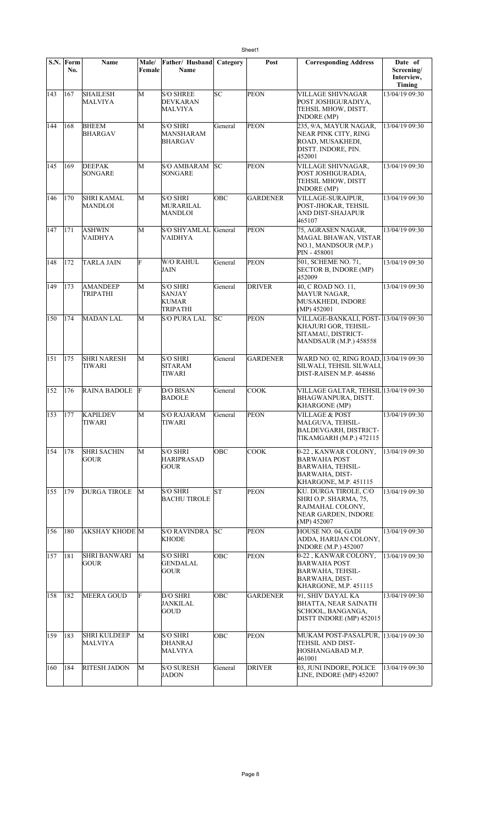|     | $S.N.$ Form<br>No. | Name                                  | Male/<br>Female | Father/ Husband<br>Name                                             | Category   | Post            | <b>Corresponding Address</b>                                                                                             | Date of<br>Screening/<br>Interview,<br><b>Timing</b> |
|-----|--------------------|---------------------------------------|-----------------|---------------------------------------------------------------------|------------|-----------------|--------------------------------------------------------------------------------------------------------------------------|------------------------------------------------------|
| 143 | 167                | <b>SHAILESH</b><br>MALVIYA            | M               | <b>S/O SHREE</b><br><b>DEVKARAN</b><br>MALVIYA                      | SC         | <b>PEON</b>     | <b>VILLAGE SHIVNAGAR</b><br>POST JOSHIGURADIYA,<br>TEHSIL MHOW, DISTT.<br><b>INDORE</b> (MP)                             | 13/04/19 09:30                                       |
| 144 | 168                | <b>BHEEM</b><br><b>BHARGAV</b>        | M               | <b>S/O SHRI</b><br>MANSHARAM<br>BHARGAV                             | General    | <b>PEON</b>     | 235, 9/A, MAYUR NAGAR,<br>NEAR PINK CITY, RING<br>ROAD, MUSAKHEDI,<br>DISTT. INDORE, PIN.<br>452001                      | 13/04/19 09:30                                       |
| 145 | 169                | <b>DEEPAK</b><br>SONGARE              | M               | <b>S/O AMBARAM</b><br>SONGARE                                       | lsc        | <b>PEON</b>     | VILLAGE SHIVNAGAR,<br>POST JOSHIGURADIA,<br>TEHSIL MHOW, DISTT<br><b>INDORE</b> (MP)                                     | 13/04/19 09:30                                       |
| 146 | 170                | <b>SHRI KAMAL</b><br>MANDLOI          | M               | <b>S/O SHRI</b><br><b>MURARILAL</b><br><b>MANDLOI</b>               | <b>OBC</b> | <b>GARDENER</b> | VILLAGE-SURAJPUR.<br>POST-JHOKAR, TEHSIL<br>AND DIST-SHAJAPUR<br>465107                                                  | 13/04/19 09:30                                       |
| 147 | 171                | ASHWIN<br>VAIDHYA                     | M               | S/O SHYAMLAL General<br>VAIDHYA                                     |            | <b>PEON</b>     | 75, AGRASEN NAGAR,<br>MAGAL BHAWAN, VISTAR<br>NO.1, MANDSOUR (M.P.)<br>PIN - 458001                                      | 13/04/19 09:30                                       |
| 148 | 172                | <b>TARLA JAIN</b>                     | F               | <b>W/O RAHUL</b><br>JAIN                                            | General    | <b>PEON</b>     | 501, SCHEME NO. 71,<br><b>SECTOR B, INDORE (MP)</b><br>452009                                                            | 13/04/19 09:30                                       |
| 149 | 173                | <b>AMANDEEP</b><br>TRIPATHI           | M               | <b>S/O SHRI</b><br><b>SANJAY</b><br><b>KUMAR</b><br><b>TRIPATHI</b> | General    | <b>DRIVER</b>   | 40, C ROAD NO. 11,<br><b>MAYUR NAGAR,</b><br>MUSAKHEDI, INDORE<br>$(MP)$ 452001                                          | 13/04/19 09:30                                       |
| 150 | 174                | <b>MADAN LAL</b>                      | M               | <b>S/O PURA LAL</b>                                                 | SC         | <b>PEON</b>     | VILLAGE-BANKALI, POST- 13/04/19 09:30<br>KHAJURI GOR, TEHSIL-<br>SITAMAU, DISTRICT-<br><b>MANDSAUR (M.P.) 458558</b>     |                                                      |
| 151 | 175                | <b>SHRI NARESH</b><br>TIWARI          | M               | <b>S/O SHRI</b><br><b>SITARAM</b><br><b>TIWARI</b>                  | General    | <b>GARDENER</b> | WARD NO. 02, RING ROAD, 13/04/19 09:30<br>SILWALI, TEHSIL SILWALI,<br>DIST-RAISEN M.P. 464886                            |                                                      |
| 152 | 176                | <b>RAINA BADOLE</b>                   | F               | <b>D/O BISAN</b><br><b>BADOLE</b>                                   | General    | <b>COOK</b>     | VILLAGE GALTAR, TEHSIL 13/04/19 09:30<br>BHAGWANPURA, DISTT.<br><b>KHARGONE</b> (MP)                                     |                                                      |
| 153 | 177                | <b>KAPILDEV</b><br><b>TIWARI</b>      | M               | <b>S/O RAJARAM</b><br>TIWARI                                        | General    | <b>PEON</b>     | <b>VILLAGE &amp; POST</b><br>MALGUVA, TEHSIL-<br><b>BALDEVGARH, DISTRICT-</b><br>TIKAMGARH (M.P.) 472115                 | 13/04/19 09:30                                       |
| 154 | 178                | <b>SHRI SACHIN</b><br><b>GOUR</b>     | М               | <b>S/O SHRI</b><br><b>HARIPRASAD</b><br><b>GOUR</b>                 | OBC        | <b>COOK</b>     | 0-22, KANWAR COLONY,<br><b>BARWAHA POST</b><br><b>BARWAHA, TEHSIL-</b><br><b>BARWAHA, DIST-</b><br>KHARGONE, M.P. 451115 | 13/04/19 09:30                                       |
| 155 | 179                | <b>DURGA TIROLE</b>                   | M               | S/O SHRI<br><b>BACHU TIROLE</b>                                     | <b>ST</b>  | <b>PEON</b>     | KU. DURGA TIROLE, C/O<br>SHRI O.P. SHARMA, 75,<br>RAJMAHAL COLONY,<br>NEAR GARDEN, INDORE<br>(MP) 452007                 | 13/04/19 09:30                                       |
| 156 | 180                | AKSHAY KHODE M                        |                 | <b>S/O RAVINDRA</b><br><b>KHODE</b>                                 | SC         | <b>PEON</b>     | HOUSE NO. 04, GADI<br>ADDA, HARIJAN COLONY,<br><b>INDORE</b> (M.P.) 452007                                               | 13/04/19 09:30                                       |
| 157 | 181                | <b>SHRI BANWARI</b><br>GOUR           | M               | S/O SHRI<br><b>GENDALAL</b><br>GOUR                                 | ОВС        | <b>PEON</b>     | 0-22, KANWAR COLONY,<br><b>BARWAHA POST</b><br>BARWAHA, TEHSIL-<br><b>BARWAHA, DIST-</b><br>KHARGONE, M.P. 451115        | 13/04/19 09:30                                       |
| 158 | 182                | <b>MEERA GOUD</b>                     | F               | D/O SHRI<br><b>JANKILAL</b><br><b>GOUD</b>                          | <b>OBC</b> | <b>GARDENER</b> | 91, SHIV DAYAL KA<br><b>BHATTA, NEAR SAINATH</b><br>SCHOOL, BANGANGA,<br>DISTT INDORE (MP) 452015                        | 13/04/19 09:30                                       |
| 159 | 183                | <b>SHRI KULDEEP</b><br><b>MALVIYA</b> | M               | <b>S/O SHRI</b><br><b>DHANRAJ</b><br>MALVIYA                        | ОВС        | <b>PEON</b>     | MUKAM POST-PASALPUR, 13/04/19 09:30<br>TEHSIL AND DIST-<br>HOSHANGABAD M.P.<br>461001                                    |                                                      |
| 160 | 184                | <b>RITESH JADON</b>                   | M               | <b>S/O SURESH</b><br><b>JADON</b>                                   | General    | <b>DRIVER</b>   | 03, JUNI INDORE, POLICE<br>LINE, INDORE (MP) 452007                                                                      | 13/04/19 09:30                                       |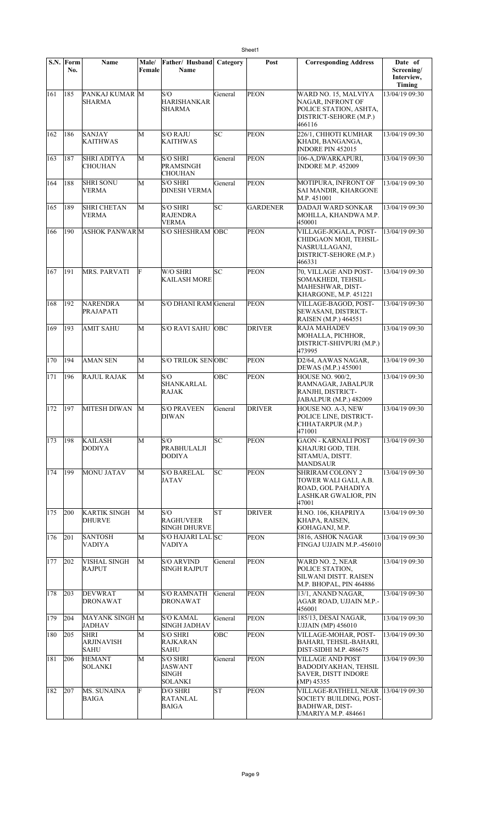|     | S.N. Form<br>No. | Name                                            | Male/<br>Female | Father/ Husband<br>Name                                             | Category  | Post            | <b>Corresponding Address</b>                                                                                                  | Date of<br>Screening/<br>Interview,<br>Timing |
|-----|------------------|-------------------------------------------------|-----------------|---------------------------------------------------------------------|-----------|-----------------|-------------------------------------------------------------------------------------------------------------------------------|-----------------------------------------------|
| 161 | 185              | PANKAJ KUMAR M<br><b>SHARMA</b>                 |                 | S/O<br><b>HARISHANKAR</b><br>SHARMA                                 | General   | <b>PEON</b>     | WARD NO. 15, MALVIYA<br>NAGAR, INFRONT OF<br>POLICE STATION, ASHTA,<br>DISTRICT-SEHORE (M.P.)<br>466116                       | 13/04/19 09:30                                |
| 162 | 186              | <b>SANJAY</b><br><b>KAITHWAS</b>                | М               | <b>S/O RAJU</b><br><b>KAITHWAS</b>                                  | SC        | <b>PEON</b>     | 226/1, CHHOTI KUMHAR<br>KHADI, BANGANGA,<br><b>INDORE PIN 452015</b>                                                          | 13/04/19 09:30                                |
| 163 | 187              | <b>SHRI ADITYA</b><br><b>CHOUHAN</b>            | М               | <b>S/O SHRI</b><br>PRAMSINGH<br><b>CHOUHAN</b>                      | General   | <b>PEON</b>     | 106-A,DWARKAPURI,<br><b>INDORE M.P. 452009</b>                                                                                | 13/04/19 09:30                                |
| 164 | 188              | <b>SHRI SONU</b><br><b>VERMA</b>                | М               | <b>S/O SHRI</b><br><b>DINESH VERMA</b>                              | General   | <b>PEON</b>     | MOTIPURA, INFRONT OF<br>SAI MANDIR, KHARGONE<br>M.P. 451001                                                                   | 13/04/19 09:30                                |
| 165 | 189              | <b>SHRI CHETAN</b><br><b>VERMA</b>              | М               | <b>S/O SHRI</b><br>RAJENDRA<br><b>VERMA</b>                         | SC        | <b>GARDENER</b> | DADAJI WARD SONKAR<br>MOHLLA, KHANDWA M.P.<br>450001                                                                          | 13/04/19 09:30                                |
| 166 | 190              | <b>ASHOK PANWARM</b>                            |                 | <b>S/O SHESHRAM</b>                                                 | OBC       | PEON            | VILLAGE-JOGALA, POST-<br>CHIDGAON MOJI, TEHSIL-<br>NASRULLAGANJ,<br>DISTRICT-SEHORE (M.P.)<br>466331                          | 13/04/19 09:30                                |
| 167 | 191              | <b>MRS. PARVATI</b>                             | F               | W/O SHRI<br>KAILASH MORE                                            | SС        | <b>PEON</b>     | 70, VILLAGE AND POST-<br>SOMAKHEDI, TEHSIL-<br>MAHESHWAR, DIST-<br>KHARGONE, M.P. 451221                                      | 13/04/19 09:30                                |
| 168 | 192              | <b>NARENDRA</b><br>PRAJAPATI                    | M               | S/O DHANI RAM General                                               |           | <b>PEON</b>     | VILLAGE-BAGOD, POST-<br><b>SEWASANI, DISTRICT-</b><br>RAISEN (M.P.) 464551                                                    | 13/04/19 09:30                                |
| 169 | 193              | <b>AMIT SAHU</b>                                | M               | <b>S/O RAVI SAHU</b>                                                | OBC       | <b>DRIVER</b>   | <b>RAJA MAHADEV</b><br>MOHALLA, PICHHOR,<br>DISTRICT-SHIVPURI (M.P.)<br>473995                                                | 13/04/19 09:30                                |
| 170 | 194              | <b>AMAN SEN</b>                                 | M               | <b>S/O TRILOK SENOBC</b>                                            |           | <b>PEON</b>     | D2/64, AAWAS NAGAR,<br>DEWAS (M.P.) 455001                                                                                    | 13/04/19 09:30                                |
| 171 | 196              | <b>RAJUL RAJAK</b>                              | M               | S/O<br>SHANKARLAL<br><b>RAJAK</b>                                   | OBC       | <b>PEON</b>     | HOUSE NO. 900/2,<br>RAMNAGAR, JABALPUR<br>RANJHI, DISTRICT-<br>JABALPUR (M.P.) 482009                                         | 13/04/19 09:30                                |
| 172 | 197              | MITESH DIWAN                                    | М               | <b>S/O PRAVEEN</b><br><b>DIWAN</b>                                  | General   | <b>DRIVER</b>   | HOUSE NO. A-3, NEW<br>POLICE LINE, DISTRICT-<br>CHHATARPUR (M.P.)<br>471001                                                   | 13/04/19 09:30                                |
| 173 | 198              | <b>KAILASH</b><br><b>DODIYA</b>                 | M               | S/O<br><b>PRABHULALJI</b><br><b>DODIYA</b>                          | SC        | <b>PEON</b>     | <b>GAON - KARNALI POST</b><br>KHAJURI GOD, TEH.<br>SITAMUA, DISTT.<br><b>MANDSAUR</b>                                         | 13/04/19 09:30                                |
| 174 | 199              | <b>MONU JATAV</b>                               | М               | <b>S/O BARELAL</b><br><b>JATAV</b>                                  | SC        | <b>PEON</b>     | <b>SHRIRAM COLONY 2</b><br>TOWER WALI GALI, A.B.<br>ROAD, GOL PAHADIYA<br>LASHKAR GWALIOR, PIN<br>47001                       | 13/04/19 09:30                                |
| 175 | 200              | <b>KARTIK SINGH</b><br><b>DHURVE</b>            | M               | S/O<br><b>RAGHUVEER</b><br><b>SINGH DHURVE</b>                      | <b>ST</b> | <b>DRIVER</b>   | H.NO. 106, KHAPRIYA<br>KHAPA, RAISEN,<br>GOHAGANJ, M.P.                                                                       | 13/04/19 09:30                                |
| 176 | 201              | <b>SANTOSH</b><br><b>VADIYA</b>                 | М               | S/O HAJARI LAL SC<br><b>VADIYA</b>                                  |           | <b>PEON</b>     | 3816, ASHOK NAGAR<br>FINGAJ UJJAIN M.P.-456010                                                                                | 13/04/19 09:30                                |
| 177 | 202              | <b>VISHAL SINGH</b><br><b>RAJPUT</b>            | M               | <b>S/O ARVIND</b><br><b>SINGH RAJPUT</b>                            | General   | <b>PEON</b>     | WARD NO. 2, NEAR<br>POLICE STATION,<br>SILWANI DISTT. RAISEN<br>M.P. BHOPAL, PIN 464886                                       | 13/04/19 09:30                                |
| 178 | 203              | <b>DEVWRAT</b><br><b>DRONAWAT</b>               | M               | <b>S/O RAMNATH</b><br><b>DRONAWAT</b>                               | General   | <b>PEON</b>     | 13/1, ANAND NAGAR,<br>AGAR ROAD, UJJAIN M.P.-<br>456001                                                                       | 13/04/19 09:30                                |
| 179 | 204              | MAYANK SINGH M<br><b>JADHAV</b>                 |                 | <b>S/O KAMAL</b><br><b>SINGH JADHAV</b>                             | General   | <b>PEON</b>     | 185/13, DESAI NAGAR,<br><b>UJJAIN (MP) 456010</b>                                                                             | 13/04/19 09:30                                |
| 180 | 205              | <b>SHRI</b><br><b>ARJINAVISH</b><br><b>SAHU</b> | M               | <b>S/O SHRI</b><br><b>RAJKARAN</b><br><b>SAHU</b>                   | OBC       | PEON            | VILLAGE-MOHAR, POST-<br>BAHARI, TEHSIL-BAHARI,<br>DIST-SIDHI M.P. 486675                                                      | 13/04/19 09:30                                |
| 181 | 206              | <b>HEMANT</b><br> SOLANKI                       | М               | <b>S/O SHRI</b><br><b>JASWANT</b><br><b>SINGH</b><br><b>SOLANKI</b> | General   | PEON            | VILLAGE AND POST<br>BADODIYAKHAN, TEHSIL<br><b>SAVER, DISTT INDORE</b><br>$(MP)$ 45355                                        | 13/04/19 09:30                                |
| 182 | 207              | MS. SUNAINA<br><b>BAIGA</b>                     | F               | D/O SHRI<br>RATANLAL<br>BAIGA                                       | <b>ST</b> | <b>PEON</b>     | VILLAGE-RATHELI, NEAR 13/04/19 09:30<br><b>SOCIETY BUILDING, POST-</b><br><b>BADHWAR, DIST-</b><br><b>UMARIYA M.P. 484661</b> |                                               |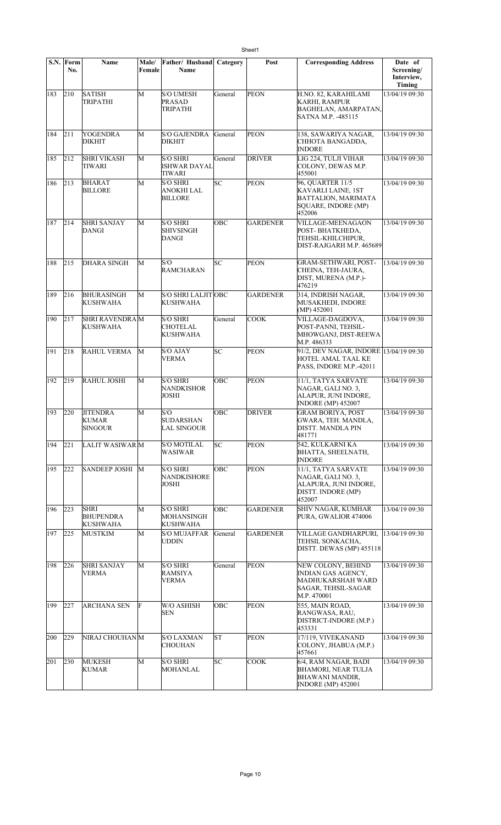|     | S.N. Form<br>No. | <b>Name</b>                                        | <b>Male/</b><br>Female | Father/Husband<br>Name                           | Category   | Post            | <b>Corresponding Address</b>                                                                              | Date of<br>Screening/<br>Interview,<br>Timing |
|-----|------------------|----------------------------------------------------|------------------------|--------------------------------------------------|------------|-----------------|-----------------------------------------------------------------------------------------------------------|-----------------------------------------------|
| 183 | 210              | <b>SATISH</b><br>TRIPATHI                          | М                      | <b>S/O UMESH</b><br><b>PRASAD</b><br>TRIPATHI    | General    | <b>PEON</b>     | H.NO. 82, KARAHILAMI<br><b>KARHI, RAMPUR</b><br><b>BAGHELAN, AMARPATAN,</b><br>SATNA M.P. -485115         | 13/04/19 09:30                                |
| 184 | 211              | YOGENDRA<br><b>DIKHIT</b>                          | М                      | <b>S/O GAJENDRA</b><br>DIKHIT                    | General    | <b>PEON</b>     | 138, SAWARIYA NAGAR,<br>CHHOTA BANGADDA,<br><b>INDORE</b>                                                 | 13/04/19 09:30                                |
| 185 | 212              | <b>SHRI VIKASH</b><br>TIWARI                       | М                      | <b>S/O SHRI</b><br>ISHWAR DAYAL<br><b>TIWARI</b> | General    | <b>DRIVER</b>   | LIG 224, TULJI VIHAR<br>COLONY, DEWAS M.P.<br>455001                                                      | 13/04/19 09:30                                |
| 186 | 213              | <b>BHARAT</b><br><b>BILLORE</b>                    | М                      | <b>S/O SHRI</b><br>ANOKHI LAL<br><b>BILLORE</b>  | SC         | <b>PEON</b>     | 96, QUARTER 11/5<br>KAVARLI LAINE, 1ST<br>BATTALION, MARIMATA<br>SQUARE, INDORE (MP)<br>452006            | 13/04/19 09:30                                |
| 187 | 214              | <b>SHRI SANJAY</b><br>DANGI                        | M                      | <b>S/O SHRI</b><br>SHIVSINGH<br>DANGI            | ОВС        | <b>GARDENER</b> | VILLAGE-MEENAGAON<br>POST-BHATKHEDA,<br>TEHSIL-KHILCHIPUR,<br>DIST-RAJGARH M.P. 465689                    | 13/04/19 09:30                                |
| 188 | 215              | <b>DHARA SINGH</b>                                 | M                      | S/O<br><b>RAMCHARAN</b>                          | SC         | <b>PEON</b>     | <b>GRAM-SETHWARI, POST-</b><br>CHEINA, TEH-JAURA,<br>DIST, MURENA (M.P.)-<br>476219                       | 13/04/19 09:30                                |
| 189 | 216              | <b>BHURASINGH</b><br><b>KUSHWAHA</b>               | M                      | S/O SHRI LALJIT OBC<br>KUSHWAHA                  |            | <b>GARDENER</b> | 314, INDRISH NAGAR,<br>MUSAKHEDI, INDORE<br>$(MP)$ 452001                                                 | 13/04/19 09:30                                |
| 190 | 217              | <b>SHRI RAVENDRAM</b><br>KUSHWAHA                  |                        | S/O SHRI<br>CHOTELAL<br>KUSHWAHA                 | General    | <b>COOK</b>     | VILLAGE-DAGDOVA.<br>POST-PANNI, TEHSIL-<br>MHOWGANJ, DIST-REEWA<br>M.P. 486333                            | 13/04/19 09:30                                |
| 191 | 218              | <b>RAHUL VERMA</b>                                 | М                      | S/O AJAY<br>VERMA                                | SC         | <b>PEON</b>     | 91/2, DEV NAGAR, INDORE 13/04/19 09:30<br>HOTEL AMAL TAAL KE<br>PASS, INDORE M.P.-42011                   |                                               |
| 192 | 219              | <b>RAHUL JOSHI</b>                                 | M                      | <b>S/O SHRI</b><br>NANDKISHOR<br>JOSHI           | OBC        | <b>PEON</b>     | 11/1, TATYA SARVATE<br>NAGAR, GALI NO. 3.<br>ALAPUR, JUNI INDORE,<br><b>INDORE</b> (MP) 452007            | 13/04/19 09:30                                |
| 193 | 220              | <b>JITENDRA</b><br><b>KUMAR</b><br><b>SINGOUR</b>  | M                      | S/O<br><b>SUDARSHAN</b><br>LAL SINGOUR           | OBC        | <b>DRIVER</b>   | <b>GRAM BORIYA, POST</b><br>GWARA, TEH. MANDLA,<br>DISTT. MANDLA PIN<br>481771                            | 13/04/19 09:30                                |
| 194 | 221              | LALIT WASIWAR M                                    |                        | S/O MOTILAL<br>WASIWAR                           | SC         | <b>PEON</b>     | 542, KULKARNI KA<br>BHATTA, SHEELNATH,<br><b>INDORE</b>                                                   | 13/04/19 09:30                                |
| 195 | 222              | <b>SANDEEP JOSHI</b>                               | M                      | S/O SHRI<br><b>NANDKISHORE</b><br>JOSHI          | OBC        | <b>PEON</b>     | 11/1, TATYA SARVATE<br>NAGAR, GALI NO. 3,<br>ALAPURA, JUNI INDORE,<br>DISTT. INDORE (MP)<br>452007        | 13/04/19 09:30                                |
| 196 | 223              | <b>SHRI</b><br><b>BHUPENDRA</b><br><b>KUSHWAHA</b> | М                      | <b>S/O SHRI</b><br>MOHANSINGH<br><b>KUSHWAHA</b> | <b>OBC</b> | <b>GARDENER</b> | SHIV NAGAR, KUMHAR<br>PURA, GWALIOR 474006                                                                | 13/04/19 09:30                                |
| 197 | 225              | <b>MUSTKIM</b>                                     | М                      | <b>S/O MUJAFFAR</b><br>UDDIN                     | General    | <b>GARDENER</b> | VILLAGE GANDHARPURI, 13/04/19 09:30<br>TEHSIL SONKACHA,<br>DISTT. DEWAS (MP) 455118                       |                                               |
| 198 | 226              | <b>SHRI SANJAY</b><br><b>VERMA</b>                 | М                      | <b>S/O SHRI</b><br>RAMSIYA<br><b>VERMA</b>       | General    | <b>PEON</b>     | NEW COLONY, BEHIND<br>INDIAN GAS AGENCY,<br>MADHUKARSHAH WARD<br>SAGAR, TEHSIL-SAGAR<br>M.P. 470001       | 13/04/19 09:30                                |
| 199 | 227              | <b>ARCHANA SEN</b>                                 | F                      | W/O ASHISH<br>SEN                                | ОВС        | <b>PEON</b>     | 555, MAIN ROAD,<br>RANGWASA, RAU,<br>DISTRICT-INDORE (M.P.)<br>453331                                     | 13/04/19 09:30                                |
| 200 | 229              | NIRAJ CHOUHANM                                     |                        | S/O LAXMAN<br><b>CHOUHAN</b>                     | <b>ST</b>  | <b>PEON</b>     | 17/119, VIVEKANAND<br>COLONY, JHABUA (M.P.)<br>457661                                                     | 13/04/19 09:30                                |
| 201 | 230              | <b>MUKESH</b><br><b>KUMAR</b>                      | M                      | <b>S/O SHRI</b><br><b>MOHANLAL</b>               | SC         | <b>COOK</b>     | 6/4, RAM NAGAR, BADI<br><b>BHAMORI, NEAR TULJA</b><br><b>BHAWANI MANDIR,</b><br><b>INDORE</b> (MP) 452001 | 13/04/19 09:30                                |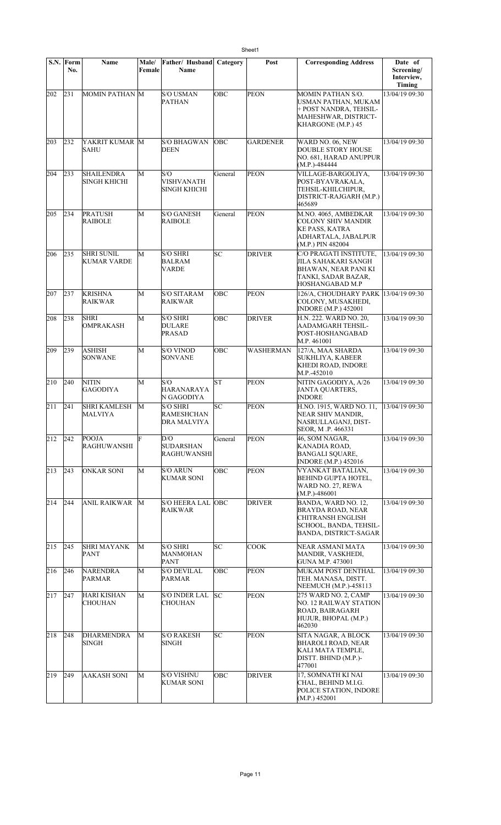|     | S.N. Form<br>No. | Name                                 | Male/<br>Female | Father/ Husband<br>Name                             | Category   | Post            | <b>Corresponding Address</b>                                                                                                          | Date of<br>Screening/<br>Interview, |
|-----|------------------|--------------------------------------|-----------------|-----------------------------------------------------|------------|-----------------|---------------------------------------------------------------------------------------------------------------------------------------|-------------------------------------|
| 202 | 231              | MOMIN PATHAN M                       |                 | <b>S/O USMAN</b><br><b>PATHAN</b>                   | <b>OBC</b> | <b>PEON</b>     | <b>MOMIN PATHAN S/O.</b><br>USMAN PATHAN, MUKAM<br>+ POST NANDRA, TEHSIL-<br>MAHESHWAR, DISTRICT-<br>KHARGONE (M.P.) 45               | Timing<br>13/04/19 09:30            |
| 203 | 232              | YAKRIT KUMAR M<br><b>SAHU</b>        |                 | <b>S/O BHAGWAN</b><br><b>DEEN</b>                   | <b>OBC</b> | <b>GARDENER</b> | WARD NO. 06, NEW<br><b>DOUBLE STORY HOUSE</b><br>NO. 681, HARAD ANUPPUR<br>$(M.P.) - 484444$                                          | 13/04/19 09:30                      |
| 204 | 233              | <b>SHAILENDRA</b><br>SINGH KHICHI    | M               | S/O<br><b>VISHVANATH</b><br><b>SINGH KHICHI</b>     | General    | <b>PEON</b>     | VILLAGE-BARGOLIYA,<br>POST-BYAVRAKALA,<br>TEHSIL-KHILCHIPUR,<br>DISTRICT-RAJGARH (M.P.)<br>465689                                     | 13/04/19 09:30                      |
| 205 | 234              | <b>PRATUSH</b><br><b>RAIBOLE</b>     | M               | <b>S/O GANESH</b><br><b>RAIBOLE</b>                 | General    | <b>PEON</b>     | M.NO. 4065, AMBEDKAR<br><b>COLONY SHIV MANDIR</b><br><b>KE PASS, KATRA</b><br>ADHARTALA, JABALPUR<br>(M.P.) PIN 482004                | 13/04/19 09:30                      |
| 206 | 235              | <b>SHRI SUNIL</b><br>KUMAR VARDE     | M               | <b>S/O SHRI</b><br><b>BALRAM</b><br>VARDE           | SC         | <b>DRIVER</b>   | C/O PRAGATI INSTITUTE,<br>JILA SAHAKARI SANGH<br>BHAWAN, NEAR PANI KI<br>TANKI, SADAR BAZAR,<br>HOSHANGABAD M.P                       | 13/04/19 09:30                      |
| 207 | 237              | <b>KRISHNA</b><br>RAIKWAR            | M               | <b>S/O SITARAM</b><br>RAIKWAR                       | OBC        | <b>PEON</b>     | 126/A, CHOUDHARY PARK 13/04/19 09:30<br>COLONY, MUSAKHEDI,<br><b>INDORE</b> (M.P.) 452001                                             |                                     |
| 208 | 238              | <b>SHRI</b><br><b>OMPRAKASH</b>      | M               | <b>S/O SHRI</b><br><b>DULARE</b><br><b>PRASAD</b>   | ∣ОВС       | <b>DRIVER</b>   | H.N. 222. WARD NO. 20,<br>AADAMGARH TEHSIL-<br>POST-HOSHANGABAD<br>M.P. 461001                                                        | 13/04/19 09:30                      |
| 209 | 239              | ASHISH<br>SONWANE                    | М               | <b>S/O VINOD</b><br><b>SONVANE</b>                  | ОВС        | WASHERMAN       | 127/A, MAA SHARDA<br>SUKHLIYA, KABEER<br>KHEDI ROAD, INDORE<br>M.P.-452010                                                            | 13/04/19 09:30                      |
| 210 | 240              | <b>NITIN</b><br><b>GAGODIYA</b>      | M               | S/O<br>HARANARAYA<br>N GAGODIYA                     | <b>ST</b>  | <b>PEON</b>     | NITIN GAGODIYA, A/26<br><b>JANTA QUARTERS,</b><br><b>INDORE</b>                                                                       | 13/04/19 09:30                      |
| 211 | 241              | <b>SHRI KAMLESH</b><br>MALVIYA       | M               | <b>S/O SHRI</b><br>RAMESHCHAN<br><b>DRA MALVIYA</b> | SC         | <b>PEON</b>     | H.NO. 1915, WARD NO. 11,<br>NEAR SHIV MANDIR,<br>NASRULLAGANJ, DIST-<br>SEOR, M.P. 466331                                             | 13/04/19 09:30                      |
| 212 | 242              | <b>POOJA</b><br><b>RAGHUWANSHI</b>   | F               | D/O<br><b>SUDARSHAN</b><br><b>RAGHUWANSHI</b>       | General    | <b>PEON</b>     | 46, SOM NAGAR,<br>KANADIA ROAD.<br>BANGALI SQUARE,<br><b>INDORE</b> (M.P.) 452016                                                     | 13/04/19 09:30                      |
| 213 | 243              | <b>ONKAR SONI</b>                    | M               | <b>S/O ARUN</b><br><b>KUMAR SONI</b>                | OBC        | <b>PEON</b>     | VYANKAT BATALIAN,<br><b>BEHIND GUPTA HOTEL,</b><br>WARD NO. 27, REWA<br>$(M.P.) - 486001$                                             | 13/04/19 09:30                      |
| 214 | 244              | <b>ANIL RAIKWAR</b>                  | M               | <b>S/O HEERA LAL OBC</b><br>RAIKWAR                 |            | <b>DRIVER</b>   | BANDA, WARD NO. 12,<br><b>BRAYDA ROAD, NEAR</b><br><b>CHITRANSH ENGLISH</b><br>SCHOOL, BANDA, TEHSIL-<br><b>BANDA, DISTRICT-SAGAR</b> | 13/04/19 09:30                      |
| 215 | 245              | <b>SHRI MAYANK</b><br>PANT           | М               | <b>S/O SHRI</b><br>MANMOHAN<br><b>PANT</b>          | SС         | COOK            | NEAR ASMANI MATA<br>MANDIR, VASKHEDI,<br>GUNA M.P. 473001                                                                             | 13/04/19 09:30                      |
| 216 | 246              | <b>NARENDRA</b><br>PARMAR            | M               | <b>S/O DEVILAL</b><br>PARMAR                        | OBC        | <b>PEON</b>     | MUKAM POST DENTHAL<br>TEH. MANASA, DISTT.<br>NEEMUCH (M.P.)-458113                                                                    | 13/04/19 09:30                      |
| 217 | 247              | <b>HARI KISHAN</b><br><b>CHOUHAN</b> | M               | S/O INDER LAL<br><b>CHOUHAN</b>                     | SC         | <b>PEON</b>     | 275 WARD NO. 2, CAMP<br>NO. 12 RAILWAY STATION<br>ROAD, BAIRAGARH<br>HUJUR, BHOPAL (M.P.)<br>462030                                   | 13/04/19 09:30                      |
| 218 | 248              | <b>DHARMENDRA</b><br>SINGH           | М               | <b>S/O RAKESH</b><br>SINGH                          | SC         | <b>PEON</b>     | SITA NAGAR, A BLOCK<br><b>BHAROLI ROAD, NEAR</b><br>KALI MATA TEMPLE,<br>DISTT. BHIND (M.P.)-<br>477001                               | 13/04/19 09:30                      |
| 219 | 249              | <b>AAKASH SONI</b>                   | М               | <b>S/O VISHNU</b><br><b>KUMAR SONI</b>              | ОВС        | <b>DRIVER</b>   | 17, SOMNATH KI NAI<br>CHAL, BEHIND M.I.G.<br>POLICE STATION, INDORE<br>(M.P.) 452001                                                  | 13/04/19 09:30                      |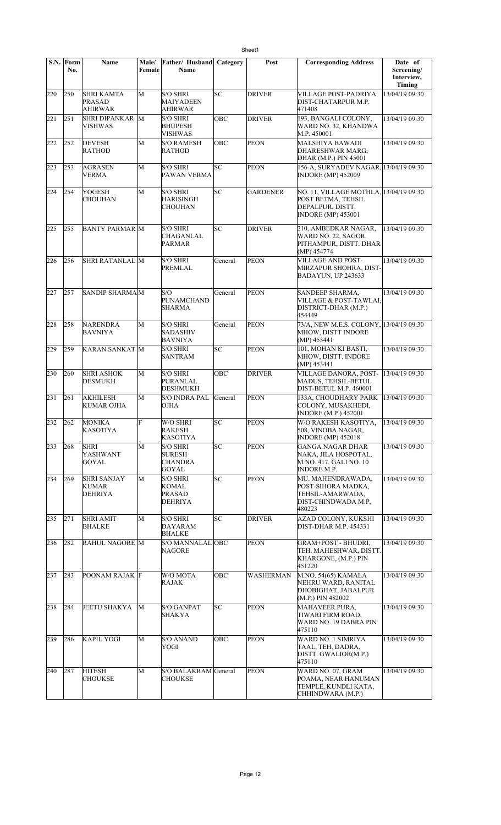|     | S.N. Form<br>No. | Name                                                 | Male/<br>Female | Father/ Husband<br>Name                                            | Category | Post             | <b>Corresponding Address</b>                                                                                  | Date of<br>Screening/ |
|-----|------------------|------------------------------------------------------|-----------------|--------------------------------------------------------------------|----------|------------------|---------------------------------------------------------------------------------------------------------------|-----------------------|
|     |                  |                                                      |                 |                                                                    |          |                  |                                                                                                               | Interview,<br>Timing  |
| 220 | 250              | <b>SHRI KAMTA</b><br><b>PRASAD</b><br><b>AHIRWAR</b> | M               | <b>S/O SHRI</b><br><b>MAIYADEEN</b><br>AHIRWAR                     | lsc      | <b>DRIVER</b>    | VILLAGE POST-PADRIYA<br>DIST-CHATARPUR M.P.<br>471408                                                         | 13/04/19 09:30        |
| 221 | 251              | <b>SHRI DIPANKAR</b><br>VISHWAS                      | M               | <b>S/O SHRI</b><br><b>BHUPESH</b><br>VISHWAS                       | OBC      | <b>DRIVER</b>    | 193, BANGALI COLONY,<br>WARD NO. 32, KHANDWA<br>M.P. 450001                                                   | 13/04/19 09:30        |
| 222 | 252              | <b>DEVESH</b><br>RATHOD                              | M               | <b>S/O RAMESH</b><br><b>RATHOD</b>                                 | OBC      | <b>PEON</b>      | MALSHIYA BAWADI<br>DHARESHWAR MARG,<br>DHAR (M.P.) PIN 45001                                                  | 13/04/19 09:30        |
| 223 | 253              | <b>AGRASEN</b><br>VERMA                              | M               | <b>S/O SHRI</b><br>PAWAN VERMA                                     | SC       | <b>PEON</b>      | 156-A, SURYADEV NAGAR, 13/04/19 09:30<br><b>INDORE (MP) 452009</b>                                            |                       |
| 224 | 254              | <b>YOGESH</b><br><b>CHOUHAN</b>                      | М               | <b>S/O SHRI</b><br>HARISINGH<br>CHOUHAN                            | SC       | <b>GARDENER</b>  | NO. 11, VILLAGE MOTHLA, 13/04/19 09:30<br>POST BETMA, TEHSIL<br>DEPALPUR, DISTT.<br><b>INDORE</b> (MP) 453001 |                       |
| 225 | 255              | <b>BANTY PARMAR M</b>                                |                 | <b>S/O SHRI</b><br><b>CHAGANLAL</b><br>PARMAR                      | SC       | <b>DRIVER</b>    | 210, AMBEDKAR NAGAR,<br>WARD NO. 22, SAGOR,<br>PITHAMPUR, DISTT. DHAR<br>(MP) 454774                          | 13/04/19 09:30        |
| 226 | 256              | <b>SHRI RATANLAL M</b>                               |                 | <b>S/O SHRI</b><br>PREMLAL                                         | General  | <b>PEON</b>      | <b>VILLAGE AND POST-</b><br>MIRZAPUR SHOHRA, DIST-<br>BADAYUN, UP 243633                                      | 13/04/19 09:30        |
| 227 | 257              | SANDIP SHARMAM                                       |                 | S/O<br><b>PUNAMCHAND</b><br><b>SHARMA</b>                          | General  | <b>PEON</b>      | SANDEEP SHARMA,<br>VILLAGE & POST-TAWLAI.<br>DISTRICT-DHAR (M.P.)<br>454449                                   | 13/04/19 09:30        |
| 228 | 258              | <b>NARENDRA</b><br><b>BAVNIYA</b>                    | M               | <b>S/O SHRI</b><br><b>SADASHIV</b><br>BAVNIYA                      | General  | <b>PEON</b>      | 73/A, NEW M.E.S. COLONY, 13/04/19 09:30<br>MHOW, DISTT INDORE<br>(MP) 453441                                  |                       |
| 229 | 259              | <b>KARAN SANKAT M</b>                                |                 | <b>S/O SHRI</b><br><b>SANTRAM</b>                                  | lsc      | <b>PEON</b>      | 101, MOHAN KI BASTI,<br>MHOW, DISTT. INDORE<br>(MP) 453441                                                    | 13/04/19 09:30        |
| 230 | 260              | <b>SHRI ASHOK</b><br><b>DESMUKH</b>                  | M               | <b>S/O SHRI</b><br>PURANLAL<br><b>DESHMUKH</b>                     | OBC      | <b>DRIVER</b>    | VILLAGE DANORA, POST-<br>MADUS, TEHSIL-BETUL<br>DIST-BETUL M.P. 460001                                        | 13/04/19 09:30        |
| 231 | 261              | <b>AKHILESH</b><br><b>KUMAR OJHA</b>                 | M               | <b>S/O INDRA PAL</b><br>OJHA                                       | General  | <b>PEON</b>      | 133A, CHOUDHARY PARK<br>COLONY, MUSAKHEDI,<br><b>INDORE</b> (M.P.) 452001                                     | 13/04/19 09:30        |
| 232 | 262              | MONIKA<br><b>KASOTIYA</b>                            | E               | W/O SHRI<br><b>RAKESH</b><br><b>KASOTIYA</b>                       | SC       | PEON             | W/O RAKESH KASOTIYA<br>508, VINOBA NAGAR,<br><b>INDORE</b> (MP) 452018                                        | 13/04/19 09:30        |
| 233 | 268              | <b>SHRI</b><br><b>YASHWANT</b><br><b>GOYAL</b>       | М               | <b>S/O SHRI</b><br><b>SURESH</b><br><b>CHANDRA</b><br><b>GOYAL</b> | SC       | <b>PEON</b>      | GANGA NAGAR DHAR<br>NAKA, JILA HOSPOTAL,<br>M.NO. 417. GALI NO. 10<br><b>INDORE M.P.</b>                      | 13/04/19 09:30        |
| 234 | 269              | <b>SHRI SANJAY</b><br><b>KUMAR</b><br><b>DEHRIYA</b> | М               | <b>S/O SHRI</b><br>KOMAL<br><b>PRASAD</b><br><b>DEHRIYA</b>        | lsc      | <b>PEON</b>      | MU. MAHENDRAWADA,<br>POST-SIHORA MADKA,<br>TEHSIL-AMARWADA,<br>DIST-CHINDWADA M.P.<br>480223                  | 13/04/19 09:30        |
| 235 | 271              | <b>SHRI AMIT</b><br><b>BHALKE</b>                    | М               | <b>S/O SHRI</b><br>DAYARAM<br><b>BHALKE</b>                        | SC       | <b>DRIVER</b>    | AZAD COLONY, KUKSHI<br><b>DIST-DHAR M.P. 454331</b>                                                           | 13/04/19 09:30        |
| 236 | 282              | <b>RAHUL NAGORE M</b>                                |                 | S/O MANNALAL OBC<br><b>NAGORE</b>                                  |          | <b>PEON</b>      | GRAM+POST - BHUDRI,<br>TEH. MAHESHWAR, DISTT.<br>KHARGONE, (M.P.) PIN<br>451220                               | 13/04/19 09:30        |
| 237 | 283              | <b>POONAM RAJAK F</b>                                |                 | W/O MOTA<br>RAJAK                                                  | OBC      | <b>WASHERMAN</b> | M.NO. 54(65) KAMALA<br>NEHRU WARD, RANITAL<br>DHOBIGHAT, JABALPUR<br>(M.P.) PIN 482002                        | 13/04/19 09:30        |
| 238 | 284              | <b>JEETU SHAKYA</b>                                  | M               | <b>S/O GANPAT</b><br>SHAKYA                                        | SC.      | <b>PEON</b>      | MAHAVEER PURA,<br>TIWARI FIRM ROAD,<br>WARD NO. 19 DABRA PIN<br>475110                                        | 13/04/19 09:30        |
| 239 | 286              | <b>KAPIL YOGI</b>                                    | M               | <b>S/O ANAND</b><br>YOGI                                           | OBC      | <b>PEON</b>      | WARD NO. 1 SIMRIYA<br>TAAL, TEH. DADRA,<br>DISTT. GWALIOR(M.P.)<br>475110                                     | 13/04/19 09:30        |
| 240 | 287              | <b>HITESH</b><br>CHOUKSE                             | М               | S/O BALAKRAM General<br><b>CHOUKSE</b>                             |          | <b>PEON</b>      | WARD NO. 07, GRAM<br>POAMA, NEAR HANUMAN<br>TEMPLE, KUNDLI KATA,<br>CHHINDWARA (M.P.)                         | 13/04/19 09:30        |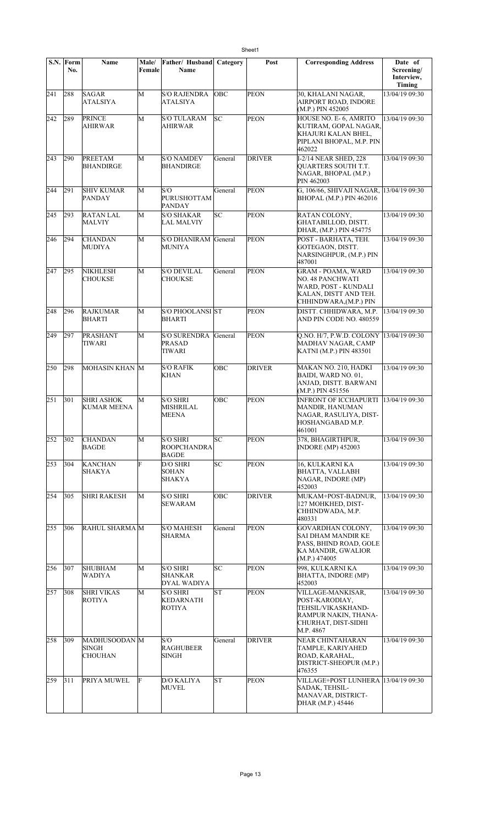|     | S.N. Form<br>No. | Name                                     | Male/<br>Female | Father/ Husband<br>Name                               | Category   | Post          | <b>Corresponding Address</b>                                                                                                   | Date of<br>Screening/<br>Interview,<br><b>Timing</b> |
|-----|------------------|------------------------------------------|-----------------|-------------------------------------------------------|------------|---------------|--------------------------------------------------------------------------------------------------------------------------------|------------------------------------------------------|
| 241 | 288              | SAGAR<br><b>ATALSIYA</b>                 | M               | <b>S/O RAJENDRA</b><br>ATALSIYA                       | <b>OBC</b> | PEON          | 30, KHALANI NAGAR,<br><b>AIRPORT ROAD, INDORE</b><br>(M.P.) PIN 452005                                                         | 13/04/19 09:30                                       |
| 242 | 289              | <b>PRINCE</b><br><b>AHIRWAR</b>          | M               | <b>S/O TULARAM</b><br><b>AHIRWAR</b>                  | lsс        | <b>PEON</b>   | HOUSE NO. E-6, AMRITO<br>KUTIRAM, GOPAL NAGAR,<br>KHAJURI KALAN BHEL,<br>PIPLANI BHOPAL, M.P. PIN<br>462022                    | 13/04/19 09:30                                       |
| 243 | 290              | PREETAM<br><b>BHANDIRGE</b>              | M               | <b>S/O NAMDEV</b><br><b>BHANDIRGE</b>                 | General    | <b>DRIVER</b> | I-2/14 NEAR SHED, 228<br>QUARTERS SOUTH T.T.<br>NAGAR, BHOPAL (M.P.)<br>PIN 462003                                             | 13/04/19 09:30                                       |
| 244 | 291              | <b>SHIV KUMAR</b><br><b>PANDAY</b>       | M               | S/O<br><b>PURUSHOTTAM</b><br><b>PANDAY</b>            | General    | <b>PEON</b>   | G, 106/66, SHIVAJI NAGAR,<br><b>BHOPAL (M.P.) PIN 462016</b>                                                                   | 13/04/19 09:30                                       |
| 245 | 293              | <b>RATAN LAL</b><br><b>MALVIY</b>        | M               | <b>S/O SHAKAR</b><br><b>LAL MALVIY</b>                | lsс        | <b>PEON</b>   | RATAN COLONY,<br>GHATABILLOD, DISTT.<br>DHAR, (M.P.) PIN 454775                                                                | 13/04/19 09:30                                       |
| 246 | 294              | <b>CHANDAN</b><br>MUDIYA                 | М               | S/O DHANIRAM General<br><b>MUNIYA</b>                 |            | <b>PEON</b>   | POST - BARHATA, TEH.<br>GOTEGAON, DISTT.<br>NARSINGHPUR, (M.P.) PIN<br>487001                                                  | 13/04/19 09:30                                       |
| 247 | 295              | <b>NIKHLESH</b><br><b>CHOUKSE</b>        | M               | <b>S/O DEVILAL</b><br><b>CHOUKSE</b>                  | General    | <b>PEON</b>   | <b>GRAM - POAMA, WARD</b><br><b>NO. 48 PANCHWATI</b><br>WARD, POST - KUNDALI<br>KALAN, DISTT AND TEH.<br>CHHINDWARA,(M.P.) PIN | 13/04/19 09:30                                       |
| 248 | 296              | <b>RAJKUMAR</b><br>BHARTI                | M               | <b>S/O PHOOLANSI ST</b><br><b>BHARTI</b>              |            | <b>PEON</b>   | DISTT. CHHIDWARA, M.P.<br>AND PIN CODE NO. 480559                                                                              | 13/04/19 09:30                                       |
| 249 | 297              | <b>PRASHANT</b><br>TIWARI                | M               | <b>S/O SURENDRA</b><br><b>PRASAD</b><br>TIWARI        | General    | <b>PEON</b>   | Q.NO. H/7, P.W.D. COLONY  13/04/19 09:30<br>MADHAV NAGAR, CAMP<br>KATNI (M.P.) PIN 483501                                      |                                                      |
| 250 | 298              | MOHASIN KHAN M                           |                 | <b>S/O RAFIK</b><br><b>KHAN</b>                       | OBC        | <b>DRIVER</b> | MAKAN NO. 210, HADKI<br>BAIDI, WARD NO. 01,<br>ANJAD, DISTT. BARWANI<br>$(M.P.)$ PIN 451556                                    | 13/04/19 09:30                                       |
| 251 | 301              | <b>SHRI ASHOK</b><br><b>KUMAR MEENA</b>  | M               | <b>S/O SHRI</b><br><b>MISHRILAL</b><br>MEENA          | OBC        | PEON          | <b>INFRONT OF ICCHAPURTI</b><br>MANDIR, HANUMAN<br>NAGAR, RASULIYA, DIST-<br>HOSHANGABAD M.P.<br>461001                        | 13/04/19 09:30                                       |
| 252 | 302              | <b>CHANDAN</b><br><b>BAGDE</b>           | M               | <b>S/O SHRI</b><br><b>ROOPCHANDRA</b><br><b>BAGDE</b> | SС         | <b>PEON</b>   | 378, BHAGIRTHPUR,<br><b>INDORE</b> (MP) 452003                                                                                 | 13/04/19 09:30                                       |
| 253 | 304              | <b>KANCHAN</b><br><b>SHAKYA</b>          | F               | D/O SHRI<br><b>SOHAN</b><br><b>SHAKYA</b>             | SC         | PEON          | 16, KULKARNI KA<br><b>BHATTA, VALLABH</b><br>NAGAR, INDORE (MP)<br>452003                                                      | 13/04/19 09:30                                       |
| 254 | 305              | <b>SHRI RAKESH</b>                       | M               | <b>S/O SHRI</b><br><b>SEWARAM</b>                     | OBC        | DRIVER        | MUKAM+POST-BADNUR,<br>127 MOHKHED, DIST-<br>CHHINDWADA, M.P.<br>480331                                                         | 13/04/19 09:30                                       |
| 255 | 306              | RAHUL SHARMA M                           |                 | <b>S/O MAHESH</b><br>SHARMA                           | General    | <b>PEON</b>   | <b>GOVARDHAN COLONY,</b><br>SAI DHAM MANDIR KE<br>PASS, BHIND ROAD, GOLE<br>KA MANDIR, GWALIOR<br>(M.P.) 474005                | 13/04/19 09:30                                       |
| 256 | 307              | <b>SHUBHAM</b><br><b>WADIYA</b>          | M               | <b>S/O SHRI</b><br><b>SHANKAR</b><br>DYAL WADIYA      | lsс        | <b>PEON</b>   | 998, KULKARNI KA<br>BHATTA, INDORE (MP)<br>452003                                                                              | 13/04/19 09:30                                       |
| 257 | 308              | <b>SHRI VIKAS</b><br><b>ROTIYA</b>       | M               | <b>S/O SHRI</b><br>KEDARNATH<br><b>ROTIYA</b>         | lsΤ        | <b>PEON</b>   | VILLAGE-MANKISAR,<br>POST-KARODIAY,<br>TEHSIL/VIKASKHAND-<br>RAMPUR NAKIN, THANA-<br>CHURHAT, DIST-SIDHI<br>M.P. 4867          | 13/04/19 09:30                                       |
| 258 | 309              | MADHUSOODAN M<br>SINGH<br><b>CHOUHAN</b> |                 | S/O<br><b>RAGHUBEER</b><br>SINGH                      | General    | <b>DRIVER</b> | NEAR CHINTAHARAN<br>TAMPLE, KARIYAHED<br>ROAD, KARAHAL,<br>DISTRICT-SHEOPUR (M.P.)<br>476355                                   | 13/04/19 09:30                                       |
| 259 | 311              | PRIYA MUWEL                              | F               | <b>D/O KALIYA</b><br><b>MUVEL</b>                     | ST         | <b>PEON</b>   | VILLAGE+POST LUNHERA  13/04/19 09:30<br>SADAK, TEHSIL-<br>MANAVAR, DISTRICT-<br>DHAR (M.P.) 45446                              |                                                      |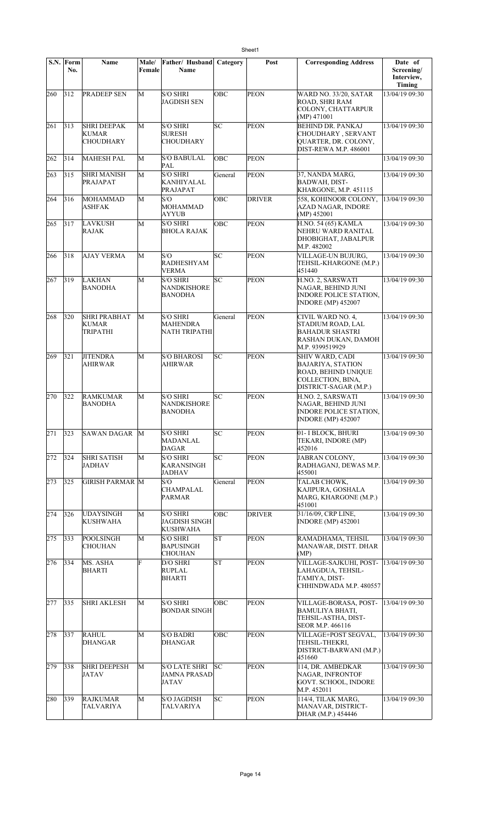|     | S.N. Form<br>No. | Name                                            | <b>Male/</b><br>Female | Father/ Husband<br><b>Name</b>                       | Category | Post          | <b>Corresponding Address</b>                                                                                     | Date of<br>Screening/<br>Interview,<br>Timing |
|-----|------------------|-------------------------------------------------|------------------------|------------------------------------------------------|----------|---------------|------------------------------------------------------------------------------------------------------------------|-----------------------------------------------|
| 260 | 312              | PRADEEP SEN                                     | M                      | <b>S/O SHRI</b><br><b>JAGDISH SEN</b>                | OBC      | <b>PEON</b>   | WARD NO. 33/20, SATAR<br>ROAD, SHRI RAM<br>COLONY, CHATTARPUR<br>(MP) 471001                                     | 13/04/19 09:30                                |
| 261 | 313              | <b>SHRI DEEPAK</b><br>KUMAR<br><b>CHOUDHARY</b> | M                      | <b>S/O SHRI</b><br>SURESH<br>CHOUDHARY               | SC       | <b>PEON</b>   | <b>BEHIND DR. PANKAJ</b><br>CHOUDHARY, SERVANT<br>QUARTER, DR. COLONY,<br><b>DIST-REWA M.P. 486001</b>           | 13/04/19 09:30                                |
| 262 | 314              | <b>MAHESH PAL</b>                               | М                      | <b>S/O BABULAL</b><br>PAL                            | ОВС      | <b>PEON</b>   |                                                                                                                  | 13/04/19 09:30                                |
| 263 | 315              | <b>SHRI MANISH</b><br>PRAJAPAT                  | M                      | <b>S/O SHRI</b><br>KANHIYALAL<br>PRAJAPAT            | General  | <b>PEON</b>   | 37, NANDA MARG,<br>BADWAH, DIST-<br>KHARGONE, M.P. 451115                                                        | 13/04/19 09:30                                |
| 264 | 316              | MOHAMMAD<br><b>ASHFAK</b>                       | M                      | S/O<br>MOHAMMAD<br>AYYUB                             | OBC      | <b>DRIVER</b> | 558, KOHINOOR COLONY,<br><b>AZAD NAGAR, INDORE</b><br>(MP) 452001                                                | 13/04/19 09:30                                |
| 265 | 317              | LAVKUSH<br><b>RAJAK</b>                         | M                      | <b>S/O SHRI</b><br>BHOLA RAJAK                       | OBC      | PEON          | H.NO. 54 (65) KAMLA<br>NEHRU WARD RANITAL<br>DHOBIGHAT, JABALPUR<br>M.P. 482002                                  | 13/04/19 09:30                                |
| 266 | 318              | <b>AJAY VERMA</b>                               | M                      | S/O<br><b>RADHESHYAM</b><br>VERMA                    | SC       | <b>PEON</b>   | VILLAGE-UN BUJURG,<br>TEHSIL-KHARGONE (M.P.)<br>451440                                                           | 13/04/19 09:30                                |
| 267 | $ 319\rangle$    | LAKHAN<br><b>BANODHA</b>                        | M                      | S/O SHRI<br><b>NANDKISHORE</b><br><b>BANODHA</b>     | SC       | <b>PEON</b>   | H.NO. 2, SARSWATI<br>NAGAR, BEHIND JUNI<br><b>INDORE POLICE STATION,</b><br><b>INDORE (MP) 452007</b>            | 13/04/19 09:30                                |
| 268 | 320              | <b>SHRI PRABHAT</b><br><b>KUMAR</b><br>TRIPATHI | М                      | <b>S/O SHRI</b><br>MAHENDRA<br>NATH TRIPATHI         | General  | <b>PEON</b>   | CIVIL WARD NO. 4,<br>STADIUM ROAD, LAL<br><b>BAHADUR SHASTRI</b><br>RASHAN DUKAN, DAMOH<br>M.P. 9399519929       | 13/04/19 09:30                                |
| 269 | 321              | <b>JITENDRA</b><br><b>AHIRWAR</b>               | M                      | <b>S/O BHAROSI</b><br>AHIRWAR                        | SC       | <b>PEON</b>   | SHIV WARD, CADI<br><b>BAJARIYA, STATION</b><br>ROAD, BEHIND UNIQUE<br>COLLECTION, BINA,<br>DISTRICT-SAGAR (M.P.) | 13/04/19 09:30                                |
| 270 | 322              | <b>RAMKUMAR</b><br><b>BANODHA</b>               | M                      | <b>S/O SHRI</b><br>NANDKISHORE<br><b>BANODHA</b>     | lsc      | <b>PEON</b>   | H.NO. 2, SARSWATI<br>NAGAR, BEHIND JUNI<br><b>INDORE POLICE STATION,</b><br><b>INDORE (MP) 452007</b>            | 13/04/19 09:30                                |
| 271 | 323              | SAWAN DAGAR                                     | М                      | <b>S/O SHRI</b><br>MADANLAL<br>DAGAR                 | SC       | <b>PEON</b>   | 01- I BLOCK, BHURI<br>TEKARI, INDORE (MP)<br>452016                                                              | 13/04/19 09:30                                |
| 272 | 324              | <b>SHRI SATISH</b><br>JADHAV                    | М                      | <b>S/O SHRI</b><br>KARANSINGH<br><b>JADHAV</b>       | SC       | <b>PEON</b>   | JABRAN COLONY,<br>RADHAGANJ, DEWAS M.P.<br>455001                                                                | 13/04/19 09:30                                |
| 273 | 325              | GIRISH PARMAR M                                 |                        | S/O<br>CHAMPALAL<br><b>PARMAR</b>                    | General  | <b>PEON</b>   | TALAB CHOWK,<br>KAJIPURA, GOSHALA<br>MARG, KHARGONE (M.P.)<br>451001                                             | 13/04/19 09:30                                |
| 274 | 326              | <b>UDAYSINGH</b><br><b>KUSHWAHA</b>             | M                      | <b>S/O SHRI</b><br>JAGDISH SINGH<br><b>KUSHWAHA</b>  | OBC      | <b>DRIVER</b> | 31/16/09, CRP LINE,<br><b>INDORE</b> (MP) 452001                                                                 | 13/04/19 09:30                                |
| 275 | 333              | POOLSINGH<br><b>CHOUHAN</b>                     | M                      | <b>S/O SHRI</b><br>BAPUSINGH<br>CHOUHAN              | SΤ       | PEON          | RAMADHAMA, TEHSIL<br>MANAWAR, DISTT. DHAR<br>(MP)                                                                | 13/04/19 09:30                                |
| 276 | 334              | MS. ASHA<br>BHARTI                              | F                      | D/O SHRI<br><b>RUPLAL</b><br>BHARTI                  | lΣ       | <b>PEON</b>   | VILLAGE-SAJKUHI, POST-<br>LAHAGDUA, TEHSIL-<br>TAMIYA, DIST-<br>CHHINDWADA M.P. 480557                           | 13/04/19 09:30                                |
| 277 | 335              | <b>SHRI AKLESH</b>                              | M                      | <b>S/O SHRI</b><br><b>BONDAR SINGH</b>               | OBC      | <b>PEON</b>   | VILLAGE-BORASA, POST-<br><b>BAMULIYA BHATI,</b><br>TEHSIL-ASTHA, DIST-<br>SEOR M.P. 466116                       | 13/04/19 09:30                                |
| 278 | 337              | <b>RAHUL</b><br>DHANGAR                         | М                      | <b>S/O BADRI</b><br>DHANGAR                          | OBC      | <b>PEON</b>   | VILLAGE+POST SEGVAL.<br>TEHSIL-THEKRI,<br>DISTRICT-BARWANI (M.P.)<br>451660                                      | 13/04/19 09:30                                |
| 279 | 338              | <b>SHRI DEEPESH</b><br><b>JATAV</b>             | M                      | S/O LATE SHRI<br><b>JAMNA PRASAD</b><br><b>JATAV</b> | lsc      | <b>PEON</b>   | 114, DR. AMBEDKAR<br>NAGAR, INFRONTOF<br>GOVT. SCHOOL, INDORE<br>M.P. 452011                                     | 13/04/19 09:30                                |
| 280 | 339              | <b>RAJKUMAR</b><br><b>TALVARIYA</b>             | М                      | <b>S/O JAGDISH</b><br><b>TALVARIYA</b>               | SC       | <b>PEON</b>   | 114/4, TILAK MARG,<br>MANAVAR, DISTRICT-<br>DHAR (M.P.) 454446                                                   | 13/04/19 09:30                                |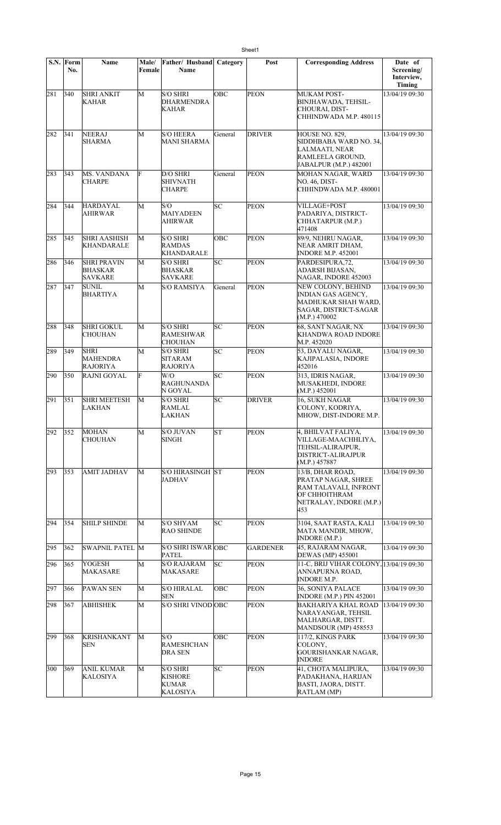|     | S.N. Form<br>No. | Name                                                   | Male/<br>Female | Father/ Husband<br><b>Name</b>                                       | Category | Post            | <b>Corresponding Address</b>                                                                                        | Date of<br>Screening/<br>Interview, |
|-----|------------------|--------------------------------------------------------|-----------------|----------------------------------------------------------------------|----------|-----------------|---------------------------------------------------------------------------------------------------------------------|-------------------------------------|
| 281 | 340              | <b>SHRI ANKIT</b><br>KAHAR                             | M               | <b>S/O SHRI</b><br><b>DHARMENDRA</b><br><b>KAHAR</b>                 | OBC      | <b>PEON</b>     | MUKAM POST-<br><b>BINJHAWADA, TEHSIL-</b><br>CHOURAI, DIST-<br>CHHINDWADA M.P. 480115                               | Timing<br>13/04/19 09:30            |
| 282 | 341              | <b>NEERAJ</b><br><b>SHARMA</b>                         | M               | <b>S/O HEERA</b><br><b>MANI SHARMA</b>                               | General  | <b>DRIVER</b>   | HOUSE NO. 829,<br>SIDDHBABA WARD NO. 34.<br>LALMAATI, NEAR<br>RAMLEELA GROUND,<br>JABALPUR (M.P.) 482001            | 13/04/19 09:30                      |
| 283 | 343              | <b>MS. VANDANA</b><br><b>CHARPE</b>                    | F               | D/O SHRI<br><b>SHIVNATH</b><br><b>CHARPE</b>                         | General  | <b>PEON</b>     | MOHAN NAGAR, WARD<br><b>NO. 46, DIST-</b><br>CHHINDWADA M.P. 480001                                                 | 13/04/19 09:30                      |
| 284 | 344              | <b>HARDAYAL</b><br>AHIRWAR                             | M               | S/O<br><b>MAIYADEEN</b><br>AHIRWAR                                   | SC       | <b>PEON</b>     | <b>VILLAGE+POST</b><br>PADARIYA, DISTRICT-<br>CHHATARPUR (M.P.)<br>471408                                           | 13/04/19 09:30                      |
| 285 | 345              | <b>SHRI AASHISH</b><br>KHANDARALE                      | M               | <b>S/O SHRI</b><br><b>RAMDAS</b><br>KHANDARALE                       | OBC      | <b>PEON</b>     | 89/9, NEHRU NAGAR,<br>NEAR AMRIT DHAM,<br><b>INDORE M.P. 452001</b>                                                 | 13/04/19 09:30                      |
| 286 | 346              | <b>SHRI PRAVIN</b><br><b>BHASKAR</b><br><b>SAVKARE</b> | M               | <b>S/O SHRI</b><br><b>BHASKAR</b><br>SAVKARE                         | SC       | <b>PEON</b>     | PARDESIPURA,72,<br>ADARSH BIJASAN,<br>NAGAR, INDORE 452003                                                          | 13/04/19 09:30                      |
| 287 | 347              | <b>SUNIL</b><br><b>BHARTIYA</b>                        | M               | <b>S/O RAMSIYA</b>                                                   | General  | <b>PEON</b>     | NEW COLONY, BEHIND<br>INDIAN GAS AGENCY,<br>MADHUKAR SHAH WARD,<br>SAGAR, DISTRICT-SAGAR<br>(M.P.) 470002           | 13/04/19 09:30                      |
| 288 | 348              | <b>SHRI GOKUL</b><br><b>CHOUHAN</b>                    | M               | <b>S/O SHRI</b><br><b>RAMESHWAR</b><br><b>CHOUHAN</b>                | lsс      | <b>PEON</b>     | 68, SANT NAGAR, NX<br>KHANDWA ROAD INDORE<br>M.P. 452020                                                            | 13/04/19 09:30                      |
| 289 | 349              | <b>SHRI</b><br><b>MAHENDRA</b><br>RAJORIYA             | M               | <b>S/O SHRI</b><br><b>SITARAM</b><br><b>RAJORIYA</b>                 | SC       | <b>PEON</b>     | 53, DAYALU NAGAR,<br>KAJIPALASIA, INDORE<br>452016                                                                  | 13/04/19 09:30                      |
| 290 | 350              | <b>RAJNI GOYAL</b>                                     | F               | W/O<br><b>RAGHUNANDA</b><br>N GOYAL                                  | SC       | <b>PEON</b>     | 313, IDRIS NAGAR,<br>MUSAKHEDI, INDORE<br>(M.P.) 452001                                                             | 13/04/19 09:30                      |
| 291 | 351              | <b>SHRI MEETESH</b><br>LAKHAN                          | M               | <b>S/O SHRI</b><br>RAMLAL<br>LAKHAN                                  | SC       | <b>DRIVER</b>   | 16, SUKH NAGAR<br>COLONY, KODRIYA,<br>MHOW, DIST-INDORE M.P.                                                        | 13/04/19 09:30                      |
| 292 | 352              | <b>MOHAN</b><br><b>CHOUHAN</b>                         | M               | <b>S/O JUVAN</b><br>SINGH                                            | ST       | <b>PEON</b>     | 4, BHILVAT FALIYA,<br>VILLAGE-MAACHHLIYA,<br>TEHSIL-ALIRAJPUR.<br>DISTRICT-ALIRAJPUR<br>(M.P.) 457887               | 13/04/19 09:30                      |
| 293 | 353              | <b>AMIT JADHAV</b>                                     | М               | <b>S/O HIRASINGH ST</b><br>JADHAV                                    |          | <b>PEON</b>     | 13/B. DHAR ROAD.<br>PRATAP NAGAR, SHREE<br>RAM TALAVALI, INFRONT<br>OF CHHOITHRAM<br>NETRALAY, INDORE (M.P.)<br>453 | 13/04/19 09:30                      |
| 294 | 354              | <b>SHILP SHINDE</b>                                    | М               | <b>S/O SHYAM</b><br><b>RAO SHINDE</b>                                | SC       | <b>PEON</b>     | 3104, SAAT RASTA, KALI<br>MATA MANDIR, MHOW,<br><b>INDORE (M.P.)</b>                                                | 13/04/19 09:30                      |
| 295 | 362              | <b>SWAPNIL PATEL M</b>                                 |                 | S/O SHRI ISWAR OBC<br><b>PATEL</b>                                   |          | <b>GARDENER</b> | 45, RAJARAM NAGAR,<br><b>DEWAS</b> (MP) 455001                                                                      | 13/04/19 09:30                      |
| 296 | 365              | <b>YOGESH</b><br>MAKASARE                              | M               | <b>S/O RAJARAM</b><br><b>MAKASARE</b>                                | SC       | <b>PEON</b>     | 11-C, BRIJ VIHAR COLONY, 13/04/19 09:30<br>ANNAPURNA ROAD,<br><b>INDORE M.P.</b>                                    |                                     |
| 297 | 366              | PAWAN SEN                                              | М               | <b>S/O HIRALAL</b><br><b>SEN</b>                                     | OBC      | PEON            | 36, SONIYA PALACE<br><b>INDORE (M.P.) PIN 452001</b>                                                                | 13/04/19 09:30                      |
| 298 | 367              | <b>ABHISHEK</b>                                        | M               | S/O SHRI VINOD OBC                                                   |          | <b>PEON</b>     | <b>BAKHARIYA KHAL ROAD</b><br>NARAYANGAR, TEHSIL<br>MALHARGAR, DISTT.<br>MANDSOUR (MP) 458553                       | 13/04/19 09:30                      |
| 299 | 368              | <b>KRISHANKANT</b><br><b>SEN</b>                       | М               | S/O<br><b>RAMESHCHAN</b><br><b>DRA SEN</b>                           | OBC      | <b>PEON</b>     | 117/2, KINGS PARK<br>COLONY,<br>GOURISHANKAR NAGAR,<br><b>INDORE</b>                                                | 13/04/19 09:30                      |
| 300 | 369              | <b>ANIL KUMAR</b><br><b>KALOSIYA</b>                   | M               | <b>S/O SHRI</b><br><b>KISHORE</b><br><b>KUMAR</b><br><b>KALOSIYA</b> | SC       | <b>PEON</b>     | 41, CHOTA MALIPURA,<br>PADAKHANA, HARIJAN<br><b>BASTI, JAORA, DISTT.</b><br>RATLAM (MP)                             | 13/04/19 09:30                      |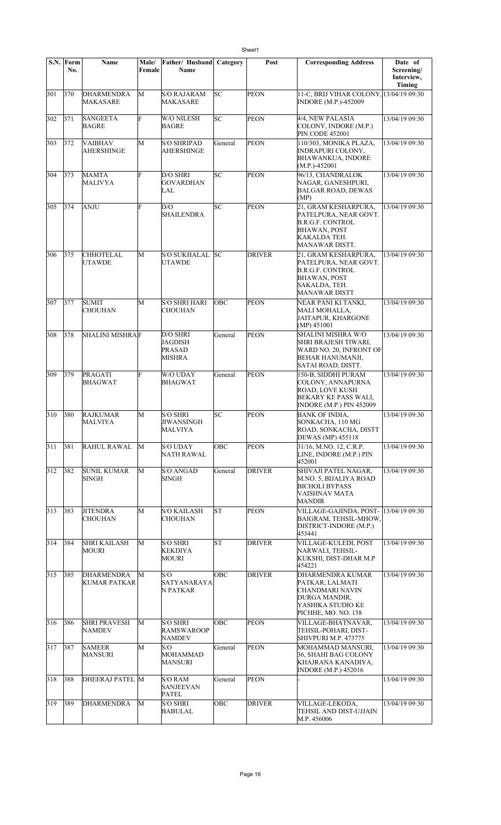|     | S.N. Form<br>No. | <b>Name</b>                          | Male/<br>Female | Father/ Husband<br>Name                                | Category | Post          | <b>Corresponding Address</b>                                                                                                             | Date of<br>Screening/<br>Interview, |
|-----|------------------|--------------------------------------|-----------------|--------------------------------------------------------|----------|---------------|------------------------------------------------------------------------------------------------------------------------------------------|-------------------------------------|
|     |                  |                                      |                 |                                                        |          |               |                                                                                                                                          | Timing                              |
| 301 | 370              | <b>DHARMENDRA</b><br>MAKASARE        | M               | <b>S/O RAJARAM</b><br>MAKASARE                         | SC       | <b>PEON</b>   | 11-C, BRIJ VIHAR COLONY, 13/04/19 09:30<br><b>INDORE</b> (M.P.)-452009                                                                   |                                     |
| 302 | 371              | <b>SANGEETA</b><br><b>BAGRE</b>      | F               | W/O NILESH<br><b>BAGRE</b>                             | lsс      | <b>PEON</b>   | 4/4, NEW PALASIA<br>COLONY, INDORE (M.P.)<br><b>PIN CODE 452001</b>                                                                      | 13/04/19 09:30                      |
| 303 | 372              | <b>VAIBHAV</b><br>AHERSHINGE         | M               | <b>S/O SHRIPAD</b><br>AHERSHINGE                       | General  | <b>PEON</b>   | 110/303, MONIKA PLAZA,<br><b>INDRAPURI COLONY,</b><br><b>BHAWANKUA, INDORE</b><br>$(M.P.)-452001$                                        | 13/04/19 09:30                      |
| 304 | 373              | <b>MAMTA</b><br><b>MALIVYA</b>       | F               | D/O SHRI<br><b>GOVARDHAN</b><br>LAL                    | lsс      | <b>PEON</b>   | 96/13, CHANDRALOK<br>NAGAR, GANESHPURI,<br><b>BALGAR ROAD, DEWAS</b><br>(MP)                                                             | 13/04/19 09:30                      |
| 305 | 374              | ANJU                                 | F               | D/O<br><b>SHAILENDRA</b>                               | SC       | PEON          | 21, GRAM KESHARPURA,<br>PATELPURA, NEAR GOVT.<br><b>B.R.G.F. CONTROL</b><br><b>BHAWAN, POST</b><br>KAKALDA TEH.<br><b>MANAWAR DISTT.</b> | 13/04/19 09:30                      |
| 306 | 375              | <b>CHHOTELAL</b><br><b>UTAWDE</b>    | M               | <b>S/O SUKHALAL</b><br>UTAWDE                          | lsc      | <b>DRIVER</b> | 21, GRAM KESHARPURA,<br>PATELPURA, NEAR GOVT.<br><b>B.R.G.F. CONTROL</b><br><b>BHAWAN, POST</b><br>SAKALDA, TEH.<br><b>MANAWAR DISTT</b> | 13/04/19 09:30                      |
| 307 | 377              | <b>SUMIT</b><br>CHOUHAN              | M               | <b>S/O SHRI HARI</b><br>CHOUHAN                        | OBC      | <b>PEON</b>   | NEAR PANI KI TANKI,<br><b>MALI MOHALLA,</b><br>JAITAPUR, KHARGONE<br>(MP) 451001                                                         | 13/04/19 09:30                      |
| 308 | 378              | <b>SHALINI MISHRAF</b>               |                 | D/O SHRI<br>JAGDISH<br><b>PRASAD</b><br>MISHRA         | General  | <b>PEON</b>   | <b>SHALINI MISHRA W/O</b><br>SHRI BRAJESH TIWARI,<br>WARD NO. 20, INFRONT OF<br><b>BEHAR HANUMANJI,</b><br>SATAI ROAD, DISTT.            | 13/04/19 09:30                      |
| 309 | 379              | PRAGATI<br><b>BHAGWAT</b>            | F               | W/O UDAY<br><b>BHAGWAT</b>                             | General  | <b>PEON</b>   | 150-B, SIDDHI PURAM<br>COLONY, ANNAPURNA<br><b>ROAD, LOVE KUSH</b><br><b>BEKARY KE PASS WALI,</b><br>INDORE (M.P.) PIN 452009            | 13/04/19 09:30                      |
| 310 | 380              | <b>RAJKUMAR</b><br><b>MALVIYA</b>    | M               | <b>S/O SHRI</b><br><b>JIWANSINGH</b><br><b>MALVIYA</b> | lsс      | <b>PEON</b>   | <b>BANK OF INDIA.</b><br>SONKACHA, 110 MG<br>ROAD, SONKACHA, DISTT<br>DEWAS (MP) 455118                                                  | 13/04/19 09:30                      |
| 311 | 381              | RAHUL RAWAL                          | M               | <b>S/O UDAY</b><br>NATH RAWAL                          | OBC      | <b>PEON</b>   | 31/16, M.NO. 12, C.R.P.<br>LINE, INDORE (M.P.) PIN<br>452001                                                                             | 13/04/19 09:30                      |
| 312 | 382              | <b>SUNIL KUMAR</b><br>SINGH          | M               | <b>S/O ANGAD</b><br><b>SINGH</b>                       | General  | <b>DRIVER</b> | SHIVAJI PATEL NAGAR,<br>M.NO. 5, BIJALIYA ROAD<br><b>BICHOLI BYPASS</b><br>VAISHNAV MATA<br><b>MANDIR</b>                                | 13/04/19 09:30                      |
| 313 | 383              | <b>JITENDRA</b><br><b>CHOUHAN</b>    | M               | S/O KAILASH<br><b>CHOUHAN</b>                          | lsт      | <b>PEON</b>   | VILLAGE-GAJINDA, POST-<br>BAIGRAM, TEHSIL-MHOW,<br>DISTRICT-INDORE (M.P.)<br>453441                                                      | 13/04/19 09:30                      |
| 314 | 384              | <b>SHRI KAILASH</b><br><b>MOURI</b>  | M               | <b>S/O SHRI</b><br>KEKDIYA<br><b>MOURI</b>             | lsт      | DRIVER        | VILLAGE-KULEDI, POST<br>NARWALI, TEHSIL-<br>KUKSHI, DIST-DHAR M.P<br>454221                                                              | 13/04/19 09:30                      |
| 315 | 385              | <b>DHARMENDRA</b><br>KUMAR PATKAR    | M               | S/O<br>SATYANARAYA<br>N PATKAR                         | OBC      | <b>DRIVER</b> | <b>DHARMENDRA KUMAR</b><br>PATKAR, LALMATI<br>CHANDMARI NAVIN<br>DURGA MANDIR,<br>YASHIKA STUDIO KE<br>PICHHE, MO. NO. 158               | 13/04/19 09:30                      |
| 316 | 386              | <b>SHRI PRAVESH</b><br><b>NAMDEV</b> | М               | <b>S/O SHRI</b><br><b>RAMSWAROOP</b><br><b>NAMDEV</b>  | OBC      | PEON          | VILLAGE-BHATNAVAR,<br>TEHSIL-POHARI, DIST-<br>SHIVPURI M.P. 473775                                                                       | 13/04/19 09:30                      |
| 317 | 387              | <b>SAMEER</b><br><b>MANSURI</b>      | M               | S/O<br><b>MOHAMMAD</b><br><b>MANSURI</b>               | General  | <b>PEON</b>   | MOHAMMAD MANSURI,<br>36, SHAHI BAG COLONY<br>KHAJRANA KANADIYA,<br><b>INDORE</b> (M.P.) 452016                                           | 13/04/19 09:30                      |
| 318 | 388              | DHEERAJ PATEL M                      |                 | <b>S/O RAM</b><br><b>SANJEEVAN</b><br><b>PATEL</b>     | General  | <b>PEON</b>   |                                                                                                                                          | 13/04/19 09:30                      |
| 319 | 389              | <b>DHARMENDRA</b>                    | M               | <b>S/O SHRI</b><br><b>BABULAL</b>                      | OBC      | <b>DRIVER</b> | VILLAGE-LEKODA,<br>TEHSIL AND DIST-UJJAIN<br>M.P. 456006                                                                                 | 13/04/19 09:30                      |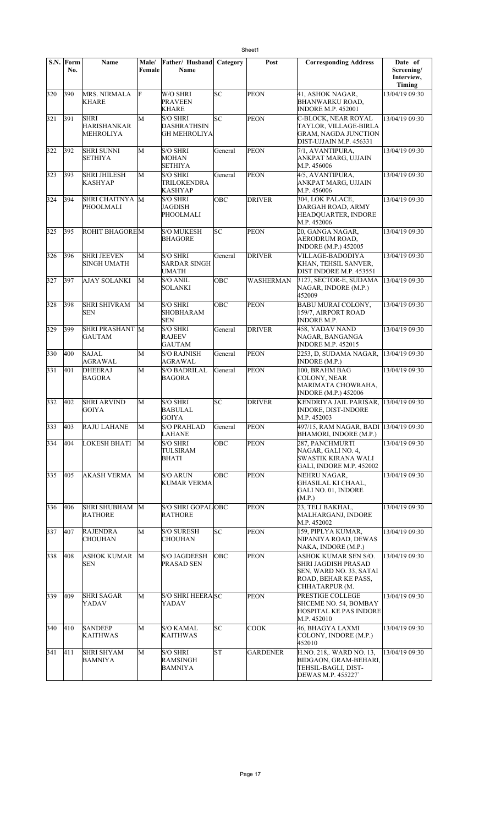|     | S.N. Form<br>No. | Name                                                  | Male/<br>Female | Father/ Husband<br><b>Name</b>                               | Category  | Post             | <b>Corresponding Address</b>                                                                                     | Date of<br>Screening/<br>Interview,<br>Timing |
|-----|------------------|-------------------------------------------------------|-----------------|--------------------------------------------------------------|-----------|------------------|------------------------------------------------------------------------------------------------------------------|-----------------------------------------------|
| 320 | 390              | <b>MRS. NIRMALA</b><br><b>KHARE</b>                   | F               | W/O SHRI<br><b>PRAVEEN</b><br><b>KHARE</b>                   | SC        | <b>PEON</b>      | 41, ASHOK NAGAR,<br><b>BHANWARKU ROAD,</b><br><b>INDORE M.P. 452001</b>                                          | 13/04/19 09:30                                |
| 321 | 391              | <b>SHRI</b><br><b>HARISHANKAR</b><br><b>MEHROLIYA</b> | M               | <b>S/O SHRI</b><br><b>DASHRATHSIN</b><br><b>GH MEHROLIYA</b> | <b>SC</b> | <b>PEON</b>      | <b>C-BLOCK, NEAR ROYAL</b><br>TAYLOR, VILLAGE-BIRLA<br><b>GRAM, NAGDA JUNCTION</b><br>DIST-UJJAIN M.P. 456331    | 13/04/19 09:30                                |
| 322 | 392              | <b>SHRI SUNNI</b><br><b>SETHIYA</b>                   | М               | <b>S/O SHRI</b><br><b>MOHAN</b><br><b>SETHIYA</b>            | General   | <b>PEON</b>      | 7/1, AVANTIPURA,<br>ANKPAT MARG, UJJAIN<br>M.P. 456006                                                           | 13/04/19 09:30                                |
| 323 | 393              | <b>SHRI JHILESH</b><br><b>KASHYAP</b>                 | М               | <b>S/O SHRI</b><br><b>TRILOKENDRA</b><br><b>KASHYAP</b>      | General   | PEON             | 4/5, AVANTIPURA,<br>ANKPAT MARG, UJJAIN<br>M.P. 456006                                                           | 13/04/19 09:30                                |
| 324 | 394              | SHRI CHAITNYA M<br>PHOOLMALI                          |                 | <b>S/O SHRI</b><br>JAGDISH<br>PHOOLMALI                      | OBC       | <b>DRIVER</b>    | 304, LOK PALACE,<br>DARGAH ROAD, ARMY<br>HEADQUARTER, INDORE<br>M.P. 452006                                      | 13/04/19 09:30                                |
| 325 | 395              | <b>ROHIT BHAGOREM</b>                                 |                 | <b>S/O MUKESH</b><br><b>BHAGORE</b>                          | SC        | <b>PEON</b>      | 20, GANGA NAGAR,<br>AERODRUM ROAD,<br><b>INDORE</b> (M.P.) 452005                                                | 13/04/19 09:30                                |
| 326 | 396              | <b>SHRI JEEVEN</b><br><b>SINGH UMATH</b>              | M               | <b>S/O SHRI</b><br><b>SARDAR SINGH</b><br>UMATH              | General   | <b>DRIVER</b>    | VILLAGE-BADODIYA<br>KHAN, TEHSIL SANVER,<br>DIST INDORE M.P. 453551                                              | 13/04/19 09:30                                |
| 327 | 397              | AJAY SOLANKI                                          | М               | S/O ANIL<br><b>SOLANKI</b>                                   | OBC       | <b>WASHERMAN</b> | 3127, SECTOR-E, SUDAMA<br>NAGAR, INDORE (M.P.)<br>452009                                                         | 13/04/19 09:30                                |
| 328 | 398              | <b>SHRI SHIVRAM</b><br><b>SEN</b>                     | М               | <b>S/O SHRI</b><br><b>SHOBHARAM</b><br><b>SEN</b>            | OBC       | <b>PEON</b>      | BABU MURAI COLONY,<br>159/7, AIRPORT ROAD<br><b>INDORE M.P.</b>                                                  | 13/04/19 09:30                                |
| 329 | 399              | SHRI PRASHANT M<br><b>GAUTAM</b>                      |                 | <b>S/O SHRI</b><br><b>RAJEEV</b><br><b>GAUTAM</b>            | General   | <b>DRIVER</b>    | 458, YADAV NAND<br>NAGAR, BANGANGA<br><b>INDORE M.P. 452015</b>                                                  | 13/04/19 09:30                                |
| 330 | 400              | <b>SAJAL</b><br>AGRAWAL                               | M               | <b>S/O RAJNISH</b><br>AGRAWAL                                | General   | <b>PEON</b>      | 2253, D, SUDAMA NAGAR,<br><b>INDORE</b> (M.P.)                                                                   | 13/04/19 09:30                                |
| 331 | 401              | <b>DHEERAJ</b><br><b>BAGORA</b>                       | М               | <b>S/O BADRILAL</b><br><b>BAGORA</b>                         | General   | <b>PEON</b>      | 100, BRAHM BAG<br>COLONY, NEAR<br>MARIMATA CHOWRAHA,<br><b>INDORE</b> (M.P.) 452006                              | 13/04/19 09:30                                |
| 332 | 402              | <b>SHRI ARVIND</b><br><b>GOIYA</b>                    | М               | <b>S/O SHRI</b><br><b>BABULAL</b><br><b>GOIYA</b>            | SC        | <b>DRIVER</b>    | <b>KENDRIYA JAIL PARISAR,</b><br><b>INDORE, DIST-INDORE</b><br>M.P. 452003                                       | 13/04/19 09:30                                |
| 333 | 403              | <b>RAJU LAHANE</b>                                    | M               | <b>S/O PRAHLAD</b><br>LAHANE                                 | General   | <b>PEON</b>      | 497/15, RAM NAGAR, BADI 13/04/19 09:30<br>BHAMORI, INDORE (M.P.)                                                 |                                               |
| 334 | 404              | <b>LOKESH BHATI</b>                                   | M               | S/O SHRI<br>TULSIRAM<br><b>BHATI</b>                         | OBC       | <b>PEON</b>      | 287, PANCHMURTI<br>NAGAR, GALI NO. 4,<br>SWASTIK KIRANA WALI<br>GALI, INDORE M.P. 452002                         | 13/04/19 09:30                                |
| 335 | 405              | <b>AKASH VERMA</b>                                    | М               | <b>S/O ARUN</b><br><b>KUMAR VERMA</b>                        | OBC       | <b>PEON</b>      | NEHRU NAGAR,<br><b>GHASILAL KI CHAAL.</b><br>GALI NO. 01, INDORE<br>(M.P.)                                       | 13/04/19 09:30                                |
| 336 | 406              | <b>SHRI SHUBHAM</b><br><b>RATHORE</b>                 | M               | S/O SHRI GOPALOBC<br><b>RATHORE</b>                          |           | <b>PEON</b>      | 23, TELI BAKHAL,<br>MALHARGANJ, INDORE<br>M.P. 452002                                                            | 13/04/19 09:30                                |
| 337 | 407              | <b>RAJENDRA</b><br><b>CHOUHAN</b>                     | M               | <b>S/O SURESH</b><br><b>CHOUHAN</b>                          | SC        | <b>PEON</b>      | 159, PIPLYA KUMAR,<br>NIPANIYA ROAD, DEWAS<br>NAKA, INDORE (M.P.)                                                | 13/04/19 09:30                                |
| 338 | 408              | <b>ASHOK KUMAR</b><br><b>SEN</b>                      | M               | <b>S/O JAGDEESH</b><br>PRASAD SEN                            | OBC       | <b>PEON</b>      | ASHOK KUMAR SEN S/O.<br>SHRI JAGDISH PRASAD<br>SEN, WARD NO. 33, SATAI<br>ROAD, BEHAR KE PASS,<br>CHHATARPUR (M. | 13/04/19 09:30                                |
| 339 | 409              | <b>SHRI SAGAR</b><br>YADAV                            | М               | <b>S/O SHRI HEERA SC</b><br>YADAV                            |           | <b>PEON</b>      | PRESTIGE COLLEGE<br>SHCEME NO. 54, BOMBAY<br><b>HOSPITAL KE PAS INDORE</b><br>M.P. 452010                        | 13/04/19 09:30                                |
| 340 | 410              | <b>SANDEEP</b><br><b>KAITHWAS</b>                     | М               | S/O KAMAL<br><b>KAITHWAS</b>                                 | SC        | <b>COOK</b>      | 46, BHAGYA LAXMI<br>COLONY, INDORE (M.P.)<br>452010                                                              | 13/04/19 09:30                                |
| 341 | 411              | <b>SHRI SHYAM</b><br><b>BAMNIYA</b>                   | М               | <b>S/O SHRI</b><br>RAMSINGH<br>BAMNIYA                       | <b>ST</b> | <b>GARDENER</b>  | H.NO. 218,. WARD NO. 13,<br>BIDGAON, GRAM-BEHARI,<br>TEHSIL-BAGLI, DIST-<br>DEWAS M.P. 455227`                   | 13/04/19 09:30                                |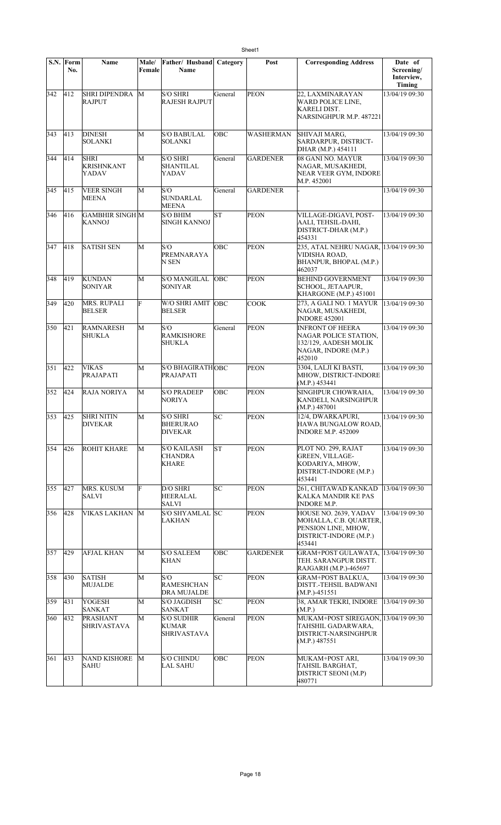|     | S.N. Form<br>No. | <b>Name</b>                               | Male/<br>Female | Father/ Husband<br>Name                                 | Category   | Post            | <b>Corresponding Address</b>                                                                                | Date of<br>Screening/<br>Interview,<br>Timing |
|-----|------------------|-------------------------------------------|-----------------|---------------------------------------------------------|------------|-----------------|-------------------------------------------------------------------------------------------------------------|-----------------------------------------------|
| 342 | 412              | <b>SHRI DIPENDRA</b><br><b>RAJPUT</b>     | M               | <b>S/O SHRI</b><br><b>RAJESH RAJPUT</b>                 | General    | <b>PEON</b>     | 22, LAXMINARAYAN<br>WARD POLICE LINE,<br>KARELI DIST.<br>NARSINGHPUR M.P. 487221                            | 13/04/19 09:30                                |
| 343 | 413              | <b>DINESH</b><br>SOLANKI                  | M               | <b>S/O BABULAL</b><br><b>SOLANKI</b>                    | OBC        | WASHERMAN       | SHIVAJI MARG.<br>SARDARPUR, DISTRICT-<br>DHAR (M.P.) 454111                                                 | 13/04/19 09:30                                |
| 344 | 414              | <b>SHRI</b><br><b>KRISHNKANT</b><br>YADAV | M               | <b>S/O SHRI</b><br>SHANTILAL<br>YADAV                   | General    | GARDENER        | 08 GANI NO. MAYUR<br>NAGAR, MUSAKHEDI,<br>NEAR VEER GYM, INDORE<br>M.P. 452001                              | 13/04/19 09:30                                |
| 345 | 415              | <b>VEER SINGH</b><br><b>MEENA</b>         | M               | S/O<br><b>SUNDARLAL</b><br><b>MEENA</b>                 | General    | <b>GARDENER</b> |                                                                                                             | 13/04/19 09:30                                |
| 346 | 416              | <b>GAMBHIR SINGH M</b><br><b>KANNOJ</b>   |                 | <b>S/O BHIM</b><br><b>SINGH KANNOJ</b>                  | <b>ST</b>  | <b>PEON</b>     | VILLAGE-DIGAVI, POST-<br>AALI, TEHSIL-DAHI,<br>DISTRICT-DHAR (M.P.)<br>454331                               | 13/04/19 09:30                                |
| 347 | 418              | <b>SATISH SEN</b>                         | M               | S/O<br>PREMNARAYA<br>N SEN                              | OBC        | <b>PEON</b>     | 235, ATAL NEHRU NAGAR, 13/04/19 09:30<br>VIDISHA ROAD,<br>BHANPUR, BHOPAL (M.P.)<br>462037                  |                                               |
| 348 | 419              | <b>KUNDAN</b><br><b>SONIYAR</b>           | M               | <b>S/O MANGILAL</b><br><b>SONIYAR</b>                   | <b>OBC</b> | <b>PEON</b>     | <b>BEHIND GOVERNMENT</b><br>SCHOOL, JETAAPUR,<br>KHARGONE (M.P.) 451001                                     | 13/04/19 09:30                                |
| 349 | 420              | <b>MRS. RUPALI</b><br><b>BELSER</b>       | F               | W/O SHRI AMIT  OBC<br><b>BELSER</b>                     |            | <b>COOK</b>     | 273, A GALI NO. 1 MAYUR<br>NAGAR, MUSAKHEDI,<br><b>INDORE 452001</b>                                        | 13/04/19 09:30                                |
| 350 | 421              | <b>RAMNARESH</b><br><b>SHUKLA</b>         | M               | S/O<br><b>RAMKISHORE</b><br>SHUKLA                      | General    | <b>PEON</b>     | <b>INFRONT OF HEERA</b><br>NAGAR POLICE STATION,<br>132/129, AADESH MOLIK<br>NAGAR, INDORE (M.P.)<br>452010 | 13/04/19 09:30                                |
| 351 | 422              | <b>VIKAS</b><br><b>PRAJAPATI</b>          | M               | <b>S/O BHAGIRATHOBC</b><br>PRAJAPATI                    |            | <b>PEON</b>     | 3304, LALJI KI BASTI,<br>MHOW, DISTRICT-INDORE<br>(M.P.) 453441                                             | 13/04/19 09:30                                |
| 352 | 424              | <b>RAJA NORIYA</b>                        | M               | <b>S/O PRADEEP</b><br><b>NORIYA</b>                     | OBC        | <b>PEON</b>     | SINGHPUR CHOWRAHA,<br>KANDELI, NARSINGHPUR<br>(M.P.) 487001                                                 | 13/04/19 09:30                                |
| 353 | 425              | <b>SHRI NITIN</b><br><b>DIVEKAR</b>       | M               | <b>S/O SHRI</b><br><b>BHERURAO</b><br><b>DIVEKAR</b>    | SC         | PEON            | 12/4, DWARKAPURI,<br>HAWA BUNGALOW ROAD,<br><b>INDORE M.P. 452009</b>                                       | 13/04/19 09:30                                |
| 354 | 426              | ROHIT KHARE                               | М               | <b>S/O KAILASH</b><br><b>CHANDRA</b><br><b>KHARE</b>    | lsт        | <b>PEON</b>     | PLOT NO. 299, RAJAT<br><b>GREEN, VILLAGE-</b><br>KODARIYA, MHOW.<br>DISTRICT-INDORE (M.P.)<br>453441        | 13/04/19 09:30                                |
| 355 | 427              | MRS. KUSUM<br><b>SALVI</b>                | F               | D/O SHRI<br><b>HEERALAL</b><br><b>SALVI</b>             | SC         | <b>PEON</b>     | 261, CHITAWAD KANKAD<br><b>KALKA MANDIR KE PAS</b><br><b>INDORE M.P.</b>                                    | 13/04/19 09:30                                |
| 356 | 428              | <b>VIKAS LAKHAN</b>                       | M               | <b>S/O SHYAMLAL</b><br><b>LAKHAN</b>                    | lsc        | <b>PEON</b>     | HOUSE NO. 2639, YADAV<br>MOHALLA, C.B. QUARTER,<br>PENSION LINE, MHOW,<br>DISTRICT-INDORE (M.P.)<br>453441  | 13/04/19 09:30                                |
| 357 | 429              | AFJAL KHAN                                | M               | <b>S/O SALEEM</b><br><b>KHAN</b>                        | OBC        | <b>GARDENER</b> | GRAM+POST GULAWATA,<br>TEH. SARANGPUR DISTT.<br>RAJGARH (M.P.)-465697                                       | 13/04/19 09:30                                |
| 358 | 430              | <b>SATISH</b><br><b>MUJALDE</b>           | M               | S/O<br><b>RAMESHCHAN</b><br>DRA MUJALDE                 | SC         | <b>PEON</b>     | <b>GRAM+POST BALKUA,</b><br>DISTT.-TEHSIL BADWANI<br>$(M.P.) -451551$                                       | 13/04/19 09:30                                |
| 359 | 431              | YOGESH<br>SANKAT                          | M               | <b>S/O JAGDISH</b><br>SANKAT                            | SC         | PEON            | 38, AMAR TEKRI, INDORE<br>(M.P.)                                                                            | 13/04/19 09:30                                |
| 360 | 432              | <b>PRASHANT</b><br><b>SHRIVASTAVA</b>     | M               | <b>S/O SUDHIR</b><br><b>KUMAR</b><br><b>SHRIVASTAVA</b> | General    | PEON            | MUKAM+POST SIREGAON, 13/04/19 09:30<br>TAHSHIL GADARWARA,<br>DISTRICT-NARSINGHPUR<br>(M.P.) 487551          |                                               |
| 361 | 433              | NAND KISHORE<br>SAHU                      | M               | <b>S/O CHINDU</b><br>LAL SAHU                           | OBC        | PEON            | MUKAM+POST ARI,<br>TAHSIL BARGHAT,<br>DISTRICT SEONI (M.P)<br>480771                                        | 13/04/19 09:30                                |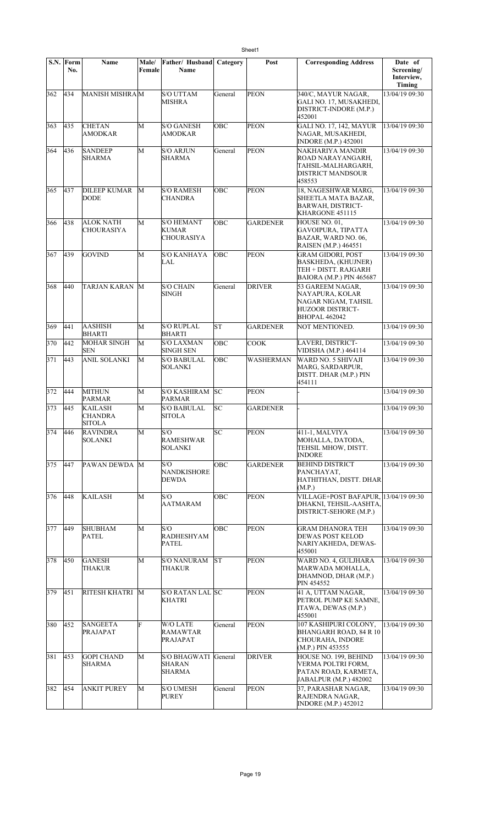|     | S.N. Form<br>No. | Name                                  | Male/<br>Female | Father/ Husband<br>Name                         | Category   | Post            | <b>Corresponding Address</b>                                                                                      | Date of<br>Screening/<br>Interview,<br>Timing |
|-----|------------------|---------------------------------------|-----------------|-------------------------------------------------|------------|-----------------|-------------------------------------------------------------------------------------------------------------------|-----------------------------------------------|
| 362 | 434              | MANISH MISHRAM                        |                 | <b>S/O UTTAM</b><br>MISHRA                      | General    | <b>PEON</b>     | 340/C, MAYUR NAGAR,<br>GALI NO. 17, MUSAKHEDI,<br>DISTRICT-INDORE (M.P.)<br>452001                                | 13/04/19 09:30                                |
| 363 | 435              | <b>CHETAN</b><br>AMODKAR              | M               | <b>S/O GANESH</b><br>AMODKAR                    | <b>OBC</b> | <b>PEON</b>     | <b>GALI NO. 17, 142, MAYUR</b><br>NAGAR, MUSAKHEDI,<br><b>INDORE</b> (M.P.) 452001                                | 13/04/19 09:30                                |
| 364 | 436              | <b>SANDEEP</b><br><b>SHARMA</b>       | M               | <b>S/O ARJUN</b><br>SHARMA                      | General    | <b>PEON</b>     | NAKHARIYA MANDIR<br>ROAD NARAYANGARH,<br>TAHSIL-MALHARGARH,<br><b>DISTRICT MANDSOUR</b><br>458553                 | 13/04/19 09:30                                |
| 365 | 437              | <b>DILEEP KUMAR</b><br>DODE           | M               | <b>S/O RAMESH</b><br><b>CHANDRA</b>             | <b>OBC</b> | <b>PEON</b>     | 18, NAGESHWAR MARG,<br>SHEETLA MATA BAZAR,<br><b>BARWAH, DISTRICT-</b><br>KHARGONE 451115                         | 13/04/19 09:30                                |
| 366 | 438              | <b>ALOK NATH</b><br><b>CHOURASIYA</b> | M               | <b>S/O HEMANT</b><br>KUMAR<br><b>CHOURASIYA</b> | <b>OBC</b> | <b>GARDENER</b> | HOUSE NO. 01.<br><b>GAVOIPURA, TIPATTA</b><br>BAZAR, WARD NO. 06,<br>RAISEN (M.P.) 464551                         | 13/04/19 09:30                                |
| 367 | 439              | <b>GOVIND</b>                         | M               | <b>S/O KANHAYA</b><br><b>LAL</b>                | OBC        | <b>PEON</b>     | <b>GRAM GIDORI, POST</b><br><b>BASKHEDA, (KHUJNER)</b><br>TEH + DISTT. RAJGARH<br><b>BAIORA (M.P.) PIN 465687</b> | 13/04/19 09:30                                |
| 368 | 440              | TARJAN KARAN M                        |                 | <b>S/O CHAIN</b><br><b>SINGH</b>                | General    | <b>DRIVER</b>   | 53 GAREEM NAGAR.<br>NAYAPURA, KOLAR<br>NAGAR NIGAM, TAHSIL<br>HUZOOR DISTRICT-<br><b>BHOPAL 462042</b>            | 13/04/19 09:30                                |
| 369 | 441              | AASHISH<br><b>BHARTI</b>              | M               | <b>S/O RUPLAL</b><br><b>BHARTI</b>              | lsт        | <b>GARDENER</b> | NOT MENTIONED.                                                                                                    | 13/04/19 09:30                                |
| 370 | 442              | <b>MOHAR SINGH</b><br><b>SEN</b>      | M               | <b>S/O LAXMAN</b><br><b>SINGH SEN</b>           | OBC        | COOK            | LAVERI, DISTRICT-<br>VIDISHA (M.P.) 464114                                                                        | 13/04/19 09:30                                |
| 371 | 443              | <b>ANIL SOLANKI</b>                   | M               | <b>S/O BABULAL</b><br>SOLANKI                   | OBC        | WASHERMAN       | WARD NO. 5 SHIVAJI<br>MARG, SARDARPUR,<br>DISTT. DHAR (M.P.) PIN<br>454111                                        | 13/04/19 09:30                                |
| 372 | 444              | <b>MITHUN</b><br><b>PARMAR</b>        | M               | <b>S/O KASHIRAM</b><br><b>PARMAR</b>            | <b>SC</b>  | <b>PEON</b>     |                                                                                                                   | 13/04/19 09:30                                |
| 373 | 445              | KAILASH<br><b>CHANDRA</b><br>SITOLA   | M               | <b>S/O BABULAL</b><br><b>SITOLA</b>             | SC         | <b>GARDENER</b> |                                                                                                                   | 13/04/19 09:30                                |
| 374 | 446              | <b>RAVINDRA</b><br><b>SOLANKI</b>     | M               | S/O<br><b>RAMESHWAR</b><br>SOLANKI              | SC         | PEON            | 411-1, MALVIYA<br>MOHALLA, DATODA,<br>TEHSIL MHOW, DISTT.<br><b>INDORE</b>                                        | 13/04/19 09:30                                |
| 375 | 447              | PAWAN DEWDA                           | M               | S/O<br><b>NANDKISHORE</b><br>DEWDA              | OBC        | <b>GARDENER</b> | <b>BEHIND DISTRICT</b><br>PANCHAYAT,<br>HATHITHAN, DISTT. DHAR<br>(M.P.)                                          | 13/04/19 09:30                                |
| 376 | 448              | <b>KAILASH</b>                        | М               | S/O<br>AATMARAM                                 | OBC        | <b>PEON</b>     | VILLAGE+POST BAFAPUR, 13/04/19 09:30<br>DHAKNI, TEHSIL-AASHTA,<br>DISTRICT-SEHORE (M.P.)                          |                                               |
| 377 | 449              | <b>SHUBHAM</b><br><b>PATEL</b>        | М               | S/O<br><b>RADHESHYAM</b><br>PATEL               | OBC        | <b>PEON</b>     | <b>GRAM DHANORA TEH</b><br><b>DEWAS POST KELOD</b><br>NARIYAKHEDA, DEWAS-<br>455001                               | 13/04/19 09:30                                |
| 378 | 450              | <b>GANESH</b><br>THAKUR               | М               | <b>S/O NANURAM</b><br>THAKUR                    | lsΤ        | <b>PEON</b>     | WARD NO. 4, GULJHARA<br>MARWADA MOHALLA,<br>DHAMNOD, DHAR (M.P.)<br>PIN 454552                                    | 13/04/19 09:30                                |
| 379 | 451              | <b>RITESH KHATRI</b>                  | M               | S/O RATAN LAL SC<br><b>KHATRI</b>               |            | <b>PEON</b>     | 41 A, UTTAM NAGAR,<br>PETROL PUMP KE SAMNE,<br>ITAWA, DEWAS (M.P.)<br>455001                                      | 13/04/19 09:30                                |
| 380 | 452              | <b>SANGEETA</b><br><b>PRAJAPAT</b>    | F               | <b>W/O LATE</b><br>RAMAWTAR<br>PRAJAPAT         | General    | PEON            | 107 KASHIPURI COLONY.<br>BHANGARH ROAD, 84 R 10<br>CHOURAHA, INDORE<br>(M.P.) PIN 453555                          | 13/04/19 09:30                                |
| 381 | 453              | <b>GOPI CHAND</b><br>SHARMA           | М               | <b>S/O BHAGWATI</b><br><b>SHARAN</b><br>SHARMA  | General    | <b>DRIVER</b>   | HOUSE NO. 199, BEHIND<br>VERMA POLTRI FORM,<br>PATAN ROAD, KARMETA,<br>JABALPUR (M.P.) 482002                     | 13/04/19 09:30                                |
| 382 | 454              | <b>ANKIT PUREY</b>                    | М               | <b>S/O UMESH</b><br><b>PUREY</b>                | General    | PEON            | 37, PARASHAR NAGAR,<br>RAJENDRA NAGAR,<br><b>INDORE</b> (M.P.) 452012                                             | 13/04/19 09:30                                |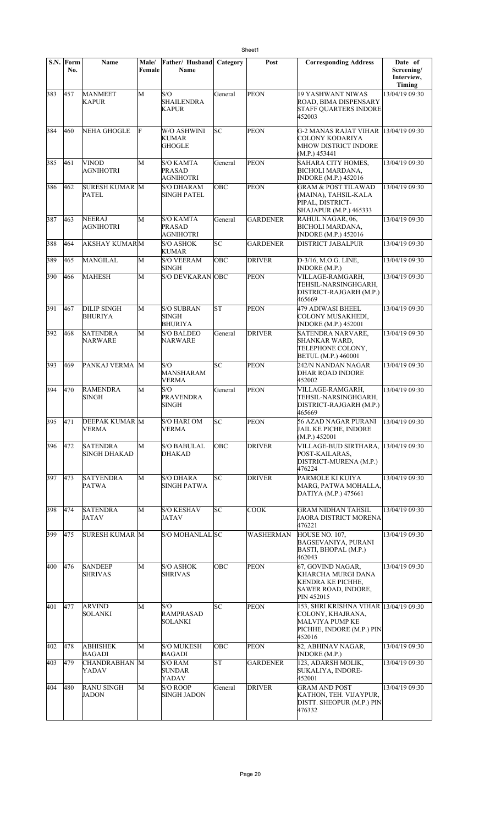|           | S.N. Form<br>No. | <b>Name</b>                            | Male/<br>Female | Father/ Husband<br>Name                         | Category | Post            | <b>Corresponding Address</b>                                                                                                 | Date of<br>Screening/<br>Interview,<br>Timing |
|-----------|------------------|----------------------------------------|-----------------|-------------------------------------------------|----------|-----------------|------------------------------------------------------------------------------------------------------------------------------|-----------------------------------------------|
| 383       | 457              | <b>MANMEET</b><br><b>KAPUR</b>         | M               | S/O<br><b>SHAILENDRA</b><br><b>KAPUR</b>        | General  | <b>PEON</b>     | <b>19 YASHWANT NIWAS</b><br>ROAD. BIMA DISPENSARY<br><b>STAFF QUARTERS INDORE</b><br>452003                                  | 13/04/19 09:30                                |
| 384       | 460              | <b>NEHA GHOGLE</b>                     | F               | W/O ASHWINI<br><b>KUMAR</b><br><b>GHOGLE</b>    | lsс      | <b>PEON</b>     | G-2 MANAS RAJAT VIHAR<br>COLONY KODARIYA<br><b>MHOW DISTRICT INDORE</b><br>(M.P.) 453441                                     | 13/04/19 09:30                                |
| 385       | 461              | VINOD<br><b>AGNIHOTRI</b>              | M               | <b>S/O KAMTA</b><br><b>PRASAD</b><br>AGNIHOTRI  | General  | <b>PEON</b>     | SAHARA CITY HOMES,<br><b>BICHOLI MARDANA.</b><br><b>INDORE</b> (M.P.) 452016                                                 | 13/04/19 09:30                                |
| 386       | 462              | <b>SURESH KUMAR M</b><br><b>PATEL</b>  |                 | <b>S/O DHARAM</b><br><b>SINGH PATEL</b>         | OBC      | <b>PEON</b>     | <b>GRAM &amp; POST TILAWAD</b><br>(MAINA), TAHSIL-KALA<br>PIPAL, DISTRICT-<br>SHAJAPUR (M.P.) 465333                         | 13/04/19 09:30                                |
| 387       | 463              | <b>NEERAJ</b><br><b>AGNIHOTRI</b>      | M               | <b>S/O KAMTA</b><br><b>PRASAD</b><br>AGNIHOTRI  | General  | <b>GARDENER</b> | RAHUL NAGAR, 06,<br><b>BICHOLI MARDANA.</b><br><b>INDORE</b> (M.P.) 452016                                                   | 13/04/19 09:30                                |
| 388       | 464              | <b>AKSHAY KUMARM</b>                   |                 | <b>S/O ASHOK</b><br><b>KUMAR</b>                | lsс      | <b>GARDENER</b> | <b>DISTRICT JABALPUR</b>                                                                                                     | 13/04/19 09:30                                |
| 389       | 465              | MANGILAL                               | M               | <b>S/O VEERAM</b><br><b>SINGH</b>               | OBC      | <b>DRIVER</b>   | D-3/16, M.O.G. LINE,<br><b>INDORE</b> (M.P.)                                                                                 | 13/04/19 09:30                                |
| 390       | 466              | <b>MAHESH</b>                          | M               | S/O DEVKARAN OBC                                |          | PEON            | VILLAGE-RAMGARH,<br>TEHSIL-NARSINGHGARH,<br>DISTRICT-RAJGARH (M.P.)<br>465669                                                | 13/04/19 09:30                                |
| 391       | 467              | <b>DILIP SINGH</b><br>BHURIYA          | M               | <b>S/O SUBRAN</b><br>SINGH<br><b>BHURIYA</b>    | lst      | <b>PEON</b>     | 479 ADIWASI BHEEL<br>COLONY MUSAKHEDI,<br><b>INDORE</b> (M.P.) 452001                                                        | 13/04/19 09:30                                |
| 392       | 468              | <b>SATENDRA</b><br>NARWARE             | M               | <b>S/O BALDEO</b><br>NARWARE                    | General  | <b>DRIVER</b>   | <b>SATENDRA NARVARE,</b><br><b>SHANKAR WARD,</b><br>TELEPHONE COLONY,<br><b>BETUL (M.P.) 460001</b>                          | 13/04/19 09:30                                |
| 393       | 469              | PANKAJ VERMA M                         |                 | S/O<br><b>MANSHARAM</b><br>VERMA                | lsс      | PEON            | 242/N NANDAN NAGAR<br>DHAR ROAD INDORE<br>452002                                                                             | 13/04/19 09:30                                |
| 394       | 470              | <b>RAMENDRA</b><br><b>SINGH</b>        | M               | S/O<br><b>PRAVENDRA</b><br><b>SINGH</b>         | General  | <b>PEON</b>     | VILLAGE-RAMGARH,<br>TEHSIL-NARSINGHGARH,<br>DISTRICT-RAJGARH (M.P.)<br>465669                                                | 13/04/19 09:30                                |
| $395$ 471 |                  | <b>DEEPAK KUMAR M</b><br>VERMA         |                 | S/O HARI OM<br>VERMA                            | SC       | <b>PEON</b>     | 56 AZAD NAGAR PURANI 13/04/19 09:30<br>JAIL KE PICHE, INDORE<br>(M.P.) 452001                                                |                                               |
| 396       | 472              | <b>SATENDRA</b><br><b>SINGH DHAKAD</b> | M               | <b>S/O BABULAL</b><br><b>DHAKAD</b>             | OBC      | <b>DRIVER</b>   | VILLAGE-BUD SIRTHARA,<br>POST-KAILARAS,<br>DISTRICT-MURENA (M.P.)<br>476224                                                  | 13/04/19 09:30                                |
| 397       | 473              | <b>SATYENDRA</b><br><b>PATWA</b>       | М               | <b>S/O DHARA</b><br>SINGH PATWA                 | SC       | <b>DRIVER</b>   | PARMOLE KI KUIYA<br>MARG, PATWA MOHALLA,<br>DATIYA (M.P.) 475661                                                             | 13/04/19 09:30                                |
| 398       | 474              | <b>SATENDRA</b><br>JATAV               | М               | <b>S/O KESHAV</b><br>JATAV                      | lsc      | <b>COOK</b>     | <b>GRAM NIDHAN TAHSIL</b><br>JAORA DISTRICT MORENA<br>476221                                                                 | 13/04/19 09:30                                |
| 399       | 475              | <b>SURESH KUMAR M</b>                  |                 | S/O MOHANLAL SC                                 |          | WASHERMAN       | HOUSE NO. 107,<br><b>BAGSEVANIYA, PURANI</b><br>BASTI, BHOPAL (M.P.)<br>462043                                               | 13/04/19 09:30                                |
| 400       | 476              | <b>SANDEEP</b><br><b>SHRIVAS</b>       | М               | <b>S/O ASHOK</b><br>SHRIVAS                     | OBC      | PEON            | 67, GOVIND NAGAR,<br>KHARCHA MURGI DANA<br>KENDRA KE PICHHE,<br>SAWER ROAD, INDORE,<br>PIN 452015                            | 13/04/19 09:30                                |
| 401       | 477              | ARVIND<br><b>SOLANKI</b>               | М               | S/O<br><b>RAMPRASAD</b><br><b>SOLANKI</b>       | SC       | <b>PEON</b>     | 153, SHRI KRISHNA VIHAR 13/04/19 09:30<br>COLONY, KHAJRANA,<br><b>MALVIYA PUMP KE</b><br>PICHHE, INDORE (M.P.) PIN<br>452016 |                                               |
| 402       | 478              | <b>ABHISHEK</b><br><b>BAGADI</b>       | М               | <b>S/O MUKESH</b><br><b>BAGADI</b>              | OBC      | <b>PEON</b>     | 82, ABHINAV NAGAR,<br><b>INDORE</b> (M.P.)                                                                                   | 13/04/19 09:30                                |
| 403       | 479              | <b>CHANDRABHAN</b> M<br><b>YADAV</b>   |                 | <b>S/O RAM</b><br><b>SUNDAR</b><br><b>YADAV</b> | lsт      | GARDENER        | 123, ADARSH MOLIK,<br>SUKALIYA, INDORE-<br>452001                                                                            | 13/04/19 09:30                                |
| 404       | 480              | <b>RANU SINGH</b><br><b>JADON</b>      | M               | <b>S/O ROOP</b><br><b>SINGH JADON</b>           | General  | <b>DRIVER</b>   | <b>GRAM AND POST</b><br>KATHON, TEH. VIJAYPUR,<br>DISTT. SHEOPUR (M.P.) PIN<br>476332                                        | 13/04/19 09:30                                |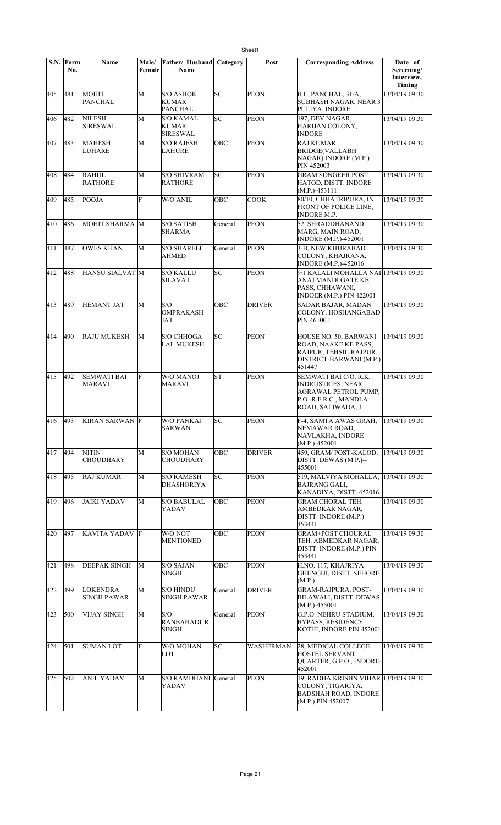|     | S.N. Form<br>No. | Name                                | Male/<br>Female | Father/ Husband<br>Name                             | Category  | Post             | <b>Corresponding Address</b>                                                                                            | Date of<br>Screening/ |
|-----|------------------|-------------------------------------|-----------------|-----------------------------------------------------|-----------|------------------|-------------------------------------------------------------------------------------------------------------------------|-----------------------|
|     |                  |                                     |                 |                                                     |           |                  |                                                                                                                         | Interview,<br>Timing  |
| 405 | 481              | <b>MOHIT</b><br><b>PANCHAL</b>      | М               | <b>S/O ASHOK</b><br><b>KUMAR</b><br><b>PANCHAL</b>  | SC        | <b>PEON</b>      | B.L. PANCHAL, 31/A,<br><b>SUBHASH NAGAR, NEAR 3</b><br>PULIYA, INDORE                                                   | 13/04/19 09:30        |
| 406 | 482              | <b>NILESH</b><br><b>SIRESWAL</b>    | M               | <b>S/O KAMAL</b><br><b>KUMAR</b><br><b>SIRESWAL</b> | SC        | <b>PEON</b>      | 197, DEV NAGAR,<br>HARIJAN COLONY,<br><b>INDORE</b>                                                                     | 13/04/19 09:30        |
| 407 | 483              | <b>MAHESH</b><br>LUHARE             | M               | <b>S/O RAJESH</b><br>LAHURE                         | OBC       | <b>PEON</b>      | <b>RAJ KUMAR</b><br><b>BRIDGE(VALLABH</b><br>NAGAR) INDORE (M.P.)<br>PIN 452003                                         | 13/04/19 09:30        |
| 408 | 484              | <b>RAHUL</b><br><b>RATHORE</b>      | M               | <b>S/O SHIVRAM</b><br><b>RATHORE</b>                | SC        | <b>PEON</b>      | GRAM SONGEER POST<br>HATOD, DISTT. INDORE<br>$(M.P.)-453111$                                                            | 13/04/19 09:30        |
| 409 | 485              | POOJA                               | Ė               | W/O ANIL                                            | OBC       | <b>COOK</b>      | 80/10, CHHATRIPURA, IN<br>FRONT OF POLICE LINE,<br><b>INDORE M.P.</b>                                                   | 13/04/19 09:30        |
| 410 | 486              | MOHIT SHARMA M                      |                 | <b>S/O SATISH</b><br><b>SHARMA</b>                  | General   | <b>PEON</b>      | 52, SHRADDHANAND<br>MARG, MAIN ROAD,<br><b>INDORE</b> (M.P.)-452001                                                     | 13/04/19 09:30        |
| 411 | 487              | <b>OWES KHAN</b>                    | M               | <b>S/O SHAREEF</b><br>AHMED                         | General   | <b>PEON</b>      | 3-B, NEW KHIJRABAD<br>COLONY, KHAJRANA,<br><b>INDORE</b> (M.P.)-452016                                                  | 13/04/19 09:30        |
| 412 | 488              | <b>HANSU SIALVAT M</b>              |                 | <b>S/O KALLU</b><br><b>SILAVAT</b>                  | SC        | <b>PEON</b>      | 9/1 KALALI MOHALLA NAI 13/04/19 09:30<br>ANAJ MANDI GATE KE<br>PASS, CHHAWANI,<br>INDOER (M.P.) PIN 422001              |                       |
| 413 | 489              | HEMANT JAT                          | M               | S/O<br><b>OMPRAKASH</b><br>JAT                      | OBC       | <b>DRIVER</b>    | SADAR BAJAR, MADAN<br>COLONY, HOSHANGABAD<br>PIN 461001                                                                 | 13/04/19 09:30        |
| 414 | 490              | <b>RAJU MUKESH</b>                  | M               | <b>S/O CHHOGA</b><br><b>LAL MUKESH</b>              | lsс       | <b>PEON</b>      | HOUSE NO. 50, BARWANI<br>ROAD, NAAKE KE PASS,<br>RAJPUR, TEHSIL-RAJPUR,<br>DISTRICT-BARWANI (M.P.)<br>451447            | 13/04/19 09:30        |
| 415 | 492              | <b>SEMWATI BAI</b><br><b>MARAVI</b> | F               | <b>W/O MANOJ</b><br><b>MARAVI</b>                   | <b>ST</b> | <b>PEON</b>      | SEMWATI BAI C/O. R.K.<br><b>INDRUSTRIES, NEAR</b><br>AGRAWAL PETROL PUMP,<br>P.O.-R.F.R.C., MANDLA<br>ROAD, SALIWADA, J | 13/04/19 09:30        |
| 416 | 493              | <b>KIRAN SARWAN F</b>               |                 | <b>W/O PANKAJ</b><br><b>SARWAN</b>                  | lsс       | <b>PEON</b>      | F-4, SAMTA AWAS GRAH,<br>NEMAWAR ROAD,<br>NAVLAKHA, INDORE<br>$(M.P.)-452001$                                           | 13/04/19 09:30        |
| 417 | 494              | <b>NITIN</b><br><b>CHOUDHARY</b>    | М               | <b>S/O MOHAN</b><br><b>CHOUDHARY</b>                | OBC       | <b>DRIVER</b>    | 459. GRAM/POST-KALOD.<br>DISTT. DEWAS (M.P.)--<br>455001                                                                | 13/04/19 09:30        |
| 418 | 495              | RAJ KUMAR                           | M               | <b>S/O RAMESH</b><br><b>DHASHORIYA</b>              | SC        | <b>PEON</b>      | 519, MALVIYA MOHALLA,<br><b>BAJRANG GALI,</b><br>KANADIYA, DISTT. 452016                                                | 13/04/19 09:30        |
| 419 | 496              | JAIKI YADAV                         | М               | <b>S/O BABULAL</b><br>YADAV                         | OBC       | <b>PEON</b>      | <b>GRAM CHORAL TEH.</b><br>AMBEDKAR NAGAR,<br>DISTT. INDORE (M.P.)<br>453441                                            | 13/04/19 09:30        |
| 420 | 497              | KAVITA YADAV F                      |                 | W/O NOT<br><b>MENTIONED</b>                         | OBC       | <b>PEON</b>      | GRAM+POST CHOURAL<br>TEH. ABMEDKAR NAGAR,<br>DISTT. INDORE (M.P.) PIN<br>453441                                         | 13/04/19 09:30        |
| 421 | 498              | <b>DEEPAK SINGH</b>                 | М               | <b>S/O SAJAN</b><br><b>SINGH</b>                    | OBC       | <b>PEON</b>      | H.NO. 117, KHAJRIYA<br>GHENGHI, DISTT. SEHORE<br>(M.P.)                                                                 | 13/04/19 09:30        |
| 422 | 499              | LOKENDRA<br><b>SINGH PAWAR</b>      | M               | <b>S/O HINDU</b><br><b>SINGH PAWAR</b>              | General   | <b>DRIVER</b>    | <b>GRAM-RAJPURA, POST-</b><br><b>BILAWALI, DISTT. DEWAS</b><br>$(M.P.)-455001$                                          | 13/04/19 09:30        |
| 423 | 500              | VIJAY SINGH                         | M               | S/O<br><b>RANBAHADUR</b><br><b>SINGH</b>            | General   | <b>PEON</b>      | <b>G.P.O. NEHRU STADIUM,</b><br><b>BYPASS, RESIDENCY</b><br>KOTHI, INDORE PIN 452001                                    | 13/04/19 09:30        |
| 424 | 501              | <b>SUMAN LOT</b>                    | F               | W/O MOHAN<br>LOT                                    | SC        | <b>WASHERMAN</b> | 28, MEDICAL COLLEGE<br><b>HOSTEL SERVANT</b><br>QUARTER, G.P.O., INDORE-<br>452001                                      | 13/04/19 09:30        |
| 425 | 502              | ANIL YADAV                          | М               | S/O RAMDHANI General<br>YADAV                       |           | <b>PEON</b>      | 19, RADHA KRISHN VIHAR 13/04/19 09:30<br>COLONY, TIGARIYA,<br><b>BADSHAH ROAD, INDORE</b><br>(M.P.) PIN 452007          |                       |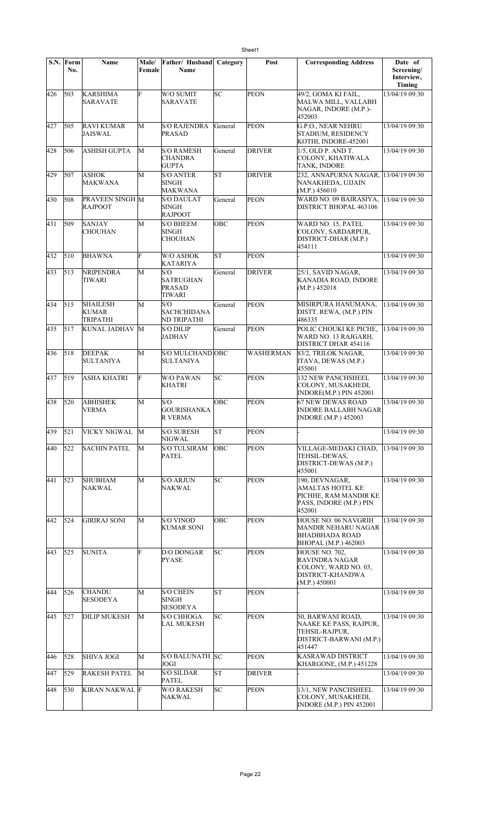|     | S.N. Form<br>No. | <b>Name</b>                                        | Male/<br>Female | Father/ Husband<br>Name                             | Category   | Post             | <b>Corresponding Address</b>                                                                            | Date of<br>Screening/ |
|-----|------------------|----------------------------------------------------|-----------------|-----------------------------------------------------|------------|------------------|---------------------------------------------------------------------------------------------------------|-----------------------|
|     |                  |                                                    |                 |                                                     |            |                  |                                                                                                         | Interview,<br>Timing  |
| 426 | 503              | <b>KARSHIMA</b><br>SARAVATE                        | F               | W/O SUMIT<br>SARAVATE                               | lsc        | <b>PEON</b>      | 49/2, GOMA KI FAIL,<br>MALWA MILL, VALLABH<br>NAGAR, INDORE (M.P.)-<br>452003                           | 13/04/19 09:30        |
| 427 | 505              | <b>RAVI KUMAR</b><br>JAISWAL                       | М               | <b>S/O RAJENDRA</b><br><b>PRASAD</b>                | General    | <b>PEON</b>      | G.P.O., NEAR NEHRU<br><b>STADIUM, RESIDENCY</b><br>KOTHI, INDORE-452001                                 | 13/04/19 09:30        |
| 428 | 506              | ASHISH GUPTA                                       | М               | <b>S/O RAMESH</b><br><b>CHANDRA</b><br><b>GUPTA</b> | General    | <b>DRIVER</b>    | 1/5, OLD P. AND T.<br>COLONY, KHATIWALA<br><b>TANK, INDORE</b>                                          | 13/04/19 09:30        |
| 429 | 507              | ASHOK<br>MAKWANA                                   | M               | <b>S/O ANTER</b><br><b>SINGH</b><br>MAKWANA         | lsτ        | <b>DRIVER</b>    | 232, ANNAPURNA NAGAR,<br>NANAKHEDA, UJJAIN<br>(M.P.) 456010                                             | 13/04/19 09:30        |
| 430 | 508              | PRAVEEN SINGH M<br><b>RAJPOOT</b>                  |                 | <b>S/O DAULAT</b><br><b>SINGH</b><br><b>RAJPOOT</b> | General    | <b>PEON</b>      | WARD NO. 09 BAIRASIYA,<br>DISTRICT BHOPAL 463106                                                        | 13/04/19 09:30        |
| 431 | 509              | <b>SANJAY</b><br>CHOUHAN                           | M               | <b>S/O BHEEM</b><br><b>SINGH</b><br><b>CHOUHAN</b>  | <b>OBC</b> | <b>PEON</b>      | WARD NO. 15, PATEL<br>COLONY, SARDARPUR,<br>DISTRICT-DHAR (M.P.)<br>454111                              | 13/04/19 09:30        |
| 432 | $\vert$ 510      | <b>BHAWNA</b>                                      | F               | W/O ASHOK<br>KATARIYA                               | lst        | <b>PEON</b>      |                                                                                                         | 13/04/19 09:30        |
| 433 | 513              | <b>NRIPENDRA</b><br>TIWARI                         | M               | S/O<br><b>SATRUGHAN</b><br><b>PRASAD</b><br>TIWARI  | General    | <b>DRIVER</b>    | 25/1, SAVID NAGAR,<br>KANADIA ROAD, INDORE<br>(M.P.) 452018                                             | 13/04/19 09:30        |
| 434 | 515              | <b>SHAILESH</b><br><b>KUMAR</b><br><b>TRIPATHI</b> | M               | S/O<br><b>SACHCHIDANA</b><br>ND TRIPATHI            | General    | <b>PEON</b>      | MISIRPURA HANUMANA,<br>DISTT. REWA, (M.P.) PIN<br>486335                                                | 13/04/19 09:30        |
| 435 | 517              | KUNAL JADHAV                                       | M               | <b>S/O DILIP</b><br>JADHAV                          | General    | <b>PEON</b>      | POLIC CHOUKI KE PICHE,<br>WARD NO. 13 RAJGARH,<br>DISTRICT DHAR 454116                                  | 13/04/19 09:30        |
| 436 | 518              | <b>DEEPAK</b><br><b>SULTANIYA</b>                  | M               | S/O MULCHAND OBC<br><b>SULTANIYA</b>                |            | <b>WASHERMAN</b> | 83/2, TRILOK NAGAR,<br>ITAVA, DEWAS (M.P.)<br>455001                                                    | 13/04/19 09:30        |
| 437 | 519              | <b>ASHA KHATRI</b>                                 | F               | <b>W/O PAWAN</b><br><b>KHATRI</b>                   | lsс        | <b>PEON</b>      | <b>132 NEW PANCHSHEEL</b><br>COLONY, MUSAKHEDI,<br>INDORE(M.P.) PIN 452001                              | 13/04/19 09:30        |
| 438 | 520              | <b>ABHISHEK</b><br>VERMA                           | M               | S/O<br><b>GOURISHANKA</b><br>R VERMA                | OBC        | <b>PEON</b>      | <b>67 NEW DEWAS ROAD</b><br><b>INDORE BALLABH NAGAR</b><br><b>INDORE</b> (M.P.) 452003                  | 13/04/19 09:30        |
| 439 | 521              | VICKY NIGWAL                                       | M               | <b>S/O SURESH</b><br>NIGWAL                         | ST         | PEON             |                                                                                                         | 13/04/19 09:30        |
| 440 | 522              | <b>SACHIN PATEL</b>                                | M               | <b>S/O TULSIRAM</b><br><b>PATEL</b>                 | OBC        | <b>PEON</b>      | VILLAGE-MEDAKI CHAD,<br>TEHSIL-DEWAS,<br>DISTRICT-DEWAS (M.P.)<br>455001                                | 13/04/19 09:30        |
| 441 | 523              | <b>SHUBHAM</b><br>NAKWAL                           | M               | <b>S/O ARJUN</b><br><b>NAKWAL</b>                   | SC         | <b>PEON</b>      | 190, DEVNAGAR,<br><b>AMALTAS HOTEL KE</b><br>PICHHE, RAM MANDIR KE<br>PASS, INDORE (M.P.) PIN<br>452001 | 13/04/19 09:30        |
| 442 | 524              | <b>GIRIRAJ SONI</b>                                | M               | <b>S/O VINOD</b><br><b>KUMAR SONI</b>               | OBC        | <b>PEON</b>      | HOUSE NO. 06 NAVGRIH<br><b>MANDIR NEHARU NAGAR</b><br><b>BHADBHADA ROAD</b><br>BHOPAL (M.P.) 462003     | 13/04/19 09:30        |
| 443 | 525              | <b>SUNITA</b>                                      | F               | D/O DONGAR<br><b>PYASE</b>                          | lsс        | <b>PEON</b>      | HOUSE NO. 702.<br>RAVINDRA NAGAR<br>COLONY, WARD NO. 03,<br><b>DISTRICT-KHANDWA</b><br>(M.P.) 450001    | 13/04/19 09:30        |
| 444 | 526              | <b>CHANDU</b><br><b>SESODEYA</b>                   | M               | <b>S/O CHEIN</b><br><b>SINGH</b><br><b>SESODEYA</b> | lΣ         | <b>PEON</b>      |                                                                                                         | 13/04/19 09:30        |
| 445 | 527              | <b>DILIP MUKESH</b>                                | М               | <b>S/O CHHOGA</b><br>LAL MUKESH                     | SC         | <b>PEON</b>      | 50, BARWANI ROAD,<br>NAAKE KE PASS, RAJPUR,<br>TEHSIL-RAJPUR,<br>DISTRICT-BARWANI (M.P.)<br>451447      | 13/04/19 09:30        |
| 446 | 528              | <b>SHIVA JOGI</b>                                  | М               | <b>S/O BALUNATH SC</b><br>JOGI                      |            | PEON             | <b>KASRAWAD DISTRICT</b><br>KHARGONE, (M.P.) 451228                                                     | 13/04/19 09:30        |
| 447 | 529              | <b>RAKESH PATEL</b>                                | M               | <b>S/O SILDAR</b><br><b>PATEL</b>                   | ST         | <b>DRIVER</b>    |                                                                                                         | 13/04/19 09:30        |
| 448 | 530              | KIRAN NAKWAL F                                     |                 | <b>W/O RAKESH</b><br><b>NAKWAL</b>                  | SC         | <b>PEON</b>      | 13/1, NEW PANCHSHEEL<br>COLONY, MUSAKHEDI,<br>INDORE (M.P.) PIN 452001                                  | 13/04/19 09:30        |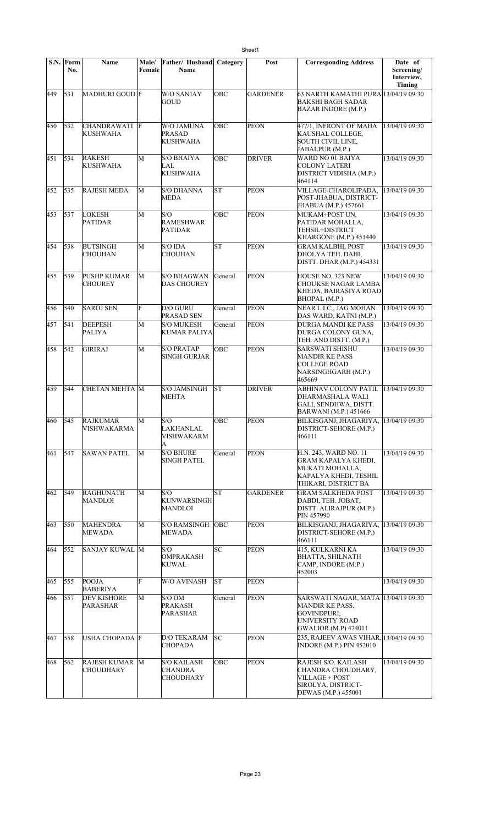|     | S.N. Form<br>No. | <b>Name</b>                               | Male/<br>Female | Father/ Husband Category<br>Name                         |            | Post            | <b>Corresponding Address</b>                                                                                                   | Date of<br>Screening/<br>Interview,<br><b>Timing</b> |
|-----|------------------|-------------------------------------------|-----------------|----------------------------------------------------------|------------|-----------------|--------------------------------------------------------------------------------------------------------------------------------|------------------------------------------------------|
| 449 | 531              | MADHURI GOUD F                            |                 | <b>W/O SANJAY</b><br>GOUD                                | OBC        | <b>GARDENER</b> | 63 NARTH KAMATHI PURA 13/04/19 09:30<br><b>BAKSHI BAGH SADAR</b><br><b>BAZAR INDORE (M.P.)</b>                                 |                                                      |
| 450 | 532              | <b>CHANDRAWATI</b><br><b>KUSHWAHA</b>     | F               | W/O JAMUNA<br><b>PRASAD</b><br><b>KUSHWAHA</b>           | <b>OBC</b> | <b>PEON</b>     | 477/1, INFRONT OF MAHA<br>KAUSHAL COLLEGE,<br>SOUTH CIVIL LINE,<br>JABALPUR (M.P.)                                             | 13/04/19 09:30                                       |
| 451 | 534              | <b>RAKESH</b><br><b>KUSHWAHA</b>          | М               | <b>S/O BHAIYA</b><br>LAL<br>KUSHWAHA                     | OBC        | <b>DRIVER</b>   | WARD NO 01 BAIYA<br><b>COLONY LATERI</b><br>DISTRICT VIDISHA (M.P.)<br>464114                                                  | 13/04/19 09:30                                       |
| 452 | 535              | <b>RAJESH MEDA</b>                        | M               | <b>S/O DHANNA</b><br><b>MEDA</b>                         | lsт        | <b>PEON</b>     | VILLAGE-CHAROLIPADA,<br>POST-JHABUA, DISTRICT-<br>JHABUA (M.P.) 457661                                                         | 13/04/19 09:30                                       |
| 453 | 537              | <b>LOKESH</b><br><b>PATIDAR</b>           | M               | S/O<br><b>RAMESHWAR</b><br><b>PATIDAR</b>                | OBC        | <b>PEON</b>     | MUKAM+POST UN,<br>PATIDAR MOHALLA,<br>TEHSIL+DISTRICT<br>KHARGONE (M.P.) 451440                                                | 13/04/19 09:30                                       |
| 454 | 538              | <b>BUTSINGH</b><br><b>CHOUHAN</b>         | М               | S/O IDA<br>CHOUHAN                                       | <b>ST</b>  | <b>PEON</b>     | <b>GRAM KALBHI, POST</b><br>DHOLYA TEH. DAHI,<br>DISTT. DHAR (M.P.) 454331                                                     | 13/04/19 09:30                                       |
| 455 | 539              | <b>PUSHP KUMAR</b><br><b>CHOUREY</b>      | М               | <b>S/O BHAGWAN</b><br><b>DAS CHOUREY</b>                 | General    | <b>PEON</b>     | HOUSE NO. 323 NEW<br>CHOUKSE NAGAR LAMBA<br>KHEDA, BAIRASIYA ROAD<br>BHOPAL (M.P.)                                             | 13/04/19 09:30                                       |
| 456 | 540              | <b>SAROJ SEN</b>                          | F               | D/O GURU<br>PRASAD SEN                                   | General    | <b>PEON</b>     | NEAR L.I.C., JAG MOHAN<br>DAS WARD, KATNI (M.P.)                                                                               | 13/04/19 09:30                                       |
| 457 | 541              | <b>DEEPESH</b><br><b>PALIYA</b>           | М               | <b>S/O MUKESH</b><br>KUMAR PALIYA                        | General    | <b>PEON</b>     | DURGA MANDI KE PASS<br>DURGA COLONY GUNA,<br>TEH. AND DISTT. (M.P.)                                                            | 13/04/19 09:30                                       |
| 458 | 542              | GIRIRAJ                                   | М               | <b>S/O PRATAP</b><br>SINGH GURJAR                        | OBC        | <b>PEON</b>     | SARSWATI SHISHU<br>MANDIR KE PASS<br>COLLEGE ROAD<br>NARSINGHGARH (M.P.)<br>465669                                             | 13/04/19 09:30                                       |
| 459 | 544              | CHETAN MEHTA M                            |                 | <b>S/O JAMSINGH</b><br><b>MEHTA</b>                      | lst        | <b>DRIVER</b>   | ABHINAV COLONY PATIL<br>DHARMASHALA WALI<br>GALI, SENDHWA, DISTT.<br><b>BARWANI</b> (M.P.) 451666                              | 13/04/19 09:30                                       |
|     |                  | 460 545 RAJKUMAR<br><b>VISHWAKARMA</b>    | $\overline{M}$  | S/O<br><b>LAKHANLAL</b><br>VISHWAKARM<br>A               | OBC        | <b>PEON</b>     | BILKISGANJ, JHAGARIYA, 13/04/19 09:30<br>DISTRICT-SEHORE (M.P.)<br>466111                                                      |                                                      |
| 461 | 547              | <b>SAWAN PATEL</b>                        | М               | <b>S/O BHURE</b><br><b>SINGH PATEL</b>                   | General    | <b>PEON</b>     | H.N. 243, WARD NO. 11<br><b>GRAM KAPALYA KHEDI,</b><br>MUKATI MOHALLA,<br>KAPALYA KHEDI, TESHIL<br>THIKARI, DISTRICT BA        | 13/04/19 09:30                                       |
| 462 | 549              | <b>RAGHUNATH</b><br>MANDLOI               | M               | S/O<br><b>KUNWARSINGH</b><br><b>MANDLOI</b>              | ST         | <b>GARDENER</b> | <b>GRAM SALKHEDA POST</b><br>DABDI, TEH. JOBAT,<br>DISTT. ALIRAJPUR (M.P.)<br>PIN 457990                                       | 13/04/19 09:30                                       |
| 463 | 550              | <b>MAHENDRA</b><br><b>MEWADA</b>          | M               | <b>S/O RAMSINGH</b><br>MEWADA                            | OBC        | <b>PEON</b>     | BILKISGANJ, JHAGARIYA,<br>DISTRICT-SEHORE (M.P.)<br>466111                                                                     | 13/04/19 09:30                                       |
| 464 | 552              | SANJAY KUWAL M                            |                 | S/O<br>OMPRAKASH<br><b>KUWAL</b>                         | SC         | <b>PEON</b>     | 415, KULKARNI KA<br><b>BHATTA, SHILNATH</b><br>CAMP, INDORE (M.P.)<br>452003                                                   | 13/04/19 09:30                                       |
| 465 | 555              | POOJA<br><b>BABERIYA</b>                  | F               | W/O AVINASH                                              | SΤ         | <b>PEON</b>     |                                                                                                                                | 13/04/19 09:30                                       |
| 466 | 557              | <b>DEV KISHORE</b><br><b>PARASHAR</b>     | M               | S/O OM<br>PRAKASH<br><b>PARASHAR</b>                     | General    | PEON            | SARSWATI NAGAR, MATA 13/04/19 09:30<br><b>MANDIR KE PASS,</b><br>GOVINDPURI,<br>UNIVERSITY ROAD<br><b>GWALIOR</b> (M.P) 474011 |                                                      |
| 467 | 558              | USHA CHOPADA F                            |                 | <b>D/O TEKARAM</b><br><b>CHOPADA</b>                     | SC         | <b>PEON</b>     | 235, RAJEEV AWAS VIHAR, 13/04/19 09:30<br><b>INDORE (M.P.) PIN 452010</b>                                                      |                                                      |
| 468 | 562              | <b>RAJESH KUMAR M</b><br><b>CHOUDHARY</b> |                 | <b>S/O KAILASH</b><br><b>CHANDRA</b><br><b>CHOUDHARY</b> | OBC        | <b>PEON</b>     | RAJESH S/O. KAILASH<br>CHANDRA CHOUDHARY,<br>VILLAGE + POST<br>SIROLYA, DISTRICT-<br>DEWAS (M.P.) 455001                       | 13/04/19 09:30                                       |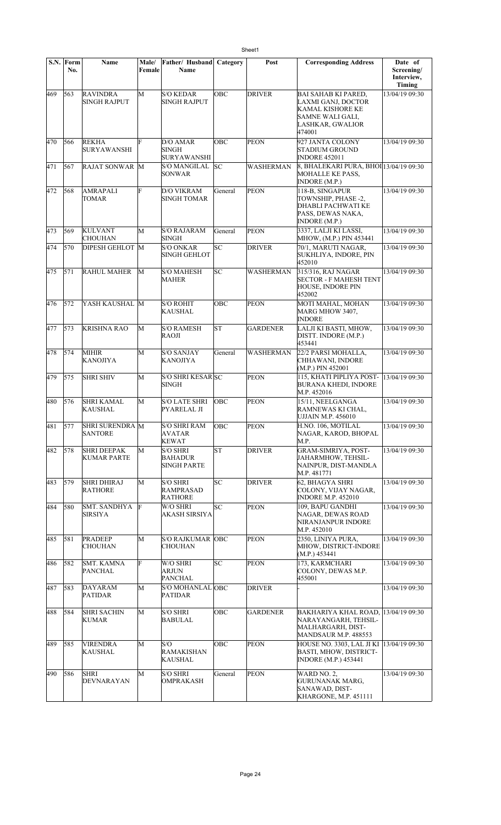|     | S.N. Form<br>No. | Name                                     | Male/<br>Female | Father/Husband<br>Name                                  | Category   | Post             | <b>Corresponding Address</b>                                                                                           | Date of<br>Screening/<br>Interview,<br>Timing |
|-----|------------------|------------------------------------------|-----------------|---------------------------------------------------------|------------|------------------|------------------------------------------------------------------------------------------------------------------------|-----------------------------------------------|
| 469 | 563              | <b>RAVINDRA</b><br><b>SINGH RAJPUT</b>   | M               | <b>S/O KEDAR</b><br><b>SINGH RAJPUT</b>                 | OBC        | <b>DRIVER</b>    | <b>BAI SAHAB KI PARED,</b><br>LAXMI GANJ, DOCTOR<br>KAMAL KISHORE KE<br>SAMNE WALI GALI,<br>LASHKAR, GWALIOR<br>474001 | 13/04/19 09:30                                |
| 470 | 566              | <b>REKHA</b><br><b>SURYAWANSHI</b>       | F               | D/O AMAR<br><b>SINGH</b><br><b>SURYAWANSHI</b>          | OBC        | <b>PEON</b>      | 927 JANTA COLONY<br>STADIUM GROUND<br><b>INDORE 452011</b>                                                             | 13/04/19 09:30                                |
| 471 | 567              | RAJAT SONWAR M                           |                 | S/O MANGILAL<br>SONWAR                                  | SC         | WASHERMAN        | 8, BHALEKARI PURA, BHOI 13/04/19 09:30<br>MOHALLE KE PASS,<br><b>INDORE (M.P.)</b>                                     |                                               |
| 472 | 568              | <b>AMRAPALI</b><br>TOMAR                 | F               | <b>D/O VIKRAM</b><br><b>SINGH TOMAR</b>                 | General    | <b>PEON</b>      | 118-B, SINGAPUR<br>TOWNSHIP, PHASE -2,<br>DHABLI PACHWATI KE<br>PASS, DEWAS NAKA,<br>INDORE (M.P.)                     | 13/04/19 09:30                                |
| 473 | 569              | <b>KULVANT</b><br><b>CHOUHAN</b>         | М               | <b>S/O RAJARAM</b><br><b>SINGH</b>                      | General    | <b>PEON</b>      | 3337, LALJI KI LASSI,<br>MHOW, (M.P.) PIN 453441                                                                       | 13/04/19 09:30                                |
| 474 | 570              | <b>DIPESH GEHLOT M</b>                   |                 | <b>S/O ONKAR</b><br><b>SINGH GEHLOT</b>                 | SC         | <b>DRIVER</b>    | 70/1, MARUTI NAGAR,<br>SUKHLIYA, INDORE, PIN<br>452010                                                                 | 13/04/19 09:30                                |
| 475 | 571              | <b>RAHUL MAHER</b>                       | M               | <b>S/O MAHESH</b><br><b>MAHER</b>                       | SC         | <b>WASHERMAN</b> | 315/316, RAJ NAGAR<br><b>SECTOR - F MAHESH TENT</b><br><b>HOUSE, INDORE PIN</b><br>452002                              | 13/04/19 09:30                                |
| 476 | 572              | YASH KAUSHAL M                           |                 | <b>S/O ROHIT</b><br>KAUSHAL                             | OBC        | <b>PEON</b>      | MOTI MAHAL, MOHAN<br>MARG MHOW 3407,<br><b>INDORE</b>                                                                  | 13/04/19 09:30                                |
| 477 | 573              | <b>KRISHNA RAO</b>                       | M               | <b>S/O RAMESH</b><br>RAOJI                              | lsт        | <b>GARDENER</b>  | LALJI KI BASTI, MHOW,<br>DISTT. INDORE (M.P.)<br>453441                                                                | 13/04/19 09:30                                |
| 478 | 574              | MIHIR<br>KANOJIYA                        | M               | <b>S/O SANJAY</b><br>KANOJIYA                           | General    | WASHERMAN        | 22/2 PARSI MOHALLA,<br>CHHAWANI, INDORE<br>(M.P.) PIN 452001                                                           | 13/04/19 09:30                                |
| 479 | 575              | <b>SHRI SHIV</b>                         | M               | <b>S/O SHRI KESAR SC</b><br><b>SINGH</b>                |            | <b>PEON</b>      | 115, KHATI PIPLIYA POST-<br><b>BURANA KHEDI, INDORE</b><br>M.P. 452016                                                 | 13/04/19 09:30                                |
| 480 | 576              | <b>SHRI KAMAL</b><br><b>KAUSHAL</b>      | M               | <b>S/O LATE SHRI</b><br>PYARELAL JI                     | OBC        | <b>PEON</b>      | 15/11, NEELGANGA<br>RAMNEWAS KI CHAL,<br><b>UJJAIN M.P. 456010</b>                                                     | 13/04/19 09:30                                |
| 481 | 577              | <b>SHRI SURENDRA</b> M<br><b>SANTORE</b> |                 | <b>S/O SHRI RAM</b><br>AVATAR<br><b>KEWAT</b>           | OBC        | PEON             | H.NO. 106, MOTILAL<br>NAGAR, KAROD, BHOPAL<br>M.P.                                                                     | 13/04/19 09:30                                |
| 482 | 578              | <b>SHRI DEEPAK</b><br><b>KUMAR PARTE</b> | M               | <b>S/O SHRI</b><br><b>BAHADUR</b><br><b>SINGH PARTE</b> | lsт        | <b>DRIVER</b>    | GRAM-SIMRIYA, POST-<br>JAHARMHOW, TEHSIL-<br>NAINPUR, DIST-MANDLA<br>M.P. 481771                                       | 13/04/19 09:30                                |
| 483 | 579              | <b>SHRI DHIRAJ</b><br><b>RATHORE</b>     | M               | <b>S/O SHRI</b><br>RAMPRASAD<br><b>RATHORE</b>          | SC         | <b>DRIVER</b>    | 62, BHAGYA SHRI<br>COLONY, VIJAY NAGAR,<br><b>INDORE M.P. 452010</b>                                                   | 13/04/19 09:30                                |
| 484 | 580              | <b>SMT. SANDHYA</b><br><b>SIRSIYA</b>    | F               | W/O SHRI<br>AKASH SIRSIYA                               | SC         | PEON             | 109, BAPU GANDHI<br>NAGAR, DEWAS ROAD<br>NIRANJANPUR INDORE<br>M.P. 452010                                             | 13/04/19 09:30                                |
| 485 | 581              | <b>PRADEEP</b><br><b>CHOUHAN</b>         | M               | <b>S/O RAJKUMAR OBC</b><br><b>CHOUHAN</b>               |            | <b>PEON</b>      | 2350, LINIYA PURA,<br>MHOW, DISTRICT-INDORE<br>(M.P.) 453441                                                           | 13/04/19 09:30                                |
| 486 | 582              | <b>SMT. KAMNA</b><br><b>PANCHAL</b>      | F               | W/O SHRI<br><b>ARJUN</b><br><b>PANCHAL</b>              | SC         | <b>PEON</b>      | 173, KARMCHARI<br>COLONY, DEWAS M.P.<br>455001                                                                         | 13/04/19 09:30                                |
| 487 | 583              | <b>DAYARAM</b><br><b>PATIDAR</b>         | M               | S/O MOHANLAL OBC<br><b>PATIDAR</b>                      |            | <b>DRIVER</b>    |                                                                                                                        | 13/04/19 09:30                                |
| 488 | 584              | <b>SHRI SACHIN</b><br><b>KUMAR</b>       | M               | <b>S/O SHRI</b><br><b>BABULAL</b>                       | <b>OBC</b> | <b>GARDENER</b>  | BAKHARIYA KHAL ROAD, 13/04/19 09:30<br>NARAYANGARH, TEHSIL-<br>MALHARGARH, DIST-<br>MANDSAUR M.P. 488553               |                                               |
| 489 | 585              | <b>VIRENDRA</b><br><b>KAUSHAL</b>        | M               | S/O<br><b>RAMAKISHAN</b><br><b>KAUSHAL</b>              | <b>OBC</b> | <b>PEON</b>      | HOUSE NO. 3303, LAL JI KI   13/04/19 09:30<br><b>BASTI, MHOW, DISTRICT-</b><br><b>INDORE</b> (M.P.) 453441             |                                               |
| 490 | 586              | <b>SHRI</b><br>DEVNARAYAN                | M               | <b>S/O SHRI</b><br><b>OMPRAKASH</b>                     | General    | <b>PEON</b>      | WARD NO. 2.<br><b>GURUNANAK MARG,</b><br>SANAWAD, DIST-<br>KHARGONE, M.P. 451111                                       | 13/04/19 09:30                                |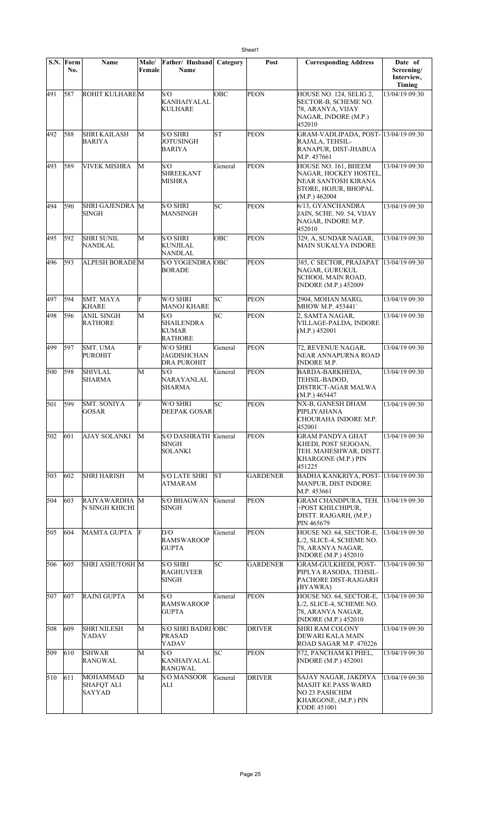|     | S.N. Form<br>No. | <b>Name</b>                                           | Male/<br>Female | Father/ Husband<br>Name                             | Category  | Post            | <b>Corresponding Address</b>                                                                                       | Date of<br>Screening/<br>Interview,<br>Timing |
|-----|------------------|-------------------------------------------------------|-----------------|-----------------------------------------------------|-----------|-----------------|--------------------------------------------------------------------------------------------------------------------|-----------------------------------------------|
| 491 | 587              | ROHIT KULHAREM                                        |                 | S/O<br><b>KANHAIYALAL</b><br><b>KULHARE</b>         | OBC       | <b>PEON</b>     | HOUSE NO. 124, SELIG 2,<br>SECTOR-B, SCHEME NO.<br>78, ARANYA, VIJAY<br>NAGAR, INDORE (M.P.)<br>452010             | 13/04/19 09:30                                |
| 492 | 588              | <b>SHRI KAILASH</b><br>BARIYA                         | M               | <b>S/O SHRI</b><br>JOTUSINGH<br><b>BARIYA</b>       | <b>ST</b> | <b>PEON</b>     | GRAM-VADLIPADA, POST- 13/04/19 09:30<br>RAJALA, TEHSIL-<br>RANAPUR, DIST-JHABUA<br>M.P. 457661                     |                                               |
| 493 | 589              | <b>VIVEK MISHRA</b>                                   | М               | S/O<br>SHREEKANT<br>MISHRA                          | General   | <b>PEON</b>     | HOUSE NO. 161, BHEEM<br>NAGAR, HOCKEY HOSTEL,<br>NEAR SANTOSH KIRANA<br>STORE, HOJUR, BHOPAL<br>(M.P.) 462004      | 13/04/19 09:30                                |
| 494 | 590              | SHRI GAJENDRA M<br><b>SINGH</b>                       |                 | <b>S/O SHRI</b><br>MANSINGH                         | lsc       | <b>PEON</b>     | 6/13, GYANCHANDRA<br>JAIN, SCHE. N0. 54, VIJAY<br>NAGAR, INDORE M.P.<br>452010                                     | 13/04/19 09:30                                |
| 495 | 592              | <b>SHRI SUNIL</b><br>NANDLAL                          | М               | <b>S/O SHRI</b><br><b>KUNJILAL</b><br>NANDLAL       | OBC       | <b>PEON</b>     | 329, A, SUNDAR NAGAR,<br><b>MAIN SUKALYA INDORE</b>                                                                | 13/04/19 09:30                                |
| 496 | 593              | <b>ALPESH BORADEM</b>                                 |                 | S/O YOGENDRA OBC<br><b>BORADE</b>                   |           | <b>PEON</b>     | 385, C SECTOR, PRAJAPAT<br>NAGAR, GURUKUL<br><b>SCHOOL MAIN ROAD,</b><br><b>INDORE (M.P.) 452009</b>               | 13/04/19 09:30                                |
| 497 | 594              | SMT. MAYA<br><b>KHARE</b>                             | F               | W/O SHRI<br><b>MANOJ KHARE</b>                      | lsc       | <b>PEON</b>     | 2904, MOHAN MARG,<br>MHOW M.P. 453441                                                                              | 13/04/19 09:30                                |
| 498 | 596              | <b>ANIL SINGH</b><br><b>RATHORE</b>                   | M               | S/O<br>SHAILENDRA<br><b>KUMAR</b><br><b>RATHORE</b> | SC        | PEON            | 2, SAMTA NAGAR,<br>VILLAGE-PALDA, INDORE<br>(M.P.) 452001                                                          | 13/04/19 09:30                                |
| 499 | 597              | <b>SMT. UMA</b><br><b>PUROHIT</b>                     | F               | W/O SHRI<br>JAGDISHCHAN<br><b>DRA PUROHIT</b>       | General   | <b>PEON</b>     | 72, REVENUE NAGAR,<br>NEAR ANNAPURNA ROAD<br><b>INDORE M.P.</b>                                                    | 13/04/19 09:30                                |
| 500 | 598              | <b>SHIVLAL</b><br><b>SHARMA</b>                       | M               | S/O<br>NARAYANLAL<br><b>SHARMA</b>                  | General   | <b>PEON</b>     | BARDA-BARKHEDA.<br>TEHSIL-BADOD,<br>DISTRICT-AGAR MALWA<br>(M.P.) 465447                                           | 13/04/19 09:30                                |
| 501 | 599              | <b>SMT. SONIYA</b><br><b>GOSAR</b>                    | F               | W/O SHRI<br><b>DEEPAK GOSAR</b>                     | SC        | <b>PEON</b>     | NX-B, GANESH DHAM<br>PIPLIYAHANA<br>CHOURAHA INDORE M.P.<br>452001                                                 | 13/04/19 09:30                                |
| 502 | 601              | AJAY SOLANKI                                          | М               | S/O DASHRATH General<br>SINGH<br>SOLANKI            |           | <b>PEON</b>     | <b>GRAM PANDYA GHAT</b><br>KHEDI, POST SEJGOAN,<br>TEH. MAHESHWAR, DISTT.<br><b>KHARGONE (M.P.) PIN</b><br>451225  | 13/04/19 09:30                                |
| 503 | 602              | <b>SHRI HARISH</b>                                    | M               | <b>S/O LATE SHRI</b><br>ATMARAM                     | lst       | <b>GARDENER</b> | BADHA KANKRIYA, POST- 13/04/19 09:30<br><b>MANPUR, DIST INDORE</b><br>M.P. 453661                                  |                                               |
| 504 | 603              | RAJYAWARDHA M<br>N SINGH KHICHI                       |                 | <b>S/O BHAGWAN</b><br><b>SINGH</b>                  | General   | <b>PEON</b>     | <b>GRAM CHANDPURA, TEH.</b><br>+POST KHILCHIPUR,<br>DISTT. RAJGARH, (M.P.)<br>PIN 465679                           | 13/04/19 09:30                                |
| 505 | 604              | <b>MAMTA GUPTA</b>                                    | F               | D/O<br><b>RAMSWAROOP</b><br><b>GUPTA</b>            | General   | <b>PEON</b>     | HOUSE NO. 64, SECTOR-E,<br>L/2, SLICE-4, SCHEME NO.<br>78, ARANYA NAGAR,<br><b>INDORE</b> (M.P.) 452010            | 13/04/19 09:30                                |
| 506 | 605              | <b>SHRI ASHUTOSH M</b>                                |                 | <b>S/O SHRI</b><br><b>RAGHUVEER</b><br><b>SINGH</b> | lsc       | <b>GARDENER</b> | <b>GRAM-GULKHEDI, POST-</b><br>PIPLYA RASODA, TEHSIL-<br>PACHORE DIST-RAJGARH<br>(BYAWRA)                          | 13/04/19 09:30                                |
| 507 | 607              | <b>RAJNI GUPTA</b>                                    | М               | S/O<br><b>RAMSWAROOP</b><br><b>GUPTA</b>            | General   | <b>PEON</b>     | HOUSE NO. 64, SECTOR-E,<br>L/2, SLICE-4, SCHEME NO.<br>78, ARANYA NAGAR,<br><b>INDORE</b> (M.P.) 452010            | 13/04/19 09:30                                |
| 508 | 609              | <b>SHRI NILESH</b><br>YADAV                           | M               | <b>S/O SHRI BADRI OBC</b><br><b>PRASAD</b><br>YADAV |           | <b>DRIVER</b>   | <b>SHRI RAM COLONY</b><br>DEWARI KALA MAIN<br>ROAD SAGAR M.P. 470226                                               | 13/04/19 09:30                                |
| 509 | $ 610\rangle$    | <b>ISHWAR</b><br><b>RANGWAL</b>                       | M               | S/O<br><b>KANHAIYALAL</b><br><b>RANGWAL</b>         | SC        | <b>PEON</b>     | 572, PANCHAM KI PHEL,<br><b>INDORE</b> (M.P.) 452001                                                               | 13/04/19 09:30                                |
| 510 | 611              | <b>MOHAMMAD</b><br><b>SHAFOT ALI</b><br><b>SAYYAD</b> | M               | <b>S/O MANSOOR</b><br>ALI                           | General   | <b>DRIVER</b>   | SAJAY NAGAR, JAKDIYA<br><b>MASJIT KE PASS WARD</b><br><b>NO 23 PASHCHIM</b><br>KHARGONE, (M.P.) PIN<br>CODE 451001 | 13/04/19 09:30                                |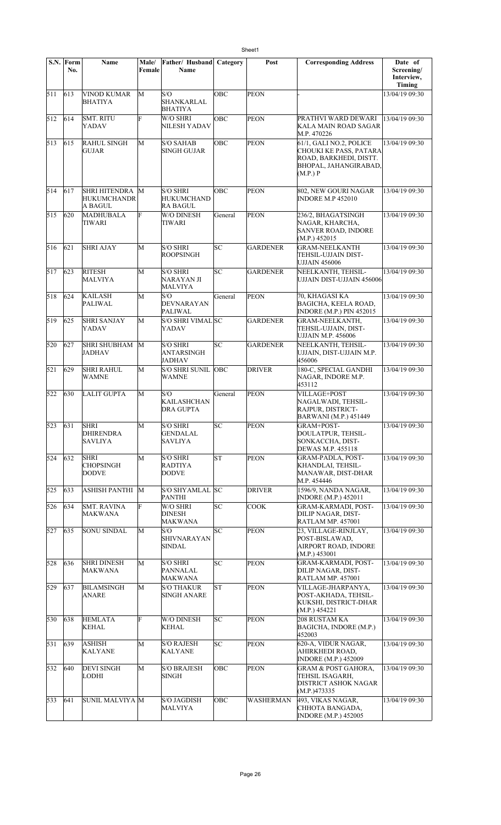|     | S.N. Form<br>No. | Name                                              | Male/<br>Female | Father/ Husband<br><b>Name</b>                          | Category | Post            | <b>Corresponding Address</b>                                                                                            | Date of<br>Screening/<br>Interview,<br>Timing |
|-----|------------------|---------------------------------------------------|-----------------|---------------------------------------------------------|----------|-----------------|-------------------------------------------------------------------------------------------------------------------------|-----------------------------------------------|
| 511 | 613              | VINOD KUMAR<br><b>BHATIYA</b>                     | M               | S/O<br>SHANKARLAL<br><b>BHATIYA</b>                     | OBC      | <b>PEON</b>     |                                                                                                                         | 13/04/19 09:30                                |
| 512 | 614              | <b>SMT. RITU</b><br>YADAV                         | F               | W/O SHRI<br>NILESH YADAV                                | OBC      | <b>PEON</b>     | PRATHVI WARD DEWARI<br>KALA MAIN ROAD SAGAR<br>M.P. 470226                                                              | 13/04/19 09:30                                |
| 513 | 615              | <b>RAHUL SINGH</b><br><b>GUJAR</b>                | M               | <b>S/O SAHAB</b><br><b>SINGH GUJAR</b>                  | OBC      | <b>PEON</b>     | 61/1, GALI NO.2, POLICE<br>CHOUKI KE PASS, PATARA<br>ROAD, BARKHEDI, DISTT.<br><b>BHOPAL, JAHANGIRABAD,</b><br>(M.P.) P | 13/04/19 09:30                                |
| 514 | 617              | SHRI HITENDRA M<br><b>HUKUMCHANDR</b><br>A BAGUL  |                 | <b>S/O SHRI</b><br><b>HUKUMCHAND</b><br><b>RA BAGUL</b> | OBC      | <b>PEON</b>     | 802, NEW GOURI NAGAR<br><b>INDORE M.P 452010</b>                                                                        | 13/04/19 09:30                                |
| 515 | 620              | MADHUBALA<br>TIWARI                               | F               | W/O DINESH<br>TIWARI                                    | General  | PEON            | 236/2, BHAGATSINGH<br>NAGAR, KHARCHA,<br><b>SANVER ROAD, INDORE</b><br>(M.P.) 452015                                    | 13/04/19 09:30                                |
| 516 | 621              | <b>SHRI AJAY</b>                                  | M               | <b>S/O SHRI</b><br><b>ROOPSINGH</b>                     | lsc      | <b>GARDENER</b> | GRAM-NEELKANTH<br>TEHSIL-UJJAIN DIST-<br>UJJAIN 456006                                                                  | 13/04/19 09:30                                |
| 517 | 623              | <b>RITESH</b><br><b>MALVIYA</b>                   | M               | <b>S/O SHRI</b><br>NARAYAN JI<br><b>MALVIYA</b>         | SC       | <b>GARDENER</b> | NEELKANTH, TEHSIL-<br>UJJAIN DIST-UJJAIN 456006                                                                         | 13/04/19 09:30                                |
| 518 | 624              | <b>KAILASH</b><br><b>PALIWAL</b>                  | M               | S/O<br>DEVNARAYAN<br><b>PALIWAL</b>                     | General  | <b>PEON</b>     | 70, KHAGASI KA<br><b>BAGICHA, KEELA ROAD,</b><br>INDORE (M.P.) PIN 452015                                               | 13/04/19 09:30                                |
| 519 | 625              | <b>SHRI SANJAY</b><br>YADAV                       | M               | S/O SHRI VIMAL SC<br>YADAV                              |          | <b>GARDENER</b> | <b>GRAM-NEELKANTH,</b><br>TEHSIL-UJJAIN, DIST-<br><b>UJJAIN M.P. 456006</b>                                             | 13/04/19 09:30                                |
| 520 | 627              | <b>SHRI SHUBHAM</b><br>JADHAV                     | M               | <b>S/O SHRI</b><br><b>ANTARSINGH</b><br><b>JADHAV</b>   | SC       | <b>GARDENER</b> | NEELKANTH, TEHSIL-<br>UJJAIN, DIST-UJJAIN M.P.<br>456006                                                                | 13/04/19 09:30                                |
| 521 | 629              | <b>SHRI RAHUL</b><br><b>WAMNE</b>                 | M               | <b>S/O SHRI SUNIL OBC</b><br><b>WAMNE</b>               |          | <b>DRIVER</b>   | 180-C, SPECIAL GANDHI<br>NAGAR, INDORE M.P.<br>453112                                                                   | 13/04/19 09:30                                |
| 522 | 630              | <b>LALIT GUPTA</b>                                | M               | S/O<br><b>KAILASHCHAN</b><br>DRA GUPTA                  | General  | <b>PEON</b>     | <b>VILLAGE+POST</b><br>NAGALWADI, TEHSIL-<br>RAJPUR, DISTRICT-<br><b>BARWANI</b> (M.P.) 451449                          | 13/04/19 09:30                                |
| 523 | 631              | <b>SHRI</b><br><b>DHIRENDRA</b><br><b>SAVLIYA</b> | M               | <b>S/O SHRI</b><br><b>GENDALAL</b><br><b>SAVLIYA</b>    | SC       | <b>PEON</b>     | GRAM+POST-<br>DOULATPUR, TEHSIL-<br>SONKACCHA, DIST-<br>DEWAS M.P. 455118                                               | 13/04/19 09:30                                |
| 524 | 632              | <b>SHRI</b><br><b>CHOPSINGH</b><br><b>DODVE</b>   | M               | <b>S/O SHRI</b><br><b>RADTIYA</b><br><b>DODVE</b>       | lsт      | <b>PEON</b>     | GRAM-PADLA, POST-<br>KHANDLAI, TEHSIL-<br>MANAWAR, DIST-DHAR<br>M.P. 454446                                             | 13/04/19 09:30                                |
| 525 | 633              | <b>ASHISH PANTHI</b>                              | M               | S/O SHYAMLAL SC<br><b>PANTHI</b>                        |          | <b>DRIVER</b>   | 1596/9, NANDA NAGAR,<br><b>INDORE</b> (M.P.) 452011                                                                     | 13/04/19 09:30                                |
| 526 | 634              | <b>SMT. RAVINA</b><br><b>MAKWANA</b>              | F               | W/O SHRI<br><b>DINESH</b><br><b>MAKWANA</b>             | SC       | <b>COOK</b>     | <b>GRAM-KARMADI, POST-</b><br>DILIP NAGAR, DIST-<br><b>RATLAM MP. 457001</b>                                            | 13/04/19 09:30                                |
| 527 | 635              | <b>SONU SINDAL</b>                                | М               | S/O<br>SHIVNARAYAN<br><b>SINDAL</b>                     | SC       | <b>PEON</b>     | 23, VILLAGE-RINJLAY,<br>POST-BISLAWAD,<br>AIRPORT ROAD, INDORE<br>(M.P.) 453001                                         | 13/04/19 09:30                                |
| 528 | 636              | <b>SHRI DINESH</b><br><b>MAKWANA</b>              | М               | <b>S/O SHRI</b><br>PANNALAL<br>MAKWANA                  | SC       | <b>PEON</b>     | <b>GRAM-KARMADI, POST-</b><br>DILIP NAGAR, DIST-<br><b>RATLAM MP. 457001</b>                                            | 13/04/19 09:30                                |
| 529 | 637              | <b>BILAMSINGH</b><br><b>ANARE</b>                 | М               | <b>S/O THAKUR</b><br><b>SINGH ANARE</b>                 | ST       | <b>PEON</b>     | VILLAGE-JHARPANYA,<br>POST-AKHADA, TEHSIL-<br>KUKSHI, DISTRICT-DHAR<br>(M.P.) 454221                                    | 13/04/19 09:30                                |
| 530 | 638              | <b>HEMLATA</b><br><b>KEHAL</b>                    | F               | W/O DINESH<br><b>KEHAL</b>                              | lsc      | <b>PEON</b>     | 208 RUSTAM KA<br>BAGICHA, INDORE (M.P.)<br>452003                                                                       | 13/04/19 09:30                                |
| 531 | $ 639\rangle$    | <b>ASHISH</b><br><b>KALYANE</b>                   | M               | <b>S/O RAJESH</b><br><b>KALYANE</b>                     | SC.      | <b>PEON</b>     | 620-A, VIDUR NAGAR,<br>AHIRKHEDI ROAD.<br><b>INDORE (M.P.) 452009</b>                                                   | 13/04/19 09:30                                |
| 532 | 640              | <b>DEVI SINGH</b><br><b>LODHI</b>                 | M               | <b>S/O BRAJESH</b><br>SINGH                             | OBC      | <b>PEON</b>     | <b>GRAM &amp; POST GAHORA,</b><br>TEHSIL ISAGARH.<br><b>DISTRICT ASHOK NAGAR</b><br>(M.P.)473335                        | 13/04/19 09:30                                |
| 533 | 641              | SUNIL MALVIYA M                                   |                 | <b>S/O JAGDISH</b><br><b>MALVIYA</b>                    | OBC      | WASHERMAN       | 493, VIKAS NAGAR,<br>CHHOTA BANGADA,<br><b>INDORE</b> (M.P.) 452005                                                     | 13/04/19 09:30                                |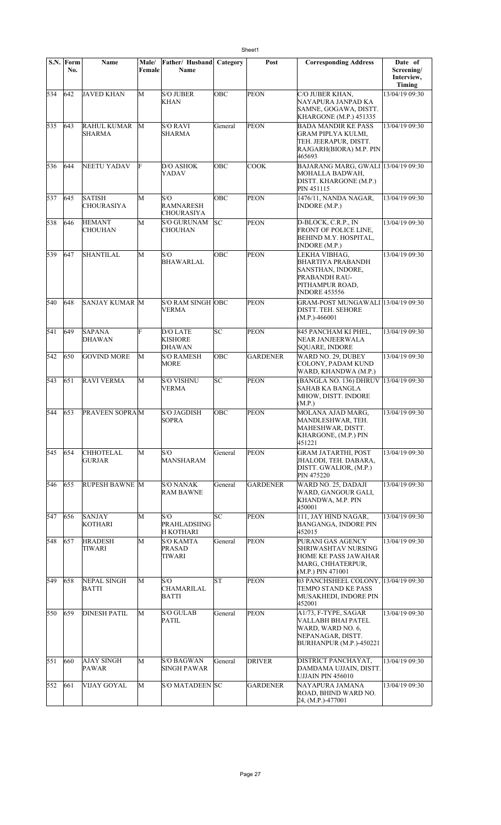|     | S.N. Form<br>No. | Name                                | <b>Male/</b><br>Female | Father/ Husband<br>Name                            | Category   | Post            | <b>Corresponding Address</b>                                                                                               | Date of<br>Screening/<br>Interview,<br>Timing |
|-----|------------------|-------------------------------------|------------------------|----------------------------------------------------|------------|-----------------|----------------------------------------------------------------------------------------------------------------------------|-----------------------------------------------|
| 534 | 642              | <b>JAVED KHAN</b>                   | M                      | <b>S/O JUBER</b><br><b>KHAN</b>                    | OBC        | <b>PEON</b>     | C/O JUBER KHAN,<br>NAYAPURA JANPAD KA<br>SAMNE, GOGAWA, DISTT.<br>KHARGONE (M.P.) 451335                                   | 13/04/19 09:30                                |
| 535 | 643              | <b>RAHUL KUMAR</b><br><b>SHARMA</b> | M                      | S/O RAVI<br><b>SHARMA</b>                          | General    | <b>PEON</b>     | <b>BADA MANDIR KE PASS</b><br><b>GRAM PIPLYA KULMI,</b><br>TEH. JEERAPUR, DISTT.<br>RAJGARH(BIORA) M.P. PIN<br>465693      | 13/04/19 09:30                                |
| 536 | 644              | NEETU YADAV                         | F                      | <b>D/O ASHOK</b><br><b>YADAV</b>                   | OBC        | <b>COOK</b>     | BAJARANG MARG, GWALI 13/04/19 09:30<br>MOHALLA BADWAH,<br>DISTT. KHARGONE (M.P.)<br>PIN 451115                             |                                               |
| 537 | 645              | <b>SATISH</b><br><b>CHOURASIYA</b>  | M                      | S/O<br><b>RAMNARESH</b><br><b>CHOURASIYA</b>       | <b>OBC</b> | <b>PEON</b>     | 1476/11, NANDA NAGAR,<br>INDORE(M.P.)                                                                                      | 13/04/19 09:30                                |
| 538 | 646              | <b>HEMANT</b><br>CHOUHAN            | M                      | <b>S/O GURUNAM</b><br><b>CHOUHAN</b>               | SC         | <b>PEON</b>     | D-BLOCK, C.R.P., IN<br>FRONT OF POLICE LINE,<br>BEHIND M.Y. HOSPITAL,<br>INDORE (M.P.)                                     | 13/04/19 09:30                                |
| 539 | 647              | <b>SHANTILAL</b>                    | M                      | S/O<br><b>BHAWARLAL</b>                            | OBC        | <b>PEON</b>     | LEKHA VIBHAG.<br><b>BHARTIYA PRABANDH</b><br>SANSTHAN, INDORE,<br>PRABANDH RAU-<br>PITHAMPUR ROAD,<br><b>INDORE 453556</b> | 13/04/19 09:30                                |
| 540 | 648              | <b>SANJAY KUMAR M</b>               |                        | <b>S/O RAM SINGH OBC</b><br><b>VERMA</b>           |            | <b>PEON</b>     | GRAM-POST MUNGAWALI 13/04/19 09:30<br>DISTT. TEH. SEHORE<br>$(M.P.) - 466001$                                              |                                               |
| 541 | 649              | <b>SAPANA</b><br><b>DHAWAN</b>      | F                      | D/O LATE<br><b>KISHORE</b><br><b>DHAWAN</b>        | lsc        | <b>PEON</b>     | 845 PANCHAM KI PHEL,<br>NEAR JANJEERWALA<br>SQUARE, INDORE                                                                 | 13/04/19 09:30                                |
| 542 | 650              | <b>GOVIND MORE</b>                  | M                      | <b>S/O RAMESH</b><br><b>MORE</b>                   | <b>OBC</b> | <b>GARDENER</b> | WARD NO. 29, DUBEY<br>COLONY, PADAM KUND<br>WARD, KHANDWA (M.P.)                                                           | 13/04/19 09:30                                |
| 543 | 651              | RAVI VERMA                          | M                      | <b>S/O VISHNU</b><br><b>VERMA</b>                  | SC         | <b>PEON</b>     | (BANGLA NO. 136) DHRUV 13/04/19 09:30<br><b>SAHAB KA BANGLA</b><br>MHOW, DISTT. INDORE<br>(M.P.)                           |                                               |
| 544 | 653              | <b>PRAVEEN SOPRAM</b>               |                        | <b>S/O JAGDISH</b><br><b>SOPRA</b>                 | OBC        | PEON            | MOLANA AJAD MARG,<br>MANDLESHWAR, TEH.<br>MAHESHWAR, DISTT.<br>KHARGONE, (M.P.) PIN<br>451221                              | 13/04/19 09:30                                |
| 545 | 654              | <b>CHHOTELAL</b><br>GURJAR          | М                      | S/O<br><b>MANSHARAM</b>                            | General    | <b>PEON</b>     | <b>GRAM JATARTHI, POST</b><br>JHALODI, TEH. DABARA,<br>DISTT. GWALIOR, (M.P.)<br>PIN 475220                                | 13/04/19 09:30                                |
| 546 | 655              | RUPESH BAWNE M                      |                        | <b>S/O NANAK</b><br><b>RAM BAWNE</b>               | General    | <b>GARDENER</b> | WARD NO. 25, DADAJI<br>WARD, GANGOUR GALI,<br>KHANDWA, M.P. PIN<br>450001                                                  | 13/04/19 09:30                                |
| 547 | 656              | SANJAY<br><b>KOTHARI</b>            | M                      | S/O<br><b>PRAHLADSIING</b><br><b>H KOTHARI</b>     | SC         | <b>PEON</b>     | 111, JAY HIND NAGAR,<br>BANGANGA, INDORE PIN<br>452015                                                                     | 13/04/19 09:30                                |
| 548 | 657              | <b>HRADESH</b><br>TIWARI            | M                      | <b>S/O KAMTA</b><br><b>PRASAD</b><br><b>TIWARI</b> | General    | <b>PEON</b>     | PURANI GAS AGENCY<br>SHRIWASHTAV NURSING<br>HOME KE PASS JAWAHAR<br>MARG, CHHATERPUR,<br>(M.P.) PIN 471001                 | 13/04/19 09:30                                |
| 549 | 658              | NEPAL SINGH<br>BATTI                | M                      | S/O<br>CHAMARILAL<br><b>BATTI</b>                  | ST         | <b>PEON</b>     | 03 PANCHSHEEL COLONY, 13/04/19 09:30<br>TEMPO STAND KE PASS<br>MUSAKHEDI, INDORE PIN<br>452001                             |                                               |
| 550 | 659              | <b>DINESH PATIL</b>                 | M                      | <b>S/O GULAB</b><br><b>PATIL</b>                   | General    | <b>PEON</b>     | A1/73, F-TYPE, SAGAR<br>VALLABH BHAI PATEL<br>WARD, WARD NO. 6,<br>NEPANAGAR, DISTT.<br>BURHANPUR (M.P.)-450221            | 13/04/19 09:30                                |
| 551 | 660              | <b>AJAY SINGH</b><br><b>PAWAR</b>   | M                      | <b>S/O BAGWAN</b><br><b>SINGH PAWAR</b>            | General    | <b>DRIVER</b>   | DISTRICT PANCHAYAT,<br>DAMDAMA UJJAIN, DISTT.<br>UJJAIN PIN 456010                                                         | 13/04/19 09:30                                |
| 552 | 661              | <b>VIJAY GOYAL</b>                  | M                      | <b>S/O MATADEEN SC</b>                             |            | <b>GARDENER</b> | NAYAPURA JAMANA<br>ROAD, BHIND WARD NO.<br>24, (M.P.)-477001                                                               | 13/04/19 09:30                                |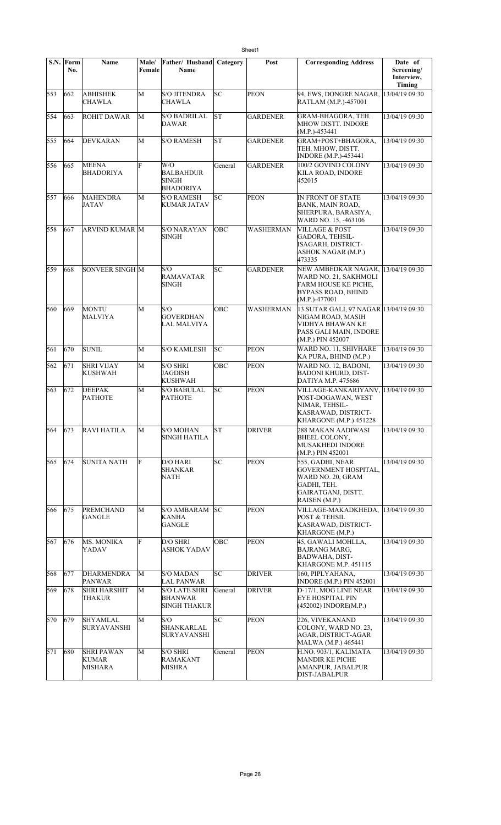|     | S.N. Form<br>No. | Name                                         | Male/<br>Female | <b>Father/ Husband Category</b><br>Name                       |           | Post            | <b>Corresponding Address</b>                                                                                                   | Date of<br>Screening/<br>Interview,<br>Timing |
|-----|------------------|----------------------------------------------|-----------------|---------------------------------------------------------------|-----------|-----------------|--------------------------------------------------------------------------------------------------------------------------------|-----------------------------------------------|
| 553 | 662              | <b>ABHISHEK</b><br>CHAWLA                    | M               | <b>S/O JITENDRA</b><br>CHAWLA                                 | lsc       | <b>PEON</b>     | 94, EWS, DONGRE NAGAR, 13/04/19 09:30<br>RATLAM (M.P.)-457001                                                                  |                                               |
| 554 | 663              | <b>ROHIT DAWAR</b>                           | М               | <b>S/O BADRILAL</b><br><b>DAWAR</b>                           | <b>ST</b> | <b>GARDENER</b> | GRAM-BHAGORA, TEH.<br>MHOW DISTT. INDORE<br>$(M.P.) - 453441$                                                                  | 13/04/19 09:30                                |
| 555 | 664              | <b>DEVKARAN</b>                              | М               | S/O RAMESH                                                    | ST        | <b>GARDENER</b> | GRAM+POST+BHAGORA,<br>TEH. MHOW, DISTT.<br><b>INDORE</b> (M.P.)-453441                                                         | 13/04/19 09:30                                |
| 556 | 665              | <b>MEENA</b><br><b>BHADORIYA</b>             | F               | W/O<br><b>BALBAHDUR</b><br><b>SINGH</b><br><b>BHADORIYA</b>   | General   | <b>GARDENER</b> | 100/2 GOVIND COLONY<br>KILA ROAD, INDORE<br>452015                                                                             | 13/04/19 09:30                                |
| 557 | 666              | <b>MAHENDRA</b><br><b>JATAV</b>              | M               | <b>S/O RAMESH</b><br><b>KUMAR JATAV</b>                       | SC        | <b>PEON</b>     | IN FRONT OF STATE<br>BANK, MAIN ROAD,<br>SHERPURA, BARASIYA,<br>WARD NO. 15, -463106                                           | 13/04/19 09:30                                |
| 558 | 667              | <b>ARVIND KUMAR M</b>                        |                 | <b>S/O NARAYAN</b><br><b>SINGH</b>                            | OBC       | WASHERMAN       | <b>VILLAGE &amp; POST</b><br><b>GADORA, TEHSIL-</b><br>ISAGARH, DISTRICT-<br><b>ASHOK NAGAR (M.P.)</b><br>473335               | 13/04/19 09:30                                |
| 559 | 668              | <b>SONVEER SINGH M</b>                       |                 | S/O<br><b>RAMAVATAR</b><br><b>SINGH</b>                       | SC        | <b>GARDENER</b> | NEW AMBEDKAR NAGAR,<br>WARD NO. 21, SAKHMOLI<br>FARM HOUSE KE PICHE,<br><b>BYPASS ROAD, BHIND</b><br>$(M.P.) - 477001$         | 13/04/19 09:30                                |
| 560 | $ 669\rangle$    | <b>MONTU</b><br>MALVIYA                      | M               | S/O<br><b>GOVERDHAN</b><br>LAL MALVIYA                        | OBC       | WASHERMAN       | 13 SUTAR GALI, 97 NAGAR 13/04/19 09:30<br>NIGAM ROAD, MASIH<br>VIDHYA BHAWAN KE<br>PASS GALI MAIN, INDORE<br>(M.P.) PIN 452007 |                                               |
| 561 | 670              | <b>SUNIL</b>                                 | M               | <b>S/O KAMLESH</b>                                            | SC        | <b>PEON</b>     | WARD NO. 11, SHIVHARE<br>KA PURA, BHIND (M.P.)                                                                                 | 13/04/19 09:30                                |
| 562 | 671              | <b>SHRI VIJAY</b><br><b>KUSHWAH</b>          | M               | <b>S/O SHRI</b><br><b>JAGDISH</b><br><b>KUSHWAH</b>           | OBC       | <b>PEON</b>     | WARD NO. 12, BADONI,<br><b>BADONI KHURD, DIST-</b><br>DATIYA M.P. 475686                                                       | 13/04/19 09:30                                |
| 563 | 672              | <b>DEEPAK</b><br><b>PATHOTE</b>              | M               | <b>S/O BABULAL</b><br><b>PATHOTE</b>                          | lsс       | <b>PEON</b>     | VILLAGE-KANKARIYANV, 13/04/19 09:30<br>POST-DOGAWAN, WEST<br>NIMAR, TEHSIL-<br>KASRAWAD, DISTRICT-<br>KHARGONE (M.P.) 451228   |                                               |
| 564 | 673              | <b>RAVI HATILA</b>                           | M               | <b>S/O MOHAN</b><br>SINGH HATILA                              | lΣ        | <b>DRIVER</b>   | 288 MAKAN AADIWASI<br>BHEEL COLONY,<br>MUSAKHEDI INDORE<br>(M.P.) PIN 452001                                                   | 13/04/19 09:30                                |
| 565 | 674              | <b>SUNITA NATH</b>                           | F               | D/O HARI<br>SHANKAR<br><b>NATH</b>                            | SC        | <b>PEON</b>     | 555, GADHI, NEAR<br><b>GOVERNMENT HOSPITAL,</b><br>WARD NO. 20, GRAM<br>GADHI, TEH.<br>GAIRATGANJ, DISTT.<br>RAISEN (M.P.)     | 13/04/19 09:30                                |
| 566 | 675              | PREMCHAND<br>GANGLE                          | M               | <b>S/O AMBARAM</b><br>KANHA<br><b>GANGLE</b>                  | SC        | <b>PEON</b>     | VILLAGE-MAKADKHEDA,<br>POST & TEHSIL<br>KASRAWAD, DISTRICT-<br>KHARGONE (M.P.)                                                 | 13/04/19 09:30                                |
| 567 | 676              | <b>MS. MONIKA</b><br>YADAV                   | F               | D/O SHRI<br>ASHOK YADAV                                       | OBC       | <b>PEON</b>     | 45, GAWALI MOHLLA,<br><b>BAJRANG MARG,</b><br><b>BADWAHA, DIST-</b><br>KHARGONE M.P. 451115                                    | 13/04/19 09:30                                |
| 568 | 677              | DHARMENDRA<br><b>PANWAR</b>                  | M               | <b>S/O MADAN</b><br><b>LAL PANWAR</b>                         | SC        | <b>DRIVER</b>   | 160, PIPLYAHANA,<br><b>INDORE (M.P.) PIN 452001</b>                                                                            | 13/04/19 09:30                                |
| 569 | 678              | <b>SHRI HARSHIT</b><br><b>THAKUR</b>         | M               | <b>S/O LATE SHRI</b><br><b>BHANWAR</b><br><b>SINGH THAKUR</b> | General   | <b>DRIVER</b>   | D-17/1, MOG LINE NEAR<br><b>EYE HOSPITAL PIN</b><br>(452002) INDORE(M.P.)                                                      | 13/04/19 09:30                                |
| 570 | $ 679\rangle$    | <b>SHYAMLAL</b><br><b>SURYAVANSHI</b>        | M               | S/O<br>SHANKARLAL<br><b>SURYAVANSHI</b>                       | SC        | <b>PEON</b>     | 226, VIVEKANAND<br>COLONY, WARD NO. 23,<br>AGAR, DISTRICT-AGAR<br>MALWA (M.P.) 465441                                          | 13/04/19 09:30                                |
| 571 | 680              | <b>SHRI PAWAN</b><br><b>KUMAR</b><br>MISHARA | M               | S/O SHRI<br><b>RAMAKANT</b><br><b>MISHRA</b>                  | General   | <b>PEON</b>     | H.NO. 903/1, KALIMATA<br><b>MANDIR KE PICHE</b><br>AMANPUR, JABALPUR<br>DIST-JABALPUR                                          | 13/04/19 09:30                                |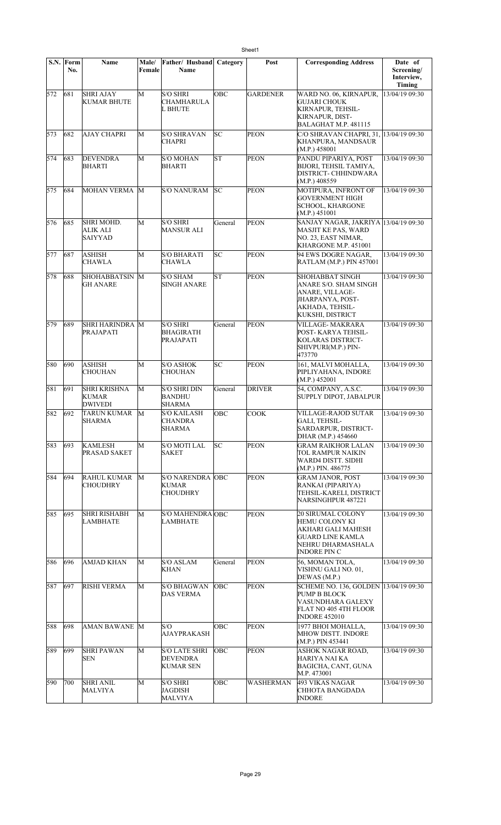|     | S.N. Form<br>No. | Name                                                   | Male/<br>Female | Father/ Husband<br>Name                                     | Category  | Post            | <b>Corresponding Address</b>                                                                                                            | Date of<br>Screening/<br>Interview,<br>Timing |
|-----|------------------|--------------------------------------------------------|-----------------|-------------------------------------------------------------|-----------|-----------------|-----------------------------------------------------------------------------------------------------------------------------------------|-----------------------------------------------|
| 572 | 681              | <b>SHRI AJAY</b><br><b>KUMAR BHUTE</b>                 | M               | <b>S/O SHRI</b><br><b>CHAMHARULA</b><br><b>L BHUTE</b>      | OBC       | <b>GARDENER</b> | WARD NO. 06, KIRNAPUR,<br><b>GUJARI CHOUK</b><br>KIRNAPUR, TEHSIL-<br><b>KIRNAPUR, DIST-</b><br><b>BALAGHAT M.P. 481115</b>             | 13/04/19 09:30                                |
| 573 | 682              | <b>AJAY CHAPRI</b>                                     | M               | <b>S/O SHRAVAN</b><br><b>CHAPRI</b>                         | SC        | <b>PEON</b>     | C/O SHRAVAN CHAPRI, 31, 13/04/19 09:30<br>KHANPURA, MANDSAUR<br>(M.P.) 458001                                                           |                                               |
| 574 | 683              | <b>DEVENDRA</b><br><b>BHARTI</b>                       | М               | <b>S/O MOHAN</b><br><b>BHARTI</b>                           | ST        | <b>PEON</b>     | PANDU PIPARIYA, POST<br>BIJORI, TEHSIL TAMIYA,<br>DISTRICT- CHHINDWARA<br>(M.P.) 408559                                                 | 13/04/19 09:30                                |
| 575 | 684              | MOHAN VERMA M                                          |                 | S/O NANURAM                                                 | lsc       | <b>PEON</b>     | MOTIPURA, INFRONT OF<br><b>GOVERNMENT HIGH</b><br><b>SCHOOL, KHARGONE</b><br>(M.P.) 451001                                              | 13/04/19 09:30                                |
| 576 | 685              | <b>SHRI MOHD.</b><br><b>ALIK ALI</b><br><b>SAIYYAD</b> | М               | <b>S/O SHRI</b><br><b>MANSUR ALI</b>                        | General   | <b>PEON</b>     | SANJAY NAGAR, JAKRIYA 13/04/19 09:30<br><b>MASJIT KE PAS, WARD</b><br>NO. 23, EAST NIMAR,<br>KHARGONE M.P. 451001                       |                                               |
| 577 | 687              | <b>ASHISH</b><br><b>CHAWLA</b>                         | M               | <b>S/O BHARATI</b><br><b>CHAWLA</b>                         | lsс       | <b>PEON</b>     | 94 EWS DOGRE NAGAR,<br>RATLAM (M.P.) PIN 457001                                                                                         | 13/04/19 09:30                                |
| 578 | 688              | SHOHABBATSIN M<br><b>GH ANARE</b>                      |                 | <b>S/O SHAM</b><br><b>SINGH ANARE</b>                       | <b>ST</b> | <b>PEON</b>     | SHOHABBAT SINGH<br>ANARE S/O. SHAM SINGH<br>ANARE, VILLAGE-<br>JHARPANYA, POST-<br>AKHADA, TEHSIL-<br>KUKSHI, DISTRICT                  | 13/04/19 09:30                                |
| 579 | 689              | <b>SHRI HARINDRA M</b><br>PRAJAPATI                    |                 | <b>S/O SHRI</b><br><b>BHAGIRATH</b><br>PRAJAPATI            | General   | <b>PEON</b>     | VILLAGE- MAKRARA<br>POST- KARYA TEHSIL-<br>KOLARAS DISTRICT-<br>SHIVPURI(M.P.) PIN-<br>473770                                           | 13/04/19 09:30                                |
| 580 | 690              | <b>ASHISH</b><br><b>CHOUHAN</b>                        | М               | <b>S/O ASHOK</b><br><b>CHOUHAN</b>                          | SC        | <b>PEON</b>     | 161, MALVI MOHALLA,<br>PIPLIYAHANA, INDORE<br>(M.P.) 452001                                                                             | 13/04/19 09:30                                |
| 581 | 691              | <b>SHRI KRISHNA</b><br><b>KUMAR</b><br><b>DWIVEDI</b>  | М               | S/O SHRI DIN<br><b>BANDHU</b><br><b>SHARMA</b>              | General   | <b>DRIVER</b>   | 54, COMPANY, A.S.C.<br>SUPPLY DIPOT, JABALPUR                                                                                           | 13/04/19 09:30                                |
| 582 | 692              | TARUN KUMAR<br><b>SHARMA</b>                           | M               | <b>S/O KAILASH</b><br><b>CHANDRA</b><br><b>SHARMA</b>       | OBC       | COOK            | VILLAGE-RAJOD SUTAR<br>GALI, TEHSIL-<br>SARDARPUR, DISTRICT-<br>DHAR (M.P.) 454660                                                      | 13/04/19 09:30                                |
| 583 | 693              | <b>KAMLESH</b><br><b>PRASAD SAKET</b>                  | М               | <b>S/O MOTI LAL</b><br><b>SAKET</b>                         | SC        | <b>PEON</b>     | <b>GRAM RAIKHOR LALAN</b><br>TOL RAMPUR NAIKIN<br>WARD4 DISTT. SIDHI<br>(M.P.) PIN. 486775                                              | 13/04/19 09:30                                |
| 584 | 694              | <b>RAHUL KUMAR</b><br><b>CHOUDHRY</b>                  | M               | <b>S/O NARENDRA OBC</b><br><b>KUMAR</b><br><b>CHOUDHRY</b>  |           | <b>PEON</b>     | <b>GRAM JANOR, POST</b><br>RANKAI (PIPARIYA)<br>TEHSIL-KARELI, DISTRICT<br>NARSINGHPUR 487221                                           | 13/04/19 09:30                                |
| 585 | 695              | <b>SHRI RISHABH</b><br>LAMBHATE                        | М               | S/O MAHENDRA OBC<br>LAMBHATE                                |           | <b>PEON</b>     | <b>20 SIRUMAL COLONY</b><br>HEMU COLONY KI<br>AKHARI GALI MAHESH<br><b>GUARD LINE KAMLA</b><br>NEHRU DHARMASHALA<br><b>INDORE PIN C</b> | 13/04/19 09:30                                |
| 586 | 696              | <b>AMJAD KHAN</b>                                      | М               | <b>S/O ASLAM</b><br><b>KHAN</b>                             | General   | <b>PEON</b>     | 56, MOMAN TOLA,<br>VISHNU GALI NO. 01,<br>DEWAS (M.P.)                                                                                  | 13/04/19 09:30                                |
| 587 | 697              | <b>RISHI VERMA</b>                                     | М               | <b>S/O BHAGWAN</b><br><b>DAS VERMA</b>                      | OBC       | <b>PEON</b>     | SCHEME NO. 136, GOLDEN 13/04/19 09:30<br>PUMP B BLOCK<br>VASUNDHARA GALEXY<br>FLAT NO 405 4TH FLOOR<br><b>INDORE 452010</b>             |                                               |
| 588 | 698              | AMAN BAWANE M                                          |                 | S/O<br><b>AJAYPRAKASH</b>                                   | OBC       | <b>PEON</b>     | 1977 BHOI MOHALLA,<br>MHOW DISTT. INDORE<br>(M.P.) PIN 453441                                                                           | 13/04/19 09:30                                |
| 589 | 699              | <b>SHRI PAWAN</b><br><b>SEN</b>                        | М               | <b>S/O LATE SHRI</b><br><b>DEVENDRA</b><br><b>KUMAR SEN</b> | OBC       | <b>PEON</b>     | ASHOK NAGAR ROAD,<br>HARIYA NAI KA<br>BAGICHA, CANT, GUNA<br>M.P. 473001                                                                | 13/04/19 09:30                                |
| 590 | 700              | <b>SHRI ANIL</b><br><b>MALVIYA</b>                     | М               | <b>S/O SHRI</b><br><b>JAGDISH</b><br><b>MALVIYA</b>         | OBC       | WASHERMAN       | 493 VIKAS NAGAR<br>CHHOTA BANGDADA<br><b>INDORE</b>                                                                                     | 13/04/19 09:30                                |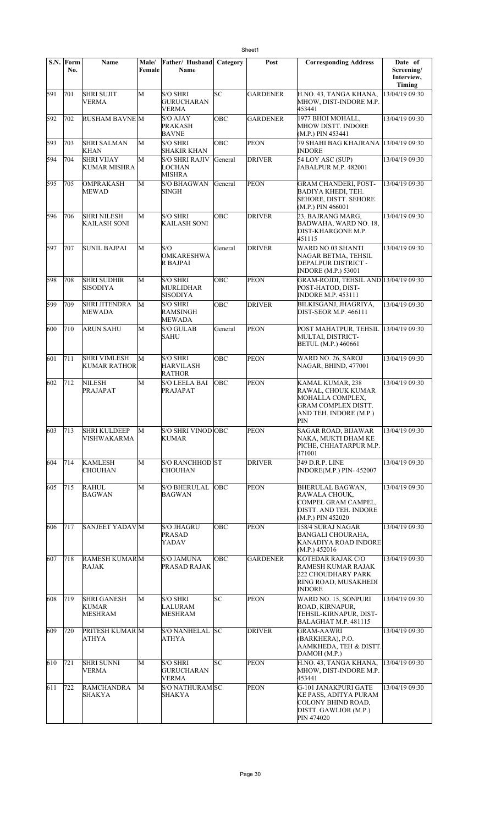|     | S.N. Form<br>No. | Name                                          | Male/<br>Female | Father/ Husband<br>Name                                | Category   | Post            | <b>Corresponding Address</b>                                                                                       | Date of<br>Screening/<br>Interview,<br>Timing |
|-----|------------------|-----------------------------------------------|-----------------|--------------------------------------------------------|------------|-----------------|--------------------------------------------------------------------------------------------------------------------|-----------------------------------------------|
| 591 | 701              | <b>SHRI SUJIT</b><br><b>VERMA</b>             | M               | <b>S/O SHRI</b><br><b>GURUCHARAN</b><br><b>VERMA</b>   | SC         | <b>GARDENER</b> | H.NO. 43, TANGA KHANA,<br>MHOW, DIST-INDORE M.P.<br>453441                                                         | 13/04/19 09:30                                |
| 592 | 702              | <b>RUSHAM BAVNE M</b>                         |                 | <b>S/O AJAY</b><br><b>PRAKASH</b><br><b>BAVNE</b>      | OBC        | <b>GARDENER</b> | 1977 BHOI MOHALL,<br>MHOW DISTT. INDORE<br>(M.P.) PIN 453441                                                       | 13/04/19 09:30                                |
| 593 | 703              | <b>SHRI SALMAN</b><br><b>KHAN</b>             | M               | <b>S/O SHRI</b><br><b>SHAKIR KHAN</b>                  | OBC        | <b>PEON</b>     | 79 SHAHI BAG KHAJRANA<br><b>INDORE</b>                                                                             | 13/04/19 09:30                                |
| 594 | 704              | <b>SHRI VIJAY</b><br><b>KUMAR MISHRA</b>      | M               | S/O SHRI RAJIV<br><b>LOCHAN</b><br><b>MISHRA</b>       | General    | <b>DRIVER</b>   | 54 LOY ASC (SUP)<br>JABALPUR M.P. 482001                                                                           | 13/04/19 09:30                                |
| 595 | 705              | <b>OMPRAKASH</b><br><b>MEWAD</b>              | М               | <b>S/O BHAGWAN</b><br><b>SINGH</b>                     | General    | <b>PEON</b>     | <b>GRAM CHANDERI, POST-</b><br><b>BADIYA KHEDI, TEH.</b><br>SEHORE, DISTT. SEHORE<br>(M.P.) PIN 466001             | 13/04/19 09:30                                |
| 596 | 706              | <b>SHRI NILESH</b><br>KAILASH SONI            | M               | <b>S/O SHRI</b><br><b>KAILASH SONI</b>                 | OBC        | <b>DRIVER</b>   | 23, BAJRANG MARG,<br>BADWAHA, WARD NO. 18,<br>DIST-KHARGONE M.P.<br>451115                                         | 13/04/19 09:30                                |
| 597 | 707              | <b>SUNIL BAJPAI</b>                           | М               | S/O<br><b>OMKARESHWA</b><br>R BAJPAI                   | General    | <b>DRIVER</b>   | <b>WARD NO 03 SHANTI</b><br>NAGAR BETMA, TEHSIL<br>DEPALPUR DISTRICT -<br>INDORE (M.P.) 53001                      | 13/04/19 09:30                                |
| 598 | 708              | <b>SHRI SUDHIR</b><br><b>SISODIYA</b>         | M               | <b>S/O SHRI</b><br><b>MURLIDHAR</b><br><b>SISODIYA</b> | OBC        | PEON            | GRAM-ROJDI, TEHSIL AND 13/04/19 09:30<br>POST-HATOD, DIST-<br><b>INDORE M.P. 453111</b>                            |                                               |
| 599 | 709              | <b>SHRI JITENDRA</b><br><b>MEWADA</b>         | M               | <b>S/O SHRI</b><br><b>RAMSINGH</b><br><b>MEWADA</b>    | OBC        | <b>DRIVER</b>   | BILKISGANJ, JHAGRIYA,<br><b>DIST-SEOR M.P. 466111</b>                                                              | 13/04/19 09:30                                |
| 600 | 710              | <b>ARUN SAHU</b>                              | M               | <b>S/O GULAB</b><br><b>SAHU</b>                        | General    | PEON            | POST MAHATPUR, TEHSIL<br>MULTAI, DISTRICT-<br>BETUL (M.P.) 460661                                                  | 13/04/19 09:30                                |
| 601 | 711              | <b>SHRI VIMLESH</b><br><b>KUMAR RATHOR</b>    | M               | <b>S/O SHRI</b><br><b>HARVILASH</b><br><b>RATHOR</b>   | OBC        | <b>PEON</b>     | WARD NO. 26, SAROJ<br>NAGAR, BHIND, 477001                                                                         | 13/04/19 09:30                                |
| 602 | 712              | <b>NILESH</b><br>PRAJAPAT                     | M               | <b>S/O LEELA BAI</b><br><b>PRAJAPAT</b>                | OBC        | PEON            | KAMAL KUMAR, 238<br>RAWAL, CHOUK KUMAR<br>MOHALLA COMPLEX,<br>GRAM COMPLEX DISTT.<br>AND TEH. INDORE (M.P.)<br>PIN | 13/04/19 09:30                                |
| 603 | 713              | <b>SHRI KULDEEP</b><br>VISHWAKARMA            | М               | <b>S/O SHRI VINOD OBC</b><br><b>KUMAR</b>              |            | <b>PEON</b>     | SAGAR ROAD, BIJAWAR<br>NAKA, MUKTI DHAM KE<br>PICHE, CHHATARPUR M.P.<br>471001                                     | 13/04/19 09:30                                |
| 604 | 714              | KAMLESH<br><b>CHOUHAN</b>                     | М               | S/O RANCHHOD ST<br><b>CHOUHAN</b>                      |            | <b>DRIVER</b>   | 349 D.R.P. LINE<br>INDORE(M.P.) PIN-452007                                                                         | 13/04/19 09:30                                |
| 605 | 715              | <b>RAHUL</b><br><b>BAGWAN</b>                 | М               | <b>S/O BHERULAL</b><br><b>BAGWAN</b>                   | <b>OBC</b> | <b>PEON</b>     | <b>BHERULAL BAGWAN,</b><br>RAWALA CHOUK,<br>COMPEL GRAM CAMPEL,<br>DISTT. AND TEH. INDORE<br>(M.P.) PIN 452020     | 13/04/19 09:30                                |
| 606 | 717              | SANJEET YADAV M                               |                 | <b>S/O JHAGRU</b><br><b>PRASAD</b><br>YADAV            | OBC        | <b>PEON</b>     | 158/4 SURAJ NAGAR<br>BANGALI CHOURAHA.<br>KANADIYA ROAD INDORE<br>(M.P.) 452016                                    | 13/04/19 09:30                                |
| 607 | 718              | <b>RAMESH KUMARM</b><br>RAJAK                 |                 | <b>S/O JAMUNA</b><br>PRASAD RAJAK                      | OBC        | <b>GARDENER</b> | KOTEDAR RAJAK C/O<br>RAMESH KUMAR RAJAK<br>222 CHOUDHARY PARK<br>RING ROAD, MUSAKHEDI<br><b>INDORE</b>             | 13/04/19 09:30                                |
| 608 | 719              | <b>SHRI GANESH</b><br>KUMAR<br><b>MESHRAM</b> | М               | S/O SHRI<br><b>LALURAM</b><br><b>MESHRAM</b>           | SC         | <b>PEON</b>     | WARD NO. 15, SONPURI<br>ROAD, KIRNAPUR,<br>TEHSIL-KIRNAPUR, DIST-<br>BALAGHAT M.P. 481115                          | 13/04/19 09:30                                |
| 609 | 720              | PRITESH KUMAR M<br><b>ATHYA</b>               |                 | S/O NANHELAL SC<br><b>ATHYA</b>                        |            | <b>DRIVER</b>   | GRAM-AAWRI<br>(BARKHERA), P.O.<br>AAMKHEDA, TEH & DISTT.<br>DAMOH (M.P.)                                           | 13/04/19 09:30                                |
| 610 | 721              | <b>SHRI SUNNI</b><br><b>VERMA</b>             | M               | <b>S/O SHRI</b><br><b>GURUCHARAN</b><br><b>VERMA</b>   | SC         | <b>PEON</b>     | H.NO. 43, TANGA KHANA,<br>MHOW, DIST-INDORE M.P.<br>453441                                                         | 13/04/19 09:30                                |
| 611 | 722              | RAMCHANDRA<br><b>SHAKYA</b>                   | M               | S/O NATHURAM SC<br>SHAKYA                              |            | <b>PEON</b>     | <b>G-101 JANAKPURI GATE</b><br>KE PASS, ADITYA PURAM<br>COLONY BHIND ROAD,<br>DISTT. GAWLIOR (M.P.)<br>PIN 474020  | 13/04/19 09:30                                |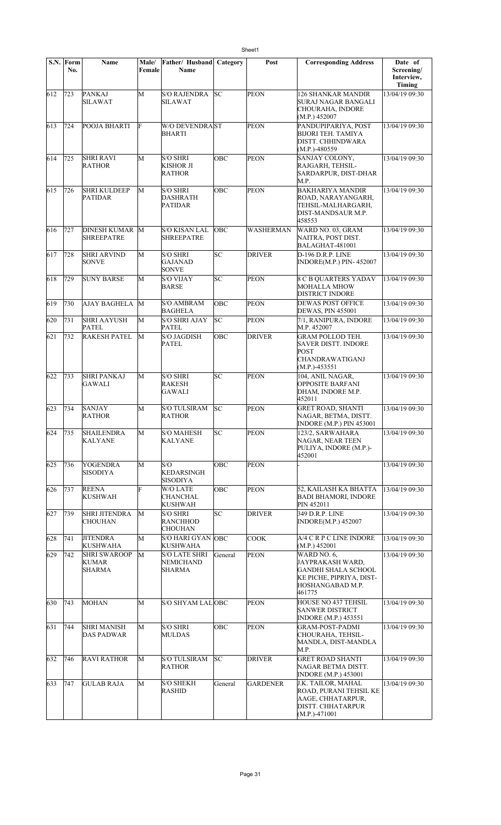|     | S.N. Form<br>No. | Name                                          | Male/<br>Female | Father/ Husband<br>Name                              | Category | Post             | <b>Corresponding Address</b>                                                                                            | Date of<br>Screening/<br>Interview,<br>Timing |
|-----|------------------|-----------------------------------------------|-----------------|------------------------------------------------------|----------|------------------|-------------------------------------------------------------------------------------------------------------------------|-----------------------------------------------|
| 612 | 723              | PANKAJ<br><b>SILAWAT</b>                      | M               | <b>S/O RAJENDRA</b><br><b>SILAWAT</b>                | lsc      | <b>PEON</b>      | <b>126 SHANKAR MANDIR</b><br>SURAJ NAGAR BANGALI<br>CHOURAHA, INDORE<br>(M.P.) 452007                                   | 13/04/19 09:30                                |
| 613 | 724              | POOJA BHARTI                                  | F               | <b>W/O DEVENDRAST</b><br><b>BHARTI</b>               |          | <b>PEON</b>      | PANDUPIPARIYA, POST<br>BIJORI TEH. TAMIYA<br>DISTT. CHHINDWARA<br>$(M.P.) - 480559$                                     | 13/04/19 09:30                                |
| 614 | 725              | <b>SHRI RAVI</b><br><b>RATHOR</b>             | M               | <b>S/O SHRI</b><br><b>KISHOR JI</b><br><b>RATHOR</b> | OBC      | <b>PEON</b>      | SANJAY COLONY,<br>RAJGARH, TEHSIL-<br>SARDARPUR, DIST-DHAR<br>M.P.                                                      | 13/04/19 09:30                                |
| 615 | 726              | <b>SHRI KULDEEP</b><br><b>PATIDAR</b>         | М               | <b>S/O SHRI</b><br><b>DASHRATH</b><br><b>PATIDAR</b> | OBC      | <b>PEON</b>      | <b>BAKHARIYA MANDIR</b><br>ROAD, NARAYANGARH,<br>TEHSIL-MALHARGARH,<br>DIST-MANDSAUR M.P.<br>458553                     | 13/04/19 09:30                                |
| 616 | 727              | DINESH KUMAR M<br><b>SHREEPATRE</b>           |                 | <b>S/O KISAN LAL</b><br><b>SHREEPATRE</b>            | OBC      | <b>WASHERMAN</b> | WARD NO. 03, GRAM<br>NAITRA, POST DIST.<br>BALAGHAT-481001                                                              | 13/04/19 09:30                                |
| 617 | 728              | <b>SHRI ARVIND</b><br>SONVE                   | M               | <b>S/O SHRI</b><br><b>GAJANAD</b><br><b>SONVE</b>    | SC       | <b>DRIVER</b>    | <b>D-196 D.R.P. LINE</b><br>INDORE(M.P.) PIN-452007                                                                     | 13/04/19 09:30                                |
| 618 | 729              | <b>SUNY BARSE</b>                             | M               | <b>S/O VIJAY</b><br><b>BARSE</b>                     | SC       | <b>PEON</b>      | <b>8 C B QUARTERS YADAV</b><br><b>MOHALLA MHOW</b><br><b>DISTRICT INDORE</b>                                            | 13/04/19 09:30                                |
| 619 | 730              | <b>AJAY BAGHELA</b>                           | M               | <b>S/O AMBRAM</b><br><b>BAGHELA</b>                  | OBC      | <b>PEON</b>      | <b>DEWAS POST OFFICE</b><br><b>DEWAS, PIN 455001</b>                                                                    | 13/04/19 09:30                                |
| 620 | 731              | <b>SHRI AAYUSH</b><br>PATEL                   | M               | <b>S/O SHRI AJAY</b><br><b>PATEL</b>                 | SC       | <b>PEON</b>      | 7/1, RANIPURA, INDORE<br>M.P. 452007                                                                                    | 13/04/19 09:30                                |
| 621 | 732              | <b>RAKESH PATEL</b>                           | М               | <b>S/O JAGDISH</b><br><b>PATEL</b>                   | OBC      | <b>DRIVER</b>    | GRAM POLLOD TEH.<br><b>SAVER DISTT. INDORE</b><br><b>POST</b><br>CHANDRAWATIGANJ<br>$(M.P.) - 453551$                   | 13/04/19 09:30                                |
| 622 | 733              | <b>SHRI PANKAJ</b><br><b>GAWALI</b>           | M               | <b>S/O SHRI</b><br><b>RAKESH</b><br>GAWALI           | SC       | <b>PEON</b>      | 104, ANIL NAGAR,<br><b>OPPOSITE BARFANI</b><br>DHAM, INDORE M.P.<br>452011                                              | 13/04/19 09:30                                |
| 623 | 734              | <b>SANJAY</b><br><b>RATHOR</b>                | M               | <b>S/O TULSIRAM</b><br><b>RATHOR</b>                 | lsс      | <b>PEON</b>      | <b>GRET ROAD, SHANTI</b><br>NAGAR, BETMA, DISTT.<br><b>INDORE (M.P.) PIN 453001</b>                                     | 13/04/19 09:30                                |
| 624 | 735              | <b>SHAILENDRA</b><br>KALYANE                  | M               | <b>S/O MAHESH</b><br><b>KALYANE</b>                  | SC       | PEON             | 123/2, SARWAHARA<br>NAGAR, NEAR TEEN<br>PULIYA, INDORE (M.P.)-<br>452001                                                | 13/04/19 09:30                                |
| 625 | 736              | <b>YOGENDRA</b><br><b>SISODIYA</b>            | M               | S/O<br>KEDARSINGH<br><b>SISODIYA</b>                 | OBC      | <b>PEON</b>      |                                                                                                                         | 13/04/19 09:30                                |
| 626 | 737              | <b>REENA</b><br><b>KUSHWAH</b>                | F               | W/O LATE<br>CHANCHAL<br><b>KUSHWAH</b>               | OBC      | <b>PEON</b>      | 52, KAILASH KA BHATTA<br><b>BADI BHAMORI, INDORE</b><br>PIN 452011                                                      | 13/04/19 09:30                                |
| 627 | 739              | <b>SHRI JITENDRA</b><br><b>CHOUHAN</b>        | М               | <b>S/O SHRI</b><br><b>RANCHHOD</b><br><b>CHOUHAN</b> | SC       | <b>DRIVER</b>    | 349 D.R.P. LINE<br><b>INDORE(M.P.) 452007</b>                                                                           | 13/04/19 09:30                                |
| 628 | 741              | <b>JITENDRA</b><br><b>KUSHWAHA</b>            | M               | <b>S/O HARI GYAN</b><br><b>KUSHWAHA</b>              | OBC      | <b>COOK</b>      | A/4 C R P C LINE INDORE<br>(M.P.) 452001                                                                                | 13/04/19 09:30                                |
| 629 | 742              | <b>SHRI SWAROOP</b><br>KUMAR<br><b>SHARMA</b> | M               | <b>S/O LATE SHRI</b><br>NEMICHAND<br><b>SHARMA</b>   | General  | <b>PEON</b>      | WARD NO. 6.<br>JAYPRAKASH WARD,<br><b>GANDHI SHALA SCHOOL</b><br>KE PICHE, PIPRIYA, DIST-<br>HOSHANGABAD M.P.<br>461775 | 13/04/19 09:30                                |
| 630 | 743              | <b>MOHAN</b>                                  | M               | S/O SHYAM LAL OBC                                    |          | <b>PEON</b>      | HOUSE NO 437 TEHSIL<br><b>SANWER DISTRICT</b><br><b>INDORE</b> (M.P.) 453551                                            | 13/04/19 09:30                                |
| 631 | 744              | <b>SHRI MANISH</b><br><b>DAS PADWAR</b>       | M               | <b>S/O SHRI</b><br><b>MULDAS</b>                     | OBC      | <b>PEON</b>      | <b>GRAM-POST-PADMI</b><br>CHOURAHA, TEHSIL-<br>MANDLA, DIST-MANDLA<br>M.P.                                              | 13/04/19 09:30                                |
| 632 | 746              | <b>RAVI RATHOR</b>                            | M               | <b>S/O TULSIRAM</b><br><b>RATHOR</b>                 | SC       | <b>DRIVER</b>    | <b>GRET ROAD SHANTI</b><br>NAGAR BETMA DISTT.<br><b>INDORE</b> (M.P.) 453001                                            | 13/04/19 09:30                                |
| 633 | 747              | <b>GULAB RAJA</b>                             | M               | <b>S/O SHEKH</b><br><b>RASHID</b>                    | General  | <b>GARDENER</b>  | J.K. TAILOR, MAHAL<br>ROAD, PURANI TEHSIL KE<br>AAGE, CHHATARPUR,<br>DISTT. CHHATARPUR<br>$(M.P.) -471001$              | 13/04/19 09:30                                |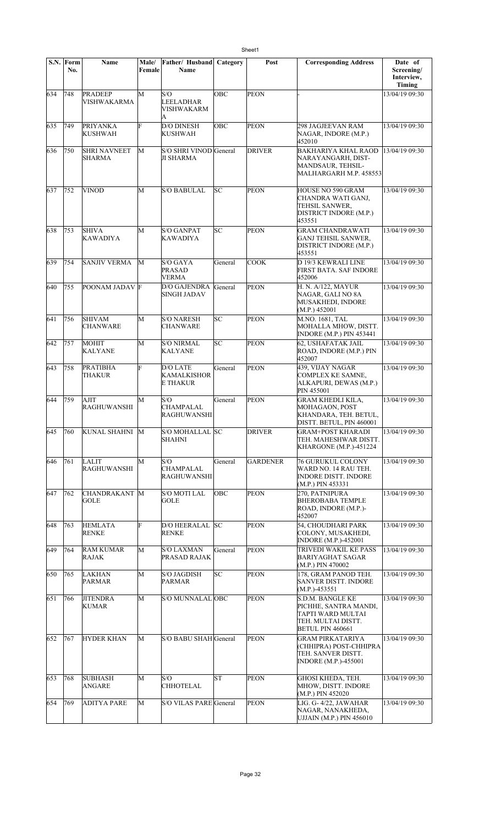|     | S.N. Form<br>No. | Name                                 | Male/<br>Female | Father/ Husband<br><b>Name</b>                    | Category   | Post            | <b>Corresponding Address</b>                                                                                    | Date of<br>Screening/<br>Interview,<br>Timing |
|-----|------------------|--------------------------------------|-----------------|---------------------------------------------------|------------|-----------------|-----------------------------------------------------------------------------------------------------------------|-----------------------------------------------|
| 634 | 748              | <b>PRADEEP</b><br>VISHWAKARMA        | M               | S/O<br><b>LEELADHAR</b><br><b>VISHWAKARM</b><br>A | OBC        | <b>PEON</b>     |                                                                                                                 | 13/04/19 09:30                                |
| 635 | 749              | <b>PRIYANKA</b><br><b>KUSHWAH</b>    | F               | <b>D/O DINESH</b><br><b>KUSHWAH</b>               | <b>OBC</b> | <b>PEON</b>     | 298 JAGJEEVAN RAM<br>NAGAR, INDORE (M.P.)<br>452010                                                             | 13/04/19 09:30                                |
| 636 | 750              | <b>SHRI NAVNEET</b><br><b>SHARMA</b> | M               | S/O SHRI VINOD General<br><b>JI SHARMA</b>        |            | <b>DRIVER</b>   | BAKHARIYA KHAL RAOD<br>NARAYANGARH, DIST-<br>MANDSAUR, TEHSIL-<br>MALHARGARH M.P. 458553                        | 13/04/19 09:30                                |
| 637 | 752              | <b>VINOD</b>                         | M               | <b>S/O BABULAL</b>                                | SC         | PEON            | HOUSE NO 590 GRAM<br>CHANDRA WATI GANJ,<br>TEHSIL SANWER,<br>DISTRICT INDORE (M.P.)<br>453551                   | 13/04/19 09:30                                |
| 638 | 753              | <b>SHIVA</b><br>KAWADIYA             | M               | <b>S/O GANPAT</b><br>KAWADIYA                     | SC         | <b>PEON</b>     | <b>GRAM CHANDRAWATI</b><br><b>GANJ TEHSIL SANWER,</b><br>DISTRICT INDORE (M.P.)<br>453551                       | 13/04/19 09:30                                |
| 639 | 754              | <b>SANJIV VERMA</b>                  | M               | S/O GAYA<br><b>PRASAD</b><br><b>VERMA</b>         | General    | COOK            | D 19/3 KEWRALI LINE<br>FIRST BATA. SAF INDORE<br>452006                                                         | 13/04/19 09:30                                |
| 640 | 755              | POONAM JADAV F                       |                 | <b>D/O GAJENDRA</b><br><b>SINGH JADAV</b>         | General    | <b>PEON</b>     | H. N. A/122, MAYUR<br>NAGAR, GALI NO 8A<br><b>MUSAKHEDI, INDORE</b><br>(M.P.) 452001                            | 13/04/19 09:30                                |
| 641 | 756              | <b>SHIVAM</b><br><b>CHANWARE</b>     | M               | <b>S/O NARESH</b><br><b>CHANWARE</b>              | SC         | <b>PEON</b>     | M.NO. 1681, TAL<br>MOHALLA MHOW, DISTT.<br><b>INDORE (M.P.) PIN 453441</b>                                      | 13/04/19 09:30                                |
| 642 | 757              | MOHIT<br><b>KALYANE</b>              | M               | <b>S/O NIRMAL</b><br><b>KALYANE</b>               | lsc        | PEON            | 62, USHAFATAK JAIL<br>ROAD, INDORE (M.P.) PIN<br>452007                                                         | 13/04/19 09:30                                |
| 643 | 758              | <b>PRATIBHA</b><br>THAKUR            | F               | <b>D/O LATE</b><br><b>KAMALKISHOR</b><br>E THAKUR | General    | <b>PEON</b>     | 439, VIJAY NAGAR<br><b>COMPLEX KE SAMNE,</b><br>ALKAPURI, DEWAS (M.P.)<br>PIN 455001                            | 13/04/19 09:30                                |
| 644 | 759              | AJIT<br><b>RAGHUWANSHI</b>           | М               | S/O<br><b>CHAMPALAL</b><br><b>RAGHUWANSHI</b>     | General    | <b>PEON</b>     | <b>GRAM KHEDLI KILA,</b><br>MOHAGAON, POST<br>KHANDARA, TEH. BETUL,<br>DISTT. BETUL, PIN 460001                 | 13/04/19 09:30                                |
| 645 | 760              | KUNAL SHAHNI M                       |                 | S/O MOHALLAL SC<br>SHAHNI                         |            | DRIVER          | <b>GRAM+POST KHARADI</b><br>TEH. MAHESHWAR DISTT.<br>KHARGONE (M.P.)-451224                                     | 13/04/19 09:30                                |
| 646 | 761              | LALIT<br><b>RAGHUWANSHI</b>          | М               | S/O<br><b>CHAMPALAL</b><br><b>RAGHUWANSHI</b>     | General    | <b>GARDENER</b> | 76 GURUKUL COLONY<br>WARD NO. 14 RAU TEH.<br><b>INDORE DISTT. INDORE</b><br>$(M.P.)$ PIN 453331                 | 13/04/19 09:30                                |
| 647 | 762              | CHANDRAKANT M<br>GOLE                |                 | S/O MOTI LAL<br>GOLE                              | ОВС        | <b>PEON</b>     | 270. PATNIPURA<br><b>BHEROBABA TEMPLE</b><br>ROAD, INDORE (M.P.)-<br>452007                                     | 13/04/19 09:30                                |
| 648 | 763              | <b>HEMLATA</b><br><b>RENKE</b>       | F               | D/O HEERALAL SC<br><b>RENKE</b>                   |            | <b>PEON</b>     | 54, CHOUDHARI PARK<br>COLONY, MUSAKHEDI,<br><b>INDORE</b> (M.P.)-452001                                         | 13/04/19 09:30                                |
| 649 | 764              | <b>RAM KUMAR</b><br>RAJAK            | М               | <b>S/O LAXMAN</b><br>PRASAD RAJAK                 | General    | <b>PEON</b>     | TRIVEDI WAKIL KE PASS<br>BARIYAGHAT SAGAR<br>(M.P.) PIN 470002                                                  | 13/04/19 09:30                                |
| 650 | 765              | LAKHAN<br>PARMAR                     | M               | <b>S/O JAGDISH</b><br><b>PARMAR</b>               | SC         | <b>PEON</b>     | 178, GRAM PANOD TEH.<br><b>SANVER DISTT. INDORE</b><br>$(M.P.) - 453551$                                        | 13/04/19 09:30                                |
| 651 | 766              | <b>JITENDRA</b><br>KUMAR             | M               | S/O MUNNALAL OBC                                  |            | <b>PEON</b>     | S.D.M. BANGLE KE<br>PICHHE, SANTRA MANDI,<br>TAPTI WARD MULTAI<br>TEH. MULTAI DISTT.<br><b>BETUL PIN 460661</b> | 13/04/19 09:30                                |
| 652 | 767              | <b>HYDER KHAN</b>                    | M               | S/O BABU SHAH General                             |            | <b>PEON</b>     | <b>GRAM PIRKATARIYA</b><br>(CHHIPRA) POST-CHHIPRA<br>TEH. SANVER DISTT.<br><b>INDORE</b> (M.P.)-455001          | 13/04/19 09:30                                |
| 653 | 768              | <b>SUBHASH</b><br>ANGARE             | M               | S/O<br><b>CHHOTELAL</b>                           | lsт        | <b>PEON</b>     | GHOSI KHEDA, TEH.<br>MHOW, DISTT. INDORE<br>(M.P.) PIN 452020                                                   | 13/04/19 09:30                                |
| 654 | 769              | <b>ADITYA PARE</b>                   | M               | S/O VILAS PARE General                            |            | <b>PEON</b>     | LIG. G-4/22, JAWAHAR<br>NAGAR, NANAKHEDA,<br><b>UJJAIN (M.P.) PIN 456010</b>                                    | 13/04/19 09:30                                |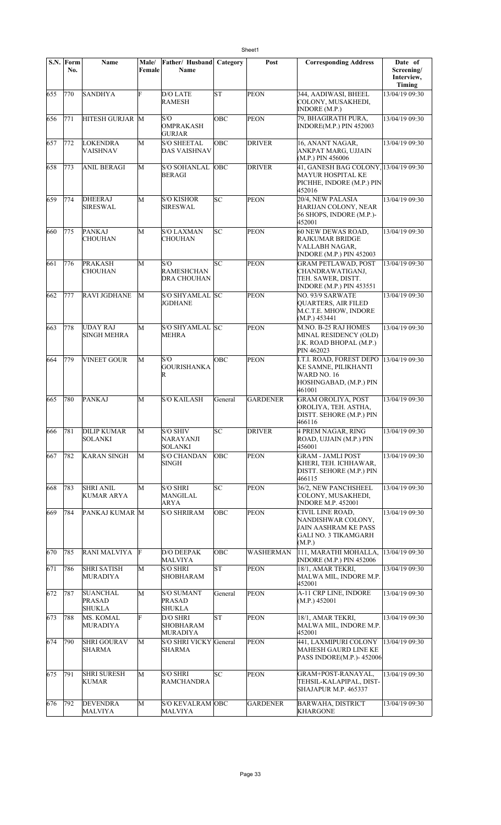|     | $\overline{\textbf{S}}\textbf{N}$ . Form | <b>Name</b>                                       | Male/        | Father/ Husband                                     | Category   | Post            | <b>Corresponding Address</b>                                                                                   | Date of                            |
|-----|------------------------------------------|---------------------------------------------------|--------------|-----------------------------------------------------|------------|-----------------|----------------------------------------------------------------------------------------------------------------|------------------------------------|
|     | No.                                      |                                                   | Female       | Name                                                |            |                 |                                                                                                                | Screening/<br>Interview,<br>Timing |
| 655 | 770                                      | <b>SANDHYA</b>                                    | F            | <b>D/O LATE</b><br><b>RAMESH</b>                    | lsт        | <b>PEON</b>     | 344, AADIWASI, BHEEL<br>COLONY, MUSAKHEDI,<br><b>INDORE</b> (M.P.)                                             | 13/04/19 09:30                     |
| 656 | 771                                      | HITESH GURJAR M                                   |              | S/O<br><b>OMPRAKASH</b><br><b>GURJAR</b>            | OBC        | <b>PEON</b>     | 79, BHAGIRATH PURA,<br>INDORE(M.P.) PIN 452003                                                                 | 13/04/19 09:30                     |
| 657 | 772                                      | LOKENDRA<br>VAISHNAV                              | M            | <b>S/O SHEETAL</b><br><b>DAS VAISHNAV</b>           | <b>OBC</b> | <b>DRIVER</b>   | 16, ANANT NAGAR,<br>ANKPAT MARG, UJJAIN<br>(M.P.) PIN 456006                                                   | 13/04/19 09:30                     |
| 658 | 773                                      | <b>ANIL BERAGI</b>                                | M            | <b>S/O SOHANLAL</b><br><b>BERAGI</b>                | OBC        | <b>DRIVER</b>   | 41, GANESH BAG COLONY, 13/04/19 09:30<br><b>MAYUR HOSPITAL KE</b><br>PICHHE, INDORE (M.P.) PIN<br>452016       |                                    |
| 659 | 774                                      | <b>DHEERAJ</b><br><b>SIRESWAL</b>                 | M            | <b>S/O KISHOR</b><br>SIRESWAL                       | lsс        | <b>PEON</b>     | 20/4, NEW PALASIA<br>HARIJAN COLONY, NEAR<br>56 SHOPS, INDORE (M.P.)-<br>452001                                | 13/04/19 09:30                     |
| 660 | 775                                      | <b>PANKAJ</b><br>CHOUHAN                          | M            | <b>S/O LAXMAN</b><br>CHOUHAN                        | SC         | <b>PEON</b>     | 60 NEW DEWAS ROAD,<br><b>RAJKUMAR BRIDGE</b><br>VALLABH NAGAR,<br><b>INDORE (M.P.) PIN 452003</b>              | 13/04/19 09:30                     |
| 661 | 776                                      | <b>PRAKASH</b><br><b>CHOUHAN</b>                  | M            | S/O<br><b>RAMESHCHAN</b><br><b>DRA CHOUHAN</b>      | SC         | <b>PEON</b>     | <b>GRAM PETLAWAD, POST</b><br>CHANDRAWATIGANJ,<br>TEH. SAWER, DISTT.<br><b>INDORE (M.P.) PIN 453551</b>        | 13/04/19 09:30                     |
| 662 | 777                                      | <b>RAVI JGDHANE</b>                               | M            | S/O SHYAMLAL SC<br>JGDHANE                          |            | PEON            | NO. 93/9 SARWATE<br><b>QUARTERS, AIR FILED</b><br>M.C.T.E. MHOW, INDORE<br>(M.P.) 453441                       | 13/04/19 09:30                     |
| 663 | 778                                      | <b>UDAY RAJ</b><br><b>SINGH MEHRA</b>             | M            | S/O SHYAMLAL SC<br><b>MEHRA</b>                     |            | <b>PEON</b>     | M.NO. B-25 RAJ HOMES<br>MINAL RESIDENCY (OLD)<br>J.K. ROAD BHOPAL (M.P.)<br>PIN 462023                         | 13/04/19 09:30                     |
| 664 | 779                                      | <b>VINEET GOUR</b>                                | M            | S/O<br><b>GOURISHANKA</b><br>R                      | OBC        | <b>PEON</b>     | <b>I.T.I. ROAD, FOREST DEPO</b><br>KE SAMNE, PILIKHANTI<br>WARD NO. 16<br>HOSHNGABAD, (M.P.) PIN<br>461001     | 13/04/19 09:30                     |
| 665 | 780                                      | <b>PANKAJ</b>                                     | M            | <b>S/O KAILASH</b>                                  | General    | GARDENER        | <b>GRAM OROLIYA, POST</b><br>OROLIYA, TEH. ASTHA,<br>DISTT. SEHORE (M.P.) PIN<br>466116                        | 13/04/19 09:30                     |
| 666 | 781                                      | <b>DILIP KUMAR</b><br>SOLANKI                     | M            | <b>S/O SHIV</b><br>NARAYANJI<br><b>SOLANKI</b>      | SC         | <b>DRIVER</b>   | 4 PREM NAGAR, RING<br>ROAD, UJJAIN (M.P.) PIN<br>456001                                                        | 13/04/19 09:30                     |
| 667 | 782                                      | <b>KARAN SINGH</b>                                | M            | <b>S/O CHANDAN</b><br><b>SINGH</b>                  | OBC        | <b>PEON</b>     | <b>GRAM - JAMLI POST</b><br>KHERI, TEH. ICHHAWAR,<br>DISTT. SEHORE (M.P.) PIN<br>466115                        | 13/04/19 09:30                     |
| 668 | 783                                      | <b>SHRI ANIL</b><br>KUMAR ARYA                    | M            | <b>S/O SHRI</b><br>MANGILAL<br>ARYA                 | SC         | PEON            | 36/2, NEW PANCHSHEEL<br>COLONY, MUSAKHEDI,<br><b>INDORE M.P. 452001</b>                                        | 13/04/19 09:30                     |
| 669 | 784                                      | PANKAJ KUMAR M                                    |              | <b>S/O SHRIRAM</b>                                  | OBC        | <b>PEON</b>     | CIVIL LINE ROAD,<br>NANDISHWAR COLONY,<br><b>JAIN AASHRAM KE PASS</b><br><b>GALI NO. 3 TIKAMGARH</b><br>(M.P.) | 13/04/19 09:30                     |
| 670 | 785                                      | RANI MALVIYA                                      | F            | <b>D/O DEEPAK</b><br><b>MALVIYA</b>                 | OBC        | WASHERMAN       | 111, MARATHI MOHALLA,<br><b>INDORE (M.P.) PIN 452006</b>                                                       | 13/04/19 09:30                     |
| 671 | 786                                      | <b>SHRI SATISH</b><br><b>MURADIYA</b>             | M            | <b>S/O SHRI</b><br>SHOBHARAM                        | SΤ         | <b>PEON</b>     | 18/1, AMAR TEKRI,<br>MALWA MIL, INDORE M.P.<br>452001                                                          | 13/04/19 09:30                     |
| 672 | 787                                      | <b>SUANCHAL</b><br><b>PRASAD</b><br><b>SHUKLA</b> | M            | <b>S/O SUMANT</b><br><b>PRASAD</b><br><b>SHUKLA</b> | General    | <b>PEON</b>     | A-11 CRP LINE, INDORE<br>(M.P.) 452001                                                                         | 13/04/19 09:30                     |
| 673 | 788                                      | MS. KOMAL<br>MURADIYA                             | F            | D/O SHRI<br>SHOBHARAM<br>MURADIYA                   | lsΤ        | <b>PEON</b>     | 18/1, AMAR TEKRI,<br>MALWA MIL, INDORE M.P.<br>452001                                                          | 13/04/19 09:30                     |
| 674 | 790                                      | <b>SHRI GOURAV</b><br>SHARMA                      | M            | S/O SHRI VICKY General<br>SHARMA                    |            | <b>PEON</b>     | 441, LAXMIPURI COLONY<br>MAHESH GAURD LINE KE<br>PASS INDORE(M.P.)-452006                                      | 13/04/19 09:30                     |
| 675 | 791                                      | <b>SHRI SURESH</b><br>KUMAR                       | M            | <b>S/O SHRI</b><br><b>RAMCHANDRA</b>                | SC         | <b>PEON</b>     | GRAM+POST-RANAYAL,<br>TEHSIL-KALAPIPAL, DIST-<br>SHAJAPUR M.P. 465337                                          | 13/04/19 09:30                     |
| 676 | 792                                      | <b>DEVENDRA</b><br>MALVIYA                        | $\mathbf{M}$ | <b>S/O KEVALRAM OBC</b><br>MALVIYA                  |            | <b>GARDENER</b> | <b>BARWAHA, DISTRICT</b><br><b>KHARGONE</b>                                                                    | 13/04/19 09:30                     |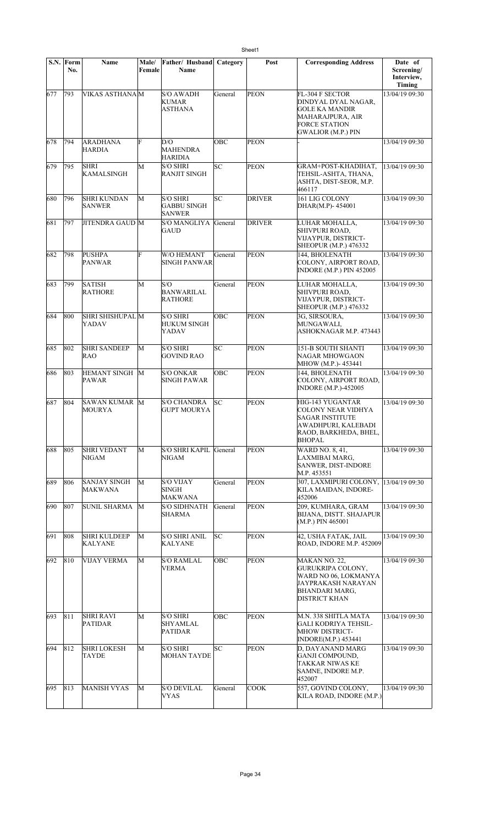|     | S.N. Form<br>No. | Name                                  | Male/<br>Female | Father/ Husband<br>Name                                | Category  | Post              | <b>Corresponding Address</b>                                                                                                             | Date of<br>Screening/<br>Interview,<br>Timing |
|-----|------------------|---------------------------------------|-----------------|--------------------------------------------------------|-----------|-------------------|------------------------------------------------------------------------------------------------------------------------------------------|-----------------------------------------------|
| 677 | 793              | <b>VIKAS ASTHANAM</b>                 |                 | <b>S/O AWADH</b><br><b>KUMAR</b><br><b>ASTHANA</b>     | General   | <b>PEON</b>       | FL-304 F SECTOR<br>DINDYAL DYAL NAGAR,<br><b>GOLE KA MANDIR</b><br>MAHARAJPURA, AIR<br><b>FORCE STATION</b><br><b>GWALIOR (M.P.) PIN</b> | 13/04/19 09:30                                |
| 678 | 794              | <b>ARADHANA</b><br>HARDIA             | F               | D/O<br><b>MAHENDRA</b><br><b>HARIDIA</b>               | OBC       | PEON              |                                                                                                                                          | 13/04/19 09:30                                |
| 679 | 795              | <b>SHRI</b><br><b>KAMALSINGH</b>      | M               | <b>S/O SHRI</b><br>RANJIT SINGH                        | SC        | <b>PEON</b>       | GRAM+POST-KHADIHAT,<br>TEHSIL-ASHTA, THANA,<br>ASHTA, DIST-SEOR, M.P.<br>466117                                                          | 13/04/19 09:30                                |
| 680 | 796              | <b>SHRI KUNDAN</b><br><b>SANWER</b>   | M               | <b>S/O SHRI</b><br><b>GABBU SINGH</b><br><b>SANWER</b> | SC        | <b>DRIVER</b>     | 161 LIG COLONY<br>DHAR(M.P)-454001                                                                                                       | 13/04/19 09:30                                |
| 681 | 797              | <b>JITENDRA GAUD M</b>                |                 | <b>S/O MANGLIYA</b><br><b>GAUD</b>                     | General   | <b>DRIVER</b>     | LUHAR MOHALLA,<br>SHIVPURI ROAD,<br>VIJAYPUR, DISTRICT-<br>SHEOPUR (M.P.) 476332                                                         | 13/04/19 09:30                                |
| 682 | 798              | <b>PUSHPA</b><br><b>PANWAR</b>        | F               | <b>W/O HEMANT</b><br><b>SINGH PANWAR</b>               | General   | <b>PEON</b>       | 144, BHOLENATH<br>COLONY, AIRPORT ROAD,<br><b>INDORE (M.P.) PIN 452005</b>                                                               | 13/04/19 09:30                                |
| 683 | 799              | <b>SATISH</b><br><b>RATHORE</b>       | M               | S/O<br><b>BANWARILAL</b><br><b>RATHORE</b>             | General   | PEON              | LUHAR MOHALLA,<br>SHIVPURI ROAD,<br>VIJAYPUR, DISTRICT-<br><b>SHEOPUR (M.P.) 476332</b>                                                  | 13/04/19 09:30                                |
| 684 | 800              | SHRI SHISHUPAL M<br>YADAV             |                 | <b>S/O SHRI</b><br><b>HUKUM SINGH</b><br>YADAV         | ОВС       | <b>PEON</b>       | 3G, SIRSOURA,<br>MUNGAWALI,<br>ASHOKNAGAR M.P. 473443                                                                                    | 13/04/19 09:30                                |
| 685 | 802              | <b>SHRI SANDEEP</b><br>RAO            | M               | <b>S/O SHRI</b><br><b>GOVIND RAO</b>                   | SC        | <b>PEON</b>       | <b>151-B SOUTH SHANTI</b><br>NAGAR MHOWGAON<br>MHOW (M.P.)-453441                                                                        | 13/04/19 09:30                                |
| 686 | 803              | HEMANT SINGH M<br>PAWAR               |                 | <b>S/O ONKAR</b><br><b>SINGH PAWAR</b>                 | ОВС       | <b>PEON</b>       | 144. BHOLENATH<br>COLONY, AIRPORT ROAD,<br><b>INDORE (M.P.)-452005</b>                                                                   | 13/04/19 09:30                                |
| 687 | 804              | SAWAN KUMAR M<br><b>MOURYA</b>        |                 | <b>S/O CHANDRA</b><br><b>GUPT MOURYA</b>               | SC        | <b>PEON</b>       | HIG-143 YUGANTAR<br><b>COLONY NEAR VIDHYA</b><br><b>SAGAR INSTITUTE</b><br>AWADHPURI, KALEBADI<br>RAOD, BARKHEDA, BHEL,<br><b>BHOPAL</b> | 13/04/19 09:30                                |
| 688 | 805              | <b>SHRI VEDANT</b><br><b>NIGAM</b>    | М               | <b>S/O SHRI KAPIL</b><br><b>NIGAM</b>                  | General   | <b>PEON</b>       | WARD NO. 8, 41,<br>LAXMIBAI MARG,<br>SANWER, DIST-INDORE<br>M.P. 453551                                                                  | 13/04/19 09:30                                |
| 689 | 806              | SANJAY SINGH<br><b>MAKWANA</b>        | M               | <b>S/O VIJAY</b><br><b>SINGH</b><br>MAKWANA            | General   | <b>PEON</b>       | 307, LAXMIPURI COLONY, 13/04/19 09:30<br>KILA MAIDAN, INDORE-<br>452006                                                                  |                                               |
| 690 | 807              | SUNIL SHARMA                          | M               | <b>S/O SIDHNATH</b><br>SHARMA                          | General   | <b>PEON</b>       | 209, KUMHARA, GRAM<br>BIJANA, DISTT. SHAJAPUR<br>(M.P.) PIN 465001                                                                       | 13/04/19 09:30                                |
| 691 | 808              | <b>SHRI KULDEEP</b><br><b>KALYANE</b> | M               | <b>S/O SHRI ANIL</b><br>KALYANE                        | БC        | <b>PEON</b>       | 42, USHA FATAK, JAIL<br>ROAD, INDORE M.P. 452009                                                                                         | 13/04/19 09:30                                |
| 692 | 810              | VIJAY VERMA                           | M               | <b>S/O RAMLAL</b><br>VERMA                             | OBC       | <b>PEON</b>       | MAKAN NO. 22,<br>GURUKRIPA COLONY,<br>WARD NO 06, LOKMANYA<br>JAYPRAKASH NARAYAN<br>BHANDARI MARG,<br>DISTRICT KHAN                      | 13/04/19 09:30                                |
| 693 | 811              | <b>SHRI RAVI</b><br><b>PATIDAR</b>    | М               | S/O SHRI<br>SHYAMLAL<br><b>PATIDAR</b>                 | OBC       | <b>PEON</b>       | M.N. 338 SHITLA MATA<br>GALI KODRIYA TEHSIL-<br><b>MHOW DISTRICT-</b><br>INDORE(M.P.) 453441                                             | 13/04/19 09:30                                |
| 694 | 812              | <b>SHRI LOKESH</b><br>TAYDE           | М               | S/O SHRI<br><b>MOHAN TAYDE</b>                         | <b>SC</b> | <b>PEON</b>       | D, DAYANAND MARG<br><b>GANJI COMPOUND.</b><br>TAKKAR NIWAS KE<br>SAMNE, INDORE M.P.<br>452007                                            | 13/04/19 09:30                                |
| 695 | 813              | <b>MANISH VYAS</b>                    | M               | <b>S/O DEVILAL</b><br>VYAS                             | General   | $\overline{COOK}$ | 557, GOVIND COLONY,<br>KILA ROAD, INDORE (M.P.)                                                                                          | 13/04/19 09:30                                |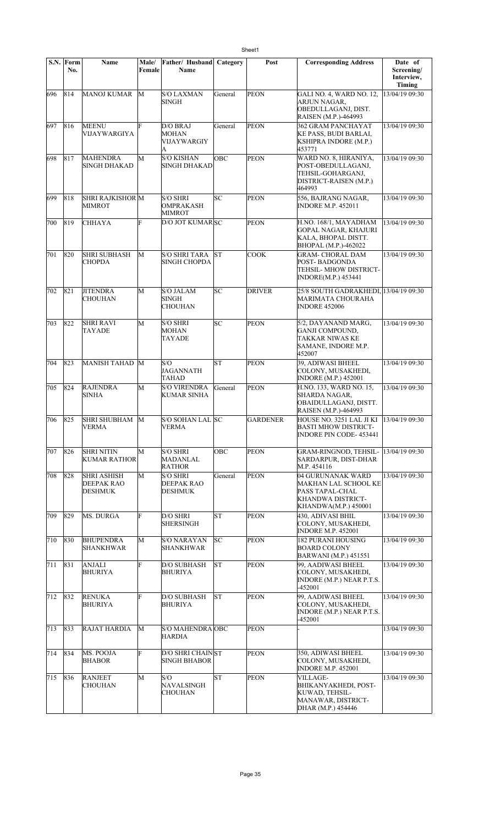|     | S.N. Form<br>No. | Name                                               | Male/<br>Female | Father/ Husband<br>Name                         | Category   | Post            | <b>Corresponding Address</b>                                                                                            | Date of<br>Screening/<br>Interview,<br>Timing |
|-----|------------------|----------------------------------------------------|-----------------|-------------------------------------------------|------------|-----------------|-------------------------------------------------------------------------------------------------------------------------|-----------------------------------------------|
| 696 | 814              | <b>MANOJ KUMAR</b>                                 | М               | <b>S/O LAXMAN</b><br>SINGH                      | General    | <b>PEON</b>     | GALI NO. 4, WARD NO. 12,<br>ARJUN NAGAR,<br>OBEDULLAGANJ, DIST.<br>RAISEN (M.P.)-464993                                 | 13/04/19 09:30                                |
| 697 | 816              | <b>MEENU</b><br>VIJAYWARGIYA                       | F               | D/O BRAJ<br><b>MOHAN</b><br>VIJAYWARGIY<br>A    | General    | <b>PEON</b>     | 362 GRAM PANCHAYAT<br>KE PASS, BUDI BARLAI,<br><b>KSHIPRA INDORE (M.P.)</b><br>453771                                   | 13/04/19 09:30                                |
| 698 | 817              | <b>MAHENDRA</b><br><b>SINGH DHAKAD</b>             | М               | <b>S/O KISHAN</b><br>SINGH DHAKAD               | OBC        | <b>PEON</b>     | WARD NO. 8, HIRANIYA,<br>POST-OBEDULLAGANJ,<br>TEHSIL-GOHARGANJ,<br>DISTRICT-RAISEN (M.P.)<br>464993                    | 13/04/19 09:30                                |
| 699 | 818              | SHRI RAJKISHOR M<br><b>MIMROT</b>                  |                 | S/O SHRI<br>OMPRAKASH<br>MIMROT                 | SC         | <b>PEON</b>     | 556, BAJRANG NAGAR,<br><b>INDORE M.P. 452011</b>                                                                        | 13/04/19 09:30                                |
| 700 | 819              | CHHAYA                                             | F               | <b>D/O JOT KUMARISC</b>                         |            | <b>PEON</b>     | H.NO. 168/1, MAYADHAM<br><b>GOPAL NAGAR, KHAJURI</b><br>KALA, BHOPAL DISTT.<br>BHOPAL (M.P.)-462022                     | 13/04/19 09:30                                |
| 701 | 820              | <b>SHRI SUBHASH</b><br>CHOPDA                      | M               | S/O SHRI TARA<br>SINGH CHOPDA                   | lst        | COOK            | <b>GRAM- CHORAL DAM</b><br>POST-BADGONDA<br>TEHSIL- MHOW DISTRICT-<br><b>INDORE(M.P.) 453441</b>                        | 13/04/19 09:30                                |
| 702 | 821              | <b>JITENDRA</b><br>CHOUHAN                         | М               | <b>S/O JALAM</b><br>SINGH<br>CHOUHAN            | SC         | <b>DRIVER</b>   | 25/8 SOUTH GADRAKHEDI, 13/04/19 09:30<br>MARIMATA CHOURAHA<br><b>INDORE 452006</b>                                      |                                               |
| 703 | 822              | <b>SHRI RAVI</b><br>TAYADE                         | М               | S/O SHRI<br><b>MOHAN</b><br>TAYADE              | SC         | <b>PEON</b>     | 5/2, DAYANAND MARG,<br>GANJI COMPOUND.<br>TAKKAR NIWAS KE<br>SAMANE, INDORE M.P.<br>452007                              | 13/04/19 09:30                                |
| 704 | 823              | MANISH TAHAD M                                     |                 | S/O<br><b>JAGANNATH</b><br>TAHAD                | <b>ST</b>  | <b>PEON</b>     | 39, ADIWASI BHEEL<br>COLONY, MUSAKHEDI,<br><b>INDORE</b> (M.P.) 452001                                                  | 13/04/19 09:30                                |
| 705 | 824              | <b>RAJENDRA</b><br>SINHA                           | М               | <b>S/O VIRENDRA</b><br><b>KUMAR SINHA</b>       | General    | <b>PEON</b>     | H.NO. 133, WARD NO. 15,<br><b>SHARDA NAGAR,</b><br>OBAIDULLAGANJ, DISTT.<br>RAISEN (M.P.)-464993                        | 13/04/19 09:30                                |
| 706 | $\sqrt{825}$     | SHRI SHUBHAM M<br><b>VERMA</b>                     |                 | S/O SOHAN LAL SC<br>VERMA                       |            | <b>GARDENER</b> | HOUSE NO. 3251 LAL JI KI 13/04/19 09:30<br><b>BASTI MHOW DISTRICT-</b><br><b>INDORE PIN CODE-453441</b>                 |                                               |
| 707 | 826              | <b>SHRI NITIN</b><br><b>KUMAR RATHOR</b>           | М               | <b>S/O SHRI</b><br>MADANLAL<br>RATHOR           | <b>OBC</b> | <b>PEON</b>     | GRAM-RINGNOD, TEHSIL-  13/04/19 09:30<br>SARDARPUR, DIST-DHAR<br>M.P. 454116                                            |                                               |
| 708 | 828              | <b>SHRI ASHISH</b><br><b>DEEPAK RAO</b><br>DESHMUK | М               | <b>S/O SHRI</b><br><b>DEEPAK RAO</b><br>DESHMUK | General    | <b>PEON</b>     | 04 GURUNANAK WARD<br>MAKHAN LAL SCHOOL KE<br>PASS TAPAL-CHAL<br><b>KHANDWA DISTRICT-</b><br><b>KHANDWA(M.P.) 450001</b> | 13/04/19 09:30                                |
| 709 | 829              | <b>MS. DURGA</b>                                   | F               | D/O SHRI<br><b>SHERSINGH</b>                    | ST         | <b>PEON</b>     | <b>430. ADIVASI BHIL</b><br>COLONY, MUSAKHEDI,<br><b>INDORE M.P. 452001</b>                                             | 13/04/19 09:30                                |
| 710 | 830              | <b>BHUPENDRA</b><br><b>SHANKHWAR</b>               | М               | <b>S/O NARAYAN</b><br><b>SHANKHWAR</b>          | SC         | <b>PEON</b>     | <b>182 PURANI HOUSING</b><br><b>BOARD COLONY</b><br><b>BARWANI</b> (M.P.) 451551                                        | 13/04/19 09:30                                |
| 711 | 831              | <b>ANJALI</b><br><b>BHURIYA</b>                    | F               | <b>D/O SUBHASH</b><br><b>BHURIYA</b>            | ST         | <b>PEON</b>     | 99, AADIWASI BHEEL<br>COLONY, MUSAKHEDI,<br>INDORE (M.P.) NEAR P.T.S.<br>-452001                                        | 13/04/19 09:30                                |
| 712 | 832              | <b>RENUKA</b><br><b>BHURIYA</b>                    | F               | D/O SUBHASH<br>BHURIYA                          | ST         | <b>PEON</b>     | 99, AADIWASI BHEEL<br>COLONY, MUSAKHEDI,<br>INDORE (M.P.) NEAR P.T.S.<br>-452001                                        | 13/04/19 09:30                                |
| 713 | 833              | RAJAT HARDIA                                       | М               | S/O MAHENDRA OBC<br><b>HARDIA</b>               |            | <b>PEON</b>     |                                                                                                                         | 13/04/19 09:30                                |
| 714 | 834              | MS. POOJA<br><b>BHABOR</b>                         | F               | D/O SHRI CHAIN ST<br><b>SINGH BHABOR</b>        |            | <b>PEON</b>     | 350, ADIWASI BHEEL<br>COLONY, MUSAKHEDI,<br><b>INDORE M.P. 452001</b>                                                   | 13/04/19 09:30                                |
| 715 | 836              | <b>RANJEET</b><br>CHOUHAN                          | М               | S/O<br>NAVALSINGH<br><b>CHOUHAN</b>             | ST         | <b>PEON</b>     | VILLAGE-<br><b>BHIKANYAKHEDI, POST-</b><br>KUWAD, TEHSIL-<br>MANAWAR, DISTRICT-<br>DHAR (M.P.) 454446                   | 13/04/19 09:30                                |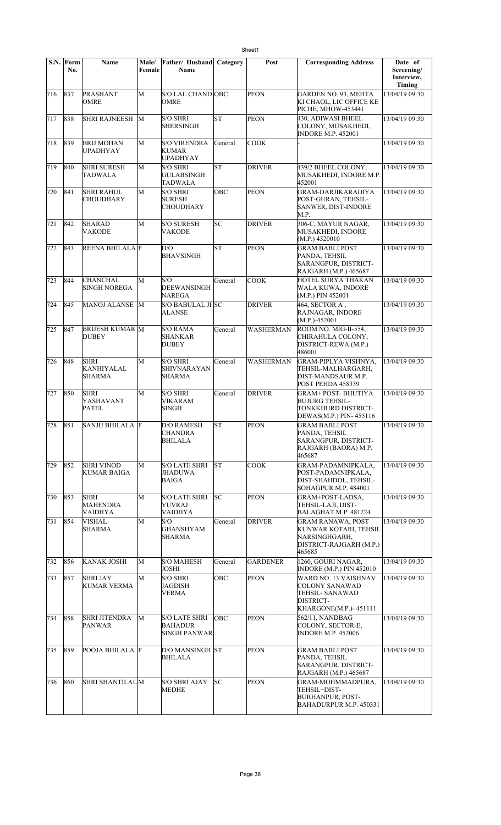|     | $\overline{\textbf{S}}$ .N. Form<br>No. | Name                                              | Male/<br>Female | Father/ Husband<br>Name                                       | Category      | Post             | <b>Corresponding Address</b>                                                                            | Date of<br>Screening/<br>Interview,<br><b>Timing</b> |
|-----|-----------------------------------------|---------------------------------------------------|-----------------|---------------------------------------------------------------|---------------|------------------|---------------------------------------------------------------------------------------------------------|------------------------------------------------------|
| 716 | 837                                     | PRASHANT<br><b>OMRE</b>                           | M               | S/O LAL CHAND OBC<br><b>OMRE</b>                              |               | <b>PEON</b>      | GARDEN NO. 93, MEHTA<br>KI CHAOL, LIC OFFICE KE<br>PICHE, MHOW-453441                                   | 13/04/19 09:30                                       |
| 717 | 838                                     | <b>SHRI RAJNEESH</b>                              | M               | <b>S/O SHRI</b><br><b>SHERSINGH</b>                           | SΤ            | <b>PEON</b>      | 430, ADIWASI BHEEL<br>COLONY, MUSAKHEDI,<br><b>INDORE M.P. 452001</b>                                   | 13/04/19 09:30                                       |
| 718 | 839                                     | <b>BRIJ MOHAN</b><br><b>UPADHYAY</b>              | M               | <b>S/O VIRENDRA</b><br><b>KUMAR</b><br><b>UPADHYAY</b>        | General       | <b>COOK</b>      |                                                                                                         | 13/04/19 09:30                                       |
| 719 | 840                                     | <b>SHRI SURESH</b><br><b>TADWALA</b>              | M               | <b>S/O SHRI</b><br><b>GULABSINGH</b><br>TADWALA               | SΤ            | <b>DRIVER</b>    | 439/2 BHEEL COLONY,<br>MUSAKHEDI, INDORE M.P.<br>452001                                                 | 13/04/19 09:30                                       |
| 720 | 841                                     | <b>SHRI RAHUL</b><br><b>CHOUDHARY</b>             | M               | <b>S/O SHRI</b><br><b>SURESH</b><br>CHOUDHARY                 | OBC           | <b>PEON</b>      | <b>GRAM-DARJIKARADIYA</b><br>POST-GURAN, TEHSIL-<br><b>SANWER, DIST-INDORE</b><br>M.P.                  | 13/04/19 09:30                                       |
| 721 | 842                                     | <b>SHARAD</b><br>VAKODE                           | M               | <b>S/O SURESH</b><br><b>VAKODE</b>                            | SC            | <b>DRIVER</b>    | 306-C, MAYUR NAGAR,<br>MUSAKHEDI, INDORE<br>(M.P.) 4520010                                              | 13/04/19 09:30                                       |
| 722 | 843                                     | <b>REENA BHILALA F</b>                            |                 | D/O<br><b>BHAVSINGH</b>                                       | <b>ST</b>     | <b>PEON</b>      | <b>GRAM BABLI POST</b><br>PANDA, TEHSIL<br>SARANGPUR, DISTRICT-<br>RAJGARH (M.P.) 465687                | 13/04/19 09:30                                       |
| 723 | 844                                     | <b>CHANCHAL</b><br><b>SINGH NOREGA</b>            | M               | S/O<br><b>DEEWANSINGH</b><br>NAREGA                           | General       | <b>COOK</b>      | HOTEL SURYA THAKAN<br>WALA KUWA, INDORE<br>(M.P.) PIN 452001                                            | 13/04/19 09:30                                       |
| 724 | 845                                     | <b>MANOJ ALANSE</b>                               | M               | S/O BABULAL JI SC<br>ALANSE                                   |               | <b>DRIVER</b>    | 464, SECTOR A,<br>RAJNAGAR, INDORE<br>$(M.P.)-452001$                                                   | 13/04/19 09:30                                       |
| 725 | 847                                     | <b>BRIJESH KUMAR M</b><br><b>DUBEY</b>            |                 | <b>S/O RAMA</b><br><b>SHANKAR</b><br><b>DUBEY</b>             | General       | <b>WASHERMAN</b> | ROOM NO. MIG-II-554,<br>CHIRAHULA COLONY,<br>DISTRICT-REWA (M.P.)<br>486001                             | 13/04/19 09:30                                       |
| 726 | 848                                     | <b>SHRI</b><br><b>KANHIYALAL</b><br><b>SHARMA</b> | M               | <b>S/O SHRI</b><br>SHIVNARAYAN<br><b>SHARMA</b>               | General       | <b>WASHERMAN</b> | GRAM-PIPLYA VISHNYA,<br>TEHSIL-MALHARGARH,<br>DIST-MANDSAUR M.P.<br>POST PEHDA 458339                   | 13/04/19 09:30                                       |
| 727 | 850                                     | <b>SHRI</b><br>YASHAVANT<br><b>PATEL</b>          | M               | <b>S/O SHRI</b><br><b>VIKARAM</b><br>SINGH                    | General       | <b>DRIVER</b>    | <b>GRAM+ POST- BHUTIYA</b><br><b>BUJURG TEHSIL-</b><br>TONKKHURD DISTRICT-<br>DEWAS(M.P.) PIN-455116    | 13/04/19 09:30                                       |
| 728 | 851                                     | <b>SANJU BHILALA F</b>                            |                 | <b>D/O RAMESH</b><br>CHANDRA<br>BHILALA                       | <b>ST</b>     | <b>PEON</b>      | <b>GRAM BABLI POST</b><br>PANDA, TEHSIL<br>SARANGPUR, DISTRICT-<br>RAJGARH (BAORA) M.P.<br>465687       | 13/04/19 09:30                                       |
| 729 | 852                                     | <b>SHRI VINOD</b><br><b>KUMAR BAIGA</b>           | М               | <b>S/O LATE SHRI</b><br>JHADUWA<br><b>BAIGA</b>               | IST           | <b>COOK</b>      | <b>GRAM-PADAMNIPKALA,</b><br>POST-PADAMNIPKALA,<br>DIST-SHAHDOL, TEHSIL-<br>SOHAGPUR M.P. 484001        | 13/04/19 09:30                                       |
| 730 | 853                                     | <b>SHRI</b><br>MAHENDRA<br><b>VAIDHYA</b>         | M               | <b>S/O LATE SHRI</b><br><b>YUVRAJ</b><br><b>VAIDHYA</b>       | $ S_{\rm C} $ | <b>PEON</b>      | GRAM+POST-LADSA,<br>TEHSIL-LAJI, DIST-<br>BALAGHAT M.P. 481224                                          | 13/04/19 09:30                                       |
| 731 | 854                                     | <b>VISHAL</b><br><b>SHARMA</b>                    | M               | S/O<br><b>GHANSHYAM</b><br><b>SHARMA</b>                      | General       | <b>DRIVER</b>    | <b>GRAM RANAWA, POST</b><br>KUNWAR KOTARI, TEHSIL<br>NARSINGHGARH,<br>DISTRICT-RAJGARH (M.P.)<br>465685 | 13/04/19 09:30                                       |
| 732 | 856                                     | KANAK JOSHI                                       | M               | <b>S/O MAHESH</b><br><b>JOSHI</b>                             | General       | <b>GARDENER</b>  | 1260, GOURI NAGAR,<br><b>INDORE (M.P.) PIN 452010</b>                                                   | 13/04/19 09:30                                       |
| 733 | 857                                     | <b>SHRI JAY</b><br>KUMAR VERMA                    | М               | <b>S/O SHRI</b><br>JAGDISH<br><b>VERMA</b>                    | ОВС           | <b>PEON</b>      | WARD NO. 13 VAISHNAV<br>COLONY SANAWAD<br>TEHSIL- SANAWAD<br>DISTRICT-<br>KHARGONE(M.P.)-451111         | 13/04/19 09:30                                       |
| 734 | 858                                     | <b>SHRI JITENDRA</b><br><b>PANWAR</b>             | M               | <b>S/O LATE SHRI</b><br><b>BAHADUR</b><br><b>SINGH PANWAR</b> | OBC           | <b>PEON</b>      | 562/11, NANDBAG<br>COLONY, SECTOR-E,<br><b>INDORE M.P. 452006</b>                                       | 13/04/19 09:30                                       |
| 735 | 859                                     | POOJA BHILALA F                                   |                 | <b>D/O MANSINGH ST</b><br><b>BHILALA</b>                      |               | <b>PEON</b>      | GRAM BABLI POST<br>PANDA, TEHSIL<br>SARANGPUR, DISTRICT-<br>RAJGARH (M.P.) 465687                       | 13/04/19 09:30                                       |
| 736 | 860                                     | <b>SHRI SHANTILAL</b> M                           |                 | <b>S/O SHRI AJAY</b><br><b>MEDHE</b>                          | SC            | <b>PEON</b>      | GRAM-MOHMMADPURA,<br>TEHSIL+DIST-<br><b>BURHANPUR, POST-</b><br>BAHADURPUR M.P. 450331                  | 13/04/19 09:30                                       |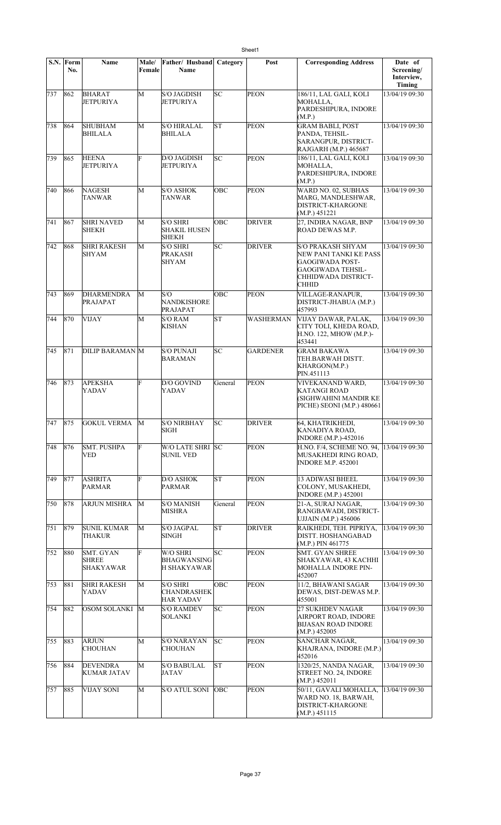|         | S.N. Form<br>No. | Name                                          | Male/<br>Female | Father/ Husband<br>Name                                   | Category          | Post             | <b>Corresponding Address</b>                                                                                               | Date of<br>Screening/<br>Interview,<br>Timing |
|---------|------------------|-----------------------------------------------|-----------------|-----------------------------------------------------------|-------------------|------------------|----------------------------------------------------------------------------------------------------------------------------|-----------------------------------------------|
| 737     | 862              | <b>BHARAT</b><br><b>JETPURIYA</b>             | M               | S/O JAGDISH<br><b>JETPURIYA</b>                           | SC                | <b>PEON</b>      | 186/11, LAL GALI, KOLI<br>MOHALLA,<br>PARDESHIPURA, INDORE<br>(M.P.)                                                       | 13/04/19 09:30                                |
| 738     | 864              | <b>SHUBHAM</b><br><b>BHILALA</b>              | М               | <b>S/O HIRALAL</b><br><b>BHILALA</b>                      | <b>ST</b>         | <b>PEON</b>      | <b>GRAM BABLI, POST</b><br>PANDA, TEHSIL-<br>SARANGPUR, DISTRICT-<br>RAJGARH (M.P.) 465687                                 | 13/04/19 09:30                                |
| 739     | 865              | <b>HEENA</b><br>JETPURIYA                     | Ė               | D/O JAGDISH<br><b>JETPURIYA</b>                           | SC                | <b>PEON</b>      | 186/11, LAL GALI, KOLI<br>MOHALLA,<br>PARDESHIPURA, INDORE<br>(M.P.)                                                       | 13/04/19 09:30                                |
| 740     | 866              | <b>NAGESH</b><br>TANWAR                       | М               | <b>S/O ASHOK</b><br>TANWAR                                | OBC               | <b>PEON</b>      | WARD NO. 02, SUBHAS<br>MARG, MANDLESHWAR,<br><b>DISTRICT-KHARGONE</b><br>(M.P.) 451221                                     | 13/04/19 09:30                                |
| 741     | 867              | <b>SHRI NAVED</b><br><b>SHEKH</b>             | M               | <b>S/O SHRI</b><br><b>SHAKIL HUSEN</b><br><b>SHEKH</b>    | OBC               | <b>DRIVER</b>    | 27, INDIRA NAGAR, BNP<br>ROAD DEWAS M.P.                                                                                   | 13/04/19 09:30                                |
| 742     | 868              | <b>SHRI RAKESH</b><br><b>SHYAM</b>            | M               | <b>S/O SHRI</b><br>PRAKASH<br>SHYAM                       | SC                | <b>DRIVER</b>    | S/O PRAKASH SHYAM<br>NEW PANI TANKI KE PASS<br>GAOGIWADA POST-<br><b>GAOGIWADA TEHSIL-</b><br>CHHIDWADA DISTRICT-<br>CHHID | 13/04/19 09:30                                |
| 743     | 869              | <b>DHARMENDRA</b><br>PRAJAPAT                 | M               | S/O<br>NANDKISHORE<br>PRAJAPAT                            | <b>OBC</b>        | <b>PEON</b>      | VILLAGE-RANAPUR,<br>DISTRICT-JHABUA (M.P.)<br>457993                                                                       | 13/04/19 09:30                                |
| 744     | 870              | <b>VIJAY</b>                                  | М               | <b>S/O RAM</b><br>KISHAN                                  | SΤ                | <b>WASHERMAN</b> | VIJAY DAWAR, PALAK,<br>CITY TOLI, KHEDA ROAD,<br>H.NO. 122, MHOW (M.P.)-<br>453441                                         | 13/04/19 09:30                                |
| 745     | 871              | <b>DILIP BARAMAN M</b>                        |                 | <b>S/O PUNAJI</b><br><b>BARAMAN</b>                       | SC                | <b>GARDENER</b>  | <b>GRAM BAKAWA</b><br>TEH.BARWAH DISTT.<br>KHARGON(M.P.)<br>PIN.451113                                                     | 13/04/19 09:30                                |
| 746     | 873              | <b>APEKSHA</b><br><b>YADAV</b>                | F               | D/O GOVIND<br><b>YADAV</b>                                | General           | <b>PEON</b>      | VIVEKANAND WARD,<br><b>KATANGI ROAD</b><br>(SIGHWAHINI MANDIR KE<br>PICHE) SEONI (M.P.) 480661                             | 13/04/19 09:30                                |
| 747 875 |                  | GOKUL VERMA M                                 |                 | <b>S/O NIRBHAY</b><br>SIGH                                | $ S\overline{C} $ | <b>DRIVER</b>    | 64, KHATRIKHEDI,<br>KANADIYA ROAD,<br><b>INDORE</b> (M.P.)-452016                                                          | 13/04/19 09:30                                |
| 748     | 876              | <b>SMT. PUSHPA</b><br><b>VED</b>              | F               | W/O LATE SHRI SC<br><b>SUNIL VED</b>                      |                   | <b>PEON</b>      | H.NO. F/4, SCHEME NO. 94,<br>MUSAKHEDI RING ROAD,<br><b>INDORE M.P. 452001</b>                                             | 13/04/19 09:30                                |
| 749     | 877              | <b>ASHRITA</b><br><b>PARMAR</b>               | F               | <b>D/O ASHOK</b><br><b>PARMAR</b>                         | ST                | <b>PEON</b>      | 13 ADIWASI BHEEL<br>COLONY, MUSAKHEDI,<br><b>INDORE</b> (M.P.) 452001                                                      | 13/04/19 09:30                                |
| 750     | 878              | <b>ARJUN MISHRA</b>                           | М               | <b>S/O MANISH</b><br><b>MISHRA</b>                        | General           | <b>PEON</b>      | 21-A, SURAJ NAGAR,<br>RANGBAWADI, DISTRICT-<br>UJJAIN (M.P.) 456006                                                        | 13/04/19 09:30                                |
| 751     | 879              | <b>SUNIL KUMAR</b><br><b>THAKUR</b>           | М               | <b>S/O JAGPAL</b><br><b>SINGH</b>                         | ST                | <b>DRIVER</b>    | RAIKHEDI, TEH. PIPRIYA,<br>DISTT. HOSHANGABAD<br>(M.P.) PIN 461775                                                         | 13/04/19 09:30                                |
| 752     | 880              | SMT. GYAN<br><b>SHREE</b><br><b>SHAKYAWAR</b> | F               | W/O SHRI<br><b>BHAGWANSING</b><br>H SHAKYAWAR             | SC                | <b>PEON</b>      | SMT. GYAN SHREE<br>SHAKYAWAR, 43 KACHHI<br><b>MOHALLA INDORE PIN-</b><br>452007                                            | 13/04/19 09:30                                |
| 753     | 881              | <b>SHRI RAKESH</b><br><b>YADAV</b>            | M               | <b>S/O SHRI</b><br><b>CHANDRASHEK</b><br><b>HAR YADAV</b> | OBC               | <b>PEON</b>      | 11/2, BHAWANI SAGAR<br>DEWAS, DIST-DEWAS M.P.<br>455001                                                                    | 13/04/19 09:30                                |
| 754     | 882              | OSOM SOLANKI                                  | M               | <b>S/O RAMDEV</b><br><b>SOLANKI</b>                       | SC                | <b>PEON</b>      | 27 SUKHDEV NAGAR<br>AIRPORT ROAD, INDORE<br><b>BIJASAN ROAD INDORE</b><br>(M.P.) 452005                                    | 13/04/19 09:30                                |
| 755     | 883              | ARJUN<br><b>CHOUHAN</b>                       | M               | <b>S/O NARAYAN</b><br><b>CHOUHAN</b>                      | SC                | <b>PEON</b>      | <b>SANCHAR NAGAR,</b><br>KHAJRANA, INDORE (M.P.)<br>452016                                                                 | 13/04/19 09:30                                |
| 756     | 884              | <b>DEVENDRA</b><br><b>KUMAR JATAV</b>         | М               | <b>S/O BABULAL</b><br><b>JATAV</b>                        | ST                | <b>PEON</b>      | 1320/25, NANDA NAGAR,<br><b>STREET NO. 24, INDORE</b><br>(M.P.) 452011                                                     | 13/04/19 09:30                                |
| 757     | 885              | <b>VIJAY SONI</b>                             | М               | S/O ATUL SONI                                             | OBC               | <b>PEON</b>      | 50/11, GAVALI MOHALLA,<br>WARD NO. 18, BARWAH,<br>DISTRICT-KHARGONE<br>(M.P.) 451115                                       | 13/04/19 09:30                                |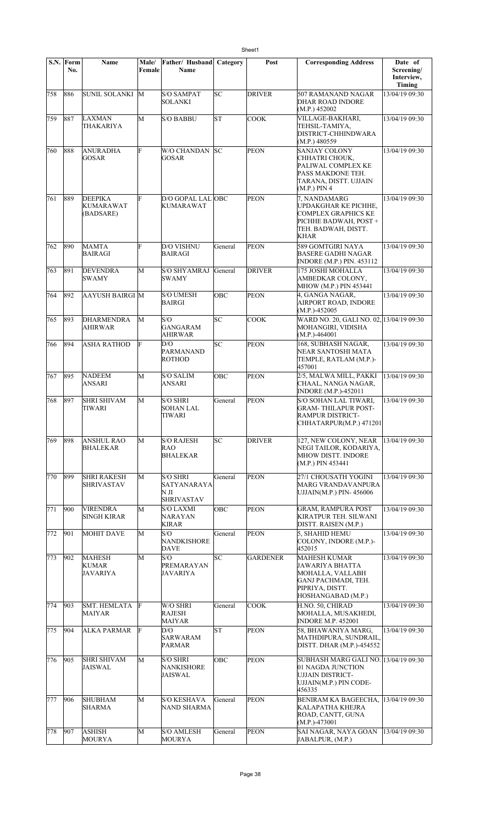|     | S.N. Form<br>No. | Name                                            | Male/<br>Female | Father/Husband<br>Name                                    | Category  | Post            | <b>Corresponding Address</b>                                                                                                                  | Date of<br>Screening/<br>Interview, |
|-----|------------------|-------------------------------------------------|-----------------|-----------------------------------------------------------|-----------|-----------------|-----------------------------------------------------------------------------------------------------------------------------------------------|-------------------------------------|
| 758 | 886              | SUNIL SOLANKI M                                 |                 | <b>S/O SAMPAT</b><br><b>SOLANKI</b>                       | SC        | <b>DRIVER</b>   | 507 RAMANAND NAGAR<br><b>DHAR ROAD INDORE</b>                                                                                                 | Timing<br>13/04/19 09:30            |
| 759 | 887              | LAXMAN<br>THAKARIYA                             | M               | <b>S/O BABBU</b>                                          | <b>ST</b> | <b>COOK</b>     | (M.P.) 452002<br>VILLAGE-BAKHARI,<br>TEHSIL-TAMIYA,<br>DISTRICT-CHHINDWARA                                                                    | 13/04/19 09:30                      |
| 760 | 888              | <b>ANURADHA</b><br><b>GOSAR</b>                 | F               | <b>W/O CHANDAN</b><br><b>GOSAR</b>                        | lsс       | <b>PEON</b>     | (M.P.) 480559<br><b>SANJAY COLONY</b><br>CHHATRI CHOUK,<br>PALIWAL COMPLEX KE<br>PASS MAKDONE TEH.<br>TARANA, DISTT. UJJAIN<br>$(M.P.)$ PIN 4 | 13/04/19 09:30                      |
| 761 | 889              | <b>DEEPIKA</b><br><b>KUMARAWAT</b><br>(BADSARE) | F               | D/O GOPAL LAL OBC<br><b>KUMARAWAT</b>                     |           | <b>PEON</b>     | 7, NANDAMARG<br><b>UPDAKGHAR KE PICHHE,</b><br><b>COMPLEX GRAPHICS KE</b><br>PICHHE BADWAH, POST+<br>TEH. BADWAH, DISTT.<br><b>KHAR</b>       | 13/04/19 09:30                      |
| 762 | 890              | <b>MAMTA</b><br>BAIRAGI                         | F               | <b>D/O VISHNU</b><br><b>BAIRAGI</b>                       | General   | <b>PEON</b>     | 589 GOMTGIRI NAYA<br><b>BASERE GADHI NAGAR</b><br><b>INDORE (M.P.) PIN. 453112</b>                                                            | 13/04/19 09:30                      |
| 763 | 891              | <b>DEVENDRA</b><br><b>SWAMY</b>                 | M               | <b>S/O SHYAMRAJ</b><br><b>SWAMY</b>                       | General   | <b>DRIVER</b>   | 175 JOSHI MOHALLA<br>AMBEDKAR COLONY,<br>MHOW (M.P.) PIN 453441                                                                               | 13/04/19 09:30                      |
| 764 | 892              | <b>AAYUSH BAIRGI M</b>                          |                 | <b>S/O UMESH</b><br><b>BAIRGI</b>                         | OBC       | <b>PEON</b>     | 4, GANGA NAGAR,<br>AIRPORT ROAD, INDORE<br>$(M.P.)-452005$                                                                                    | 13/04/19 09:30                      |
| 765 | 893              | <b>DHARMENDRA</b><br><b>AHIRWAR</b>             | M               | S/O<br><b>GANGARAM</b><br><b>AHIRWAR</b>                  | SC        | <b>COOK</b>     | WARD NO. 20, GALI NO. 02, 13/04/19 09:30<br>MOHANGIRI, VIDISHA<br>$(M.P.)-464001$                                                             |                                     |
| 766 | 894              | <b>ASHA RATHOD</b>                              | IF              | D/O<br><b>PARMANAND</b><br><b>ROTHOD</b>                  | SC        | <b>PEON</b>     | 168, SUBHASH NAGAR,<br>NEAR SANTOSHI MATA<br>TEMPLE, RATLAM (M.P.)-<br>457001                                                                 | 13/04/19 09:30                      |
| 767 | 895              | <b>NADEEM</b><br>ANSARI                         | M               | <b>S/O SALIM</b><br><b>ANSARI</b>                         | OBC       | <b>PEON</b>     | 2/5, MALWA MILL, PAKKI<br>CHAAL, NANGA NAGAR,<br>INDORE (M.P.)-452011                                                                         | 13/04/19 09:30                      |
| 768 | 897              | <b>SHRI SHIVAM</b><br>TIWARI                    | M               | S/O SHRI<br><b>SOHAN LAL</b><br>TIWARI                    | General   | <b>PEON</b>     | S/O SOHAN LAL TIWARI,<br><b>GRAM-THILAPUR POST-</b><br>RAMPUR DISTRICT-<br>CHHATARPUR(M.P.) 471201                                            | 13/04/19 09:30                      |
| 769 | 898              | ANSHUL RAO<br><b>BHALEKAR</b>                   | М               | <b>S/O RAJESH</b><br>RAO<br><b>BHALEKAR</b>               | SC        | <b>DRIVER</b>   | 127, NEW COLONY, NEAR<br>NEGI TAILOR, KODARIYA,<br>MHOW DISTT. INDORE<br>(M.P.) PIN 453441                                                    | 13/04/19 09:30                      |
| 770 | 899              | <b>SHRI RAKESH</b><br><b>SHRIVASTAV</b>         | M               | <b>S/O SHRI</b><br>SATYANARAYA<br>NЛ<br><b>SHRIVASTAV</b> | General   | PEON            | 27/1 CHOUSATH YOGINI<br><b>MARG VRANDAVANPURA</b><br>UJJAIN(M.P.) PIN-456006                                                                  | 13/04/19 09:30                      |
| 771 | 900              | <b>VIRENDRA</b><br><b>SINGH KIRAR</b>           | M               | <b>S/O LAXMI</b><br>NARAYAN<br><b>KIRAR</b>               | ОВС       | <b>PEON</b>     | <b>GRAM, RAMPURA POST</b><br>KIRATPUR TEH. SILWANI<br>DISTT. RAISEN (M.P.)                                                                    | 13/04/19 09:30                      |
| 772 | 901              | <b>MOHIT DAVE</b>                               | М               | S/O<br>NANDKISHORE<br><b>DAVE</b>                         | General   | <b>PEON</b>     | 5. SHAHID HEMU<br>COLONY, INDORE (M.P.)-<br>452015                                                                                            | 13/04/19 09:30                      |
| 773 | 902              | MAHESH<br>KUMAR<br>JAVARIYA                     | М               | S/O<br>PREMARAYAN<br>JAVARIYA                             | SC        | <b>GARDENER</b> | <b>MAHESH KUMAR</b><br><b>JAWARIYA BHATTA</b><br>MOHALLA, VALLABH<br>GANJ PACHMADI, TEH.<br>PIPRIYA, DISTT.<br>HOSHANGABAD (M.P.)             | 13/04/19 09:30                      |
| 774 | 903              | <b>SMT. HEMLATA</b><br>MAIYAR                   | F               | W/O SHRI<br><b>RAJESH</b><br><b>MAIYAR</b>                | General   | <b>COOK</b>     | H.NO. 50, CHIRAD<br>MOHALLA, MUSAKHEDI,<br><b>INDORE M.P. 452001</b>                                                                          | 13/04/19 09:30                      |
| 775 | 904              | <b>ALKA PARMAR</b>                              | F               | D/O<br><b>SARWARAM</b><br><b>PARMAR</b>                   | <b>ST</b> | <b>PEON</b>     | 58, BHAWANIYA MARG,<br>MATHDIPURA, SUNDRAIL,<br>DISTT. DHAR (M.P.)-454552                                                                     | $13/04/19$ 09:30                    |
| 776 | 905              | <b>SHRI SHIVAM</b><br>JAISWAL                   | M               | S/O SHRI<br><b>NANKISHORE</b><br><b>JAISWAL</b>           | OBC       | <b>PEON</b>     | SUBHASH MARG GALI NO. 13/04/19 09:30<br>01 NAGDA JUNCTION<br><b>UJJAIN DISTRICT-</b><br>UJJAIN(M.P.) PIN CODE-<br>456335                      |                                     |
| 777 | 906              | <b>SHUBHAM</b><br><b>SHARMA</b>                 | M               | <b>S/O KESHAVA</b><br>NAND SHARMA                         | General   | <b>PEON</b>     | BENIRAM KA BAGEECHA,<br>KALAPATHA KHEJRA<br>ROAD, CANTT, GUNA<br>$(M.P.)-473001$                                                              | 13/04/19 09:30                      |
| 778 | 907              | ASHISH<br><b>MOURYA</b>                         | M               | <b>S/O AMLESH</b><br><b>MOURYA</b>                        | General   | <b>PEON</b>     | SAI NAGAR, NAYA GOAN<br>JABALPUR, (M.P.)                                                                                                      | 13/04/19 09:30                      |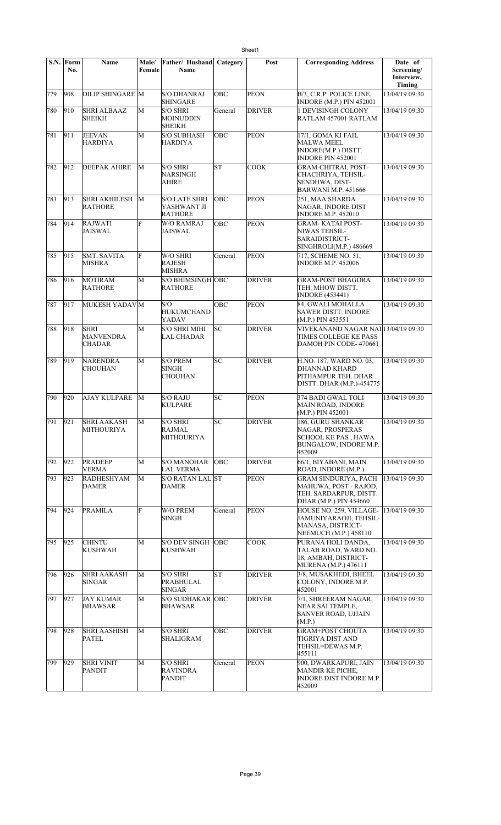|     | S.N. Form<br>No. | Name                                             | Male/<br>Female | Father/ Husband<br>Name                               | Category   | Post          | <b>Corresponding Address</b>                                                                             | Date of<br>Screening/<br>Interview, |
|-----|------------------|--------------------------------------------------|-----------------|-------------------------------------------------------|------------|---------------|----------------------------------------------------------------------------------------------------------|-------------------------------------|
| 779 | 908              | <b>DILIP SHINGARE M</b>                          |                 | <b>S/O DHANRAJ</b><br><b>SHINGARE</b>                 | OBC        | <b>PEON</b>   | B/3, C.R.P. POLICE LINE,<br>INDORE (M.P.) PIN 452001                                                     | Timing<br>13/04/19 09:30            |
| 780 | 910              | <b>SHRI ALBAAZ</b><br>SHEIKH                     | M               | <b>S/O SHRI</b><br><b>MOINUDDIN</b><br><b>SHEIKH</b>  | General    | <b>DRIVER</b> | 1 DEVISINGH COLONY<br>RATLAM 457001 RATLAM                                                               | 13/04/19 09:30                      |
| 781 | 911              | <b>JEEVAN</b><br>HARDIYA                         | М               | <b>S/O SUBHASH</b><br><b>HARDIYA</b>                  | OBC        | <b>PEON</b>   | 17/1, GOMA KI FAIL<br><b>MALWA MEEL</b><br>INDORE(M.P.) DISTT.<br><b>INDORE PIN 452001</b>               | 13/04/19 09:30                      |
| 782 | 912              | <b>DEEPAK AHIRE</b>                              | М               | <b>S/O SHRI</b><br>NARSINGH<br><b>AHIRE</b>           | lsт        | COOK          | <b>GRAM-CHITRAI, POST-</b><br>CHACHRIYA, TEHSIL-<br>SENDHWA, DIST-<br><b>BARWANI M.P. 451666</b>         | 13/04/19 09:30                      |
| 783 | 913              | SHRI AKHILESH<br><b>RATHORE</b>                  | M               | <b>S/O LATE SHRI</b><br>YASHWANT JI<br><b>RATHORE</b> | OBC        | <b>PEON</b>   | 251, MAA SHARDA<br>NAGAR, INDORE DIST<br><b>INDORE M.P. 452010</b>                                       | 13/04/19 09:30                      |
| 784 | 914              | <b>RAJWATI</b><br>JAISWAL                        | F               | <b>W/O RAMRAJ</b><br>JAISWAL                          | OBC        | <b>PEON</b>   | <b>GRAM-KATAI POST-</b><br>NIWAS TEHSIL-<br>SARAIDISTRICT-<br>SINGHROLI(M.P.) 486669                     | 13/04/19 09:30                      |
| 785 | 915              | <b>SMT. SAVITA</b><br>MISHRA                     | F               | W/O SHRI<br><b>RAJESH</b><br>MISHRA                   | General    | <b>PEON</b>   | 717, SCHEME NO. 51,<br><b>INDORE M.P. 452006</b>                                                         | 13/04/19 09:30                      |
| 786 | 916              | <b>MOTIRAM</b><br><b>RATHORE</b>                 | M               | S/O BHIMSINGH OBC<br><b>RATHORE</b>                   |            | <b>DRIVER</b> | <b>GRAM-POST BHAGORA</b><br>TEH. MHOW DISTT.<br><b>INDORE (453441)</b>                                   | 13/04/19 09:30                      |
| 787 | 917              | MUKESH YADAVM                                    |                 | S/O<br><b>HUKUMCHAND</b><br>YADAV                     | OBC        | <b>PEON</b>   | 84, GWALI MOHALLA<br><b>SAWER DISTT. INDORE</b><br>(M.P.) PIN 453551                                     | 13/04/19 09:30                      |
| 788 | 918              | <b>SHRI</b><br><b>MANVENDRA</b><br><b>CHADAR</b> | M               | <b>S/O SHRI MIHI</b><br><b>LAL CHADAR</b>             | SC         | <b>DRIVER</b> | VIVEKANAND NAGAR NAI 13/04/19 09:30<br>TIMES COLLEGE KE PASS<br>DAMOH PIN CODE- 470661                   |                                     |
| 789 | 919              | NARENDRA<br>CHOUHAN                              | М               | <b>S/O PREM</b><br>SINGH<br><b>CHOUHAN</b>            | SC         | <b>DRIVER</b> | H.NO. 187, WARD NO. 03,<br>DHANNAD KHARD<br>PITHAMPUR TEH. DHAR<br>DISTT. DHAR (M.P.)-454775             | 13/04/19 09:30                      |
| 790 | 920              | <b>AJAY KULPARE</b>                              | M               | <b>S/O RAJU</b><br><b>KULPARE</b>                     | lsс        | <b>PEON</b>   | 374 BADI GWAL TOLI<br>MAIN ROAD, INDORE<br>(M.P.) PIN 452001                                             | 13/04/19 09:30                      |
| 791 | 921              | <b>SHRI AAKASH</b><br><b>MITHOURIYA</b>          | M               | <b>S/O SHRI</b><br><b>RAJMAL</b><br>MITHOURIYA        | SC         | <b>DRIVER</b> | 186, GURU SHANKAR<br>NAGAR, PROSPERAS<br>SCHOOL KE PAS , HAWA<br>BUNGALOW, INDORE M.P.<br>452009         | 13/04/19 09:30                      |
| 792 | 922              | <b>PRADEEP</b><br>VERMA                          | М               | <b>S/O MANOHAR</b><br><b>LAL VERMA</b>                | OBC        | <b>DRIVER</b> | 66/1, BIYABANI, MAIN<br>ROAD, INDORE (M.P.)                                                              | 13/04/19 09:30                      |
| 793 | 923              | <b>RADHESHYAM</b><br>DAMER                       | М               | <b>S/O RATAN LAL ST</b><br><b>DAMER</b>               |            | <b>PEON</b>   | <b>GRAM SINDURIYA, PACH</b><br>MAHUWA, POST - RAJOD,<br>TEH. SARDARPUR, DISTT.<br>DHAR (M.P.) PIN 454660 | 13/04/19 09:30                      |
| 794 | 924              | <b>PRAMILA</b>                                   | Ė               | W/O PREM<br>SINGH                                     | General    | <b>PEON</b>   | HOUSE NO. 259, VILLAGE-<br>JAMUNIYARAOJI, TEHSIL-<br>MANASA, DISTRICT-<br>NEEMUCH (M.P.) 458110          | 13/04/19 09:30                      |
| 795 | 925              | <b>CHINTU</b><br><b>KUSHWAH</b>                  | М               | <b>S/O DEV SINGH</b><br><b>KUSHWAH</b>                | <b>OBC</b> | <b>COOK</b>   | PURANA HOLI DANDA,<br>TALAB ROAD, WARD NO.<br>18, AMBAH, DISTRICT-<br>MURENA (M.P.) 476111               | 13/04/19 09:30                      |
| 796 | 926              | <b>SHRI AAKASH</b><br><b>SINGAR</b>              | M               | <b>S/O SHRI</b><br><b>PRABHULAL</b><br><b>SINGAR</b>  | SΤ         | <b>DRIVER</b> | 3/8, MUSAKHEDI, BHEEL<br>COLONY, INDORE M.P.<br>452001                                                   | 13/04/19 09:30                      |
| 797 | 927              | <b>JAY KUMAR</b><br><b>BHAWSAR</b>               | M               | S/O SUDHAKAR OBC<br><b>BHAWSAR</b>                    |            | <b>DRIVER</b> | 7/1, SHREERAM NAGAR,<br>NEAR SAI TEMPLE,<br>SANVER ROAD, UJJAIN<br>(M.P.)                                | 13/04/19 09:30                      |
| 798 | 928              | <b>SHRI AASHISH</b><br><b>PATEL</b>              | М               | <b>S/O SHRI</b><br><b>SHALIGRAM</b>                   | OBC        | <b>DRIVER</b> | <b>GRAM+POST CHOUTA</b><br>TIGRIYA DIST AND<br>TEHSIL=DEWAS M.P.<br>455111                               | 13/04/19 09:30                      |
| 799 | 929              | <b>SHRI VINIT</b><br>PANDIT                      | M               | <b>S/O SHRI</b><br><b>RAVINDRA</b><br><b>PANDIT</b>   | General    | <b>PEON</b>   | 900, DWARKAPURI, JAIN<br>MANDIR KE PICHE,<br><b>INDORE DIST INDORE M.P.</b><br>452009                    | 13/04/19 09:30                      |

Sheet1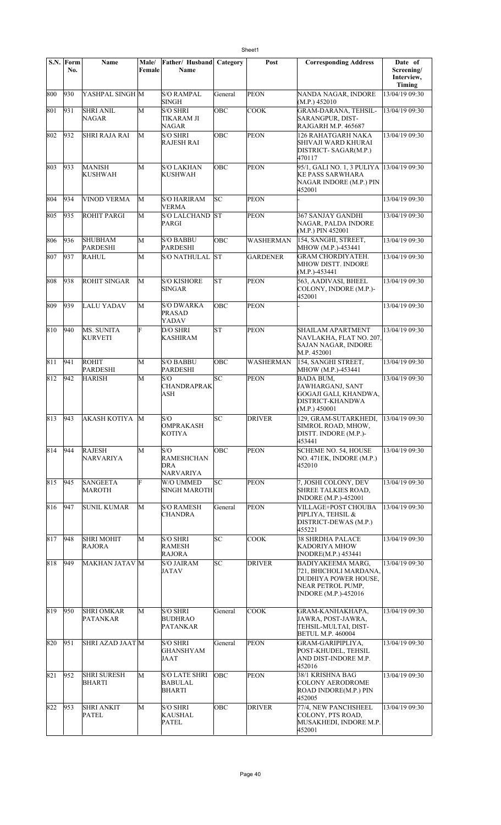|     | S.N. Form<br>No. | <b>Name</b>                         | Male/<br>Female | Father/ Husband<br>Name                             | Category   | Post             | <b>Corresponding Address</b>                                                                                                   | Date of<br>Screening/<br>Interview,<br>Timing |
|-----|------------------|-------------------------------------|-----------------|-----------------------------------------------------|------------|------------------|--------------------------------------------------------------------------------------------------------------------------------|-----------------------------------------------|
| 800 | 930              | YASHPAL SINGH M                     |                 | <b>S/O RAMPAL</b><br>SINGH                          | General    | <b>PEON</b>      | NANDA NAGAR, INDORE<br>(M.P.) 452010                                                                                           | 13/04/19 09:30                                |
| 801 | 931              | <b>SHRI ANIL</b><br>NAGAR           | M               | <b>S/O SHRI</b><br>TIKARAM JI<br><b>NAGAR</b>       | OBC        | COOK             | GRAM-DARANA, TEHSIL-<br>SARANGPUR, DIST-<br>RAJGARH M.P. 465687                                                                | 13/04/19 09:30                                |
| 802 | 932              | <b>SHRI RAJA RAI</b>                | M               | <b>S/O SHRI</b><br><b>RAJESH RAI</b>                | <b>OBC</b> | <b>PEON</b>      | 126 RAHATGARH NAKA<br>SHIVAJI WARD KHURAI<br>DISTRICT- SAGAR(M.P.)<br>470117                                                   | 13/04/19 09:30                                |
| 803 | 933              | <b>MANISH</b><br><b>KUSHWAH</b>     | M               | <b>S/O LAKHAN</b><br><b>KUSHWAH</b>                 | OBC        | <b>PEON</b>      | 95/1, GALI NO. 1, 3 PULIYA<br><b>KE PASS SARWHARA</b><br>NAGAR INDORE (M.P.) PIN<br>452001                                     | 13/04/19 09:30                                |
| 804 | 934              | <b>VINOD VERMA</b>                  | M               | <b>S/O HARIRAM</b><br>VERMA                         | SC         | <b>PEON</b>      |                                                                                                                                | 13/04/19 09:30                                |
| 805 | 935              | <b>ROHIT PARGI</b>                  | M               | <b>S/O LALCHAND</b><br><b>PARGI</b>                 | <b>ST</b>  | <b>PEON</b>      | <b>367 SANJAY GANDHI</b><br>NAGAR, PALDA INDORE<br>(M.P.) PIN 452001                                                           | 13/04/19 09:30                                |
| 806 | 936              | <b>SHUBHAM</b><br><b>PARDESHI</b>   | M               | <b>S/O BABBU</b><br><b>PARDESHI</b>                 | OBC        | <b>WASHERMAN</b> | 154, SANGHI, STREET,<br>MHOW (M.P.)-453441                                                                                     | 13/04/19 09:30                                |
| 807 | 937              | <b>RAHUL</b>                        | M               | <b>S/O NATHULAL</b>                                 | lst        | <b>GARDENER</b>  | <b>GRAM CHORDIYATEH.</b><br><b>MHOW DISTT. INDORE</b><br>$(M.P.) -453441$                                                      | 13/04/19 09:30                                |
| 808 | 938              | <b>ROHIT SINGAR</b>                 | M               | <b>S/O KISHORE</b><br><b>SINGAR</b>                 | lst        | <b>PEON</b>      | 563, AADIVASI, BHEEL<br>COLONY, INDORE (M.P.)-<br>452001                                                                       | 13/04/19 09:30                                |
| 809 | 939              | LALU YADAV                          | M               | <b>S/O DWARKA</b><br><b>PRASAD</b><br>YADAV         | OBC        | <b>PEON</b>      |                                                                                                                                | 13/04/19 09:30                                |
| 810 | 940              | <b>MS. SUNITA</b><br><b>KURVETI</b> | F               | D/O SHRI<br><b>KASHIRAM</b>                         | lsт        | <b>PEON</b>      | <b>SHAILAM APARTMENT</b><br>NAVLAKHA, FLAT NO. 207,<br>SAJAN NAGAR, INDORE<br>M.P. 452001                                      | 13/04/19 09:30                                |
| 811 | 941              | <b>ROHIT</b><br><b>PARDESHI</b>     | M               | <b>S/O BABBU</b><br><b>PARDESHI</b>                 | OBC        | <b>WASHERMAN</b> | 154, SANGHI STREET,<br>MHOW (M.P.)-453441                                                                                      | 13/04/19 09:30                                |
| 812 | 942              | <b>HARISH</b>                       | M               | S/O<br><b>CHANDRAPRAK</b><br>ASH                    | SC         | <b>PEON</b>      | <b>BADA BUM,</b><br>JAWHARGANJ, SANT<br>GOGAJI GALI, KHANDWA,<br>DISTRICT-KHANDWA<br>(M.P.) 450001                             | 13/04/19 09:30                                |
| 813 | 943              | AKASH KOTIYA M                      |                 | S/O<br><b>OMPRAKASH</b><br>KOTIYA                   | SC         | <b>DRIVER</b>    | 129, GRAM-SUTARKHEDI, 13/04/19 09:30<br>SIMROL ROAD, MHOW,<br>DISTT. INDORE (M.P.)-<br>453441                                  |                                               |
| 814 | 944              | <b>RAJESH</b><br><b>NARVARIYA</b>   | M               | S/O<br><b>RAMESHCHAN</b><br>DRA<br><b>NARVARIYA</b> | <b>OBC</b> | <b>PEON</b>      | SCHEME NO. 54, HOUSE<br>NO. 471EK, INDORE (M.P.)<br>452010                                                                     | 13/04/19 09:30                                |
| 815 | 945              | <b>SANGEETA</b><br><b>MAROTH</b>    | F               | W/O UMMED<br><b>SINGH MAROTH</b>                    | lsc        | <b>PEON</b>      | 7, JOSHI COLONY, DEV<br><b>SHREE TALKIES ROAD,</b><br><b>INDORE</b> (M.P.)-452001                                              | 13/04/19 09:30                                |
| 816 | 947              | <b>SUNIL KUMAR</b>                  | M               | <b>S/O RAMESH</b><br><b>CHANDRA</b>                 | General    | <b>PEON</b>      | VILLAGE+POST CHOUBA<br>PIPLIYA, TEHSIL &<br>DISTRICT-DEWAS (M.P.)<br>455221                                                    | 13/04/19 09:30                                |
| 817 | 948              | <b>SHRI MOHIT</b><br><b>RAJORA</b>  | М               | <b>S/O SHRI</b><br><b>RAMESH</b><br><b>RAJORA</b>   | SC         | <b>COOK</b>      | <b>38 SHRDHA PALACE</b><br><b>KADORIYA MHOW</b><br><b>INODRE(M.P.) 453441</b>                                                  | 13/04/19 09:30                                |
| 818 | 949              | <b>MAKHAN JATAV M</b>               |                 | <b>S/O JAIRAM</b><br><b>JATAV</b>                   | SC         | <b>DRIVER</b>    | <b>BADIYAKEEMA MARG,</b><br>721, BHICHOLI MARDANA,<br>DUDHIYA POWER HOUSE,<br>NEAR PETROL PUMP,<br><b>INDORE</b> (M.P.)-452016 | 13/04/19 09:30                                |
| 819 | 950              | <b>SHRI OMKAR</b><br>PATANKAR       | М               | <b>S/O SHRI</b><br><b>BUDHRAO</b><br>PATANKAR       | General    | COOK             | GRAM-KANHAKHAPA,<br>JAWRA, POST-JAWRA,<br>TEHSIL-MULTAI, DIST-<br><b>BETUL M.P. 460004</b>                                     | 13/04/19 09:30                                |
| 820 | 951              | SHRI AZAD JAAT M                    |                 | <b>S/O SHRI</b><br><b>GHANSHYAM</b><br>JAAT         | General    | <b>PEON</b>      | GRAM-GARIPIPLIYA,<br>POST-KHUDEL, TEHSIL<br>AND DIST-INDORE M.P.<br>452016                                                     | 13/04/19 09:30                                |
| 821 | 952              | <b>SHRI SURESH</b><br><b>BHARTI</b> | М               | <b>S/O LATE SHRI</b><br><b>BABULAL</b><br>BHARTI    | OBC        | <b>PEON</b>      | 38/1 KRISHNA BAG<br><b>COLONY AERODROME</b><br>ROAD INDORE(M.P.) PIN<br>452005                                                 | 13/04/19 09:30                                |
| 822 | 953              | <b>SHRI ANKIT</b><br>PATEL          | M               | <b>S/O SHRI</b><br>KAUSHAL<br><b>PATEL</b>          | OBC        | <b>DRIVER</b>    | 77/4, NEW PANCHSHEEL<br>COLONY, PTS ROAD,<br>MUSAKHEDI, INDORE M.P.<br>452001                                                  | 13/04/19 09:30                                |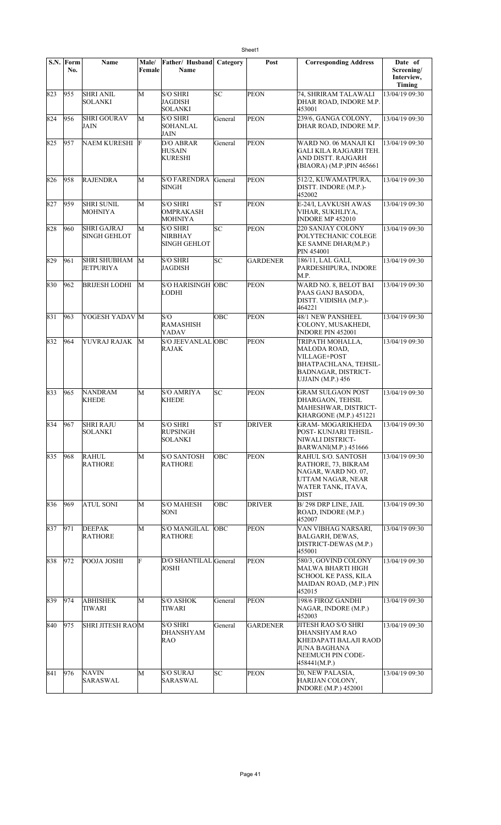|         | S.N. Form<br>No. | Name                                      | Male/<br>Female | Father/ Husband<br><b>Name</b>                           | Category | Post            | <b>Corresponding Address</b>                                                                                                               | Date of<br>Screening/ |
|---------|------------------|-------------------------------------------|-----------------|----------------------------------------------------------|----------|-----------------|--------------------------------------------------------------------------------------------------------------------------------------------|-----------------------|
|         |                  |                                           |                 |                                                          |          |                 |                                                                                                                                            | Interview,<br>Timing  |
| 823     | 955              | <b>SHRI ANIL</b><br><b>SOLANKI</b>        | M               | <b>S/O SHRI</b><br>JAGDISH<br><b>SOLANKI</b>             | lsc      | <b>PEON</b>     | 74, SHRIRAM TALAWALI<br>DHAR ROAD, INDORE M.P.<br>453001                                                                                   | 13/04/19 09:30        |
| 824     | 956              | <b>SHRI GOURAV</b><br>JAIN                | M               | <b>S/O SHRI</b><br><b>SOHANLAL</b><br>JAIN               | General  | <b>PEON</b>     | 239/6, GANGA COLONY,<br>DHAR ROAD, INDORE M.P.                                                                                             | 13/04/19 09:30        |
| 825     | 957              | NAEM KURESHI F                            |                 | <b>D/O ABRAR</b><br><b>HUSAIN</b><br><b>KURESHI</b>      | General  | <b>PEON</b>     | WARD NO. 06 MANAJI KI<br>GALI KILA RAJGARH TEH.<br>AND DISTT. RAJGARH<br>(BIAORA) (M.P.)PIN 465661                                         | 13/04/19 09:30        |
| 826     | 958              | <b>RAJENDRA</b>                           | M               | S/O FARENDRA General<br><b>SINGH</b>                     |          | <b>PEON</b>     | 512/2, KUWAMATPURA,<br>DISTT. INDORE (M.P.)-<br>452002                                                                                     | 13/04/19 09:30        |
| 827     | 959              | <b>SHRI SUNIL</b><br><b>MOHNIYA</b>       | M               | <b>S/O SHRI</b><br><b>OMPRAKASH</b><br><b>MOHNIYA</b>    | lst      | PEON            | E-24/I, LAVKUSH AWAS<br>VIHAR, SUKHLIYA,<br><b>INDORE MP 452010</b>                                                                        | 13/04/19 09:30        |
| 828     | 960              | <b>SHRI GAJRAJ</b><br><b>SINGH GEHLOT</b> | M               | <b>S/O SHRI</b><br><b>NIRBHAY</b><br><b>SINGH GEHLOT</b> | lsc      | <b>PEON</b>     | <b>220 SANJAY COLONY</b><br>POLYTECHANIC COLEGE<br><b>KE SAMNE DHAR(M.P.)</b><br>PIN 454001                                                | 13/04/19 09:30        |
| 829     | 961              | SHRI SHUBHAM<br><b>JETPURIYA</b>          | M               | <b>S/O SHRI</b><br><b>JAGDISH</b>                        | SC       | <b>GARDENER</b> | 186/11, LAL GALI,<br>PARDESHIPURA, INDORE<br>M.P.                                                                                          | 13/04/19 09:30        |
| 830     | 962              | <b>BRIJESH LODHI</b>                      | М               | S/O HARISINGH OBC<br><b>LODHI</b>                        |          | <b>PEON</b>     | WARD NO. 8, BELOT BAI<br>PAAS GANJ BASODA,<br>DISTT. VIDISHA (M.P.)-<br>464221                                                             | 13/04/19 09:30        |
| 831     | 963              | YOGESH YADAV M                            |                 | S/O<br><b>RAMASHISH</b><br>YADAV                         | ОВС      | <b>PEON</b>     | 48/1 NEW PANSHEEL<br>COLONY, MUSAKHEDI,<br><b>INDORE PIN 452001</b>                                                                        | 13/04/19 09:30        |
| 832     | 964              | YUVRAJ RAJAK                              | M               | S/O JEEVANLAL OBC<br><b>RAJAK</b>                        |          | <b>PEON</b>     | TRIPATH MOHALLA,<br>MALODA ROAD,<br>VILLAGE+POST<br><b>BHATPACHLANA, TEHSIL-</b><br><b>BADNAGAR, DISTRICT-</b><br><b>UJJAIN</b> (M.P.) 456 | 13/04/19 09:30        |
| 833     | 965              | <b>NANDRAM</b><br><b>KHEDE</b>            | M               | <b>S/O AMRIYA</b><br><b>KHEDE</b>                        | lsс      | <b>PEON</b>     | <b>GRAM SULGAON POST</b><br>DHARGAON, TEHSIL<br>MAHESHWAR, DISTRICT-<br>KHARGONE (M.P.) 451221                                             | 13/04/19 09:30        |
| 834 967 |                  | <b>SHRI RAJU</b><br><b>SOLANKI</b>        | $\overline{M}$  | <b>S/O SHRI</b><br><b>RUPSINGH</b><br><b>SOLANKI</b>     | ST       | <b>DRIVER</b>   | <b>GRAM- MOGARIKHEDA</b><br>POST-KUNJARI TEHSIL-<br>NIWALI DISTRICT-<br>BARWANI(M.P.) 451666                                               | 13/04/19 09:30        |
| 835     | 968              | <b>RAHUL</b><br><b>RATHORE</b>            | М               | <b>S/O SANTOSH</b><br><b>RATHORE</b>                     | OBC      | <b>PEON</b>     | RAHUL S/O. SANTOSH<br>RATHORE, 73, BIKRAM<br>NAGAR, WARD NO. 07,<br>UTTAM NAGAR, NEAR<br>WATER TANK, ITAVA,<br><b>DIST</b>                 | 13/04/19 09:30        |
| 836     | 969              | <b>ATUL SONI</b>                          | М               | <b>S/O MAHESH</b><br>SONI                                | OBC      | <b>DRIVER</b>   | B/298 DRP LINE, JAIL<br>ROAD, INDORE (M.P.)<br>452007                                                                                      | 13/04/19 09:30        |
| 837     | 971              | <b>DEEPAK</b><br><b>RATHORE</b>           | M               | <b>S/O MANGILAL</b><br><b>RATHORE</b>                    | OBC      | <b>PEON</b>     | VAN VIBHAG NARSARI,<br>BALGARH, DEWAS,<br>DISTRICT-DEWAS (M.P.)<br>455001                                                                  | 13/04/19 09:30        |
| 838     | 972              | POOJA JOSHI                               | F               | D/O SHANTILAL General<br>JOSHI                           |          | <b>PEON</b>     | 580/3, GOVIND COLONY<br>MALWA BHARTI HIGH<br>SCHOOL KE PASS, KILA<br>MAIDAN ROAD, (M.P.) PIN<br>452015                                     | 13/04/19 09:30        |
| 839     | 974              | <b>ABHISHEK</b><br><b>TIWARI</b>          | M               | <b>S/O ASHOK</b><br>TIWARI                               | General  | <b>PEON</b>     | 198/6 FIROZ GANDHI<br>NAGAR, INDORE (M.P.)<br>452003                                                                                       | 13/04/19 09:30        |
| 840     | 975              | <b>SHRI JITESH RAOM</b>                   |                 | <b>S/O SHRI</b><br>DHANSHYAM<br><b>RAO</b>               | General  | <b>GARDENER</b> | JITESH RAO S/O SHRI<br>DHANSHYAM RAO<br>KHEDAPATI BALAJI RAOD<br>JUNA BAGHANA<br>NEEMUCH PIN CODE-<br>458441(M.P.)                         | 13/04/19 09:30        |
| 841     | 976              | <b>NAVIN</b><br>SARASWAL                  | M               | <b>S/O SURAJ</b><br>SARASWAL                             | SС       | PEON            | 20, NEW PALASIA,<br>HARIJAN COLONY,<br><b>INDORE</b> (M.P.) 452001                                                                         | 13/04/19 09:30        |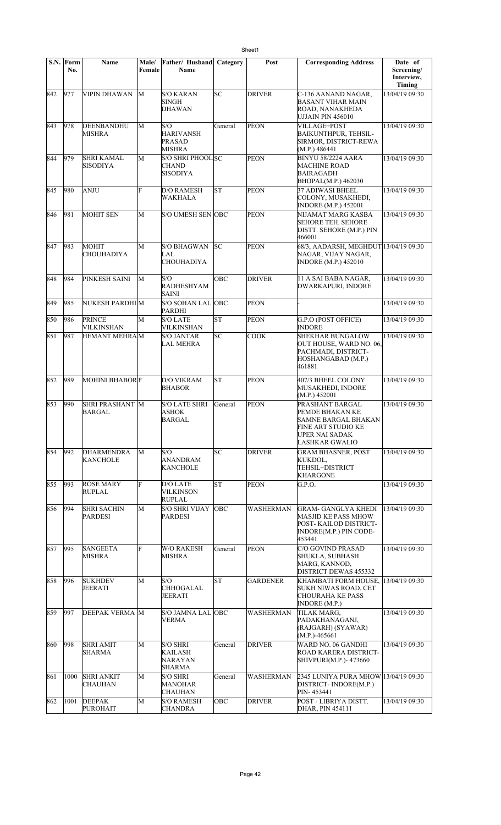|     | S.N. Form<br>No. | <b>Name</b>                          | <b>Male/</b><br>Female | Father/ Husband<br>Name                         | Category  | Post             | <b>Corresponding Address</b>                                                                                               | Date of<br>Screening/<br>Interview,<br>Timing |
|-----|------------------|--------------------------------------|------------------------|-------------------------------------------------|-----------|------------------|----------------------------------------------------------------------------------------------------------------------------|-----------------------------------------------|
| 842 | 977              | VIPIN DHAWAN                         | М                      | S/O KARAN<br>SINGH<br><b>DHAWAN</b>             | SC        | <b>DRIVER</b>    | C-136 AANAND NAGAR,<br>BASANT VIHAR MAIN<br>ROAD, NANAKHEDA<br>UJJAIN PIN 456010                                           | 13/04/19 09:30                                |
| 843 | 978              | DEENBANDHU<br><b>MISHRA</b>          | М                      | S/O<br>HARIVANSH<br>PRASAD<br>MISHRA            | General   | <b>PEON</b>      | <b>VILLAGE+POST</b><br><b>BAIKUNTHPUR, TEHSIL-</b><br>SIRMOR, DISTRICT-REWA<br>(M.P.) 486441                               | 13/04/19 09:30                                |
| 844 | 979              | SHRI KAMAL<br>SISODIYA               | М                      | S/O SHRI PHOOL SC<br>CHAND<br>SISODIYA          |           | <b>PEON</b>      | <b>BINYU 58/2224 AARA</b><br><b>MACHINE ROAD</b><br><b>BAIRAGADH</b><br>BHOPAL(M.P.) 462030                                | 13/04/19 09:30                                |
| 845 | 980              | <b>ANJU</b>                          | F                      | D/O RAMESH<br>WAKHALA                           | <b>ST</b> | <b>PEON</b>      | <b>37 ADIWASI BHEEL</b><br>COLONY, MUSAKHEDI,<br><b>INDORE</b> (M.P.) 452001                                               | 13/04/19 09:30                                |
| 846 | 981              | <b>MOHIT SEN</b>                     | М                      | <b>S/O UMESH SEN OBC</b>                        |           | <b>PEON</b>      | NIJAMAT MARG KASBA<br><b>SEHORE TEH. SEHORE</b><br>DISTT. SEHORE (M.P.) PIN<br>466001                                      | 13/04/19 09:30                                |
| 847 | 983              | <b>MOHIT</b><br><b>CHOUHADIYA</b>    | M                      | S/O BHAGWAN<br>LAL.<br><b>CHOUHADIYA</b>        | lsс       | <b>PEON</b>      | 68/3, AADARSH, MEGHDUT 13/04/19 09:30<br>NAGAR, VIJAY NAGAR,<br><b>INDORE</b> (M.P.) 452010                                |                                               |
| 848 | 984              | PINKESH SAINI                        | М                      | S/O<br><b>RADHESHYAM</b><br>SAINI               | OBC       | <b>DRIVER</b>    | 11 A SAI BABA NAGAR,<br><b>DWARKAPURI, INDORE</b>                                                                          | 13/04/19 09:30                                |
| 849 | 985              | NUKESH PARDHI M                      |                        | S/O SOHAN LAL OBC<br><b>PARDHI</b>              |           | <b>PEON</b>      |                                                                                                                            | 13/04/19 09:30                                |
| 850 | 986              | <b>PRINCE</b><br><b>VILKINSHAN</b>   | М                      | <b>S/O LATE</b><br>VILKINSHAN                   | lΣ        | <b>PEON</b>      | G.P.O (POST OFFICE)<br><b>INDORE</b>                                                                                       | 13/04/19 09:30                                |
| 851 | 987              | <b>HEMANT MEHRAM</b>                 |                        | S/O JANTAR<br><b>LAL MEHRA</b>                  | <b>SC</b> | <b>COOK</b>      | <b>SHEKHAR BUNGALOW</b><br>OUT HOUSE, WARD NO. 06,<br>PACHMADI, DISTRICT-<br>HOSHANGABAD (M.P.)<br>461881                  | 13/04/19 09:30                                |
| 852 | 989              | <b>MOHINI BHABORF</b>                |                        | <b>D/O VIKRAM</b><br><b>BHABOR</b>              | lsт       | <b>PEON</b>      | 407/3 BHEEL COLONY<br>MUSAKHEDI, INDORE<br>(M.P.) 452001                                                                   | 13/04/19 09:30                                |
| 853 | $ 990\rangle$    | <b>SHRI PRASHANT M</b><br>BARGAL     |                        | <b>S/O LATE SHRI</b><br>ASHOK<br><b>BARGAL</b>  | General   | <b>PEON</b>      | PRASHANT BARGAL<br>PEMDE BHAKAN KE<br>SAMNE BARGAL BHAKAN<br><b>FINE ART STUDIO KE</b><br>UPER NAI SADAK<br>LASHKAR GWALIO | 13/04/19 09:30                                |
| 854 | 992              | DHARMENDRA<br><b>KANCHOLE</b>        | М                      | S/O<br>ANANDRAM<br><b>KANCHOLE</b>              | SC        | <b>DRIVER</b>    | <b>GRAM BHASNER, POST</b><br>KUKDOL,<br>TEHSIL+DISTRICT<br><b>KHARGONE</b>                                                 | 13/04/19 09:30                                |
| 855 | 993              | <b>ROSE MARY</b><br><b>RUPLAL</b>    | F                      | D/O LATE<br>VILKINSON<br><b>RUPLAL</b>          | ST        | <b>PEON</b>      | G.P.O.                                                                                                                     | 13/04/19 09:30                                |
| 856 | 994              | <b>SHRI SACHIN</b><br><b>PARDESI</b> | М                      | <b>S/O SHRI VIJAY</b><br>PARDESI                | OBC       | WASHERMAN        | <b>GRAM- GANGLYA KHEDI</b><br><b>MASJID KE PASS MHOW</b><br>POST-KAILOD DISTRICT-<br>INDORE(M.P.) PIN CODE-<br>453441      | 13/04/19 09:30                                |
| 857 | 995              | SANGEETA<br>MISHRA                   | F                      | W/O RAKESH<br>MISHRA                            | General   | PEON             | C/O GOVIND PRASAD<br><b>SHUKLA, SUBHASH</b><br>MARG, KANNOD,<br><b>DISTRICT DEWAS 455332</b>                               | 13/04/19 09:30                                |
| 858 | 996              | <b>SUKHDEV</b><br><b>JEERATI</b>     | М                      | S/O<br><b>CHHOGALAL</b><br>JEERATI              | <b>ST</b> | <b>GARDENER</b>  | KHAMBATI FORM HOUSE,<br>SUKH NIWAS ROAD, CET<br><b>CHOURAHA KE PASS</b><br><b>INDORE</b> (M.P.)                            | 13/04/19 09:30                                |
| 859 | 997              | <b>DEEPAK VERMA M</b>                |                        | <b>S/O JAMNA LAL OBC</b><br>VERMA               |           | <b>WASHERMAN</b> | TILAK MARG,<br>PADAKHANAGANJ,<br>(RAJGARH) (SYAWAR)<br>$(M.P.)-465661$                                                     | 13/04/19 09:30                                |
| 860 | 998              | <b>SHRI AMIT</b><br>SHARMA           | М                      | <b>S/O SHRI</b><br>KAILASH<br>NARAYAN<br>SHARMA | General   | <b>DRIVER</b>    | WARD NO. 06 GANDHI<br>ROAD KARERA DISTRICT-<br> SHIVPURI(M.P.)- 473660                                                     | 13/04/19 09:30                                |
| 861 | 1000             | <b>SHRI ANKIT</b><br><b>CHAUHAN</b>  | М                      | S/O SHRI<br>MANOHAR<br>CHAUHAN                  | General   | WASHERMAN        | 2345 LUNIYA PURA MHOW 13/04/19 09:30<br>DISTRICT-INDORE(M.P.)<br>PIN-453441                                                |                                               |
| 862 | 1001             | <b>DEEPAK</b><br><b>PUROHAIT</b>     | М                      | <b>S/O RAMESH</b><br><b>CHANDRA</b>             | OBC       | <b>DRIVER</b>    | POST - LIBRIYA DISTT.<br><b>DHAR, PIN 454111</b>                                                                           | 13/04/19 09:30                                |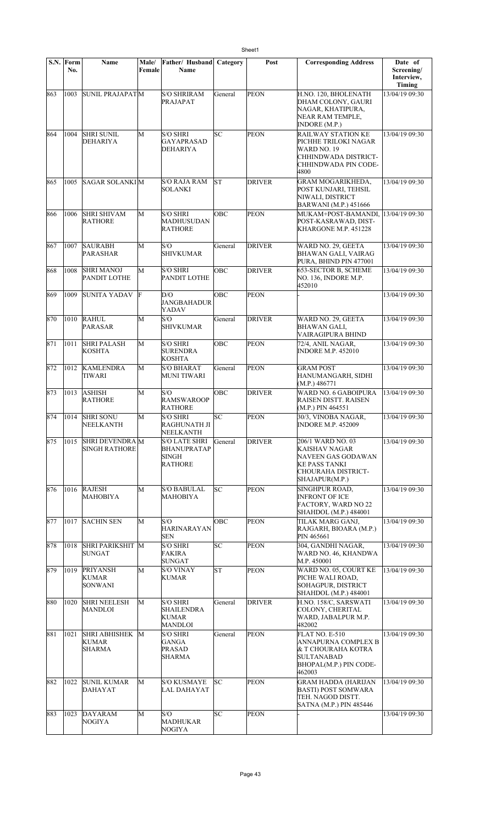|     | S.N. Form<br>No. | Name                                              | Male/<br>Female | Father/ Husband<br><b>Name</b>                                               | Category   | Post          | <b>Corresponding Address</b>                                                                                             | Date of<br>Screening/<br>Interview,<br>Timing |
|-----|------------------|---------------------------------------------------|-----------------|------------------------------------------------------------------------------|------------|---------------|--------------------------------------------------------------------------------------------------------------------------|-----------------------------------------------|
| 863 | 1003             | <b>SUNIL PRAJAPATM</b>                            |                 | <b>S/O SHRIRAM</b><br>PRAJAPAT                                               | General    | <b>PEON</b>   | H.NO. 120, BHOLENATH<br>DHAM COLONY, GAURI<br>NAGAR, KHATIPURA,<br>NEAR RAM TEMPLE,<br>INDORE (M.P.)                     | 13/04/19 09:30                                |
| 864 | 1004             | <b>SHRI SUNIL</b><br>DEHARIYA                     | M               | <b>S/O SHRI</b><br><b>GAYAPRASAD</b><br><b>DEHARIYA</b>                      | SC         | <b>PEON</b>   | RAILWAY STATION KE<br>PICHHE TRILOKI NAGAR<br><b>WARD NO. 19</b><br>CHHINDWADA DISTRICT-<br>CHHINDWADA PIN CODE-<br>4800 | 13/04/19 09:30                                |
| 865 | 1005             | <b>SAGAR SOLANKIM</b>                             |                 | <b>S/O RAJA RAM</b><br>SOLANKI                                               | lst        | <b>DRIVER</b> | <b>GRAM MOGARIKHEDA,</b><br>POST KUNJARI, TEHSIL<br>NIWALI, DISTRICT<br><b>BARWANI</b> (M.P.) 451666                     | 13/04/19 09:30                                |
| 866 | 1006             | <b>SHRI SHIVAM</b><br>RATHORE                     | M               | <b>S/O SHRI</b><br><b>MADHUSUDAN</b><br><b>RATHORE</b>                       | ОВС        | <b>PEON</b>   | MUKAM+POST-BAMANDI, 13/04/19 09:30<br>POST-KASRAWAD, DIST-<br>KHARGONE M.P. 451228                                       |                                               |
| 867 | 1007             | <b>SAURABH</b><br>PARASHAR                        | M               | S/O<br><b>SHIVKUMAR</b>                                                      | General    | <b>DRIVER</b> | WARD NO. 29, GEETA<br><b>BHAWAN GALI, VAIRAG</b><br>PURA, BHIND PIN 477001                                               | 13/04/19 09:30                                |
| 868 | 1008             | <b>SHRI MANOJ</b><br>PANDIT LOTHE                 | M               | <b>S/O SHRI</b><br>PANDIT LOTHE                                              | OBC        | <b>DRIVER</b> | 653-SECTOR B, SCHEME<br>NO. 136, INDORE M.P.<br>452010                                                                   | 13/04/19 09:30                                |
| 869 | 1009             | SUNITA YADAV                                      | F               | D/O<br><b>JANGBAHADUR</b><br>YADAV                                           | OBC        | PEON          |                                                                                                                          | 13/04/19 09:30                                |
| 870 | 1010             | <b>RAHUL</b><br>PARASAR                           | M               | S/O<br><b>SHIVKUMAR</b>                                                      | General    | <b>DRIVER</b> | WARD NO. 29, GEETA<br>BHAWAN GALI,<br>VAIRAGIPURA BHIND                                                                  | 13/04/19 09:30                                |
| 871 | 1011             | <b>SHRI PALASH</b><br><b>KOSHTA</b>               | M               | <b>S/O SHRI</b><br><b>SURENDRA</b><br><b>KOSHTA</b>                          | OBC        | <b>PEON</b>   | 72/4, ANIL NAGAR,<br><b>INDORE M.P. 452010</b>                                                                           | 13/04/19 09:30                                |
| 872 | 1012             | <b>KAMLENDRA</b><br><b>TIWARI</b>                 | M               | <b>S/O BHARAT</b><br><b>MUNI TIWARI</b>                                      | General    | <b>PEON</b>   | <b>GRAM POST</b><br>HANUMANGARH, SIDHI<br>(M.P.) 486771                                                                  | 13/04/19 09:30                                |
| 873 | 1013             | <b>ASHISH</b><br><b>RATHORE</b>                   | M               | S/O<br><b>RAMSWAROOP</b><br><b>RATHORE</b>                                   | ОВС        | <b>DRIVER</b> | WARD NO. 6 GABOIPURA<br>RAISEN DISTT. RAISEN<br>(M.P.) PIN 464551                                                        | 13/04/19 09:30                                |
| 874 | 1014             | <b>SHRI SONU</b><br>NEELKANTH                     | M               | <b>S/O SHRI</b><br>RAGHUNATH JI<br>NEELKANTH                                 | SС         | <b>PEON</b>   | 30/3, VINOBA NAGAR,<br><b>INDORE M.P. 452009</b>                                                                         | 13/04/19 09:30                                |
| 875 | 1015             | SHRI DEVENDRA M<br><b>SINGH RATHORE</b>           |                 | <b>S/O LATE SHRI</b><br><b>BHANUPRATAP</b><br><b>SINGH</b><br><b>RATHORE</b> | General    | <b>DRIVER</b> | 206/1 WARD NO. 03<br>KAISHAV NAGAR<br>NAVEEN GAS GODAWAN<br>KE PASS TANKI<br>CHOURAHA DISTRICT-<br>SHAJAPUR(M.P.)        | 13/04/19 09:30                                |
| 876 | 1016             | <b>RAJESH</b><br>MAHOBIYA                         | М               | <b>S/O BABULAL</b><br>MAHOBIYA                                               | SC         | <b>PEON</b>   | <b>SINGHPUR ROAD.</b><br><b>INFRONT OF ICE</b><br>FACTORY, WARD NO 22<br>SHAHDOL (M.P.) 484001                           | 13/04/19 09:30                                |
| 877 | 1017             | <b>SACHIN SEN</b>                                 | M               | S/O<br><b>HARINARAYAN</b><br><b>SEN</b>                                      | <b>OBC</b> | <b>PEON</b>   | TILAK MARG GANJ,<br>RAJGARH, BIOARA (M.P.)<br>PIN 465661                                                                 | 13/04/19 09:30                                |
| 878 | 1018             | <b>SHRI PARIKSHIT M</b><br><b>SUNGAT</b>          |                 | <b>S/O SHRI</b><br><b>FAKIRA</b><br><b>SUNGAT</b>                            | lsc        | <b>PEON</b>   | 304, GANDHI NAGAR,<br>WARD NO. 46, KHANDWA<br>M.P. 450001                                                                | 13/04/19 09:30                                |
| 879 | 1019             | <b>PRIYANSH</b><br><b>KUMAR</b><br><b>SONWANI</b> | M               | <b>S/O VINAY</b><br>KUMAR                                                    | ST         | <b>PEON</b>   | WARD NO. 05, COURT KE<br>PICHE WALI ROAD,<br>SOHAGPUR, DISTRICT<br>SHAHDOL (M.P.) 484001                                 | 13/04/19 09:30                                |
| 880 | 1020             | <b>SHRI NEELESH</b><br>MANDLOI                    | М               | <b>S/O SHRI</b><br><b>SHAILENDRA</b><br><b>KUMAR</b><br><b>MANDLOI</b>       | General    | <b>DRIVER</b> | H.NO. 158/C, SARSWATI<br>COLONY, CHERITAL<br>WARD, JABALPUR M.P.<br>482002                                               | 13/04/19 09:30                                |
| 881 | 1021             | SHRI ABHISHEK M<br><b>KUMAR</b><br><b>SHARMA</b>  |                 | <b>S/O SHRI</b><br>GANGA<br><b>PRASAD</b><br><b>SHARMA</b>                   | General    | PEON          | FLAT NO. E-510<br>ANNAPURNA COMPLEX B<br>& T CHOURAHA KOTRA<br><b>SULTANABAD</b><br>BHOPAL(M.P.) PIN CODE-<br>462003     | 13/04/19 09:30                                |
| 882 | 1022             | <b>SUNIL KUMAR</b><br><b>DAHAYAT</b>              | M               | <b>S/O KUSMAYE</b><br>LAL DAHAYAT                                            | SС         | <b>PEON</b>   | <b>GRAM HADDA (HARIJAN</b><br><b>BASTI) POST SOMWARA</b><br>TEH. NAGOD DISTT.<br>SATNA (M.P.) PIN 485446                 | 13/04/19 09:30                                |
| 883 | 1023             | DAYARAM<br>NOGIYA                                 | M               | S/O<br><b>MADHUKAR</b><br><b>NOGIYA</b>                                      | SC         | <b>PEON</b>   |                                                                                                                          | 13/04/19 09:30                                |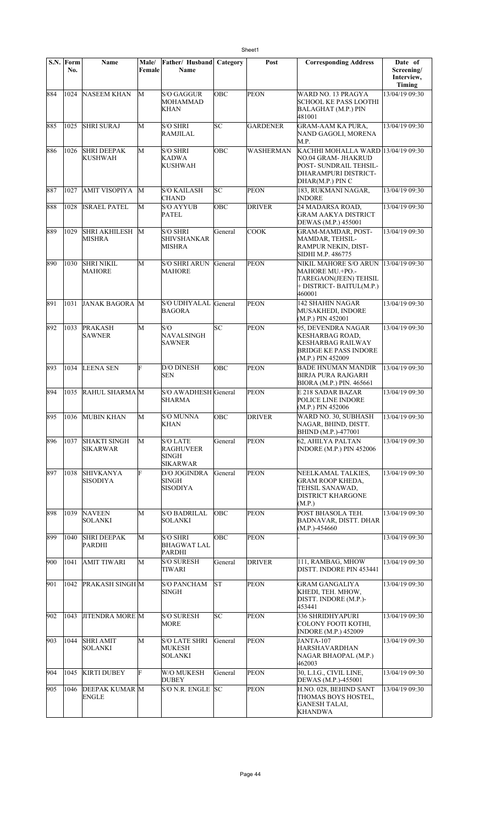| S.N. | Form<br>No. | <b>Name</b>                            | Male/<br>Female | Father/ Husband<br>Name                                                | Category | Post               | <b>Corresponding Address</b>                                                                                                    | Date of<br>Screening/<br>Interview,<br>Timing |
|------|-------------|----------------------------------------|-----------------|------------------------------------------------------------------------|----------|--------------------|---------------------------------------------------------------------------------------------------------------------------------|-----------------------------------------------|
| 884  | 1024        | <b>NASEEM KHAN</b>                     | M               | S/O GAGGUR<br><b>MOHAMMAD</b><br><b>KHAN</b>                           | OBC      | <b>PEON</b>        | WARD NO. 13 PRAGYA<br>SCHOOL KE PASS LOOTHI<br><b>BALAGHAT (M.P.) PIN</b><br>481001                                             | 13/04/19 09:30                                |
| 885  | 1025        | <b>SHRI SURAJ</b>                      | М               | <b>S/O SHRI</b><br>RAMJILAL                                            | SC       | <b>GARDENER</b>    | <b>GRAM-AAM KA PURA.</b><br>NAND GAGOLI, MORENA<br>M.P.                                                                         | 13/04/19 09:30                                |
| 886  | 1026        | <b>SHRI DEEPAK</b><br>KUSHWAH          | М               | <b>S/O SHRI</b><br><b>KADWA</b><br><b>KUSHWAH</b>                      | OBC      | <b>WASHERMAN</b>   | KACHHI MOHALLA WARD 13/04/19 09:30<br>NO.04 GRAM- JHAKRUD<br>POST- SUNDRAIL TEHSIL-<br>DHARAMPURI DISTRICT-<br>DHAR(M.P.) PIN C |                                               |
| 887  | 1027        | <b>AMIT VISOPIYA</b>                   | М               | <b>S/O KAILASH</b><br><b>CHAND</b>                                     | SC       | <b>PEON</b>        | 183, RUKMANI NAGAR,<br><b>INDORE</b>                                                                                            | 13/04/19 09:30                                |
| 888  | 1028        | <b>ISRAEL PATEL</b>                    | М               | <b>S/O AYYUB</b><br>PATEL                                              | OBC      | <b>DRIVER</b>      | 24 MADARSA ROAD,<br><b>GRAM AAKYA DISTRICT</b><br>DEWAS (M.P.) 455001                                                           | 13/04/19 09:30                                |
| 889  | 1029        | <b>SHRI AKHILESH</b><br><b>MISHRA</b>  | M               | <b>S/O SHRI</b><br><b>SHIVSHANKAR</b><br><b>MISHRA</b>                 | General  | $\overline{C}$ OOK | GRAM-MAMDAR, POST-<br>MAMDAR, TEHSIL-<br>RAMPUR NEKIN, DIST-<br>SIDHI M.P. 486775                                               | 13/04/19 09:30                                |
| 890  | 1030        | <b>SHRI NIKIL</b><br><b>MAHORE</b>     | M               | <b>S/O SHRI ARUN</b><br><b>MAHORE</b>                                  | General  | PEON               | NIKIL MAHORE S/O ARUN<br>MAHORE MU.+PO.-<br>TAREGAON(JEEN) TEHSIL<br>+ DISTRICT- BAITUL(M.P.)<br>460001                         | 13/04/19 09:30                                |
| 891  | 1031        | JANAK BAGORA M                         |                 | S/O UDHYALAL General<br><b>BAGORA</b>                                  |          | <b>PEON</b>        | 142 SHAHIN NAGAR<br>MUSAKHEDI, INDORE<br>(M.P.) PIN 452001                                                                      | 13/04/19 09:30                                |
| 892  | 1033        | <b>PRAKASH</b><br><b>SAWNER</b>        | M               | S/O<br><b>NAVALSINGH</b><br><b>SAWNER</b>                              | lsс      | <b>PEON</b>        | 95, DEVENDRA NAGAR<br><b>KESHARBAG ROAD,</b><br><b>KESHARBAG RAILWAY</b><br>BRIDGE KE PASS INDORE<br>(M.P.) PIN 452009          | 13/04/19 09:30                                |
| 893  | 1034        | <b>LEENA SEN</b>                       | F               | <b>D/O DINESH</b><br><b>SEN</b>                                        | OBC      | <b>PEON</b>        | <b>BADE HNUMAN MANDIR</b><br><b>BIRJA PURA RAJGARH</b><br>BIORA (M.P.) PIN. 465661                                              | 13/04/19 09:30                                |
| 894  | 1035        | RAHUL SHARMA M                         |                 | S/O AWADHESH General<br><b>SHARMA</b>                                  |          | <b>PEON</b>        | E 218 SADAR BAZAR<br>POLICE LINE INDORE<br>(M.P.) PIN 452006                                                                    | 13/04/19 09:30                                |
| 895  |             | 1036 MUBIN KHAN                        | M               | <b>S/O MUNNA</b><br>KHAN                                               | OBC      | <b>DRIVER</b>      | WARD NO. 30, SUBHASH<br>NAGAR, BHIND, DISTT.<br>BHIND (M.P.)-477001                                                             | 13/04/19 09:30                                |
| 896  | 1037        | <b>SHAKTI SINGH</b><br><b>SIKARWAR</b> | М               | <b>S/O LATE</b><br><b>RAGHUVEER</b><br><b>SINGH</b><br><b>SIKARWAR</b> | General  | <b>PEON</b>        | 62, AHILYA PALTAN<br>INDORE (M.P.) PIN 452006                                                                                   | 13/04/19 09:30                                |
| 897  | 1038        | <b>SHIVKANYA</b><br><b>SISODIYA</b>    | F               | <b>D/O JOGINDRA</b><br><b>SINGH</b><br><b>SISODIYA</b>                 | General  | <b>PEON</b>        | NEELKAMAL TALKIES,<br>GRAM ROOP KHEDA,<br>TEHSIL SANAWAD,<br><b>DISTRICT KHARGONE</b><br>(M.P.)                                 | 13/04/19 09:30                                |
| 898  | 1039        | <b>NAVEEN</b><br><b>SOLANKI</b>        | М               | <b>S/O BADRILAL</b><br><b>SOLANKI</b>                                  | OBC      | <b>PEON</b>        | POST BHASOLA TEH.<br><b>BADNAVAR, DISTT. DHAR</b><br>$(M.P.) - 454660$                                                          | 13/04/19 09:30                                |
| 899  | 1040        | <b>SHRI DEEPAK</b><br>PARDHI           | М               | <b>S/O SHRI</b><br><b>BHAGWAT LAL</b><br><b>PARDHI</b>                 | OBC      | <b>PEON</b>        |                                                                                                                                 | 13/04/19 09:30                                |
| 900  | 1041        | AMIT TIWARI                            | M               | <b>S/O SURESH</b><br>TIWARI                                            | General  | <b>DRIVER</b>      | 111, RAMBAG, MHOW<br>DISTT. INDORE PIN 453441                                                                                   | 13/04/19 09:30                                |
| 901  | 1042        | <b>PRAKASH SINGH M</b>                 |                 | <b>S/O PANCHAM</b><br><b>SINGH</b>                                     | lsт      | <b>PEON</b>        | <b>GRAM GANGALIYA</b><br>KHEDI, TEH. MHOW,<br>DISTT. INDORE (M.P.)-<br>453441                                                   | 13/04/19 09:30                                |
| 902  | 1043        | <b>JITENDRA MORE M</b>                 |                 | <b>S/O SURESH</b><br>MORE                                              | SC       | <b>PEON</b>        | 336 SHRIDHY APURI<br>COLONY FOOTI KOTHI,<br><b>INDORE (M.P.) 452009</b>                                                         | 13/04/19 09:30                                |
| 903  | 1044        | <b>SHRI AMIT</b><br>SOLANKI            | М               | <b>S/O LATE SHRI</b><br>MUKESH<br><b>SOLANKI</b>                       | General  | <b>PEON</b>        | JANTA-107<br><b>HARSHAVARDHAN</b><br>NAGAR BHAOPAL (M.P.)<br>462003                                                             | 13/04/19 09:30                                |
| 904  | 1045        | <b>KIRTI DUBEY</b>                     | F               | W/O MUKESH<br><b>DUBEY</b>                                             | General  | PEON               | 30, L.I.G., CIVIL LINE,<br>DEWAS (M.P.)-455001                                                                                  | 13/04/19 09:30                                |
| 905  | 1046        | <b>DEEPAK KUMAR M</b><br><b>ENGLE</b>  |                 | S/O N.R. ENGLE SC                                                      |          | <b>PEON</b>        | H.NO. 028, BEHIND SANT<br>THOMAS BOYS HOSTEL,<br><b>GANESH TALAI,</b><br><b>KHANDWA</b>                                         | 13/04/19 09:30                                |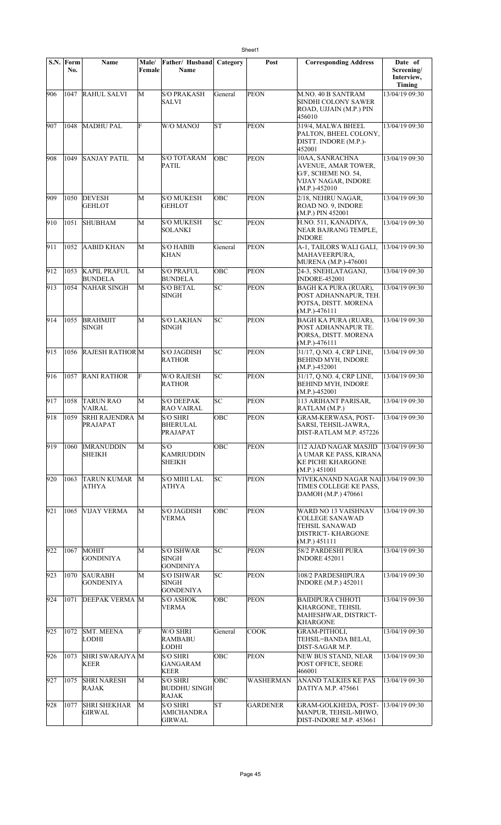|     | S.N. Form<br>No. | <b>Name</b>                           | Male/<br>Female | Father/ Husband<br><b>Name</b>                  | Category   | Post             | <b>Corresponding Address</b>                                                                                        | Date of<br>Screening/<br>Interview,<br><b>Timing</b> |
|-----|------------------|---------------------------------------|-----------------|-------------------------------------------------|------------|------------------|---------------------------------------------------------------------------------------------------------------------|------------------------------------------------------|
| 906 | 1047             | <b>RAHUL SALVI</b>                    | $\overline{M}$  | S/O PRAKASH<br><b>SALVI</b>                     | General    | <b>PEON</b>      | M.NO. 40 B SANTRAM<br><b>SINDHI COLONY SAWER</b><br>ROAD, UJJAIN (M.P.) PIN<br>456010                               | 13/04/19 09:30                                       |
| 907 | 1048             | <b>MADHU PAL</b>                      | F               | W/O MANOJ                                       | lsт        | <b>PEON</b>      | 319/4, MALWA BHEEL<br>PALTON, BHEEL COLONY,<br>DISTT. INDORE (M.P.)-<br>452001                                      | 13/04/19 09:30                                       |
| 908 | 1049             | <b>SANJAY PATIL</b>                   | М               | <b>S/O TOTARAM</b><br>PATIL                     | OBC        | <b>PEON</b>      | 10AA, SANRACHNA<br>AVENUE, AMAR TOWER,<br>G/F, SCHEME NO. 54,<br>VIJAY NAGAR, INDORE<br>$(M.P.)-452010$             | 13/04/19 09:30                                       |
| 909 | 1050             | <b>DEVESH</b><br><b>GEHLOT</b>        | М               | <b>S/O MUKESH</b><br>GEHLOT                     | OBC        | <b>PEON</b>      | 2/18, NEHRU NAGAR,<br>ROAD NO. 9, INDORE<br>(M.P.) PIN 452001                                                       | 13/04/19 09:30                                       |
| 910 | 1051             | <b>SHUBHAM</b>                        | М               | S/O MUKESH<br>SOLANKI                           | SC         | <b>PEON</b>      | H.NO. 511, KANADIYA,<br>NEAR BAJRANG TEMPLE,<br><b>INDORE</b>                                                       | 13/04/19 09:30                                       |
| 911 | 1052             | <b>AABID KHAN</b>                     | M               | S/O HABIB<br>KHAN                               | General    | <b>PEON</b>      | A-1, TAILORS WALI GALI,<br>MAHAVEERPURA,<br><b>MURENA</b> (M.P.)-476001                                             | 13/04/19 09:30                                       |
| 912 | 1053             | <b>KAPIL PRAFUL</b><br><b>BUNDELA</b> | M               | <b>S/O PRAFUL</b><br>BUNDELA                    | OBC        | <b>PEON</b>      | 24-3, SNEHLATAGANJ,<br><b>INDORE-452001</b>                                                                         | 13/04/19 09:30                                       |
| 913 | 1054             | <b>NAHAR SINGH</b>                    | M               | <b>S/O BETAL</b><br>SINGH                       | SC         | <b>PEON</b>      | <b>BAGH KA PURA (RUAR),</b><br>POST ADHANNAPUR, TEH.<br>POTSA, DISTT. MORENA<br>$(M.P.) - 476111$                   | 13/04/19 09:30                                       |
| 914 | 1055             | <b>BRAHMJIT</b><br><b>SINGH</b>       | М               | <b>S/O LAKHAN</b><br>SINGH                      | lsc        | <b>PEON</b>      | <b>BAGH KA PURA (RUAR),</b><br>POST ADHANNAPUR TE.<br>PORSA, DISTT. MORENA<br>$(M.P.) - 476111$                     | 13/04/19 09:30                                       |
| 915 | 1056             | <b>RAJESH RATHORM</b>                 |                 | <b>S/O JAGDISH</b><br>RATHOR                    | lsc        | <b>PEON</b>      | 31/17, Q.NO. 4, CRP LINE,<br><b>BEHIND MYH, INDORE</b><br>$(M.P.) - 452001$                                         | 13/04/19 09:30                                       |
| 916 | 1057             | <b>RANI RATHOR</b>                    | F               | <b>W/O RAJESH</b><br>RATHOR                     | SC         | <b>PEON</b>      | 31/17, Q.NO. 4, CRP LINE,<br><b>BEHIND MYH, INDORE</b><br>$(M.P.)-452001$                                           | 13/04/19 09:30                                       |
| 917 | 1058             | TARUN RAO<br>VAIRAL                   | M               | <b>S/O DEEPAK</b><br>RAO VAIRAL                 | SC         | <b>PEON</b>      | 113 ARIHANT PARISAR,<br>RATLAM (M.P.)                                                                               | 13/04/19 09:30                                       |
| 918 | 1059             | <b>SRHI RAJENDRA M</b><br>PRAJAPAT    |                 | <b>S/O SHRI</b><br><b>BHERULAL</b><br>PRAJAPAT  | OBC        | <b>PEON</b>      | GRAM-KERWASA, POST-<br>SARSI, TEHSIL-JAWRA,<br>DIST-RATLAM M.P. 457226                                              | 13/04/19 09:30                                       |
| 919 | 1060             | <b>IMRANUDDIN</b><br><b>SHEIKH</b>    | M               | S/O<br><b>KAMRIUDDIN</b><br>SHEIKH              | OBC        | <b>PEON</b>      | 112 AJAD NAGAR MASJID<br>A UMAR KE PASS, KIRANA<br><b>KE PICHE KHARGONE</b><br>(M.P.) 451001                        | 13/04/19 09:30                                       |
| 920 | 1063             | <b>TARUN KUMAR</b><br><b>ATHYA</b>    | M               | <b>S/O MIHI LAL</b><br>ATHYA                    | SC         | <b>PEON</b>      | VIVEKANAND NAGAR NAI 13/04/19 09:30<br>TIMES COLLEGE KE PASS,<br>DAMOH (M.P.) 470661                                |                                                      |
| 921 | 1065             | <b>VIJAY VERMA</b>                    | М               | S/O JAGDISH<br>VERMA                            | OBC        | <b>PEON</b>      | WARD NO 13 VAISHNAV<br><b>COLLEGE SANAWAD</b><br><b>TEHSIL SANAWAD</b><br><b>DISTRICT-KHARGONE</b><br>(M.P.) 451111 | 13/04/19 09:30                                       |
| 922 | 1067             | <b>MOHIT</b><br><b>GONDINIYA</b>      | М               | S/O ISHWAR<br>SINGH<br><b>GONDINIYA</b>         | SC         | <b>PEON</b>      | 58/2 PARDESHI PURA<br><b>INDORE 452011</b>                                                                          | 13/04/19 09:30                                       |
| 923 | 1070             | <b>SAURABH</b><br>GONDENIYA           | М               | S/O ISHWAR<br>SINGH<br>GONDENIYA                | SC         | <b>PEON</b>      | 108/2 PARDESHIPURA<br><b>INDORE</b> (M.P.) 452011                                                                   | 13/04/19 09:30                                       |
| 924 | 1071             | <b>DEEPAK VERMA M</b>                 |                 | <b>S/O ASHOK</b><br>VERMA                       | <b>OBC</b> | <b>PEON</b>      | <b>BAIDIPURA CHHOTI</b><br>KHARGONE, TEHSIL<br>MAHESHWAR, DISTRICT-<br><b>KHARGONE</b>                              | 13/04/19 09:30                                       |
| 925 | 1072             | <b>SMT. MEENA</b><br>LODHI            | F               | W/O SHRI<br><b>RAMBABU</b><br>LODHI             | General    | COOK             | <b>GRAM-PITHOLI,</b><br>TEHSIL=BANDA BELAI,<br>DIST-SAGAR M.P.                                                      | 13/04/19 09:30                                       |
| 926 | 1073             | <b>SHRI SWARAJYA</b> M<br>KEER        |                 | <b>S/O SHRI</b><br><b>GANGARAM</b><br>KEER      | <b>OBC</b> | <b>PEON</b>      | NEW BUS STAND, NEAR<br>POST OFFICE, SEORE<br>466001                                                                 | 13/04/19 09:30                                       |
| 927 | 1075             | <b>SHRI NARESH</b><br><b>RAJAK</b>    | M               | <b>S/O SHRI</b><br>BUDDHU SINGH<br><b>RAJAK</b> | <b>OBC</b> | <b>WASHERMAN</b> | <b>ANAND TALKIES KE PAS</b><br>DATIYA M.P. 475661                                                                   | 13/04/19 09:30                                       |
| 928 | 1077             | <b>SHRI SHEKHAR</b><br>GIRWAL         | М               | <b>S/O SHRI</b><br><b>AMICHANDRA</b><br>GIRWAL  | lΣ         | <b>GARDENER</b>  | GRAM-GOLKHEDA, POST- 13/04/19 09:30<br>MANPUR, TEHSIL-MHWO,<br>DIST-INDORE M.P. 453661                              |                                                      |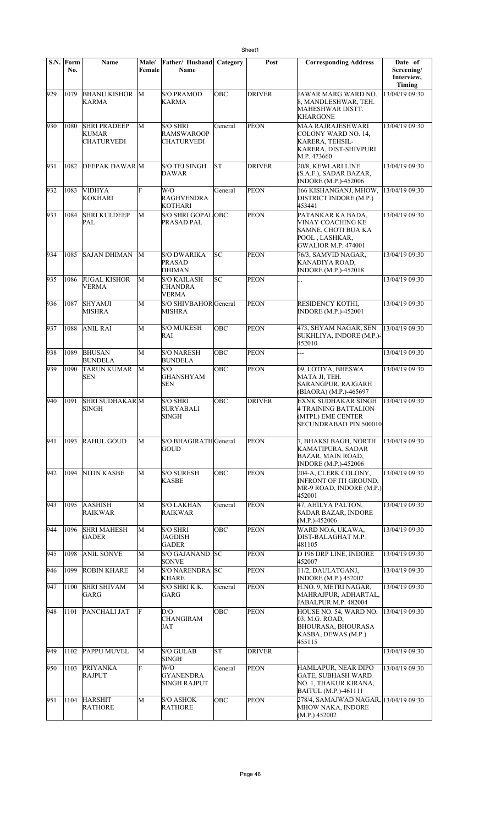|     | S.N. Form<br>No. | Name                                              | Male/<br>Female | Father/ Husband<br>Name                                   | Category   | Post          | <b>Corresponding Address</b>                                                                                  | Date of<br>Screening/<br>Interview,<br><b>Timing</b> |
|-----|------------------|---------------------------------------------------|-----------------|-----------------------------------------------------------|------------|---------------|---------------------------------------------------------------------------------------------------------------|------------------------------------------------------|
| 929 | 1079             | <b>BHANU KISHOR</b><br><b>KARMA</b>               | M               | <b>S/O PRAMOD</b><br><b>KARMA</b>                         | OBC        | <b>DRIVER</b> | JAWAR MARG WARD NO.<br>8, MANDLESHWAR, TEH.<br>MAHESHWAR DISTT.<br>KHARGONE                                   | 13/04/19 09:30                                       |
| 930 | 1080             | <b>SHRI PRADEEP</b><br>KUMAR<br><b>CHATURVEDI</b> | M               | <b>S/O SHRI</b><br><b>RAMSWAROOP</b><br><b>CHATURVEDI</b> | General    | <b>PEON</b>   | MAA RAJRAJESHWARI<br>COLONY WARD NO. 14,<br>KARERA, TEHSIL-<br>KARERA, DIST-SHIVPURI<br>M.P. 473660           | 13/04/19 09:30                                       |
| 931 | 1082             | <b>DEEPAK DAWAR M</b>                             |                 | <b>S/O TEJ SINGH</b><br><b>DAWAR</b>                      | lst        | <b>DRIVER</b> | 20/8, KEWLARI LINE<br>(S.A.F.), SADAR BAZAR,<br><b>INDORE (M.P.)-452006</b>                                   | 13/04/19 09:30                                       |
| 932 | 1083             | <b>VIDHYA</b><br>KOKHARI                          | F               | W/O<br><b>RAGHVENDRA</b><br><b>KOTHARI</b>                | General    | <b>PEON</b>   | 166 KISHANGANJ, MHOW,<br>DISTRICT INDORE (M.P.)<br>453441                                                     | 13/04/19 09:30                                       |
| 933 | 1084             | <b>SHRI KULDEEP</b><br>PAL                        | M               | S/O SHRI GOPALOBC<br>PRASAD PAL                           |            | PEON          | PATANKAR KA BADA.<br>VINAY COACHING KE<br>SAMNE, CHOTI BUA KA<br>POOL, LASHKAR,<br><b>GWALIOR M.P. 474001</b> | 13/04/19 09:30                                       |
| 934 | 1085             | <b>SAJAN DHIMAN</b>                               | M               | <b>S/O DWARIKA</b><br><b>PRASAD</b><br><b>DHIMAN</b>      | SC         | <b>PEON</b>   | 76/3, SAMVID NAGAR,<br>KANADIYA ROAD,<br><b>INDORE (M.P.)-452018</b>                                          | 13/04/19 09:30                                       |
| 935 | 1086             | <b>JUGAL KISHOR</b><br><b>VERMA</b>               | M               | <b>S/O KAILASH</b><br><b>CHANDRA</b><br><b>VERMA</b>      | lsc        | <b>PEON</b>   | .                                                                                                             | 13/04/19 09:30                                       |
| 936 | 1087             | <b>SHYAMJI</b><br>MISHRA                          | M               | S/O SHIVBAHOR General<br><b>MISHRA</b>                    |            | <b>PEON</b>   | <b>RESIDENCY KOTHI,</b><br><b>INDORE (M.P.)-452001</b>                                                        | 13/04/19 09:30                                       |
| 937 | 1088             | <b>ANIL RAI</b>                                   | M               | <b>S/O MUKESH</b><br>RAI                                  | <b>OBC</b> | PEON          | 473, SHYAM NAGAR, SEN<br>SUKHLIYA, INDORE (M.P.)-<br>452010                                                   | 13/04/19 09:30                                       |
| 938 | 1089             | <b>BHUSAN</b><br><b>BUNDELA</b>                   | M               | <b>S/O NARESH</b><br><b>BUNDELA</b>                       | OBC        | <b>PEON</b>   |                                                                                                               | 13/04/19 09:30                                       |
| 939 | 1090             | <b>TARUN KUMAR</b><br><b>SEN</b>                  | M               | S/O<br><b>GHANSHYAM</b><br><b>SEN</b>                     | OBC        | <b>PEON</b>   | 09, LOTIYA, BHESWA<br>MATA JI, TEH.<br>SARANGPUR, RAJGARH<br>(BIAORA) (M.P.)-465697                           | 13/04/19 09:30                                       |
| 940 | 1091             | <b>SHRI SUDHAKARM</b><br><b>SINGH</b>             |                 | <b>S/O SHRI</b><br><b>SURYABALI</b><br><b>SINGH</b>       | <b>OBC</b> | <b>DRIVER</b> | <b>EXNK SUDHAKAR SINGH</b><br>4 TRAINING BATTALION<br>(MTPL) EME CENTER<br>SECUNDRABAD PIN 500010             | 13/04/19 09:30                                       |
| 941 | 1093             | <b>RAHUL GOUD</b>                                 | M               | S/O BHAGIRATH General<br>GOUD                             |            | <b>PEON</b>   | 7, BHAKSI BAGH, NORTH<br>KAMATIPURA, SADAR<br>BAZAR, MAIN ROAD,<br><b>INDORE (M.P.)-452006</b>                | 13/04/19 09:30                                       |
| 942 | 1094             | <b>NITIN KASBE</b>                                | M               | <b>S/O SURESH</b><br><b>KASBE</b>                         | OBC        | PEON          | 204-A, CLERK COLONY,<br>INFRONT OF ITI GROUND.<br>MR-9 ROAD, INDORE (M.P.)<br>452001                          | 13/04/19 09:30                                       |
| 943 | 1095             | <b>AASHISH</b><br><b>RAIKWAR</b>                  | M               | <b>S/O LAKHAN</b><br><b>RAIKWAR</b>                       | General    | <b>PEON</b>   | 47, AHILYA PALTON,<br><b>SADAR BAZAR, INDORE</b><br>$(M.P.)-452006$                                           | 13/04/19 09:30                                       |
| 944 | 1096             | <b>SHRI MAHESH</b><br><b>GADER</b>                | M               | <b>S/O SHRI</b><br>JAGDISH<br><b>GADER</b>                | <b>OBC</b> | <b>PEON</b>   | WARD NO.6, UKAWA,<br>DIST-BALAGHAT M.P.<br>481105                                                             | 13/04/19 09:30                                       |
| 945 | 1098             | <b>ANIL SONVE</b>                                 | M               | <b>S/O GAJANAND</b><br><b>SONVE</b>                       | lsc        | <b>PEON</b>   | D 196 DRP LINE, INDORE<br>452007                                                                              | 13/04/19 09:30                                       |
| 946 | 1099             | <b>ROBIN KHARE</b>                                | M               | S/O NARENDRA SC<br>KHARE                                  |            | <b>PEON</b>   | 11/2, DAULATGANJ,<br><b>INDORE (M.P.) 452007</b>                                                              | 13/04/19 09:30                                       |
| 947 | 1100             | <b>SHRI SHIVAM</b><br>GARG                        | M               | S/O SHRI K.K.<br>GARG                                     | General    | <b>PEON</b>   | H.NO. 9, METRI NAGAR,<br>MAHRAJPUR, ADHARTAL,<br>JABALPUR M.P. 482004                                         | 13/04/19 09:30                                       |
| 948 | 1101             | PANCHALI JAT                                      | F               | D/O<br><b>CHANGIRAM</b><br>JAT                            | OBC        | PEON          | HOUSE NO. 54, WARD NO.<br>03, M.G. ROAD,<br><b>BHOURASA, BHOURASA</b><br>KASBA, DEWAS (M.P.)<br>455115        | 13/04/19 09:30                                       |
| 949 | 1102             | <b>PAPPU MUVEL</b>                                | M               | <b>S/O GULAB</b><br><b>SINGH</b>                          | <b>ST</b>  | <b>DRIVER</b> |                                                                                                               | 13/04/19 09:30                                       |
| 950 | 1103             | <b>PRIYANKA</b><br><b>RAJPUT</b>                  | F               | W/O<br><b>GYANENDRA</b><br><b>SINGH RAJPUT</b>            | General    | <b>PEON</b>   | HAMLAPUR, NEAR DIPO<br>GATE, SUBHASH WARD<br>NO. 1, THAKUR KIRANA,<br>BAITUL (M.P.)-461111                    | 13/04/19 09:30                                       |
| 951 | 1104             | <b>HARSHIT</b><br><b>RATHORE</b>                  | M               | <b>S/O ASHOK</b><br><b>RATHORE</b>                        | OBC        | <b>PEON</b>   | 278/4, SAMAJWAD NAGAR, 13/04/19 09:30<br>MHOW NAKA, INDORE<br>(M.P.) 452002                                   |                                                      |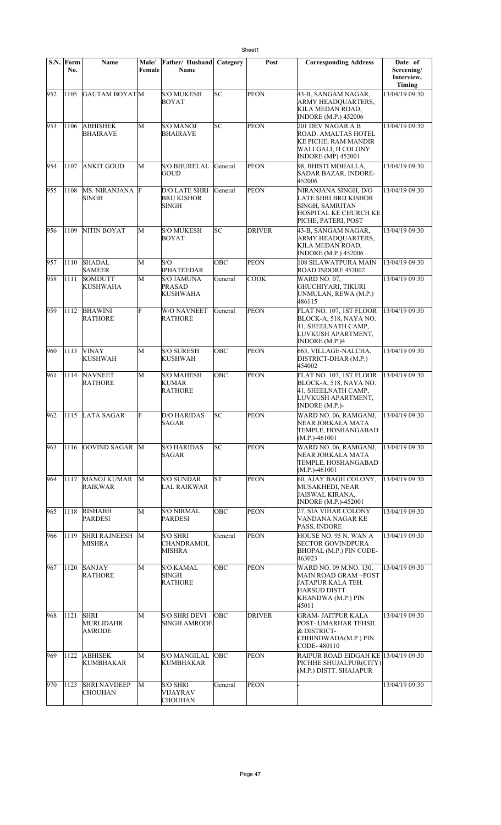|     | S.N. Form | Name                                             | Male/  | Father/ Husband                                            | Category   | Post          | <b>Corresponding Address</b>                                                                                               | Date of                            |
|-----|-----------|--------------------------------------------------|--------|------------------------------------------------------------|------------|---------------|----------------------------------------------------------------------------------------------------------------------------|------------------------------------|
|     | No.       |                                                  | Female | <b>Name</b>                                                |            |               |                                                                                                                            | Screening/<br>Interview,<br>Timing |
| 952 | 1105      | <b>GAUTAM BOYATM</b>                             |        | <b>S/O MUKESH</b><br><b>BOYAT</b>                          | lsc        | <b>PEON</b>   | 43-B, SANGAM NAGAR,<br>ARMY HEADOUARTERS,<br>KILA MEDAN ROAD,<br><b>INDORE</b> (M.P.) 452006                               | 13/04/19 09:30                     |
| 953 | 1106      | <b>ABHISHEK</b><br><b>BHAIRAVE</b>               | M      | <b>S/O MANOJ</b><br><b>BHAIRAVE</b>                        | SC         | <b>PEON</b>   | 201 DEV NAGAR A B<br>ROAD. AMALTAS HOTEL<br>KE PICHE, RAM MANDIR<br>WALI GALI, H COLONY<br><b>INDORE</b> (MP) 452001       | 13/04/19 09:30                     |
| 954 | 1107      | <b>ANKIT GOUD</b>                                | M      | <b>S/O BHURELAL</b><br>GOUD                                | General    | PEON          | 98, BHISTI MOHALLA,<br>SADAR BAZAR, INDORE-<br>452006                                                                      | 13/04/19 09:30                     |
| 955 | 1108      | MS. NIRANJANA F<br>SINGH                         |        | <b>D/O LATE SHRI</b><br><b>BRIJ KISHOR</b><br><b>SINGH</b> | General    | <b>PEON</b>   | NIRANJANA SINGH, D/O<br>LATE SHRI BRIJ KISHOR<br>SINGH, SAMRITAN<br>HOSPITAL KE CHURCH KE<br>PICHE, PATERI, POST           | 13/04/19 09:30                     |
| 956 | 1109      | NITIN BOYAT                                      | M      | <b>S/O MUKESH</b><br><b>BOYAT</b>                          | SC         | <b>DRIVER</b> | 43-B. SANGAM NAGAR.<br>ARMY HEADOUARTERS,<br>KILA MEDAN ROAD,<br><b>INDORE (M.P.) 452006</b>                               | 13/04/19 09:30                     |
| 957 | 1110      | <b>SHADAL</b><br><b>SAMEER</b>                   | M      | S/O<br><b>IPHATEEDAR</b>                                   | OBC        | <b>PEON</b>   | 108 SILAWATPURA MAIN<br>ROAD INDORE 452002                                                                                 | 13/04/19 09:30                     |
| 958 | 1111      | <b>SOMDUTT</b><br><b>KUSHWAHA</b>                | M      | <b>S/O JAMUNA</b><br><b>PRASAD</b><br><b>KUSHWAHA</b>      | General    | <b>COOK</b>   | <b>WARD NO. 07.</b><br><b>GHUCHIYARI, TIKURI</b><br>UNMULAN, REWA (M.P.)<br>486115                                         | 13/04/19 09:30                     |
| 959 | 1112      | <b>BHAWINI</b><br><b>RATHORE</b>                 | F      | <b>W/O NAVNEET</b><br><b>RATHORE</b>                       | General    | <b>PEON</b>   | FLAT NO. 107, 1ST FLOOR<br>BLOCK-A, 518, NAYA NO.<br>41, SHEELNATH CAMP,<br>LUVKUSH APARTMENT,<br>INDORE (M.P.)4           | 13/04/19 09:30                     |
| 960 | 1113      | <b>VINAY</b><br><b>KUSHWAH</b>                   | M      | <b>S/O SURESH</b><br><b>KUSHWAH</b>                        | OBC        | <b>PEON</b>   | 663, VILLAGE-NALCHA,<br>DISTRICT-DHAR (M.P.)<br>454002                                                                     | 13/04/19 09:30                     |
| 961 | 1114      | <b>NAVNEET</b><br><b>RATHORE</b>                 | M      | <b>S/O MAHESH</b><br><b>KUMAR</b><br><b>RATHORE</b>        | OBC        | <b>PEON</b>   | FLAT NO. 107, 1ST FLOOR<br>BLOCK-A, 518, NAYA NO.<br>41, SHEELNATH CAMP,<br>LUVKUSH APARTMENT,<br><b>INDORE</b> (M.P.)-    | 13/04/19 09:30                     |
| 962 |           | 1115 LATA SAGAR                                  | F      | <b>D/O HARIDAS</b><br>SAGAR                                | SС         | <b>PEON</b>   | WARD NO. 06, RAMGANJ,<br>NEAR JORKALA MATA<br>TEMPLE, HOSHANGABAD<br>$(M.P.) - 461001$                                     | 13/04/19 09:30                     |
| 963 | 1116      | GOVIND SAGAR M                                   |        | <b>S/O HARIDAS</b><br><b>SAGAR</b>                         | SC         | <b>PEON</b>   | WARD NO. 06, RAMGANJ,<br>NEAR JORKALA MATA<br>TEMPLE, HOSHANGABAD<br>$(M.P.) - 461001$                                     | 13/04/19 09:30                     |
| 964 | 1117      | MANOJ KUMAR<br><b>RAIKWAR</b>                    | M      | <b>S/O SUNDAR</b><br><b>LAL RAIKWAR</b>                    | ST         | <b>PEON</b>   | 60. AJAY BAGH COLONY.<br>MUSAKHEDI, NEAR<br><b>JAISWAL KIRANA.</b><br><b>INDORE</b> (M.P.)-452001                          | 13/04/19 09:30                     |
| 965 | 1118      | <b>RISHABH</b><br><b>PARDESI</b>                 | M      | <b>S/O NIRMAL</b><br><b>PARDESI</b>                        | OBC        | <b>PEON</b>   | 27. SIA VIHAR COLONY<br>VANDANA NAGAR KE<br>PASS, INDORE                                                                   | 13/04/19 09:30                     |
| 966 | 1119      | <b>SHRI RAJNEESH</b><br><b>MISHRA</b>            | M      | <b>S/O SHRI</b><br>CHANDRAMOL<br><b>MISHRA</b>             | General    | PEON          | HOUSE NO. 95 N. WAN A<br><b>SECTOR GOVINDPURA</b><br>BHOPAL (M.P.) PIN CODE-<br>463023                                     | 13/04/19 09:30                     |
| 967 | 1120      | <b>SANJAY</b><br><b>RATHORE</b>                  | М      | <b>S/O KAMAL</b><br><b>SINGH</b><br><b>RATHORE</b>         | <b>OBC</b> | <b>PEON</b>   | WARD NO. 09 M.NO. 130.<br><b>MAIN ROAD GRAM +POST</b><br>JATAPUR KALA TEH.<br>HARSUD DISTT.<br>KHANDWA (M.P.) PIN<br>45011 | 13/04/19 09:30                     |
| 968 | 1121      | <b>SHRI</b><br><b>MURLIDAHR</b><br><b>AMRODE</b> | M      | <b>S/O SHRI DEVI</b><br><b>SINGH AMRODE</b>                | OBC        | <b>DRIVER</b> | <b>GRAM- JAITPUR KALA</b><br>POST- UMARHAR TEHSIL<br>& DISTRICT-<br>CHHINDWADA(M.P.) PIN<br>CODE-480110                    | 13/04/19 09:30                     |
| 969 | 1122      | <b>ABHISEK</b><br>KUMBHAKAR                      | M      | <b>S/O MANGILAL</b><br>KUMBHAKAR                           | OBC        | <b>PEON</b>   | RAIPUR ROAD EIDGAH KE 13/04/19 09:30<br>PICHHE SHUJALPUR(CITY)<br>(M.P.) DISTT. SHAJAPUR                                   |                                    |
| 970 | 1123      | <b>SHRI NAVDEEP</b><br><b>CHOUHAN</b>            | M      | <b>S/O SHRI</b><br><b>VIJAYRAV</b><br><b>CHOUHAN</b>       | General    | <b>PEON</b>   |                                                                                                                            | 13/04/19 09:30                     |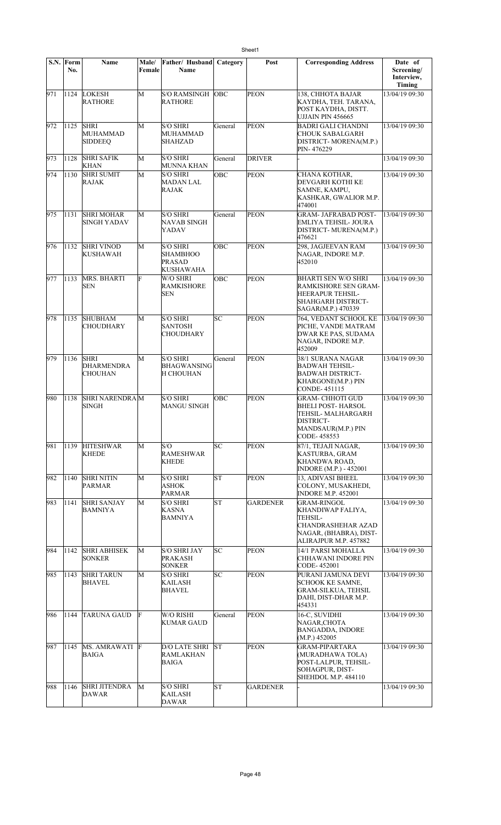|     | S.N. Form<br>No. | <b>Name</b>                                 | Male/<br>Female | Father/ Husband<br>Name                                                 | Category   | Post            | <b>Corresponding Address</b>                                                                                                 | Date of<br>Screening/<br>Interview,<br>Timing |
|-----|------------------|---------------------------------------------|-----------------|-------------------------------------------------------------------------|------------|-----------------|------------------------------------------------------------------------------------------------------------------------------|-----------------------------------------------|
| 971 | 1124             | LOKESH<br><b>RATHORE</b>                    | M               | <b>S/O RAMSINGH</b><br><b>RATHORE</b>                                   | <b>OBC</b> | <b>PEON</b>     | 138, CHHOTA BAJAR<br>KAYDHA, TEH. TARANA,<br>POST KAYDHA, DISTT.<br>UJJAIN PIN 456665                                        | 13/04/19 09:30                                |
| 972 | 1125             | <b>SHRI</b><br>MUHAMMAD<br><b>SIDDEEQ</b>   | M               | <b>S/O SHRI</b><br>MUHAMMAD<br><b>SHAHZAD</b>                           | General    | <b>PEON</b>     | <b>BADRI GALI CHANDNI</b><br><b>CHOUK SABALGARH</b><br>DISTRICT-MORENA(M.P.)<br>PIN-476229                                   | 13/04/19 09:30                                |
| 973 | 1128             | <b>SHRI SAFIK</b><br><b>KHAN</b>            | M               | <b>S/O SHRI</b><br><b>MUNNA KHAN</b>                                    | General    | <b>DRIVER</b>   |                                                                                                                              | 13/04/19 09:30                                |
| 974 | 1130             | <b>SHRI SUMIT</b><br>RAJAK                  | M               | <b>S/O SHRI</b><br><b>MADAN LAL</b><br>RAJAK                            | OBC        | <b>PEON</b>     | CHANA KOTHAR,<br>DEVGARH KOTHI KE<br>SAMNE, KAMPU,<br>KASHKAR, GWALIOR M.P.<br>474001                                        | 13/04/19 09:30                                |
| 975 | 1131             | <b>SHRI MOHAR</b><br>SINGH YADAV            | M               | <b>S/O SHRI</b><br>NAVAB SINGH<br>YADAV                                 | General    | <b>PEON</b>     | <b>GRAM- JAFRABAD POST-</b><br>EMLIYA TEHSIL- JOURA<br>DISTRICT- MURENA(M.P.)<br>476621                                      | 13/04/19 09:30                                |
| 976 | 1132             | <b>SHRI VINOD</b><br>KUSHAWAH               | M               | <b>S/O SHRI</b><br><b>SHAMBHOO</b><br><b>PRASAD</b><br><b>KUSHAWAHA</b> | <b>OBC</b> | <b>PEON</b>     | 298, JAGJEEVAN RAM<br>NAGAR, INDORE M.P.<br>452010                                                                           | 13/04/19 09:30                                |
| 977 | 1133             | MRS. BHARTI<br><b>SEN</b>                   | F               | W/O SHRI<br><b>RAMKISHORE</b><br><b>SEN</b>                             | <b>OBC</b> | <b>PEON</b>     | <b>BHARTI SEN W/O SHRI</b><br>RAMKISHORE SEN GRAM-<br>HEERAPUR TEHSIL-<br>SHAHGARH DISTRICT-<br>SAGAR(M.P.) 470339           | 13/04/19 09:30                                |
| 978 | 1135             | <b>SHUBHAM</b><br>CHOUDHARY                 | M               | <b>S/O SHRI</b><br><b>SANTOSH</b><br><b>CHOUDHARY</b>                   | SC         | <b>PEON</b>     | 764, VEDANT SCHOOL KE<br>PICHE, VANDE MATRAM<br>DWAR KE PAS, SUDAMA<br>NAGAR, INDORE M.P.<br>452009                          | 13/04/19 09:30                                |
| 979 | 1136             | <b>SHRI</b><br><b>DHARMENDRA</b><br>CHOUHAN | M               | <b>S/O SHRI</b><br><b>BHAGWANSING</b><br><b>H CHOUHAN</b>               | General    | <b>PEON</b>     | 38/1 SURANA NAGAR<br><b>BADWAH TEHSIL-</b><br><b>BADWAH DISTRICT-</b><br><b>KHARGONE(M.P.) PIN</b><br>CONDE-451115           | 13/04/19 09:30                                |
| 980 | 1138             | <b>SHRI NARENDRAM</b><br><b>SINGH</b>       |                 | <b>S/O SHRI</b><br><b>MANGU SINGH</b>                                   | OBC        | <b>PEON</b>     | <b>GRAM- CHHOTI GUD</b><br><b>BHELI POST- HARSOL</b><br>TEHSIL- MALHARGARH<br>DISTRICT-<br>MANDSAUR(M.P.) PIN<br>CODE-458553 | 13/04/19 09:30                                |
| 981 | 1139             | <b>HITESHWAR</b><br><b>KHEDE</b>            | $\mathbf{M}$    | S/O<br><b>RAMESHWAR</b><br><b>KHEDE</b>                                 | SC         | <b>PEON</b>     | 87/1, TEJAJI NAGAR,<br>KASTURBA, GRAM<br>KHANDWA ROAD,<br><b>INDORE (M.P.) - 452001</b>                                      | 13/04/19 09:30                                |
| 982 | 1140             | <b>SHRI NITIN</b><br>PARMAR                 | M               | S/O SHRI<br>ASHOK<br><b>PARMAR</b>                                      | <b>ST</b>  | PEON            | 13, ADIVASI BHEEL<br>COLONY, MUSAKHEDI,<br><b>INDORE M.P. 452001</b>                                                         | 13/04/19 09:30                                |
| 983 | 1141             | <b>SHRI SANJAY</b><br><b>BAMNIYA</b>        | M               | <b>S/O SHRI</b><br><b>KASNA</b><br><b>BAMNIYA</b>                       | ST         | <b>GARDENER</b> | GRAM-RINGOL<br>KHANDIWAP FALIYA,<br><b>TEHSIL-</b><br>CHANDRASHEHAR AZAD<br>NAGAR, (BHABRA), DIST-<br>ALIRAJPUR M.P. 457882  | 13/04/19 09:30                                |
| 984 | 1142             | <b>SHRI ABHISEK</b><br><b>SONKER</b>        | M               | <b>S/O SHRI JAY</b><br><b>PRAKASH</b><br><b>SONKER</b>                  | SC         | <b>PEON</b>     | 14/1 PARSI MOHALLA<br>CHHAWANI INDORE PIN<br>CODE-452001                                                                     | 13/04/19 09:30                                |
| 985 | 1143             | <b>SHRI TARUN</b><br><b>BHAVEL</b>          | M               | <b>S/O SHRI</b><br>KAILASH<br>BHAVEL                                    | SC         | <b>PEON</b>     | PURANI JAMUNA DEVI<br>SCHOOK KE SAMNE,<br><b>GRAM-SILKUA, TEHSIL</b><br>DAHI, DIST-DHAR M.P.<br>454331                       | 13/04/19 09:30                                |
| 986 | 1144             | <b>TARUNA GAUD</b>                          | F               | W/O RISHI<br><b>KUMAR GAUD</b>                                          | General    | <b>PEON</b>     | 16-C, SUVIDHI<br>NAGAR, CHOTA<br><b>BANGADDA, INDORE</b><br>(M.P.) 452005                                                    | 13/04/19 09:30                                |
| 987 | 1145             | MS. AMRAWATI F<br><b>BAIGA</b>              |                 | <b>D/O LATE SHRI</b><br><b>RAMLAKHAN</b><br>BAIGA                       | lst.       | <b>PEON</b>     | <b>GRAM-PIPARTARA</b><br>(MURADHAWA TOLA)<br>POST-LALPUR, TEHSIL-<br>SOHAGPUR, DIST-<br><b>SHEHDOL M.P. 484110</b>           | 13/04/19 09:30                                |
| 988 | 1146             | <b>SHRI JITENDRA</b><br>DAWAR               | M               | <b>S/O SHRI</b><br>KAILASH<br><b>DAWAR</b>                              | ST         | <b>GARDENER</b> |                                                                                                                              | 13/04/19 09:30                                |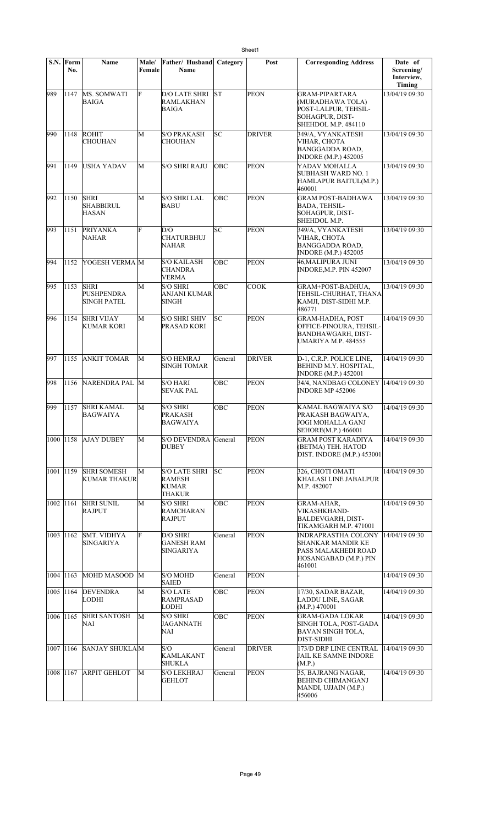|             | S.N. Form<br>No. | <b>Name</b>                                            | Male/<br>Female | Father/ Husband Category<br>Name                         |            | Post          | <b>Corresponding Address</b>                                                                                | Date of<br>Screening/<br>Interview,<br>Timing |
|-------------|------------------|--------------------------------------------------------|-----------------|----------------------------------------------------------|------------|---------------|-------------------------------------------------------------------------------------------------------------|-----------------------------------------------|
| 989         | 1147             | MS. SOMWATI<br><b>BAIGA</b>                            | F               | <b>D/O LATE SHRI</b><br><b>RAMLAKHAN</b><br><b>BAIGA</b> | lsт        | <b>PEON</b>   | <b>GRAM-PIPARTARA</b><br>(MURADHAWA TOLA)<br>POST-LALPUR, TEHSIL-<br>SOHAGPUR, DIST-<br>SHEHDOL M.P. 484110 | 13/04/19 09:30                                |
| 990         | 1148             | <b>ROHIT</b><br>CHOUHAN                                | M               | <b>S/O PRAKASH</b><br><b>CHOUHAN</b>                     | SC         | <b>DRIVER</b> | 349/A, VYANKATESH<br>VIHAR, CHOTA<br><b>BANGGADDA ROAD.</b><br><b>INDORE (M.P.) 452005</b>                  | 13/04/19 09:30                                |
| 991         | 1149             | USHA YADAV                                             | M               | <b>S/O SHRI RAJU</b>                                     | <b>OBC</b> | <b>PEON</b>   | YADAV MOHALLA<br>SUBHASH WARD NO. 1<br>HAMLAPUR BAITUL(M.P.)<br>460001                                      | 13/04/19 09:30                                |
| 992         | 1150             | <b>SHRI</b><br><b>SHABBIRUL</b><br><b>HASAN</b>        | M               | <b>S/O SHRI LAL</b><br><b>BABU</b>                       | ОВС        | <b>PEON</b>   | <b>GRAM POST-BADHAWA</b><br><b>BADA, TEHSIL-</b><br>SOHAGPUR, DIST-<br>SHEHDOL M.P.                         | 13/04/19 09:30                                |
| 993         | 1151             | <b>PRIYANKA</b><br><b>NAHAR</b>                        | F               | D/O<br><b>CHATURBHUJ</b><br>NAHAR                        | SC         | <b>PEON</b>   | 349/A, VYANKATESH<br>VIHAR, CHOTA<br><b>BANGGADDA ROAD,</b><br><b>INDORE</b> (M.P.) 452005                  | 13/04/19 09:30                                |
| 994         | 1152             | YOGESH VERMA M                                         |                 | <b>S/O KAILASH</b><br><b>CHANDRA</b><br><b>VERMA</b>     | ОВС        | <b>PEON</b>   | 46,MALIPURA JUNI<br>INDORE, M.P. PIN 452007                                                                 | 13/04/19 09:30                                |
| 995         | 1153             | <b>SHRI</b><br><b>PUSHPENDRA</b><br><b>SINGH PATEL</b> | M               | <b>S/O SHRI</b><br>ANJANI KUMAR<br><b>SINGH</b>          | ОВС        | <b>COOK</b>   | GRAM+POST-BADHUA,<br>TEHSIL-CHURHAT, THANA<br>KAMJI, DIST-SIDHI M.P.<br>486771                              | 13/04/19 09:30                                |
| 996         | 1154             | <b>SHRI VIJAY</b><br>KUMAR KORI                        | M               | <b>S/O SHRI SHIV</b><br>PRASAD KORI                      | SC         | <b>PEON</b>   | <b>GRAM-HADHA, POST</b><br>OFFICE-PINOURA, TEHSIL-<br>BANDHAWGARH, DIST-<br><b>UMARIYA M.P. 484555</b>      | 14/04/19 09:30                                |
| 997         | 1155             | <b>ANKIT TOMAR</b>                                     | M               | <b>S/O HEMRAJ</b><br><b>SINGH TOMAR</b>                  | General    | <b>DRIVER</b> | D-1, C.R.P. POLICE LINE,<br>BEHIND M.Y. HOSPITAL,<br><b>INDORE</b> (M.P.) 452001                            | 14/04/19 09:30                                |
| 998         | 1156             | NARENDRA PAL M                                         |                 | <b>S/O HARI</b><br><b>SEVAK PAL</b>                      | ОВС        | <b>PEON</b>   | 34/4, NANDBAG COLONEY  14/04/19 09:30<br><b>INDORE MP 452006</b>                                            |                                               |
| 999         | 1157             | <b>SHRI KAMAL</b><br>BAGWAIYA                          | M               | <b>S/O SHRI</b><br>PRAKASH<br>BAGWAIYA                   | ОВС        | <b>PEON</b>   | KAMAL BAGWAIYA S/O<br>PRAKASH BAGWAIYA,<br>JOGI MOHALLA GANJ<br>SEHORE(M.P.) 466001                         | 14/04/19 09:30                                |
| 1000   1158 |                  | <b>AJAY DUBEY</b>                                      | М               | <b>S/O DEVENDRA</b><br><b>DUBEY</b>                      | General    | <b>PEON</b>   | <b>GRAM POST KARADIYA</b><br>(BETMA) TEH. HATOD<br>DIST. INDORE (M.P.) 453001                               | 14/04/19 09:30                                |
| 1001 1159   |                  | <b>SHRI SOMESH</b><br><b>KUMAR THAKUR</b>              | M               | <b>S/O LATE SHRI</b><br><b>RAMESH</b><br>KUMAR<br>THAKUR | SC         | <b>PEON</b>   | 326, CHOTI OMATI<br>KHALASI LINE JABALPUR<br>M.P. 482007                                                    | 14/04/19 09:30                                |
| 1002 1161   |                  | <b>SHRI SUNIL</b><br><b>RAJPUT</b>                     | M               | <b>S/O SHRI</b><br>RAMCHARAN<br>RAJPUT                   | OBC        | <b>PEON</b>   | GRAM-AHAR,<br><b>VIKASHKHAND-</b><br>BALDEVGARH, DIST-<br>TIKAMGARH M.P. 471001                             | 14/04/19 09:30                                |
| 1003 1162   |                  | <b>SMT. VIDHYA</b><br>SINGARIYA                        | F               | D/O SHRI<br><b>GANESH RAM</b><br>SINGARIYA               | General    | <b>PEON</b>   | <b>INDRAPRASTHA COLONY</b><br>SHANKAR MANDIR KE<br>PASS MALAKHEDI ROAD<br>HOSANGABAD (M.P.) PIN<br>461001   | 14/04/19 09:30                                |
| 1004 1163   |                  | MOHD MASOOD M                                          |                 | S/O MOHD<br>SAIED                                        | General    | <b>PEON</b>   |                                                                                                             | 14/04/19 09:30                                |
|             | 1005 1164        | <b>DEVENDRA</b><br><b>LODHI</b>                        | M               | <b>S/O LATE</b><br><b>RAMPRASAD</b><br>LODHI             | OBC        | <b>PEON</b>   | 17/30, SADAR BAZAR,<br><b>LADDU LINE, SAGAR</b><br>(M.P.) 470001                                            | 14/04/19 09:30                                |
| 1006 1165   |                  | <b>SHRI SANTOSH</b><br>NAI                             | M               | <b>S/O SHRI</b><br><b>JAGANNATH</b><br>NAI               | OBC        | <b>PEON</b>   | <b>GRAM-GADA LOKAR</b><br>SINGH TOLA, POST-GADA<br>BAVAN SINGH TOLA,<br>DIST-SIDHI                          | 14/04/19 09:30                                |
| 1007 1166   |                  | <b>SANJAY SHUKLAM</b>                                  |                 | S/O<br>KAMLAKANT<br>SHUKLA                               | General    | <b>DRIVER</b> | 173/D DRP LINE CENTRAL<br>JAIL KE SAMNE INDORE<br>(M.P.)                                                    | 14/04/19 09:30                                |
| 1008 1167   |                  | <b>ARPIT GEHLOT</b>                                    | M               | <b>S/O LEKHRAJ</b><br><b>GEHLOT</b>                      | General    | <b>PEON</b>   | 35, BAJRANG NAGAR,<br><b>BEHIND CHIMANGANJ</b><br>MANDI, UJJAIN (M.P.)<br>456006                            | 14/04/19 09:30                                |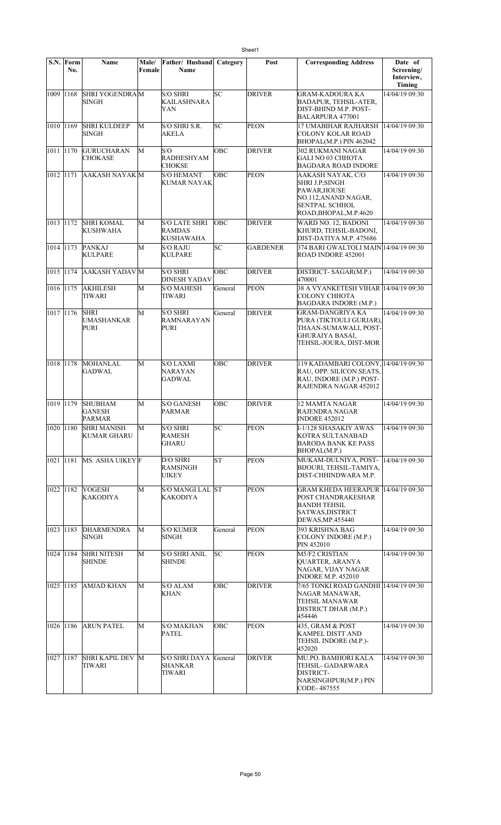|           | S.N. Form<br>No. | Name                                             | <b>Male/</b><br>Female | Father/ Husband<br><b>Name</b>                      | Category   | Post            | <b>Corresponding Address</b>                                                                                                   | Date of<br>Screening/<br>Interview, |
|-----------|------------------|--------------------------------------------------|------------------------|-----------------------------------------------------|------------|-----------------|--------------------------------------------------------------------------------------------------------------------------------|-------------------------------------|
| 1009 1168 |                  | SHRI YOGENDRAM<br>SINGH                          |                        | <b>S/O SHRI</b><br>KAILASHNARA<br>YAN               | SC         | <b>DRIVER</b>   | <b>GRAM-KADOURA KA</b><br><b>BADAPUR, TEHSIL-ATER,</b><br>DIST-BHIND M.P. POST-<br><b>BALARPURA 477001</b>                     | Timing<br>14/04/19 09:30            |
| 1010 1169 |                  | <b>SHRI KULDEEP</b><br><b>SINGH</b>              | M                      | S/O SHRI S.R.<br><b>AKELA</b>                       | lsc        | <b>PEON</b>     | 17 UMABIHAR RAJHARSH<br>COLONY KOLAR ROAD<br>BHOPAL(M.P.) PIN 462042                                                           | 14/04/19 09:30                      |
| 1011 1170 |                  | <b>GURUCHARAN</b><br><b>CHOKASE</b>              | M                      | S/O<br><b>RADHESHYAM</b><br><b>CHOKSE</b>           | <b>OBC</b> | <b>DRIVER</b>   | <b>302 RUKMANI NAGAR</b><br><b>GALI NO 03 CHHOTA</b><br><b>BAGDARA ROAD INDORE</b>                                             | 14/04/19 09:30                      |
| 1012 1171 |                  | <b>AAKASH NAYAK M</b>                            |                        | <b>S/O HEMANT</b><br><b>KUMAR NAYAK</b>             | OBC        | <b>PEON</b>     | AAKASH NAYAK, C/O<br><b>SHRI J.P;SINGH</b><br>PAWAR, HOUSE<br>NO.112, ANAND NAGAR,<br>SENTPAL SCHHOL<br>ROAD, BHOPAL, M.P.4620 | 14/04/19 09:30                      |
| 1013 1172 |                  | <b>SHRI KOMAL</b><br>KUSHWAHA                    | M                      | <b>S/O LATE SHRI</b><br><b>RAMDAS</b><br>KUSHAWAHA  | OBC        | <b>DRIVER</b>   | WARD NO. 12, BADONI<br>KHURD, TEHSIL-BADONI,<br>DIST-DATIYA M.P. 475686                                                        | 14/04/19 09:30                      |
| 1014 1173 |                  | <b>PANKAJ</b><br><b>KULPARE</b>                  | М                      | <b>S/O RAJU</b><br><b>KULPARE</b>                   | lsc        | <b>GARDENER</b> | 374 BARI GWALTOLI MAIN 14/04/19 09:30<br>ROAD INDORE 452001                                                                    |                                     |
| 1015 1174 |                  | <b>AAKASH YADAV</b> M                            |                        | <b>S/O SHRI</b><br><b>DINESH YADAV</b>              | OBC        | <b>DRIVER</b>   | DISTRICT-SAGAR(M.P.)<br>470001                                                                                                 | 14/04/19 09:30                      |
| 1016 1175 |                  | <b>AKHILESH</b><br>TIWARI                        | M                      | <b>S/O MAHESH</b><br>TIWARI                         | General    | <b>PEON</b>     | 38 A VYANKETESH VIHAR 14/04/19 09:30<br><b>COLONY CHHOTA</b><br>BAGDARA INDORE (M.P.)                                          |                                     |
| 1017 1176 |                  | <b>SHRI</b><br><b>UMASHANKAR</b><br>PURI         | M                      | <b>S/O SHRI</b><br><b>RAMNARAYAN</b><br><b>PURI</b> | General    | <b>DRIVER</b>   | GRAM-DANGRIYA KA<br>PURA (TIKTOULI GURJAR).<br>THAAN-SUMAWALI, POST-<br><b>GHURAIYA BASAI.</b><br>TEHSIL-JOURA, DIST-MOR       | 14/04/19 09:30                      |
| 1018 1178 |                  | MOHANLAL<br><b>GADWAL</b>                        | М                      | <b>S/O LAXMI</b><br>NARAYAN<br>GADWAL               | OBC        | <b>DRIVER</b>   | 119 KADAMBARI COLONY, 14/04/19 09:30<br>RAU, OPP. SILICON SEATS,<br>RAU, INDORE (M.P.) POST-<br>RAJENDRA NAGAR 452012          |                                     |
| 1019 1179 |                  | <b>SHUBHAM</b><br><b>GANESH</b><br><b>PARMAR</b> | М                      | <b>S/O GANESH</b><br><b>PARMAR</b>                  | OBC        | <b>DRIVER</b>   | 12 MAMTA NAGAR<br><b>RAJENDRA NAGAR</b><br><b>INDORE 452012</b>                                                                | 14/04/19 09:30                      |
| 1020 1180 |                  | <b>SHRI MANISH</b><br><b>KUMAR GHARU</b>         | М                      | <b>S/O SHRI</b><br><b>RAMESH</b><br><b>GHARU</b>    | SC         | <b>PEON</b>     | I-1/128 SHASAKIY AWAS<br>KOTRA SULTANABAD<br><b>BARODA BANK KE PASS</b><br>BHOPAL(M.P.)                                        | 14/04/19 09:30                      |
| 1021 1181 |                  | MS. ASHA UIKEY F                                 |                        | D/O SHRI<br>RAMSINGH<br><b>UIKEY</b>                | ST         | <b>PEON</b>     | MUKAM-DULNIYA, POST-<br>BIJOURI, TEHSIL-TAMIYA,<br>DIST-CHHINDWARA M.P.                                                        | 14/04/19 09:30                      |
| 1022 1182 |                  | <b>YOGESH</b><br>KAKODIYA                        | M                      | S/O MANGI LAL ST<br>KAKODIYA                        |            | <b>PEON</b>     | GRAM KHEDA HEERAPUR  14/04/19 09:30<br>POST CHANDRAKESHAR<br><b>BANDH TEHSIL</b><br>SATWAS, DISTRICT<br>DEWAS, MP.455440       |                                     |
| 1023 1183 |                  | <b>DHARMENDRA</b><br>SINGH                       | М                      | <b>S/O KUMER</b><br><b>SINGH</b>                    | General    | <b>PEON</b>     | 393 KRISHNA BAG<br>COLONY INDORE (M.P.)<br>PIN 452010                                                                          | 14/04/19 09:30                      |
| 1024 1184 |                  | <b>SHRI NITESH</b><br><b>SHINDE</b>              | М                      | <b>S/O SHRI ANIL</b><br><b>SHINDE</b>               | SC         | <b>PEON</b>     | M5/F2 CRISTIAN<br>QUARTER, ARANYA<br>NAGAR, VIJAY NAGAR<br><b>INDORE M.P. 452010</b>                                           | 14/04/19 09:30                      |
| 1025 1185 |                  | <b>AMJAD KHAN</b>                                | М                      | S/O ALAM<br><b>KHAN</b>                             | OBC        | <b>DRIVER</b>   | 7/65 TONKI ROAD GANDHI 14/04/19 09:30<br>NAGAR MANAWAR,<br>TEHSIL MANAWAR<br>DISTRICT DHAR (M.P.)<br>454446                    |                                     |
| 1026 1186 |                  | <b>ARUN PATEL</b>                                | М                      | <b>S/O MAKHAN</b><br>PATEL                          | OBC        | <b>PEON</b>     | 435, GRAM & POST<br><b>KAMPEL DISTT AND</b><br>TEHSIL INDORE (M.P.)-<br>452020                                                 | 14/04/19 09:30                      |
| 1027 1187 |                  | <b>SHRI KAPIL DEV M</b><br>TIWARI                |                        | <b>S/O SHRI DAYA</b><br>SHANKAR<br><b>TIWARI</b>    | General    | <b>DRIVER</b>   | MU.PO. BAMHORI KALA<br>TEHSIL- GADARWARA<br>DISTRICT-<br>NARSINGHPUR(M.P.) PIN<br>CODE-487555                                  | 14/04/19 09:30                      |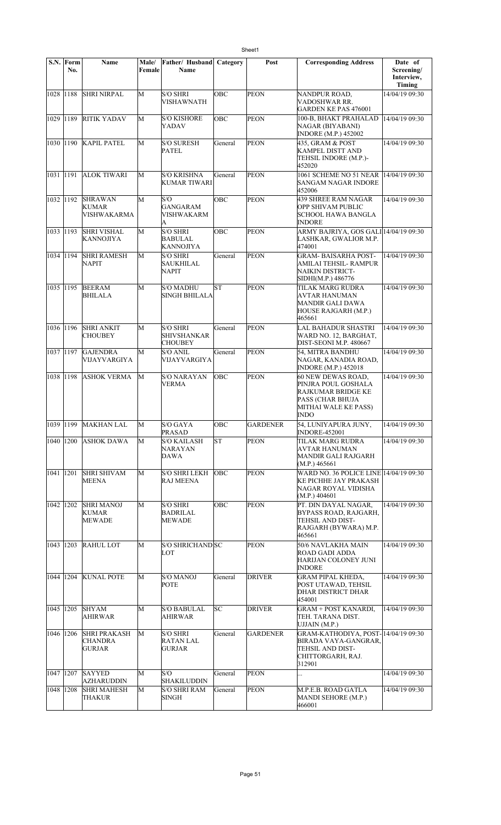|             | S.N. Form<br>No. | Name                                             | Male/<br>Female | Father/ Husband<br><b>Name</b>                          | Category   | Post            | <b>Corresponding Address</b>                                                                                        | Date of<br>Screening/<br>Interview,<br>Timing |
|-------------|------------------|--------------------------------------------------|-----------------|---------------------------------------------------------|------------|-----------------|---------------------------------------------------------------------------------------------------------------------|-----------------------------------------------|
| 1028 1188   |                  | <b>SHRI NIRPAL</b>                               | M               | <b>S/O SHRI</b><br><b>VISHAWNATH</b>                    | OBC        | <b>PEON</b>     | NANDPUR ROAD,<br>VADOSHWAR RR.<br>GARDEN KE PAS 476001                                                              | 14/04/19 09:30                                |
| 1029 1189   |                  | <b>RITIK YADAV</b>                               | M               | <b>S/O KISHORE</b><br>YADAV                             | OBC        | <b>PEON</b>     | 100-B, BHAKT PRAHALAD<br>NAGAR (BIYABANI)<br><b>INDORE</b> (M.P.) 452002                                            | 14/04/19 09:30                                |
|             |                  | 1030 1190 KAPIL PATEL                            | M               | <b>S/O SURESH</b><br><b>PATEL</b>                       | General    | <b>PEON</b>     | 435, GRAM & POST<br><b>KAMPEL DISTT AND</b><br>TEHSIL INDORE (M.P.)-<br>452020                                      | 14/04/19 09:30                                |
| 1031 1191   |                  | <b>ALOK TIWARI</b>                               | M               | <b>S/O KRISHNA</b><br><b>KUMAR TIWARI</b>               | General    | <b>PEON</b>     | 1061 SCHEME NO 51 NEAR 14/04/19 09:30<br><b>SANGAM NAGAR INDORE</b><br>452006                                       |                                               |
| 1032 1192   |                  | <b>SHRAWAN</b><br><b>KUMAR</b><br>VISHWAKARMA    | М               | S/O<br><b>GANGARAM</b><br><b>VISHWAKARM</b><br>A        | OBC        | <b>PEON</b>     | 439 SHREE RAM NAGAR<br>OPP SHIVAM PUBLIC<br>SCHOOL HAWA BANGLA<br><b>INDORE</b>                                     | 14/04/19 09:30                                |
| 1033 1193   |                  | <b>SHRI VISHAL</b><br>KANNOJIYA                  | М               | <b>S/O SHRI</b><br><b>BABULAL</b><br><b>KANNOJIYA</b>   | <b>OBC</b> | <b>PEON</b>     | ARMY BAJRIYA, GOS GALI 14/04/19 09:30<br>LASHKAR, GWALIOR M.P.<br>474001                                            |                                               |
| 1034 1194   |                  | <b>SHRI RAMESH</b><br><b>NAPIT</b>               | M               | <b>S/O SHRI</b><br><b>SAUKHILAL</b><br><b>NAPIT</b>     | General    | <b>PEON</b>     | <b>GRAM-BAISARHA POST-</b><br>AMILAI TEHSIL- RAMPUR<br>NAIKIN DISTRICT-<br>SIDHI(M.P.) 486776                       | 14/04/19 09:30                                |
| 1035 1195   |                  | <b>BEERAM</b><br><b>BHILALA</b>                  | М               | <b>S/O MADHU</b><br><b>SINGH BHILALA</b>                | <b>ST</b>  | <b>PEON</b>     | TILAK MARG RUDRA<br>AVTAR HANUMAN<br><b>MANDIR GALI DAWA</b><br>HOUSE RAJGARH (M.P.)<br>465661                      | 14/04/19 09:30                                |
| 1036 1196   |                  | <b>SHRI ANKIT</b><br><b>CHOUBEY</b>              | М               | <b>S/O SHRI</b><br><b>SHIVSHANKAR</b><br><b>CHOUBEY</b> | General    | <b>PEON</b>     | <b>LAL BAHADUR SHASTRI</b><br>WARD NO. 12, BARGHAT,<br>DIST-SEONI M.P. 480667                                       | 14/04/19 09:30                                |
| 1037 1197   |                  | <b>GAJENDRA</b><br>VIJAYVARGIYA                  | M               | <b>S/O ANIL</b><br>VIJAYVARGIYA                         | General    | <b>PEON</b>     | 54, MITRA BANDHU<br>NAGAR, KANADIA ROAD,<br><b>INDORE</b> (M.P.) 452018                                             | 14/04/19 09:30                                |
| 1038 1198   |                  | <b>ASHOK VERMA</b>                               | М               | <b>S/O NARAYAN</b><br><b>VERMA</b>                      | OBC        | <b>PEON</b>     | 60 NEW DEWAS ROAD,<br>PINJRA POUL GOSHALA<br>RAJKUMAR BRIDGE KE<br>PASS (CHAR BHUJA<br>MITHAI WALE KE PASS)<br>INDO | 14/04/19 09:30                                |
|             |                  | 1039 1199 MAKHAN LAL                             | M               | S/O GAYA<br>PRASAD                                      | OBC        | <b>GARDENER</b> | 54, LUNIYAPURA JUNY,<br><b>INDORE-452001</b>                                                                        | 14/04/19 09:30                                |
| 1040 1200   |                  | <b>ASHOK DAWA</b>                                | М               | <b>S/O KAILASH</b><br>NARAYAN<br><b>DAWA</b>            | ST         | <b>PEON</b>     | TILAK MARG RUDRA<br>AVTAR HANUMAN<br>MANDIR GALI RAJGARH<br>(M.P.) 465661                                           | 14/04/19 09:30                                |
| 1041 1201   |                  | <b>SHRI SHIVAM</b><br><b>MEENA</b>               | M               | <b>S/O SHRI LEKH</b><br><b>RAJ MEENA</b>                | <b>OBC</b> | <b>PEON</b>     | WARD NO. 36 POLICE LINE 14/04/19 09:30<br>KE PICHHE JAY PRAKASH<br>NAGAR ROYAL VIDISHA<br>(M.P.) 404601             |                                               |
| 1042        | 1202             | <b>SHRI MANOJ</b><br>KUMAR<br><b>MEWADE</b>      | М               | <b>S/O SHRI</b><br>BADRILAL<br>MEWADE                   | OBC        | <b>PEON</b>     | PT. DIN DAYAL NAGAR.<br>BYPASS ROAD, RAJGARH,<br>TEHSIL AND DIST-<br>RAJGARH (BYWARA) M.P.<br>465661                | 14/04/19 09:30                                |
| 1043 1203   |                  | <b>RAHUL LOT</b>                                 | М               | S/O SHRICHAND SC<br>LOT                                 |            | <b>PEON</b>     | 50/6 NAVLAKHA MAIN<br>ROAD GADI ADDA<br>HARIJAN COLONEY JUNI<br><b>INDORE</b>                                       | 14/04/19 09:30                                |
| 1044 1204   |                  | <b>KUNAL POTE</b>                                | М               | <b>S/O MANOJ</b><br>POTE                                | General    | <b>DRIVER</b>   | <b>GRAM PIPAL KHEDA,</b><br>POST UTAWAD, TEHSIL<br>DHAR DISTRICT DHAR<br>454001                                     | 14/04/19 09:30                                |
| 1045 1205   |                  | <b>SHYAM</b><br>AHIRWAR                          | M               | <b>S/O BABULAL</b><br>AHIRWAR                           | SC         | <b>DRIVER</b>   | <b>GRAM + POST KANARDI,</b><br>TEH. TARANA DIST.<br>UJJAIN (M.P.)                                                   | 14/04/19 09:30                                |
| 1046 1206   |                  | <b>SHRI PRAKASH</b><br><b>CHANDRA</b><br> GURJAR | М               | <b>S/O SHRI</b><br>RATAN LAL<br>GURJAR                  | General    | <b>GARDENER</b> | GRAM-KATHODIYA, POST-14/04/19 09:30<br>BIRADA VAYA-GANGRAR,<br>TEHSIL AND DIST-<br>CHITTORGARH, RAJ.<br>312901      |                                               |
| 1047   1207 |                  | <b>SAYYED</b><br><b>AZHARUDDIN</b>               | M               | S/O<br><b>SHAKILUDDIN</b>                               | General    | <b>PEON</b>     |                                                                                                                     | 14/04/19 09:30                                |
| 1048 1208   |                  | <b>SHRI MAHESH</b><br>THAKUR                     | М               | <b>S/O SHRI RAM</b><br>SINGH                            | General    | <b>PEON</b>     | M.P.E.B. ROAD GATLA<br>MANDI SEHORE (M.P.)<br>466001                                                                | 14/04/19 09:30                                |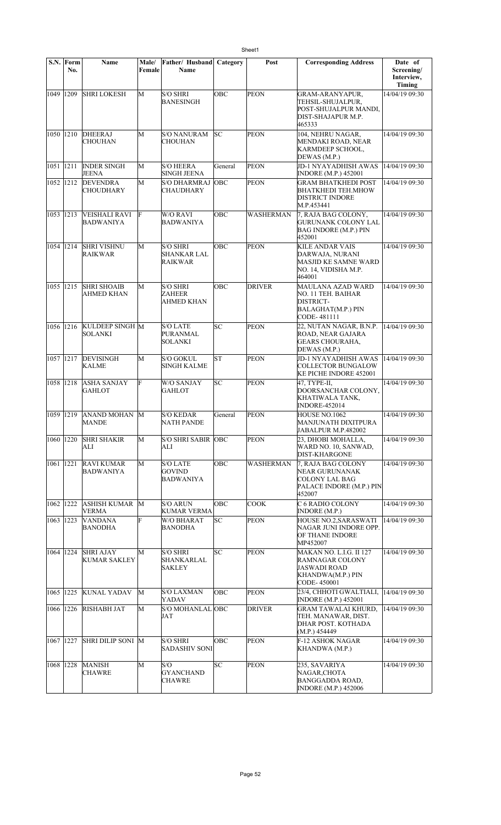|             | S.N. Form<br>No. | Name                                    | Male/<br>Female | Father/ Husband<br>Name                          | Category   | Post             | <b>Corresponding Address</b>                                                                                        | Date of<br>Screening/<br>Interview,<br><b>Timing</b> |
|-------------|------------------|-----------------------------------------|-----------------|--------------------------------------------------|------------|------------------|---------------------------------------------------------------------------------------------------------------------|------------------------------------------------------|
| 1049        | 1209             | <b>SHRI LOKESH</b>                      | M               | <b>S/O SHRI</b><br>BANESINGH                     | OBC        | PEON             | <b>GRAM-ARANYAPUR,</b><br>TEHSIL-SHUJALPUR,<br>POST-SHUJALPUR MANDI.<br>DIST-SHAJAPUR M.P.<br>465333                | 14/04/19 09:30                                       |
| 1050 1210   |                  | <b>DHEERAJ</b><br><b>CHOUHAN</b>        | M               | <b>S/O NANURAM</b><br>CHOUHAN                    | SC         | <b>PEON</b>      | 104, NEHRU NAGAR,<br>MENDAKI ROAD, NEAR<br>KARMDEEP SCHOOL,<br>DEWAS (M.P.)                                         | 14/04/19 09:30                                       |
| 1051 1211   |                  | <b>INDER SINGH</b><br><b>JEENA</b>      | M               | <b>S/O HEERA</b><br>SINGH JEENA                  | General    | <b>PEON</b>      | JD-1 NYAYADHISH AWAS<br><b>INDORE</b> (M.P.) 452001                                                                 | 14/04/19 09:30                                       |
| 1052 1212   |                  | <b>DEVENDRA</b><br>CHOUDHARY            | M               | <b>S/O DHARMRAJ</b><br>CHAUDHARY                 | OBC        | <b>PEON</b>      | <b>GRAM BHATKHEDI POST</b><br>BHATKHEDI TEH.MHOW<br><b>DISTRICT INDORE</b><br>M.P.453441                            | 14/04/19 09:30                                       |
| 1053 1213   |                  | VEISHALI RAVI<br><b>BADWANIYA</b>       | F               | W/O RAVI<br>BADWANIYA                            | OBC        | WASHERMAN        | 7, RAJA BAG COLONY,<br><b>GURUNANK COLONY LAL</b><br><b>BAG INDORE (M.P.) PIN</b><br>452001                         | 14/04/19 09:30                                       |
| 1054 1214   |                  | <b>SHRI VISHNU</b><br><b>RAIKWAR</b>    | М               | <b>S/O SHRI</b><br>SHANKAR LAL<br><b>RAIKWAR</b> | OBC        | <b>PEON</b>      | <b>KILE ANDAR VAIS</b><br>DARWAJA, NURANI<br>MASJID KE SAMNE WARD<br>NO. 14, VIDISHA M.P.<br>464001                 | 14/04/19 09:30                                       |
| 1055 1215   |                  | <b>SHRI SHOAIB</b><br>AHMED KHAN        | M               | <b>S/O SHRI</b><br>ZAHEER<br>AHMED KHAN          | <b>OBC</b> | <b>DRIVER</b>    | MAULANA AZAD WARD<br>NO. 11 TEH. BAIHAR<br>DISTRICT-<br>BALAGHAT(M.P.) PIN<br>CODE-481111                           | 14/04/19 09:30                                       |
| 1056 1216   |                  | KULDEEP SINGH M<br><b>SOLANKI</b>       |                 | <b>S/O LATE</b><br>PURANMAL<br>SOLANKI           | lsc        | <b>PEON</b>      | 22, NUTAN NAGAR, B.N.P.<br>ROAD, NEAR GAJARA<br><b>GEARS CHOURAHA,</b><br>DEWAS (M.P.)                              | 14/04/19 09:30                                       |
| 1057 1217   |                  | <b>DEVISINGH</b><br><b>KALME</b>        | М               | S/O GOKUL<br><b>SINGH KALME</b>                  | <b>ST</b>  | <b>PEON</b>      | JD-1 NYAYADHISH AWAS<br><b>COLLECTOR BUNGALOW</b><br>KE PICHE INDORE 452001                                         | 14/04/19 09:30                                       |
| 1058 1218   |                  | <b>ASHA SANJAY</b><br><b>GAHLOT</b>     | F               | W/O SANJAY<br>GAHLOT                             | SC         | <b>PEON</b>      | 47, TYPE-II,<br>DOORSANCHAR COLONY,<br>KHATIWALA TANK,<br><b>INDORE-452014</b>                                      | 14/04/19 09:30                                       |
|             |                  | 1059 1219 ANAND MOHAN M<br>MANDE        |                 | <b>S/O KEDAR</b><br>NATH PANDE                   | General    | <b>PEON</b>      | HOUSE NO.1062<br>MANJUNATH DIXITPURA<br>JABALPUR M.P.482002                                                         | 14/04/19 09:30                                       |
| 1060 1220   |                  | <b>SHRI SHAKIR</b><br>ALI               | M               | <b>S/O SHRI SABIR  OBC</b><br>ALI                |            | <b>PEON</b>      | 23, DHOBI MOHALLA,<br>WARD NO. 10, SANWAD,<br><b>DIST-KHARGONE</b>                                                  | 14/04/19 09:30                                       |
| 1061 1221   |                  | <b>RAVI KUMAR</b><br>BADWANIYA          | M               | <b>S/O LATE</b><br>GOVIND<br><b>BADWANIYA</b>    | OBC        | <b>WASHERMAN</b> | 7, RAJA BAG COLONY<br>NEAR GURUNANAK<br><b>COLONY LAL BAG</b><br>PALACE INDORE (M.P.) PIN<br>452007                 | 14/04/19 09:30                                       |
| 1062 1222   |                  | <b>ASHISH KUMAR</b> M<br><b>VERMA</b>   |                 | <b>S/O ARUN</b><br><b>KUMAR VERMA</b>            | OBC        | <b>COOK</b>      | C 6 RADIO COLONY<br><b>INDORE</b> (M.P.)                                                                            | 14/04/19 09:30                                       |
| 1063 1223   |                  | <b>VANDANA</b><br>BANODHA               | F               | <b>W/O BHARAT</b><br>BANODHA                     | SС         | PEON             | HOUSE NO.2,SARASWATI<br>NAGAR JUNI INDORE OPP.<br>OF THANE INDORE<br>MP452007                                       | 14/04/19 09:30                                       |
| 1064   1224 |                  | <b>SHRI AJAY</b><br><b>KUMAR SAKLEY</b> | М               | <b>S/O SHRI</b><br>SHANKARLAL<br><b>SAKLEY</b>   | SC         | <b>PEON</b>      | MAKAN NO. L.I.G. II 127<br><b>RAMNAGAR COLONY</b><br><b>JASWADI ROAD</b><br><b>KHANDWA(M.P.) PIN</b><br>CODE-450001 | 14/04/19 09:30                                       |
| 1065 1225   |                  | <b>KUNAL YADAV</b>                      | M               | <b>S/O LAXMAN</b><br>YADAV                       | OBC        | <b>PEON</b>      | 23/4, CHHOTI GWALTIALI, 14/04/19 09:30<br><b>INDORE</b> (M.P.) 452001                                               |                                                      |
|             | 1066   1226      | <b>RISHABH JAT</b>                      | М               | S/O MOHANLAL OBC<br>JAT                          |            | <b>DRIVER</b>    | <b>GRAM TAWALAI KHURD,</b><br>TEH. MANAWAR, DIST.<br>DHAR POST. KOTHADA<br>(M.P.) 454449                            | 14/04/19 09:30                                       |
| 1067 1227   |                  | SHRI DILIP SONI M                       |                 | <b>S/O SHRI</b><br>SADASHIV SONI                 | <b>OBC</b> | <b>PEON</b>      | <b>F-12 ASHOK NAGAR</b><br>KHANDWA (M.P.)                                                                           | 14/04/19 09:30                                       |
| 1068 1228   |                  | <b>MANISH</b><br><b>CHAWRE</b>          | M               | S/O<br><b>GYANCHAND</b><br>CHAWRE                | SC         | PEON             | 235, SAVARIYA<br>NAGAR,CHOTA<br><b>BANGGADDA ROAD,</b><br><b>INDORE</b> (M.P.) 452006                               | 14/04/19 09:30                                       |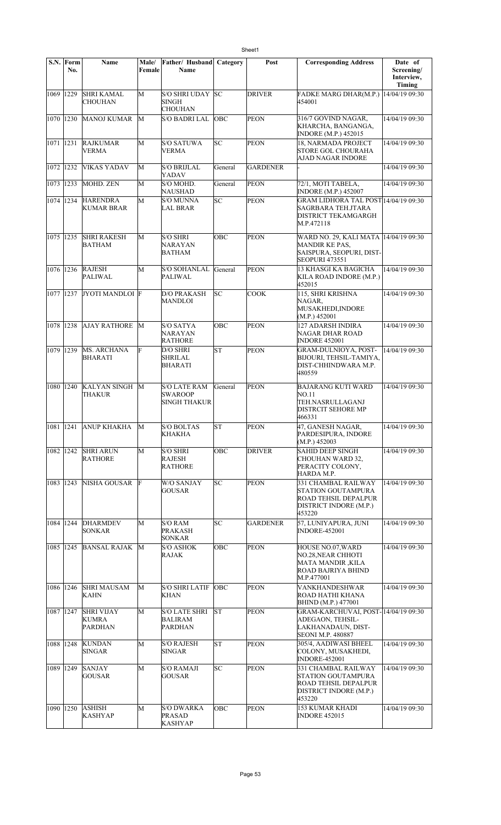|           | S.N. Form<br>No. | Name                                         | Male/<br>Female | Father/ Husband<br><b>Name</b>                               | Category   | Post               | <b>Corresponding Address</b>                                                                                  | Date of<br>Screening/ |
|-----------|------------------|----------------------------------------------|-----------------|--------------------------------------------------------------|------------|--------------------|---------------------------------------------------------------------------------------------------------------|-----------------------|
|           |                  |                                              |                 |                                                              |            |                    |                                                                                                               | Interview,<br>Timing  |
| 1069 1229 |                  | <b>SHRI KAMAL</b><br><b>CHOUHAN</b>          | M               | S/O SHRI UDAY<br><b>SINGH</b><br><b>CHOUHAN</b>              | SC         | <b>DRIVER</b>      | FADKE MARG DHAR(M.P.)  14/04/19 09:30<br>454001                                                               |                       |
| 1070 1230 |                  | <b>MANOJ KUMAR</b>                           | M               | <b>S/O BADRI LAL</b>                                         | <b>OBC</b> | <b>PEON</b>        | 316/7 GOVIND NAGAR,<br>KHARCHA, BANGANGA,<br><b>INDORE</b> (M.P.) 452015                                      | 14/04/19 09:30        |
| 1071 1231 |                  | <b>RAJKUMAR</b><br><b>VERMA</b>              | M               | <b>S/O SATUWA</b><br><b>VERMA</b>                            | lsс        | <b>PEON</b>        | 18, NARMADA PROJECT<br><b>STORE GOL CHOURAHA</b><br>AJAD NAGAR INDORE                                         | 14/04/19 09:30        |
| 1072 1232 |                  | VIKAS YADAV                                  | M               | <b>S/O BRIJLAL</b><br>YADAV                                  | General    | <b>GARDENER</b>    |                                                                                                               | 14/04/19 09:30        |
| 1073 1233 |                  | MOHD. ZEN                                    | M               | S/O MOHD.<br>NAUSHAD                                         | General    | <b>PEON</b>        | 72/1, MOTI TABELA,<br><b>INDORE</b> (M.P.) 452007                                                             | 14/04/19 09:30        |
| 1074 1234 |                  | <b>HARENDRA</b><br><b>KUMAR BRAR</b>         | M               | <b>S/O MUNNA</b><br><b>LAL BRAR</b>                          | SC         | <b>PEON</b>        | <b>GRAM LIDHORA TAL POST 14/04/19 09:30</b><br>SAGRBARA TEH.JTARA<br><b>DISTRICT TEKAMGARGH</b><br>M.P.472118 |                       |
| 1075 1235 |                  | <b>SHRI RAKESH</b><br><b>BATHAM</b>          | M               | <b>S/O SHRI</b><br><b>NARAYAN</b><br><b>BATHAM</b>           | OBC        | <b>PEON</b>        | WARD NO. 29, KALI MATA 14/04/19 09:30<br><b>MANDIR KE PAS,</b><br>SAISPURA, SEOPURI, DIST-<br>SEOPURI 473551  |                       |
| 1076 1236 |                  | <b>RAJESH</b><br>PALIWAL                     | M               | <b>S/O SOHANLAL</b><br>PALIWAL                               | General    | <b>PEON</b>        | <b>13 KHASGI KA BAGICHA</b><br>KILA ROAD INDORE (M.P.)<br>452015                                              | 14/04/19 09:30        |
| 1077 1237 |                  | JYOTI MANDLOI F                              |                 | <b>D/O PRAKASH</b><br><b>MANDLOI</b>                         | lsc        | $\overline{C}$ OOK | 115, SHRI KRISHNA<br>NAGAR.<br>MUSAKHEDI, INDORE<br>(M.P.) 452001                                             | 14/04/19 09:30        |
| 1078 1238 |                  | <b>AJAY RATHORE</b>                          | M               | <b>S/O SATYA</b><br><b>NARAYAN</b><br><b>RATHORE</b>         | OBC        | <b>PEON</b>        | 127 ADARSH INDIRA<br>NAGAR DHAR ROAD<br><b>INDORE 452001</b>                                                  | 14/04/19 09:30        |
| 1079 1239 |                  | MS. ARCHANA<br>BHARATI                       | F               | D/O SHRI<br><b>SHRILAL</b><br><b>BHARATI</b>                 | lsт        | <b>PEON</b>        | <b>GRAM-DULNIOYA, POST-</b><br>BIJOURI, TEHSIL-TAMIYA,<br>DIST-CHHINDWARA M.P.<br>480559                      | 14/04/19 09:30        |
| 1080 1240 |                  | <b>KALYAN SINGH</b><br>THAKUR                | M               | <b>S/O LATE RAM</b><br><b>SWAROOP</b><br><b>SINGH THAKUR</b> | General    | <b>PEON</b>        | <b>BAJARANG KUTI WARD</b><br>NO.11<br>TEH.NASRULLAGANJ<br><b>DISTRCIT SEHORE MP</b><br>466331                 | 14/04/19 09:30        |
|           |                  | 1081   1241   ANUP KHAKHA                    | M               | <b>S/O BOLTAS</b><br><b>KHAKHA</b>                           | <b>ST</b>  | <b>PEON</b>        | 47, GANESH NAGAR,<br>PARDESIPURA, INDORE<br>(M.P.) 452003                                                     | 14/04/19 09:30        |
| 1082 1242 |                  | <b>SHRI ARUN</b><br><b>RATHORE</b>           | М               | <b>S/O SHRI</b><br><b>RAJESH</b><br><b>RATHORE</b>           | OBC        | <b>DRIVER</b>      | <b>SAHID DEEP SINGH</b><br>CHOUHAN WARD 32,<br>PERACITY COLONY,<br>HARDA M.P.                                 | 14/04/19 09:30        |
| 1083 1243 |                  | NISHA GOUSAR                                 | F               | W/O SANJAY<br><b>GOUSAR</b>                                  | SC         | <b>PEON</b>        | 331 CHAMBAL RAILWAY<br>STATION GOUTAMPURA<br><b>ROAD TEHSIL DEPALPUR</b><br>DISTRICT INDORE (M.P.)<br>453220  | 14/04/19 09:30        |
| 1084 1244 |                  | <b>DHARMDEV</b><br><b>SONKAR</b>             | М               | S/O RAM<br>PRAKASH<br><b>SONKAR</b>                          | SС         | <b>GARDENER</b>    | 57, LUNIYAPURA, JUNI<br><b>INDORE-452001</b>                                                                  | 14/04/19 09:30        |
| 1085 1245 |                  | <b>BANSAL RAJAK</b>                          | M               | <b>S/O ASHOK</b><br>RAJAK                                    | OBC        | <b>PEON</b>        | HOUSE NO.07, WARD<br>NO.28, NEAR CHHOTI<br><b>MATA MANDIR ,KILA</b><br>ROAD BAJRIYA BHIND<br>M.P.477001       | 14/04/19 09:30        |
| 1086 1246 |                  | <b>SHRI MAUSAM</b><br>KAHN                   | М               | <b>S/O SHRI LATIF</b><br><b>KHAN</b>                         | <b>OBC</b> | <b>PEON</b>        | VANKHANDESHWAR<br>ROAD HATHI KHANA<br><b>BHIND</b> (M.P.) 477001                                              | 14/04/19 09:30        |
| 1087 1247 |                  | <b>SHRI VIJAY</b><br>KUMRA<br><b>PARDHAN</b> | М               | <b>S/O LATE SHRI</b><br>BALIRAM<br><b>PARDHAN</b>            | lst        | <b>PEON</b>        | GRAM-KARCHUVAI, POST-14/04/19 09:30<br>ADEGAON, TEHSIL-<br>LAKHANADAUN, DIST-<br><b>SEONI M.P. 480887</b>     |                       |
| 1088 1248 |                  | <b>KUNDAN</b><br><b>SINGAR</b>               | M               | <b>S/O RAJESH</b><br><b>SINGAR</b>                           | lst.       | <b>PEON</b>        | 305/4, AADIWASI BHEEL<br>COLONY, MUSAKHEDI,<br><b>INDORE-452001</b>                                           | 14/04/19 09:30        |
| 1089 1249 |                  | <b>SANJAY</b><br><b>GOUSAR</b>               | M               | <b>S/O RAMAJI</b><br><b>GOUSAR</b>                           | SC         | <b>PEON</b>        | 331 CHAMBAL RAILWAY<br>STATION GOUTAMPURA<br><b>ROAD TEHSIL DEPALPUR</b><br>DISTRICT INDORE (M.P.)<br>453220  | 14/04/19 09:30        |
| 1090 1250 |                  | <b>ASHISH</b><br>KASHYAP                     | M               | <b>S/O DWARKA</b><br>PRASAD<br><b>KASHYAP</b>                | OBC        | <b>PEON</b>        | <b>153 KUMAR KHADI</b><br><b>INDORE 452015</b>                                                                | 14/04/19 09:30        |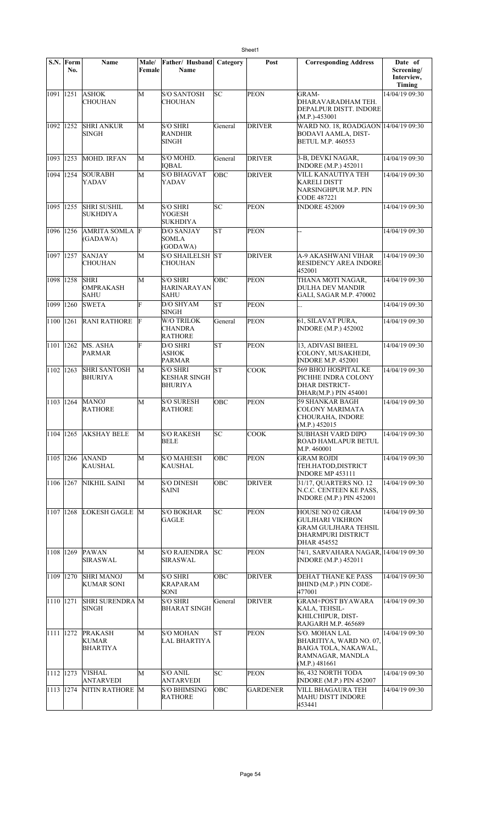|                         | S.N. Form<br>No. | <b>Name</b>                                       | Male/<br>Female | Father/ Husband<br>Name                                  | Category   | Post            | <b>Corresponding Address</b>                                                                                    | Date of<br>Screening/<br>Interview,<br>Timing |
|-------------------------|------------------|---------------------------------------------------|-----------------|----------------------------------------------------------|------------|-----------------|-----------------------------------------------------------------------------------------------------------------|-----------------------------------------------|
| 1091 1251               |                  | <b>ASHOK</b><br><b>CHOUHAN</b>                    | M               | <b>S/O SANTOSH</b><br>CHOUHAN                            | SC         | <b>PEON</b>     | GRAM-<br>DHARAVARADHAM TEH.<br>DEPALPUR DISTT. INDORE<br>$(M.P.)-453001$                                        | 14/04/19 09:30                                |
| 1092 1252               |                  | <b>SHRI ANKUR</b><br>SINGH                        | M               | <b>S/O SHRI</b><br><b>RANDHIR</b><br><b>SINGH</b>        | General    | <b>DRIVER</b>   | WARD NO. 18, ROADGAON 14/04/19 09:30<br><b>BODAVI AAMLA, DIST-</b><br><b>BETUL M.P. 460553</b>                  |                                               |
| 1093 1253               |                  | MOHD. IRFAN                                       | М               | S/O MOHD.<br><b>IQBAL</b>                                | General    | <b>DRIVER</b>   | 3-B, DEVKI NAGAR,<br><b>INDORE</b> (M.P.) 452011                                                                | 14/04/19 09:30                                |
| 1094 1254               |                  | <b>SOURABH</b><br>YADAV                           | M               | <b>S/O BHAGVAT</b><br>YADAV                              | OBC        | <b>DRIVER</b>   | VILL KANAUTIYA TEH<br>KARELI DISTT<br>NARSINGHPUR M.P. PIN<br>CODE 487221                                       | 14/04/19 09:30                                |
| 1095 1255               |                  | <b>SHRI SUSHIL</b><br><b>SUKHDIYA</b>             | M               | <b>S/O SHRI</b><br>YOGESH<br><b>SUKHDIYA</b>             | SC         | <b>PEON</b>     | <b>INDORE 452009</b>                                                                                            | 14/04/19 09:30                                |
| 1096 1256               |                  | <b>AMRITA SOMLA</b><br>(GADAWA)                   | F               | <b>D/O SANJAY</b><br><b>SOMLA</b><br>(GODAWA)            | lΣ         | <b>PEON</b>     | ÷,                                                                                                              | 14/04/19 09:30                                |
| 1097 1257               |                  | <b>SANJAY</b><br><b>CHOUHAN</b>                   | M               | S/O SHAILELSH ST<br><b>CHOUHAN</b>                       |            | <b>DRIVER</b>   | A-9 AKASHWANI VIHAR<br><b>RESIDENCY AREA INDORE</b><br>452001                                                   | 14/04/19 09:30                                |
| 1098 1258               |                  | <b>SHRI</b><br>OMPRAKASH<br><b>SAHU</b>           | M               | <b>S/O SHRI</b><br><b>HARINARAYAN</b><br><b>SAHU</b>     | OBC        | <b>PEON</b>     | THANA MOTI NAGAR,<br><b>DULHA DEV MANDIR</b><br>GALI, SAGAR M.P. 470002                                         | 14/04/19 09:30                                |
| 1099 1260               |                  | <b>SWETA</b>                                      | Ë               | D/O SHYAM<br><b>SINGH</b>                                | lsт        | <b>PEON</b>     |                                                                                                                 | 14/04/19 09:30                                |
| 1100                    | 1261             | <b>RANI RATHORE</b>                               | F               | W/O TRILOK<br><b>CHANDRA</b><br><b>RATHORE</b>           | General    | <b>PEON</b>     | 61, SILAVAT PURA,<br><b>INDORE</b> (M.P.) 452002                                                                | 14/04/19 09:30                                |
| $\overline{1101}$  1262 |                  | MS. ASHA<br>PARMAR                                | F               | D/O SHRI<br><b>ASHOK</b><br><b>PARMAR</b>                | lst        | <b>PEON</b>     | 13, ADIVASI BHEEL<br>COLONY, MUSAKHEDI,<br><b>INDORE M.P. 452001</b>                                            | 14/04/19 09:30                                |
| 1102                    | 1263             | <b>SHRI SANTOSH</b><br><b>BHURIYA</b>             | M               | <b>S/O SHRI</b><br><b>KESHAR SINGH</b><br><b>BHURIYA</b> | lΣ         | <b>COOK</b>     | 569 BHOJ HOSPITAL KE<br>PICHHE INDRA COLONY<br><b>DHAR DISTRICT-</b><br>DHAR(M.P.) PIN 454001                   | 14/04/19 09:30                                |
| 1103 1264               |                  | <b>MANOJ</b><br><b>RATHORE</b>                    | M               | <b>S/O SURESH</b><br><b>RATHORE</b>                      | OBC        | PEON            | <b>59 SHANKAR BAGH</b><br>COLONY MARIMATA<br><b>CHOURAHA, INDORE</b><br>(M.P.) 452015                           | 14/04/19 09:30                                |
| 1104 1265               |                  | <b>AKSHAY BELE</b>                                | M               | <b>S/O RAKESH</b><br><b>BELE</b>                         | SC         | <b>COOK</b>     | <b>SUBHASH VARD DIPO</b><br><b>ROAD HAMLAPUR BETUL</b><br>M.P. 460001                                           | 14/04/19 09:30                                |
| 1105 1266               |                  | <b>ANAND</b><br>KAUSHAL                           | M               | <b>S/O MAHESH</b><br>KAUSHAL                             | <b>OBC</b> | <b>PEON</b>     | GRAM ROJDI<br>TEH.HATOD,DISTRICT<br><b>INDORE MP 453111</b>                                                     | 14/04/19 09:30                                |
| 1106 1267               |                  | NIKHIL SAINI                                      | M               | <b>S/O DINESH</b><br><b>SAINI</b>                        | OBC        | <b>DRIVER</b>   | 31/17, QUARTERS NO. 12<br>N.C.C. CENTEEN KE PASS,<br><b>INDORE (M.P.) PIN 452001</b>                            | 14/04/19 09:30                                |
| 1107                    | 1268             | LOKESH GAGLE M                                    |                 | <b>S/O BOKHAR</b><br><b>GAGLE</b>                        | SC         | <b>PEON</b>     | HOUSE NO 02 GRAM<br><b>GULJHARI VIKHRON</b><br><b>GRAM GULJHARA TEHSIL</b><br>DHARMPURI DISTRICT<br>DHAR 454552 | 14/04/19 09:30                                |
| 1108                    | 1269             | <b>PAWAN</b><br><b>SIRASWAL</b>                   | M               | <b>S/O RAJENDRA</b><br><b>SIRASWAL</b>                   | lsс        | <b>PEON</b>     | 74/1, SARVAHARA NAGAR, 14/04/19 09:30<br><b>INDORE</b> (M.P.) 452011                                            |                                               |
| 1109                    | 1270             | <b>SHRI MANOJ</b><br><b>KUMAR SONI</b>            | M               | <b>S/O SHRI</b><br><b>KRAPARAM</b><br>SONI               | OBC        | <b>DRIVER</b>   | DEHAT THANE KE PASS<br>BHIND (M.P.) PIN CODE-<br>477001                                                         | 14/04/19 09:30                                |
| 1110 1271               |                  | <b>SHRI SURENDRA M</b><br>SINGH                   |                 | <b>S/O SHRI</b><br><b>BHARAT SINGH</b>                   | General    | <b>DRIVER</b>   | <b>GRAM+POST BYAWARA</b><br>KALA, TEHSIL-<br>KHILCHIPUR, DIST-<br>RAJGARH M.P. 465689                           | 14/04/19 09:30                                |
| 1111 1272               |                  | <b>PRAKASH</b><br><b>KUMAR</b><br><b>BHARTIYA</b> | M               | <b>S/O MOHAN</b><br>LAL BHARTIYA                         | lsт        | <b>PEON</b>     | S/O. MOHAN LAL<br>BHARITIYA, WARD NO. 07,<br>BAIGA TOLA, NAKAWAL,<br>RAMNAGAR, MANDLA<br>(M.P.) 481661          | 14/04/19 09:30                                |
| 1112 1273               |                  | VISHAL<br><b>ANTARVEDI</b>                        | M               | <b>S/O ANIL</b><br>ANTARVEDI                             | SC         | <b>PEON</b>     | 86, 432 NORTH TODA<br>INDORE (M.P.) PIN 452007                                                                  | 14/04/19 09:30                                |
| 1113                    | 1274             | NITIN RATHORE M                                   |                 | <b>S/O BHIMSING</b><br><b>RATHORE</b>                    | ОВС        | <b>GARDENER</b> | <b>VILL BHAGAURA TEH</b><br><b>MAHU DISTT INDORE</b><br>453441                                                  | 14/04/19 09:30                                |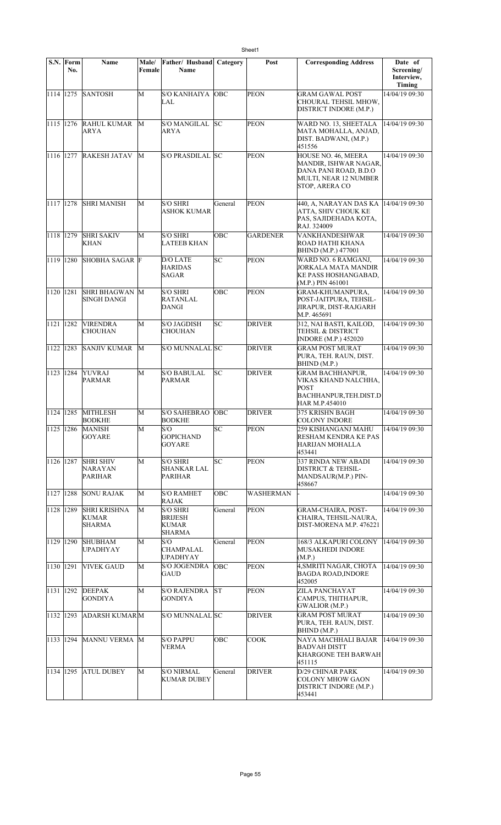|           | S.N. Form<br>No. | Name                                                 | Male/<br>Female | Father/ Husband<br>Name                              | Category   | Post             | <b>Corresponding Address</b>                                                                                      | Date of<br>Screening/<br>Interview,<br>Timing |
|-----------|------------------|------------------------------------------------------|-----------------|------------------------------------------------------|------------|------------------|-------------------------------------------------------------------------------------------------------------------|-----------------------------------------------|
| 1114 1275 |                  | <b>SANTOSH</b>                                       | M               | S/O KANHAIYA   OBC<br>LAL                            |            | <b>PEON</b>      | <b>GRAM GAWAL POST</b><br>CHOURAL TEHSIL MHOW.<br>DISTRICT INDORE (M.P.)                                          | 14/04/19 09:30                                |
| 1115 1276 |                  | <b>RAHUL KUMAR</b><br>ARYA                           | M               | <b>S/O MANGILAL</b><br>ARYA                          | lsc        | <b>PEON</b>      | WARD NO. 13, SHEETALA<br>MATA MOHALLA, ANJAD,<br>DIST. BADWANI, (M.P.)<br>451556                                  | 14/04/19 09:30                                |
| 1116 1277 |                  | <b>RAKESH JATAV</b>                                  | М               | S/O PRASDILAL SC                                     |            | <b>PEON</b>      | HOUSE NO. 46, MEERA<br>MANDIR, ISHWAR NAGAR,<br>DANA PANI ROAD, B.D.O<br>MULTI, NEAR 12 NUMBER<br>STOP, ARERA CO  | 14/04/19 09:30                                |
| 1117 1278 |                  | <b>SHRI MANISH</b>                                   | M               | <b>S/O SHRI</b><br><b>ASHOK KUMAR</b>                | General    | <b>PEON</b>      | 440, A, NARAYAN DAS KA<br>ATTA, SHIV CHOUK KE<br>PAS, SAJIDEHADA KOTA,<br>RAJ. 324009                             | 14/04/19 09:30                                |
| 1118 1279 |                  | <b>SHRI SAKIV</b><br><b>KHAN</b>                     | M               | <b>S/O SHRI</b><br><b>LATEEB KHAN</b>                | <b>OBC</b> | <b>GARDENER</b>  | VANKHANDESHWAR<br>ROAD HATHI KHANA<br><b>BHIND</b> (M.P.) 477001                                                  | 14/04/19 09:30                                |
| 1119 1280 |                  | <b>SHOBHA SAGAR F</b>                                |                 | D/O LATE<br><b>HARIDAS</b><br><b>SAGAR</b>           | SC         | <b>PEON</b>      | WARD NO. 6 RAMGANJ,<br>JORKALA MATA MANDIR<br>KE PASS HOSHANGABAD,<br>$(M.P.)$ PIN 461001                         | 14/04/19 09:30                                |
| 1120 1281 |                  | <b>SHRI BHAGWAN</b><br> SINGH DANGI                  | M               | <b>S/O SHRI</b><br>RATANLAL<br>DANGI                 | OBC        | <b>PEON</b>      | <b>GRAM-KHUMANPURA.</b><br>POST-JAITPURA, TEHSIL-<br>JIRAPUR, DIST-RAJGARH<br>M.P. 465691                         | 14/04/19 09:30                                |
| 1121 1282 |                  | <b>VIRENDRA</b><br><b>CHOUHAN</b>                    | M               | <b>S/O JAGDISH</b><br><b>CHOUHAN</b>                 | SC         | <b>DRIVER</b>    | 312, NAI BASTI, KAILOD,<br>TEHSIL & DISTRICT<br><b>INDORE</b> (M.P.) 452020                                       | 14/04/19 09:30                                |
| 1122 1283 |                  | <b>SANJIV KUMAR</b>                                  | M               | S/O MUNNALAL SC                                      |            | <b>DRIVER</b>    | <b>GRAM POST MURAT</b><br>PURA, TEH. RAUN, DIST.<br>BHIND (M.P.)                                                  | 14/04/19 09:30                                |
| 1123 1284 |                  | <b>YUVRAJ</b><br>PARMAR                              | M               | <b>S/O BABULAL</b><br><b>PARMAR</b>                  | lsс        | <b>DRIVER</b>    | <b>GRAM BACHHANPUR,</b><br>VIKAS KHAND NALCHHA.<br><b>POST</b><br><b>BACHHANPUR, TEH.DIST.D</b><br>HAR M.P.454010 | 14/04/19 09:30                                |
| 1124 1285 |                  | <b>MITHLESH</b><br><b>BODKHE</b>                     | M               | <b>S/O SAHEBRAO</b><br><b>BODKHE</b>                 | OBC        | <b>DRIVER</b>    | 375 KRISHN BAGH<br><b>COLONY INDORE</b>                                                                           | 14/04/19 09:30                                |
| 1125 1286 |                  | <b>MANISH</b><br>GOYARE                              | M               | S/O<br><b>GOPICHAND</b><br>GOYARE                    | SC         | <b>PEON</b>      | 259 KISHANGANJ MAHU<br>RESHAM KENDRA KE PAS<br>HARIJAN MOHALLA<br>453441                                          | 14/04/19 09:30                                |
| 1126 1287 |                  | <b>SHRI SHIV</b><br><b>NARAYAN</b><br><b>PARIHAR</b> | M               | <b>S/O SHRI</b><br><b>SHANKAR LAL</b><br>PARIHAR     | SC.        | <b>PEON</b>      | 337 RINDA NEW ABADI<br><b>DISTRICT &amp; TEHSIL-</b><br>MANDSAUR(M.P.) PIN-<br>458667                             | 14/04/19 09:30                                |
| 1127 1288 |                  | <b>SONU RAJAK</b>                                    | М               | <b>S/O RAMHET</b><br><b>RAJAK</b>                    | OBC        | <b>WASHERMAN</b> |                                                                                                                   | 14/04/19 09:30                                |
| 1128 1289 |                  | <b>SHRI KRISHNA</b><br><b>KUMAR</b><br>SHARMA        | M               | <b>S/O SHRI</b><br><b>BRIJESH</b><br>KUMAR<br>SHARMA | General    | <b>PEON</b>      | <b>GRAM-CHAIRA, POST-</b><br>CHAIRA, TEHSIL-NAURA,<br>DIST-MORENA M.P. 476221                                     | 14/04/19 09:30                                |
| 1129 1290 |                  | <b>SHUBHAM</b><br><b>UPADHYAY</b>                    | М               | S/O<br><b>CHAMPALAL</b><br><b>UPADHYAY</b>           | General    | <b>PEON</b>      | 168/3 ALKAPURI COLONY<br><b>MUSAKHEDI INDORE</b><br>(M.P.)                                                        | 14/04/19 09:30                                |
| 1130 1291 |                  | <b>VIVEK GAUD</b>                                    | М               | <b>S/O JOGENDRA</b><br>GAUD                          | Говс       | <b>PEON</b>      | 4, SMRITI NAGAR, CHOTA<br><b>BAGDA ROAD, INDORE</b><br>452005                                                     | 14/04/19 09:30                                |
| 1131 1292 |                  | <b>DEEPAK</b><br><b>GONDIYA</b>                      | M               | <b>S/O RAJENDRA</b><br><b>GONDIYA</b>                | lSΤ        | <b>PEON</b>      | ZILA PANCHAYAT<br>CAMPUS, THITHAPUR,<br><b>GWALIOR (M.P.)</b>                                                     | 14/04/19 09:30                                |
| 1132 1293 |                  | <b>ADARSH KUMAR</b> M                                |                 | S/O MUNNALAL SC                                      |            | <b>DRIVER</b>    | <b>GRAM POST MURAT</b><br>PURA, TEH. RAUN, DIST.<br>BHIND (M.P.)                                                  | 14/04/19 09:30                                |
| 1133 1294 |                  | MANNU VERMA M                                        |                 | <b>S/O PAPPU</b><br><b>VERMA</b>                     | OBC        | <b>COOK</b>      | NAYA MACHHALI BAJAR<br><b>BADVAH DISTT</b><br><b>KHARGONE TEH BARWAH</b><br>451115                                | 14/04/19 09:30                                |
| 1134 1295 |                  | <b>ATUL DUBEY</b>                                    | M               | <b>S/O NIRMAL</b><br><b>KUMAR DUBEY</b>              | General    | <b>DRIVER</b>    | D/29 CHINAR PARK<br>COLONY MHOW GAON<br>DISTRICT INDORE (M.P.)<br>453441                                          | 14/04/19 09:30                                |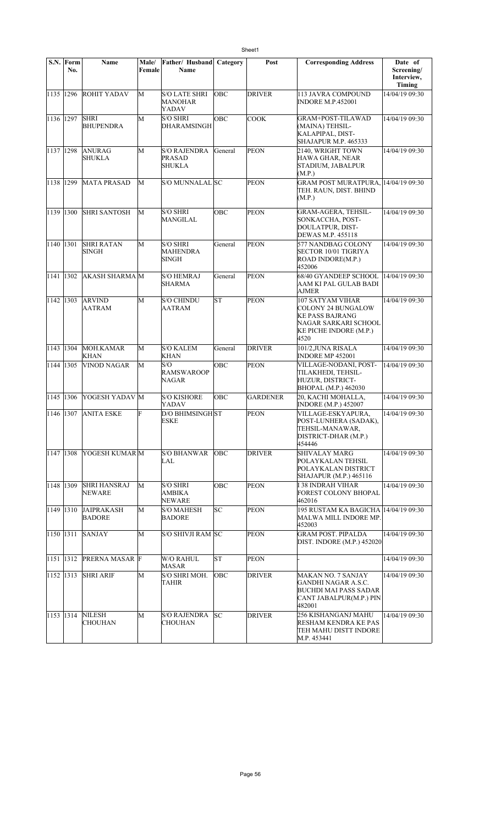|           | S.N. Form<br>No. | <b>Name</b>                        | Male/<br>Female | Father/Husband<br>Name                             | Category   | Post            | <b>Corresponding Address</b>                                                                                                      | Date of<br>Screening/<br>Interview,<br>Timing |
|-----------|------------------|------------------------------------|-----------------|----------------------------------------------------|------------|-----------------|-----------------------------------------------------------------------------------------------------------------------------------|-----------------------------------------------|
|           | 1135 1296        | <b>ROHIT YADAV</b>                 | М               | <b>S/O LATE SHRI</b><br>MANOHAR<br>YADAV           | <b>OBC</b> | <b>DRIVER</b>   | 113 JAVRA COMPOUND<br><b>INDORE M.P.452001</b>                                                                                    | 14/04/19 09:30                                |
|           | 1136 1297        | <b>SHRI</b><br><b>BHUPENDRA</b>    | M               | <b>S/O SHRI</b><br><b>DHARAMSINGH</b>              | OBC        | <b>COOK</b>     | <b>GRAM+POST-TILAWAD</b><br>(MAINA) TEHSIL-<br>KALAPIPAL, DIST-<br>SHAJAPUR M.P. 465333                                           | 14/04/19 09:30                                |
|           | 1137 1298        | <b>ANURAG</b><br><b>SHUKLA</b>     | M               | <b>S/O RAJENDRA</b><br>PRASAD<br><b>SHUKLA</b>     | General    | <b>PEON</b>     | 2140, WRIGHT TOWN<br>HAWA GHAR, NEAR<br>STADIUM, JABALPUR<br>(M.P.)                                                               | 14/04/19 09:30                                |
|           | 1138 1299        | <b>MATA PRASAD</b>                 | M               | S/O MUNNALAL SC                                    |            | <b>PEON</b>     | <b>GRAM POST MURATPURA, 14/04/19 09:30</b><br>TEH. RAUN, DIST. BHIND<br>(M.P.)                                                    |                                               |
|           | 1139 1300        | <b>SHRI SANTOSH</b>                | M               | <b>S/O SHRI</b><br>MANGILAL                        | <b>OBC</b> | <b>PEON</b>     | GRAM-AGERA, TEHSIL-<br>SONKACCHA, POST-<br>DOULATPUR, DIST-<br>DEWAS M.P. 455118                                                  | 14/04/19 09:30                                |
| 1140 1301 |                  | <b>SHRI RATAN</b><br><b>SINGH</b>  | M               | <b>S/O SHRI</b><br><b>MAHENDRA</b><br><b>SINGH</b> | General    | <b>PEON</b>     | 577 NANDBAG COLONY<br>SECTOR 10/01 TIGRIYA<br>ROAD INDORE(M.P.)<br>452006                                                         | 14/04/19 09:30                                |
|           | 1141 1302        | <b>AKASH SHARMA M</b>              |                 | <b>S/O HEMRAJ</b><br><b>SHARMA</b>                 | General    | <b>PEON</b>     | 68/40 GYANDEEP SCHOOL<br>AAM KI PAL GULAB BADI<br>AJMER                                                                           | 14/04/19 09:30                                |
| 1142 1303 |                  | <b>ARVIND</b><br>AATRAM            | M               | <b>S/O CHINDU</b><br>AATRAM                        | <b>ST</b>  | <b>PEON</b>     | 107 SATYAM VIHAR<br><b>COLONY 24 BUNGALOW</b><br><b>KE PASS BAJRANG</b><br>NAGAR SARKARI SCHOOL<br>KE PICHE INDORE (M.P.)<br>4520 | 14/04/19 09:30                                |
| 1143      | 1304             | MOH.KAMAR<br><b>KHAN</b>           | M               | <b>S/O KALEM</b><br><b>KHAN</b>                    | General    | <b>DRIVER</b>   | 101/2,JUNA RISALA<br>INDORE MP 452001                                                                                             | 14/04/19 09:30                                |
| 1144 1305 |                  | <b>VINOD NAGAR</b>                 | M               | S/O<br><b>RAMSWAROOP</b><br>NAGAR                  | OBC        | <b>PEON</b>     | VILLAGE-NODANI, POST-<br>TILAKHEDI, TEHSIL-<br>HUZUR, DISTRICT-<br>BHOPAL (M.P.) 462030                                           | 14/04/19 09:30                                |
| 1145 1306 |                  | YOGESH YADAV M                     |                 | <b>S/O KISHORE</b><br>YADAV                        | OBC        | <b>GARDENER</b> | 20, KACHI MOHALLA,<br><b>INDORE (M.P.) 452007</b>                                                                                 | 14/04/19 09:30                                |
|           | 1146 1307        | <b>ANITA ESKE</b>                  | F               | <b>D/O BHIMSINGH ST</b><br><b>ESKE</b>             |            | <b>PEON</b>     | VILLAGE-ESKYAPURA,<br>POST-LUNHERA (SADAK),<br>TEHSIL-MANAWAR,<br>DISTRICT-DHAR (M.P.)<br>454446                                  | 14/04/19 09:30                                |
|           | 1147 1308        | YOGESH KUMAR M                     |                 | <b>S/O BHANWAR</b><br>LAL                          | <b>OBC</b> | <b>DRIVER</b>   | <b>SHIVALAY MARG</b><br>POLAYKALAN TEHSIL<br>POLAYKALAN DISTRICT<br>SHAJAPUR (M.P.) 465116                                        | 14/04/19 09:30                                |
|           | 1148 1309        | <b>SHRI HANSRAJ</b><br>NEWARE      | M               | <b>S/O SHRI</b><br>AMBIKA<br><b>NEWARE</b>         | ОВС        | <b>PEON</b>     | I 38 INDRAH VIHAR<br>FOREST COLONY BHOPAL<br>462016                                                                               | 14/04/19 09:30                                |
|           | 1149 1310        | <b>JAIPRAKASH</b><br><b>BADORE</b> | М               | <b>S/O MAHESH</b><br><b>BADORE</b>                 | SC         | <b>PEON</b>     | 195 RUSTAM KA BAGICHA  14/04/19 09:30<br>MALWA MILL INDORE MP.<br>452003                                                          |                                               |
| 1150 1311 |                  | <b>SANJAY</b>                      | M               | S/O SHIVJI RAM SC                                  |            | <b>PEON</b>     | <b>GRAM POST. PIPALDA</b><br>DIST. INDORE (M.P.) 452020                                                                           | 14/04/19 09:30                                |
| 1151 1312 |                  | <b>PRERNA MASAR F</b>              |                 | W/O RAHUL<br><b>MASAR</b>                          | ST         | PEON            |                                                                                                                                   | 14/04/19 09:30                                |
|           | 1152 1313        | <b>SHRI ARIF</b>                   | M               | S/O SHRI MOH.<br>TAHIR                             | <b>OBC</b> | <b>DRIVER</b>   | <b>MAKAN NO. 7 SANJAY</b><br>GANDHI NAGAR A.S.C.<br>BUCHDI MAI PASS SADAR<br>CANT JABALPUR(M.P.) PIN<br>482001                    | 14/04/19 09:30                                |
|           | 1153 1314        | <b>NILESH</b><br><b>CHOUHAN</b>    | M               | <b>S/O RAJENDRA</b><br><b>CHOUHAN</b>              | lsc        | <b>DRIVER</b>   | 256 KISHANGANJ MAHU<br>RESHAM KENDRA KE PAS<br>TEH MAHU DISTT INDORE<br>M.P. 453441                                               | 14/04/19 09:30                                |

Sheet1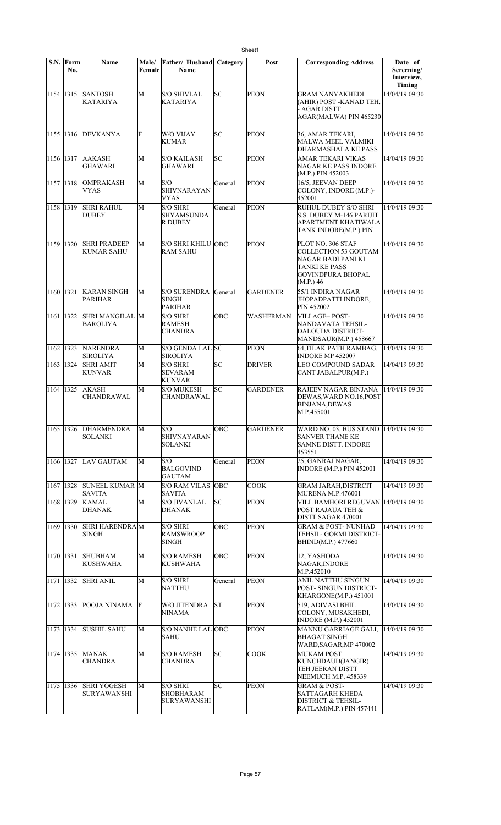|                     | S.N. Form<br>No. | <b>Name</b>                              | Male/<br>Female | Father/ Husband<br>Name                                | Category | Post             | <b>Corresponding Address</b>                                                                                              | Date of<br>Screening/<br>Interview,<br><b>Timing</b> |
|---------------------|------------------|------------------------------------------|-----------------|--------------------------------------------------------|----------|------------------|---------------------------------------------------------------------------------------------------------------------------|------------------------------------------------------|
| 1154 1315           |                  | <b>SANTOSH</b><br>KATARIYA               | M               | <b>S/O SHIVLAL</b><br><b>KATARIYA</b>                  | SC       | <b>PEON</b>      | <b>GRAM NANYAKHEDI</b><br>(AHIR) POST -KANAD TEH.<br>- AGAR DISTT.<br>AGAR(MALWA) PIN 465230                              | 14/04/19 09:30                                       |
| 1155 1316           |                  | <b>DEVKANYA</b>                          | F               | W/O VIJAY<br><b>KUMAR</b>                              | SC       | <b>PEON</b>      | 36, AMAR TEKARI,<br>MALWA MEEL VALMIKI<br>DHARMASHALA KE PASS                                                             | 14/04/19 09:30                                       |
| 1156 1317           |                  | <b>AAKASH</b><br><b>GHAWARI</b>          | M               | <b>S/O KAILASH</b><br><b>GHAWARI</b>                   | SС       | <b>PEON</b>      | AMAR TEKARI VIKAS<br>NAGAR KE PASS INDORE<br>(M.P.) PIN 452003                                                            | 14/04/19 09:30                                       |
| 1157 1318           |                  | <b>OMPRAKASH</b><br>VYAS                 | M               | S/O<br>SHIVNARAYAN<br><b>VYAS</b>                      | General  | <b>PEON</b>      | 16/5, JEEVAN DEEP<br>COLONY, INDORE (M.P.)-<br>452001                                                                     | 14/04/19 09:30                                       |
| 1158 1319           |                  | <b>SHRI RAHUL</b><br><b>DUBEY</b>        | М               | <b>S/O SHRI</b><br><b>SHYAMSUNDA</b><br><b>R DUBEY</b> | General  | <b>PEON</b>      | RUHUL DUBEY S/O SHRI<br><b>S.S. DUBEY M-146 PARIJIT</b><br>APARTMENT KHATIWALA<br>TANK INDORE(M.P.) PIN                   | 14/04/19 09:30                                       |
| 1159 1320           |                  | <b>SHRI PRADEEP</b><br><b>KUMAR SAHU</b> | M               | <b>S/O SHRI KHILU OBC</b><br><b>RAM SAHU</b>           |          | <b>PEON</b>      | PLOT NO. 306 STAF<br>COLLECTION 53 GOUTAM<br>NAGAR BADI PANI KI<br>TANKI KE PASS<br><b>GOVINDPURA BHOPAL</b><br>(M.P.) 46 | 14/04/19 09:30                                       |
| 1160                | 1321             | <b>KARAN SINGH</b><br><b>PARIHAR</b>     | M               | <b>S/O SURENDRA</b><br><b>SINGH</b><br><b>PARIHAR</b>  | General  | <b>GARDENER</b>  | 55/1 INDIRA NAGAR<br>JHOPADPATTI INDORE,<br>PIN 452002                                                                    | 14/04/19 09:30                                       |
| 1161 1322           |                  | SHRI MANGILAL M<br><b>BAROLIYA</b>       |                 | <b>S/O SHRI</b><br><b>RAMESH</b><br><b>CHANDRA</b>     | OBC      | <b>WASHERMAN</b> | VILLAGE+ POST-<br>NANDAVATA TEHSIL-<br>DALOUDA DISTRICT-<br>MANDSAUR(M.P.) 458667                                         | 14/04/19 09:30                                       |
| 1162 1323           |                  | <b>NARENDRA</b><br><b>SIROLIYA</b>       | M               | S/O GENDA LAL SC<br><b>SIROLIYA</b>                    |          | <b>PEON</b>      | 64,TILAK PATH RAMBAG,<br><b>INDORE MP 452007</b>                                                                          | 14/04/19 09:30                                       |
| 1163 1324           |                  | <b>SHRI AMIT</b><br><b>KUNVAR</b>        | М               | <b>S/O SHRI</b><br><b>SEVARAM</b><br>KUNVAR            | SC       | <b>DRIVER</b>    | LEO COMPOUND SADAR<br>CANT JABALPUR(M.P.)                                                                                 | 14/04/19 09:30                                       |
| 1164 1325           |                  | AKASH<br><b>CHANDRAWAL</b>               | M               | <b>S/O MUKESH</b><br>CHANDRAWAL                        | SC       | <b>GARDENER</b>  | RAJEEV NAGAR BINJANA<br>DEWAS, WARD NO.16, POST<br><b>BINJANA,DEWAS</b><br>M.P.455001                                     | 14/04/19 09:30                                       |
| 1165 1326           |                  | <b>DHARMENDRA</b><br>SOLANKI             | М               | S/O<br><b>SHIVNAYARAN</b><br>SOLANKI                   | ОВС      | <b>GARDENER</b>  | WARD NO. 03, BUS STAND 14/04/19 09:30<br><b>SANVER THANE KE</b><br>SAMNE DISTT. INDORE<br>453551                          |                                                      |
| 1166 1327           |                  | LAV GAUTAM                               | M               | S/O<br><b>BALGOVIND</b><br><b>GAUTAM</b>               | General  | <b>PEON</b>      | 25, GANRAJ NAGAR,<br><b>INDORE (M.P.) PIN 452001</b>                                                                      | 14/04/19 09:30                                       |
| 1167 1328           |                  | <b>SUNEEL KUMAR M</b><br><b>SAVITA</b>   |                 | <b>S/O RAM VILAS</b><br><b>SAVITA</b>                  | OBC      | <b>COOK</b>      | <b>GRAM JARAH, DISTRCIT</b><br><b>MURENA M.P.476001</b>                                                                   | 14/04/19 09:30                                       |
| 1168 1329           |                  | <b>KAMAL</b><br><b>DHANAK</b>            | M               | <b>S/O JIVANLAL</b><br><b>DHANAK</b>                   | SC.      | <b>PEON</b>      | VILL BAMHORI REGUVAN 14/04/19 09:30<br>POST RAJAUA TEH &<br>DISTT SAGAR 470001                                            |                                                      |
| 1169 1330           |                  | <b>SHRI HARENDRAM</b><br>SINGH           |                 | <b>S/O SHRI</b><br><b>RAMSWROOP</b><br><b>SINGH</b>    | OBC      | <b>PEON</b>      | <b>GRAM &amp; POST-NUNHAD</b><br>TEHSIL- GORMI DISTRICT-<br>BHIND(M.P.) 477660                                            | 14/04/19 09:30                                       |
| 1170 1331           |                  | <b>SHUBHAM</b><br><b>KUSHWAHA</b>        | М               | <b>S/O RAMESH</b><br><b>KUSHWAHA</b>                   | OBC      | <b>PEON</b>      | 12, YASHODA<br>NAGAR, INDORE<br>M.P.452010                                                                                | 14/04/19 09:30                                       |
| 1171 1332           |                  | <b>SHRI ANIL</b>                         | M               | <b>S/O SHRI</b><br><b>NATTHU</b>                       | General  | <b>PEON</b>      | ANIL NATTHU SINGUN<br>POST- SINGUN DISTRICT-<br> KHARGONE(M.P.) 451001                                                    | 14/04/19 09:30                                       |
| 1172 1333           |                  | POOJA NINAMA                             | F               | <b>W/O JITENDRA</b><br>NINAMA                          | lst      | <b>PEON</b>      | 519, ADIVASI BHIL<br>COLONY, MUSAKHEDI,<br><b>INDORE</b> (M.P.) 452001                                                    | 14/04/19 09:30                                       |
| $\sqrt{1173}$  1334 |                  | <b>SUSHIL SAHU</b>                       | M               | S/O NANHE LAL OBC<br><b>SAHU</b>                       |          | <b>PEON</b>      | MANNU GARRIAGE GALI,<br><b>BHAGAT SINGH</b><br>WARD, SAGAR, MP 470002                                                     | 14/04/19 09:30                                       |
| 1174 1335           |                  | <b>MANAK</b><br><b>CHANDRA</b>           | М               | <b>S/O RAMESH</b><br><b>CHANDRA</b>                    | SC       | <b>COOK</b>      | MUKAM POST<br>KUNCHDAUD(JANGIR)<br>TEH JEERAN DISTT<br>NEEMUCH M.P. 458339                                                | 14/04/19 09:30                                       |
| 1175 1336           |                  | <b>SHRI YOGESH</b><br><b>SURYAWANSHI</b> | M               | <b>S/O SHRI</b><br>SHOBHARAM<br><b>SURYAWANSHI</b>     | lsc      | <b>PEON</b>      | <b>GRAM &amp; POST-</b><br>SATTAGARH KHEDA<br><b>DISTRICT &amp; TEHSIL-</b><br>RATLAM(M.P.) PIN 457441                    | 14/04/19 09:30                                       |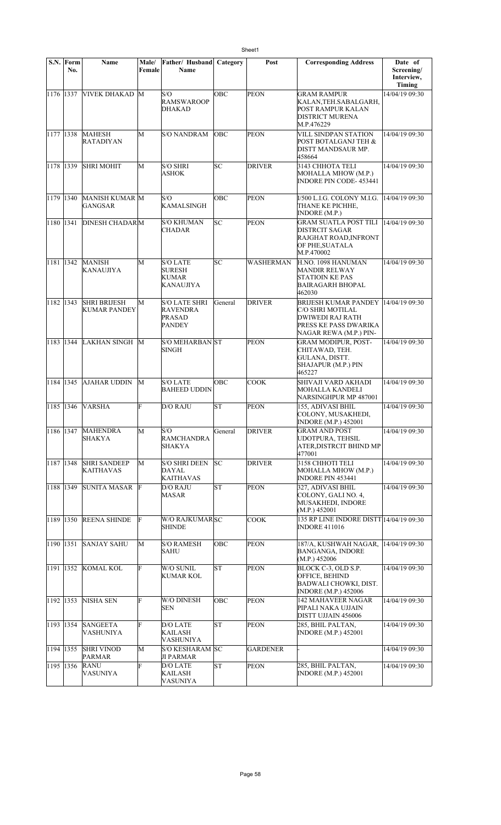| S.N.      | Form<br>No. | Name                                | Male/<br>Female | Father/ Husband<br><b>Name</b>                                            | Category   | Post            | <b>Corresponding Address</b>                                                                                           | Date of<br>Screening/<br>Interview,<br>Timing |
|-----------|-------------|-------------------------------------|-----------------|---------------------------------------------------------------------------|------------|-----------------|------------------------------------------------------------------------------------------------------------------------|-----------------------------------------------|
| 1176 1337 |             | VIVEK DHAKAD M                      |                 | S/O<br><b>RAMSWAROOP</b><br><b>DHAKAD</b>                                 | OBC        | <b>PEON</b>     | <b>GRAM RAMPUR</b><br>KALAN, TEH. SABALGARH,<br>POST RAMPUR KALAN<br><b>DISTRICT MURENA</b><br>M.P.476229              | 14/04/19 09:30                                |
| 1177 1338 |             | MAHESH<br><b>RATADIYAN</b>          | M               | <b>S/O NANDRAM</b>                                                        | <b>OBC</b> | PEON            | VILL SINDPAN STATION<br>POST BOTALGANJ TEH &<br>DISTT MANDSAUR MP.<br>458664                                           | 14/04/19 09:30                                |
| 1178 1339 |             | <b>SHRI MOHIT</b>                   | M               | <b>S/O SHRI</b><br>ASHOK                                                  | lsс        | <b>DRIVER</b>   | 3143 CHHOTA TELI<br>MOHALLA MHOW (M.P.)<br><b>INDORE PIN CODE-453441</b>                                               | 14/04/19 09:30                                |
| 1179 1340 |             | MANISH KUMAR M<br>GANGSAR           |                 | S/O<br><b>KAMALSINGH</b>                                                  | OBC        | PEON            | I/500 L.I.G. COLONY M.I.G.<br>THANE KE PICHHE,<br>INDORE (M.P.)                                                        | 14/04/19 09:30                                |
| 1180 1341 |             | <b>DINESH CHADARM</b>               |                 | <b>S/O KHUMAN</b><br><b>CHADAR</b>                                        | lsс        | PEON            | <b>GRAM SUATLA POST TILI</b><br>DISTRCIT SAGAR<br>RAJGHAT ROAD, INFRONT<br>OF PHE, SUATALA<br>M.P.470002               | 14/04/19 09:30                                |
| 1181 1342 |             | <b>MANISH</b><br>KANAUJIYA          | M               | <b>S/O LATE</b><br><b>SURESH</b><br><b>KUMAR</b><br>KANAUJIYA             | SС         | WASHERMAN       | H.NO. 1098 HANUMAN<br><b>MANDIR RELWAY</b><br><b>STATIOIN KE PAS</b><br><b>BAIRAGARH BHOPAL</b><br>462030              | 14/04/19 09:30                                |
| 1182      | 1343        | <b>SHRI BRIJESH</b><br>KUMAR PANDEY | M               | <b>S/O LATE SHRI</b><br><b>RAVENDRA</b><br><b>PRASAD</b><br><b>PANDEY</b> | General    | <b>DRIVER</b>   | BRIJESH KUMAR PANDEY<br>C/O SHRI MOTILAL<br><b>DWIWEDI RAJ RATH</b><br>PRESS KE PASS DWARIKA<br>NAGAR REWA (M.P.) PIN- | 14/04/19 09:30                                |
| 1183      | 1344        | <b>LAKHAN SINGH</b>                 | M               | <b>S/O MEHARBAN ST</b><br><b>SINGH</b>                                    |            | <b>PEON</b>     | <b>GRAM MODIPUR, POST-</b><br>CHITAWAD, TEH.<br>GULANA, DISTT.<br>SHAJAPUR (M.P.) PIN<br>465227                        | 14/04/19 09:30                                |
| 1184 1345 |             | <b>AJAHAR UDDIN</b>                 | M               | <b>S/O LATE</b><br><b>BAHEED UDDIN</b>                                    | OBC        | <b>COOK</b>     | SHIVAJI VARD AKHADI<br><b>MOHALLA KANDELI</b><br>NARSINGHPUR MP 487001                                                 | 14/04/19 09:30                                |
| 1185 1346 |             | <b>VARSHA</b>                       | F               | <b>D/O RAJU</b>                                                           | lsτ        | <b>PEON</b>     | 155, ADIVASI BHIL<br>COLONY, MUSAKHEDI,<br><b>INDORE (M.P.) 452001</b>                                                 | 14/04/19 09:30                                |
| 1186 1347 |             | <b>MAHENDRA</b><br>SHAKYA           | M               | S/O<br><b>RAMCHANDRA</b><br>SHAKYA                                        | General    | DRIVER          | <b>GRAM AND POST</b><br>UDOTPURA, TEHSIL<br>ATER,DISTRCIT BHIND MP<br>477001                                           | 14/04/19 09:30                                |
| 1187 1348 |             | <b>SHRI SANDEEP</b><br>KAITHAVAS    | M               | <b>S/O SHRI DEEN</b><br>DAYAL<br><b>KAITHAVAS</b>                         | lsc        | <b>DRIVER</b>   | 3158 CHHOTI TELI<br>MOHALLA MHOW (M.P.)<br><b>INDORE PIN 453441</b>                                                    | 14/04/19 09:30                                |
| 1188 1349 |             | SUNITA MASAR                        | F               | D/O RAJU<br><b>MASAR</b>                                                  | ST         | PEON            | 327, ADIVASI BHIL<br>COLONY, GALI NO. 4,<br><b>MUSAKHEDI, INDORE</b><br>(M.P.) 452001                                  | 14/04/19 09:30                                |
| 1189 1350 |             | <b>REENA SHINDE</b>                 | F               | W/O RAJKUMARSC<br>SHINDE                                                  |            | <b>COOK</b>     | 135 RP LINE INDORE DISTT 14/04/19 09:30<br><b>INDORE 411016</b>                                                        |                                               |
| 1190 1351 |             | <b>SANJAY SAHU</b>                  | M               | <b>S/O RAMESH</b><br>SAHU                                                 | OBC        | <b>PEON</b>     | 187/A, KUSHWAH NAGAR,<br><b>BANGANGA, INDORE</b><br>(M.P.) 452006                                                      | 14/04/19 09:30                                |
| 1191 1352 |             | KOMAL KOL                           | F               | W/O SUNIL<br>KUMAR KOL                                                    | ST         | <b>PEON</b>     | BLOCK C-3, OLD S.P.<br>OFFICE, BEHIND<br><b>BADWALI CHOWKI, DIST.</b><br><b>INDORE</b> (M.P.) 452006                   | 14/04/19 09:30                                |
| 1192 1353 |             | NISHA SEN                           | F               | W/O DINESH<br><b>SEN</b>                                                  | OBC        | <b>PEON</b>     | <b>142 MAHAVEER NAGAR</b><br>PIPALI NAKA UJJAIN<br>DISTT UJJAIN 456006                                                 | 14/04/19 09:30                                |
| 1193 1354 |             | <b>SANGEETA</b><br>VASHUNIYA        | F               | D/O LATE<br>KAILASH<br>VASHUNIYA                                          | <b>ST</b>  | <b>PEON</b>     | 285, BHIL PALTAN,<br><b>INDORE</b> (M.P.) 452001                                                                       | 14/04/19 09:30                                |
| 1194 1355 |             | <b>SHRI VINOD</b><br><b>PARMAR</b>  | M               | <b>S/O KESHARAM SC</b><br>JI PARMAR                                       |            | <b>GARDENER</b> |                                                                                                                        | 14/04/19 09:30                                |
| 1195 1356 |             | <b>RANU</b><br>VASUNIYA             | F               | <b>D/O LATE</b><br>KAILASH<br>VASUNIYA                                    | ST         | PEON            | 285, BHIL PALTAN,<br><b>INDORE</b> (M.P.) 452001                                                                       | 14/04/19 09:30                                |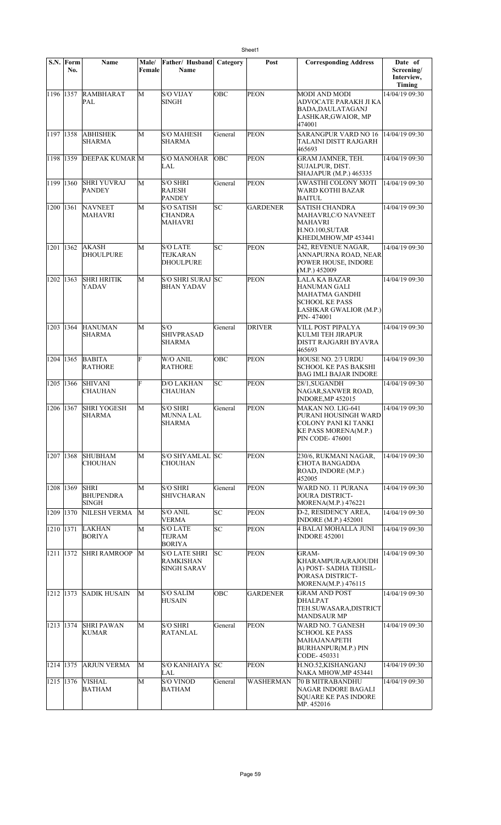|           | S.N. Form<br>No. | <b>Name</b>                                     | <b>Male/</b><br>Female | Father/ Husband<br>Name                                        | Category | Post            | <b>Corresponding Address</b>                                                                                               | Date of<br>Screening/<br>Interview,<br><b>Timing</b> |
|-----------|------------------|-------------------------------------------------|------------------------|----------------------------------------------------------------|----------|-----------------|----------------------------------------------------------------------------------------------------------------------------|------------------------------------------------------|
| 1196 1357 |                  | RAMBHARAT<br>PAL                                | M                      | <b>S/O VIJAY</b><br><b>SINGH</b>                               | OBC      | <b>PEON</b>     | <b>MODI AND MODI</b><br>ADVOCATE PARAKH JI KA<br>BADA, DAULATAGANJ<br>LASHKAR, GWAIOR, MP<br>474001                        | 14/04/19 09:30                                       |
| 1197      | 1358             | <b>ABHISHEK</b><br><b>SHARMA</b>                | M                      | <b>S/O MAHESH</b><br><b>SHARMA</b>                             | General  | <b>PEON</b>     | <b>SARANGPUR VARD NO 16</b><br>TALAINI DISTT RAJGARH<br>465693                                                             | 14/04/19 09:30                                       |
| 1198      | 1359             | <b>DEEPAK KUMAR M</b>                           |                        | <b>S/O MANOHAR</b><br>LAL                                      | OBC      | <b>PEON</b>     | <b>GRAM JAMNER, TEH.</b><br>SUJALPUR, DIST.<br>SHAJAPUR (M.P.) 465335                                                      | 14/04/19 09:30                                       |
| 1199      | 1360             | <b>SHRI YUVRAJ</b><br><b>PANDEY</b>             | M                      | <b>S/O SHRI</b><br><b>RAJESH</b><br><b>PANDEY</b>              | General  | <b>PEON</b>     | AWASTHI COLONY MOTI<br>WARD KOTHI BAZAR<br><b>BAITUL</b>                                                                   | 14/04/19 09:30                                       |
| 1200      | 1361             | <b>NAVNEET</b><br>MAHAVRI                       | M                      | <b>S/O SATISH</b><br><b>CHANDRA</b><br><b>MAHAVRI</b>          | SC       | <b>GARDENER</b> | <b>SATISH CHANDRA</b><br>MAHAVRI, C/O NAVNEET<br><b>MAHAVRI</b><br>H.NO.100, SUTAR<br>KHEDI,MHOW,MP 453441                 | 14/04/19 09:30                                       |
| 1201      | 1362             | <b>AKASH</b><br>DHOULPURE                       | M                      | <b>S/O LATE</b><br><b>TEJKARAN</b><br><b>DHOULPURE</b>         | SC       | <b>PEON</b>     | 242, REVENUE NAGAR,<br>ANNAPURNA ROAD, NEAR<br>POWER HOUSE, INDORE<br>(M.P.) 452009                                        | 14/04/19 09:30                                       |
| 1202 1363 |                  | <b>SHRI HRITIK</b><br>YADAV                     | M                      | S/O SHRI SURAJ SC<br><b>BHAN YADAV</b>                         |          | <b>PEON</b>     | LALA KA BAZAR<br><b>HANUMAN GALI</b><br>MAHATMA GANDHI<br><b>SCHOOL KE PASS</b><br>LASHKAR GWALIOR (M.P.)<br>PIN-474001    | 14/04/19 09:30                                       |
| 1203 1364 |                  | <b>HANUMAN</b><br>SHARMA                        | M                      | S/O<br><b>SHIVPRASAD</b><br><b>SHARMA</b>                      | General  | <b>DRIVER</b>   | VILL POST PIPALYA<br>KULMI TEH JIRAPUR<br>DISTT RAJGARH BYAVRA<br>465693                                                   | 14/04/19 09:30                                       |
| 1204 1365 |                  | <b>BABITA</b><br><b>RATHORE</b>                 | F                      | W/O ANIL<br><b>RATHORE</b>                                     | OBC      | <b>PEON</b>     | HOUSE NO. 2/3 URDU<br>SCHOOL KE PAS BAKSHI<br><b>BAG IMLI BAJAR INDORE</b>                                                 | 14/04/19 09:30                                       |
| 1205      | 1366             | <b>SHIVANI</b><br><b>CHAUHAN</b>                | F                      | <b>D/O LAKHAN</b><br>CHAUHAN                                   | SC       | <b>PEON</b>     | 28/1,SUGANDH<br>NAGAR, SANWER ROAD,<br>INDORE, MP 452015                                                                   | 14/04/19 09:30                                       |
| 1206      | 1367             | <b>SHRI YOGESH</b><br>SHARMA                    | M                      | <b>S/O SHRI</b><br><b>MUNNA LAL</b><br>SHARMA                  | General  | <b>PEON</b>     | MAKAN NO. LIG-641<br>PURANI HOUSINGH WARD<br>COLONY PANI KI TANKI<br><b>KE PASS MORENA(M.P.)</b><br><b>PIN CODE-476001</b> | 14/04/19 09:30                                       |
| 1207 1368 |                  | <b>SHUBHAM</b><br><b>CHOUHAN</b>                | M                      | S/O SHYAMLAL SC<br><b>CHOUHAN</b>                              |          | <b>PEON</b>     | 230/6, RUKMANI NAGAR,<br><b>CHOTA BANGADDA</b><br>ROAD, INDORE (M.P.)<br>452005                                            | 14/04/19 09:30                                       |
| 1208 1369 |                  | <b>SHRI</b><br><b>BHUPENDRA</b><br><b>SINGH</b> | M                      | <b>S/O SHRI</b><br><b>SHIVCHARAN</b>                           | General  | <b>PEON</b>     | WARD NO. 11 PURANA<br><b>JOURA DISTRICT-</b><br>MORENA(M.P.) 476221                                                        | 14/04/19 09:30                                       |
| 1209      | 1370             | NILESH VERMA                                    | M                      | <b>S/O ANIL</b><br><b>VERMA</b>                                | SC       | <b>PEON</b>     | D-2. RESIDENCY AREA.<br><b>INDORE</b> (M.P.) 452001                                                                        | 14/04/19 09:30                                       |
| 1210 1371 |                  | <b>LAKHAN</b><br><b>BORIYA</b>                  | M                      | <b>S/O LATE</b><br>TEJRAM<br><b>BORIYA</b>                     | SC       | PEON            | 4 BALAI MOHALLA JUNI<br><b>INDORE 452001</b>                                                                               | 14/04/19 09:30                                       |
| 1211 1372 |                  | <b>SHRI RAMROOP</b>                             | M                      | <b>S/O LATE SHRI</b><br><b>RAMKISHAN</b><br><b>SINGH SARAV</b> | lsc      | <b>PEON</b>     | GRAM-<br>KHARAMPURA(RAJOUDH<br>A) POST- SADHA TEHSIL-<br>PORASA DISTRICT-<br>MORENA(M.P.) 476115                           | 14/04/19 09:30                                       |
| 1212 1373 |                  | <b>SADIK HUSAIN</b>                             | M                      | <b>S/O SALIM</b><br><b>HUSAIN</b>                              | OBC      | <b>GARDENER</b> | <b>GRAM AND POST</b><br><b>DHALPAT</b><br>TEH.SUWASARA, DISTRICT<br><b>MANDSAUR MP</b>                                     | 14/04/19 09:30                                       |
| 1213 1374 |                  | <b>SHRI PAWAN</b><br><b>KUMAR</b>               | М                      | <b>S/O SHRI</b><br><b>RATANLAL</b>                             | General  | <b>PEON</b>     | <b>WARD NO. 7 GANESH</b><br>SCHOOL KE PASS<br>MAHAJANAPETH<br><b>BURHANPUR(M.P.) PIN</b><br>CODE-450331                    | 14/04/19 09:30                                       |
| 1214 1375 |                  | <b>ARJUN VERMA</b>                              | M                      | <b>S/O KANHAIYA</b><br>LAL                                     | lsc      | <b>PEON</b>     | H.NO.52,KISHANGANJ<br>NAKA MHOW, MP 453441                                                                                 | 14/04/19 09:30                                       |
| 1215 1376 |                  | <b>VISHAL</b><br><b>BATHAM</b>                  | M                      | <b>S/O VINOD</b><br><b>BATHAM</b>                              | General  | WASHERMAN       | <b>70 B MITRABANDHU</b><br>NAGAR INDORE BAGALI<br><b>SOUARE KE PAS INDORE</b><br>MP. 452016                                | 14/04/19 09:30                                       |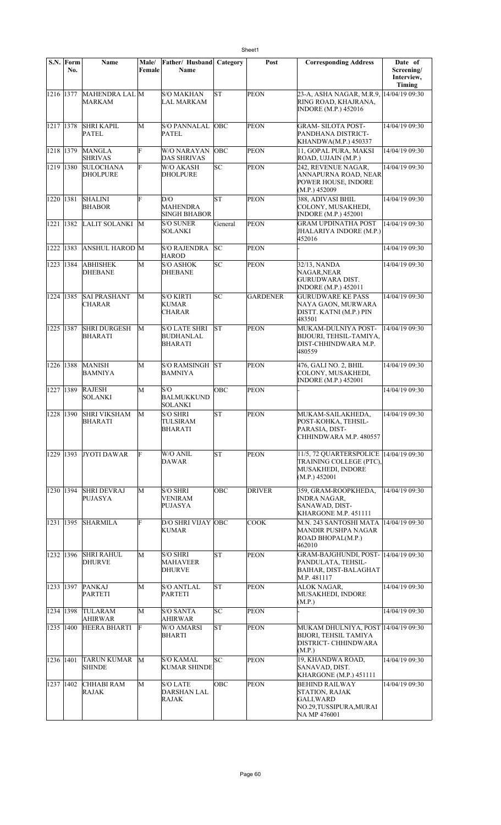|                     | S.N. Form<br>No. | Name                                | Male/<br>Female | <b>Father/ Husband Category</b><br>Name        |            | Post            | <b>Corresponding Address</b>                                                                            | Date of<br>Screening/<br>Interview,<br>Timing |
|---------------------|------------------|-------------------------------------|-----------------|------------------------------------------------|------------|-----------------|---------------------------------------------------------------------------------------------------------|-----------------------------------------------|
| $\sqrt{1216}$  1377 |                  | MAHENDRA LAL M<br>MARKAM            |                 | <b>S/O MAKHAN</b><br>LAL MARKAM                | <b>ST</b>  | <b>PEON</b>     | 23-A, ASHA NAGAR, M.R.9,<br>RING ROAD, KHAJRANA,<br><b>INDORE</b> (M.P.) 452016                         | 14/04/19 09:30                                |
| 1217 1378           |                  | <b>SHRI KAPIL</b><br><b>PATEL</b>   | M               | <b>S/O PANNALAL</b><br><b>PATEL</b>            | <b>OBC</b> | <b>PEON</b>     | GRAM- SILOTA POST-<br>PANDHANA DISTRICT-<br>KHANDWA(M.P.) 450337                                        | 14/04/19 09:30                                |
| 1218 1379           |                  | MANGLA<br><b>SHRIVAS</b>            | F               | W/O NARAYAN<br>DAS SHRIVAS                     | <b>OBC</b> | <b>PEON</b>     | 11, GOPAL PURA, MAKSI<br>ROAD, UJJAIN (M.P.)                                                            | 14/04/19 09:30                                |
| 1219                | 1380             | <b>SULOCHANA</b><br><b>DHOLPURE</b> | F               | W/O AKASH<br><b>DHOLPURE</b>                   | SC         | <b>PEON</b>     | 242. REVENUE NAGAR.<br>ANNAPURNA ROAD, NEAR<br>POWER HOUSE, INDORE<br>(M.P.) 452009                     | 14/04/19 09:30                                |
| 1220 1381           |                  | <b>SHALINI</b><br><b>BHABOR</b>     | F               | D/O<br><b>MAHENDRA</b><br>SINGH BHABOR         | lsт        | PEON            | 388. ADIVASI BHIL<br>COLONY, MUSAKHEDI,<br><b>INDORE</b> (M.P.) 452001                                  | 14/04/19 09:30                                |
| 1221 1382           |                  | LALIT SOLANKI                       | M               | S/O SUNER<br>SOLANKI                           | General    | <b>PEON</b>     | <b>GRAM UPDINATHA POST</b><br>JHALARIYA INDORE (M.P.)<br>452016                                         | 14/04/19 09:30                                |
| 1222                | 1383             | <b>ANSHUL HAROD M</b>               |                 | <b>S/O RAJENDRA</b><br><b>HAROD</b>            | SC         | <b>PEON</b>     |                                                                                                         | 14/04/19 09:30                                |
| 1223                | 1384             | <b>ABHISHEK</b><br><b>DHEBANE</b>   | М               | <b>S/O ASHOK</b><br><b>DHEBANE</b>             | SC         | <b>PEON</b>     | 32/13, NANDA<br>NAGAR, NEAR<br>GURUDWARA DIST.<br>INDORE (M.P.) 452011                                  | 14/04/19 09:30                                |
| 1224 1385           |                  | <b>SAI PRASHANT</b><br>CHARAR       | М               | <b>S/O KIRTI</b><br>KUMAR<br>CHARAR            | lsc        | <b>GARDENER</b> | <b>GURUDWARE KE PASS</b><br>NAYA GAON, MURWARA<br>DISTT. KATNI (M.P.) PIN<br>483501                     | 14/04/19 09:30                                |
| 1225 1387           |                  | <b>SHRI DURGESH</b><br>BHARATI      | М               | S/O LATE SHRI<br>BUDHANLAL<br><b>BHARATI</b>   | lsт        | <b>PEON</b>     | MUKAM-DULNIYA POST-<br>BIJOURI, TEHSIL-TAMIYA,<br>DIST-CHHINDWARA M.P.<br>480559                        | 14/04/19 09:30                                |
| 1226                | 1388             | <b>MANISH</b><br><b>BAMNIYA</b>     | М               | <b>S/O RAMSINGH</b><br>BAMNIYA                 | lst        | <b>PEON</b>     | 476, GALI NO. 2, BHIL<br>COLONY, MUSAKHEDI,<br><b>INDORE</b> (M.P.) 452001                              | 14/04/19 09:30                                |
| 1227                | 1389             | <b>RAJESH</b><br>SOLANKI            | M               | S/O<br><b>BALMUKKUND</b><br>SOLANKI            | OBC        | <b>PEON</b>     |                                                                                                         | 14/04/19 09:30                                |
| 1228 1390           |                  | <b>SHRI VIKSHAM</b><br>BHARATI      | М               | <b>S/O SHRI</b><br>TULSIRAM<br>BHARATI         | lsт        | <b>PEON</b>     | MUKAM-SAILAKHEDA,<br>POST-KOHKA, TEHSIL-<br>PARASIA, DIST-<br>CHHINDWARA M.P. 480557                    | 14/04/19 09:30                                |
| 1229 1393           |                  | <b>JYOTI DAWAR</b>                  | F               | W/O ANIL<br>DAWAR                              | lsт        | <b>PEON</b>     | 11/5, 72 QUARTERSPOLICE 14/04/19 09:30<br>TRAINING COLLEGE (PTC).<br>MUSAKHEDI, INDORE<br>(M.P.) 452001 |                                               |
| 1230 1394           |                  | <b>SHRI DEVRAJ</b><br>PUJASYA       | М               | <b>S/O SHRI</b><br>VENIRAM<br>PUJASYA          | OBC        | <b>DRIVER</b>   | 359, GRAM-ROOPKHEDA,<br><b>INDRA NAGAR,</b><br>SANAWAD, DIST-<br>KHARGONE M.P. 451111                   | 14/04/19 09:30                                |
| 1231                | 1395             | <b>SHARMILA</b>                     | F               | D/O SHRI VIJAY OBC<br>KUMAR                    |            | <b>COOK</b>     | M.N. 243 SANTOSHI MATA<br>MANDIR PUSHPA NAGAR<br>ROAD BHOPAL(M.P.)<br>462010                            | 14/04/19 09:30                                |
| 1232 1396           |                  | <b>SHRI RAHUL</b><br>DHURVE         | М               | S/O SHRI<br>MAHAVEER<br><b>DHURVE</b>          | <b>ST</b>  | <b>PEON</b>     | GRAM-BAJGHUNDI, POST-<br>PANDULATA, TEHSIL-<br><b>BAIHAR, DIST-BALAGHAT</b><br>M.P. 481117              | 14/04/19 09:30                                |
| 1233 1397           |                  | PANKAJ<br><b>PARTETI</b>            | M               | S/O ANTLAL<br>PARTETI                          | SΤ         | <b>PEON</b>     | <b>ALOK NAGAR,</b><br>MUSAKHEDI, INDORE<br>(M.P.)                                                       | 14/04/19 09:30                                |
| 1234 1398           |                  | <b>TULARAM</b><br>AHIRWAR           | M               | S/O SANTA<br>AHIRWAR                           | SC         | <b>PEON</b>     |                                                                                                         | 14/04/19 09:30                                |
| 1235 1400           |                  | HEERA BHARTI                        | F               | W/O AMARSI<br><b>BHARTI</b>                    | ST         | <b>PEON</b>     | MUKAM DHULNIYA, POST 14/04/19 09:30<br><b>BIJORI, TEHSIL TAMIYA</b><br>DISTRICT- CHHINDWARA<br>(M.P.)   |                                               |
| 1236                | 1401             | TARUN KUMAR<br><b>SHINDE</b>        | M               | <b>S/O KAMAL</b><br><b>KUMAR SHINDE</b>        | SC         | <b>PEON</b>     | 19, KHANDWA ROAD,<br>SANAVAD, DIST.<br>KHARGONE (M.P.) 451111                                           | 14/04/19 09:30                                |
| 1237                | 1402             | CHHABI RAM<br>RAJAK                 | М               | <b>S/O LATE</b><br><b>DARSHAN LAL</b><br>RAJAK | <b>OBC</b> | <b>PEON</b>     | <b>BEHIND RAILWAY</b><br>STATION, RAJAK<br><b>GALI, WARD</b><br>NO.29,TUSSIPURA,MURAI<br>NA MP 476001   | 14/04/19 09:30                                |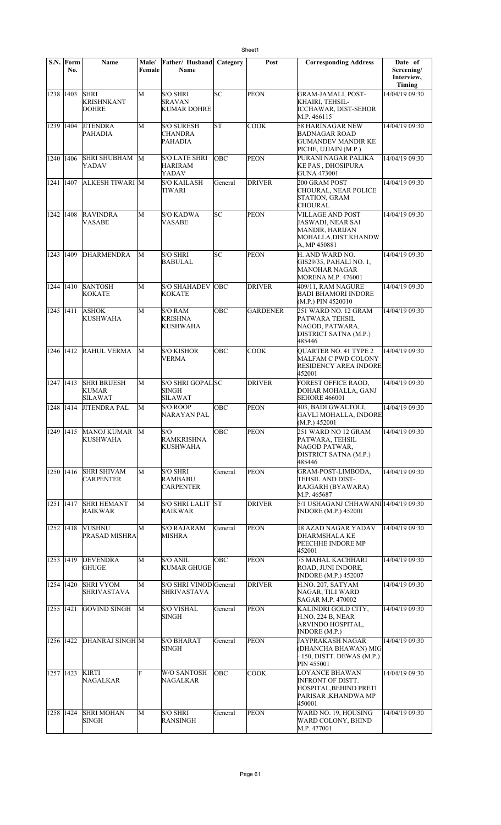|             | S.N. Form<br>No. | Name                                           | Male/<br>Female | Father/ Husband<br>Name                                    | Category   | Post            | <b>Corresponding Address</b>                                                                            | Date of<br>Screening/<br>Interview,<br>Timing |
|-------------|------------------|------------------------------------------------|-----------------|------------------------------------------------------------|------------|-----------------|---------------------------------------------------------------------------------------------------------|-----------------------------------------------|
| 1238 1403   |                  | <b>SHRI</b><br><b>KRISHNKANT</b><br>DOHRE      | M               | <b>S/O SHRI</b><br>SRAVAN<br><b>KUMAR DOHRE</b>            | lsc        | <b>PEON</b>     | <b>GRAM-JAMALI, POST-</b><br>KHAIRI, TEHSIL-<br><b>ICCHAWAR, DIST-SEHOR</b><br>M.P. 466115              | 14/04/19 09:30                                |
| 1239 1404   |                  | <b>JITENDRA</b><br>PAHADIA                     | M               | <b>S/O SURESH</b><br><b>CHANDRA</b><br>PAHADIA             | SΤ         | <b>COOK</b>     | 58 HARINAGAR NEW<br>BADNAGAR ROAD<br>GUMANDEV MANDIR KE<br>PICHE, UJJAIN (M.P.)                         | 14/04/19 09:30                                |
| 1240   1406 |                  | SHRI SHUBHAM<br>YADAV                          | M               | <b>S/O LATE SHRI</b><br>HARIRAM<br>YADAV                   | OBC        | <b>PEON</b>     | PURANI NAGAR PALIKA<br><b>KE PAS, DHOSIPURA</b><br>GUNA 473001                                          | 14/04/19 09:30                                |
| 1241 1407   |                  | ALKESH TIWARI M                                |                 | <b>S/O KAILASH</b><br>TIWARI                               | General    | <b>DRIVER</b>   | 200 GRAM POST<br>CHOURAL, NEAR POLICE<br>STATION, GRAM<br>CHOURAL                                       | 14/04/19 09:30                                |
| 1242   1408 |                  | <b>RAVINDRA</b><br>VASABE                      | M               | <b>S/O KADWA</b><br>VASABE                                 | SC         | <b>PEON</b>     | <b>VILLAGE AND POST</b><br>JASWADI, NEAR SAI<br>MANDIR, HARIJAN<br>MOHALLA, DIST.KHANDW<br>A, MP 450881 | 14/04/19 09:30                                |
| 1243 1409   |                  | <b>DHARMENDRA</b>                              | M               | <b>S/O SHRI</b><br><b>BABULAL</b>                          | lsc        | <b>PEON</b>     | H. AND WARD NO.<br>GIS29/35, PAHALI NO. 1,<br>MANOHAR NAGAR<br>MORENA M.P. 476001                       | 14/04/19 09:30                                |
| 1244 1410   |                  | <b>SANTOSH</b><br><b>KOKATE</b>                | М               | <b>S/O SHAHADEV</b><br><b>KOKATE</b>                       | <b>OBC</b> | <b>DRIVER</b>   | 409/11, RAM NAGURE<br><b>BADI BHAMORI INDORE</b><br>(M.P.) PIN 4520010                                  | 14/04/19 09:30                                |
| 1245 1411   |                  | <b>ASHOK</b><br>KUSHWAHA                       | М               | S/O RAM<br><b>KRISHNA</b><br><b>KUSHWAHA</b>               | OBC        | <b>GARDENER</b> | 251 WARD NO. 12 GRAM<br>PATWARA TEHSIL<br>NAGOD, PATWARA,<br>DISTRICT SATNA (M.P.)<br>485446            | 14/04/19 09:30                                |
| 1246 1412   |                  | RAHUL VERMA                                    | М               | <b>S/O KISHOR</b><br><b>VERMA</b>                          | OBC        | <b>COOK</b>     | <b>QUARTER NO. 41 TYPE 2</b><br>MALFAM C PWD COLONY<br>RESIDENCY AREA INDORE<br>452001                  | 14/04/19 09:30                                |
| 1247 1413   |                  | <b>SHRI BRIJESH</b><br>KUMAR<br><b>SILAWAT</b> | M               | <b>S/O SHRI GOPAL SC</b><br><b>SINGH</b><br><b>SILAWAT</b> |            | <b>DRIVER</b>   | FOREST OFFICE RAOD,<br>DOHAR MOHALLA, GANJ<br><b>SEHORE 466001</b>                                      | 14/04/19 09:30                                |
| 1248 1414   |                  | <b>JITENDRA PAL</b>                            | M               | <b>S/O ROOP</b><br><b>NARAYAN PAL</b>                      | OBC        | <b>PEON</b>     | 403, BADI GWALTOLI,<br><b>GAVLI MOHALLA, INDORE</b><br>(M.P.) 452001                                    | 14/04/19 09:30                                |
| 1249 1415   |                  | <b>MANOJ KUMAR</b><br><b>KUSHWAHA</b>          | M               | S/O<br><b>RAMKRISHNA</b><br>KUSHWAHA                       | OBC        | PEON            | 251 WARD NO 12 GRAM<br>PATWARA, TEHSIL<br>NAGOD PATWAR,<br>DISTRICT SATNA (M.P.)<br>485446              | 14/04/19 09:30                                |
| 1250 1416   |                  | <b>SHRI SHIVAM</b><br><b>CARPENTER</b>         | M               | S/O SHRI<br><b>RAMBABU</b><br><b>CARPENTER</b>             | General    | <b>PEON</b>     | GRAM-POST-LIMBODA,<br>TEHSIL AND DIST-<br>RAJGARH (BYAWARA)<br>M.P. 465687                              | 14/04/19 09:30                                |
| 1251 1417   |                  | <b>SHRI HEMANT</b><br>RAIKWAR                  | M               | <b>S/O SHRI LALIT</b><br><b>RAIKWAR</b>                    | lst        | <b>DRIVER</b>   | 5/1 USHAGANJ CHHAWANI 14/04/19 09:30<br><b>INDORE</b> (M.P.) 452001                                     |                                               |
| 1252 1418   |                  | <b>VUSHNU</b><br>PRASAD MISHRA                 | М               | <b>S/O RAJARAM</b><br>MISHRA                               | General    | <b>PEON</b>     | <b>18 AZAD NAGAR YADAV</b><br>DHARMSHALA KE<br>PEECHHE INDORE MP<br>452001                              | 14/04/19 09:30                                |
| 1253 1419   |                  | <b>DEVENDRA</b><br>GHUGE                       | М               | S/O ANIL<br><b>KUMAR GHUGE</b>                             | OBC        | <b>PEON</b>     | <b>75 MAHAL KACHHARI</b><br>ROAD, JUNI INDORE,<br><b>INDORE</b> (M.P.) 452007                           | 14/04/19 09:30                                |
| 1254 1420   |                  | <b>SHRI VYOM</b><br>SHRIVASTAVA                | M               | S/O SHRI VINOD General<br>SHRIVASTAVA                      |            | <b>DRIVER</b>   | H.NO. 207, SATYAM<br>NAGAR, TILI WARD<br>SAGAR M.P. 470002                                              | 14/04/19 09:30                                |
| 1255 1421   |                  | <b>GOVIND SINGH</b>                            | M               | <b>S/O VISHAL</b><br><b>SINGH</b>                          | General    | <b>PEON</b>     | KALINDRI GOLD CITY,<br>H.NO. 224 B. NEAR<br>ARVINDO HOSPITAL,<br>INDORE (M.P.)                          | 14/04/19 09:30                                |
| 1256 1422   |                  | <b>DHANRAJ SINGH M</b>                         |                 | <b>S/O BHARAT</b><br>SINGH                                 | General    | <b>PEON</b>     | JAYPRAKASH NAGAR<br>(DHANCHA BHAWAN) MIG<br>- 150, DISTT. DEWAS (M.P.)<br>PIN 455001                    | 14/04/19 09:30                                |
| 1257 1423   |                  | <b>KIRTI</b><br>NAGALKAR                       | Ë               | W/O SANTOSH<br>NAGALKAR                                    | Ōвс        | <b>COOK</b>     | <b>LOYANCE BHAWAN</b><br>INFRONT OF DISTT.<br>HOSPITAL, BEHIND PRETI<br>PARISAR , KHANDWA MP<br>450001  | 14/04/19 09:30                                |
| 1258 1424   |                  | <b>SHRI MOHAN</b><br><b>SINGH</b>              | М               | $\overline{S}/O$ SHRI<br><b>RANSINGH</b>                   | General    | <b>PEON</b>     | WARD NO. 19, HOUSING<br>WARD COLONY, BHIND<br>M.P. 477001                                               | 14/04/19 09:30                                |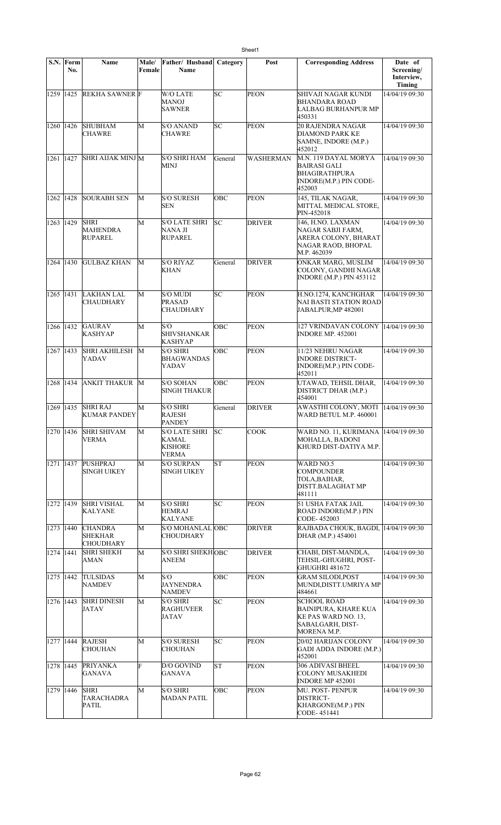| S.N.        | Form<br>No. | <b>Name</b>                                          | Male/<br>Female | Father/ Husband<br>Name                                                | Category   | Post          | <b>Corresponding Address</b>                                                                                | Date of<br>Screening/<br>Interview,<br>Timing |
|-------------|-------------|------------------------------------------------------|-----------------|------------------------------------------------------------------------|------------|---------------|-------------------------------------------------------------------------------------------------------------|-----------------------------------------------|
| 1259 1425   |             | <b>REKHA SAWNER</b> F                                |                 | <b>W/O LATE</b><br><b>MANOJ</b><br><b>SAWNER</b>                       | SC         | <b>PEON</b>   | SHIVAJI NAGAR KUNDI<br><b>BHANDARA ROAD</b><br>LALBAG BURHANPUR MP<br>450331                                | 14/04/19 09:30                                |
| 1260        | 1426        | <b>SHUBHAM</b><br><b>CHAWRE</b>                      | М               | <b>S/O ANAND</b><br><b>CHAWRE</b>                                      | SC         | <b>PEON</b>   | <b>20 RAJENDRA NAGAR</b><br>DIAMOND PARK KE<br>SAMNE, INDORE (M.P.)<br>452012                               | 14/04/19 09:30                                |
| 1261 1427   |             | SHRI AIJAK MINJ M                                    |                 | <b>S/O SHRI HAM</b><br><b>MINJ</b>                                     | General    | WASHERMAN     | M.N. 119 DAYAL MORYA<br><b>BAIRASI GALI</b><br>BHAGIRATHPURA<br>INDORE(M.P.) PIN CODE-<br>452003            | 14/04/19 09:30                                |
| 1262 1428   |             | <b>SOURABH SEN</b>                                   | М               | <b>S/O SURESH</b><br><b>SEN</b>                                        | OBC        | <b>PEON</b>   | 145, TILAK NAGAR,<br>MITTAL MEDICAL STORE,<br>PIN-452018                                                    | 14/04/19 09:30                                |
| 1263 1429   |             | <b>SHRI</b><br><b>MAHENDRA</b><br>RUPAREL            | М               | <b>S/O LATE SHRI</b><br>NANA JI<br><b>RUPAREL</b>                      | SC         | <b>DRIVER</b> | 146, H.NO. LAXMAN<br>NAGAR SABJI FARM.<br>ARERA COLONY, BHARAT<br>NAGAR RAOD, BHOPAL<br>M.P. 462039         | 14/04/19 09:30                                |
| 1264 1430   |             | <b>GULBAZ KHAN</b>                                   | М               | <b>S/O RIYAZ</b><br><b>KHAN</b>                                        | General    | <b>DRIVER</b> | ONKAR MARG, MUSLIM<br>COLONY, GANDHI NAGAR<br><b>INDORE (M.P.) PIN 453112</b>                               | 14/04/19 09:30                                |
| 1265 1431   |             | <b>LAKHAN LAL</b><br>CHAUDHARY                       | M               | <b>S/O MUDI</b><br><b>PRASAD</b><br>CHAUDHARY                          | lsc        | PEON          | H.NO.1274, KANCHGHAR<br>NAI BASTI STATION ROAD<br>JABALPUR, MP 482001                                       | 14/04/19 09:30                                |
| 1266 1432   |             | <b>GAURAV</b><br>KASHYAP                             | М               | S/O<br><b>SHIVSHANKAR</b><br><b>KASHYAP</b>                            | OBC        | <b>PEON</b>   | 127 VRINDAVAN COLONY  14/04/19 09:30<br><b>INDORE MP. 452001</b>                                            |                                               |
| 1267 1433   |             | SHRI AKHILESH<br>YADAV                               | M               | <b>S/O SHRI</b><br><b>BHAGWANDAS</b><br>YADAV                          | <b>OBC</b> | <b>PEON</b>   | 11/23 NEHRU NAGAR<br><b>INDORE DISTRICT-</b><br>INDORE(M.P.) PIN CODE-<br>452011                            | 14/04/19 09:30                                |
| 1268 1434   |             | ANKIT THAKUR M                                       |                 | <b>S/O SOHAN</b><br><b>SINGH THAKUR</b>                                | OBC        | <b>PEON</b>   | UTAWAD, TEHSIL DHAR,<br>DISTRICT DHAR (M.P.)<br>454001                                                      | 14/04/19 09:30                                |
| 1269 1435   |             | <b>SHRI RAJ</b><br><b>KUMAR PANDEY</b>               | М               | <b>S/O SHRI</b><br>RAJESH<br><b>PANDEY</b>                             | General    | <b>DRIVER</b> | AWASTHI COLONY, MOTI<br>WARD BETUL M.P. 460001                                                              | 14/04/19 09:30                                |
| 1270   1436 |             | <b>SHRI SHIVAM</b><br><b>VERMA</b>                   | М               | <b>S/O LATE SHRI</b><br><b>KAMAL</b><br><b>KISHORE</b><br><b>VERMA</b> | lsc        | <b>COOK</b>   | WARD NO. 11, KURIMANA   14/04/19 09:30<br>MOHALLA, BADONI<br>KHURD DIST-DATIYA M.P.                         |                                               |
| 1271 1437   |             | PUSHPRAJ<br><b>SINGH UIKEY</b>                       | М               | <b>S/O SURPAN</b><br><b>SINGH UIKEY</b>                                | lsΤ        | <b>PEON</b>   | WARD NO.5<br>COMPOUNDER<br>TOLA,BAIHAR,<br>DISTT.BALAGHAT MP<br>481111                                      | 14/04/19 09:30                                |
| 1272 1439   |             | <b>SHRI VISHAL</b><br><b>KALYANE</b>                 | M               | <b>S/O SHRI</b><br><b>HEMRAJ</b><br><b>KALYANE</b>                     | SC         | <b>PEON</b>   | 51 USHA FATAK JAIL<br>ROAD INDORE(M.P.) PIN<br>CODE-452003                                                  | 14/04/19 09:30                                |
| 1273 1440   |             | <b>CHANDRA</b><br><b>SHEKHAR</b><br><b>CHOUDHARY</b> | M               | S/O MOHANLAL OBC<br><b>CHOUDHARY</b>                                   |            | <b>DRIVER</b> | RAJBADA CHOUK, BAGDI.<br>DHAR (M.P.) 454001                                                                 | 14/04/19 09:30                                |
| 1274 1441   |             | <b>SHRI SHEKH</b><br>AMAN                            | M               | <b>S/O SHRI SHEKHOBC</b><br><b>ANEEM</b>                               |            | <b>DRIVER</b> | CHABI, DIST-MANDLA,<br>TEHSIL-GHUGHRI, POST-<br>GHUGHRI 481672                                              | 14/04/19 09:30                                |
| 1275 1442   |             | <b>TULSIDAS</b><br><b>NAMDEV</b>                     | М               | S/O<br><b>JAYNENDRA</b><br><b>NAMDEV</b>                               | OBC        | <b>PEON</b>   | <b>GRAM SILODI, POST</b><br>MUNDI,DISTT.UMRIYA MP<br>484661                                                 | 14/04/19 09:30                                |
| 1276 1443   |             | <b>SHRI DINESH</b><br>JATAV                          | M               | <b>S/O SHRI</b><br><b>RAGHUVEER</b><br><b>JATAV</b>                    | SC.        | <b>PEON</b>   | <b>SCHOOL ROAD</b><br><b>BAINIPURA, KHARE KUA</b><br>KE PAS WARD NO. 13.<br>SABALGARH, DIST-<br>MORENA M.P. | 14/04/19 09:30                                |
| 1277 1444   |             | <b>RAJESH</b><br><b>CHOUHAN</b>                      | M               | <b>S/O SURESH</b><br><b>CHOUHAN</b>                                    | SC         | <b>PEON</b>   | 20/02 HARIJAN COLONY<br><b>GADI ADDA INDORE (M.P.)</b><br>452001                                            | 14/04/19 09:30                                |
| 1278 1445   |             | <b>PRIYANKA</b><br>GANAVA                            | F               | D/O GOVIND<br><b>GANAVA</b>                                            | ST         | <b>PEON</b>   | 306 ADIVASI BHEEL<br><b>COLONY MUSAKHEDI</b><br><b>INDORE MP 452001</b>                                     | 14/04/19 09:30                                |
| 1279 1446   |             | <b>SHRI</b><br><b>TARACHADRA</b><br><b>PATIL</b>     | М               | <b>S/O SHRI</b><br><b>MADAN PATIL</b>                                  | OBC        | <b>PEON</b>   | MU. POST- PENPUR<br>DISTRICT-<br><b>KHARGONE(M.P.) PIN</b><br>CODE-451441                                   | 14/04/19 09:30                                |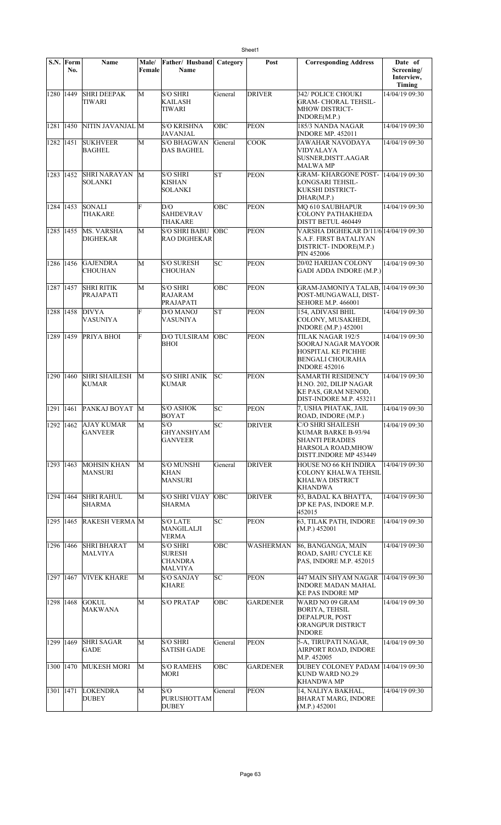|           | S.N. Form<br>No. | Name                                 | Male/<br>Female | Father/ Husband<br><b>Name</b>                                | Category   | Post             | <b>Corresponding Address</b>                                                                                             | Date of<br>Screening/<br>Interview,<br>Timing |
|-----------|------------------|--------------------------------------|-----------------|---------------------------------------------------------------|------------|------------------|--------------------------------------------------------------------------------------------------------------------------|-----------------------------------------------|
| 1280      | 1449             | <b>SHRI DEEPAK</b><br>TIWARI         | M               | <b>S/O SHRI</b><br>KAILASH<br>TIWARI                          | General    | <b>DRIVER</b>    | 342/ POLICE CHOUKI<br><b>GRAM- CHORAL TEHSIL-</b><br><b>MHOW DISTRICT-</b><br>INDORE(M.P.)                               | 14/04/19 09:30                                |
| 1281      | 1450             | NITIN JAVANJAL M                     |                 | <b>S/O KRISHNA</b><br>JAVANJAL                                | OBC        | <b>PEON</b>      | 185/3 NANDA NAGAR<br><b>INDORE MP. 452011</b>                                                                            | 14/04/19 09:30                                |
| 1282      | 1451             | <b>SUKHVEER</b><br><b>BAGHEL</b>     | M               | <b>S/O BHAGWAN</b><br>DAS BAGHEL                              | General    | <b>COOK</b>      | JAWAHAR NAVODAYA<br>VIDYALAYA<br>SUSNER, DISTT. AAGAR<br>MALWA MP                                                        | 14/04/19 09:30                                |
| 1283      | 1452             | <b>SHRI NARAYAN</b><br>SOLANKI       | M               | <b>S/O SHRI</b><br><b>KISHAN</b><br><b>SOLANKI</b>            | <b>ST</b>  | <b>PEON</b>      | <b>GRAM-KHARGONE POST-</b><br>LONGSARI TEHSIL-<br>KUKSHI DISTRICT-<br>DHAR(M.P.)                                         | 14/04/19 09:30                                |
| 1284 1453 |                  | SONALI<br>THAKARE                    | F               | D/O<br><b>SAHDEVRAV</b><br>THAKARE                            | OBC        | <b>PEON</b>      | MQ 610 SAUBHAPUR<br><b>COLONY PATHAKHEDA</b><br>DISTT BETUL 460449                                                       | 14/04/19 09:30                                |
| 1285 1455 |                  | <b>MS. VARSHA</b><br><b>DIGHEKAR</b> | M               | <b>S/O SHRI BABU</b><br><b>RAO DIGHEKAR</b>                   | <b>OBC</b> | <b>PEON</b>      | VARSHA DIGHEKAR D/11/6 14/04/19 09:30<br><b>S.A.F. FIRST BATALIYAN</b><br>DISTRICT-INDORE(M.P.)<br>PIN 452006            |                                               |
| 1286      | 1456             | <b>GAJENDRA</b><br><b>CHOUHAN</b>    | M               | <b>S/O SURESH</b><br><b>CHOUHAN</b>                           | SC         | <b>PEON</b>      | 20/02 HARIJAN COLONY<br><b>GADI ADDA INDORE (M.P.)</b>                                                                   | 14/04/19 09:30                                |
| 1287      | 1457             | <b>SHRI RITIK</b><br>PRAJAPATI       | M               | <b>S/O SHRI</b><br>RAJARAM<br>PRAJAPATI                       | OBC        | <b>PEON</b>      | <b>GRAM-JAMONIYA TALAB,</b><br>POST-MUNGAWALI, DIST-<br><b>SEHORE M.P. 466001</b>                                        | 14/04/19 09:30                                |
| 1288      | 1458             | <b>DIVYA</b><br><b>VASUNIYA</b>      | F               | <b>D/O MANOJ</b><br><b>VASUNIYA</b>                           | <b>ST</b>  | <b>PEON</b>      | 154, ADIVASI BHIL<br>COLONY, MUSAKHEDI,<br><b>INDORE</b> (M.P.) 452001                                                   | 14/04/19 09:30                                |
| 1289      | 1459             | PRIYA BHOI                           | F               | <b>D/O TULSIRAM</b><br><b>BHOI</b>                            | OBC        | <b>PEON</b>      | TILAK NAGAR 192/5<br>SOORAJ NAGAR MAYOOR<br><b>HOSPITAL KE PICHHE</b><br><b>BENGALI CHOURAHA</b><br><b>INDORE 452016</b> | 14/04/19 09:30                                |
| 1290      | 1460             | <b>SHRI SHAILESH</b><br>KUMAR        | M               | <b>S/O SHRI ANIK</b><br><b>KUMAR</b>                          | lsс        | <b>PEON</b>      | <b>SAMARTH RESIDENCY</b><br>H.NO. 202, DILIP NAGAR<br>KE PAS, GRAM NENOD,<br>DIST-INDORE M.P. 453211                     | 14/04/19 09:30                                |
| 1291      | 1461             | PANKAJ BOYAT                         | M               | <b>S/O ASHOK</b><br><b>BOYAT</b>                              | SC         | <b>PEON</b>      | 7, USHA PHATAK, JAIL<br>ROAD, INDORE (M.P.)                                                                              | 14/04/19 09:30                                |
| 1292 1462 |                  | <b>AJAY KUMAR</b><br><b>GANVEER</b>  | M               | S/O<br><b>GHYANSHYAM</b><br><b>GANVEER</b>                    | SС         | <b>DRIVER</b>    | C/O SHRI SHAILESH<br>KUMAR BARKE B-93/94<br><b>SHANTI PERADIES</b><br>HARSOLA ROAD, MHOW<br>DISTT.INDORE MP 453449       | 14/04/19 09:30                                |
| 1293      | 1463             | <b>MOHSIN KHAN</b><br><b>MANSURI</b> | М               | <b>S/O MUNSHI</b><br>KHAN<br><b>MANSURI</b>                   | General    | <b>DRIVER</b>    | HOUSE NO 66 KH INDIRA<br><b>COLONY KHALWA TEHSIL</b><br>KHALWA DISTRICT<br>KHANDWA                                       | 14/04/19 09:30                                |
| 1294 1464 |                  | <b>SHRI RAHUL</b><br>SHARMA          | M               | <b>S/O SHRI VIJAY</b><br><b>SHARMA</b>                        | OBC        | <b>DRIVER</b>    | 93, BADAL KA BHATTA,<br>DP KE PAS, INDORE M.P.<br>452015                                                                 | 14/04/19 09:30                                |
| 1295      | 1465             | <b>RAKESH VERMA M</b>                |                 | <b>S/O LATE</b><br>MANGILALJI<br>VERMA                        | SC         | <b>PEON</b>      | 63, TILAK PATH, INDORE<br>(M.P.) 452001                                                                                  | 14/04/19 09:30                                |
| 1296 1466 |                  | <b>SHRI BHARAT</b><br>MALVIYA        | M               | <b>S/O SHRI</b><br><b>SURESH</b><br><b>CHANDRA</b><br>MALVIYA | OBC        | <b>WASHERMAN</b> | 86, BANGANGA, MAIN<br>ROAD, SAHU CYCLE KE<br>PAS, INDORE M.P. 452015                                                     | 14/04/19 09:30                                |
| 1297      | 1467             | <b>VIVEK KHARE</b>                   | M               | <b>S/O SANJAY</b><br><b>KHARE</b>                             | SC         | <b>PEON</b>      | 447 MAIN SHYAM NAGAR<br>INDORE MADAN MAHAL<br>KE PAS INDORE MP                                                           | 14/04/19 09:30                                |
| 1298      | 1468             | <b>GOKUL</b><br>MAKWANA              | M               | <b>S/O PRATAP</b>                                             | OBC        | <b>GARDENER</b>  | WARD NO 09 GRAM<br><b>BORIYA, TEHSIL</b><br><b>DEPALPUR, POST</b><br>ORANGPUR DISTRICT<br><b>INDORE</b>                  | 14/04/19 09:30                                |
| 1299      | 1469             | <b>SHRI SAGAR</b><br>GADE            | M               | <b>S/O SHRI</b><br><b>SATISH GADE</b>                         | General    | <b>PEON</b>      | 5-A, TIRUPATI NAGAR,<br>AIRPORT ROAD, INDORE<br>M.P. 452005                                                              | 14/04/19 09:30                                |
| 1300      | 1470             | <b>MUKESH MORI</b>                   | M               | <b>S/O RAMEHS</b><br>MORI                                     | OBC        | <b>GARDENER</b>  | DUBEY COLONEY PADAM 14/04/19 09:30<br>KUND WARD NO.29<br><b>KHANDWA MP</b>                                               |                                               |
| 1301      | 1471             | <b>LOKENDRA</b><br>DUBEY             | M               | S/O<br><b>PURUSHOTTAM</b><br><b>DUBEY</b>                     | General    | <b>PEON</b>      | 14, NALIYA BAKHAL,<br><b>BHARAT MARG, INDORE</b><br>(M.P.) 452001                                                        | 14/04/19 09:30                                |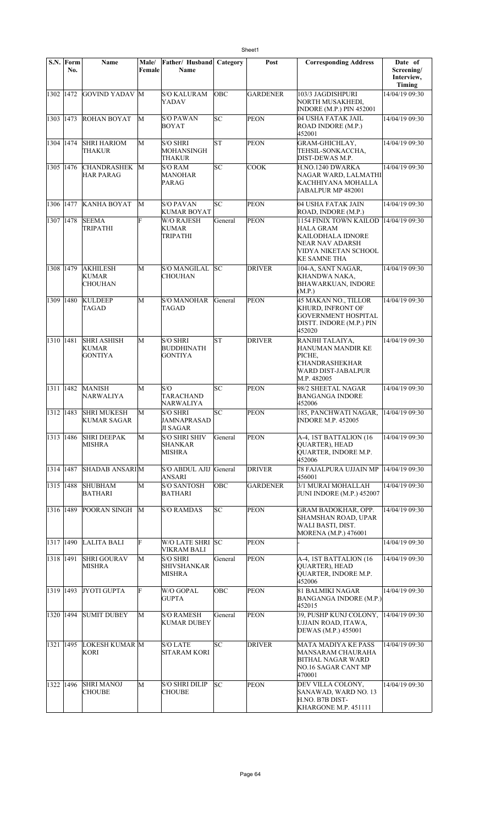|             | S.N. Form<br>No. | Name                                              | Male/<br>Female | Father/ Husband<br>Name                                | Category   | Post            | <b>Corresponding Address</b>                                                                                               | Date of<br>Screening/ |
|-------------|------------------|---------------------------------------------------|-----------------|--------------------------------------------------------|------------|-----------------|----------------------------------------------------------------------------------------------------------------------------|-----------------------|
|             |                  |                                                   |                 |                                                        |            |                 |                                                                                                                            | Interview,<br>Timing  |
| 1302 1472   |                  | <b>GOVIND YADAV M</b>                             |                 | <b>S/O KALURAM</b><br><b>YADAV</b>                     | <b>OBC</b> | <b>GARDENER</b> | 103/3 JAGDISHPURI<br>NORTH MUSAKHEDI,<br><b>INDORE (M.P.) PIN 452001</b>                                                   | 14/04/19 09:30        |
| 1303 1473   |                  | <b>ROHAN BOYAT</b>                                | М               | <b>S/O PAWAN</b><br><b>BOYAT</b>                       | SC         | <b>PEON</b>     | 04 USHA FATAK JAIL<br>ROAD INDORE (M.P.)<br>452001                                                                         | 14/04/19 09:30        |
| 1304 1474   |                  | <b>SHRI HARIOM</b><br>THAKUR                      | M               | <b>S/O SHRI</b><br>MOHANSINGH<br>THAKUR                | lΣT        | <b>PEON</b>     | GRAM-GHICHLAY,<br>TEHSIL-SONKACCHA.<br>DIST-DEWAS M.P.                                                                     | 14/04/19 09:30        |
| 1305 1476   |                  | <b>CHANDRASHEK</b><br><b>HAR PARAG</b>            | М               | <b>S/O RAM</b><br><b>MANOHAR</b><br><b>PARAG</b>       | SC         | <b>COOK</b>     | H.NO.1240 DWARKA<br>NAGAR WARD, LALMATHI<br>KACHHIYANA MOHALLA<br>JABALPUR MP 482001                                       | 14/04/19 09:30        |
| 1306 1477   |                  | <b>KANHA BOYAT</b>                                | M               | <b>S/O PAVAN</b><br><b>KUMAR BOYAT</b>                 | SC         | <b>PEON</b>     | 04 USHA FATAK JAIN<br>ROAD, INDORE (M.P.)                                                                                  | 14/04/19 09:30        |
| 1307 1478   |                  | <b>SEEMA</b><br>TRIPATHI                          | Ë               | <b>W/O RAJESH</b><br><b>KUMAR</b><br>TRIPATHI          | General    | <b>PEON</b>     | 1154 FINIX TOWN KAILOD<br><b>HALA GRAM</b><br>KAILODHALA IDNORE<br>NEAR NAV ADARSH<br>VIDYA NIKETAN SCHOOL<br>KE SAMNE THA | 14/04/19 09:30        |
| 1308 1479   |                  | <b>AKHILESH</b><br><b>KUMAR</b><br><b>CHOUHAN</b> | М               | <b>S/O MANGILAL</b><br>CHOUHAN                         | lsc        | <b>DRIVER</b>   | 104-A, SANT NAGAR,<br>KHANDWA NAKA,<br><b>BHAWARKUAN, INDORE</b><br>(M.P.)                                                 | 14/04/19 09:30        |
| 1309 1480   |                  | <b>KULDEEP</b><br>TAGAD                           | M               | <b>S/O MANOHAR</b><br>TAGAD                            | General    | <b>PEON</b>     | 45 MAKAN NO., TILLOR<br><b>KHURD, INFRONT OF</b><br><b>GOVERNMENT HOSPITAL</b><br>DISTT. INDORE (M.P.) PIN<br>452020       | 14/04/19 09:30        |
| 1310 1481   |                  | <b>SHRI ASHISH</b><br>KUMAR<br><b>GONTIYA</b>     | M               | <b>S/O SHRI</b><br><b>BUDDHINATH</b><br><b>GONTIYA</b> | lst        | <b>DRIVER</b>   | RANJHI TALAIYA,<br>HANUMAN MANDIR KE<br>PICHE,<br><b>CHANDRASHEKHAR</b><br>WARD DIST-JABALPUR<br>M.P. 482005               | 14/04/19 09:30        |
| 1311 1482   |                  | <b>MANISH</b><br><b>NARWALIYA</b>                 | M               | S/O<br><b>TARACHAND</b><br>NARWALIYA                   | SC         | <b>PEON</b>     | 98/2 SHEETAL NAGAR<br><b>BANGANGA INDORE</b><br>452006                                                                     | 14/04/19 09:30        |
| 1312 1483   |                  | <b>SHRI MUKESH</b><br>KUMAR SAGAR                 | M               | <b>S/O SHRI</b><br>JAMNAPRASAD<br><b>JI SAGAR</b>      | SC         | <b>PEON</b>     | 185, PANCHWATI NAGAR,<br><b>INDORE M.P. 452005</b>                                                                         | 14/04/19 09:30        |
| 1313 1486   |                  | <b>SHRI DEEPAK</b><br>MISHRA                      | M               | <b>S/O SHRI SHIV</b><br><b>SHANKAR</b><br>MISHRA       | General    | <b>PEON</b>     | A-4, 1ST BATTALION (16<br><b>QUARTER), HEAD</b><br>QUARTER, INDORE M.P.<br>452006                                          | 14/04/19 09:30        |
| 1314 1487   |                  | <b>SHADAB ANSARIM</b>                             |                 | S/O ABDUL AJIJ General<br><b>ANSARI</b>                |            | <b>DRIVER</b>   | 78 FAJALPURA UJJAIN MP<br>456001                                                                                           | 14/04/19 09:30        |
| 1315 1488   |                  | <b>SHUBHAM</b><br><b>BATHARI</b>                  | M               | <b>S/O SANTOSH</b><br><b>BATHARI</b>                   | OBC        | <b>GARDENER</b> | 3/1 MURAI MOHALLAH<br>JUNI INDORE (M.P.) 452007                                                                            | 14/04/19 09:30        |
| 1316 1489   |                  | POORAN SINGH                                      | М               | <b>S/O RAMDAS</b>                                      | SC         | <b>PEON</b>     | <b>GRAM BADOKHAR, OPP.</b><br>SHAMSHAN ROAD, UPAR<br>WALI BASTI, DIST.<br>MORENA (M.P.) 476001                             | 14/04/19 09:30        |
| 1317 1490   |                  | <b>LALITA BALI</b>                                | F               | W/O LATE SHRI SC<br><b>VIKRAM BALI</b>                 |            | <b>PEON</b>     |                                                                                                                            | 14/04/19 09:30        |
| 1318 1491   |                  | <b>SHRI GOURAV</b><br><b>MISHRA</b>               | M               | <b>S/O SHRI</b><br><b>SHIVSHANKAR</b><br>MISHRA        | General    | <b>PEON</b>     | A-4, 1ST BATTALION (16<br><b>QUARTER), HEAD</b><br>QUARTER, INDORE M.P.<br>452006                                          | 14/04/19 09:30        |
| 1319 1493   |                  | JYOTI GUPTA                                       | F               | W/O GOPAL<br><b>GUPTA</b>                              | OBC        | <b>PEON</b>     | <b>81 BALMIKI NAGAR</b><br><b>BANGANGA INDORE (M.P.)</b><br>452015                                                         | 14/04/19 09:30        |
| 1320 1494   |                  | <b>SUMIT DUBEY</b>                                | M               | <b>S/O RAMESH</b><br><b>KUMAR DUBEY</b>                | General    | PEON            | 39, PUSHP KUNJ COLONY,<br>UJJAIN ROAD, ITAWA,<br>DEWAS (M.P.) 455001                                                       | 14/04/19 09:30        |
| 1321   1495 |                  | <b>LOKESH KUMAR M</b><br><b>KORI</b>              |                 | <b>S/O LATE</b><br><b>SITARAM KORI</b>                 | SC         | <b>DRIVER</b>   | <b>MATA MADIYA KE PASS</b><br><b>MANSARAM CHAURAHA</b><br>BITHAL NAGAR WARD<br>NO.16 SAGAR CANT MP<br>470001               | 14/04/19 09:30        |
| 1322 1496   |                  | <b>SHRI MANOJ</b><br><b>CHOUBE</b>                | M               | <b>S/O SHRI DILIP</b><br><b>CHOUBE</b>                 | SC         | <b>PEON</b>     | DEV VILLA COLONY,<br>SANAWAD, WARD NO. 13<br>H.NO. B7B DIST-<br>KHARGONE M.P. 451111                                       | 14/04/19 09:30        |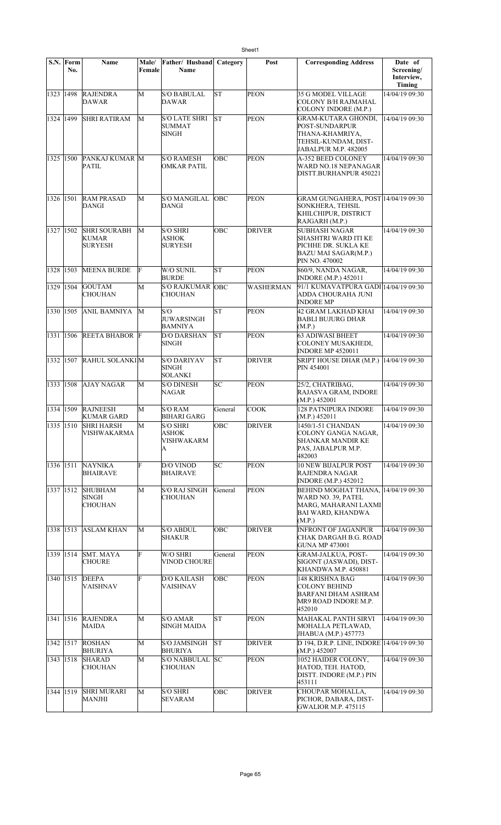| S.N.      | Form<br>No. | Name                                           | Male/<br>Female | Father/ Husband<br>Name                               | Category  | Post             | <b>Corresponding Address</b>                                                                                                   | Date of<br>Screening/<br>Interview,<br><b>Timing</b> |
|-----------|-------------|------------------------------------------------|-----------------|-------------------------------------------------------|-----------|------------------|--------------------------------------------------------------------------------------------------------------------------------|------------------------------------------------------|
| 1323 1498 |             | <b>RAJENDRA</b><br>DAWAR                       | M               | <b>S/O BABULAL</b><br>DAWAR                           | <b>ST</b> | <b>PEON</b>      | 35 G MODEL VILLAGE<br>COLONY B/H RAJMAHAL<br>COLONY INDORE (M.P.)                                                              | 14/04/19 09:30                                       |
| 1324 1499 |             | <b>SHRI RATIRAM</b>                            | М               | <b>S/O LATE SHRI</b><br><b>SUMMAT</b><br><b>SINGH</b> | lst       | <b>PEON</b>      | GRAM-KUTARA GHONDI,<br>POST-SUNDARPUR<br>THANA-KHAMRIYA,<br>TEHSIL-KUNDAM, DIST-<br>JABALPUR M.P. 482005                       | 14/04/19 09:30                                       |
| 1325 1500 |             | PANKAJ KUMAR M<br>PATIL                        |                 | <b>S/O RAMESH</b><br><b>OMKAR PATIL</b>               | OBC       | <b>PEON</b>      | A-352 BEED COLONEY<br>WARD NO.18 NEPANAGAR<br>DISTT.BURHANPUR 450221                                                           | 14/04/19 09:30                                       |
| 1326 1501 |             | <b>RAM PRASAD</b><br>DANGI                     | М               | <b>S/O MANGILAL</b><br><b>DANGI</b>                   | OBC       | <b>PEON</b>      | GRAM GUNGAHERA, POST 14/04/19 09:30<br>SONKHERA, TEHSIL<br>KHILCHIPUR, DISTRICT<br>RAJGARH (M.P.)                              |                                                      |
| 1327 1502 |             | <b>SHRI SOURABH</b><br>KUMAR<br><b>SURYESH</b> | M               | <b>S/O SHRI</b><br><b>ASHOK</b><br><b>SURYESH</b>     | OBC       | <b>DRIVER</b>    | <b>SUBHASH NAGAR</b><br>SHASHTRI WARD ITI KE<br>PICHHE DR. SUKLA KE<br>BAZU MAI SAGAR(M.P.)<br>PIN NO. 470002                  | 14/04/19 09:30                                       |
| 1328 1503 |             | <b>MEENA BURDE</b>                             | F               | W/O SUNIL<br><b>BURDE</b>                             | <b>ST</b> | <b>PEON</b>      | 860/9, NANDA NAGAR,<br><b>INDORE</b> (M.P.) 452011                                                                             | 14/04/19 09:30                                       |
| 1329      | 1504        | <b>GOUTAM</b><br><b>CHOUHAN</b>                | M               | <b>S/O RAJKUMAR</b><br><b>CHOUHAN</b>                 | OBC       | <b>WASHERMAN</b> | 91/1 KUMAVATPURA GADI 14/04/19 09:30<br>ADDA CHOURAHA JUNI<br><b>INDORE MP</b>                                                 |                                                      |
| 1330 1505 |             | <b>ANIL BAMNIYA</b>                            | М               | S/O<br><b>JUWARSINGH</b><br><b>BAMNIYA</b>            | lst       | <b>PEON</b>      | 42 GRAM LAKHAD KHAI<br><b>BABLI BUJURG DHAR</b><br>(M.P.)                                                                      | 14/04/19 09:30                                       |
| 1331      | 1506        | <b>REETA BHABOR F</b>                          |                 | <b>D/O DARSHAN</b><br><b>SINGH</b>                    | lst       | <b>PEON</b>      | 63 ADIWASI BHEET<br>COLONEY MUSAKHEDI.<br><b>INDORE MP 4520011</b>                                                             | 14/04/19 09:30                                       |
| 1332 1507 |             | RAHUL SOLANKIM                                 |                 | <b>S/O DARIYAV</b><br><b>SINGH</b><br><b>SOLANKI</b>  | <b>ST</b> | <b>DRIVER</b>    | SRIPT HOUSE DHAR (M.P.)<br>PIN 454001                                                                                          | 14/04/19 09:30                                       |
| 1333 1508 |             | <b>AJAY NAGAR</b>                              | M               | <b>S/O DINESH</b><br>NAGAR                            | SC        | <b>PEON</b>      | 25/2, CHATRIBAG,<br>RAJASVA GRAM, INDORE<br>(M.P.) 452001                                                                      | 14/04/19 09:30                                       |
| 1334 1509 |             | <b>RAJNEESH</b><br><b>KUMAR GARD</b>           | M               | <b>S/O RAM</b><br><b>BIHARI GARG</b>                  | General   | <b>COOK</b>      | <b>128 PATNIPURA INDORE</b><br>(M.P.) 452011                                                                                   | 14/04/19 09:30                                       |
|           |             | 1335 1510 SHRI HARSH<br>VISHWAKARMA            | M               | <b>S/O SHRI</b><br>ASHOK<br>VISHWAKARM<br>A           | OBC       | <b>DRIVER</b>    | 1450/1-51 CHANDAN<br>COLONY GANGA NAGAR.<br>SHANKAR MANDIR KE<br>PAS, JABALPUR M.P.<br>482003                                  | 14/04/19 09:30                                       |
| 1336 1511 |             | <b>NAYNIKA</b><br><b>BHAIRAVE</b>              | F               | D/O VINOD<br><b>BHAIRAVE</b>                          | lsc       | <b>PEON</b>      | <b>10 NEW BIJALPUR POST</b><br>RAJENDRA NAGAR<br><b>INDORE</b> (M.P.) 452012                                                   | 14/04/19 09:30                                       |
| 1337 1512 |             | <b>SHUBHAM</b><br>SINGH<br><b>CHOUHAN</b>      | M               | <b>S/O RAJ SINGH</b><br><b>CHOUHAN</b>                | General   | <b>PEON</b>      | <b>BEHIND MOGHAT THANA, 14/04/19 09:30</b><br>WARD NO. 39, PATEL<br>MARG, MAHARANI LAXMI<br><b>BAI WARD, KHANDWA</b><br>(M.P.) |                                                      |
| 1338 1513 |             | <b>ASLAM KHAN</b>                              | M               | <b>S/O ABDUL</b><br><b>SHAKUR</b>                     | OBC       | <b>DRIVER</b>    | <b>INFRONT OF JAGANPUR</b><br>CHAK DARGAH B.G. ROAD<br><b>GUNA MP 473001</b>                                                   | 14/04/19 09:30                                       |
| 1339 1514 |             | <b>SMT. MAYA</b><br><b>CHOURE</b>              | F               | W/O SHRI<br><b>VINOD CHOURE</b>                       | General   | <b>PEON</b>      | <b>GRAM-JALKUA, POST-</b><br>SIGONT (JASWADI), DIST-<br>KHANDWA M.P. 450881                                                    | 14/04/19 09:30                                       |
| 1340 1515 |             | <b>DEEPA</b><br><b>VAISHNAV</b>                | F               | <b>D/O KAILASH</b><br><b>VAISHNAV</b>                 | OBC       | <b>PEON</b>      | 148 KRISHNA BAG<br><b>COLONY BEHIND</b><br><b>BARFANI DHAM ASHRAM</b><br>MR9 ROAD INDORE M.P.<br>452010                        | 14/04/19 09:30                                       |
| 1341 1516 |             | <b>RAJENDRA</b><br><b>MAIDA</b>                | М               | S/O AMAR<br><b>SINGH MAIDA</b>                        | lsт       | <b>PEON</b>      | <b>MAHAKAL PANTH SIRVI</b><br>MOHALLA PETLAWAD,<br>JHABUA (M.P.) 457773                                                        | 14/04/19 09:30                                       |
| 1342 1517 |             | <b>ROSHAN</b><br><b>BHURIYA</b>                | M               | <b>S/O JAMSINGH</b><br><b>BHURIYA</b>                 | İSΤ       | <b>DRIVER</b>    | D 194, D.R.P. LINE, INDORE 14/04/19 09:30<br>(M.P.) 452007                                                                     |                                                      |
| 1343 1518 |             | <b>SHARAD</b><br><b>CHOUHAN</b>                | М               | S/O NABBULAL<br><b>CHOUHAN</b>                        | SC        | PEON             | 1052 HAIDER COLONY,<br>HATOD, TEH. HATOD,<br>DISTT. INDORE (M.P.) PIN<br>453111                                                | 14/04/19 09:30                                       |
| 1344 1519 |             | <b>SHRI MURARI</b><br><b>MANJHI</b>            | M               | <b>S/O SHRI</b><br><b>SEVARAM</b>                     | OBC       | <b>DRIVER</b>    | CHOUPAR MOHALLA,<br>PICHOR, DABARA, DIST-<br><b>GWALIOR M.P. 475115</b>                                                        | 14/04/19 09:30                                       |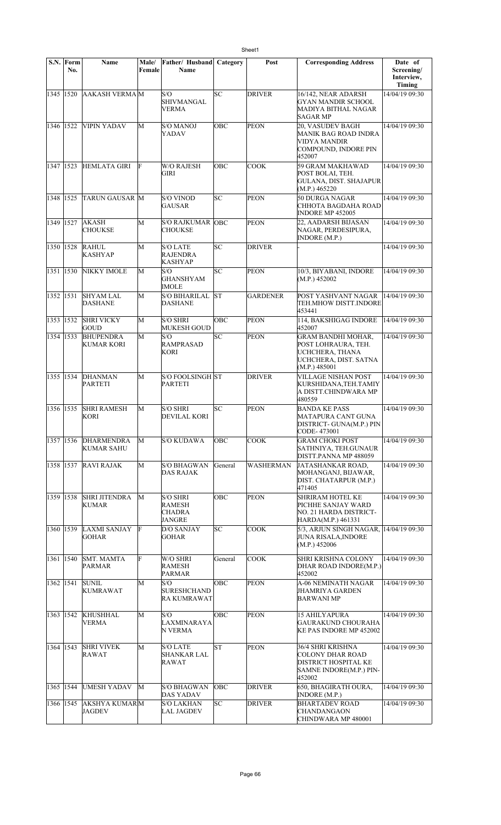|             | S.N. Form<br>No. | Name                                   | Male/<br>Female | Father/ Husband<br>Name                                     | Category   | Post            | <b>Corresponding Address</b>                                                                                  | Date of<br>Screening/<br>Interview,<br>Timing |
|-------------|------------------|----------------------------------------|-----------------|-------------------------------------------------------------|------------|-----------------|---------------------------------------------------------------------------------------------------------------|-----------------------------------------------|
| 1345 1520   |                  | <b>AAKASH VERMAM</b>                   |                 | S/O<br><b>SHIVMANGAL</b><br>VERMA                           | lsc        | <b>DRIVER</b>   | 16/142, NEAR ADARSH<br><b>GYAN MANDIR SCHOOL</b><br>MADIYA BITHAL NAGAR<br><b>SAGAR MP</b>                    | 14/04/19 09:30                                |
| 1346 1522   |                  | <b>VIPIN YADAV</b>                     | М               | <b>S/O MANOJ</b><br>YADAV                                   | OBC        | <b>PEON</b>     | 20, VASUDEV BAGH<br>MANIK BAG ROAD INDRA<br><b>VIDYA MANDIR</b><br>COMPOUND, INDORE PIN<br>452007             | 14/04/19 09:30                                |
| 1347   1523 |                  | <b>HEMLATA GIRI</b>                    | F               | <b>W/O RAJESH</b><br>GIRI                                   | ОВС        | <b>COOK</b>     | 59 GRAM MAKHAWAD<br>POST BOLAI, TEH.<br><b>GULANA, DIST. SHAJAPUR</b><br>(M.P.) 465220                        | 14/04/19 09:30                                |
| 1348 1525   |                  | <b>TARUN GAUSAR M</b>                  |                 | <b>S/O VINOD</b><br><b>GAUSAR</b>                           | SC         | <b>PEON</b>     | 50 DURGA NAGAR<br>CHHOTA BAGDAHA ROAD<br><b>INDORE MP 452005</b>                                              | 14/04/19 09:30                                |
| 1349 1527   |                  | <b>AKASH</b><br><b>CHOUKSE</b>         | M               | S/O RAJKUMAR OBC<br><b>CHOUKSE</b>                          |            | <b>PEON</b>     | 22, AADARSH BIJASAN<br>NAGAR, PERDESIPURA,<br>INDORE (M.P.)                                                   | 14/04/19 09:30                                |
| 1350 1528   |                  | <b>RAHUL</b><br><b>KASHYAP</b>         | M               | <b>S/O LATE</b><br><b>RAJENDRA</b><br>KASHYAP               | lsc        | <b>DRIVER</b>   |                                                                                                               | 14/04/19 09:30                                |
| 1351 1530   |                  | NIKKY IMOLE                            | M               | S/O<br><b>GHANSHYAM</b><br><b>IMOLE</b>                     | SC         | <b>PEON</b>     | 10/3, BIYABANI, INDORE<br>(M.P.) 452002                                                                       | 14/04/19 09:30                                |
| 1352 1531   |                  | <b>SHYAM LAL</b><br><b>DASHANE</b>     | M               | <b>S/O BIHARILAL</b><br><b>DASHANE</b>                      | <b>ST</b>  | <b>GARDENER</b> | POST YASHVANT NAGAR<br>TEH.MHOW DISTT.INDORE<br>453441                                                        | 14/04/19 09:30                                |
| 1353 1532   |                  | <b>SHRI VICKY</b><br><b>GOUD</b>       | M               | <b>S/O SHRI</b><br><b>MUKESH GOUD</b>                       | <b>OBC</b> | <b>PEON</b>     | 114, BAKSHIGAG INDORE<br>452007                                                                               | 14/04/19 09:30                                |
| 1354 1533   |                  | <b>BHUPENDRA</b><br>KUMAR KORI         | M               | S/O<br><b>RAMPRASAD</b><br>KORI                             | SC         | PEON            | <b>GRAM BANDHI MOHAR,</b><br>POST LOHRAURA, TEH.<br>UCHCHERA, THANA<br>UCHCHERA, DIST. SATNA<br>(M.P.) 485001 | 14/04/19 09:30                                |
| 1355 1534   |                  | DHANMAN<br><b>PARTETI</b>              | М               | <b>S/O FOOLSINGH ST</b><br><b>PARTETI</b>                   |            | <b>DRIVER</b>   | <b>VILLAGE NISHAN POST</b><br>KURSHIDANA, TEH. TAMIY<br>A DISTT.CHINDWARA MP<br>480559                        | 14/04/19 09:30                                |
| 1356 1535   |                  | <b>SHRI RAMESH</b><br><b>KORI</b>      | M               | <b>S/O SHRI</b><br>DEVILAL KORI                             | SC         | <b>PEON</b>     | <b>BANDA KE PASS</b><br>MATAPURA CANT GUNA<br>DISTRICT- GUNA(M.P.) PIN<br>CODE-473001                         | 14/04/19 09:30                                |
| 1357 1536   |                  | <b>DHARMENDRA</b><br><b>KUMAR SAHU</b> | М               | <b>S/O KUDAWA</b>                                           | ОВС        | <b>COOK</b>     | <b>GRAM CHOKI POST</b><br>SATHNIYA, TEH.GUNAUR<br>DISTT.PANNA MP 488059                                       | 14/04/19 09:30                                |
| 1358 1537   |                  | <b>RAVI RAJAK</b>                      | M               | <b>S/O BHAGWAN</b><br>DAS RAJAK                             | General    | WASHERMAN       | JATASHANKAR ROAD,<br>MOHANGANJ, BIJAWAR,<br>DIST. CHATARPUR (M.P.)<br>471405                                  | 14/04/19 09:30                                |
| 1359 1538   |                  | <b>SHRI JITENDRA</b><br><b>KUMAR</b>   | M               | <b>S/O SHRI</b><br><b>RAMESH</b><br>CHADRA<br><b>JANGRE</b> | OBC        | <b>PEON</b>     | <b>SHRIRAM HOTEL KE</b><br>PICHHE SANJAY WARD<br>NO. 21 HARDA DISTRICT-<br>HARDA(M.P.) 461331                 | 14/04/19 09:30                                |
| 1360 1539   |                  | LAXMI SANJAY<br><b>GOHAR</b>           | F               | <b>D/O SANJAY</b><br>GOHAR                                  | SС         | <b>COOK</b>     | 5/3, ARJUN SINGH NAGAR, 14/04/19 09:30<br><b>JUNA RISALA, INDORE</b><br>(M.P.) 452006                         |                                               |
| 1361 1540   |                  | <b>SMT. MAMTA</b><br>PARMAR            | F               | W/O SHRI<br>RAMESH<br>PARMAR                                | General    | COOK            | SHRI KRISHNA COLONY<br>DHAR ROAD INDORE(M.P.)<br>452002                                                       | 14/04/19 09:30                                |
| 1362 1541   |                  | <b>SUNIL</b><br>KUMRAWAT               | М               | S/O<br><b>SURESHCHAND</b><br>RA KUMRAWAT                    | ОВС        | <b>PEON</b>     | <b>A-06 NEMINATH NAGAR</b><br>JHAMRIYA GARDEN<br>BARWANI MP                                                   | 14/04/19 09:30                                |
| 1363   1542 |                  | <b>KHUSHHAL</b><br><b>VERMA</b>        | M               | S/O<br>LAXMINARAYA<br>N VERMA                               | OBC        | <b>PEON</b>     | <b>15 AHILYAPURA</b><br>GAURAKUND CHOURAHA<br>KE PAS INDORE MP 452002                                         | 14/04/19 09:30                                |
| 1364 1543   |                  | <b>SHRI VIVEK</b><br>RAWAT             | М               | <b>S/O LATE</b><br><b>SHANKAR LAL</b><br>RAWAT              | ST         | <b>PEON</b>     | 36/4 SHRI KRISHNA<br><b>COLONY DHAR ROAD</b><br>DISTRICT HOSPITAL KE<br>SAMNE INDORE(M.P.) PIN-<br>452002     | 14/04/19 09:30                                |
| 1365 1544   |                  | <b>UMESH YADAV</b>                     | М               | <b>S/O BHAGWAN</b><br><b>DAS YADAV</b>                      | OBC        | <b>DRIVER</b>   | 650, BHAGIRATH OURA,<br>INDORE (M.P.)                                                                         | 14/04/19 09:30                                |
| 1366 1545   |                  | <b>AKSHYA KUMARM</b><br><b>JAGDEV</b>  |                 | <b>S/O LAKHAN</b><br>LAL JAGDEV                             | SС         | DRIVER          | <b>BHARTADEV ROAD</b><br><b>CHANDANGAON</b><br>CHINDWARA MP 480001                                            | 14/04/19 09:30                                |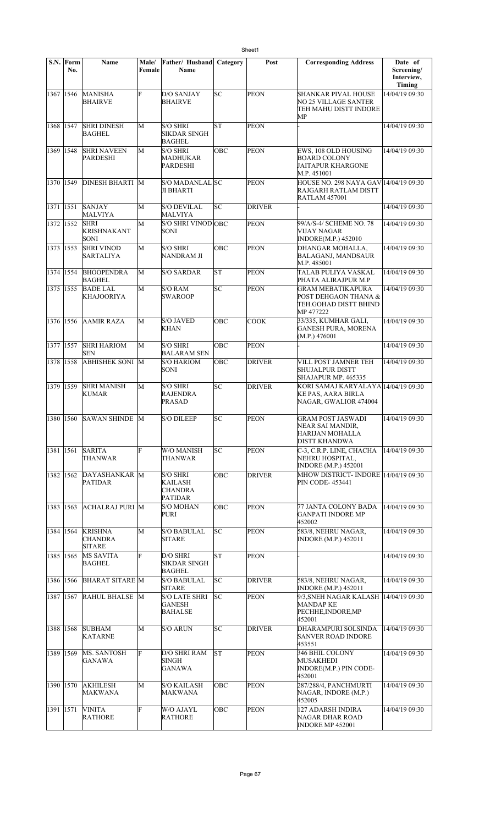|             | S.N. Form<br>No. | Name                                              | Male/<br>Female | Father/ Husband<br><b>Name</b>                                 | Category  | Post          | <b>Corresponding Address</b>                                                            | Date of<br>Screening/<br>Interview,<br>Timing |
|-------------|------------------|---------------------------------------------------|-----------------|----------------------------------------------------------------|-----------|---------------|-----------------------------------------------------------------------------------------|-----------------------------------------------|
| 1367 1546   |                  | <b>MANISHA</b><br><b>BHAIRVE</b>                  | F               | <b>D/O SANJAY</b><br><b>BHAIRVE</b>                            | lsc       | <b>PEON</b>   | SHANKAR PIVAL HOUSE<br>NO 25 VILLAGE SANTER<br>TEH MAHU DISTT INDORE<br>MP              | 14/04/19 09:30                                |
| 1368 1547   |                  | <b>SHRI DINESH</b><br><b>BAGHEL</b>               | M               | <b>S/O SHRI</b><br><b>SIKDAR SINGH</b><br><b>BAGHEL</b>        | <b>ST</b> | <b>PEON</b>   |                                                                                         | 14/04/19 09:30                                |
| 1369        | 1548             | <b>SHRI NAVEEN</b><br><b>PARDESHI</b>             | M               | <b>S/O SHRI</b><br>MADHUKAR<br><b>PARDESHI</b>                 | OBC       | <b>PEON</b>   | EWS, 108 OLD HOUSING<br><b>BOARD COLONY</b><br>JAITAPUR KHARGONE<br>M.P. 451001         | 14/04/19 09:30                                |
| 1370        | 1549             | <b>DINESH BHARTI M</b>                            |                 | S/O MADANLAL SC<br>JI BHARTI                                   |           | <b>PEON</b>   | HOUSE NO. 298 NAYA GAV 14/04/19 09:30<br>RAJGARH RATLAM DISTT<br><b>RATLAM 457001</b>   |                                               |
| 1371 1551   |                  | <b>SANJAY</b><br>MALVIYA                          | M               | <b>S/O DEVILAL</b><br><b>MALVIYA</b>                           | lsc       | <b>DRIVER</b> |                                                                                         | 14/04/19 09:30                                |
| 1372 1552   |                  | <b>SHRI</b><br><b>KRISHNAKANT</b><br>SONI         | M               | S/O SHRI VINOD OBC<br><b>SONI</b>                              |           | <b>PEON</b>   | 99/A/S-4/ SCHEME NO. 78<br>VIJAY NAGAR<br><b>INDORE(M.P.) 452010</b>                    | 14/04/19 09:30                                |
| 1373 1553   |                  | <b>SHRI VINOD</b><br><b>SARTALIYA</b>             | M               | <b>S/O SHRI</b><br><b>NANDRAM JI</b>                           | OBC       | <b>PEON</b>   | DHANGAR MOHALLA.<br><b>BALAGANJ, MANDSAUR</b><br>M.P. 485001                            | 14/04/19 09:30                                |
| 1374 1554   |                  | <b>BHOOPENDRA</b><br><b>BAGHEL</b>                | M               | <b>S/O SARDAR</b>                                              | lΣ        | <b>PEON</b>   | TALAB PULIYA VASKAL<br>PHATA ALIRAJPUR M.P                                              | 14/04/19 09:30                                |
| 1375        | 1555             | <b>BADE LAL</b><br><b>KHAJOORIYA</b>              | M               | <b>S/O RAM</b><br><b>SWAROOP</b>                               | lsc       | <b>PEON</b>   | <b>GRAM MEBATIKAPURA</b><br>POST DEHGAON THANA &<br>TEH.GOHAD DISTT BHIND<br>MP 477222  | 14/04/19 09:30                                |
| 1376 1556   |                  | <b>AAMIR RAZA</b>                                 | M               | <b>S/O JAVED</b><br><b>KHAN</b>                                | OBC       | <b>COOK</b>   | 33/335, KUMHAR GALI,<br><b>GANESH PURA, MORENA</b><br>(M.P.) 476001                     | 14/04/19 09:30                                |
| 1377        | 1557             | <b>SHRI HARIOM</b><br><b>SEN</b>                  | M               | <b>S/O SHRI</b><br><b>BALARAM SEN</b>                          | OBC       | <b>PEON</b>   |                                                                                         | 14/04/19 09:30                                |
| 1378        | 1558             | <b>ABHISHEK SONI M</b>                            |                 | <b>S/O HARIOM</b><br>SONI                                      | ОВС       | <b>DRIVER</b> | VILL POST JAMNER TEH<br><b>SHUJALPUR DISTT</b><br>SHAJAPUR MP. 465335                   | 14/04/19 09:30                                |
| 1379        | 1559             | <b>SHRI MANISH</b><br><b>KUMAR</b>                | M               | <b>S/O SHRI</b><br><b>RAJENDRA</b><br><b>PRASAD</b>            | SC        | <b>DRIVER</b> | KORI SAMAJ KARYALAYA 14/04/19 09:30<br>KE PAS, AARA BIRLA<br>NAGAR, GWALIOR 474004      |                                               |
| 1380 1560   |                  | SAWAN SHINDE M                                    |                 | <b>S/O DILEEP</b>                                              | SC        | <b>PEON</b>   | <b>GRAM POST JASWADI</b><br>NEAR SAI MANDIR,<br>HARIJAN MOHALLA<br><b>DISTT.KHANDWA</b> | 14/04/19 09:30                                |
| 1381        | 1561             | <b>SARITA</b><br><b>THANWAR</b>                   | F               | <b>W/O MANISH</b><br>THANWAR                                   | SC        | <b>PEON</b>   | C-3, C.R.P. LINE, CHACHA<br>NEHRU HOSPITAL,<br><b>INDORE</b> (M.P.) 452001              | 14/04/19 09:30                                |
| 1382 1562   |                  | DAYASHANKAR M<br><b>PATIDAR</b>                   |                 | <b>S/O SHRI</b><br>KAILASH<br><b>CHANDRA</b><br><b>PATIDAR</b> | OBC       | <b>DRIVER</b> | MHOW DISTRICT- INDORE 14/04/19 09:30<br><b>PIN CODE-453441</b>                          |                                               |
| 1383 1563   |                  | <b>ACHALRAJ PURI M</b>                            |                 | <b>S/O MOHAN</b><br><b>PURI</b>                                | OBC       | <b>PEON</b>   | 77 JANTA COLONY BADA<br><b>GANPATI INDORE MP</b><br>452002                              | 14/04/19 09:30                                |
| 1384   1564 |                  | <b>KRISHNA</b><br><b>CHANDRA</b><br><b>SITARE</b> | M               | <b>S/O BABULAL</b><br><b>SITARE</b>                            | SC        | <b>PEON</b>   | 583/8, NEHRU NAGAR,<br><b>INDORE (M.P.) 452011</b>                                      | 14/04/19 09:30                                |
| 1385 1565   |                  | MS SAVITA<br><b>BAGHEL</b>                        | F               | D/O SHRI<br><b>SIKDAR SINGH</b><br><b>BAGHEL</b>               | ST        | <b>PEON</b>   |                                                                                         | 14/04/19 09:30                                |
| 1386        | 1566             | <b>BHARAT SITARE M</b>                            |                 | <b>S/O BABULAL</b><br><b>SITARE</b>                            | SC        | <b>DRIVER</b> | 583/8, NEHRU NAGAR,<br><b>INDORE</b> (M.P.) 452011                                      | 14/04/19 09:30                                |
| 1387        | 1567             | RAHUL BHALSE M                                    |                 | <b>S/O LATE SHRI</b><br>GANESH<br><b>BAHALSE</b>               | SC        | PEON          | 9/3, SNEH NAGAR KALASH 14/04/19 09:30<br>MANDAP KE<br>PECHHE, INDORE, MP<br>452001      |                                               |
| 1388        | 1568             | <b>SUBHAM</b><br>KATARNE                          | M               | <b>S/O ARUN</b>                                                | SC        | <b>DRIVER</b> | DHARAMPURI SOLSINDA<br><b>SANVER ROAD INDORE</b><br>453551                              | 14/04/19 09:30                                |
| 1389        | 1569             | MS. SANTOSH<br>GANAWA                             | F               | <b>D/O SHRI RAM</b><br><b>SINGH</b><br><b>GANAWA</b>           | <b>ST</b> | PEON          | 346 BHIL COLONY<br>MUSAKHEDI<br>INDORE(M.P.) PIN CODE-<br>452001                        | 14/04/19 09:30                                |
| 1390 1570   |                  | <b>AKHILESH</b><br><b>MAKWANA</b>                 | М               | <b>S/O KAILASH</b><br>MAKWANA                                  | OBC       | <b>PEON</b>   | 287/288/4, PANCHMURTI<br>NAGAR, INDORE (M.P.)<br>452005                                 | 14/04/19 09:30                                |
| 1391 1571   |                  | <b>VINITA</b><br><b>RATHORE</b>                   | F               | W/O AJAYL<br><b>RATHORE</b>                                    | OBC       | <b>PEON</b>   | 127 ADARSH INDIRA<br>NAGAR DHAR ROAD<br>INDORE MP 452001                                | 14/04/19 09:30                                |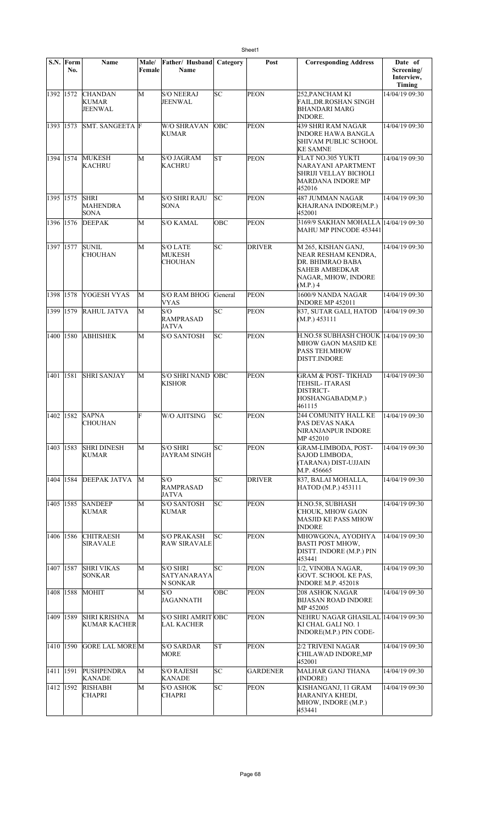|             | S.N. Form<br>No. | Name                                          | Male/<br>Female | Father/ Husband<br>Name                            | Category   | Post          | <b>Corresponding Address</b>                                                                                        | Date of<br>Screening/<br>Interview,<br><b>Timing</b> |
|-------------|------------------|-----------------------------------------------|-----------------|----------------------------------------------------|------------|---------------|---------------------------------------------------------------------------------------------------------------------|------------------------------------------------------|
| 1392 1572   |                  | <b>CHANDAN</b><br><b>KUMAR</b><br>JEENWAL     | M               | <b>S/O NEERAJ</b><br>JEENWAL                       | SC         | <b>PEON</b>   | 252, PANCHAM KI<br><b>FAIL, DR.ROSHAN SINGH</b><br><b>BHANDARI MARG</b><br><b>INDORE.</b>                           | 14/04/19 09:30                                       |
| 1393 1573   |                  | <b>SMT. SANGEETA F</b>                        |                 | <b>W/O SHRAVAN</b><br><b>KUMAR</b>                 | OBC        | <b>PEON</b>   | 439 SHRI RAM NAGAR<br><b>INDORE HAWA BANGLA</b><br>SHIVAM PUBLIC SCHOOL<br><b>KE SAMNE</b>                          | 14/04/19 09:30                                       |
| 1394 1574   |                  | <b>MUKESH</b><br><b>KACHRU</b>                | M               | <b>S/O JAGRAM</b><br><b>KACHRU</b>                 | lsт        | <b>PEON</b>   | FLAT NO.305 YUKTI<br>NARAYANI APARTMENT<br>SHRIJI VELLAY BICHOLI<br>MARDANA INDORE MP<br>452016                     | 14/04/19 09:30                                       |
| 1395 1575   |                  | <b>SHRI</b><br><b>MAHENDRA</b><br><b>SONA</b> | М               | <b>S/O SHRI RAJU</b><br><b>SONA</b>                | lsс        | <b>PEON</b>   | 487 JUMMAN NAGAR<br>KHAJRANA INDORE(M.P.)<br>452001                                                                 | 14/04/19 09:30                                       |
| 1396 1576   |                  | <b>DEEPAK</b>                                 | M               | <b>S/O KAMAL</b>                                   | OBC        | <b>PEON</b>   | 3169/9 SAKHAN MOHALLA 14/04/19 09:30<br>MAHU MP PINCODE 453441                                                      |                                                      |
| 1397 1577   |                  | <b>SUNIL</b><br><b>CHOUHAN</b>                | M               | <b>S/O LATE</b><br><b>MUKESH</b><br><b>CHOUHAN</b> | SC         | <b>DRIVER</b> | M 265, KISHAN GANJ,<br>NEAR RESHAM KENDRA,<br>DR. BHIMRAO BABA<br>SAHEB AMBEDKAR<br>NAGAR, MHOW, INDORE<br>(M.P.) 4 | 14/04/19 09:30                                       |
| 1398 1578   |                  | <b>YOGESH VYAS</b>                            | M               | <b>S/O RAM BHOG</b><br><b>VYAS</b>                 | General    | <b>PEON</b>   | 1600/9 NANDA NAGAR<br><b>INDORE MP 452011</b>                                                                       | 14/04/19 09:30                                       |
| 1399 1579   |                  | <b>RAHUL JATVA</b>                            | M               | S/O<br><b>RAMPRASAD</b><br><b>JATVA</b>            | SC         | <b>PEON</b>   | 837, SUTAR GALI, HATOD<br>(M.P.) 453111                                                                             | 14/04/19 09:30                                       |
| 1400 1580   |                  | <b>ABHISHEK</b>                               | М               | <b>S/O SANTOSH</b>                                 | SC         | <b>PEON</b>   | H.NO.58 SUBHASH CHOUK  14/04/19 09:30<br>MHOW GAON MASJID KE<br><b>PASS TEH.MHOW</b><br><b>DISTT.INDORE</b>         |                                                      |
| 1401 1581   |                  | <b>SHRI SANJAY</b>                            | М               | <b>S/O SHRI NAND</b><br><b>KISHOR</b>              | <b>OBC</b> | <b>PEON</b>   | GRAM & POST- TIKHAD<br>TEHSIL- ITARASI<br>DISTRICT-<br>HOSHANGABAD(M.P.)<br>461115                                  | 14/04/19 09:30                                       |
| 1402   1582 |                  | <b>SAPNA</b><br>CHOUHAN                       | F               | W/O AJITSING                                       | SC         | PEON          | 244 COMUNITY HALL KE<br>PAS DEVAS NAKA<br>NIRANJANPUR INDORE<br>MP 452010                                           | 14/04/19 09:30                                       |
| 1403 1583   |                  | <b>SHRI DINESH</b><br>KUMAR                   | M               | <b>S/O SHRI</b><br><b>JAYRAM SINGH</b>             | SC         | PEON          | GRAM-LIMBODA, POST-<br>SAJOD LIMBODA.<br>(TARANA) DIST-UJJAIN<br>M.P. 456665                                        | 14/04/19 09:30                                       |
| 1404 1584   |                  | <b>DEEPAK JATVA</b>                           | M               | S/O<br><b>RAMPRASAD</b><br><b>JATVA</b>            | SC         | <b>DRIVER</b> | 837, BALAI MOHALLA,<br>HATOD (M.P.) 453111                                                                          | 14/04/19 09:30                                       |
| 1405 1585   |                  | <b>SANDEEP</b><br>KUMAR                       | М               | <b>S/O SANTOSH</b><br><b>KUMAR</b>                 | SC         | <b>PEON</b>   | H.NO.58, SUBHASH<br>CHOUK, MHOW GAON<br><b>MASJID KE PASS MHOW</b><br><b>INDORE</b>                                 | 14/04/19 09:30                                       |
| 1406 1586   |                  | <b>CHITRAESH</b><br><b>SIRAVALE</b>           | M               | <b>S/O PRAKASH</b><br><b>RAW SIRAVALE</b>          | SC         | <b>PEON</b>   | MHOWGONA, AYODHYA<br><b>BASTI POST MHOW.</b><br>DISTT. INDORE (M.P.) PIN<br>453441                                  | 14/04/19 09:30                                       |
| 1407 1587   |                  | <b>SHRI VIKAS</b><br><b>SONKAR</b>            | М               | <b>S/O SHRI</b><br><b>SATYANARAYA</b><br>N SONKAR  | SC         | <b>PEON</b>   | 1/2, VINOBA NAGAR,<br>GOVT. SCHOOL KE PAS,<br><b>INDORE M.P. 452018</b>                                             | 14/04/19 09:30                                       |
| 1408 1588   |                  | <b>MOHIT</b>                                  | M               | S/O<br><b>JAGANNATH</b>                            | OBC        | <b>PEON</b>   | 208 ASHOK NAGAR<br><b>BIJASAN ROAD INDORE</b><br>MP 452005                                                          | 14/04/19 09:30                                       |
| 1409 1589   |                  | <b>SHRI KRISHNA</b><br><b>KUMAR KACHER</b>    | M               | S/O SHRI AMRIT OBC<br><b>LAL KACHER</b>            |            | <b>PEON</b>   | NEHRU NAGAR GHASILAL  14/04/19 09:30<br>KI CHAL GALI NO. 1<br>INDORE(M.P.) PIN CODE-                                |                                                      |
| 1410 1590   |                  | <b>GORE LAL MORE M</b>                        |                 | S/O SARDAR<br><b>MORE</b>                          | ST         | <b>PEON</b>   | 2/2 TRIVENI NAGAR<br>CHILAWAD INDORE, MP<br>452001                                                                  | 14/04/19 09:30                                       |
| 1411        | 1591             | PUSHPENDRA<br><b>KANADE</b>                   | M               | <b>S/O RAJESH</b><br><b>KANADE</b>                 | SC         | GARDENER      | MALHAR GANJ THANA<br>(INDORE)                                                                                       | 14/04/19 09:30                                       |
| 1412 1592   |                  | <b>RISHABH</b><br><b>CHAPRI</b>               | M               | <b>S/O ASHOK</b><br><b>CHAPRI</b>                  | SC.        | <b>PEON</b>   | KISHANGANJ, 11 GRAM<br>HARANIYA KHEDI.<br>MHOW, INDORE (M.P.)<br>453441                                             | 14/04/19 09:30                                       |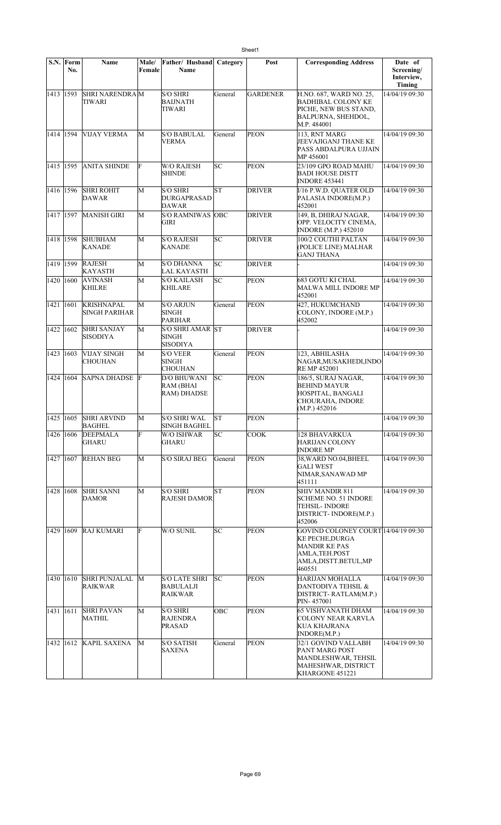|             | S.N. Form<br>No. | Name                                   | Male/<br>Female | Father/Husband<br>Name                              | Category | Post            | <b>Corresponding Address</b>                                                                                                       | Date of<br>Screening/<br>Interview,<br>Timing |
|-------------|------------------|----------------------------------------|-----------------|-----------------------------------------------------|----------|-----------------|------------------------------------------------------------------------------------------------------------------------------------|-----------------------------------------------|
| 1413 1593   |                  | <b>SHRI NARENDRAM</b><br>TIWARI        |                 | <b>S/O SHRI</b><br><b>BAIJNATH</b><br><b>TIWARI</b> | General  | <b>GARDENER</b> | H.NO. 687, WARD NO. 25,<br><b>BADHIBAL COLONY KE</b><br>PICHE, NEW BUS STAND,<br>BALPURNA, SHEHDOL,<br>M.P. 484001                 | 14/04/19 09:30                                |
| 1414 1594   |                  | <b>VIJAY VERMA</b>                     | M               | <b>S/O BABULAL</b><br><b>VERMA</b>                  | General  | <b>PEON</b>     | 113, RNT MARG<br>JEEVAJIGANJ THANE KE<br>PASS ABDALPURA UJJAIN<br>MP 456001                                                        | 14/04/19 09:30                                |
| 1415 1595   |                  | <b>ANITA SHINDE</b>                    | F               | <b>W/O RAJESH</b><br>SHINDE                         | lsс      | <b>PEON</b>     | 23/109 GPO ROAD MAHU<br><b>BADI HOUSE DISTT</b><br><b>INDORE 453441</b>                                                            | 14/04/19 09:30                                |
| 1416 1596   |                  | <b>SHRI ROHIT</b><br>DAWAR             | M               | S/O SHRI<br><b>DURGAPRASAD</b><br><b>DAWAR</b>      | lsт      | <b>DRIVER</b>   | I/16 P.W.D. QUATER OLD<br>PALASIA INDORE(M.P.)<br>452001                                                                           | 14/04/19 09:30                                |
| 1417 1597   |                  | <b>MANISH GIRI</b>                     | M               | S/O RAMNIWAS OBC<br>GIRI                            |          | <b>DRIVER</b>   | 149, B, DHIRAJ NAGAR,<br>OPP. VELOCITY CINEMA,<br><b>INDORE (M.P.) 452010</b>                                                      | 14/04/19 09:30                                |
| 1418 1598   |                  | <b>SHUBHAM</b><br><b>KANADE</b>        | M               | <b>S/O RAJESH</b><br><b>KANADE</b>                  | SC       | <b>DRIVER</b>   | 100/2 COUTHI PALTAN<br>(POLICE LINE) MALHAR<br><b>GANJ THANA</b>                                                                   | 14/04/19 09:30                                |
| 1419 1599   |                  | <b>RAJESH</b><br>KAYASTH               | M               | <b>S/O DHANNA</b><br><b>LAL KAYASTH</b>             | SC       | <b>DRIVER</b>   |                                                                                                                                    | 14/04/19 09:30                                |
| 1420 1600   |                  | <b>AVINASH</b><br><b>KHILRE</b>        | М               | S/O KAILASH<br><b>KHILARE</b>                       | SC       | <b>PEON</b>     | <b>683 GOTU KI CHAL</b><br>MALWA MILL INDORE MP<br>452001                                                                          | 14/04/19 09:30                                |
| 1421   1601 |                  | KRISHNAPAL<br>SINGH PARIHAR            | М               | S/O ARJUN<br><b>SINGH</b><br><b>PARIHAR</b>         | General  | <b>PEON</b>     | 427, HUKUMCHAND<br>COLONY, INDORE (M.P.)<br>452002                                                                                 | 14/04/19 09:30                                |
| 1422 1602   |                  | <b>SHRI SANJAY</b><br>SISODIYA         | М               | S/O SHRI AMAR ST<br><b>SINGH</b><br><b>SISODIYA</b> |          | <b>DRIVER</b>   |                                                                                                                                    | 14/04/19 09:30                                |
| 1423 1603   |                  | <b>VIJAY SINGH</b><br>CHOUHAN          | М               | <b>S/O VEER</b><br><b>SINGH</b><br>CHOUHAN          | General  | <b>PEON</b>     | 123, ABHILASHA<br>NAGAR,MUSAKHEDI,INDO<br>RE MP 452001                                                                             | 14/04/19 09:30                                |
|             | 1424 1604        | <b>SAPNA DHADSE</b>                    | F               | <b>D/O BHUWANI</b><br>RAM (BHAI<br>RAM) DHADSE      | SC       | <b>PEON</b>     | 186/5, SURAJ NAGAR,<br><b>BEHIND MAYUR</b><br>HOSPITAL, BANGALI<br>CHOURAHA, INDORE<br>(M.P.) 452016                               | 14/04/19 09:30                                |
|             |                  | 1425 1605 SHRI ARVIND<br><b>BAGHEL</b> | М               | <b>S/O SHRI WAL</b><br><b>SINGH BAGHEL</b>          | IST      | <b>PEON</b>     |                                                                                                                                    | 14/04/19 09:30                                |
|             | 1426 1606        | <b>DEEPMALA</b><br>GHARU               | F               | W/O ISHWAR<br>GHARU                                 | SC       | COOK            | 128 BHAVARKUA<br>HARIJAN COLONY<br>INDORE MP                                                                                       | 14/04/19 09:30                                |
|             | 1427   1607      | <b>REHAN BEG</b>                       | М               | <b>S/O SIRAJ BEG</b>                                | General  | <b>PEON</b>     | 38, WARD NO.04, BHEEL<br><b>GALI WEST</b><br>NIMAR, SANAWAD MP<br>451111                                                           | 14/04/19 09:30                                |
| 1428 1608   |                  | <b>SHRI SANNI</b><br>DAMOR             | М               | <b>S/O SHRI</b><br><b>RAJESH DAMOR</b>              | lΣ       | <b>PEON</b>     | SHIV MANDIR 811<br>SCHEME NO. 51 INDORE<br>TEHSIL- INDORE<br>DISTRICT-INDORE(M.P.)<br>452006                                       | 14/04/19 09:30                                |
| 1429 1609   |                  | <b>RAJ KUMARI</b>                      | F               | W/O SUNIL                                           | SC       | <b>PEON</b>     | GOVIND COLONEY COURT 14/04/19 09:30<br><b>KE PECHE, DURGA</b><br>MANDIR KE PAS<br>AMLA, TEH. POST<br>AMLA,DISTT.BETUL,MP<br>460551 |                                               |
| 1430 1610   |                  | <b>SHRI PUNJALAL</b><br>RAIKWAR        | M               | S/O LATE SHRI<br><b>BABULALJI</b><br><b>RAIKWAR</b> | lsс      | <b>PEON</b>     | HARIJAN MOHALLA<br>DANTODIYA TEHSIL &<br>DISTRICT- RATLAM(M.P.)<br>PIN-457001                                                      | 14/04/19 09:30                                |
| 1431 1611   |                  | <b>SHRI PAVAN</b><br>MATHIL            | M               | <b>S/O SHRI</b><br>RAJENDRA<br><b>PRASAD</b>        | OBC      | <b>PEON</b>     | <b>65 VISHVANATH DHAM</b><br>COLONY NEAR KARVLA<br>KUA KHAJRANA<br>INDORE(M.P.)                                                    | 14/04/19 09:30                                |
|             | 1432 1612        | <b>KAPIL SAXENA</b>                    | М               | S/O SATISH<br>SAXENA                                | General  | <b>PEON</b>     | 32/1 GOVIND VALLABH<br>PANT MARG POST<br>MANDLESHWAR, TEHSIL<br>MAHESHWAR, DISTRICT<br>KHARGONE 451221                             | 14/04/19 09:30                                |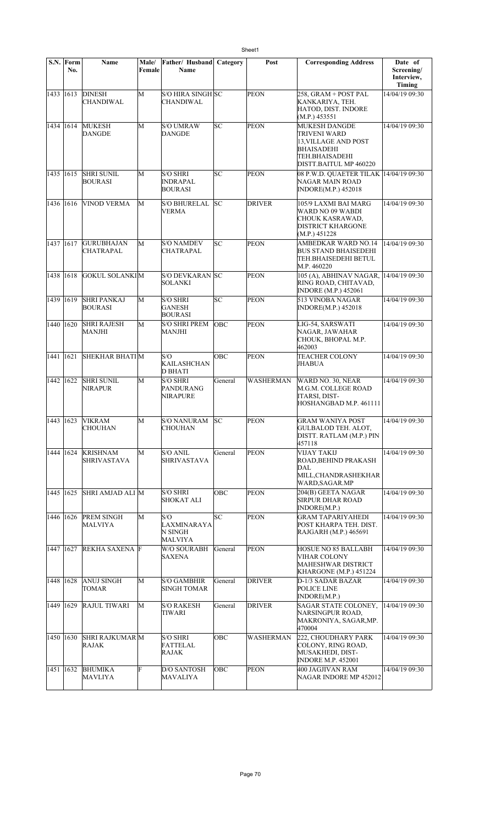| S.N.        | Form<br>No. | Name                                   | Male/<br>Female | Father/ Husband<br>Name                              | Category   | Post          | <b>Corresponding Address</b>                                                                                                 | Date of<br>Screening/<br>Interview,<br>Timing |
|-------------|-------------|----------------------------------------|-----------------|------------------------------------------------------|------------|---------------|------------------------------------------------------------------------------------------------------------------------------|-----------------------------------------------|
| 1433 1613   |             | <b>DINESH</b><br><b>CHANDIWAL</b>      | М               | S/O HIRA SINGH SC<br><b>CHANDIWAL</b>                |            | <b>PEON</b>   | 258, GRAM + POST PAL<br>KANKARIYA, TEH.<br>HATOD, DIST. INDORE<br>(M.P.) 453551                                              | 14/04/19 09:30                                |
| 1434 1614   |             | <b>MUKESH</b><br><b>DANGDE</b>         | M               | <b>S/O UMRAW</b><br><b>DANGDE</b>                    | SC         | PEON          | <b>MUKESH DANGDE</b><br>TRIVENI WARD<br>13.VILLAGE AND POST<br><b>BHAISADEHI</b><br>TEH.BHAISADEHI<br>DISTT.BAITUL MP 460220 | 14/04/19 09:30                                |
| 1435 1615   |             | <b>SHRI SUNIL</b><br><b>BOURASI</b>    | М               | <b>S/O SHRI</b><br><b>INDRAPAL</b><br><b>BOURASI</b> | SC         | <b>PEON</b>   | 08 P.W.D. QUAETER TILAK  14/04/19 09:30<br>NAGAR MAIN ROAD<br><b>INDORE(M.P.) 452018</b>                                     |                                               |
| 1436 1616   |             | <b>VINOD VERMA</b>                     | М               | <b>S/O BHURELAL</b><br><b>VERMA</b>                  | lsc        | <b>DRIVER</b> | 105/9 LAXMI BAI MARG<br>WARD NO 09 WABDI<br>CHOUK KASRAWAD,<br><b>DISTRICT KHARGONE</b><br>(M.P.) 451228                     | 14/04/19 09:30                                |
| 1437        | 1617        | <b>GURUBHAJAN</b><br>CHATRAPAL         | M               | <b>S/O NAMDEV</b><br>CHATRAPAL                       | SC         | <b>PEON</b>   | <b>AMBEDKAR WARD NO.14</b><br>BUS STAND BHAISEDEHI<br>TEH.BHAISEDEHI BETUL<br>M.P. 460220                                    | 14/04/19 09:30                                |
| 1438 1618   |             | <b>GOKUL SOLANKIM</b>                  |                 | <b>S/O DEVKARAN SC</b><br><b>SOLANKI</b>             |            | <b>PEON</b>   | 105 (A), ABHINAV NAGAR,<br>RING ROAD, CHITAVAD,<br><b>INDORE</b> (M.P.) 452061                                               | 14/04/19 09:30                                |
| 1439 1619   |             | <b>SHRI PANKAJ</b><br><b>BOURASI</b>   | M               | <b>S/O SHRI</b><br><b>GANESH</b><br><b>BOURASI</b>   | lsc        | <b>PEON</b>   | 513 VINOBA NAGAR<br>INDORE(M.P.) 452018                                                                                      | 14/04/19 09:30                                |
| 1440 1620   |             | <b>SHRI RAJESH</b><br>MANJHI           | М               | <b>S/O SHRI PREM</b><br><b>MANJHI</b>                | <b>OBC</b> | <b>PEON</b>   | LIG-54, SARSWATI<br>NAGAR, JAWAHAR<br>CHOUK, BHOPAL M.P.<br>462003                                                           | 14/04/19 09:30                                |
| 1441        | 1621        | <b>SHEKHAR BHATIM</b>                  |                 | S/O<br>KAILASHCHAN<br><b>D BHATI</b>                 | OBC        | <b>PEON</b>   | <b>TEACHER COLONY</b><br>JHABUA                                                                                              | 14/04/19 09:30                                |
| 1442        | 1622        | <b>SHRI SUNIL</b><br><b>NIRAPUR</b>    | M               | <b>S/O SHRI</b><br>PANDURANG<br><b>NIRAPURE</b>      | General    | WASHERMAN     | WARD NO. 30, NEAR<br>M.G.M. COLLEGE ROAD<br>ITARSI, DIST-<br>HOSHANGBAD M.P. 461111                                          | 14/04/19 09:30                                |
|             |             | 1443 1623 VIKRAM<br><b>CHOUHAN</b>     | M               | <b>S/O NANURAM</b><br><b>CHOUHAN</b>                 | SC         | PEON          | <b>GRAM WANIYA POST</b><br><b>GULBALOD TEH. ALOT,</b><br>DISTT. RATLAM (M.P.) PIN<br>457118                                  | 14/04/19 09:30                                |
| 1444 1624   |             | <b>KRISHNAM</b><br><b>SHRIVASTAVA</b>  | М               | <b>S/O ANIL</b><br><b>SHRIVASTAVA</b>                | General    | <b>PEON</b>   | VIJAY TAKIJ<br>ROAD, BEHIND PRAKASH<br>DAL<br>MILL, CHANDRASHEKHAR<br>WARD, SAGAR.MP                                         | 14/04/19 09:30                                |
| 1445   1625 |             | SHRI AMJAD ALI M                       |                 | <b>S/O SHRI</b><br><b>SHOKAT ALI</b>                 | OBC        | <b>PEON</b>   | 204(B) GEETA NAGAR<br><b>SIRPUR DHAR ROAD</b><br>INDORE(M.P.)                                                                | 14/04/19 09:30                                |
| 1446 1626   |             | <b>PREM SINGH</b><br>MALVIYA           | М               | S/O<br>LAXMINARAYA<br>N SINGH<br><b>MALVIYA</b>      | SC         | <b>PEON</b>   | <b>GRAM TAPARIYAHEDI</b><br>POST KHARPA TEH. DIST.<br>RAJGARH (M.P.) 465691                                                  | 14/04/19 09:30                                |
| 1447 1627   |             | <b>REKHA SAXENA F</b>                  |                 | W/O SOURABH<br><b>SAXENA</b>                         | General    | PEON          | <b>HOSUE NO 85 BALLABH</b><br>VIHAR COLONY<br><b>MAHESHWAR DISTRICT</b><br>KHARGONE (M.P.) 451224                            | 14/04/19 09:30                                |
| 1448 1628   |             | <b>ANUJ SINGH</b><br>TOMAR             | М               | <b>S/O GAMBHIR</b><br><b>SINGH TOMAR</b>             | General    | <b>DRIVER</b> | D-1/3 SADAR BAZAR<br>POLICE LINE<br>INDORE(M.P.)                                                                             | 14/04/19 09:30                                |
| 1449 1629   |             | <b>RAJUL TIWARI</b>                    | М               | <b>S/O RAKESH</b><br>TIWARI                          | General    | <b>DRIVER</b> | SAGAR STATE COLONEY,<br>NARSINGPUR ROAD,<br>MAKRONIYA, SAGAR, MP.<br>470004                                                  | 14/04/19 09:30                                |
| 1450 1630   |             | <b>SHRI RAJKUMAR M</b><br><b>RAJAK</b> |                 | <b>S/O SHRI</b><br><b>FATTELAL</b><br>RAJAK          | OBC        | WASHERMAN     | 222, CHOUDHARY PARK<br>COLONY, RING ROAD,<br>MUSAKHEDI, DIST-<br><b>INDORE M.P. 452001</b>                                   | 14/04/19 09:30                                |
| 1451   1632 |             | <b>BHUMIKA</b><br><b>MAVLIYA</b>       | F               | <b>D/O SANTOSH</b><br><b>MAVALIYA</b>                | OBC        | <b>PEON</b>   | 400 JAGJIVAN RAM<br>NAGAR INDORE MP 452012                                                                                   | 14/04/19 09:30                                |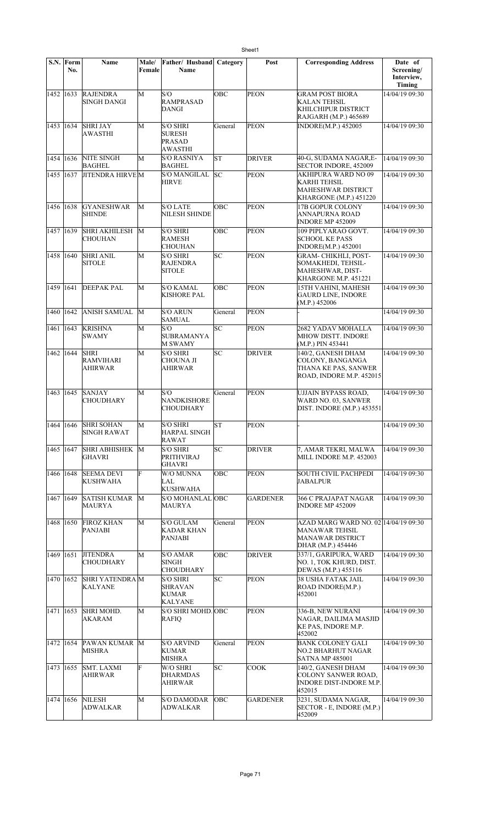|             | S.N. Form<br>No. | Name                                       | Male/<br>Female | Father/ Husband<br><b>Name</b>                                      | Category   | Post            | <b>Corresponding Address</b>                                                                            | Date of<br>Screening/<br>Interview,<br><b>Timing</b> |
|-------------|------------------|--------------------------------------------|-----------------|---------------------------------------------------------------------|------------|-----------------|---------------------------------------------------------------------------------------------------------|------------------------------------------------------|
| 1452 1633   |                  | <b>RAJENDRA</b><br><b>SINGH DANGI</b>      | M               | S/O<br><b>RAMPRASAD</b><br>DANGI                                    | OBC        | <b>PEON</b>     | <b>GRAM POST BIORA</b><br><b>KALAN TEHSIL</b><br>KHILCHIPUR DISTRICT<br>RAJGARH (M.P.) 465689           | 14/04/19 09:30                                       |
| 1453        | 1634             | <b>SHRI JAY</b><br>AWASTHI                 | M               | <b>S/O SHRI</b><br><b>SURESH</b><br><b>PRASAD</b><br>AWASTHI        | General    | <b>PEON</b>     | <b>INDORE(M.P.) 452005</b>                                                                              | 14/04/19 09:30                                       |
| 1454 1636   |                  | NITE SINGH<br><b>BAGHEL</b>                | M               | <b>S/O RASNIYA</b><br><b>BAGHEL</b>                                 | lsт        | <b>DRIVER</b>   | 40-G, SUDAMA NAGAR,E-<br>SECTOR INDORE, 452009                                                          | 14/04/19 09:30                                       |
| 1455        | 1637             | <b>JITENDRA HIRVEM</b>                     |                 | S/O MANGILAL<br><b>HIRVE</b>                                        | lsc        | <b>PEON</b>     | <b>AKHIPURA WARD NO 09</b><br>KARHI TEHSIL<br>MAHESHWAR DISTRICT<br>KHARGONE (M.P.) 451220              | 14/04/19 09:30                                       |
| 1456        | 1638             | <b>GYANESHWAR</b><br><b>SHINDE</b>         | M               | <b>S/O LATE</b><br><b>NILESH SHINDE</b>                             | OBC        | <b>PEON</b>     | 17B GOPUR COLONY<br>ANNAPURNA ROAD<br><b>INDORE MP 452009</b>                                           | 14/04/19 09:30                                       |
| 1457 1639   |                  | SHRI AKHILESH<br><b>CHOUHAN</b>            | M               | <b>S/O SHRI</b><br><b>RAMESH</b><br><b>CHOUHAN</b>                  | <b>OBC</b> | <b>PEON</b>     | 109 PIPLYARAO GOVT.<br><b>SCHOOL KE PASS</b><br><b>INDORE(M.P.) 452001</b>                              | 14/04/19 09:30                                       |
| 1458 1640   |                  | <b>SHRI ANIL</b><br><b>SITOLE</b>          | M               | <b>S/O SHRI</b><br><b>RAJENDRA</b><br><b>SITOLE</b>                 | SC         | <b>PEON</b>     | <b>GRAM- CHIKHLI, POST-</b><br>SOMAKHEDI, TEHSIL-<br>MAHESHWAR, DIST-<br>KHARGONE M.P. 451221           | 14/04/19 09:30                                       |
| 1459        | 1641             | <b>DEEPAK PAL</b>                          | M               | S/O KAMAL<br><b>KISHORE PAL</b>                                     | OBC        | <b>PEON</b>     | 15TH VAHINI, MAHESH<br><b>GAURD LINE, INDORE</b><br>(M.P.) 452006                                       | 14/04/19 09:30                                       |
| 1460        | 1642             | ANISH SAMUAL                               | M               | <b>S/O ARUN</b><br><b>SAMUAL</b>                                    | General    | <b>PEON</b>     |                                                                                                         | 14/04/19 09:30                                       |
| 1461        | 1643             | <b>KRISHNA</b><br><b>SWAMY</b>             | M               | S/O<br><b>SUBRAMANYA</b><br><b>M SWAMY</b>                          | SC         | <b>PEON</b>     | 2682 YADAV MOHALLA<br>MHOW DISTT. INDORE<br>(M.P.) PIN 453441                                           | 14/04/19 09:30                                       |
| 1462        | 1644             | <b>SHRI</b><br><b>RAMVIHARI</b><br>AHIRWAR | M               | <b>S/O SHRI</b><br><b>CHOUNA JI</b><br>AHIRWAR                      | SC         | <b>DRIVER</b>   | 140/2, GANESH DHAM<br>COLONY, BANGANGA<br>THANA KE PAS, SANWER<br>ROAD, INDORE M.P. 452015              | 14/04/19 09:30                                       |
| 1463 1645   |                  | <b>SANJAY</b><br><b>CHOUDHARY</b>          | M               | S/O<br><b>NANDKISHORE</b><br><b>CHOUDHARY</b>                       | General    | <b>PEON</b>     | <b>UJJAIN BYPASS ROAD,</b><br>WARD NO. 03, SANWER<br><b>DIST. INDORE (M.P.) 453551</b>                  | 14/04/19 09:30                                       |
| 1464 1646   |                  | <b>SHRI SOHAN</b><br><b>SINGH RAWAT</b>    | M               | S/O SHRI<br><b>HARPAL SINGH</b><br><b>RAWAT</b>                     | SΤ         | <b>PEON</b>     |                                                                                                         | 14/04/19 09:30                                       |
| 1465 1647   |                  | SHRI ABHISHEK M<br>GHAVRI                  |                 | <b>S/O SHRI</b><br><b>PRITHVIRAJ</b><br><b>GHAVRI</b>               | SC         | <b>DRIVER</b>   | 7, AMAR TEKRI, MALWA<br>MILL INDORE M.P. 452003                                                         | 14/04/19 09:30                                       |
| 1466 1648   |                  | <b>SEEMA DEVI</b><br><b>KUSHWAHA</b>       | F               | W/O MUNNA<br>LAL<br><b>KUSHWAHA</b>                                 | <b>OBC</b> | <b>PEON</b>     | <b>SOUTH CIVIL PACHPEDI</b><br>JABALPUR                                                                 | 14/04/19 09:30                                       |
| 1467 1649   |                  | <b>SATISH KUMAR</b><br>MAURYA              | M               | S/O MOHANLAL OBC<br><b>MAURYA</b>                                   |            | <b>GARDENER</b> | 366 C PRAJAPAT NAGAR<br><b>INDORE MP 452009</b>                                                         | 14/04/19 09:30                                       |
| 1468        | 1650             | <b>FIROZ KHAN</b><br>PANJABI               | М               | <b>S/O GULAM</b><br>KADAR KHAN<br><b>PANJABI</b>                    | General    | <b>PEON</b>     | AZAD MARG WARD NO. 02 14/04/19 09:30<br>MANAWAR TEHSIL<br><b>MANAWAR DISTRICT</b><br>DHAR (M.P.) 454446 |                                                      |
| 1469        | 1651             | <b>JITENDRA</b><br><b>CHOUDHARY</b>        | M               | <b>S/O AMAR</b><br><b>SINGH</b><br><b>CHOUDHARY</b>                 | OBC        | <b>DRIVER</b>   | 337/1, GARIPURA, WARD<br>NO. 1, TOK KHURD, DIST.<br>DEWAS (M.P.) 455116                                 | 14/04/19 09:30                                       |
| 1470   1652 |                  | <b>SHRI YATENDRAM</b><br>KALYANE           |                 | <b>S/O SHRI</b><br><b>SHRAVAN</b><br><b>KUMAR</b><br><b>KALYANE</b> | SC         | <b>PEON</b>     | <b>38 USHA FATAK JAIL</b><br>ROAD INDORE(M.P.)<br>452001                                                | 14/04/19 09:30                                       |
| 1471        | 1653             | <b>SHRI MOHD.</b><br>AKARAM                | М               | S/O SHRI MOHD. OBC<br><b>RAFIQ</b>                                  |            | PEON            | 336-B, NEW NURANI<br>NAGAR, DAILIMA MASJID<br>KE PAS, INDORE M.P.<br>452002                             | 14/04/19 09:30                                       |
| 1472   1654 |                  | PAWAN KUMAR M<br><b>MISHRA</b>             |                 | <b>S/O ARVIND</b><br><b>KUMAR</b><br><b>MISHRA</b>                  | General    | <b>PEON</b>     | <b>BANK COLONEY GALI</b><br>NO.2 BHARHUT NAGAR<br><b>SATNA MP 485001</b>                                | 14/04/19 09:30                                       |
| 1473 1655   |                  | <b>SMT. LAXMI</b><br>AHIRWAR               | F               | W/O SHRI<br>DHARMDAS<br><b>AHIRWAR</b>                              | SC         | <b>COOK</b>     | 140/2, GANESH DHAM<br>COLONY SANWER ROAD,<br><b>INDORE DIST-INDORE M.P.</b><br>452015                   | 14/04/19 09:30                                       |
| 1474        | 1656             | <b>NILESH</b><br>ADWALKAR                  | М               | <b>S/O DAMODAR</b><br><b>ADWALKAR</b>                               | OBC        | <b>GARDENER</b> | 3231, SUDAMA NAGAR,<br>SECTOR - E, INDORE (M.P.)<br>452009                                              | 14/04/19 09:30                                       |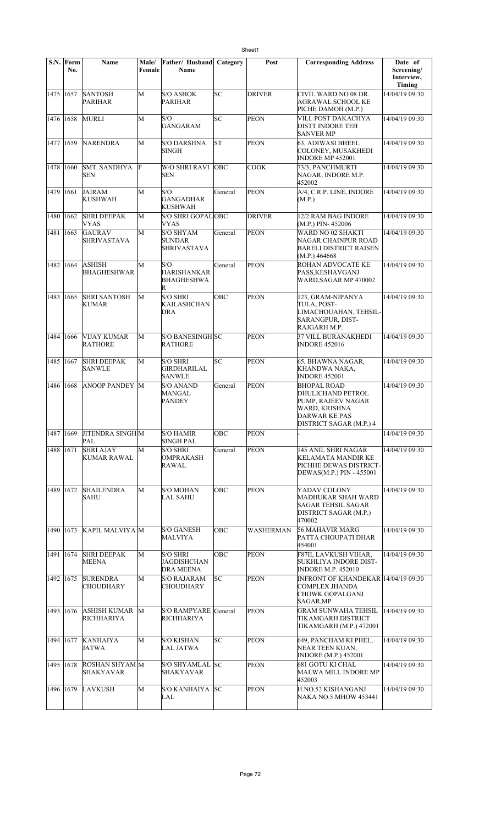|             | S.N. Form<br>No. | Name                                      | Male/<br>Female | Father/Husband<br>Name                                    | Category | Post          | <b>Corresponding Address</b>                                                                                                      | Date of<br>Screening/<br>Interview,<br>Timing |
|-------------|------------------|-------------------------------------------|-----------------|-----------------------------------------------------------|----------|---------------|-----------------------------------------------------------------------------------------------------------------------------------|-----------------------------------------------|
| 1475 1657   |                  | <b>SANTOSH</b><br>PARIHAR                 | M               | <b>S/O ASHOK</b><br>PARIHAR                               | lsc      | <b>DRIVER</b> | CIVIL WARD NO 08 DR.<br>AGRAWAL SCHOOL KE<br>PICHE DAMOH (M.P.)                                                                   | 14/04/19 09:30                                |
| 1476 1658   |                  | <b>MURLI</b>                              | M               | S/O<br><b>GANGARAM</b>                                    | SC       | <b>PEON</b>   | VILL POST DAKACHYA<br><b>DISTT INDORE TEH</b><br><b>SANVER MP</b>                                                                 | 14/04/19 09:30                                |
| 1477 1659   |                  | <b>NARENDRA</b>                           | M               | <b>S/O DARSHNA</b><br>SINGH                               | lsт      | <b>PEON</b>   | <b>63. ADIWASI BHEEL</b><br>COLONEY, MUSAKHEDI<br>INDORE MP 452001                                                                | 14/04/19 09:30                                |
| 1478 1660   |                  | <b>SMT. SANDHYA</b><br><b>SEN</b>         | F               | <b>W/O SHRI RAVI</b><br><b>SEN</b>                        | OBC      | <b>COOK</b>   | 73/3, PANCHMURTI<br>NAGAR, INDORE M.P.<br>452002                                                                                  | 14/04/19 09:30                                |
| 1479 1661   |                  | <b>JAIRAM</b><br><b>KUSHWAH</b>           | M               | S/O<br><b>GANGADHAR</b><br><b>KUSHWAH</b>                 | General  | <b>PEON</b>   | A/4, C.R.P. LINE, INDORE<br>(M.P.)                                                                                                | 14/04/19 09:30                                |
| 1480 1662   |                  | <b>SHRI DEEPAK</b><br><b>VYAS</b>         | M               | S/O SHRI GOPALOBC<br>VYAS                                 |          | <b>DRIVER</b> | 12/2 RAM BAG INDORE<br>(M.P.) PIN-452006                                                                                          | 14/04/19 09:30                                |
| 1481        | 1663             | <b>GAURAV</b><br><b>SHRIVASTAVA</b>       | $\overline{M}$  | <b>S/O SHYAM</b><br><b>SUNDAR</b><br><b>SHRIVASTAVA</b>   | General  | <b>PEON</b>   | WARD NO 02 SHAKTI<br>NAGAR CHAINPUR ROAD<br><b>BARELI DISTRICT RAISEN</b><br>(M.P.) 464668                                        | 14/04/19 09:30                                |
| 1482        | 1664             | <b>ASHISH</b><br><b>BHAGHESHWAR</b>       | M               | S/O<br><b>HARISHANKAR</b><br><b>BHAGHESHWA</b><br>R       | General  | <b>PEON</b>   | <b>ROHAN ADVOCATE KE</b><br>PASS, KESHAVGANJ<br>WARD, SAGAR MP 470002                                                             | 14/04/19 09:30                                |
| 1483 1665   |                  | <b>SHRI SANTOSH</b><br><b>KUMAR</b>       | М               | <b>S/O SHRI</b><br>KAILASHCHAN<br>DRA                     | OBC      | <b>PEON</b>   | 123, GRAM-NIPANYA<br>TULA, POST-<br>LIMACHOUAHAN, TEHSIL-<br>SARANGPUR, DIST-<br>RAJGARH M.P.                                     | 14/04/19 09:30                                |
| 1484 1666   |                  | VIJAY KUMAR<br><b>RATHORE</b>             | М               | <b>S/O BANESINGH SC</b><br><b>RATHORE</b>                 |          | <b>PEON</b>   | <b>37 VILL BURANAKHEDI</b><br><b>INDORE 452016</b>                                                                                | 14/04/19 09:30                                |
| 1485 1667   |                  | <b>SHRI DEEPAK</b><br><b>SANWLE</b>       | M               | <b>S/O SHRI</b><br><b>GIRDHARILAL</b><br><b>SANWLE</b>    | SC       | <b>PEON</b>   | 65, BHAWNA NAGAR,<br>KHANDWA NAKA,<br><b>INDORE 452001</b>                                                                        | 14/04/19 09:30                                |
| 1486 1668   |                  | <b>ANOOP PANDEY M</b>                     |                 | <b>S/O ANAND</b><br>MANGAL<br><b>PANDEY</b>               | General  | <b>PEON</b>   | <b>BHOPAL ROAD</b><br>DHULICHAND PETROL<br>PUMP, RAJEEV NAGAR<br>WARD, KRISHNA<br><b>DARWAR KE PAS</b><br>DISTRICT SAGAR (M.P.) 4 | 14/04/19 09:30                                |
| 1487   1669 |                  | <b>JITENDRA SINGH M</b><br>$\mathsf{PAL}$ |                 | <b>S/O HAMIR</b><br><b>SINGH PAL</b>                      | OBC      | <b>PEON</b>   |                                                                                                                                   | 14/04/19 09:30                                |
| 1488 1671   |                  | <b>SHRI AJAY</b><br><b>KUMAR RAWAL</b>    | М               | <b>S/O SHRI</b><br><b>OMPRAKASH</b><br><b>RAWAL</b>       | General  | <b>PEON</b>   | 145 ANIL SHRI NAGAR<br><b>KELAMATA MANDIR KE</b><br>PICHHE DEWAS DISTRICT-<br>DEWAS(M.P.) PIN - 455001                            | 14/04/19 09:30                                |
| 1489 1672   |                  | <b>SHAILENDRA</b><br><b>SAHU</b>          | М               | <b>S/O MOHAN</b><br><b>LAL SAHU</b>                       | OBC      | <b>PEON</b>   | YADAV COLONY<br>MADHUKAR SHAH WARD<br>SAGAR TEHSIL SAGAR<br>DISTRICT SAGAR (M.P.)<br>470002                                       | 14/04/19 09:30                                |
| 1490 1673   |                  | KAPIL MALVIYA M                           |                 | <b>S/O GANESH</b><br>MALVIYA                              | OBC      | WASHERMAN     | 56 MAHAVIR MARG<br>PATTA CHOUPATI DHAR<br>454001                                                                                  | 14/04/19 09:30                                |
| 1491 1674   |                  | <b>SHRI DEEPAK</b><br><b>MEENA</b>        | M               | <b>S/O SHRI</b><br><b>JAGDISHCHAN</b><br><b>DRA MEENA</b> | OBC      | <b>PEON</b>   | <b>F87II, LAVKUSH VIHAR,</b><br><b>SUKHLIYA INDORE DIST-</b><br><b>INDORE M.P. 452010</b>                                         | 14/04/19 09:30                                |
| 1492 1675   |                  | <b>SURENDRA</b><br><b>CHOUDHARY</b>       | М               | <b>S/O RAJARAM</b><br><b>CHOUDHARY</b>                    | SC.      | <b>PEON</b>   | <b>INFRONT OF KHANDEKAR 14/04/19 09:30</b><br>COMPLEX JHANDA<br>CHOWK GOPALGANJ<br>SAGAR,MP                                       |                                               |
| 1493 1676   |                  | <b>ASHISH KUMAR M</b><br>RICHHARIYA       |                 | S/O RAMPYARE General<br><b>RICHHARIYA</b>                 |          | <b>PEON</b>   | GRAM SUNWAHA TEHSIL<br>TIKAMGARH DISTRICT<br>TIKAMGARH (M.P.) 472001                                                              | 14/04/19 09:30                                |
| 1494 1677   |                  | KANHAIYA<br>JATWA                         | M               | <b>S/O KISHAN</b><br>LAL JATWA                            | SC       | <b>PEON</b>   | 649, PANCHAM KI PHEL,<br>NEAR TEEN KUAN,<br><b>INDORE</b> (M.P.) 452001                                                           | 14/04/19 09:30                                |
| 1495 1678   |                  | <b>ROSHAN SHYAM</b> M<br><b>SHAKYAVAR</b> |                 | S/O SHYAMLAL SC<br>SHAKYAVAR                              |          | <b>PEON</b>   | 681 GOTU KI CHAL<br><b>MALWA MILL INDORE MP</b><br>452003                                                                         | 14/04/19 09:30                                |
| 1496 1679   |                  | <b>LAVKUSH</b>                            | M               | S/O KANHAIYA  SC<br>LAL                                   |          | <b>PEON</b>   | H.NO.52 KISHANGANJ<br><b>NAKA NO.5 MHOW 453441</b>                                                                                | 14/04/19 09:30                                |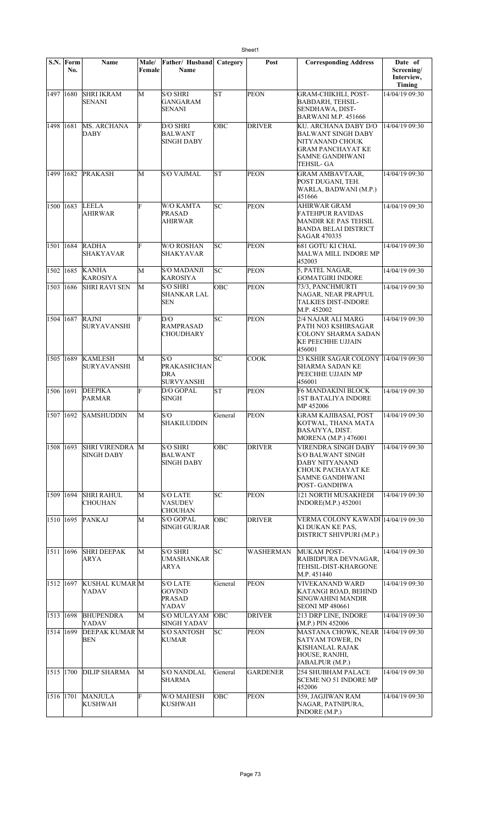|             | S.N. Form<br>No. | Name                                      | Male/<br>Female | Father/ Husband<br>Name                               | Category   | Post             | <b>Corresponding Address</b>                                                                                                             | Date of<br>Screening/<br>Interview,<br>Timing |
|-------------|------------------|-------------------------------------------|-----------------|-------------------------------------------------------|------------|------------------|------------------------------------------------------------------------------------------------------------------------------------------|-----------------------------------------------|
| 1497 1680   |                  | <b>SHRI IKRAM</b><br><b>SENANI</b>        | M               | <b>S/O SHRI</b><br><b>GANGARAM</b><br><b>SENANI</b>   | lsт        | <b>PEON</b>      | <b>GRAM-CHIKHLI, POST-</b><br><b>BABDARH, TEHSIL-</b><br>SENDHAWA, DIST-<br><b>BARWANI M.P. 451666</b>                                   | 14/04/19 09:30                                |
| 1498        | 1681             | MS. ARCHANA<br><b>DABY</b>                | F               | D/O SHRI<br>BALWANT<br>SINGH DABY                     | OBC        | <b>DRIVER</b>    | KU. ARCHANA DABY D/O<br><b>BALWANT SINGH DABY</b><br>NITYANAND CHOUK<br><b>GRAM PANCHAYAT KE</b><br><b>SAMNE GANDHWANI</b><br>TEHSIL- GA | 14/04/19 09:30                                |
| 1499   1682 |                  | <b>PRAKASH</b>                            | М               | S/O VAJMAL                                            | <b>ST</b>  | <b>PEON</b>      | <b>GRAM AMBAVTAAR,</b><br>POST DUGANI, TEH.<br>WARLA, BADWANI (M.P.)<br>451666                                                           | 14/04/19 09:30                                |
| 1500 1683   |                  | <b>LEELA</b><br>AHIRWAR                   | F               | W/O KAMTA<br><b>PRASAD</b><br>AHIRWAR                 | SC         | <b>PEON</b>      | <b>AHIRWAR GRAM</b><br>FATEHPUR RAVIDAS<br>MANDIR KE PAS TEHSIL<br><b>BANDA BELAI DISTRICT</b><br><b>SAGAR 470335</b>                    | 14/04/19 09:30                                |
| 1501 1684   |                  | <b>RADHA</b><br><b>SHAKYAVAR</b>          | F               | <b>W/O ROSHAN</b><br><b>SHAKYAVAR</b>                 | lsс        | <b>PEON</b>      | <b>681 GOTU KI CHAL</b><br><b>MALWA MILL INDORE MP</b><br>452003                                                                         | 14/04/19 09:30                                |
| 1502 1685   |                  | <b>KANHA</b><br><b>KAROSIYA</b>           | M               | S/O MADANJI<br><b>KAROSIYA</b>                        | lsс        | <b>PEON</b>      | 5, PATEL NAGAR,<br><b>GOMATGIRI INDORE</b>                                                                                               | 14/04/19 09:30                                |
| 1503 1686   |                  | <b>SHRI RAVI SEN</b>                      | М               | <b>S/O SHRI</b><br>SHANKAR LAL<br>SEN                 | ОВС        | <b>PEON</b>      | 73/3, PANCHMURTI<br>NAGAR, NEAR PRAPFUL<br><b>TALKIES DIST-INDORE</b><br>M.P. 452002                                                     | 14/04/19 09:30                                |
| 1504 1687   |                  | RAJNI<br><b>SURYAVANSHI</b>               | F               | D/O<br>RAMPRASAD<br>CHOUDHARY                         | SC         | <b>PEON</b>      | 2/4 NAJAR ALI MARG<br>PATH NO3 KSHIRSAGAR<br>COLONY SHARMA SADAN<br><b>KE PEECHHE UJJAIN</b><br>456001                                   | 14/04/19 09:30                                |
| 1505 1689   |                  | <b>KAMLESH</b><br><b>SURYAVANSHI</b>      | M               | S/O<br><b>PRAKASHCHAN</b><br>DRA<br><b>SURVYANSHI</b> | SC         | <b>COOK</b>      | 23 KSHIR SAGAR COLONY 14/04/19 09:30<br>SHARMA SADAN KE<br>PEECHHE UJJAIN MP<br>456001                                                   |                                               |
| 1506 1691   |                  | <b>DEEPIKA</b><br><b>PARMAR</b>           | F               | D/O GOPAL<br><b>SINGH</b>                             | <b>ST</b>  | <b>PEON</b>      | <b>F6 MANDAKINI BLOCK</b><br><b>1ST BATALIYA INDORE</b><br>MP 452006                                                                     | 14/04/19 09:30                                |
| 1507 1692   |                  | <b>SAMSHUDDIN</b>                         | M               | S/O<br>SHAKILUDDIN                                    | General    | <b>PEON</b>      | <b>GRAM KAJIBASAI, POST</b><br>KOTWAL, THANA MATA<br>BASAIYYA, DIST.<br>MORENA (M.P.) 476001                                             | 14/04/19 09:30                                |
| 1508 1693   |                  | <b>SHRI VIRENDRA</b><br><b>SINGH DABY</b> | M               | <b>S/O SHRI</b><br><b>BALWANT</b><br>SINGH DABY       | OBC        | <b>DRIVER</b>    | <b>VIRENDRA SINGH DABY</b><br><b>S/O BALWANT SINGH</b><br>DABY NITYANAND<br>CHOUK PACHAYAT KE<br>SAMNE GANDHWANI<br>POST-GANDHWA         | 14/04/19 09:30                                |
| 1509 1694   |                  | <b>SHRI RAHUL</b><br><b>CHOUHAN</b>       | M               | <b>S/O LATE</b><br><b>VASUDEV</b><br>CHOUHAN          | SC         | <b>PEON</b>      | <b>121 NORTH MUSAKHEDI</b><br><b>INDORE(M.P.) 452001</b>                                                                                 | 14/04/19 09:30                                |
| 1510 1695   |                  | PANKAJ                                    | M               | S/O GOPAL<br><b>SINGH GURJAR</b>                      | OBC        | <b>DRIVER</b>    | VERMA COLONY KAWADI 14/04/19 09:30<br>KI DUKAN KE PAS,<br>DISTRICT SHIVPURI (M.P.)                                                       |                                               |
| 1511 1696   |                  | <b>SHRI DEEPAK</b><br>ARYA                | М               | S/O SHRI<br>UMASHANKAR<br>ARYA                        | SC         | <b>WASHERMAN</b> | MUKAM POST-<br>RAIBIDPURA DEVNAGAR,<br>TEHSIL-DIST-KHARGONE<br>M.P. 451440                                                               | 14/04/19 09:30                                |
| 1512 1697   |                  | <b>KUSHAL KUMAR</b> M<br>YADAV            |                 | <b>S/O LATE</b><br>GOVIND<br><b>PRASAD</b><br>YADAV   | General    | PEON             | <b>VIVEKANAND WARD</b><br>KATANGI ROAD, BEHIND<br>SINGWAHINI MANDIR<br><b>SEONI MP 480661</b>                                            | 14/04/19 09:30                                |
| 1513 1698   |                  | <b>BHUPENDRA</b><br>YADAV                 | M               | S/O MULAYAM<br>SINGH YADAV                            | <b>OBC</b> | <b>DRIVER</b>    | 213 DRP LINE, INDORE<br>(M.P.) PIN 452006                                                                                                | 14/04/19 09:30                                |
| 1514 1699   |                  | <b>DEEPAK KUMAR M</b><br><b>BEN</b>       |                 | <b>S/O SANTOSH</b><br>KUMAR                           | SC         | <b>PEON</b>      | MASTANA CHOWK, NEAR  14/04/19 09:30<br><b>SATYAM TOWER, IN</b><br>KISHANLAL RAJAK<br>HOUSE, RANJHI,<br>JABALPUR (M.P.)                   |                                               |
| 1515 1700   |                  | <b>DILIP SHARMA</b>                       | M               | <b>S/O NANDLAL</b><br>SHARMA                          | General    | <b>GARDENER</b>  | 254 SHUBHAM PALACE<br><b>SCEME NO 51 INDORE MP</b><br>452006                                                                             | 14/04/19 09:30                                |
| 1516 1701   |                  | <b>MANJULA</b><br><b>KUSHWAH</b>          | F               | W/O MAHESH<br>KUSHWAH                                 | <b>OBC</b> | <b>PEON</b>      | 359, JAGJIWAN RAM<br>NAGAR, PATNIPURA,<br>INDORE (M.P.)                                                                                  | 14/04/19 09:30                                |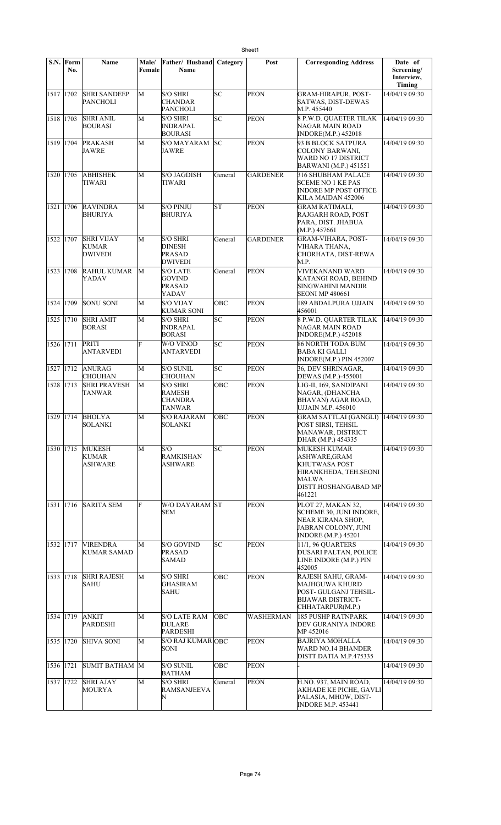|           | $S.N.$ Form<br>No. | Name                                                | Male/<br>Female | Father/Husband<br><b>Name</b>                                       | Category   | Post             | <b>Corresponding Address</b>                                                                                              | Date of<br>Screening/<br>Interview,<br>Timing |
|-----------|--------------------|-----------------------------------------------------|-----------------|---------------------------------------------------------------------|------------|------------------|---------------------------------------------------------------------------------------------------------------------------|-----------------------------------------------|
| 1517 1702 |                    | <b>SHRI SANDEEP</b><br>PANCHOLI                     | M               | <b>S/O SHRI</b><br>CHANDAR<br><b>PANCHOLI</b>                       | SC         | <b>PEON</b>      | <b>GRAM-HIRAPUR, POST-</b><br>SATWAS, DIST-DEWAS<br>M.P. 455440                                                           | 14/04/19 09:30                                |
| 1518      | 1703               | <b>SHRI ANIL</b><br><b>BOURASI</b>                  | M               | <b>S/O SHRI</b><br><b>INDRAPAL</b><br><b>BOURASI</b>                | SC         | <b>PEON</b>      | <b>8 P.W.D. QUAETER TILAK</b><br>NAGAR MAIN ROAD<br>INDORE(M.P.) 452018                                                   | 14/04/19 09:30                                |
| 1519 1704 |                    | <b>PRAKASH</b><br>JAWRE                             | M               | <b>S/O MAYARAM</b><br>JAWRE                                         | SC         | <b>PEON</b>      | 93 B BLOCK SATPURA<br><b>COLONY BARWANI,</b><br>WARD NO 17 DISTRICT<br>BARWANI (M.P.) 451551                              | 14/04/19 09:30                                |
| 1520      | 1705               | <b>ABHISHEK</b><br>TIWARI                           | M               | <b>S/O JAGDISH</b><br>TIWARI                                        | General    | <b>GARDENER</b>  | 316 SHUBHAM PALACE<br><b>SCEME NO 1 KE PAS</b><br><b>INDORE MP POST OFFICE</b><br>KILA MAIDAN 452006                      | 14/04/19 09:30                                |
| 1521      | 1706               | <b>RAVINDRA</b><br>BHURIYA                          | M               | <b>S/O PINJU</b><br><b>BHURIYA</b>                                  | lsт        | PEON             | <b>GRAM RATIMALI,</b><br>RAJGARH ROAD, POST<br>PARA, DIST. JHABUA<br>(M.P.) 457661                                        | 14/04/19 09:30                                |
| 1522      | 1707               | <b>SHRI VIJAY</b><br><b>KUMAR</b><br><b>DWIVEDI</b> | М               | <b>S/O SHRI</b><br><b>DINESH</b><br><b>PRASAD</b><br><b>DWIVEDI</b> | General    | <b>GARDENER</b>  | <b>GRAM-VIHARA, POST-</b><br>VIHARA THANA,<br>CHORHATA, DIST-REWA<br>M.P.                                                 | 14/04/19 09:30                                |
| 1523      | 1708               | <b>RAHUL KUMAR</b><br>YADAV                         | M               | <b>S/O LATE</b><br><b>GOVIND</b><br><b>PRASAD</b><br>YADAV          | General    | <b>PEON</b>      | <b>VIVEKANAND WARD</b><br>KATANGI ROAD, BEHIND<br>SINGWAHINI MANDIR<br><b>SEONI MP 480661</b>                             | 14/04/19 09:30                                |
| 1524      | 1709               | <b>SONU SONI</b>                                    | М               | <b>S/O VIJAY</b><br><b>KUMAR SONI</b>                               | OBC        | <b>PEON</b>      | 189 ABDALPURA UJJAIN<br>456001                                                                                            | 14/04/19 09:30                                |
| 1525      | 1710               | <b>SHRI AMIT</b><br><b>BORASI</b>                   | M               | <b>S/O SHRI</b><br><b>INDRAPAL</b><br><b>BORASI</b>                 | SC         | <b>PEON</b>      | <b>8 P.W.D. QUARTER TILAK</b><br>NAGAR MAIN ROAD<br>INDORE(M.P.) 452018                                                   | 14/04/19 09:30                                |
| 1526      | 1711               | PRITI<br><b>ANTARVEDI</b>                           | F               | W/O VINOD<br>ANTARVEDI                                              | SC         | PEON             | <b>86 NORTH TODA BUM</b><br><b>BABA KI GALLI</b><br><b>INDORE(M.P.) PIN 452007</b>                                        | 14/04/19 09:30                                |
| 1527      | 1712               | <b>ANURAG</b><br><b>CHOUHAN</b>                     | M               | <b>S/O SUNIL</b><br><b>CHOUHAN</b>                                  | SC         | <b>PEON</b>      | 36, DEV SHRINAGAR,<br>DEWAS (M.P.)-455001                                                                                 | 14/04/19 09:30                                |
| 1528      | 1713               | <b>SHRI PRAVESH</b><br><b>TANWAR</b>                | M               | <b>S/O SHRI</b><br><b>RAMESH</b><br><b>CHANDRA</b><br><b>TANWAR</b> | <b>OBC</b> | <b>PEON</b>      | LIG-II, 169, SANDIPANI<br>NAGAR, (DHANCHA<br>BHAVAN) AGAR ROAD,<br><b>UJJAIN M.P. 456010</b>                              | 14/04/19 09:30                                |
| 1529      | 1714               | <b>BHOLYA</b><br><b>SOLANKI</b>                     | M               | <b>S/O RAJARAM</b><br><b>SOLANKI</b>                                | ОВС        | <b>PEON</b>      | <b>GRAM SATTLAI (GANGLI)</b><br>POST SIRSI, TEHSIL<br>MANAWAR, DISTRICT<br>DHAR (M.P.) 454335                             | 14/04/19 09:30                                |
| 1530 1715 |                    | <b>MUKESH</b><br>KUMAR<br>ASHWARE                   | M               | S/O<br><b>RAMKISHAN</b><br>ASHWARE                                  | SC         | <b>PEON</b>      | <b>MUKESH KUMAR</b><br>ASHWARE, GRAM<br>KHUTWASA POST<br>HIRANKHEDA, TEH.SEONI<br>MALWA<br>DISTT.HOSHANGABAD MP<br>461221 | 14/04/19 09:30                                |
| 1531 1716 |                    | <b>SARITA SEM</b>                                   | F               | W/O DAYARAM ST<br><b>SEM</b>                                        |            | <b>PEON</b>      | PLOT 27, MAKAN 32,<br>SCHEME 30, JUNI INDORE,<br>NEAR KIRANA SHOP.<br>JABRAN COLONY, JUNI<br><b>INDORE</b> (M.P.) 45201   | 14/04/19 09:30                                |
| 1532 1717 |                    | <b>VIRENDRA</b><br><b>KUMAR SAMAD</b>               | M               | <b>S/O GOVIND</b><br><b>PRASAD</b><br><b>SAMAD</b>                  | SC         | PEON             | 11/1, 96 QUARTERS<br>DUSARI PALTAN, POLICE<br>LINE INDORE (M.P.) PIN<br>452005                                            | 14/04/19 09:30                                |
| 1533 1718 |                    | <b>SHRI RAJESH</b><br><b>SAHU</b>                   | M               | <b>S/O SHRI</b><br><b>GHASIRAM</b><br><b>SAHU</b>                   | ОВС        | <b>PEON</b>      | RAJESH SAHU, GRAM-<br>MAJHGUWA KHURD<br>POST- GULGANJ TEHSIL-<br><b>BIJAWAR DISTRICT-</b><br>CHHATARPUR(M.P.)             | 14/04/19 09:30                                |
| 1534 1719 |                    | <b>ANKIT</b><br>PARDESHI                            | M               | <b>S/O LATE RAM</b><br><b>DULARE</b><br>PARDESHI                    | OBC        | <b>WASHERMAN</b> | <b>185 PUSHP RATNPARK</b><br>DEV GURANIYA INDORE<br>MP 452016                                                             | 14/04/19 09:30                                |
| 1535 1720 |                    | <b>SHIVA SONI</b>                                   | M               | S/O RAJ KUMAR OBC<br>SONI                                           |            | <b>PEON</b>      | BAJRIYA MOHALLA<br>WARD NO.14 BHANDER<br>DISTT.DATIA M.P.475335                                                           | 14/04/19 09:30                                |
| 1536 1721 |                    | SUMIT BATHAM M                                      |                 | <b>S/O SUNIL</b><br><b>BATHAM</b>                                   | OBC        | <b>PEON</b>      |                                                                                                                           | 14/04/19 09:30                                |
| 1537      | 1722               | <b>SHRI AJAY</b><br>MOURYA                          | М               | <b>S/O SHRI</b><br><b>RAMSANJEEVA</b><br>N                          | General    | <b>PEON</b>      | H.NO. 937, MAIN ROAD,<br>AKHADE KE PICHE, GAVLI<br>PALASIA, MHOW, DIST-<br><b>INDORE M.P. 453441</b>                      | 14/04/19 09:30                                |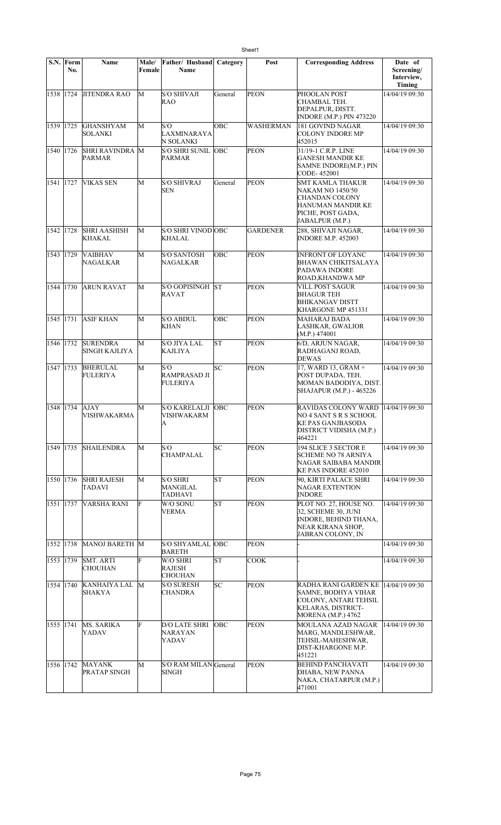|           | S.N. Form<br>No. | Name                                    | Male/<br>Female | Father/ Husband<br>Name                              | Category   | Post             | <b>Corresponding Address</b>                                                                                                            | Date of<br>Screening/<br>Interview,<br><b>Timing</b> |
|-----------|------------------|-----------------------------------------|-----------------|------------------------------------------------------|------------|------------------|-----------------------------------------------------------------------------------------------------------------------------------------|------------------------------------------------------|
| 1538 1724 |                  | <b>JITENDRA RAO</b>                     | M               | <b>S/O SHIVAJI</b><br><b>RAO</b>                     | General    | <b>PEON</b>      | PHOOLAN POST<br>CHAMBAL TEH.<br>DEPALPUR, DISTT.<br>INDORE (M.P.) PIN 473220                                                            | 14/04/19 09:30                                       |
| 1539 1725 |                  | <b>GHANSHYAM</b><br>SOLANKI             | M               | S/O<br>LAXMINARAYA<br>N SOLANKI                      | ОВС        | <b>WASHERMAN</b> | 181 GOVIND NAGAR<br><b>COLONY INDORE MP</b><br>452015                                                                                   | 14/04/19 09:30                                       |
| 1540 1726 |                  | <b>SHRI RAVINDRA</b> M<br><b>PARMAR</b> |                 | <b>S/O SHRI SUNIL OBC</b><br><b>PARMAR</b>           |            | <b>PEON</b>      | 31/19-1 C.R.P. LINE<br>GANESH MANDIR KE<br>SAMNE INDORE(M.P.) PIN<br>CODE-452001                                                        | 14/04/19 09:30                                       |
| 1541 1727 |                  | <b>VIKAS SEN</b>                        | M               | <b>S/O SHIVRAJ</b><br><b>SEN</b>                     | General    | <b>PEON</b>      | <b>SMT KAMLA THAKUR</b><br>NAKAM NO 1450/50<br>CHANDAN COLONY<br>HANUMAN MANDIR KE<br>PICHE, POST GADA,<br>JABALPUR (M.P.)              | 14/04/19 09:30                                       |
| 1542 1728 |                  | <b>SHRI AASHISH</b><br>KHAKAL           | M               | S/O SHRI VINOD OBC<br><b>KHALAL</b>                  |            | <b>GARDENER</b>  | 288, SHIVAJI NAGAR,<br><b>INDORE M.P. 452003</b>                                                                                        | 14/04/19 09:30                                       |
| 1543 1729 |                  | <b>VAIBHAV</b><br>NAGALKAR              | M               | <b>S/O SANTOSH</b><br>NAGALKAR                       | OBC        | <b>PEON</b>      | <b>INFRONT OF LOYANC</b><br>BHAWAN CHIKITSALAYA<br>PADAWA INDORE<br>ROAD,KHANDWA MP                                                     | 14/04/19 09:30                                       |
| 1544 1730 |                  | <b>ARUN RAVAT</b>                       | М               | S/O GOPISINGH ST<br><b>RAVAT</b>                     |            | <b>PEON</b>      | VILL POST SAGUR<br><b>BHAGUR TEH</b><br><b>BHIKANGAV DISTT</b><br>KHARGONE MP 451331                                                    | 14/04/19 09:30                                       |
| 1545 1731 |                  | <b>ASIF KHAN</b>                        | M               | <b>S/O ABDUL</b><br>KHAN                             | OBC        | <b>PEON</b>      | <b>MAHARAJ BADA</b><br>LASHKAR, GWALIOR<br>(M.P.) 474001                                                                                | 14/04/19 09:30                                       |
| 1546 1732 |                  | <b>SURENDRA</b><br> SINGH KAJLIYA       | M               | S/O JIYA LAL<br><b>KAJLIYA</b>                       | lst        | <b>PEON</b>      | 6/D, ARJUN NAGAR,<br>RADHAGANJ ROAD,<br>DEWAS                                                                                           | 14/04/19 09:30                                       |
| 1547 1733 |                  | <b>BHERULAL</b><br>FULERIYA             | M               | S/O<br>RAMPRASAD JI<br>FULERIYA                      | <b>SC</b>  | <b>PEON</b>      | 17, WARD 13, GRAM +<br>POST DUPADA, TEH.<br>MOMAN BADODIYA, DIST.<br>SHAJAPUR (M.P.) - 465226                                           | 14/04/19 09:30                                       |
| 1548 1734 |                  | AJAY<br>VISHWAKARMA                     | М               | <b>S/O KARELALJI OBC</b><br><b>VISHWAKARM</b><br>A   |            | <b>PEON</b>      | <b>RAVIDAS COLONY WARD</b><br>NO 4 SANT S R S SCHOOL<br><b>KE PAS GANJBASODA</b><br>DISTRICT VIDISHA (M.P.)<br>464221                   | 14/04/19 09:30                                       |
| 1549 1735 |                  | <b>SHAILENDRA</b>                       | M               | S/O<br><b>CHAMPALAL</b>                              | SC         | <b>PEON</b>      | 194 SLICE 3 SECTOR E<br>SCHEME NO 78 ARNIYA<br>NAGAR SAIBABA MANDIR<br>KE PAS INDORE 452010                                             | 14/04/19 09:30                                       |
| 1550 1736 |                  | <b>SHRI RAJESH</b><br><b>TADAVI</b>     | М               | <b>S/O SHRI</b><br><b>MANGILAL</b><br><b>TADHAVI</b> | ST         | <b>PEON</b>      | 90, KIRTI PALACE SHRI<br><b>NAGAR EXTENTION</b><br><b>INDORE</b>                                                                        | 14/04/19 09:30                                       |
| 1551 1737 |                  | VARSHA RANI                             | F               | W/O SONU<br>VERMA                                    | lΣ         | <b>PEON</b>      | PLOT NO. 27, HOUSE NO.<br>32. SCHEME 30. JUNI<br><b>INDORE, BEHIND THANA,</b><br>NEAR KIRANA SHOP,<br>JABRAN COLONY, IN                 | 14/04/19 09:30                                       |
| 1552 1738 |                  | MANOJ BARETH M                          |                 | <b>S/O SHYAMLAL</b><br><b>BARETH</b>                 | <b>OBC</b> | <b>PEON</b>      |                                                                                                                                         | 14/04/19 09:30                                       |
| 1553 1739 |                  | <b>SMT. ARTI</b><br><b>CHOUHAN</b>      | F               | W/O SHRI<br><b>RAJESH</b><br><b>CHOUHAN</b>          | ST         | <b>COOK</b>      |                                                                                                                                         | 14/04/19 09:30                                       |
| 1554 1740 |                  | <b>KANHAIYA LAL</b><br>SHAKYA           | M               | <b>S/O SURESH</b><br><b>CHANDRA</b>                  | SC         | <b>PEON</b>      | RADHA RANI GARDEN KE  14/04/19 09:30<br>SAMNE, BODHYA VIHAR<br>COLONY, ANTARI TEHSIL<br>KELARAS, DISTRICT-<br><b>MORENA</b> (M.P.) 4762 |                                                      |
| 1555 1741 |                  | MS. SARIKA<br>YADAV                     | F               | <b>D/O LATE SHRI</b><br><b>NARAYAN</b><br>YADAV      | OBC        | <b>PEON</b>      | MOULANA AZAD NAGAR<br>MARG, MANDLESHWAR,<br>TEHSIL-MAHESHWAR,<br>DIST-KHARGONE M.P.<br>451221                                           | 14/04/19 09:30                                       |
| 1556 1742 |                  | <b>MAYANK</b><br><b>PRATAP SINGH</b>    | М               | S/O RAM MILAN General<br><b>SINGH</b>                |            | <b>PEON</b>      | <b>BEHIND PANCHAVATI</b><br>DHABA, NEW PANNA<br>NAKA, CHATARPUR (M.P.)<br>471001                                                        | 14/04/19 09:30                                       |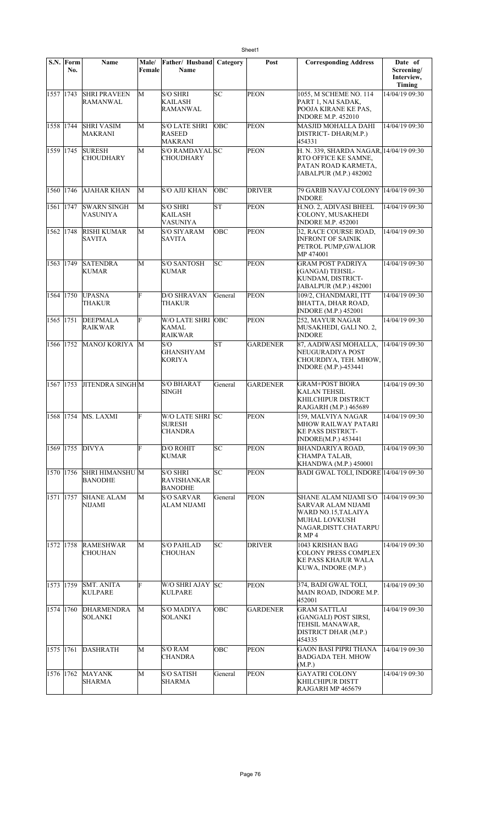|           | S.N. Form<br>No. | Name                                    | Male/<br>Female | Father/ Husband<br><b>Name</b>                          | Category | Post            | <b>Corresponding Address</b>                                                                                                         | Date of<br>Screening/<br>Interview,<br>Timing |
|-----------|------------------|-----------------------------------------|-----------------|---------------------------------------------------------|----------|-----------------|--------------------------------------------------------------------------------------------------------------------------------------|-----------------------------------------------|
| 1557 1743 |                  | <b>SHRI PRAVEEN</b><br><b>RAMANWAL</b>  | M               | <b>S/O SHRI</b><br><b>KAILASH</b><br>RAMANWAL           | lsc      | <b>PEON</b>     | 1055, M SCHEME NO. 114<br>PART 1, NAI SADAK,<br>POOJA KIRANE KE PAS,<br><b>INDORE M.P. 452010</b>                                    | 14/04/19 09:30                                |
| 1558 1744 |                  | <b>SHRI VASIM</b><br>MAKRANI            | М               | <b>S/O LATE SHRI</b><br><b>RASEED</b><br><b>MAKRANI</b> | OBC      | <b>PEON</b>     | MASJID MOHALLA DAHI<br>DISTRICT-DHAR(M.P.)<br>454331                                                                                 | 14/04/19 09:30                                |
| 1559 1745 |                  | <b>SURESH</b><br><b>CHOUDHARY</b>       | М               | S/O RAMDAYAL SC<br>CHOUDHARY                            |          | <b>PEON</b>     | H. N. 339, SHARDA NAGAR, 14/04/19 09:30<br>RTO OFFICE KE SAMNE,<br>PATAN ROAD KARMETA,<br>JABALPUR (M.P.) 482002                     |                                               |
| 1560      | 1746             | <b>AJAHAR KHAN</b>                      | M               | <b>S/O AJIJ KHAN</b>                                    | OBC      | <b>DRIVER</b>   | 79 GARIB NAVAJ COLONY<br><b>INDORE</b>                                                                                               | 14/04/19 09:30                                |
| 1561 1747 |                  | <b>SWARN SINGH</b><br>VASUNIYA          | M               | <b>S/O SHRI</b><br><b>KAILASH</b><br><b>VASUNIYA</b>    | lsт      | <b>PEON</b>     | H.NO. 2, ADIVASI BHEEL<br>COLONY, MUSAKHEDI<br><b>INDORE M.P. 452001</b>                                                             | 14/04/19 09:30                                |
| 1562 1748 |                  | <b>RISHI KUMAR</b><br><b>SAVITA</b>     | M               | <b>S/O SIYARAM</b><br><b>SAVITA</b>                     | OBC      | <b>PEON</b>     | 32, RACE COURSE ROAD,<br><b>INFRONT OF SAINIK</b><br>PETROL PUMP, GWALIOR<br>MP 474001                                               | 14/04/19 09:30                                |
| 1563 1749 |                  | <b>SATENDRA</b><br><b>KUMAR</b>         | M               | <b>S/O SANTOSH</b><br><b>KUMAR</b>                      | SC       | <b>PEON</b>     | <b>GRAM POST PADRIYA</b><br>(GANGAI) TEHSIL-<br>KUNDAM, DISTRICT-<br>JABALPUR (M.P.) 482001                                          | 14/04/19 09:30                                |
| 1564 1750 |                  | <b>UPASNA</b><br>THAKUR                 | F               | <b>D/O SHRAVAN</b><br><b>THAKUR</b>                     | General  | <b>PEON</b>     | 109/2, CHANDMARI, ITT<br>BHATTA, DHAR ROAD,<br><b>INDORE</b> (M.P.) 452001                                                           | 14/04/19 09:30                                |
| 1565 1751 |                  | <b>DEEPMALA</b><br><b>RAIKWAR</b>       | F               | W/O LATE SHRI OBC<br><b>KAMAL</b><br><b>RAIKWAR</b>     |          | <b>PEON</b>     | 252, MAYUR NAGAR<br>MUSAKHEDI, GALI NO. 2,<br><b>INDORE</b>                                                                          | 14/04/19 09:30                                |
| 1566 1752 |                  | <b>MANOJ KORIYA</b>                     | M               | S/O<br><b>GHANSHYAM</b><br><b>KORIYA</b>                | ST       | <b>GARDENER</b> | 87, AADIWASI MOHALLA,<br>NEUGURADIYA POST<br>CHOURDIYA, TEH. MHOW,<br><b>INDORE</b> (M.P.)-453441                                    | 14/04/19 09:30                                |
| 1567 1753 |                  | <b>JITENDRA SINGHM</b>                  |                 | <b>S/O BHARAT</b><br><b>SINGH</b>                       | General  | <b>GARDENER</b> | <b>GRAM+POST BIORA</b><br><b>KALAN TEHSIL</b><br>KHILCHIPUR DISTRICT<br>RAJGARH (M.P.) 465689                                        | 14/04/19 09:30                                |
| 1568 1754 |                  | MS. LAXMI                               | F               | W/O LATE SHRI SC<br><b>SURESH</b><br><b>CHANDRA</b>     |          | <b>PEON</b>     | 159, MALVIYA NAGAR<br>MHOW RAILWAY PATARI<br><b>KE PASS DISTRICT-</b><br><b>INDORE(M.P.) 453441</b>                                  | 14/04/19 09:30                                |
| 1569 1755 |                  | <b>DIVYA</b>                            | F               | <b>D/O ROHIT</b><br><b>KUMAR</b>                        | lsc      | <b>PEON</b>     | BHANDARIYA ROAD,<br>CHAMPA TALAB,<br><b>KHANDWA (M.P.) 450001</b>                                                                    | 14/04/19 09:30                                |
| 1570 1756 |                  | <b>SHRI HIMANSHUM</b><br><b>BANODHE</b> |                 | <b>S/O SHRI</b><br><b>RAVISHANKAR</b><br><b>BANODHE</b> | lsc      | <b>PEON</b>     | <b>BADI GWAL TOLI, INDORE 14/04/19 09:30</b>                                                                                         |                                               |
| 1571 1757 |                  | <b>SHANE ALAM</b><br><b>NIJAMI</b>      | M               | <b>S/O SARVAR</b><br>ALAM NIJAMI                        | General  | PEON            | <b>SHANE ALAM NIJAMI S/O</b><br>SARVAR ALAM NIJAMI<br>WARD NO.15,TALAIYA<br><b>MUHAL LOVKUSH</b><br>NAGAR, DISTT. CHATARPU<br>R MP 4 | 14/04/19 09:30                                |
| 1572 1758 |                  | <b>RAMESHWAR</b><br><b>CHOUHAN</b>      | М               | <b>S/O PAHLAD</b><br><b>CHOUHAN</b>                     | SC       | <b>DRIVER</b>   | 1043 KRISHAN BAG<br><b>COLONY PRESS COMPLEX</b><br>KE PASS KHAJUR WALA<br>KUWA, INDORE (M.P.)                                        | 14/04/19 09:30                                |
| 1573 1759 |                  | <b>SMT. ANITA</b><br><b>KULPARE</b>     | F               | W/O SHRI AJAY SC<br><b>KULPARE</b>                      |          | <b>PEON</b>     | 374, BADI GWAL TOLI,<br>MAIN ROAD, INDORE M.P.<br>452001                                                                             | 14/04/19 09:30                                |
| 1574 1760 |                  | <b>DHARMENDRA</b><br>SOLANKI            | M               | S/O MADIYA<br><b>SOLANKI</b>                            | OBC      | <b>GARDENER</b> | <b>GRAM SATTLAI</b><br>(GANGALI) POST SIRSI,<br>TEHSIL MANAWAR,<br>DISTRICT DHAR (M.P.)<br>454335                                    | 14/04/19 09:30                                |
| 1575 1761 |                  | DASHRATH                                | M               | <b>S/O RAM</b><br><b>CHANDRA</b>                        | OBC      | <b>PEON</b>     | <b>GAON BASI PIPRI THANA</b><br><b>BADGADA TEH. MHOW</b><br>(M.P.)                                                                   | 14/04/19 09:30                                |
| 1576 1762 |                  | <b>MAYANK</b><br>SHARMA                 | M               | <b>S/O SATISH</b><br><b>SHARMA</b>                      | General  | <b>PEON</b>     | <b>GAYATRI COLONY</b><br>KHILCHIPUR DISTT<br>RAJGARH MP 465679                                                                       | 14/04/19 09:30                                |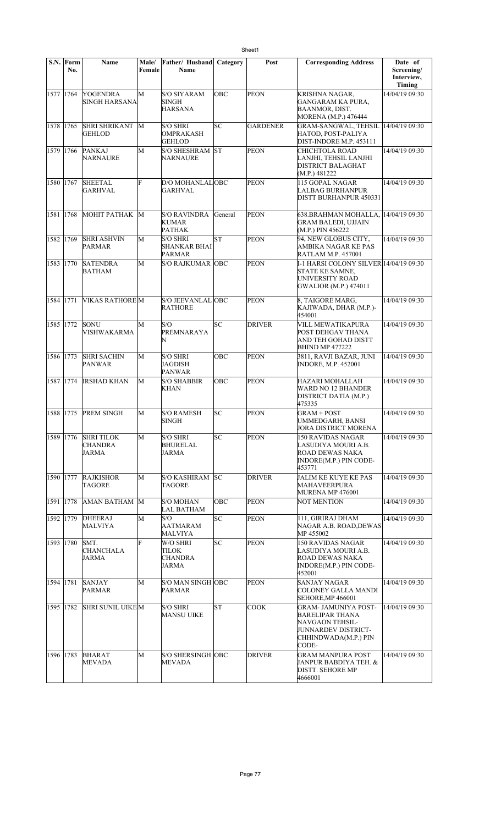|           | S.N. Form<br>No. | Name                                        | Male/<br>Female | Father/ Husband<br>Name                              | Category   | Post            | <b>Corresponding Address</b>                                                                                       | Date of<br>Screening/<br>Interview,<br>Timing |
|-----------|------------------|---------------------------------------------|-----------------|------------------------------------------------------|------------|-----------------|--------------------------------------------------------------------------------------------------------------------|-----------------------------------------------|
| 1577 1764 |                  | <b>YOGENDRA</b><br><b>SINGH HARSANA</b>     | M               | <b>S/O SIYARAM</b><br><b>SINGH</b><br><b>HARSANA</b> | <b>OBC</b> | <b>PEON</b>     | KRISHNA NAGAR,<br><b>GANGARAM KA PURA,</b><br><b>BAANMOR, DIST.</b><br>MORENA (M.P.) 476444                        | 14/04/19 09:30                                |
| 1578 1765 |                  | <b>SHRI SHRIKANT</b><br>GEHLOD              | M               | <b>S/O SHRI</b><br>OMPRAKASH<br><b>GEHLOD</b>        | SC         | <b>GARDENER</b> | GRAM-SANGWAL, TEHSIL<br>HATOD, POST-PALIYA<br>DIST-INDORE M.P. 453111                                              | 14/04/19 09:30                                |
| 1579 1766 |                  | <b>PANKAJ</b><br><b>NARNAURE</b>            | M               | <b>S/O SHESHRAM</b><br>NARNAURE                      | lst        | <b>PEON</b>     | CHICHTOLA ROAD<br>LANJHI, TEHSIL LANJHI<br><b>DISTRICT BALAGHAT</b><br>(M.P.) 481222                               | 14/04/19 09:30                                |
| 1580 1767 |                  | <b>SHEETAL</b><br>GARHVAL                   | F               | D/O MOHANLALOBC<br><b>GARHVAL</b>                    |            | <b>PEON</b>     | 115 GOPAL NAGAR<br>LALBAG BURHANPUR<br>DISTT BURHANPUR 450331                                                      | 14/04/19 09:30                                |
| 1581 1768 |                  | МОНІТ РАТНАК                                | M               | <b>S/O RAVINDRA</b><br><b>KUMAR</b><br><b>PATHAK</b> | General    | <b>PEON</b>     | 638.BRAHMAN MOHALLA,<br><b>GRAM BALEDI, UJJAIN</b><br>(M.P.) PIN 456222                                            | 14/04/19 09:30                                |
| 1582 1769 |                  | <b>SHRI ASHVIN</b><br>PARMAR                | M               | <b>S/O SHRI</b><br>SHANKAR BHAI<br><b>PARMAR</b>     | <b>ST</b>  | <b>PEON</b>     | 94, NEW GLOBUS CITY,<br>AMBIKA NAGAR KE PAS<br>RATLAM M.P. 457001                                                  | 14/04/19 09:30                                |
| 1583 1770 |                  | <b>SATENDRA</b><br>BATHAM                   | M               | <b>S/O RAJKUMAR OBC</b>                              |            | <b>PEON</b>     | I-1 HARSI COLONY SILVER 14/04/19 09:30<br>STATE KE SAMNE,<br>UNIVERSITY ROAD<br><b>GWALIOR (M.P.) 474011</b>       |                                               |
| 1584 1771 |                  | <b>VIKAS RATHORE M</b>                      |                 | S/O JEEVANLAL OBC<br><b>RATHORE</b>                  |            | <b>PEON</b>     | 8, TAIGORE MARG,<br>KAJIWADA, DHAR (M.P.)-<br>454001                                                               | 14/04/19 09:30                                |
| 1585 1772 |                  | <b>SONU</b><br><b>VISHWAKARMA</b>           | M               | S/O<br>PREMNARAYA<br>N                               | SC         | <b>DRIVER</b>   | VILL MEWATIKAPURA<br>POST DEHGAV THANA<br>AND TEH GOHAD DISTT<br><b>BHIND MP 477222</b>                            | 14/04/19 09:30                                |
| 1586 1773 |                  | <b>SHRI SACHIN</b><br><b>PANWAR</b>         | М               | <b>S/O SHRI</b><br><b>JAGDISH</b><br><b>PANWAR</b>   | OBC        | <b>PEON</b>     | 3811, RAVJI BAZAR, JUNI<br><b>INDORE, M.P. 452001</b>                                                              | 14/04/19 09:30                                |
| 1587 1774 |                  | <b>IRSHAD KHAN</b>                          | M               | <b>S/O SHABBIR</b><br><b>KHAN</b>                    | OBC        | <b>PEON</b>     | HAZARI MOHALLAH<br>WARD NO 12 BHANDER<br>DISTRICT DATIA (M.P.)<br>475335                                           | 14/04/19 09:30                                |
| 1588 1775 |                  | <b>PREM SINGH</b>                           | M               | <b>S/O RAMESH</b><br>SINGH                           | SC         | <b>PEON</b>     | <b>GRAM + POST</b><br>UMMEDGARH, BANSI<br>JORA DISTRICT MORENA                                                     | 14/04/19 09:30                                |
|           | 1589 1776        | <b>SHRITILOK</b><br>CHANDRA<br><b>JARMA</b> | M               | <b>S/O SHRI</b><br><b>BHURELAL</b><br><b>JARMA</b>   | SC         | <b>PEON</b>     | <b>150 RAVIDAS NAGAR</b><br>LASUDIYA MOURI A.B.<br>ROAD DEWAS NAKA<br>INDORE(M.P.) PIN CODE-<br>453771             | 14/04/19 09:30                                |
| 1590 1777 |                  | <b>RAJKISHOR</b><br>TAGORE                  | M               | <b>S/O KASHIRAM</b><br><b>TAGORE</b>                 | <b>SC</b>  | <b>DRIVER</b>   | JALIM KE KUYE KE PAS<br>MAHAVEERPURA<br>MURENA MP 476001                                                           | 14/04/19 09:30                                |
| 1591 1778 |                  | AMAN BATHAM M                               |                 | S/O MOHAN<br><b>LAL BATHAM</b>                       | OBC        | PEON            | NOT MENTION                                                                                                        | 14/04/19 09:30                                |
| 1592 1779 |                  | <b>DHEERAJ</b><br><b>MALVIYA</b>            | М               | S/O<br><b>AATMARAM</b><br><b>MALVIYA</b>             | SC         | <b>PEON</b>     | 111, GIRIRAJ DHAM<br>NAGAR A.B. ROAD,DEWAS<br>MP 455002                                                            | 14/04/19 09:30                                |
| 1593 1780 |                  | SMT.<br>CHANCHALA<br><b>JARMA</b>           | F               | W/O SHRI<br>TILOK<br><b>CHANDRA</b><br><b>JARMA</b>  | SC         | <b>PEON</b>     | 150 RAVIDAS NAGAR<br>LASUDIYA MOURI A.B.<br>ROAD DEWAS NAKA<br>INDORE(M.P.) PIN CODE-<br>452001                    | 14/04/19 09:30                                |
| 1594 1781 |                  | <b>SANJAY</b><br><b>PARMAR</b>              | M               | S/O MAN SINGH OBC<br>PARMAR                          |            | <b>PEON</b>     | SANJAY NAGAR<br><b>COLONEY GALLA MANDI</b><br><b>SEHORE, MP 466001</b>                                             | 14/04/19 09:30                                |
| 1595 1782 |                  | SHRI SUNIL UIKEM                            |                 | <b>S/O SHRI</b><br><b>MANSU UIKE</b>                 | ST         | COOK            | GRAM- JAMUNIYA POST-<br>BARELIPAR THANA<br>NAVGAON TEHSIL-<br>JUNNARDEV DISTRICT-<br>CHHINDWADA(M.P.) PIN<br>CODE- | 14/04/19 09:30                                |
| 1596 1783 |                  | <b>BHARAT</b><br><b>MEVADA</b>              | М               | <b>S/O SHERSINGH OBC</b><br><b>MEVADA</b>            |            | <b>DRIVER</b>   | <b>GRAM MANPURA POST</b><br>JANPUR BABDIYA TEH. &<br>DISTT. SEHORE MP<br>4666001                                   | 14/04/19 09:30                                |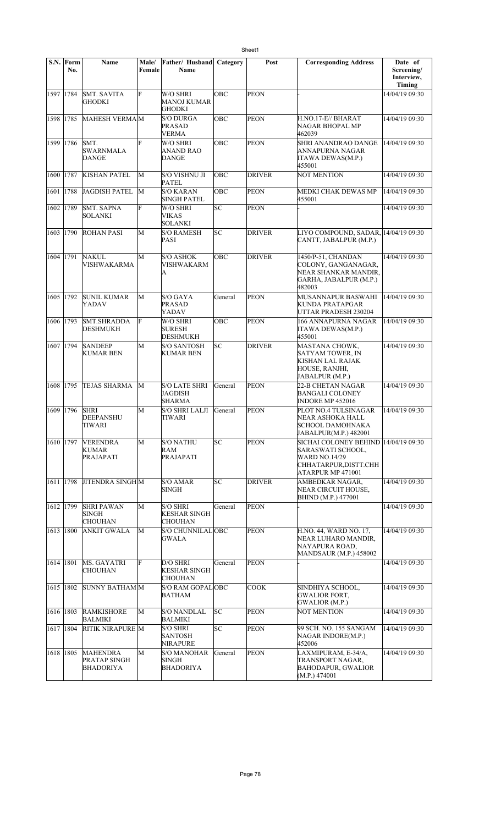|           | S.N. Form<br>No. | Name                                                | Male/<br>Female | Father/ Husband<br><b>Name</b>                         | Category   | Post          | <b>Corresponding Address</b>                                                                                              | Date of<br>Screening/<br>Interview,<br>Timing |
|-----------|------------------|-----------------------------------------------------|-----------------|--------------------------------------------------------|------------|---------------|---------------------------------------------------------------------------------------------------------------------------|-----------------------------------------------|
| 1597 1784 |                  | <b>SMT. SAVITA</b><br>GHODKI                        | F               | W/O SHRI<br><b>MANOJ KUMAR</b><br><b>GHODKI</b>        | <b>OBC</b> | <b>PEON</b>   |                                                                                                                           | 14/04/19 09:30                                |
| 1598 1785 |                  | MAHESH VERMAM                                       |                 | <b>S/O DURGA</b><br><b>PRASAD</b><br><b>VERMA</b>      | <b>OBC</b> | <b>PEON</b>   | H.NO.17-E// BHARAT<br>NAGAR BHOPAL MP<br>462039                                                                           | 14/04/19 09:30                                |
| 1599 1786 |                  | SMT.<br><b>SWARNMALA</b><br>DANGE                   | F               | W/O SHRI<br><b>ANAND RAO</b><br><b>DANGE</b>           | <b>OBC</b> | <b>PEON</b>   | SHRI ANANDRAO DANGE<br>ANNAPURNA NAGAR<br>ITAWA DEWAS(M.P.)<br>455001                                                     | 14/04/19 09:30                                |
| 1600 1787 |                  | <b>KISHAN PATEL</b>                                 | М               | S/O VISHNU JI<br><b>PATEL</b>                          | <b>OBC</b> | <b>DRIVER</b> | <b>NOT MENTION</b>                                                                                                        | 14/04/1909:30                                 |
| 1601      | 1788             | JAGDISH PATEL                                       | M               | <b>S/O KARAN</b><br>SINGH PATEL                        | OBC        | <b>PEON</b>   | MEDKI CHAK DEWAS MP<br>455001                                                                                             | 14/04/19 09:30                                |
| 1602 1789 |                  | <b>SMT. SAPNA</b><br>SOLANKI                        | F               | W/O SHRI<br><b>VIKAS</b><br>SOLANKI                    | lsc        | <b>PEON</b>   |                                                                                                                           | 14/04/19 09:30                                |
| 1603 1790 |                  | <b>ROHAN PASI</b>                                   | M               | <b>S/O RAMESH</b><br>PASI                              | SC         | <b>DRIVER</b> | LIYO COMPOUND, SADAR, 14/04/19 09:30<br>CANTT, JABALPUR (M.P.)                                                            |                                               |
| 1604 1791 |                  | <b>NAKUL</b><br><b>VISHWAKARMA</b>                  | M               | <b>S/O ASHOK</b><br>VISHWAKARM<br>A                    | <b>OBC</b> | <b>DRIVER</b> | 1450/P-51, CHANDAN<br>COLONY, GANGANAGAR,<br>NEAR SHANKAR MANDIR,<br>GARHA, JABALPUR (M.P.)<br>482003                     | 14/04/19 09:30                                |
| 1605 1792 |                  | <b>SUNIL KUMAR</b><br>YADAV                         | M               | S/O GAYA<br><b>PRASAD</b><br>YADAV                     | General    | <b>PEON</b>   | MUSANNAPUR BASWAHI<br>KUNDA PRATAPGAR<br>UTTAR PRADESH 230204                                                             | 14/04/19 09:30                                |
| 1606 1793 |                  | <b>SMT.SHRADDA</b><br>DESHMUKH                      | F               | W/O SHRI<br><b>SURESH</b><br><b>DESHMUKH</b>           | OBC        | <b>PEON</b>   | 166 ANNAPURNA NAGAR<br>ITAWA DEWAS(M.P.)<br>455001                                                                        | 14/04/19 09:30                                |
| 1607 1794 |                  | <b>SANDEEP</b><br><b>KUMAR BEN</b>                  | M               | <b>S/O SANTOSH</b><br><b>KUMAR BEN</b>                 | lsc        | <b>DRIVER</b> | MASTANA CHOWK,<br><b>SATYAM TOWER, IN</b><br>KISHAN LAL RAJAK<br>HOUSE, RANJHI,<br>JABALPUR (M.P.)                        | 14/04/19 09:30                                |
| 1608 1795 |                  | <b>TEJAS SHARMA</b>                                 | M               | <b>S/O LATE SHRI</b><br>JAGDISH<br><b>SHARMA</b>       | General    | <b>PEON</b>   | <b>22-B CHETAN NAGAR</b><br>BANGALI COLONEY<br>INDORE MP 452016                                                           | 14/04/19 09:30                                |
| 1609 1796 |                  | <b>SHRI</b><br>DEEPANSHU<br>TIWARI                  | М               | <b>S/O SHRI LALJI</b><br>TIWARI                        | General    | <b>PEON</b>   | PLOT NO.4 TULSINAGAR<br>NEAR ASHOKA HALL<br>SCHOOL DAMOHNAKA<br>JABALPUR(M.P.) 482001                                     | 14/04/19 09:30                                |
| 1610 1797 |                  | <b>VERENDRA</b><br>KUMAR<br>PRAJAPATI               | M               | <b>S/O NATHU</b><br>RAM<br><b>PRAJAPATI</b>            | SC         | <b>PEON</b>   | SICHAI COLONEY BEHIND  14/04/19 09:30<br>SARASWATI SCHOOL,<br>WARD NO.14/29<br>CHHATARPUR, DISTT.CHH<br>ATARPUR MP 471001 |                                               |
| 1611 1798 |                  | <b>JITENDRA SINGHM</b>                              |                 | <b>S/O AMAR</b><br><b>SINGH</b>                        | SC         | <b>DRIVER</b> | AMBEDKAR NAGAR.<br>NEAR CIRCUIT HOUSE,<br>BHIND (M.P.) 477001                                                             | 14/04/19 09:30                                |
| 1612 1799 |                  | <b>SHRI PAWAN</b><br><b>SINGH</b><br><b>CHOUHAN</b> | M               | <b>S/O SHRI</b><br><b>KESHAR SINGH</b><br>CHOUHAN      | General    | <b>PEON</b>   |                                                                                                                           | 14/04/19 09:30                                |
| 1613 1800 |                  | ANKIT GWALA                                         | М               | S/O CHUNNILALOBC<br><b>GWALA</b>                       |            | <b>PEON</b>   | H.NO. 44, WARD NO. 17,<br>NEAR LUHARO MANDIR,<br>NAYAPURA ROAD,<br><b>MANDSAUR (M.P.) 458002</b>                          | 14/04/19 09:30                                |
| 1614 1801 |                  | MS. GAYATRI<br><b>CHOUHAN</b>                       | F               | D/O SHRI<br><b>KESHAR SINGH</b><br><b>CHOUHAN</b>      | General    | <b>PEON</b>   |                                                                                                                           | 14/04/19 09:30                                |
| 1615 1802 |                  | SUNNY BATHAM M                                      |                 | S/O RAM GOPAL OBC<br><b>BATHAM</b>                     |            | <b>COOK</b>   | SINDHIYA SCHOOL.<br><b>GWALIOR FORT,</b><br>GWALIOR (M.P.)                                                                | 14/04/19 09:30                                |
| 1616 1803 |                  | <b>RAMKISHORE</b><br>BALMIKI                        | М               | <b>S/O NANDLAL</b><br>BALMIKI                          | SC         | <b>PEON</b>   | NOT MENTION                                                                                                               | 14/04/19 09:30                                |
| 1617 1804 |                  | <b>RITIK NIRAPURE M</b>                             |                 | <b>S/O SHRI</b><br><b>SANTOSH</b><br><b>NIRAPURE</b>   | SC         | <b>PEON</b>   | 99 SCH. NO. 155 SANGAM<br>NAGAR INDORE(M.P.)<br>452006                                                                    | 14/04/19 09:30                                |
| 1618 1805 |                  | <b>MAHENDRA</b><br>PRATAP SINGH<br>BHADORIYA        | M               | <b>S/O MANOHAR</b><br><b>SINGH</b><br><b>BHADORIYA</b> | General    | <b>PEON</b>   | LAXMIPURAM, E-34/A,<br>TRANSPORT NAGAR,<br>BAHODAPUR, GWALIOR<br>(M.P.) 474001                                            | 14/04/19 09:30                                |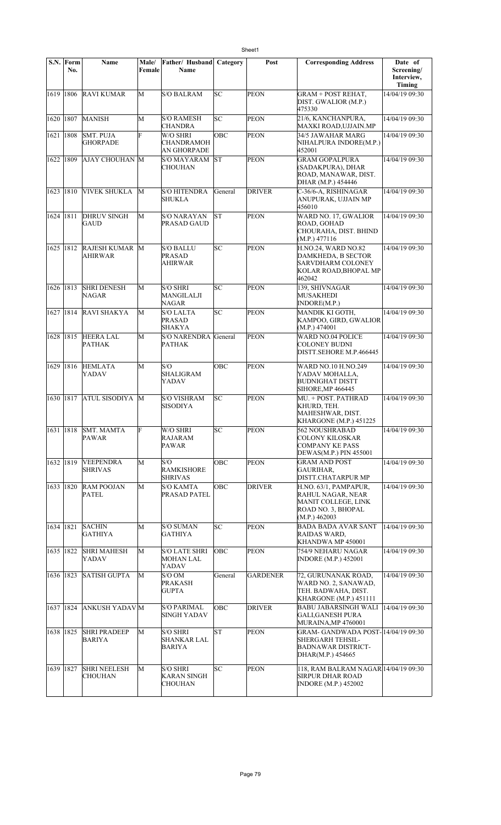|             | S.N. Form<br>No. | Name                                    | Male/<br>Female | Father/Husband<br><b>Name</b>                          | Category  | Post            | <b>Corresponding Address</b>                                                                             | Date of<br>Screening/<br>Interview,<br>Timing |
|-------------|------------------|-----------------------------------------|-----------------|--------------------------------------------------------|-----------|-----------------|----------------------------------------------------------------------------------------------------------|-----------------------------------------------|
| 1619 1806   |                  | <b>RAVI KUMAR</b>                       | M               | <b>S/O BALRAM</b>                                      | lsс       | <b>PEON</b>     | <b>GRAM + POST REHAT,</b><br>DIST. GWALIOR (M.P.)<br>475330                                              | 14/04/19 09:30                                |
| 1620 1807   |                  | <b>MANISH</b>                           | M               | <b>S/O RAMESH</b><br><b>CHANDRA</b>                    | SC        | <b>PEON</b>     | 21/6, KANCHANPURA,<br>MAXKI ROAD,UJJAIN.MP                                                               | 14/04/19 09:30                                |
| 1621 1808   |                  | <b>SMT. PUJA</b><br><b>GHORPADE</b>     | F               | W/O SHRI<br><b>CHANDRAMOH</b><br><b>AN GHORPADE</b>    | OBC       | <b>PEON</b>     | 34/5 JAWAHAR MARG<br>NIHALPURA INDORE(M.P.)<br>452001                                                    | 14/04/19 09:30                                |
| 1622   1809 |                  | AJAY CHOUHAN M                          |                 | S/O MAYARAM<br><b>CHOUHAN</b>                          | <b>ST</b> | <b>PEON</b>     | <b>GRAM GOPALPURA</b><br>(SADAKPURA), DHAR<br>ROAD, MANAWAR, DIST.<br>DHAR (M.P.) 454446                 | 14/04/19 09:30                                |
| 1623 1810   |                  | <b>VIVEK SHUKLA</b>                     | M               | <b>S/O HITENDRA</b><br><b>SHUKLA</b>                   | General   | <b>DRIVER</b>   | C-36/6-A, RISHINAGAR<br>ANUPURAK, UJJAIN MP<br>456010                                                    | 14/04/19 09:30                                |
| 1624 1811   |                  | <b>DHRUV SINGH</b><br><b>GAUD</b>       | M               | <b>S/O NARAYAN</b><br>PRASAD GAUD                      | İST       | <b>PEON</b>     | WARD NO. 17, GWALIOR<br>ROAD, GOHAD<br>CHOURAHA, DIST. BHIND<br>(M.P.) 477116                            | 14/04/19 09:30                                |
| 1625 1812   |                  | <b>RAJESH KUMAR M</b><br><b>AHIRWAR</b> |                 | <b>S/O BALLU</b><br><b>PRASAD</b><br><b>AHIRWAR</b>    | lsс       | <b>PEON</b>     | H.NO.24, WARD NO.82<br>DAMKHEDA, B SECTOR<br><b>SARVDHARM COLONEY</b><br>KOLAR ROAD, BHOPAL MP<br>462042 | 14/04/19 09:30                                |
| 1626 1813   |                  | <b>SHRI DENESH</b><br>NAGAR             | M               | <b>S/O SHRI</b><br><b>MANGILALJI</b><br>NAGAR          | SC        | <b>PEON</b>     | 139, SHIVNAGAR<br><b>MUSAKHEDI</b><br>INDORE(M.P.)                                                       | 14/04/19 09:30                                |
| 1627 1814   |                  | <b>RAVI SHAKYA</b>                      | M               | <b>S/O LALTA</b><br><b>PRASAD</b><br><b>SHAKYA</b>     | SC        | <b>PEON</b>     | MANDIK KI GOTH,<br>KAMPOO, GIRD, GWALIOR<br>(M.P.) 474001                                                | 14/04/19 09:30                                |
| 1628 1815   |                  | <b>HEERA LAL</b><br><b>PATHAK</b>       | М               | S/O NARENDRA General<br><b>PATHAK</b>                  |           | <b>PEON</b>     | <b>WARD NO.04 POLICE</b><br><b>COLONEY BUDNI</b><br>DISTT.SEHORE M.P.466445                              | 14/04/19 09:30                                |
| 1629 1816   |                  | <b>HEMLATA</b><br>YADAV                 | M               | S/O<br><b>SHALIGRAM</b><br>YADAV                       | OBC       | <b>PEON</b>     | WARD NO.10 H.NO.249<br>YADAV MOHALLA.<br><b>BUDNIGHAT DISTT</b><br>SIHORE, MP 466445                     | 14/04/19 09:30                                |
| 1630 1817   |                  | <b>ATUL SISODIYA</b>                    | M               | <b>S/O VISHRAM</b><br><b>SISODIYA</b>                  | SC        | <b>PEON</b>     | MU. + POST. PATHRAD<br>KHURD, TEH.<br>MAHESHWAR, DIST.<br>KHARGONE (M.P.) 451225                         | 14/04/19 09:30                                |
| 1631 1818   |                  | <b>SMT. MAMTA</b><br>PAWAR              | F               | W/O SHRI<br>RAJARAM<br><b>PAWAR</b>                    | SC        | <b>PEON</b>     | 562 NOUSHRABAD<br><b>COLONY KILOSKAR</b><br><b>COMPANY KE PASS</b><br>DEWAS(M.P.) PIN 455001             | 14/04/19 09:30                                |
| 1632 1819   |                  | <b>VEEPENDRA</b><br><b>SHRIVAS</b>      | M               | S/O<br><b>RAMKISHORE</b><br><b>SHRIVAS</b>             | OBC       | PEON            | <b>GRAM AND POST</b><br><b>GAURIHAR.</b><br>DISTT.CHATARPUR MP                                           | 14/04/19 09:30                                |
| 1633   1820 |                  | <b>RAM POOJAN</b><br><b>PATEL</b>       | M               | <b>S/O KAMTA</b><br>PRASAD PATEL                       | OBC       | <b>DRIVER</b>   | H.NO. 63/1, PAMPAPUR,<br>RAHUL NAGAR, NEAR<br>MANIT COLLEGE, LINK<br>ROAD NO. 3, BHOPAL<br>(M.P.) 462003 | 14/04/19 09:30                                |
| 1634 1821   |                  | <b>SACHIN</b><br>GATHIYA                | M               | <b>S/O SUMAN</b><br>GATHIYA                            | lsс       | <b>PEON</b>     | <b>BADA BADA AVAR SANT</b><br>RAIDAS WARD,<br>KHANDWA MP 450001                                          | 14/04/19 09:30                                |
| 1635 1822   |                  | <b>SHRI MAHESH</b><br>YADAV             | M               | <b>S/O LATE SHRI</b><br>MOHAN LAL<br>YADAV             | OBC       | PEON            | 754/9 NEHARU NAGAR<br><b>INDORE</b> (M.P.) 452001                                                        | 14/04/19 09:30                                |
| 1636   1823 |                  | <b>SATISH GUPTA</b>                     | M               | S/O OM<br>PRAKASH<br><b>GUPTA</b>                      | General   | <b>GARDENER</b> | 72, GURUNANAK ROAD,<br>WARD NO. 2, SANAWAD,<br>TEH. BADWAHA, DIST.<br>KHARGONE (M.P.) 451111             | 14/04/19 09:30                                |
| 1637   1824 |                  | ANKUSH YADAV M                          |                 | <b>S/O PARIMAL</b><br><b>SINGH YADAV</b>               | ОВС       | <b>DRIVER</b>   | <b>BABU JABARSINGH WALI</b><br><b>GALI,GANESH PURA</b><br>MURAINA, MP 4760001                            | 14/04/19 09:30                                |
| 1638   1825 |                  | <b>SHRI PRADEEP</b><br>BARIYA           | М               | <b>S/O SHRI</b><br><b>SHANKAR LAL</b><br><b>BARIYA</b> | ST        | <b>PEON</b>     | GRAM- GANDWADA POST-14/04/19 09:30<br>SHERGARH TEHSIL-<br><b>BADNAWAR DISTRICT-</b><br>DHAR(M.P.) 454665 |                                               |
| 1639   1827 |                  | <b>SHRI NEELESH</b><br><b>CHOUHAN</b>   | M               | <b>S/O SHRI</b><br>KARAN SINGH<br><b>CHOUHAN</b>       | SC        | PEON            | 118, RAM BALRAM NAGAR 14/04/19 09:30<br><b>SIRPUR DHAR ROAD</b><br><b>INDORE (M.P.) 452002</b>           |                                               |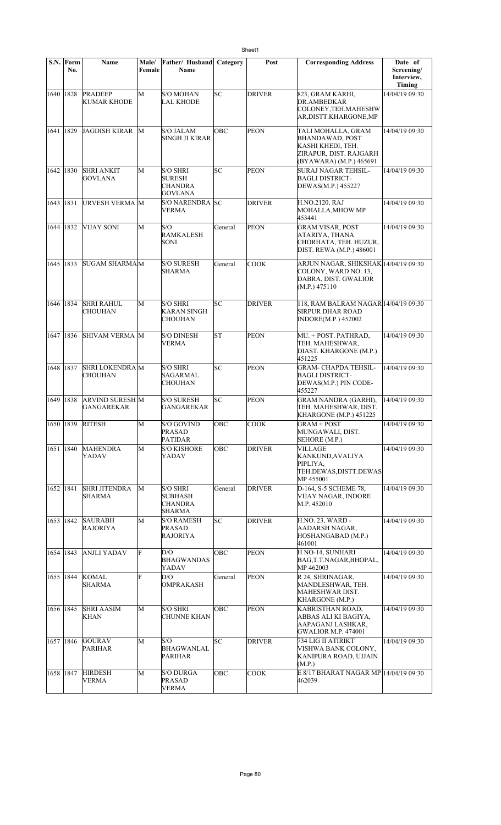|             | S.N. Form<br>No. | <b>Name</b>                                 | Male/<br>Female | Father/ Husband<br><b>Name</b>                                       | Category   | Post          | <b>Corresponding Address</b>                                                                                           | Date of<br>Screening/<br>Interview,<br>Timing |
|-------------|------------------|---------------------------------------------|-----------------|----------------------------------------------------------------------|------------|---------------|------------------------------------------------------------------------------------------------------------------------|-----------------------------------------------|
| 1640 1828   |                  | <b>PRADEEP</b><br><b>KUMAR KHODE</b>        | M               | <b>S/O MOHAN</b><br><b>LAL KHODE</b>                                 | lsс        | <b>DRIVER</b> | 823, GRAM KARHI,<br><b>DR.AMBEDKAR</b><br>COLONEY, TEH.MAHESHW<br>AR,DISTT.KHARGONE,MP                                 | 14/04/19 09:30                                |
| 1641        | 1829             | JAGDISH KIRAR M                             |                 | <b>S/O JALAM</b><br><b>SINGH JI KIRAR</b>                            | OBC        | PEON          | TALI MOHALLA, GRAM<br><b>BHANDAWAD, POST</b><br>KASHI KHEDI, TEH.<br>ZIRAPUR, DIST. RAJGARH<br>(BYAWARA) (M.P.) 465691 | 14/04/19 09:30                                |
| 1642   1830 |                  | <b>SHRI ANKIT</b><br><b>GOVLANA</b>         | M               | <b>S/O SHRI</b><br><b>SURESH</b><br><b>CHANDRA</b><br>GOVLANA        | lsс        | <b>PEON</b>   | <b>SURAJ NAGAR TEHSIL-</b><br><b>BAGLI DISTRICT-</b><br>DEWAS(M.P.) 455227                                             | 14/04/19 09:30                                |
| 1643   1831 |                  | <b>URVESH VERMA M</b>                       |                 | S/O NARENDRA SC<br>VERMA                                             |            | DRIVER        | H.NO.2120, RAJ<br>MOHALLA, MHOW MP<br>453441                                                                           | 14/04/19 09:30                                |
| 1644 1832   |                  | <b>VIJAY SONI</b>                           | M               | S/O<br><b>RAMKALESH</b><br>SONI                                      | General    | <b>PEON</b>   | <b>GRAM VISAR, POST</b><br>ATARIYA, THANA<br>CHORHATA, TEH. HUZUR,<br>DIST. REWA (M.P.) 486001                         | 14/04/19 09:30                                |
| 1645        | 1833             | SUGAM SHARMA M                              |                 | <b>S/O SURESH</b><br>SHARMA                                          | General    | <b>COOK</b>   | ARJUN NAGAR, SHIKSHAK 14/04/19 09:30<br>COLONY, WARD NO. 13,<br>DABRA, DIST. GWALIOR<br>(M.P.) 475110                  |                                               |
| 1646   1834 |                  | <b>SHRI RAHUL</b><br>CHOUHAN                | M               | <b>S/O SHRI</b><br>KARAN SINGH<br><b>CHOUHAN</b>                     | SC         | <b>DRIVER</b> | 118, RAM BALRAM NAGAR 14/04/19 09:30<br><b>SIRPUR DHAR ROAD</b><br><b>INDORE(M.P.) 452002</b>                          |                                               |
| 1647   1836 |                  | <b>SHIVAM VERMA M</b>                       |                 | <b>S/O DINESH</b><br>VERMA                                           | lsт        | PEON          | MU. + POST. PATHRAD,<br>TEH. MAHESHWAR,<br>DIAST. KHARGONE (M.P.)<br>451225                                            | 14/04/19 09:30                                |
| 1648 1837   |                  | <b>SHRI LOKENDRA M</b><br>CHOUHAN           |                 | <b>S/O SHRI</b><br>SAGARMAL<br>CHOUHAN                               | SC         | <b>PEON</b>   | <b>GRAM- CHAPDA TEHSIL-</b><br><b>BAGLI DISTRICT-</b><br>DEWAS(M.P.) PIN CODE-<br>455227                               | 14/04/19 09:30                                |
| 1649   1838 |                  | <b>ARVIND SURESH M</b><br><b>GANGAREKAR</b> |                 | <b>S/O SURESH</b><br>GANGAREKAR                                      | SC         | <b>PEON</b>   | <b>GRAM NANDRA (GARHI),</b><br>TEH. MAHESHWAR, DIST.<br>KHARGONE (M.P.) 451225                                         | 14/04/19 09:30                                |
|             |                  | 1650  1839  RITESH                          | М               | S/O GOVIND<br>PRASAD<br><b>PATIDAR</b>                               | OВC        | COOK          | GRAM + POST<br>MUNGAWALI, DIST.<br>SEHORE (M.P.)                                                                       | 14/04/19 09:30                                |
| 1651   1840 |                  | MAHENDRA<br>YADAV                           | М               | <b>S/O KISHORE</b><br>YADAV                                          | <b>OBC</b> | <b>DRIVER</b> | VILLAGE<br>KANKUND, AVALIYA<br>PIPLIYA,<br>TEH.DEWAS, DISTT.DEWAS<br>MP 455001                                         | 14/04/19 09:30                                |
| 1652   1841 |                  | <b>SHRI JITENDRA</b><br><b>SHARMA</b>       | М               | <b>S/O SHRI</b><br><b>SUBHASH</b><br><b>CHANDRA</b><br><b>SHARMA</b> | General    | <b>DRIVER</b> | D-164, S-5 SCHEME 78,<br>VIJAY NAGAR, INDORE<br>M.P. 452010                                                            | 14/04/19 09:30                                |
| 1653 1842   |                  | <b>SAURABH</b><br><b>RAJORIYA</b>           | M               | <b>S/O RAMESH</b><br><b>PRASAD</b><br><b>RAJORIYA</b>                | SC         | DRIVER        | H.NO. 23, WARD -<br>AADARSH NAGAR,<br>HOSHANGABAD (M.P.)<br>461001                                                     | 14/04/19 09:30                                |
| 1654   1843 |                  | <b>ANJLI YADAV</b>                          | F               | D/O<br><b>BHAGWANDAS</b><br>YADAV                                    | OBC        | <b>PEON</b>   | H NO-14, SUNHARI<br>BAG,T.T.NAGAR,BHOPAL,<br>MP 462003                                                                 | 14/04/19 09:30                                |
| 1655   1844 |                  | KOMAL<br><b>SHARMA</b>                      | F               | D/O<br><b>OMPRAKASH</b>                                              | General    | <b>PEON</b>   | R 24, SHRINAGAR,<br>MANDLESHWAR, TEH.<br>MAHESHWAR DIST.<br>KHARGONE (M.P.)                                            | 14/04/19 09:30                                |
| 1656 1845   |                  | <b>SHRI AASIM</b><br><b>KHAN</b>            | M               | <b>S/O SHRI</b><br><b>CHUNNE KHAN</b>                                | OBC        | PEON          | <b>KABRISTHAN ROAD,</b><br>ABBAS ALI KI BAGIYA,<br>AAPAGANJ LASHKAR,<br><b>GWALIOR M.P. 474001</b>                     | 14/04/19 09:30                                |
| 1657   1846 |                  | <b>GOURAV</b><br><b>PARIHAR</b>             | M               | S/O<br><b>BHAGWANLAL</b><br>PARIHAR                                  | SC         | <b>DRIVER</b> | 734 LIG II ATIRIKT<br>VISHWA BANK COLONY,<br>KANIPURA ROAD, UJJAIN<br>(M.P.)                                           | 14/04/19 09:30                                |
| 1658 1847   |                  | <b>HIRDESH</b><br><b>VERMA</b>              | M               | <b>S/O DURGA</b><br><b>PRASAD</b><br><b>VERMA</b>                    | OBC        | <b>COOK</b>   | E 8/17 BHARAT NAGAR MP 14/04/19 09:30<br>462039                                                                        |                                               |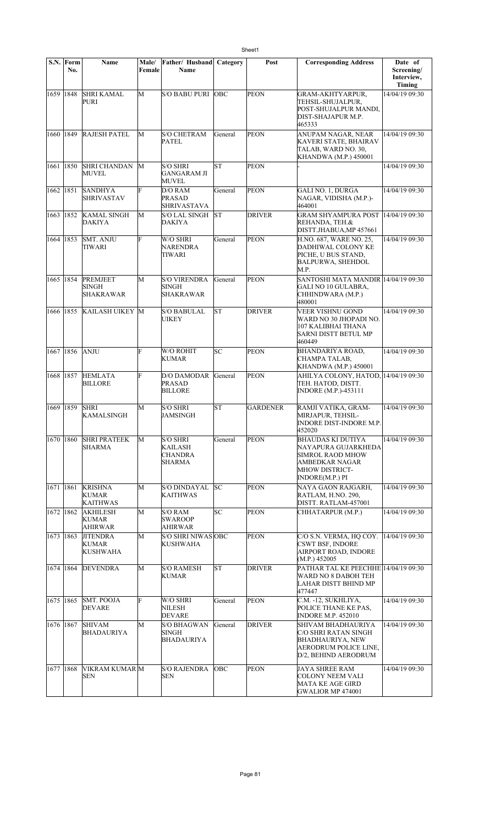|             | S.N. Form<br>No. | Name                                               | Male/<br>Female | Father/ Husband<br>Name                                       | Category   | Post            | <b>Corresponding Address</b>                                                                                                      | Date of<br>Screening/<br>Interview,<br><b>Timing</b> |
|-------------|------------------|----------------------------------------------------|-----------------|---------------------------------------------------------------|------------|-----------------|-----------------------------------------------------------------------------------------------------------------------------------|------------------------------------------------------|
| 1659 1848   |                  | <b>SHRI KAMAL</b><br>PURI                          | M               | <b>S/O BABU PURI</b>                                          | <b>OBC</b> | <b>PEON</b>     | <b>GRAM-AKHTYARPUR,</b><br>TEHSIL-SHUJALPUR,<br>POST-SHUJALPUR MANDI,<br>DIST-SHAJAPUR M.P.<br>465333                             | 14/04/19 09:30                                       |
| 1660 1849   |                  | <b>RAJESH PATEL</b>                                | М               | <b>S/O CHETRAM</b><br><b>PATEL</b>                            | General    | <b>PEON</b>     | ANUPAM NAGAR, NEAR<br>KAVERI STATE, BHAIRAV<br>TALAB, WARD NO. 30,<br><b>KHANDWA (M.P.) 450001</b>                                | 14/04/19 09:30                                       |
| 1661 1850   |                  | <b>SHRI CHANDAN</b><br>MUVEL                       | M               | <b>S/O SHRI</b><br><b>GANGARAM JI</b><br><b>MUVEL</b>         | lsт        | <b>PEON</b>     |                                                                                                                                   | 14/04/19 09:30                                       |
| 1662   1851 |                  | <b>SANDHYA</b><br><b>SHRIVASTAV</b>                | F               | D/O RAM<br><b>PRASAD</b><br><b>SHRIVASTAVA</b>                | General    | <b>PEON</b>     | GALI NO. 1, DURGA<br>NAGAR, VIDISHA (M.P.)-<br>464001                                                                             | 14/04/19 09:30                                       |
|             | 1663   1852      | <b>KAMAL SINGH</b><br>DAKIYA                       | M               | S/O LAL SINGH<br><b>DAKIYA</b>                                | <b>ST</b>  | <b>DRIVER</b>   | <b>GRAM SHYAMPURA POST 14/04/19 09:30</b><br>REHANDA, TEH.&<br>DISTT.JHABUA,MP 457661                                             |                                                      |
| 1664   1853 |                  | <b>SMT. ANJU</b><br>TIWARI                         | F               | W/O SHRI<br>NARENDRA<br><b>TIWARI</b>                         | General    | <b>PEON</b>     | H.NO. 687, WARE NO. 25,<br>DADHIWAL COLONY KE<br>PICHE, U BUS STAND,<br><b>BALPURWA, SHEHDOL</b><br>M.P.                          | 14/04/19 09:30                                       |
| 1665 1854   |                  | PREMJEET<br><b>SINGH</b><br><b>SHAKRAWAR</b>       | M               | <b>S/O VIRENDRA</b><br><b>SINGH</b><br>SHAKRAWAR              | General    | <b>PEON</b>     | SANTOSHI MATA MANDIR 14/04/19 09:30<br>GALI NO 10 GULABRA,<br>CHHINDWARA (M.P.)<br>480001                                         |                                                      |
| 1666   1855 |                  | <b>KAILASH UIKEY M</b>                             |                 | <b>S/O BABULAL</b><br><b>UIKEY</b>                            | <b>ST</b>  | <b>DRIVER</b>   | <b>VEER VISHNU GOND</b><br>WARD NO 30 JHOPADI NO.<br>107 KALIBHAI THANA<br>SARNI DISTT BETUL MP<br>460449                         | 14/04/19 09:30                                       |
| 1667        | 1856             | <b>ANJU</b>                                        | F               | W/O ROHIT<br><b>KUMAR</b>                                     | SC         | <b>PEON</b>     | <b>BHANDARIYA ROAD,</b><br>CHAMPA TALAB,<br><b>KHANDWA (M.P.) 450001</b>                                                          | 14/04/19 09:30                                       |
| 1668 1857   |                  | <b>HEMLATA</b><br><b>BILLORE</b>                   | F               | D/O DAMODAR<br><b>PRASAD</b><br><b>BILLORE</b>                | General    | PEON            | AHILYA COLONY, HATOD, 14/04/19 09:30<br>TEH. HATOD, DISTT.<br><b>INDORE</b> (M.P.)-453111                                         |                                                      |
| 1669   1859 |                  | <b>SHRI</b><br><b>KAMALSINGH</b>                   | M               | <b>S/O SHRI</b><br>JAMSINGH                                   | <b>ST</b>  | <b>GARDENER</b> | RAMJI VATIKA, GRAM-<br>MIRJAPUR, TEHSIL-<br>INDORE DIST-INDORE M.P.<br>452020                                                     | 14/04/19 09:30                                       |
| 1670 1860   |                  | <b>SHRI PRATEEK</b><br><b>SHARMA</b>               | М               | <b>S/O SHRI</b><br><b>KAILASH</b><br><b>CHANDRA</b><br>SHARMA | General    | <b>PEON</b>     | <b>BHAUDAS KI DUTIYA</b><br>NAYAPURA GUJARKHEDA<br>SIMROL RAOD MHOW<br>AMBEDKAR NAGAR<br><b>MHOW DISTRICT-</b><br>INDORE(M.P.) PI | 14/04/19 09:30                                       |
| 1671 1861   |                  | <b>KRISHNA</b><br>KUMAR<br><b>KAITHWAS</b>         | М               | <b>S/O DINDAYAL</b><br><b>KAITHWAS</b>                        | lsc        | <b>PEON</b>     | NAYA GAON RAJGARH,<br>RATLAM, H.NO. 290,<br>DISTT. RATLAM-457001                                                                  | 14/04/19 09:30                                       |
| 1672 1862   |                  | <b>AKHILESH</b><br><b>KUMAR</b><br><b>AHIRWAR</b>  | М               | S/O RAM<br><b>SWAROOP</b><br><b>AHIRWAR</b>                   | SC         | <b>PEON</b>     | CHHATARPUR (M.P.)                                                                                                                 | 14/04/19 09:30                                       |
| 1673   1863 |                  | <b>JITENDRA</b><br><b>KUMAR</b><br><b>KUSHWAHA</b> | М               | S/O SHRI NIWAS OBC<br>KUSHWAHA                                |            | <b>PEON</b>     | C/O S.N. VERMA, HQ COY.<br>CSWT BSF, INDORE<br>AIRPORT ROAD, INDORE<br>(M.P.) 452005                                              | 14/04/19 09:30                                       |
| 1674   1864 |                  | <b>DEVENDRA</b>                                    | M               | <b>S/O RAMESH</b><br><b>KUMAR</b>                             | lsт        | <b>DRIVER</b>   | PATHAR TAL KE PEECHHE 14/04/19 09:30<br>WARD NO 8 DABOH TEH<br>LAHAR DISTT BHIND MP<br>477447                                     |                                                      |
| 1675 1865   |                  | <b>SMT. POOJA</b><br><b>DEVARE</b>                 | F               | W/O SHRI<br>NILESH<br><b>DEVARE</b>                           | General    | <b>PEON</b>     | C.M. -12, SUKHLIYA,<br>POLICE THANE KE PAS,<br><b>INDORE M.P. 452010</b>                                                          | 14/04/19 09:30                                       |
| 1676 1867   |                  | <b>SHIVAM</b><br><b>BHADAURIYA</b>                 | М               | <b>S/O BHAGWAN</b><br><b>SINGH</b><br><b>BHADAURIYA</b>       | General    | <b>DRIVER</b>   | SHIVAM BHADHAURIYA<br>C/O SHRI RATAN SINGH<br><b>BHADHAURIYA, NEW</b><br>AERODRUM POLICE LINE,<br>D/2, BEHIND AERODRUM            | 14/04/19 09:30                                       |
| 1677   1868 |                  | VIKRAM KUMAR M<br><b>SEN</b>                       |                 | <b>S/O RAJENDRA</b><br>SEN                                    | <b>OBC</b> | <b>PEON</b>     | JAYA SHREE RAM<br><b>COLONY NEEM VALI</b><br>MATA KE AGE GIRD<br>GWALIOR MP 474001                                                | 14/04/19 09:30                                       |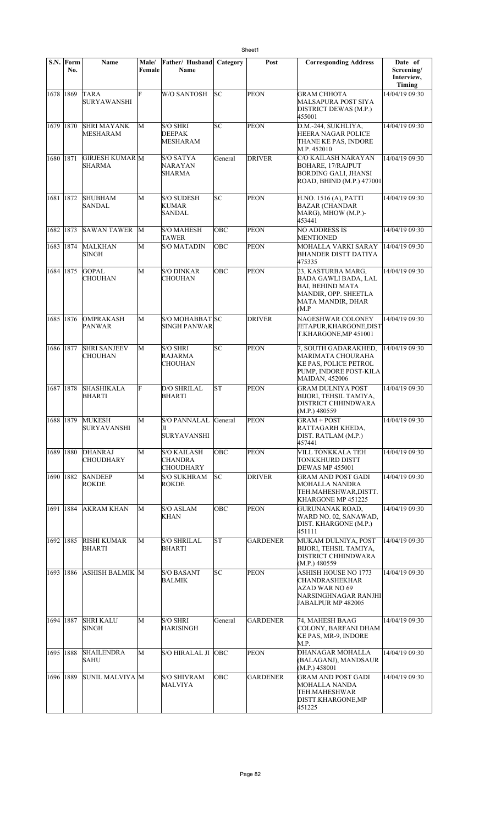|           | S.N. Form<br>No. | <b>Name</b>                            | Male/<br>Female | Father/ Husband<br>Name                                  | Category | Post            | <b>Corresponding Address</b>                                                                                                       | Date of<br>Screening/<br>Interview,<br>Timing |
|-----------|------------------|----------------------------------------|-----------------|----------------------------------------------------------|----------|-----------------|------------------------------------------------------------------------------------------------------------------------------------|-----------------------------------------------|
| 1678 1869 |                  | TARA<br><b>SURYAWANSHI</b>             | Ė               | <b>W/O SANTOSH</b>                                       | lsс      | <b>PEON</b>     | GRAM CHHOTA<br>MALSAPURA POST SIYA<br>DISTRICT DEWAS (M.P.)<br>455001                                                              | 14/04/19 09:30                                |
| 1679 1870 |                  | <b>SHRI MAYANK</b><br>MESHARAM         | М               | <b>S/O SHRI</b><br><b>DEEPAK</b><br><b>MESHARAM</b>      | SC       | <b>PEON</b>     | D.M.-244, SUKHLIYA,<br>HEERA NAGAR POLICE<br>THANE KE PAS, INDORE<br>M.P. 452010                                                   | 14/04/19 09:30                                |
| 1680 1871 |                  | GIRJESH KUMAR M<br>SHARMA              |                 | S/O SATYA<br>NARAYAN<br>SHARMA                           | General  | <b>DRIVER</b>   | C/O KAILASH NARAYAN<br>BOHARE, 17/RAJPUT<br><b>BORDING GALI, JHANSI</b><br>ROAD, BHIND (M.P.) 477001                               | 14/04/19 09:30                                |
| 1681 1872 |                  | <b>SHUBHAM</b><br>SANDAL               | М               | <b>S/O SUDESH</b><br>KUMAR<br>SANDAL                     | SC       | <b>PEON</b>     | H.NO. 1516 (A), PATTI<br><b>BAZAR (CHANDAR</b><br>MARG), MHOW (M.P.)-<br>453441                                                    | 14/04/19 09:30                                |
| 1682 1873 |                  | <b>SAWAN TAWER</b>                     | M               | <b>S/O MAHESH</b><br>TAWER                               | OBC      | <b>PEON</b>     | NO ADDRESS IS<br>MENTIONED                                                                                                         | 14/04/19 09:30                                |
| 1683 1874 |                  | MALKHAN<br><b>SINGH</b>                | M               | <b>S/O MATADIN</b>                                       | OBC      | PEON            | MOHALLA VARKI SARAY<br>BHANDER DISTT DATIYA<br>475335                                                                              | 14/04/19 09:30                                |
| 1684 1875 |                  | <b>GOPAL</b><br>CHOUHAN                | М               | <b>S/O DINKAR</b><br>CHOUHAN                             | OBC      | <b>PEON</b>     | 23, KASTURBA MARG,<br><b>BADA GAWLI BADA, LAL</b><br><b>BAI, BEHIND MATA</b><br>MANDIR, OPP. SHEETLA<br>MATA MANDIR, DHAR<br>(M.P) | 14/04/19 09:30                                |
| 1685 1876 |                  | <b>OMPRAKASH</b><br>PANWAR             | M               | S/O MOHABBAT SC<br>SINGH PANWAR                          |          | <b>DRIVER</b>   | NAGESHWAR COLONEY<br>JETAPUR,KHARGONE,DIST<br>T.KHARGONE, MP 451001                                                                | 14/04/19 09:30                                |
| 1686 1877 |                  | <b>SHRI SANJEEV</b><br>CHOUHAN         | М               | S/O SHRI<br>RAJARMA<br>CHOUHAN                           | lsc      | <b>PEON</b>     | 7, SOUTH GADARAKHED,<br>MARIMATA CHOURAHA<br>KE PAS, POLICE PETROL<br>PUMP, INDORE POST-KILA<br><b>MAIDAN, 452006</b>              | 14/04/19 09:30                                |
| 1687 1878 |                  | <b>SHASHIKALA</b><br>BHARTI            | F               | <b>D/O SHRILAL</b><br><b>BHARTI</b>                      | lst      | <b>PEON</b>     | GRAM DULNIYA POST<br>BIJORI, TEHSIL TAMIYA,<br>DISTRICT CHHINDWARA<br>(M.P.) 480559                                                | 14/04/19 09:30                                |
|           |                  | 1688 1879 MUKESH<br><b>SURYAVANSHI</b> | М               | S/O PANNALAL General<br>JI<br><b>SURYAVANSHI</b>         |          | PEON            | <b>GRAM + POST</b><br>RATTAGARH KHEDA,<br>DIST. RATLAM (M.P.)<br>457441                                                            | 14/04/19 09:30                                |
| 1689 1880 |                  | <b>DHANRAJ</b><br><b>CHOUDHARY</b>     | M               | <b>S/O KAILASH</b><br><b>CHANDRA</b><br><b>CHOUDHARY</b> | OBC      | <b>PEON</b>     | VILL TONKKALA TEH<br>TONKKHURD DISTT<br><b>DEWAS MP 455001</b>                                                                     | 14/04/19 09:30                                |
| 1690 1882 |                  | <b>SANDEEP</b><br><b>ROKDE</b>         | M               | <b>S/O SUKHRAM</b><br><b>ROKDE</b>                       | SC       | <b>DRIVER</b>   | GRAM AND POST GADI<br>MOHALLA NANDRA<br>TEH.MAHESHWAR,DISTT.<br>KHARGONE MP 451225                                                 | 14/04/19 09:30                                |
| 1691 1884 |                  | <b>AKRAM KHAN</b>                      | М               | <b>S/O ASLAM</b><br>KHAN                                 | OBC      | <b>PEON</b>     | GURUNANAK ROAD.<br>WARD NO. 02, SANAWAD,<br>DIST. KHARGONE (M.P.)<br>451111                                                        | 14/04/19 09:30                                |
| 1692 1885 |                  | <b>RISHI KUMAR</b><br>BHARTI           | M               | <b>S/O SHRILAL</b><br><b>BHARTI</b>                      | lsт      | <b>GARDENER</b> | MUKAM DULNIYA, POST<br>BIJORI, TEHSIL TAMIYA,<br>DISTRICT CHHINDWARA<br>(M.P.) 480559                                              | 14/04/19 09:30                                |
| 1693 1886 |                  | <b>ASHISH BALMIK M</b>                 |                 | <b>S/O BASANT</b><br><b>BALMIK</b>                       | SC       | <b>PEON</b>     | <b>ASHISH HOUSE NO 1773</b><br>CHANDRASHEKHAR<br>AZAD WAR NO 69<br>NARSINGHNAGAR RANJHI<br>JABALPUR MP 482005                      | 14/04/19 09:30                                |
| 1694 1887 |                  | <b>SHRI KALU</b><br>SINGH              | М               | <b>S/O SHRI</b><br>HARISINGH                             | General  | <b>GARDENER</b> | 74, MAHESH BAAG<br>COLONY, BARFANI DHAM<br>KE PAS, MR-9, INDORE<br>M.P.                                                            | 14/04/19 09:30                                |
| 1695 1888 |                  | <b>SHAILENDRA</b><br>SAHU              | M               | S/O HIRALAL JI OBC                                       |          | <b>PEON</b>     | DHANAGAR MOHALLA<br>(BALAGANJ), MANDSAUR<br>(M.P.) 458001                                                                          | 14/04/19 09:30                                |
| 1696 1889 |                  | SUNIL MALVIYA M                        |                 | <b>S/O SHIVRAM</b><br>MALVIYA                            | OBC      | GARDENER        | GRAM AND POST GADI<br>MOHALLA NANDA<br>TEH.MAHESHWAR<br>DISTT.KHARGONE,MP<br>451225                                                | 14/04/19 09:30                                |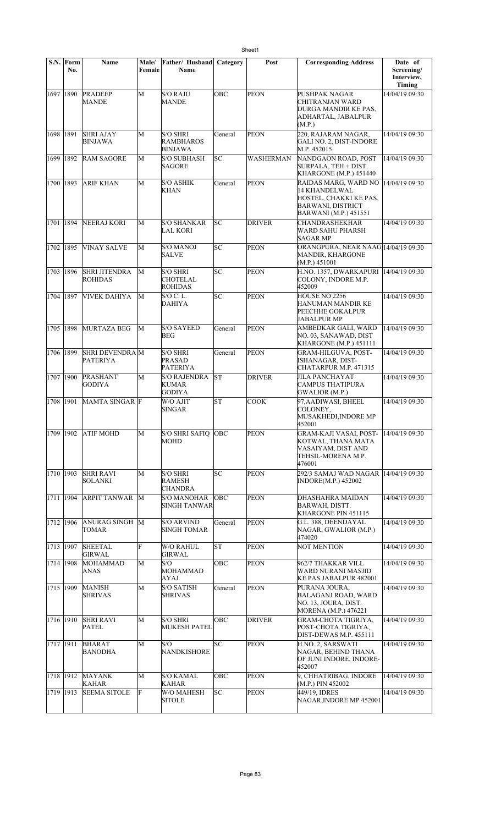|             | S.N. Form<br>No. | <b>Name</b>                              | Male/<br>Female | Father/ Husband Category<br>Name                      |           | Post             | <b>Corresponding Address</b>                                                                                                       | Date of<br>Screening/<br>Interview,<br>Timing |
|-------------|------------------|------------------------------------------|-----------------|-------------------------------------------------------|-----------|------------------|------------------------------------------------------------------------------------------------------------------------------------|-----------------------------------------------|
| 1697   1890 |                  | <b>PRADEEP</b><br><b>MANDE</b>           | М               | <b>S/O RAJU</b><br><b>MANDE</b>                       | OBC       | <b>PEON</b>      | PUSHPAK NAGAR<br>CHITRANJAN WARD<br>DURGA MANDIR KE PAS,<br>ADHARTAL, JABALPUR<br>(M.P.)                                           | 14/04/19 09:30                                |
| 1698        | 1891             | <b>SHRI AJAY</b><br><b>BINJAWA</b>       | М               | <b>S/O SHRI</b><br><b>RAMBHAROS</b><br><b>BINJAWA</b> | General   | <b>PEON</b>      | 220, RAJARAM NAGAR,<br><b>GALI NO. 2, DIST-INDORE</b><br>M.P. 452015                                                               | 14/04/19 09:30                                |
| 1699        | 1892             | <b>RAM SAGORE</b>                        | М               | <b>S/O SUBHASH</b><br><b>SAGORE</b>                   | SC        | <b>WASHERMAN</b> | NANDGAON ROAD, POST<br>SURPALA, TEH + DIST.<br>KHARGONE (M.P.) 451440                                                              | 14/04/19 09:30                                |
| 1700        | 1893             | <b>ARIF KHAN</b>                         | М               | <b>S/O ASHIK</b><br><b>KHAN</b>                       | General   | <b>PEON</b>      | RAIDAS MARG, WARD NO<br><b>14 KHANDELWAL</b><br>HOSTEL, CHAKKI KE PAS,<br><b>BARWANI, DISTRICT</b><br><b>BARWANI</b> (M.P.) 451551 | 14/04/19 09:30                                |
| 1701        | 1894             | NEERAJ KORI                              | М               | <b>S/O SHANKAR</b><br><b>LAL KORI</b>                 | SC        | <b>DRIVER</b>    | <b>CHANDRASHEKHAR</b><br>WARD SAHU PHARSH<br><b>SAGAR MP</b>                                                                       | 14/04/19 09:30                                |
| 1702 1895   |                  | <b>VINAY SALVE</b>                       | M               | <b>S/O MANOJ</b><br><b>SALVE</b>                      | SC        | PEON             | ORANGPURA, NEAR NAAG 14/04/19 09:30<br>MANDIR, KHARGONE<br>(M.P.) 451001                                                           |                                               |
| 1703 1896   |                  | <b>SHRI JITENDRA</b><br><b>ROHIDAS</b>   | M               | <b>S/O SHRI</b><br><b>CHOTELAL</b><br><b>ROHIDAS</b>  | SC        | <b>PEON</b>      | H.NO. 1357, DWARKAPURI   14/04/19 09:30<br>COLONY, INDORE M.P.<br>452009                                                           |                                               |
| 1704        | 1897             | VIVEK DAHIYA                             | M               | S/O C. L.<br><b>DAHIYA</b>                            | <b>SC</b> | <b>PEON</b>      | HOUSE NO 2256<br>HANUMAN MANDIR KE<br>PEECHHE GOKALPUR<br><b>JABALPUR MP</b>                                                       | 14/04/19 09:30                                |
| 1705 1898   |                  | MURTAZA BEG                              | M               | <b>S/O SAYEED</b><br><b>BEG</b>                       | General   | <b>PEON</b>      | AMBEDKAR GALI, WARD<br>NO. 03, SANAWAD, DIST<br>KHARGONE (M.P.) 451111                                                             | 14/04/19 09:30                                |
| 1706 1899   |                  | <b>SHRI DEVENDRAM</b><br><b>PATERIYA</b> |                 | <b>S/O SHRI</b><br><b>PRASAD</b><br>PATERIYA          | General   | <b>PEON</b>      | <b>GRAM-HILGUVA, POST-</b><br>ISHANAGAR, DIST-<br>CHATARPUR M.P. 471315                                                            | 14/04/19 09:30                                |
| 1707 1900   |                  | PRASHANT<br><b>GODIYA</b>                | M               | <b>S/O RAJENDRA</b><br><b>KUMAR</b><br><b>GODIYA</b>  | lst       | <b>DRIVER</b>    | <b>JILA PANCHAYAT</b><br>CAMPUS THATIPURA<br>GWALIOR (M.P.)                                                                        | 14/04/19 09:30                                |
| 1708 1901   |                  | MAMTA SINGAR F                           |                 | W/O AJIT<br><b>SINGAR</b>                             | <b>ST</b> | <b>COOK</b>      | 97, AADIWASI, BHEEL<br>COLONEY,<br>MUSAKHEDI, INDORE MP<br>452001                                                                  | 14/04/19 09:30                                |
| 1709        | 1902             | <b>ATIF MOHD</b>                         | M               | <b>S/O SHRI SAFIO</b><br><b>MOHD</b>                  | ОВС       | <b>PEON</b>      | <b>GRAM-KAJI VASAI, POST-</b><br>KOTWAL, THANA MATA<br>VASAIYAM, DIST AND<br>TEHSIL-MORENA M.P.<br>476001                          | 14/04/19 09:30                                |
| 1710        | 1903             | <b>SHRI RAVI</b><br>SOLANKI              | М               | <b>S/O SHRI</b><br><b>RAMESH</b><br><b>CHANDRA</b>    | SC        | PEON             | 292/3 SAMAJ WAD NAGAR 14/04/19 09:30<br><b>INDORE(M.P.) 452002</b>                                                                 |                                               |
| 1711 1904   |                  | <b>ARPIT TANWAR</b>                      | M               | <b>S/O MANOHAR</b><br>SINGH TANWAR                    | ОВС       | <b>PEON</b>      | DHASHAHRA MAIDAN<br>BARWAH, DISTT.<br>KHARGONE PIN 451115                                                                          | 14/04/19 09:30                                |
| 1712 1906   |                  | ANURAG SINGH M<br>TOMAR                  |                 | <b>S/O ARVIND</b><br><b>SINGH TOMAR</b>               | General   | <b>PEON</b>      | G.L. 388, DEENDAYAL<br>NAGAR, GWALIOR (M.P.)<br>474020                                                                             | 14/04/19 09:30                                |
| 1713        | 1907             | <b>SHEETAL</b><br><b>GIRWAL</b>          | F               | W/O RAHUL<br><b>GIRWAL</b>                            | <b>ST</b> | <b>PEON</b>      | <b>NOT MENTION</b>                                                                                                                 | 14/04/19 09:30                                |
| 1714 1908   |                  | MOHAMMAD<br><b>ANAS</b>                  | M               | S/O<br><b>MOHAMMAD</b><br>AYAJ                        | OBC       | <b>PEON</b>      | 962/7 THAKKAR VILL<br>WARD NURANI MASJID<br>KE PAS JABALPUR 482001                                                                 | 14/04/19 09:30                                |
| 1715 1909   |                  | <b>MANISH</b><br><b>SHRIVAS</b>          | M               | <b>S/O SATISH</b><br><b>SHRIVAS</b>                   | General   | <b>PEON</b>      | PURANA JOURA,<br><b>BALAGANJ ROAD, WARD</b><br>NO. 13, JOURA, DIST.<br>MORENA (M.P.) 476221                                        | 14/04/19 09:30                                |
| 1716 1910   |                  | <b>SHRI RAVI</b><br><b>PATEL</b>         | М               | <b>S/O SHRI</b><br><b>MUKESH PATEL</b>                | OBC       | <b>DRIVER</b>    | <b>GRAM-CHOTA TIGRIYA,</b><br>POST-CHOTA TIGRIYA,<br>DIST-DEWAS M.P. 455111                                                        | 14/04/19 09:30                                |
| 1717 1911   |                  | <b>BHARAT</b><br>BANODHA                 | М               | S/O<br><b>NANDKISHORE</b>                             | SC        | <b>PEON</b>      | H.NO. 2, SARSWATI<br>NAGAR, BEHIND THANA<br>OF JUNI INDORE, INDORE-<br>452007                                                      | 14/04/19 09:30                                |
| 1718 1912   |                  | <b>MAYANK</b><br>KAHAR                   | М               | <b>S/O KAMAL</b><br><b>KAHAR</b>                      | OBC       | PEON             | 9, CHHATRIBAG, INDORE<br>(M.P.) PIN 452002                                                                                         | 14/04/19 09:30                                |
| 1719 1913   |                  | <b>SEEMA SITOLE</b>                      | F               | <b>W/O MAHESH</b><br><b>SITOLE</b>                    | SС        | <b>PEON</b>      | 449/19, IDRES<br>NAGAR, INDORE MP 452001                                                                                           | 14/04/19 09:30                                |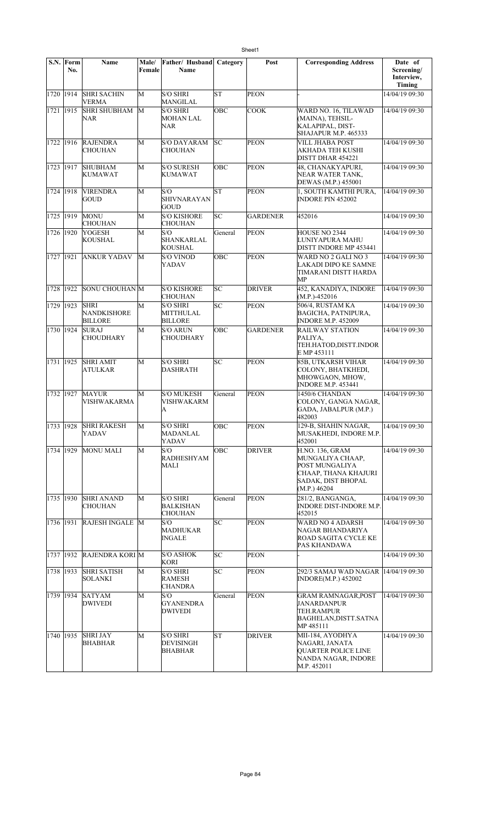|           | S.N. Form<br>No. | <b>Name</b>                           | Male/<br>Female | Father/ Husband<br>Name                               | Category   | Post            | <b>Corresponding Address</b>                                                                                               | Date of<br>Screening/<br>Interview,<br>Timing |
|-----------|------------------|---------------------------------------|-----------------|-------------------------------------------------------|------------|-----------------|----------------------------------------------------------------------------------------------------------------------------|-----------------------------------------------|
|           | 1720 1914        | <b>SHRI SACHIN</b><br>VERMA           | M               | <b>S/O SHRI</b><br>MANGILAL                           | lsт        | <b>PEON</b>     |                                                                                                                            | 14/04/19 09:30                                |
| 1721 1915 |                  | <b>SHRI SHUBHAM</b><br>NAR            | M               | <b>S/O SHRI</b><br><b>MOHAN LAL</b><br>NAR            | OBC        | <b>COOK</b>     | WARD NO. 16, TILAWAD<br>(MAINA), TEHSIL-<br>KALAPIPAL, DIST-<br>SHAJAPUR M.P. 465333                                       | 14/04/19 09:30                                |
| 1722 1916 |                  | <b>RAJENDRA</b><br>CHOUHAN            | M               | <b>S/O DAYARAM</b><br>CHOUHAN                         | lsc        | <b>PEON</b>     | <b>VILL JHABA POST</b><br>AKHADA TEH KUSHI<br>DISTT DHAR 454221                                                            | 14/04/19 09:30                                |
| 1723 1917 |                  | <b>SHUBHAM</b><br><b>KUMAWAT</b>      | M               | <b>S/O SURESH</b><br><b>KUMAWAT</b>                   | OBC        | <b>PEON</b>     | <b>48. CHANAKYAPURI.</b><br>NEAR WATER TANK.<br>DEWAS (M.P.) 455001                                                        | 14/04/19 09:30                                |
| 1724 1918 |                  | <b>VIRENDRA</b><br>GOUD               | M               | S/O<br>SHIVNARAYAN<br>GOUD                            | lsт        | <b>PEON</b>     | 1, SOUTH KAMTHI PURA,<br><b>INDORE PIN 452002</b>                                                                          | 14/04/19 09:30                                |
|           | 1725 1919        | MONU<br>CHOUHAN                       | M               | <b>S/O KISHORE</b><br><b>CHOUHAN</b>                  | SC         | <b>GARDENER</b> | 452016                                                                                                                     | 14/04/19 09:30                                |
| 1726 1920 |                  | <b>YOGESH</b><br>KOUSHAL              | M               | S/O<br>SHANKARLAL<br>KOUSHAL                          | General    | <b>PEON</b>     | HOUSE NO 2344<br>LUNIYAPURA MAHU<br>DISTT INDORE MP 453441                                                                 | 14/04/19 09:30                                |
| 1727 1921 |                  | <b>ANKUR YADAV</b>                    | M               | <b>S/O VINOD</b><br>YADAV                             | OBC        | <b>PEON</b>     | WARD NO 2 GALI NO 3<br>LAKADI DIPO KE SAMNE<br>TIMARANI DISTT HARDA<br>MP                                                  | 14/04/19 09:30                                |
| 1728 1922 |                  | <b>SONU CHOUHAN</b> M                 |                 | <b>S/O KISHORE</b><br>CHOUHAN                         | SC         | <b>DRIVER</b>   | 452, KANADIYA, INDORE<br>$(M.P.)-452016$                                                                                   | 14/04/19 09:30                                |
| 1729 1923 |                  | SHRI<br><b>NANDKISHORE</b><br>BILLORE | M               | <b>S/O SHRI</b><br>MITTHULAL<br><b>BILLORE</b>        | lsс        | <b>PEON</b>     | 506/4, RUSTAM KA<br><b>BAGICHA, PATNIPURA,</b><br><b>INDORE M.P. 452009</b>                                                | 14/04/19 09:30                                |
| 1730 1924 |                  | SURAJ<br>CHOUDHARY                    | M               | S/O ARUN<br><b>CHOUDHARY</b>                          | OBC        | <b>GARDENER</b> | <b>RAILWAY STATION</b><br>PALIYA.<br>TEH.HATOD,DISTT.INDOR<br>E MP 453111                                                  | 14/04/19 09:30                                |
| 1731 1925 |                  | <b>SHRI AMIT</b><br>ATULKAR           | M               | <b>S/O SHRI</b><br><b>DASHRATH</b>                    | lsc        | <b>PEON</b>     | <b>85B, UTKARSH VIHAR</b><br>COLONY, BHATKHEDI,<br>MHOWGAON, MHOW,<br><b>INDORE M.P. 453441</b>                            | 14/04/19 09:30                                |
| 1732 1927 |                  | MAYUR<br>VISHWAKARMA                  | M               | <b>S/O MUKESH</b><br>VISHWAKARM<br>A                  | General    | <b>PEON</b>     | 1450/6 CHANDAN<br>COLONY, GANGA NAGAR,<br>GADA, JABALPUR (M.P.)<br>482003                                                  | 14/04/19 09:30                                |
|           | 1733 1928        | <b>SHRI RAKESH</b><br>YADAV           | M               | <b>S/O SHRI</b><br>MADANLAL<br>YADAV                  | OBC        | <b>PEON</b>     | 129-B, SHAHIN NAGAR,<br>MUSAKHEDI, INDORE M.P.<br>452001                                                                   | 14/04/19 09:30                                |
|           | 1734 1929        | <b>MONU MALI</b>                      | M               | S/O<br>RADHESHYAM<br>MALI                             | <b>OBC</b> | <b>DRIVER</b>   | <b>H.NO. 136, GRAM</b><br>MUNGALIYA CHAAP,<br>POST MUNGALIYA<br>CHAAP, THANA KHAJURI<br>SADAK, DIST BHOPAL<br>(M.P.) 46204 | 14/04/19 09:30                                |
| 1735 1930 |                  | <b>SHRI ANAND</b><br><b>CHOUHAN</b>   | М               | <b>S/O SHRI</b><br><b>BALKISHAN</b><br><b>CHOUHAN</b> | General    | <b>PEON</b>     | 281/2, BANGANGA,<br><b>INDORE DIST-INDORE M.P.</b><br>452015                                                               | 14/04/19 09:30                                |
| 1736 1931 |                  | RAJESH INGALE M                       |                 | S/O<br><b>MADHUKAR</b><br><b>INGALE</b>               | SC.        | <b>PEON</b>     | WARD NO 4 ADARSH<br>NAGAR BHANDARIYA<br>ROAD SAGITA CYCLE KE<br>PAS KHANDAWA                                               | 14/04/19 09:30                                |
|           | 1737 1932        | <b>RAJENDRA KORI M</b>                |                 | <b>S/O ASHOK</b><br><b>KORI</b>                       | SC         | <b>PEON</b>     |                                                                                                                            | 14/04/19 09:30                                |
|           | 1738 1933        | <b>SHRI SATISH</b><br>SOLANKI         | М               | <b>S/O SHRI</b><br><b>RAMESH</b><br>CHANDRA           | SC         | <b>PEON</b>     | 292/3 SAMAJ WAD NAGAR 14/04/19 09:30<br>INDORE(M.P.) 452002                                                                |                                               |
|           | 1739 1934        | SATYAM<br><b>DWIVEDI</b>              | М               | S/O<br><b>GYANENDRA</b><br>DWIVEDI                    | General    | <b>PEON</b>     | GRAM RAMNAGAR,POST<br>JANARDANPUR<br>TEH.RAMPUR<br>BAGHELAN, DISTT. SATNA<br>MP 485111                                     | 14/04/19 09:30                                |
| 1740 1935 |                  | <b>SHRI JAY</b><br>BHABHAR            | М               | <b>S/O SHRI</b><br><b>DEVISINGH</b><br><b>BHABHAR</b> | ST         | <b>DRIVER</b>   | MII-184, AYODHYA<br>NAGARI, JANATA<br>QUARTER POLICE LINE<br>NANDA NAGAR, INDORE<br>M.P. 452011                            | 14/04/19 09:30                                |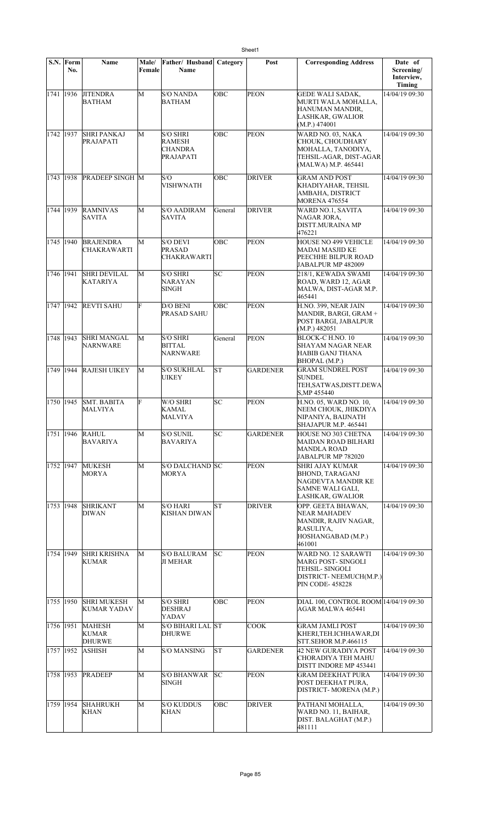|           | S.N. Form<br>No. | Name                                           | Male/<br>Female | Father/ Husband<br><b>Name</b>                                  | Category      | Post            | <b>Corresponding Address</b>                                                                                            | Date of<br>Screening/<br>Interview,<br>Timing |
|-----------|------------------|------------------------------------------------|-----------------|-----------------------------------------------------------------|---------------|-----------------|-------------------------------------------------------------------------------------------------------------------------|-----------------------------------------------|
| 1741 1936 |                  | <b>JITENDRA</b><br><b>BATHAM</b>               | M               | <b>S/O NANDA</b><br><b>BATHAM</b>                               | OBC           | <b>PEON</b>     | <b>GEDE WALI SADAK,</b><br>MURTI WALA MOHALLA,<br>HANUMAN MANDIR.<br>LASHKAR, GWALIOR<br>(M.P.) 474001                  | 14/04/19 09:30                                |
| 1742 1937 |                  | <b>SHRI PANKAJ</b><br>PRAJAPATI                | M               | <b>S/O SHRI</b><br><b>RAMESH</b><br><b>CHANDRA</b><br>PRAJAPATI | OBC           | <b>PEON</b>     | WARD NO. 03, NAKA<br>CHOUK, CHOUDHARY<br>MOHALLA, TANODIYA,<br>TEHSIL-AGAR, DIST-AGAR<br>(MALWA) M.P. 465441            | 14/04/19 09:30                                |
| 1743 1938 |                  | <b>PRADEEP SINGH M</b>                         |                 | S/O<br><b>VISHWNATH</b>                                         | OBC           | <b>DRIVER</b>   | <b>GRAM AND POST</b><br>KHADIYAHAR, TEHSIL<br>AMBAHA, DISTRICT<br><b>MORENA 476554</b>                                  | 14/04/19 09:30                                |
| 1744 1939 |                  | <b>RAMNIVAS</b><br><b>SAVITA</b>               | M               | <b>S/O AADIRAM</b><br><b>SAVITA</b>                             | General       | <b>DRIVER</b>   | WARD NO.1, SAVITA<br>NAGAR JORA,<br>DISTT.MURAINA MP<br>476221                                                          | 14/04/19 09:30                                |
| 1745 1940 |                  | <b>BRAJENDRA</b><br><b>CHAKRAWARTI</b>         | M               | <b>S/O DEVI</b><br><b>PRASAD</b><br><b>CHAKRAWARTI</b>          | OBC           | <b>PEON</b>     | HOUSE NO 499 VEHICLE<br>MADAI MASJID KE<br>PEECHHE BILPUR ROAD<br>JABALPUR MP 482009                                    | 14/04/19 09:30                                |
| 1746 1941 |                  | <b>SHRI DEVILAL</b><br><b>KATARIYA</b>         | M               | <b>S/O SHRI</b><br><b>NARAYAN</b><br><b>SINGH</b>               | SC            | <b>PEON</b>     | 218/1, KEWADA SWAMI<br>ROAD, WARD 12, AGAR<br>MALWA, DIST-AGAR M.P.<br>465441                                           | 14/04/19 09:30                                |
| 1747 1942 |                  | <b>REVTI SAHU</b>                              | F               | D/O BENI<br>PRASAD SAHU                                         | OBC           | <b>PEON</b>     | H.NO. 399, NEAR JAIN<br>MANDIR, BARGI, GRAM +<br>POST BARGI, JABALPUR<br>(M.P.) 482051                                  | 14/04/19 09:30                                |
| 1748 1943 |                  | <b>SHRI MANGAL</b><br><b>NARNWARE</b>          | М               | <b>S/O SHRI</b><br><b>BITTAL</b><br>NARNWARE                    | General       | <b>PEON</b>     | BLOCK-C H.NO. 10<br>SHAYAM NAGAR NEAR<br>HABIB GANJ THANA<br>BHOPAL (M.P.)                                              | 14/04/19 09:30                                |
| 1749 1944 |                  | <b>RAJESH UIKEY</b>                            | M               | <b>S/O SUKHLAL</b><br><b>UIKEY</b>                              | lsт           | <b>GARDENER</b> | <b>GRAM SUNDREL POST</b><br><b>SUNDEL</b><br>TEH, SATWAS, DISTT. DEWA<br>S, MP 455440                                   | 14/04/19 09:30                                |
| 1750 1945 |                  | <b>SMT. BABITA</b><br>MALVIYA                  | F               | W/O SHRI<br><b>KAMAL</b><br>MALVIYA                             | SC            | <b>PEON</b>     | H.NO. 05, WARD NO. 10,<br>NEEM CHOUK, JHIKDIYA<br>NIPANIYA, BAIJNATH<br>SHAJAPUR M.P. 465441                            | 14/04/19 09:30                                |
| 1751 1946 |                  | <b>RAHUL</b><br><b>BAVARIYA</b>                | M               | <b>S/O SUNIL</b><br><b>BAVARIYA</b>                             | SC            | <b>GARDENER</b> | HOUSE NO 303 CHETNA<br>MAIDAN ROAD BILHARI<br><b>MANDLA ROAD</b><br>JABALPUR MP 782020                                  | 14/04/19 09:30                                |
| 1752 1947 |                  | <b>MUKESH</b><br>MORYA                         | M               | S/O DALCHAND SC<br><b>MORYA</b>                                 |               | <b>PEON</b>     | <b>SHRI AJAY KUMAR</b><br><b>BHOND, TARAGANJ</b><br>NAGDEVTA MANDIR KE<br>SAMNE WALI GALI,<br>LASHKAR, GWALIOR          | 14/04/19 09:30                                |
| 1753 1948 |                  | <b>SHRIKANT</b><br><b>DIWAN</b>                | M               | <b>S/O HARI</b><br><b>KISHAN DIWAN</b>                          | lsт           | <b>DRIVER</b>   | OPP. GEETA BHAWAN,<br>NEAR MAHADEV<br>MANDIR, RAJIV NAGAR,<br>RASULIYA,<br>HOSHANGABAD (M.P.)<br>461001                 | 14/04/19 09:30                                |
| 1754      | 1949             | <b>SHRI KRISHNA</b><br><b>KUMAR</b>            | M               | <b>S/O BALURAM</b><br><b>JI MEHAR</b>                           | SC            | <b>PEON</b>     | WARD NO. 12 SARAWTI<br>MARG POST- SINGOLI<br><b>TEHSIL- SINGOLI</b><br>DISTRICT-NEEMUCH(M.P.)<br><b>PIN CODE-458228</b> | 14/04/19 09:30                                |
| 1755 1950 |                  | <b>SHRI MUKESH</b><br><b>KUMAR YADAV</b>       | М               | <b>S/O SHRI</b><br><b>DESHRAJ</b><br>YADAV                      | OBC           | <b>PEON</b>     | DIAL 100, CONTROL ROOM 14/04/19 09:30<br>AGAR MALWA 465441                                                              |                                               |
| 1756 1951 |                  | <b>MAHESH</b><br><b>KUMAR</b><br><b>DHURWE</b> | М               | S/O BIHARI LAL ST<br><b>DHURWE</b>                              |               | <b>COOK</b>     | <b>GRAM JAMLI POST</b><br>KHERI, TEH.ICHHAWAR, DI<br>STT.SEHOR M.P.466115                                               | 14/04/19 09:30                                |
| 1757 1952 |                  | <b>ASHISH</b>                                  | M               | <b>S/O MANSING</b>                                              | lΣ            | <b>GARDENER</b> | 42 NEW GURADIYA POST<br>CHORADIYA TEH MAHU<br>DISTT INDORE MP 453441                                                    | 14/04/19 09:30                                |
| 1758 1953 |                  | <b>PRADEEP</b>                                 | M               | <b>S/O BHANWAR</b><br><b>SINGH</b>                              | <sub>SC</sub> | <b>PEON</b>     | <b>GRAM DEEKHAT PURA</b><br>POST DEEKHAT PURA,<br>DISTRICT-MORENA (M.P.)                                                | 14/04/19 09:30                                |
| 1759 1954 |                  | <b>SHAHRUKH</b><br>KHAN                        | M               | <b>S/O KUDDUS</b><br><b>KHAN</b>                                | OBC           | <b>DRIVER</b>   | PATHANI MOHALLA,<br>WARD NO. 11, BAIHAR,<br>DIST. BALAGHAT (M.P.)<br>481111                                             | 14/04/19 09:30                                |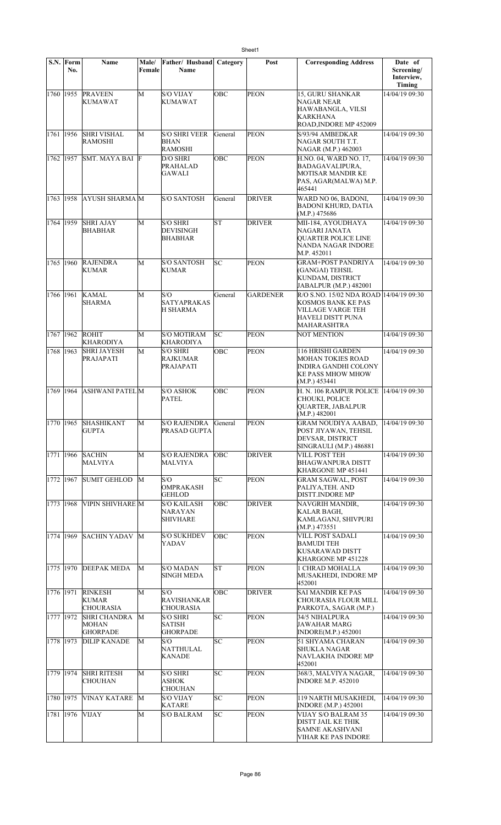|           | S.N. Form<br>No. | <b>Name</b>                                     | Male/<br>Female | Father/ Husband<br>Name                           | Category  | Post            | <b>Corresponding Address</b>                                                                                   | Date of<br>Screening/<br>Interview,<br>Timing |
|-----------|------------------|-------------------------------------------------|-----------------|---------------------------------------------------|-----------|-----------------|----------------------------------------------------------------------------------------------------------------|-----------------------------------------------|
| 1760 1955 |                  | <b>PRAVEEN</b><br>KUMAWAT                       | M               | <b>S/O VIJAY</b><br><b>KUMAWAT</b>                | OBC       | <b>PEON</b>     | 15, GURU SHANKAR<br>NAGAR NEAR<br>HAWABANGLA, VILSI<br>KARKHANA<br>ROAD, INDORE MP 452009                      | 14/04/19 09:30                                |
| 1761 1956 |                  | <b>SHRI VISHAL</b><br>RAMOSHI                   | M               | <b>S/O SHRI VEER</b><br>BHAN<br><b>RAMOSHI</b>    | General   | <b>PEON</b>     | S/93/94 AMBEDKAR<br>NAGAR SOUTH T.T.<br>NAGAR (M.P.) 462003                                                    | 14/04/19 09:30                                |
| 1762      | 1957             | SMT. MAYA BAI F                                 |                 | D/O SHRI<br><b>PRAHALAD</b><br>GAWALI             | OBC       | <b>PEON</b>     | H.NO. 04, WARD NO. 17,<br>BADAGAVALIPURA,<br>MOTISAR MANDIR KE<br>PAS, AGAR(MALWA) M.P.<br>465441              | 14/04/19 09:30                                |
| 1763      | 1958             | <b>AYUSH SHARMA M</b>                           |                 | <b>S/O SANTOSH</b>                                | General   | <b>DRIVER</b>   | WARD NO 06, BADONI,<br><b>BADONI KHURD, DATIA</b><br>(M.P.) 475686                                             | 14/04/19 09:30                                |
| 1764 1959 |                  | <b>SHRI AJAY</b><br>BHABHAR                     | М               | <b>S/O SHRI</b><br>DEVISINGH<br><b>BHABHAR</b>    | ST        | <b>DRIVER</b>   | MII-184, AYOUDHAYA<br>NAGARI JANATA<br><b>OUARTER POLICE LINE</b><br>NANDA NAGAR INDORE<br>M.P. 452011         | 14/04/19 09:30                                |
| 1765      | 1960             | <b>RAJENDRA</b><br><b>KUMAR</b>                 | M               | <b>S/O SANTOSH</b><br><b>KUMAR</b>                | lsс       | <b>PEON</b>     | <b>GRAM+POST PANDRIYA</b><br>(GANGAI) TEHSIL<br>KUNDAM, DISTRICT<br>JABALPUR (M.P.) 482001                     | 14/04/19 09:30                                |
| 1766      | 1961             | <b>KAMAL</b><br>SHARMA                          | M               | S/O<br><b>SATYAPRAKAS</b><br><b>H SHARMA</b>      | General   | <b>GARDENER</b> | R/O S.NO. 15/02 NDA ROAD<br><b>KOSMOS BANK KE PAS</b><br>VILLAGE VARGE TEH<br>HAVELI DISTT PUNA<br>MAHARASHTRA | 14/04/19 09:30                                |
| 1767 1962 |                  | ROHIT<br><b>KHARODIYA</b>                       | М               | <b>S/O MOTIRAM</b><br><b>KHARODIYA</b>            | lsс       | <b>PEON</b>     | <b>NOT MENTION</b>                                                                                             | 14/04/19 09:30                                |
| 1768      | 1963             | <b>SHRI JAYESH</b><br>PRAJAPATI                 | M               | <b>S/O SHRI</b><br><b>RAJKUMAR</b><br>PRAJAPATI   | OBC       | <b>PEON</b>     | 116 HRISHI GARDEN<br>MOHAN TOKIES ROAD<br>INDIRA GANDHI COLONY<br>KE PASS MHOW MHOW<br>(M.P.) 453441           | 14/04/19 09:30                                |
| 1769      | 1964             | <b>ASHWANI PATELM</b>                           |                 | <b>S/O ASHOK</b><br><b>PATEL</b>                  | ∣ОВС      | <b>PEON</b>     | H. N. 106 RAMPUR POLICE<br>CHOUKI, POLICE<br>QUARTER, JABALPUR<br>(M.P.) 482001                                | 14/04/19 09:30                                |
|           |                  | 1770 1965 SHASHIKANT<br><b>GUPTA</b>            | $\overline{M}$  | <b>S/O RAJENDRA</b><br>PRASAD GUPTA               | General   | PEON            | <b>GRAM NOUDIYA AABAD,</b><br>POST JIYAWAN, TEHSIL<br>DEVSAR, DISTRICT<br>SINGRAULI (M.P.) 486881              | $14/04/19$ 09:30                              |
| 1771      | 1966             | <b>SACHIN</b><br>MALVIYA                        | M               | <b>S/O RAJENDRA</b><br>MALVIYA                    | OBC       | <b>DRIVER</b>   | VILL POST TEH<br>BHAGWANPURA DISTT<br>KHARGONE MP 451441                                                       | 14/04/19 09:30                                |
| 1772      | 1967             | <b>SUMIT GEHLOD</b>                             | М               | S/O<br>OMPRAKASH<br><b>GEHLOD</b>                 | lsc       | <b>PEON</b>     | GRAM SAGWAL, POST<br>PALIYA, TEH. AND<br>DISTT.INDORE MP                                                       | 14/04/19 09:30                                |
| 1773 1968 |                  | <b>VIPIN SHIVHARE M</b>                         |                 | <b>S/O KAILASH</b><br>NARAYAN<br><b>SHIVHARE</b>  | OBC       | <b>DRIVER</b>   | NAVGRIH MANDIR,<br>KALAR BAGH,<br>KAMLAGANJ, SHIVPURI<br>(M.P.) 473551                                         | 14/04/19 09:30                                |
| 1774 1969 |                  | <b>SACHIN YADAV</b>                             | M               | <b>S/O SUKHDEV</b><br>YADAV                       | OBC       | <b>PEON</b>     | VILL POST SADALI<br>BAMUDI TEH<br>KUSARAWAD DISTT<br>KHARGONE MP 451228                                        | 14/04/19 09:30                                |
| 1775 1970 |                  | <b>DEEPAK MEDA</b>                              | M               | <b>S/O MADAN</b><br><b>SINGH MEDA</b>             | <b>ST</b> | <b>PEON</b>     | 1 CHRAD MOHALLA<br>MUSAKHEDI, INDORE MP<br>452001                                                              | 14/04/19 09:30                                |
| 1776 1971 |                  | <b>RINKESH</b><br>KUMAR<br><b>CHOURASIA</b>     | M               | S/O<br><b>RAVISHANKAR</b><br><b>CHOURASIA</b>     | OBC       | <b>DRIVER</b>   | <b>SAI MANDIR KE PAS</b><br>CHOURASIA FLOUR MILL<br>PARKOTA, SAGAR (M.P.)                                      | 14/04/19 09:30                                |
| 1777 1972 |                  | <b>SHRI CHANDRA</b><br>MOHAN<br><b>GHORPADE</b> | М               | <b>S/O SHRI</b><br>SATISH<br><b>GHORPADE</b>      | SC        | <b>PEON</b>     | 34/5 NIHALPURA<br>JAWAHAR MARG<br>INDORE(M.P.) 452001                                                          | 14/04/19 09:30                                |
| 1778 1973 |                  | <b>DILIP KANADE</b>                             | М               | S/O<br><b>NATTHULAL</b><br><b>KANADE</b>          | SC        | <b>PEON</b>     | 51 SHYAMA CHARAN<br>SHUKLA NAGAR<br>NAVLAKHA INDORE MP<br>452001                                               | 14/04/19 09:30                                |
| 1779 1974 |                  | <b>SHRI RITESH</b><br><b>CHOUHAN</b>            | M               | <b>S/O SHRI</b><br><b>ASHOK</b><br><b>CHOUHAN</b> | lsс       | <b>PEON</b>     | 368/3, MALVIYA NAGAR,<br><b>INDORE M.P. 452010</b>                                                             | 14/04/19 09:30                                |
| 1780      | 1975             | <b>VINAY KATARE</b>                             | M               | <b>S/O VIJAY</b><br>KATARE                        | SC        | <b>PEON</b>     | 119 NARTH MUSAKHEDI,<br><b>INDORE (M.P.) 452001</b>                                                            | 14/04/19 09:30                                |
| 1781 1976 |                  | VIJAY                                           | М               | <b>S/O BALRAM</b>                                 | SC        | <b>PEON</b>     | VIJAY S/O BALRAM 35<br>DISTT JAIL KE THIK<br><b>SAMNE AKASHVANI</b><br>VIHAR KE PAS INDORE                     | 14/04/19 09:30                                |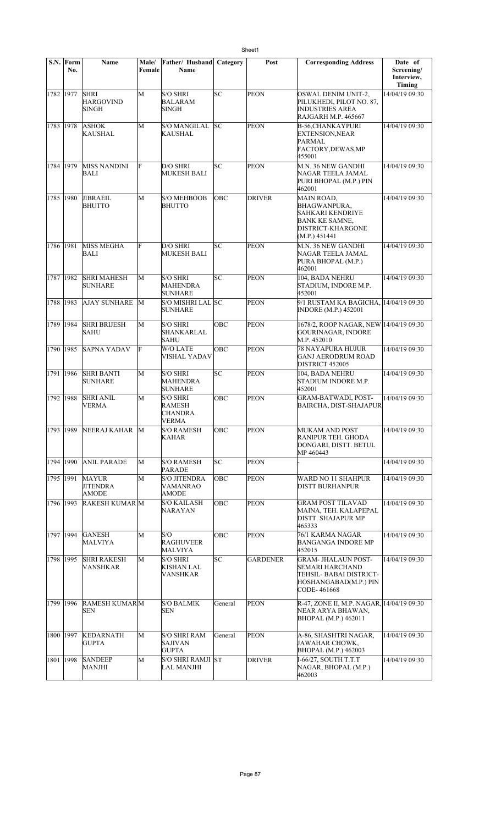|           | S.N. Form<br>No. | Name                                            | Male/<br>Female | Father/ Husband<br>Name                                     | Category | Post            | <b>Corresponding Address</b>                                                                                         | Date of<br>Screening/<br>Interview,<br>Timing |
|-----------|------------------|-------------------------------------------------|-----------------|-------------------------------------------------------------|----------|-----------------|----------------------------------------------------------------------------------------------------------------------|-----------------------------------------------|
| 1782 1977 |                  | <b>SHRI</b><br><b>HARGOVIND</b><br><b>SINGH</b> | М               | <b>S/O SHRI</b><br><b>BALARAM</b><br><b>SINGH</b>           | lsc      | <b>PEON</b>     | OSWAL DENIM UNIT-2,<br>PILUKHEDI, PILOT NO. 87,<br><b>INDUSTRIES AREA</b><br>RAJGARH M.P. 465667                     | 14/04/19 09:30                                |
| 1783 1978 |                  | <b>ASHOK</b><br><b>KAUSHAL</b>                  | М               | <b>S/O MANGILAL</b><br>KAUSHAL                              | lsc      | <b>PEON</b>     | <b>B-56,CHANKAYPURI</b><br><b>EXTENSION, NEAR</b><br>PARMAL<br>FACTORY, DEWAS, MP<br>455001                          | 14/04/19 09:30                                |
| 1784 1979 |                  | <b>MISS NANDINI</b><br>BALI                     | F               | D/O SHRI<br><b>MUKESH BALI</b>                              | SC       | PEON            | M.N. 36 NEW GANDHI<br>NAGAR TEELA JAMAL<br>PURI BHOPAL (M.P.) PIN<br>462001                                          | 14/04/19 09:30                                |
| 1785 1980 |                  | <b>JIBRAEIL</b><br><b>BHUTTO</b>                | M               | <b>S/O MEHBOOB</b><br><b>BHUTTO</b>                         | OBC      | <b>DRIVER</b>   | MAIN ROAD,<br><b>BHAGWANPURA,</b><br>SAHKARI KENDRIYE<br><b>BANK KE SAMNE,</b><br>DISTRICT-KHARGONE<br>(M.P.) 451441 | 14/04/19 09:30                                |
| 1786 1981 |                  | MISS MEGHA<br><b>BALI</b>                       | F               | D/O SHRI<br><b>MUKESH BALI</b>                              | lsc      | <b>PEON</b>     | M.N. 36 NEW GANDHI<br>NAGAR TEELA JAMAL<br>PURA BHOPAL (M.P.)<br>462001                                              | 14/04/19 09:30                                |
| 1787 1982 |                  | <b>SHRI MAHESH</b><br><b>SUNHARE</b>            | M               | <b>S/O SHRI</b><br>MAHENDRA<br><b>SUNHARE</b>               | SC       | PEON            | 104, BADA NEHRU<br>STADIUM, INDORE M.P.<br>452001                                                                    | 14/04/19 09:30                                |
| 1788 1983 |                  | <b>AJAY SUNHARE</b>                             | M               | S/O MISHRI LAL SC<br><b>SUNHARE</b>                         |          | <b>PEON</b>     | 9/1 RUSTAM KA BAGICHA, 14/04/19 09:30<br><b>INDORE</b> (M.P.) 452001                                                 |                                               |
| 1789 1984 |                  | <b>SHRI BRIJESH</b><br><b>SAHU</b>              | M               | <b>S/O SHRI</b><br>SHANKARLAL<br><b>SAHU</b>                | OBC      | PEON            | 1678/2, ROOP NAGAR, NEW 14/04/19 09:30<br>GOURINAGAR, INDORE<br>M.P. 452010                                          |                                               |
| 1790 1985 |                  | <b>SAPNA YADAV</b>                              | F               | W/O LATE<br><b>VISHAL YADAV</b>                             | OBC      | <b>PEON</b>     | 78 NAYAPURA HUJUR<br><b>GANJ AERODRUM ROAD</b><br>DISTRICT 452005                                                    | 14/04/19 09:30                                |
| 1791 1986 |                  | <b>SHRI BANTI</b><br><b>SUNHARE</b>             | M               | <b>S/O SHRI</b><br><b>MAHENDRA</b><br><b>SUNHARE</b>        | SC       | PEON            | 104, BADA NEHRU<br>STADIUM INDORE M.P.<br>452001                                                                     | 14/04/19 09:30                                |
| 1792 1988 |                  | <b>SHRI ANIL</b><br><b>VERMA</b>                | M               | <b>S/O SHRI</b><br><b>RAMESH</b><br><b>CHANDRA</b><br>VERMA | OBC      | PEON            | <b>GRAM-BATWADI, POST-</b><br><b>BAIRCHA, DIST-SHAJAPUR</b>                                                          | 14/04/19 09:30                                |
| 1793 1989 |                  | NEERAJ KAHAR                                    | M               | <b>S/O RAMESH</b><br>KAHAR                                  | ОВС      | <b>PEON</b>     | MUKAM AND POST<br>RANIPUR TEH. GHODA<br>DONGARI, DISTT. BETUL<br>MP 460443                                           | 14/04/19 09:30                                |
| 1794 1990 |                  | <b>ANIL PARADE</b>                              | M               | <b>S/O RAMESH</b><br><b>PARADE</b>                          | SC.      | <b>PEON</b>     |                                                                                                                      | 14/04/19 09:30                                |
| 1795 1991 |                  | <b>MAYUR</b><br><b>JITENDRA</b><br><b>AMODE</b> | M               | <b>S/O JITENDRA</b><br>VAMANRAO<br>AMODE                    | ОВС      | <b>PEON</b>     | WARD NO 11 SHAHPUR<br>DISTT BURHANPUR                                                                                | 14/04/19 09:30                                |
| 1796 1993 |                  | <b>RAKESH KUMAR M</b>                           |                 | <b>S/O KAILASH</b><br>NARAYAN                               | OBC      | <b>PEON</b>     | <b>GRAM POST TILAVAD</b><br>MAINA, TEH. KALAPEPAL<br><b>DISTT. SHAJAPUR MP</b><br>465333                             | 14/04/19 09:30                                |
| 1797 1994 |                  | <b>GANESH</b><br>MALVIYA                        | M               | S/O<br><b>RAGHUVEER</b><br><b>MALVIYA</b>                   | OBC      | <b>PEON</b>     | 76/1 KARMA NAGAR<br>BANGANGA INDORE MP<br>452015                                                                     | 14/04/19 09:30                                |
| 1798 1995 |                  | <b>SHRI RAKESH</b><br><b>VANSHKAR</b>           | M               | <b>S/O SHRI</b><br>KISHAN LAL<br>VANSHKAR                   | SC       | <b>GARDENER</b> | <b>GRAM- JHALAUN POST-</b><br>SEMARI HARCHAND<br>TEHSIL- BABAI DISTRICT-<br>HOSHANGABAD(M.P.) PIN<br>CODE-461668     | 14/04/19 09:30                                |
| 1799 1996 |                  | <b>RAMESH KUMARM</b><br>SEN                     |                 | <b>S/O BALMIK</b><br><b>SEN</b>                             | General  | <b>PEON</b>     | R-47, ZONE II, M.P. NAGAR, 14/04/19 09:30<br>NEAR ARYA BHAWAN,<br>BHOPAL (M.P.) 462011                               |                                               |
| 1800 1997 |                  | <b>KEDARNATH</b><br><b>GUPTA</b>                | М               | <b>S/O SHRI RAM</b><br><b>SAJIVAN</b><br><b>GUPTA</b>       | General  | <b>PEON</b>     | A-86, SHASHTRI NAGAR,<br>JAWAHAR CHOWK,<br>BHOPAL (M.P.) 462003                                                      | 14/04/19 09:30                                |
| 1801 1998 |                  | <b>SANDEEP</b><br><b>MANJHI</b>                 | M               | <b>S/O SHRI RAMJI ST</b><br>LAL MANJHI                      |          | <b>DRIVER</b>   | I-66/27, SOUTH T.T.T<br>NAGAR, BHOPAL (M.P.)<br>462003                                                               | 14/04/19 09:30                                |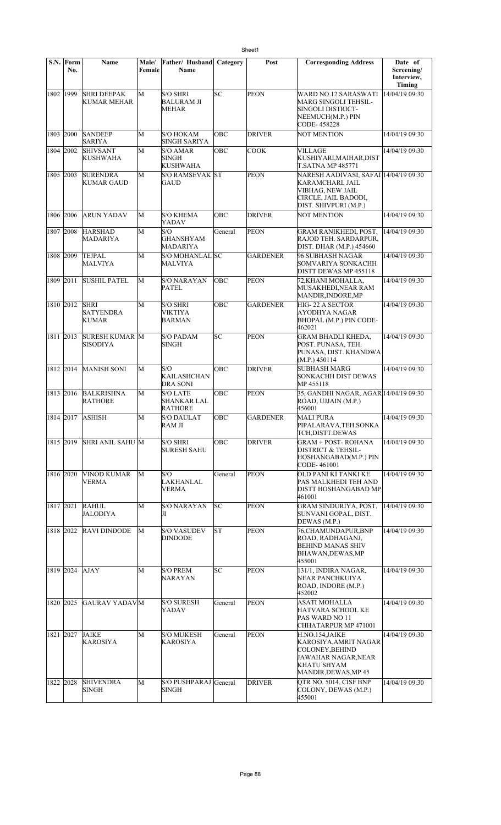|           | S.N. Form<br>No. | <b>Name</b>                              | Male/<br>Female | Father/ Husband<br>Name                                 | Category | Post            | <b>Corresponding Address</b>                                                                                                    | Date of<br>Screening/<br>Interview,<br>Timing |
|-----------|------------------|------------------------------------------|-----------------|---------------------------------------------------------|----------|-----------------|---------------------------------------------------------------------------------------------------------------------------------|-----------------------------------------------|
| 1802 1999 |                  | <b>SHRI DEEPAK</b><br>KUMAR MEHAR        | M               | <b>S/O SHRI</b><br><b>BALURAM JI</b><br><b>MEHAR</b>    | SC       | <b>PEON</b>     | WARD NO.12 SARASWATI<br>MARG SINGOLI TEHSIL-<br>SINGOLI DISTRICT-<br>NEEMUCH(M.P.) PIN<br>CODE-458228                           | 14/04/19 09:30                                |
| 1803 2000 |                  | <b>SANDEEP</b><br><b>SARIYA</b>          | M               | <b>S/O HOKAM</b><br>SINGH SARIYA                        | OBC      | <b>DRIVER</b>   | <b>NOT MENTION</b>                                                                                                              | 14/04/19 09:30                                |
| 1804 2002 |                  | <b>SHIVSANT</b><br>KUSHWAHA              | M               | S/O AMAR<br><b>SINGH</b><br><b>KUSHWAHA</b>             | OBC      | <b>COOK</b>     | <b>VILLAGE</b><br>KUSHIYARI, MAIHAR, DIST<br><b>T.SATNA MP 485771</b>                                                           | 14/04/19 09:30                                |
| 1805 2003 |                  | <b>SURENDRA</b><br>KUMAR GAUD            | M               | <b>S/O RAMSEVAK ST</b><br>GAUD                          |          | <b>PEON</b>     | NARESH AADIVASI, SAFAI 14/04/19 09:30<br>KARAMCHARI, JAIL<br>VIBHAG, NEW JAIL<br>CIRCLE, JAIL BADODI,<br>DIST. SHIVPURI (M.P.)  |                                               |
| 1806 2006 |                  | <b>ARUN YADAV</b>                        | M               | <b>S/O KHEMA</b><br>YADAV                               | OBC      | <b>DRIVER</b>   | <b>NOT MENTION</b>                                                                                                              | 14/04/19 09:30                                |
| 1807 2008 |                  | <b>HARSHAD</b><br>MADARIYA               | М               | S/O<br><b>GHANSHYAM</b><br>MADARIYA                     | General  | <b>PEON</b>     | <b>GRAM RANIKHEDI, POST.</b><br>RAJOD TEH. SARDARPUR,<br>DIST. DHAR (M.P.) 454660                                               | 14/04/19 09:30                                |
| 1808 2009 |                  | <b>TEJPAL</b><br>MALVIYA                 | М               | S/O MOHANLAL SC<br><b>MALVIYA</b>                       |          | <b>GARDENER</b> | 96 SUBHASH NAGAR<br>SOMVARIYA SONKACHH<br>DISTT DEWAS MP 455118                                                                 | 14/04/19 09:30                                |
| 1809 2011 |                  | <b>SUSHIL PATEL</b>                      | M               | S/O NARAYAN<br><b>PATEL</b>                             | OBC      | <b>PEON</b>     | 72, KHANI MOHALLA,<br>MUSAKHEDI,NEAR RAM<br>MANDIR, INDORE, MP                                                                  | 14/04/19 09:30                                |
| 1810 2012 |                  | <b>SHRI</b><br><b>SATYENDRA</b><br>KUMAR | M               | <b>S/O SHRI</b><br>VIKTIYA<br>BARMAN                    | OBC      | <b>GARDENER</b> | HIG- 22 A SECTOR<br>AYODHYA NAGAR<br>BHOPAL (M.P.) PIN CODE-<br>462021                                                          | 14/04/19 09:30                                |
| 1811 2013 |                  | <b>SURESH KUMAR M</b><br><b>SISODIYA</b> |                 | <b>S/O PADAM</b><br>SINGH                               | SC       | <b>PEON</b>     | GRAM BHADLI KHEDA,<br>POST. PUNASA, TEH.<br>PUNASA, DIST. KHANDWA<br>(M.P.) 450114                                              | 14/04/19 09:30                                |
| 1812 2014 |                  | <b>MANISH SONI</b>                       | M               | S/O<br><b>KAILASHCHAN</b><br>DRA SONI                   | OBC      | <b>DRIVER</b>   | SUBHASH MARG<br>SONKACHH DIST DEWAS<br>MP 455118                                                                                | 14/04/19 09:30                                |
| 1813 2016 |                  | <b>BALKRISHNA</b><br><b>RATHORE</b>      | М               | <b>S/O LATE</b><br><b>SHANKAR LAL</b><br><b>RATHORE</b> | OBC      | PEON            | 35, GANDHI NAGAR, AGAR 14/04/19 09:30<br>ROAD, UJJAIN (M.P.)<br>456001                                                          |                                               |
|           |                  | 1814 2017 ASHISH                         | М               | <b>S/O DAULAT</b><br><b>RAM JI</b>                      | OBC      | <b>GARDENER</b> | <b>MALI PURA</b><br>PIPALARAVA, TEH. SONKA<br>TCH,DISTT.DEWAS                                                                   | 14/04/19 09:30                                |
| 1815 2019 |                  | SHRI ANIL SAHU M                         |                 | <b>S/O SHRI</b><br><b>SURESH SAHU</b>                   | OBC      | <b>DRIVER</b>   | GRAM + POST- ROHANA<br>DISTRICT & TEHSIL-<br>HOSHANGABAD(M.P.) PIN<br>CODE- 461001                                              | 14/04/19 09:30                                |
| 1816 2020 |                  | <b>VINOD KUMAR</b><br><b>VERMA</b>       | М               | S/O<br>LAKHANLAL<br><b>VERMA</b>                        | General  | <b>PEON</b>     | OLD PANI KI TANKI KE<br>PAS MALKHEDI TEH AND<br>DISTT HOSHANGABAD MP<br>461001                                                  | 14/04/19 09:30                                |
| 1817 2021 |                  | <b>RAHUL</b><br>JALODIYA                 | M               | <b>S/O NARAYAN</b><br>Л                                 | SC       | PEON            | GRAM SINDURIYA, POST.<br>SUNVANI GOPAL, DIST.<br>DEWAS (M.P.)                                                                   | 14/04/19 09:30                                |
| 1818 2022 |                  | <b>RAVI DINDODE</b>                      | М               | <b>S/O VASUDEV</b><br><b>DINDODE</b>                    | lΣ       | <b>PEON</b>     | 76, CHAMUNDAPUR, BNP<br>ROAD, RADHAGANJ,<br><b>BEHIND MANAS SHIV</b><br>BHAWAN,DEWAS,MP<br>455001                               | 14/04/19 09:30                                |
| 1819 2024 |                  | AJAY                                     | М               | <b>S/O PREM</b><br>NARAYAN                              | SС       | PEON            | 131/1, INDIRA NAGAR,<br>NEAR PANCHKUIYA<br>ROAD, INDORE (M.P.)<br>452002                                                        | 14/04/19 09:30                                |
| 1820 2025 |                  | <b>GAURAV YADAVM</b>                     |                 | <b>S/O SURESH</b><br>YADAV                              | General  | <b>PEON</b>     | <b>ASATI MOHALLA</b><br>HATVARA SCHOOL KE<br>PAS WARD NO 11<br>CHHATARPUR MP 471001                                             | 14/04/19 09:30                                |
| 1821 2027 |                  | <b>JAIKE</b><br>KAROSIYA                 | М               | <b>S/O MUKESH</b><br>KAROSIYA                           | General  | <b>PEON</b>     | H.NO.154,JAIKE<br>KAROSIYA, AMRIT NAGAR<br><b>COLONEY, BEHIND</b><br>JAWAHAR NAGAR, NEAR<br>KHATU SHYAM<br>MANDIR, DEWAS, MP 45 | 14/04/19 09:30                                |
| 1822 2028 |                  | SHIVENDRA<br><b>SINGH</b>                | M               | S/O PUSHPARAJ General<br>SINGH                          |          | <b>DRIVER</b>   | OTR NO. 5014, CISF BNP<br>COLONY, DEWAS (M.P.)<br>455001                                                                        | 14/04/19 09:30                                |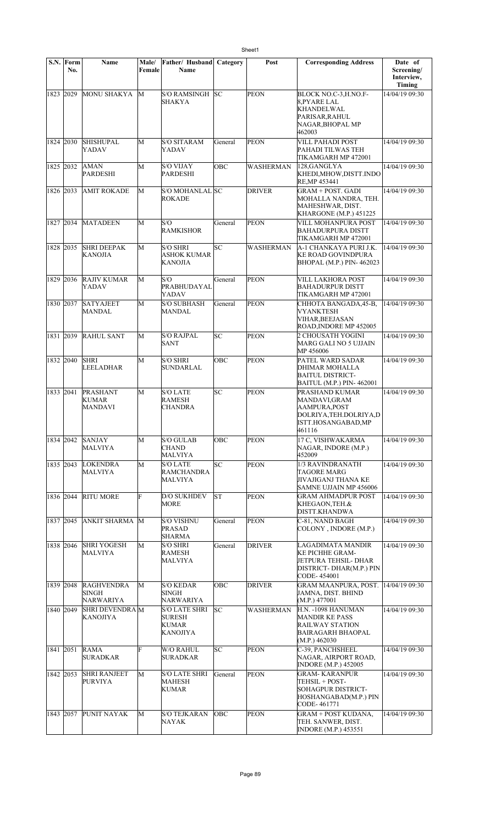|           | S.N. Form<br>No. | Name                                    | Male/<br>Female | Father/ Husband Category<br>Name                                  |         | Post             | <b>Corresponding Address</b>                                                                                | Date of<br>Screening/<br>Interview,<br>Timing |
|-----------|------------------|-----------------------------------------|-----------------|-------------------------------------------------------------------|---------|------------------|-------------------------------------------------------------------------------------------------------------|-----------------------------------------------|
| 1823 2029 |                  | <b>MONU SHAKYA</b>                      | M               | S/O RAMSINGH<br>SHAKYA                                            | lsc     | <b>PEON</b>      | BLOCK NO.C-3, H.NO.F-<br>8.PYARE LAL<br><b>KHANDELWAL</b><br>PARISAR, RAHUL<br>NAGAR, BHOPAL MP<br>462003   | 14/04/19 09:30                                |
| 1824 2030 |                  | <b>SHISHUPAL</b><br>YADAV               | М               | <b>S/O SITARAM</b><br>YADAV                                       | General | <b>PEON</b>      | <b>VILL PAHADI POST</b><br>PAHADI TILWAS TEH<br>TIKAMGARH MP 472001                                         | 14/04/19 09:30                                |
| 1825 2032 |                  | AMAN<br>PARDESHI                        | М               | <b>S/O VIJAY</b><br><b>PARDESHI</b>                               | OBC     | WASHERMAN        | 128, GANGLYA<br>KHEDI,MHOW,DISTT.INDO<br>RE, MP 453441                                                      | 14/04/19 09:30                                |
| 1826 2033 |                  | AMIT ROKADE                             | M               | S/O MOHANLAL SC<br><b>ROKADE</b>                                  |         | <b>DRIVER</b>    | <b>GRAM + POST. GADI</b><br>MOHALLA NANDRA, TEH.<br>MAHESHWAR, DIST.<br>KHARGONE (M.P.) 451225              | 14/04/19 09:30                                |
| 1827 2034 |                  | <b>MATADEEN</b>                         | М               | S/O<br><b>RAMKISHOR</b>                                           | General | <b>PEON</b>      | VILL MOHANPURA POST<br>BAHADURPURA DISTT<br>TIKAMGARH MP 472001                                             | 14/04/19 09:30                                |
| 1828 2035 |                  | <b>SHRI DEEPAK</b><br>KANOJIA           | М               | <b>S/O SHRI</b><br>ASHOK KUMAR<br><b>KANOJIA</b>                  | lsc     | <b>WASHERMAN</b> | A-1 CHANKAYA PURI J.K.<br><b>KE ROAD GOVINDPURA</b><br>BHOPAL (M.P.) PIN-462023                             | 14/04/19 09:30                                |
| 1829 2036 |                  | <b>RAJIV KUMAR</b><br>YADAV             | М               | S/O<br>PRABHUDAYAL<br>YADAV                                       | General | <b>PEON</b>      | VILL LAKHORA POST<br><b>BAHADURPUR DISTT</b><br>TIKAMGARH MP 472001                                         | 14/04/19 09:30                                |
| 1830 2037 |                  | <b>SATYAJEET</b><br>MANDAL              | М               | <b>S/O SUBHASH</b><br>MANDAL                                      | General | PEON             | CHHOTA BANGADA, 45-B,<br><b>VYANKTESH</b><br><b>VIHAR, BEEJASAN</b><br>ROAD, INDORE MP 452005               | 14/04/19 09:30                                |
| 1831 2039 |                  | <b>RAHUL SANT</b>                       | М               | <b>S/O RAJPAL</b><br>SANT                                         | Бc      | <b>PEON</b>      | 2 CHOUSATH YOGINI<br>MARG GALI NO 5 UJJAIN<br>MP 456006                                                     | 14/04/19 09:30                                |
| 1832 2040 |                  | <b>SHRI</b><br>LEELADHAR                | M               | <b>S/O SHRI</b><br>SUNDARLAL                                      | OBC     | <b>PEON</b>      | PATEL WARD SADAR<br>DHIMAR MOHALLA<br><b>BAITUL DISTRICT-</b><br><b>BAITUL (M.P.) PIN-462001</b>            | 14/04/19 09:30                                |
| 1833 2041 |                  | PRASHANT<br>KUMAR<br>MANDAVI            | M               | <b>S/O LATE</b><br><b>RAMESH</b><br>CHANDRA                       | lsc     | <b>PEON</b>      | PRASHAND KUMAR<br>MANDAVI,GRAM<br>AAMPURA, POST<br>DOLRIYA, TEH.DOLRIYA, D<br>ISTT.HOSANGABAD,MP<br>461116  | 14/04/19 09:30                                |
| 1834 2042 |                  | <b>SANJAY</b><br>MALVIYA                | М               | <b>S/O GULAB</b><br><b>CHAND</b><br><b>MALVIYA</b>                | OBC     | <b>PEON</b>      | 17 C, VISHWAKARMA<br>NAGAR, INDORE (M.P.)<br>452009                                                         | 14/04/19 09:30                                |
| 1835 2043 |                  | <b>LOKENDRA</b><br>MALVIYA              | M               | <b>S/O LATE</b><br><b>RAMCHANDRA</b><br>MALVIYA                   | SC      | <b>PEON</b>      | 1/3 RAVINDRANATH<br>TAGORE MARG<br>JIVAJIGANJ THANA KE<br>SAMNE UJJAIN MP 456006                            | 14/04/19 09:30                                |
| 1836 2044 |                  | <b>RITU MORE</b>                        | F               | <b>D/O SUKHDEV</b><br>MORE                                        | lsт     | <b>PEON</b>      | <b>GRAM AHMADPUR POST</b><br>KHEGAON,TEH.&<br>DISTT.KHANDWA                                                 | 14/04/19 09:30                                |
| 1837 2045 |                  | ANKIT SHARMA                            | M               | <b>S/O VISHNU</b><br><b>PRASAD</b><br>SHARMA                      | General | <b>PEON</b>      | C-81, NAND BAGH<br>COLONY, INDORE (M.P.)                                                                    | 14/04/19 09:30                                |
| 1838 2046 |                  | <b>SHRI YOGESH</b><br>MALVIYA           | М               | <b>S/O SHRI</b><br><b>RAMESH</b><br>MALVIYA                       | General | <b>DRIVER</b>    | LAGADIMATA MANDIR<br>KE PICHHE GRAM-<br>JETPURA TEHSIL- DHAR<br>DISTRICT-DHAR(M.P.) PIN<br>CODE-454001      | 14/04/19 09:30                                |
| 1839 2048 |                  | <b>RAGHVENDRA</b><br>SINGH<br>NARWARIYA | М               | <b>S/O KEDAR</b><br>SINGH<br>NARWARIYA                            | OBC     | <b>DRIVER</b>    | <b>GRAM MAANPURA, POST.</b><br>JAMNA, DIST. BHIND<br>(M.P.) 477001                                          | 14/04/19 09:30                                |
| 1840 2049 |                  | <b>SHRI DEVENDRA M</b><br>KANOJIYA      |                 | S/O LATE SHRI<br><b>SURESH</b><br><b>KUMAR</b><br><b>KANOJIYA</b> | lsс     | WASHERMAN        | H.N. -1098 HANUMAN<br><b>MANDIR KE PASS</b><br><b>RAILWAY STATION</b><br>BAIRAGARH BHAOPAL<br>(M.P.) 462030 | 14/04/19 09:30                                |
| 1841 2051 |                  | RAMA<br>SURADKAR                        | F               | W/O RAHUL<br>SURADKAR                                             | SC      | <b>PEON</b>      | C-39, PANCHSHEEL<br>NAGAR, AIRPORT ROAD,<br><b>INDORE</b> (M.P.) 452005                                     | 14/04/19 09:30                                |
| 1842 2053 |                  | <b>SHRI RANJEET</b><br>PURVIYA          | М               | <b>S/O LATE SHRI</b><br><b>MAHESH</b><br><b>KUMAR</b>             | General | <b>PEON</b>      | <b>GRAM-KARANPUR</b><br>TEHSIL + POST-<br><b>SOHAGPUR DISTRICT-</b><br>HOSHANGABAD(M.P.) PIN<br>CODE-461771 | 14/04/19 09:30                                |
| 1843 2057 |                  | PUNIT NAYAK                             | М               | <b>S/O TEJKARAN</b><br>NAYAK                                      | ОВС     | <b>PEON</b>      | <b>GRAM + POST KUDANA,</b><br>TEH. SANWER, DIST.<br><b>INDORE</b> (M.P.) 453551                             | 14/04/19 09:30                                |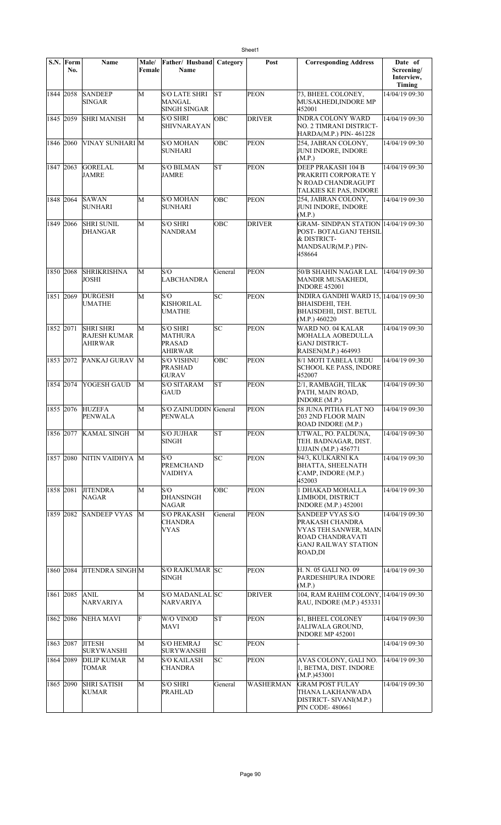|           | S.N. Form<br>No. | <b>Name</b>                                               | Male/<br>Female | Father/ Husband<br><b>Name</b>                                | Category | Post          | <b>Corresponding Address</b>                                                                                               | Date of<br>Screening/ |
|-----------|------------------|-----------------------------------------------------------|-----------------|---------------------------------------------------------------|----------|---------------|----------------------------------------------------------------------------------------------------------------------------|-----------------------|
|           |                  |                                                           |                 |                                                               |          |               |                                                                                                                            | Interview,<br>Timing  |
| 1844 2058 |                  | <b>SANDEEP</b><br><b>SINGAR</b>                           | M               | <b>S/O LATE SHRI</b><br>MANGAL<br>SINGH SINGAR                | lst      | <b>PEON</b>   | 73, BHEEL COLONEY,<br>MUSAKHEDI, INDORE MP<br>452001                                                                       | 14/04/19 09:30        |
| 1845 2059 |                  | <b>SHRI MANISH</b>                                        | M               | <b>S/O SHRI</b><br>SHIVNARAYAN                                | OBC      | <b>DRIVER</b> | <b>INDRA COLONY WARD</b><br>NO. 2 TIMRANI DISTRICT-<br>HARDA(M.P.) PIN-461228                                              | 14/04/19 09:30        |
| 1846 2060 |                  | VINAY SUNHARI M                                           |                 | <b>S/O MOHAN</b><br><b>SUNHARI</b>                            | OBC      | <b>PEON</b>   | 254, JABRAN COLONY,<br>JUNI INDORE, INDORE<br>(M.P.)                                                                       | 14/04/19 09:30        |
| 1847 2063 |                  | <b>GORELAL</b><br>JAMRE                                   | M               | <b>S/O BILMAN</b><br><b>JAMRE</b>                             | lsт      | <b>PEON</b>   | DEEP PRAKASH 104 B<br>PRAKRITI CORPORATE Y<br>N ROAD CHANDRAGUPT<br>TALKIES KE PAS, INDORE                                 | 14/04/19 09:30        |
| 1848 2064 |                  | <b>SAWAN</b><br>SUNHARI                                   | M               | <b>S/O MOHAN</b><br><b>SUNHARI</b>                            | OBC      | <b>PEON</b>   | 254, JABRAN COLONY,<br>JUNI INDORE, INDORE<br>(M.P.)                                                                       | 14/04/19 09:30        |
| 1849 2066 |                  | <b>SHRI SUNIL</b><br>DHANGAR                              | M               | <b>S/O SHRI</b><br><b>NANDRAM</b>                             | OBC      | <b>DRIVER</b> | <b>GRAM- SINDPAN STATION 14/04/19 09:30</b><br>POST-BOTALGANJ TEHSIL<br>& DISTRICT-<br>MANDSAUR(M.P.) PIN-<br>458664       |                       |
| 1850 2068 |                  | <b>SHRIKRISHNA</b><br>JOSHI                               | M               | S/O<br><b>LABCHANDRA</b>                                      | General  | <b>PEON</b>   | 50/B SHAHIN NAGAR LAL<br><b>MANDIR MUSAKHEDI,</b><br><b>INDORE 452001</b>                                                  | 14/04/19 09:30        |
| 1851 2069 |                  | <b>DURGESH</b><br><b>UMATHE</b>                           | M               | S/O<br>KISHORILAL<br><b>UMATHE</b>                            | SC       | <b>PEON</b>   | INDIRA GANDHI WARD 15, 14/04/19 09:30<br>BHAISDEHI, TEH.<br><b>BHAISDEHI, DIST. BETUL</b><br>(M.P.) 460220                 |                       |
| 1852 2071 |                  | <b>SHRI SHRI</b><br><b>RAJESH KUMAR</b><br><b>AHIRWAR</b> | М               | <b>S/O SHRI</b><br>MATHURA<br><b>PRASAD</b><br><b>AHIRWAR</b> | SC       | <b>PEON</b>   | WARD NO. 04 KALAR<br>MOHALLA AOBEDULLA<br><b>GANJ DISTRICT-</b><br>RAISEN(M.P.) 464993                                     | 14/04/19 09:30        |
| 1853 2072 |                  | PANKAJ GURAV                                              | M               | <b>S/O VISHNU</b><br><b>PRASHAD</b><br><b>GURAV</b>           | OBC      | <b>PEON</b>   | 8/1 MOTI TABELA URDU<br><b>SCHOOL KE PASS, INDORE</b><br>452007                                                            | 14/04/19 09:30        |
| 1854 2074 |                  | <b>YOGESH GAUD</b>                                        | M               | <b>S/O SITARAM</b><br><b>GAUD</b>                             | lΣT      | <b>PEON</b>   | 2/1, RAMBAGH, TILAK<br>PATH, MAIN ROAD,<br><b>INDORE</b> (M.P.)                                                            | 14/04/19 09:30        |
| 1855 2076 |                  | <b>HUZEFA</b><br>PENWALA                                  | M               | S/O ZAINUDDIN General<br>PENWALA                              |          | <b>PEON</b>   | 58 JUNA PITHA FLAT NO<br><b>203 2ND FLOOR MAIN</b><br>ROAD INDORE (M.P.)                                                   | 14/04/19 09:30        |
|           | 1856 2077        | <b>KAMAL SINGH</b>                                        | М               | <b>S/O JUJHAR</b><br>SINGH                                    | lΣ       | <b>PEON</b>   | UTWAL, PO. PALDUNA,<br>TEH. BADNAGAR, DIST.<br>UJJAIN (M.P.) 456771                                                        | 14/04/19 09:30        |
| 1857 2080 |                  | NITIN VAIDHYA M                                           |                 | S/O<br><b>PREMCHAND</b><br>VAIDHYA                            | SC.      | <b>PEON</b>   | 94/3, KULKARNI KA<br><b>BHATTA, SHEELNATH</b><br>CAMP, INDORE (M.P.)<br>452003                                             | 14/04/19 09:30        |
| 1858 2081 |                  | <b>JITENDRA</b><br><b>NAGAR</b>                           | M               | S/O<br><b>DHANSINGH</b><br>NAGAR                              | OBC      | <b>PEON</b>   | 1 DHAKAD MOHALLA<br>LIMBODI, DISTRICT<br><b>INDORE</b> (M.P.) 452001                                                       | 14/04/19 09:30        |
| 1859 2082 |                  | <b>SANDEEP VYAS</b>                                       | M               | <b>S/O PRAKASH</b><br>CHANDRA<br>VYAS                         | General  | <b>PEON</b>   | <b>SANDEEP VYAS S/O</b><br>PRAKASH CHANDRA<br>VYAS TEH.SANWER, MAIN<br>ROAD CHANDRAVATI<br>GANJ RAILWAY STATION<br>ROAD,DI | 14/04/19 09:30        |
| 1860 2084 |                  | <b>JITENDRA SINGH M</b>                                   |                 | S/O RAJKUMAR SC<br>SINGH                                      |          | <b>PEON</b>   | H. N. 05 GALI NO. 09<br>PARDESHIPURA INDORE<br>(M.P.)                                                                      | 14/04/19 09:30        |
| 1861 2085 |                  | <b>ANIL</b><br><b>NARVARIYA</b>                           | M               | S/O MADANLAL SC<br><b>NARVARIYA</b>                           |          | <b>DRIVER</b> | 104, RAM RAHIM COLONY, 14/04/19 09:30<br>RAU, INDORE (M.P.) 453331                                                         |                       |
| 1862 2086 |                  | NEHA MAVI                                                 | F               | W/O VINOD<br>MAVI                                             | lΣ       | <b>PEON</b>   | 61, BHEEL COLONEY<br><b>JALIWALA GROUND,</b><br>INDORE MP 452001                                                           | 14/04/19 09:30        |
| 1863 2087 |                  | <b>JITESH</b><br><b>SURYWANSHI</b>                        | M               | <b>S/O HEMRAJ</b><br><b>SURYWANSHI</b>                        | SC       | <b>PEON</b>   |                                                                                                                            | 14/04/19 09:30        |
| 1864 2089 |                  | <b>DILIP KUMAR</b><br><b>TOMAR</b>                        | M               | <b>S/O KAILASH</b><br><b>CHANDRA</b>                          | SC.      | <b>PEON</b>   | AVAS COLONY, GALI NO.<br>1, BETMA, DIST. INDORE<br>(M.P.)453001                                                            | 14/04/19 09:30        |
| 1865 2090 |                  | <b>SHRI SATISH</b><br><b>KUMAR</b>                        | M               | <b>S/O SHRI</b><br>PRAHLAD                                    | General  | WASHERMAN     | <b>GRAM POST FULAY</b><br>THANA LAKHANWADA<br>DISTRICT- SIVANI(M.P.)<br><b>PIN CODE-480661</b>                             | 14/04/19 09:30        |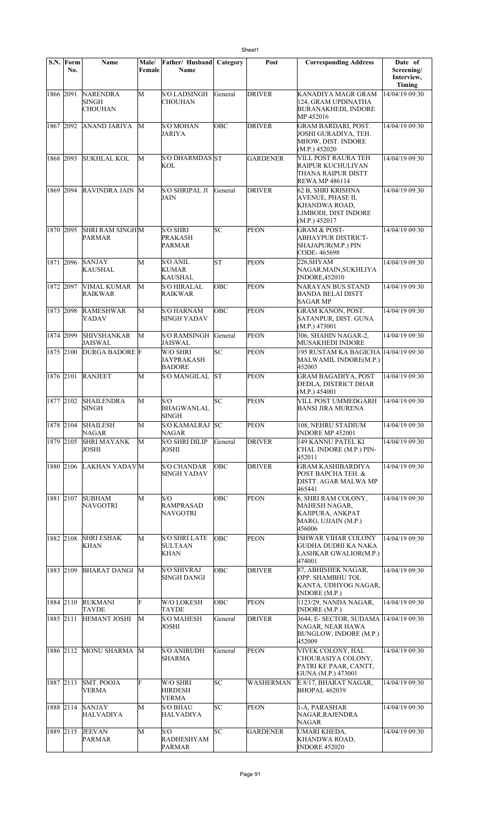|           | S.N. Form<br>No. | <b>Name</b>                                | Male/<br>Female | Father/ Husband<br>Name                            | Category | Post             | <b>Corresponding Address</b>                                                                             | Date of<br>Screening/<br>Interview,<br><b>Timing</b> |
|-----------|------------------|--------------------------------------------|-----------------|----------------------------------------------------|----------|------------------|----------------------------------------------------------------------------------------------------------|------------------------------------------------------|
| 1866 2091 |                  | <b>NARENDRA</b><br><b>SINGH</b><br>CHOUHAN | M               | <b>S/O LADSINGH</b><br>CHOUHAN                     | General  | <b>DRIVER</b>    | KANADIYA MAGR GRAM<br>124. GRAM UPDINATHA<br><b>BURANAKHEDI, INDORE</b><br>MP 452016                     | 14/04/19 09:30                                       |
| 1867 2092 |                  | ANAND JARIYA                               | M               | <b>S/O MOHAN</b><br>JARIYA                         | OBC      | <b>DRIVER</b>    | <b>GRAM BARDARI, POST.</b><br>JOSHI GURADIYA, TEH.<br>MHOW, DIST. INDORE<br>(M.P.) 452020                | 14/04/19 09:30                                       |
| 1868 2093 |                  | <b>SUKHLAL KOL</b>                         | M               | S/O DHARMDAS ST<br>KOL                             |          | <b>GARDENER</b>  | VILL POST RAURA TEH<br>RAIPUR KUCHULIYAN<br>THANA RAIPUR DISTT<br><b>REWA MP 486114</b>                  | 14/04/19 09:30                                       |
| 1869      | 2094             | <b>RAVINDRA JAIN M</b>                     |                 | S/O SHRIPAL JI<br><b>JAIN</b>                      | General  | <b>DRIVER</b>    | 62 B, SHRI KRISHNA<br>AVENUE, PHASE II,<br><b>KHANDWA ROAD,</b><br>LIMBODI, DIST INDORE<br>(M.P.) 452017 | 14/04/19 09:30                                       |
| 1870 2095 |                  | <b>SHRI RAM SINGHM</b><br><b>PARMAR</b>    |                 | <b>S/O SHRI</b><br><b>PRAKASH</b><br><b>PARMAR</b> | SC       | PEON             | <b>GRAM &amp; POST-</b><br><b>ABHAYPUR DISTRICT-</b><br><b>SHAJAPUR(M.P.) PIN</b><br>CODE-465698         | 14/04/19 09:30                                       |
| 1871 2096 |                  | <b>SANJAY</b><br>KAUSHAL                   | М               | S/O ANIL<br>KUMAR<br>KAUSHAL                       | lst      | <b>PEON</b>      | 226, SHY AM<br>NAGAR, MAIN, SUKHLIYA<br><b>INDORE,452010</b>                                             | 14/04/19 09:30                                       |
| 1872 2097 |                  | <b>VIMAL KUMAR</b><br><b>RAIKWAR</b>       | M               | <b>S/O HIRALAL</b><br>RAIKWAR                      | OBC      | <b>PEON</b>      | NARAYAN BUS STAND<br><b>BANDA BELAI DISTT</b><br><b>SAGAR MP</b>                                         | 14/04/19 09:30                                       |
| 1873 2098 |                  | <b>RAMESHWAR</b><br>YADAV                  | M               | S/O HARNAM<br>SINGH YADAV                          | OBC      | <b>PEON</b>      | <b>GRAM KANON, POST.</b><br>SATANPUR, DIST. GUNA<br>(M.P.) 473001                                        | 14/04/19 09:30                                       |
| 1874 2099 |                  | <b>SHIVSHANKAR</b><br><b>JAISWAL</b>       | M               | <b>S/O RAMSINGH</b><br><b>JAISWAL</b>              | General  | <b>PEON</b>      | 306, SHAHIN NAGAR-2,<br><b>MUSAKHEDI INDORE</b>                                                          | 14/04/19 09:30                                       |
| 1875 2100 |                  | <b>DURGA BADORE</b> F                      |                 | W/O SHRI<br>JAYPRAKASH<br><b>BADORE</b>            | SC       | <b>PEON</b>      | 195 RUSTAM KA BAGICHA 14/04/19 09:30<br>MALWAMIL INDORE(M.P.)<br>452003                                  |                                                      |
| 1876 2101 |                  | <b>RANJEET</b>                             | М               | S/O MANGILAL                                       | lst      | <b>PEON</b>      | <b>GRAM BAGADIYA, POST</b><br>DEDLA, DISTRICT DHAR<br>(M.P.) 454001                                      | 14/04/19 09:30                                       |
| 1877 2102 |                  | <b>SHAILENDRA</b><br><b>SINGH</b>          | M               | S/O<br><b>BHAGWANLAL</b><br>SINGH                  | SC       | <b>PEON</b>      | VILL POST UMMEDGARH<br>BANSI JIRA MURENA                                                                 | 14/04/19 09:30                                       |
| 1878 2104 |                  | <b>SHAILESH</b><br>NAGAR                   | М               | <b>S/O KAMALRAJ SC</b><br>NAGAR                    |          | PEON             | 108, NEHRU STADIUM<br><b>INDORE MP 452001</b>                                                            | 14/04/19 09:30                                       |
| 1879 2105 |                  | <b>SHRI MAYANK</b><br><b>JOSHI</b>         | M               | <b>S/O SHRI DILIP</b><br>JOSHI                     | General  | <b>DRIVER</b>    | 149 KANNU PATEL KI<br>CHAL INDORE (M.P.) PIN-<br>452011                                                  | 14/04/19 09:30                                       |
| 1880 2106 |                  | LAKHAN YADAVM                              |                 | <b>S/O CHANDAR</b><br><b>SINGH YADAV</b>           | OBC      | <b>DRIVER</b>    | <b>GRAM KASHIBARDIYA</b><br>POST BAPCHA TEH. &<br>DISTT. AGAR MALWA MP<br>465441                         | 14/04/19 09:30                                       |
| 1881 2107 |                  | <b>SUBHAM</b><br>NAVGOTRI                  | М               | S/O<br><b>RAMPRASAD</b><br>NAVGOTRI                | OBC      | <b>PEON</b>      | 6, SHRI RAM COLONY,<br>MAHESH NAGAR,<br>KAJIPURA, ANKPAT<br>MARG, UJJAIN (M.P.)<br>456006                | 14/04/19 09:30                                       |
| 1882 2108 |                  | <b>SHRI ESHAK</b><br>KHAN                  | М               | <b>S/O SHRI LATE</b><br>SULTAAN<br>KHAN            | OBC      | <b>PEON</b>      | ISHWAR VIHAR COLONY<br>GUDHA DUDHI KA NAKA<br>LASHKAR GWALIOR(M.P.)<br>474001                            | 14/04/19 09:30                                       |
| 1883 2109 |                  | <b>BHARAT DANGI M</b>                      |                 | <b>S/O SHIVRAJ</b><br>SINGH DANGI                  | OBC      | <b>DRIVER</b>    | 87, ABHISHEK NAGAR,<br>OPP. SHAMBHU TOL<br>KANTA, UDHYOG NAGAR,<br><b>INDORE</b> (M.P.)                  | 14/04/19 09:30                                       |
| 1884 2110 |                  | <b>RUKMANI</b><br>TAYDE                    | F               | W/O LOKESH<br>TAYDE                                | ОВС      | <b>PEON</b>      | 1123/29, NANDA NAGAR,<br>INDORE (M.P.)                                                                   | 14/04/19 09:30                                       |
| 1885 2111 |                  | <b>HEMANT JOSHI</b>                        | М               | <b>S/O MAHESH</b><br>JOSHI                         | General  | <b>DRIVER</b>    | 3644, E- SECTOR, SUDAMA<br>NAGAR, NEAR HAWA<br>BUNGLOW, INDORE (M.P.)<br>452009                          | 14/04/19 09:30                                       |
| 1886 2112 |                  | MONU SHARMA                                | M               | <b>S/O ANIRUDH</b><br>SHARMA                       | General  | <b>PEON</b>      | VIVEK COLONY, HAL<br>CHOURASIYA COLONY,<br>PATRI KE PAAR, CANTT,<br>GUNA (M.P.) 473001                   | 14/04/19 09:30                                       |
| 1887 2113 |                  | <b>SMT. POOJA</b><br>VERMA                 | F               | W/O SHRI<br><b>HIRDESH</b><br>VERMA                | SC       | <b>WASHERMAN</b> | E 8/17, BHARAT NAGAR,<br><b>BHOPAL 462039</b>                                                            | 14/04/19 09:30                                       |
| 1888 2114 |                  | <b>SANJAY</b><br><b>HALVADIYA</b>          | М               | <b>S/O BHAU</b><br>HALVADIYA                       | SC       | <b>PEON</b>      | 1-A, PARASHAR<br>NAGAR, RAJENDRA<br><b>NAGAR</b>                                                         | 14/04/19 09:30                                       |
| 1889 2115 |                  | <b>JEEVAN</b><br>PARMAR                    | М               | S/O<br><b>RADHESHYAM</b><br><b>PARMAR</b>          | SC       | <b>GARDENER</b>  | UMARI KHEDA,<br><b>KHANDWA ROAD,</b><br><b>INDORE 452020</b>                                             | 14/04/19 09:30                                       |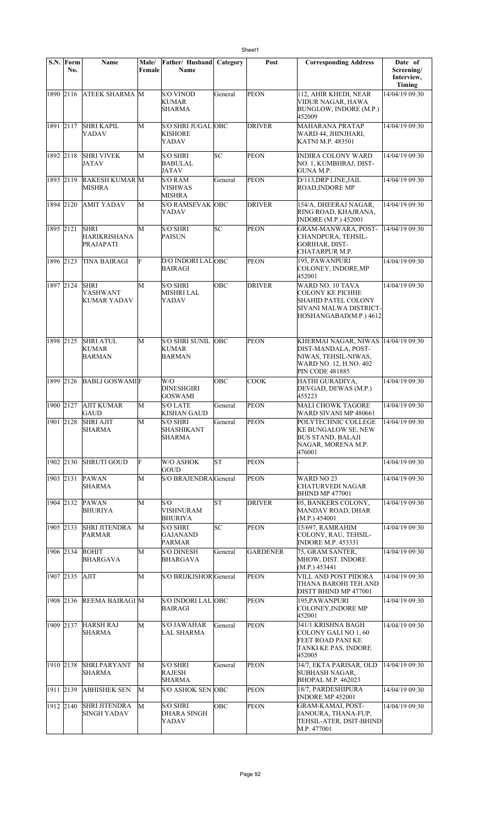|           | S.N. Form<br>No. | <b>Name</b>                                | Male/<br>Female | Father/ Husband<br>Name                           | Category   | Post            | <b>Corresponding Address</b>                                                                                            | Date of<br>Screening/<br>Interview,<br>Timing |
|-----------|------------------|--------------------------------------------|-----------------|---------------------------------------------------|------------|-----------------|-------------------------------------------------------------------------------------------------------------------------|-----------------------------------------------|
| 1890 2116 |                  | <b>ATEEK SHARMA M</b>                      |                 | <b>S/O VINOD</b><br>KUMAR<br>SHARMA               | General    | <b>PEON</b>     | 112, AHIR KHEDI, NEAR<br>VIDUR NAGAR, HAWA<br>BUNGLOW, INDORE (M.P.)<br>452009                                          | 14/04/19 09:30                                |
| 1891 2117 |                  | <b>SHRI KAPIL</b><br>YADAV                 | M               | <b>S/O SHRI JUGAL OBC</b><br>KISHORE<br>YADAV     |            | <b>DRIVER</b>   | <b>MAHARANA PRATAP</b><br>WARD 44, JHINJHARI,<br>KATNI M.P. 483501                                                      | 14/04/19 09:30                                |
| 1892 2118 |                  | <b>SHRI VIVEK</b><br>JATAV                 | M               | <b>S/O SHRI</b><br><b>BABULAL</b><br><b>JATAV</b> | SC         | <b>PEON</b>     | INDIRA COLONY WARD<br>NO. 1, KUMBHRAJ, DIST-<br>GUNA M.P.                                                               | 14/04/19 09:30                                |
| 1893 2119 |                  | RAKESH KUMAR M<br><b>MISHRA</b>            |                 | S/O RAM<br>VISHWAS<br><b>MISHRA</b>               | General    | <b>PEON</b>     | D/113, DRP LINE, JAIL<br>ROAD, INDORE MP                                                                                | 14/04/19 09:30                                |
| 1894 2120 |                  | <b>AMIT YADAV</b>                          | M               | <b>S/O RAMSEVAK OBC</b><br>YADAV                  |            | <b>DRIVER</b>   | 154/A, DHEERAJ NAGAR,<br>RING ROAD, KHAJRANA,<br><b>INDORE</b> (M.P.) 452001                                            | 14/04/19 09:30                                |
| 1895 2121 |                  | <b>SHRI</b><br>HARIKRISHANA<br>PRAJAPATI   | М               | <b>S/O SHRI</b><br>PAISUN                         | SC         | <b>PEON</b>     | <b>GRAM-MANWARA, POST-</b><br>CHANDPURA, TEHSIL-<br>GORIHAR, DIST-<br>CHATARPUR M.P.                                    | 14/04/19 09:30                                |
| 1896 2123 |                  | TINA BAIRAGI                               | F               | D/O INDORI LALOBC<br><b>BAIRAGI</b>               |            | <b>PEON</b>     | 195, PAWANPURI<br>COLONEY, INDORE, MP<br>452001                                                                         | 14/04/19 09:30                                |
| 1897 2124 |                  | <b>SHRI</b><br>YASHWANT<br>KUMAR YADAV     | М               | S/O SHRI<br><b>MISHRI LAL</b><br>YADAV            | OBC        | <b>DRIVER</b>   | WARD NO. 10 TAVA<br>COLONY KE PICHHE<br>SHAHID PATEL COLONY<br>SIVANI MALWA DISTRICT-<br>HOSHANGABAD(M.P.) 4612         | 14/04/19 09:30                                |
| 1898 2125 |                  | <b>SHRI ATUL</b><br>KUMAR<br><b>BARMAN</b> | М               | S/O SHRI SUNIL<br><b>KUMAR</b><br><b>BARMAN</b>   | <b>OBC</b> | <b>PEON</b>     | KHERMAI NAGAR, NIWAS<br>DIST-MANDALA, POST-<br>NIWAS, TEHSIL-NIWAS,<br>WARD NO. 12, H.NO. 402<br><b>PIN CODE 481885</b> | 14/04/19 09:30                                |
| 1899 2126 |                  | <b>BABLI GOSWAMIF</b>                      |                 | W/O<br>DINESHGIRI<br><b>GOSWAMI</b>               | OBC        | <b>COOK</b>     | HATHI GURADIYA,<br>DEVGAD, DEWAS (M.P.)<br>455223                                                                       | 14/04/19 09:30                                |
| 1900 2127 |                  | <b>AJIT KUMAR</b><br>GAUD                  | М               | <b>S/O LATE</b><br><b>KISHAN GAUD</b>             | General    | <b>PEON</b>     | <b>MALI CHOWK TAGORE</b><br>WARD SIVANI MP 480661                                                                       | 14/04/19 09:30                                |
|           |                  | 1901 2128 SHRI AJIT<br><b>SHARMA</b>       | M               | S/O SHRI<br><b>SHASHIKANT</b><br>SHARMA           | General    | <b>PEON</b>     | POLYTECHNIC COLLEGE<br><b>KE BUNGALOW SE, NEW</b><br><b>BUS STAND, BALAJI</b><br>NAGAR, MORENA M.P.<br>476001           | 14/04/19 09:30                                |
| 1902 2130 |                  | <b>SHRUTI GOUD</b>                         | F               | W/O ASHOK<br>GOUD                                 | lsт        | <b>PEON</b>     |                                                                                                                         | 14/04/19 09:30                                |
|           | 1903 2131        | <b>PAWAN</b><br>SHARMA                     | M               | S/O BRAJENDRA General                             |            | <b>PEON</b>     | WARD NO 23<br>CHATURVEDI NAGAR<br><b>BHIND MP 477001</b>                                                                | 14/04/19 09:30                                |
| 1904 2132 |                  | PAWAN<br><b>BHURIYA</b>                    | М               | S/O<br>VISHNURAM<br><b>BHURIYA</b>                | <b>ST</b>  | <b>DRIVER</b>   | 05, BANKERS COLONY,<br>MANDAV ROAD, DHAR<br>(M.P.) 454001                                                               | 14/04/19 09:30                                |
| 1905 2133 |                  | SHRI JITENDRA<br>PARMAR                    | М               | S/O SHRI<br><b>GAJANAND</b><br><b>PARMAR</b>      | SC         | <b>PEON</b>     | 15/697, RAMRAHIM<br>COLONY, RAU, TEHSIL-<br><b>INDORE M.P. 453331</b>                                                   | 14/04/19 09:30                                |
| 1906 2134 |                  | ROHIT<br>BHARGAVA                          | М               | S/O DINESH<br>BHARGAVA                            | General    | <b>GARDENER</b> | 75, GRAM SANTER,<br>MHOW, DIST. INDORE<br>(M.P.) 453441                                                                 | 14/04/19 09:30                                |
| 1907 2135 |                  | <b>AJIT</b>                                | М               | S/O BRIJKISHOR General                            |            | <b>PEON</b>     | VILL AND POST PIDORA<br>THANA BAROHI TEH AND<br>DISTT BHIND MP 477001                                                   | 14/04/19 09:30                                |
| 1908 2136 |                  | REEMA BAIRAGI M                            |                 | S/O INDORI LAL OBC<br><b>BAIRAGI</b>              |            | <b>PEON</b>     | 195,PAWANPURI<br><b>COLONEY, INDORE MP</b><br>452001                                                                    | 14/04/19 09:30                                |
|           | 1909 2137        | <b>HARSH RAJ</b><br><b>SHARMA</b>          | М               | <b>S/O JAWAHAR</b><br><b>LAL SHARMA</b>           | General    | <b>PEON</b>     | 341/1 KRISHNA BAGH<br>COLONY GALI NO 1, 60<br>FEET ROAD PANI KE<br>TANKI KE PAS, INDORE<br>452005                       | 14/04/19 09:30                                |
| 1910 2138 |                  | <b>SHRI PARYANT</b><br>SHARMA              | M               | <b>S/O SHRI</b><br><b>RAJESH</b><br><b>SHARMA</b> | General    | <b>PEON</b>     | 34/7, EKTA PARISAR, OLD<br>SUBHASH NAGAR,<br><b>BHOPAL M.P. 462023</b>                                                  | 14/04/19 09:30                                |
| 1911 2139 |                  | <b>ABHISHEK SEN</b>                        | M               | <b>S/O ASHOK SEN OBC</b>                          |            | <b>PEON</b>     | 18/7, PARDESHIPURA<br>INDORE MP 452001                                                                                  | 14/04/19 09:30                                |
| 1912 2140 |                  | <b>SHRI JITENDRA</b><br><b>SINGH YADAV</b> | M               | <b>S/O SHRI</b><br><b>DHARA SINGH</b><br>YADAV    | OBC        | <b>PEON</b>     | <b>GRAM-KAMAI, POST-</b><br>JANOURA, THANA-FUP,<br>TEHSIL-ATER, DSIT-BHIND<br>M.P. 477001                               | 14/04/19 09:30                                |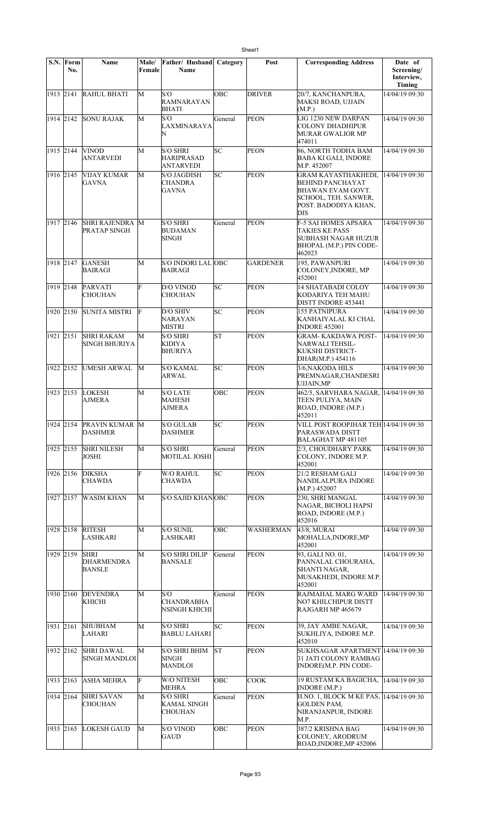|                    | S.N. Form<br>No. | Name                                             | Male/<br>Female | Father/ Husband<br>Name                          | Category  | Post             | <b>Corresponding Address</b>                                                                                                      | Date of<br>Screening/<br>Interview,<br><b>Timing</b> |
|--------------------|------------------|--------------------------------------------------|-----------------|--------------------------------------------------|-----------|------------------|-----------------------------------------------------------------------------------------------------------------------------------|------------------------------------------------------|
| 1913 2141          |                  | <b>RAHUL BHATI</b>                               | M               | S/O<br><b>RAMNARAYAN</b><br>BHATI                | OBC       | <b>DRIVER</b>    | 20/7, KANCHANPURA,<br>MAKSI ROAD, UJJAIN<br>(M.P.)                                                                                | 14/04/19 09:30                                       |
| 1914 2142          |                  | <b>SONU RAJAK</b>                                | M               | S/O<br>LAXMINARAYA<br>N                          | General   | <b>PEON</b>      | LIG 1230 NEW DARPAN<br><b>COLONY DHADHIPUR</b><br>MURAR GWALIOR MP<br>474011                                                      | 14/04/19 09:30                                       |
| 1915 2144          |                  | <b>VINOD</b><br><b>ANTARVEDI</b>                 | M               | <b>S/O SHRI</b><br>HARIPRASAD<br>ANTARVEDI       | SC        | <b>PEON</b>      | 86, NORTH TODHA BAM<br><b>BABA KI GALI, INDORE</b><br>M.P. 452007                                                                 | 14/04/19 09:30                                       |
| 1916 2145          |                  | VIJAY KUMAR<br><b>GAVNA</b>                      | M               | S/O JAGDISH<br><b>CHANDRA</b><br><b>GAVNA</b>    | SC        | <b>PEON</b>      | <b>GRAM KAYASTHAKHEDI,</b><br><b>BEHIND PANCHAYAT</b><br>BHAWAN EVAM GOVT.<br>SCHOOL, TEH. SANWER,<br>POST. BADODIYA KHAN,<br>DIS | 14/04/19 09:30                                       |
| 1917 2146          |                  | <b>SHRI RAJENDRA M</b><br>PRATAP SINGH           |                 | <b>S/O SHRI</b><br>BUDAMAN<br>SINGH              | General   | <b>PEON</b>      | F-5 SAI HOMES APSARA<br><b>TAKIES KE PASS</b><br>SUBHASH NAGAR HUZUR<br>BHOPAL (M.P.) PIN CODE-<br>462023                         | 14/04/19 09:30                                       |
| $\sqrt{1918}/2147$ |                  | <b>GANESH</b><br><b>BAIRAGI</b>                  | М               | S/O INDORI LAL OBC<br><b>BAIRAGI</b>             |           | <b>GARDENER</b>  | 195, PAWANPURI<br>COLONEY, INDORE, MP<br>452001                                                                                   | 14/04/19 09:30                                       |
| 1919 2148          |                  | <b>PARVATI</b><br><b>CHOUHAN</b>                 | F               | D/O VINOD<br>CHOUHAN                             | SC        | <b>PEON</b>      | <b>14 SHATABADI COLOY</b><br>KODARIYA TEH MAHU<br>DISTT INDORE 453441                                                             | 14/04/19 09:30                                       |
| 1920 2150          |                  | <b>SUNITA MISTRI</b>                             | F               | D/O SHIV<br>NARAYAN<br>MISTRI                    | SC        | <b>PEON</b>      | <b>155 PATNIPURA</b><br>KANHAIYALAL KI CHAL<br><b>INDORE 452001</b>                                                               | 14/04/19 09:30                                       |
| 1921 2151          |                  | <b>SHRI RAKAM</b><br>SINGH BHURIYA               | М               | <b>S/O SHRI</b><br>KIDIYA<br><b>BHURIYA</b>      | <b>ST</b> | <b>PEON</b>      | <b>GRAM- KAKDAWA POST-</b><br>NARWALI TEHSIL-<br>KUKSHI DISTRICT-<br>DHAR(M.P.) 454116                                            | 14/04/19 09:30                                       |
| 1922 2152          |                  | <b>UMESH ARWAL</b>                               | M               | <b>S/O KAMAL</b><br>ARWAL                        | SC        | <b>PEON</b>      | 3/6, NAKODA HILS<br>PREMNAGAR, CHANDESRI<br><b>UJJAIN,MP</b>                                                                      | 14/04/19 09:30                                       |
| 1923 2153          |                  | <b>LOKESH</b><br>AJMERA                          | M               | <b>S/O LATE</b><br>MAHESH<br>AJMERA              | OBC       | <b>PEON</b>      | 462/5, SARVHARA NAGAR, 14/04/19 09:30<br>TEEN PULIYA, MAIN<br>ROAD, INDORE (M.P.)<br>452011                                       |                                                      |
|                    |                  | 1924   2154   PRAVIN KUMAR   M<br><b>DASHMER</b> |                 | S/O GULAB<br><b>DASHMER</b>                      | SС        | PEON             | VILL POST ROOPJHAR TEH 14/04/19 09:30<br>PARASWADA DISTT<br>BALAGHAT MP 481105                                                    |                                                      |
| 1925 2155          |                  | <b>SHRI NILESH</b><br><b>JOSHI</b>               | М               | <b>S/O SHRI</b><br>MOTILAL JOSHI                 | General   | <b>PEON</b>      | 2/3, CHOUDHARY PARK<br>COLONY, INDORE M.P.<br>452001                                                                              | 14/04/19 09:30                                       |
| 1926 2156          |                  | <b>DIKSHA</b><br>CHAWDA                          | F               | W/O RAHUL<br>CHAWDA                              | SC        | PEON             | 21/2 RESHAM GALI<br>NANDLALPURA INDORE<br>(M.P.) 452007                                                                           | 14/04/19 09:30                                       |
| 1927 2157          |                  | <b>WASIM KHAN</b>                                | М               | S/O SAJID KHANOBC                                |           | <b>PEON</b>      | 230, SHRI MANGAL<br>NAGAR, BICHOLI HAPSI<br>ROAD, INDORE (M.P.)<br>452016                                                         | 14/04/19 09:30                                       |
| 1928 2158          |                  | <b>RITESH</b><br><b>LASHKARI</b>                 | М               | <b>S/O SUNIL</b><br>LASHKARI                     | OBC       | <b>WASHERMAN</b> | 43/8, MURAI<br>MOHALLA, INDORE, MP<br>452001                                                                                      | 14/04/19 09:30                                       |
| 1929 2159          |                  | <b>SHRI</b><br><b>DHARMENDRA</b><br>BANSLE       | М               | <b>S/O SHRI DILIP</b><br><b>BANSALE</b>          | General   | <b>PEON</b>      | 93, GALI NO. 01,<br>PANNALAL CHOURAHA,<br>SHANTI NAGAR,<br>MUSAKHEDI, INDORE M.P.<br>452001                                       | 14/04/19 09:30                                       |
| 1930 2160          |                  | <b>DEVENDRA</b><br>KHICHI                        | M               | S/O<br><b>CHANDRABHA</b><br>NSINGH KHICHI        | General   | <b>PEON</b>      | RAJMAHAL MARG WARD<br>NO7 KHILCHIPUR DISTT<br>RAJGARH MP 465679                                                                   | 14/04/19 09:30                                       |
| 1931 2161          |                  | <b>SHUBHAM</b><br>LAHARI                         | М               | <b>S/O SHRI</b><br><b>BABLU LAHARI</b>           | SC        | <b>PEON</b>      | 39, JAY AMBE NAGAR,<br>SUKHLIYA, INDORE M.P.<br>452010                                                                            | 14/04/19 09:30                                       |
| 1932 2162          |                  | <b>SHRI DAWAL</b><br><b>SINGH MANDLOI</b>        | М               | S/O SHRI BHIM<br>SINGH<br>MANDLOI                | lst.      | <b>PEON</b>      | SUKHSAGAR APARTMENT 14/04/19 09:30<br>31 JATI COLONY RAMBAG<br><b>INDORE(M.P. PIN CODE-</b>                                       |                                                      |
| 1933 2163          |                  | <b>ASHA MEHRA</b>                                | F               | W/O NITESH<br><b>MEHRA</b>                       | OBC       | <b>COOK</b>      | 19 RUSTAM KA BAGICHA, 14/04/19 09:30<br>INDORE(M.P.)                                                                              |                                                      |
| 1934 2164          |                  | <b>SHRI SAVAN</b><br><b>CHOUHAN</b>              | M               | <b>S/O SHRI</b><br><b>KAMAL SINGH</b><br>CHOUHAN | General   | <b>PEON</b>      | H.NO. 1, BLOCK M KE PAS, 14/04/19 09:30<br><b>GOLDEN PAM,</b><br>NIRANJANPUR, INDORE<br>M.P.                                      |                                                      |
| 1935 2165          |                  | <b>LOKESH GAUD</b>                               | М               | <b>S/O VINOD</b><br><b>GAUD</b>                  | OBC       | <b>PEON</b>      | 387/2 KRISHNA BAG<br>COLONEY, ARODRUM<br>ROAD, INDORE, MP 452006                                                                  | 14/04/19 09:30                                       |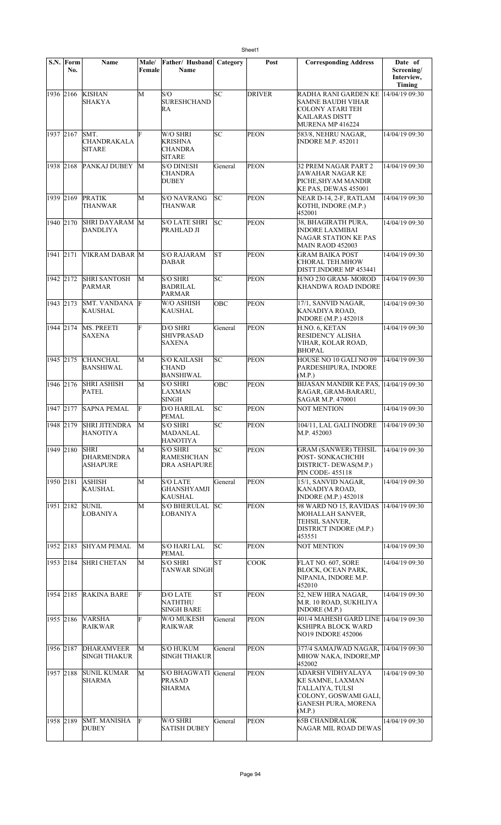|           | S.N. Form<br>No. | <b>Name</b>                                         | Male/<br>Female | Father/ Husband<br>Name                                       | Category  | Post          | <b>Corresponding Address</b>                                                                                              | Date of<br>Screening/<br>Interview,<br>Timing |
|-----------|------------------|-----------------------------------------------------|-----------------|---------------------------------------------------------------|-----------|---------------|---------------------------------------------------------------------------------------------------------------------------|-----------------------------------------------|
| 1936 2166 |                  | <b>KISHAN</b><br>SHAKYA                             | M               | S/O<br><b>SURESHCHAND</b><br>RA                               | SC        | <b>DRIVER</b> | RADHA RANI GARDEN KE<br>SAMNE BAUDH VIHAR<br><b>COLONY ATARI TEH</b><br>KAILARAS DISTT<br>MURENA MP 416224                | 14/04/19 09:30                                |
| 1937 2167 |                  | SMT.<br>CHANDRAKALA<br><b>SITARE</b>                | F               | W/O SHRI<br><b>KRISHNA</b><br><b>CHANDRA</b><br><b>SITARE</b> | SC        | <b>PEON</b>   | 583/8, NEHRU NAGAR,<br><b>INDORE M.P. 452011</b>                                                                          | 14/04/19 09:30                                |
|           |                  | 1938 2168 PANKAJ DUBEY                              | M               | <b>S/O DINESH</b><br><b>CHANDRA</b><br><b>DUBEY</b>           | General   | <b>PEON</b>   | <b>32 PREM NAGAR PART 2</b><br>JAWAHAR NAGAR KE<br>PICHE, SHY AM MANDIR<br>KE PAS, DEWAS 455001                           | 14/04/19 09:30                                |
| 1939 2169 |                  | <b>PRATIK</b><br><b>THANWAR</b>                     | М               | <b>S/O NAVRANG</b><br><b>THANWAR</b>                          | SC        | <b>PEON</b>   | NEAR D-14, 2-F, RATLAM<br>KOTHI, INDORE (M.P.)<br>452001                                                                  | 14/04/19 09:30                                |
| 1940 2170 |                  | SHRI DAYARAM M<br><b>DANDLIYA</b>                   |                 | <b>S/O LATE SHRI</b><br>PRAHLAD JI                            | SC        | <b>PEON</b>   | 38, BHAGIRATH PURA,<br><b>INDORE LAXMIBAI</b><br><b>NAGAR STATION KE PAS</b><br><b>MAIN RAOD 452003</b>                   | 14/04/19 09:30                                |
| 1941 2171 |                  | VIKRAM DABAR M                                      |                 | <b>S/O RAJARAM</b><br><b>DABAR</b>                            | <b>ST</b> | <b>PEON</b>   | GRAM BAIKA POST<br><b>CHORAL TEH.MHOW</b><br>DISTT.INDORE MP 453441                                                       | 14/04/19 09:30                                |
| 1942 2172 |                  | <b>SHRI SANTOSH</b><br><b>PARMAR</b>                | M               | <b>S/O SHRI</b><br><b>BADRILAL</b><br><b>PARMAR</b>           | SC        | <b>PEON</b>   | H/NO 230 GRAM- MOROD<br>KHANDWA ROAD INDORE                                                                               | 14/04/19 09:30                                |
| 1943 2173 |                  | SMT. VANDANA F<br><b>KAUSHAL</b>                    |                 | W/O ASHISH<br><b>KAUSHAL</b>                                  | OBC       | <b>PEON</b>   | 17/1, SANVID NAGAR,<br>KANADIYA ROAD,<br><b>INDORE</b> (M.P.) 452018                                                      | 14/04/19 09:30                                |
| 1944 2174 |                  | MS. PREETI<br><b>SAXENA</b>                         | F               | D/O SHRI<br><b>SHIVPRASAD</b><br><b>SAXENA</b>                | General   | <b>PEON</b>   | H.NO. 6, KETAN<br><b>RESIDENCY ALISHA</b><br>VIHAR, KOLAR ROAD,<br><b>BHOPAL</b>                                          | 14/04/19 09:30                                |
| 1945 2175 |                  | <b>CHANCHAL</b><br><b>BANSHIWAL</b>                 | M               | <b>S/O KAILASH</b><br><b>CHAND</b><br><b>BANSHIWAL</b>        | SC        | <b>PEON</b>   | HOUSE NO 10 GALI NO 09<br>PARDESHIPURA, INDORE<br>(M.P.)                                                                  | 14/04/19 09:30                                |
| 1946 2176 |                  | <b>SHRI ASHISH</b><br><b>PATEL</b>                  | М               | <b>S/O SHRI</b><br><b>LAXMAN</b><br><b>SINGH</b>              | OBC       | <b>PEON</b>   | BIJASAN MANDIR KE PAS,<br>RAGAR, GRAM-BARARU,<br>SAGAR M.P. 470001                                                        | 14/04/19 09:30                                |
| 1947 2177 |                  | <b>SAPNA PEMAL</b>                                  | F               | <b>D/O HARILAL</b><br><b>PEMAL</b>                            | SC        | PEON          | <b>NOT MENTION</b>                                                                                                        | 14/04/19 09:30                                |
|           | 1948 2179        | <b>SHRI JITENDRA</b><br><b>HANOTIYA</b>             | M               | <b>S/O SHRI</b><br>MADANLAL<br><b>HANOTIYA</b>                | SC        | <b>PEON</b>   | 104/11, LAL GALI INODRE<br>M.P. 452003                                                                                    | 14/04/19 09:30                                |
| 1949 2180 |                  | <b>SHRI</b><br><b>DHARMENDRA</b><br><b>ASHAPURE</b> | M               | <b>S/O SHRI</b><br><b>RAMESHCHAN</b><br><b>DRA ASHAPURE</b>   | SC        | <b>PEON</b>   | <b>GRAM (SANWER) TEHSIL</b><br>POST-SONKACHCHH<br>DISTRICT- DEWAS(M.P.)<br>PIN CODE-455118                                | 14/04/19 09:30                                |
| 1950 2181 |                  | <b>ASHISH</b><br><b>KAUSHAL</b>                     | M               | <b>S/O LATE</b><br><b>GHANSHYAMJI</b><br><b>KAUSHAL</b>       | General   | <b>PEON</b>   | 15/1, SANVID NAGAR,<br>KANADIYA ROAD,<br><b>INDORE</b> (M.P.) 452018                                                      | 14/04/19 09:30                                |
|           | 1951 2182        | <b>SUNIL</b><br>LOBANIYA                            | М               | <b>S/O BHERULAL</b><br><b>LOBANIYA</b>                        | SC        | <b>PEON</b>   | 98 WARD NO 15, RAVIDAS<br>MOHALLAH SANVER,<br>TEHSIL SANVER,<br>DISTRICT INDORE (M.P.)<br>453551                          | 14/04/19 09:30                                |
| 1952 2183 |                  | <b>SHYAM PEMAL</b>                                  | М               | <b>S/O HARI LAL</b><br>PEMAL                                  | SC        | <b>PEON</b>   | <b>NOT MENTION</b>                                                                                                        | 14/04/19 09:30                                |
|           | 1953 2184        | <b>SHRI CHETAN</b>                                  | M               | <b>S/O SHRI</b><br><b>TANWAR SINGH</b>                        | lΣ        | <b>COOK</b>   | FLAT NO. 607, SORE<br>BLOCK, OCEAN PARK,<br>NIPANIA, INDORE M.P.<br>452010                                                | 14/04/19 09:30                                |
|           | 1954 2185        | <b>RAKINA BARE</b>                                  | F               | <b>D/O LATE</b><br>NATHTHU<br>SINGH BARE                      | <b>ST</b> | <b>PEON</b>   | 52, NEW HIRA NAGAR,<br>M.R. 10 ROAD, SUKHLIYA<br>INDORE(M.P.)                                                             | 14/04/19 09:30                                |
|           | 1955 2186        | <b>VARSHA</b><br><b>RAIKWAR</b>                     | F               | W/O MUKESH<br><b>RAIKWAR</b>                                  | General   | <b>PEON</b>   | 401/4 MAHESH GARD LINE 14/04/19 09:30<br>KSHIPRA BLOCK WARD<br><b>NO19 INDORE 452006</b>                                  |                                               |
| 1956 2187 |                  | <b>DHARAMVEER</b><br><b>SINGH THAKUR</b>            | М               | <b>S/O HUKUM</b><br><b>SINGH THAKUR</b>                       | General   | <b>PEON</b>   | 377/4 SAMAJWAD NAGAR,<br>MHOW NAKA, INDORE, MP<br>452002                                                                  | 14/04/19 09:30                                |
| 1957 2188 |                  | SUNIL KUMAR<br>SHARMA                               | M               | S/O BHAGWATI General<br><b>PRASAD</b><br>SHARMA               |           | <b>PEON</b>   | ADARSH VIDHYALAYA<br>KE SAMNE, LAXMAN<br>TALLAIYA, TULSI<br>COLONY, GOSWAMI GALI,<br><b>GANESH PURA, MORENA</b><br>(M.P.) | 14/04/19 09:30                                |
| 1958 2189 |                  | <b>SMT. MANISHA</b><br><b>DUBEY</b>                 | F               | W/O SHRI<br><b>SATISH DUBEY</b>                               | General   | <b>PEON</b>   | <b>65B CHANDRALOK</b><br>NAGAR MIL ROAD DEWAS                                                                             | 14/04/19 09:30                                |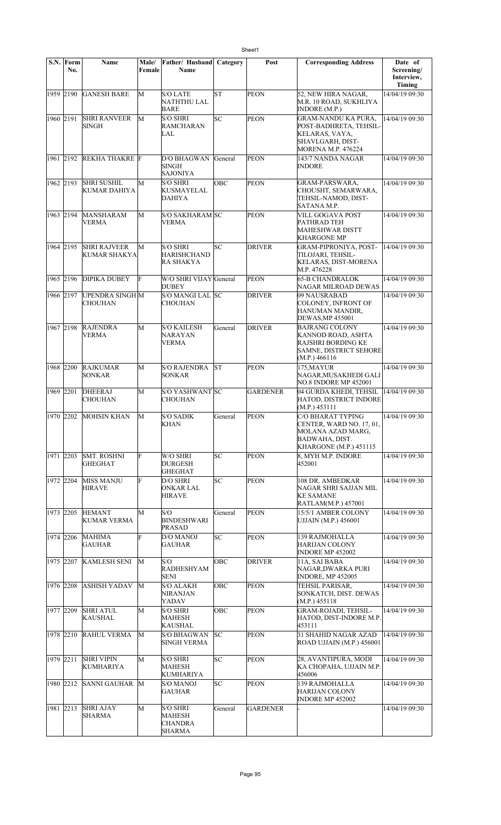|           | $S.N.$ Form<br>No. | <b>Name</b>                                | Male/<br>Female | Father/ Husband<br>Name                                   | Category   | Post            | <b>Corresponding Address</b>                                                                                            | Date of<br>Screening/<br>Interview,<br>Timing |
|-----------|--------------------|--------------------------------------------|-----------------|-----------------------------------------------------------|------------|-----------------|-------------------------------------------------------------------------------------------------------------------------|-----------------------------------------------|
| 1959 2190 |                    | <b>GANESH BARE</b>                         | М               | S/O LATE<br>NATHTHU LAL<br>BARE                           | <b>ST</b>  | <b>PEON</b>     | 52, NEW HIRA NAGAR,<br>M.R. 10 ROAD, SUKHLIYA<br>INDORE (M.P.)                                                          | 14/04/19 09:30                                |
| 1960 2191 |                    | <b>SHRI RANVEER</b><br>SINGH               | М               | S/O SHRI<br>RAMCHARAN<br>LAL                              | SC         | <b>PEON</b>     | <b>GRAM-NANDU KA PURA,</b><br>POST-BADHRETA, TEHSIL-<br>KELARAS, VAYA,<br>SHAVLGARH, DIST-<br><b>MORENA M.P. 476224</b> | 14/04/19 09:30                                |
| 1961 2192 |                    | <b>REKHA THAKRE</b> F                      |                 | D/O BHAGWAN<br><b>SINGH</b><br>SAJONIYA                   | General    | <b>PEON</b>     | 143/7 NANDA NAGAR<br><b>INDORE</b>                                                                                      | 14/04/19 09:30                                |
| 1962 2193 |                    | <b>SHRI SUSHIL</b><br>KUMAR DAHIYA         | М               | S/O SHRI<br>KUSMAYELAL<br><b>DAHIYA</b>                   | OBC        | <b>PEON</b>     | GRAM-PARSWARA,<br>CHOUSHT, SEMARWARA,<br>TEHSIL-NAMOD, DIST-<br>SATANA M.P.                                             | 14/04/19 09:30                                |
| 1963 2194 |                    | MANSHARAM<br>VERMA                         | М               | S/O SAKHARAM SC<br><b>VERMA</b>                           |            | <b>PEON</b>     | <b>VILL GOGAVA POST</b><br>PATHRAD TEH<br><b>MAHESHWAR DISTT</b><br><b>KHARGONE MP</b>                                  | 14/04/19 09:30                                |
| 1964 2195 |                    | <b>SHRI RAJVEER</b><br><b>KUMAR SHAKYA</b> | М               | <b>S/O SHRI</b><br><b>HARISHCHAND</b><br><b>RA SHAKYA</b> | SC         | <b>DRIVER</b>   | <b>GRAM-PIPRONIYA, POST-</b><br>TILOJARI, TEHSIL-<br>KELARAS, DIST-MORENA<br>M.P. 476228                                | 14/04/19 09:30                                |
| 1965 2196 |                    | <b>DIPIKA DUBEY</b>                        | F               | W/O SHRI VIJAY General<br><b>DUBEY</b>                    |            | <b>PEON</b>     | <b>65-B CHANDRALOK</b><br>NAGAR MILROAD DEWAS                                                                           | 14/04/19 09:30                                |
| 1966 2197 |                    | <b>UPENDRA SINGH M</b><br>CHOUHAN          |                 | S/O MANGI LAL SC<br>CHOUHAN                               |            | <b>DRIVER</b>   | 09 NAUSRABAD<br>COLONEY, INFRONT OF<br>HANUMAN MANDIR,<br><b>DEWAS, MP 455001</b>                                       | 14/04/19 09:30                                |
| 1967 2198 |                    | <b>RAJENDRA</b><br>VERMA                   | М               | <b>S/O KAILESH</b><br>NARAYAN<br>VERMA                    | General    | <b>DRIVER</b>   | <b>BAJRANG COLONY</b><br> KANNOD ROAD, ASHTA<br>RAJSHRI BORDING KE<br><b>SAMNE, DISTRICT SEHORE</b><br>(M.P.) 466116    | 14/04/19 09:30                                |
| 1968 2200 |                    | <b>RAJKUMAR</b><br><b>SONKAR</b>           | M               | <b>S/O RAJENDRA</b><br>SONKAR                             | lst        | <b>PEON</b>     | 175, MAYUR<br>NAGAR, MUSAKHEDI GALI<br>NO.8 INDORE MP 452001                                                            | 14/04/19 09:30                                |
| 1969 2201 |                    | DHEERAJ<br>CHOUHAN                         | M               | S/O YASHWANT SC<br><b>CHOUHAN</b>                         |            | <b>GARDENER</b> | 04 GURDA KHEDI, TEHSIL<br>HATOD, DISTRICT INDORE<br>(M.P.) 453111                                                       | 14/04/19 09:30                                |
| 1970 2202 |                    | <b>MOHSIN KHAN</b>                         | М               | <b>S/O SADIK</b><br><b>KHAN</b>                           | General    | PEON            | C/O BHARAT TYPING<br>CENTER, WARD NO. 17, 01,<br>MOLANA AZAD MARG,<br>BADWAHA, DIST.<br>KHARGONE (M.P.) 451115          | 14/04/19 09:30                                |
| 1971 2203 |                    | <b>SMT. ROSHNI</b><br><b>GHEGHAT</b>       | F               | W/O SHRI<br><b>DURGESH</b><br><b>GHEGHAT</b>              | lsc        | <b>PEON</b>     | 8, MYH M.P. INDORE<br>452001                                                                                            | 14/04/19 09:30                                |
| 1972 2204 |                    | <b>MISS MANJU</b><br><b>HIRAVE</b>         | F               | D/O SHRI<br>ONKAR LAL<br><b>HIRAVE</b>                    | SC         | <b>PEON</b>     | 108 DR. AMBEDKAR<br>NAGAR SHRI SAJJAN MIL<br><b>KE SAMANE</b><br>RATLAM(M.P.) 457001                                    | 14/04/19 09:30                                |
| 1973 2205 |                    | <b>HEMANT</b><br><b>KUMAR VERMA</b>        | М               | S/O<br>BINDESHWARI<br>PRASAD                              | General    | <b>PEON</b>     | 15/5/1 AMBER COLONY<br>UJJAIN (M.P.) 456001                                                                             | 14/04/19 09:30                                |
| 1974 2206 |                    | <b>MAHIMA</b><br><b>GAUHAR</b>             | F               | D/O MANOJ<br>GAUHAR                                       | SC         | <b>PEON</b>     | 139 RAJMOHALLA<br>HARIJAN COLONY<br><b>INDORE MP 452002</b>                                                             | 14/04/19 09:30                                |
| 1975 2207 |                    | <b>KAMLESH SENI</b>                        | М               | S/O<br>RADHESHYAM<br><b>SENI</b>                          | OBC        | <b>DRIVER</b>   | 11A, SAI BABA<br>NAGAR, DWARKA PURI<br>INDORE, MP 452005                                                                | 14/04/19 09:30                                |
| 1976 2208 |                    | <b>ASHISH YADAV</b>                        | M               | S/O ALAKH<br>NIRANJAN<br>YADAV                            | OBC        | <b>PEON</b>     | TEHSIL PARISAR,<br>SONKATCH, DIST. DEWAS<br>(M.P.) 455118                                                               | 14/04/19 09:30                                |
| 1977 2209 |                    | <b>SHRI ATUL</b><br><b>KAUSHAL</b>         | М               | <b>S/O SHRI</b><br>MAHESH<br><b>KAUSHAL</b>               | <b>OBC</b> | PEON            | <b>GRAM-ROJADI, TEHSIL-</b><br>HATOD, DIST-INDORE M.P.<br>453111                                                        | 14/04/19 09:30                                |
| 1978 2210 |                    | <b>RAHUL VERMA</b>                         | М               | S/O BHAGWAN<br>SINGH VERMA                                | lsс        | <b>PEON</b>     | 31 SHAHID NAGAR AZAD<br><b>ROAD UJJAIN (M.P.) 456001</b>                                                                | 14/04/19 09:30                                |
| 1979 2211 |                    | <b>SHRI VIPIN</b><br>KUMHARIYA             | М               | S/O SHRI<br>MAHESH<br>KUMHARIYA                           | SC         | <b>PEON</b>     | 28, AVANTIPURA, MODI<br>KA CHOPAHA, UJJAIN M.P.<br>456006                                                               | 14/04/19 09:30                                |
| 1980 2212 |                    | SANNI GAUHAR M                             |                 | <b>S/O MANOJ</b><br>GAUHAR                                | SC         | <b>PEON</b>     | 139 RAJMOHALLA<br><b>HARIJAN COLONY</b><br><b>INDORE MP 452002</b>                                                      | 14/04/19 09:30                                |
| 1981 2213 |                    | <b>SHRI AJAY</b><br>SHARMA                 | М               | S/O SHRI<br>MAHESH<br>CHANDRA<br><b>SHARMA</b>            | General    | GARDENER        |                                                                                                                         | 14/04/19 09:30                                |